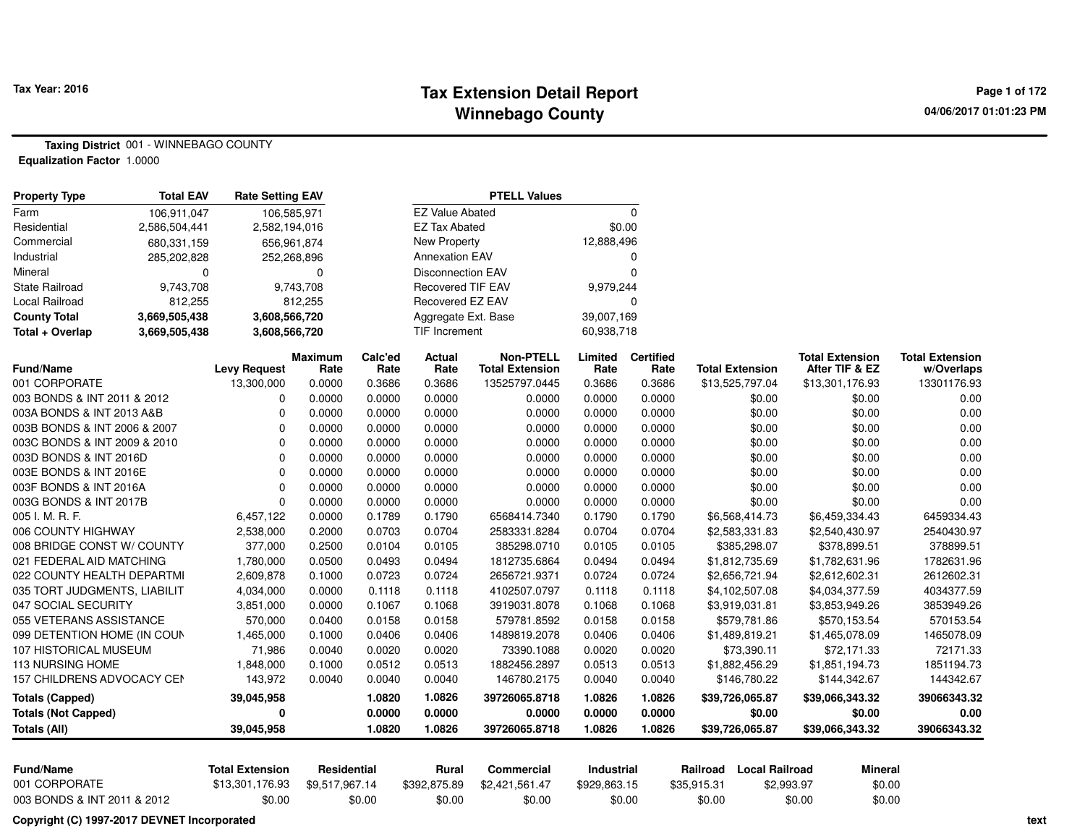#### **Tax Extension Detail Report Tax Year: 2016 Page 1 of 172 Winnebago County**

**Taxing District** 001 - WINNEBAGO COUNTY**Equalization Factor** 1.0000

| $\Omega$<br><b>EZ Value Abated</b><br>106,911,047<br>106,585,971<br><b>EZ Tax Abated</b><br>\$0.00<br>2,586,504,441<br>2,582,194,016<br>New Property<br>12,888,496<br>680,331,159<br>656,961,874<br><b>Annexation EAV</b><br>285,202,828<br>252,268,896<br>0<br>$\mathbf 0$<br><b>Disconnection EAV</b><br>0<br>$\mathbf 0$<br><b>Recovered TIF EAV</b><br>9,743,708<br>9,743,708<br>9,979,244<br>Recovered EZ EAV<br>$\mathbf 0$<br>812,255<br>812,255<br>39,007,169<br>3,669,505,438<br>3,608,566,720<br>Aggregate Ext. Base<br>3,669,505,438<br>3,608,566,720<br>TIF Increment<br>60,938,718<br>Calc'ed<br>Actual<br><b>Non-PTELL</b><br><b>Certified</b><br><b>Maximum</b><br>Limited<br><b>Total Extension</b><br><b>Total Extension</b><br><b>Total Extension</b><br><b>Total Extension</b><br>After TIF & EZ<br><b>Levy Request</b><br>Rate<br>Rate<br>Rate<br>Rate<br>Rate<br>w/Overlaps<br>13,300,000<br>0.3686<br>0.3686<br>13525797.0445<br>0.3686<br>\$13,525,797.04<br>13301176.93<br>0.0000<br>0.3686<br>\$13,301,176.93<br>003 BONDS & INT 2011 & 2012<br>0<br>0.0000<br>0.0000<br>0.0000<br>0.0000<br>0.0000<br>0.0000<br>\$0.00<br>\$0.00<br>0.00<br>$\mathbf 0$<br>0.0000<br>0.0000<br>0.0000<br>0.0000<br>\$0.00<br>\$0.00<br>0.00<br>003A BONDS & INT 2013 A&B<br>0.0000<br>0.0000<br>$\mathbf 0$<br>0.0000<br>0.0000<br>\$0.00<br>\$0.00<br>0.00<br>003B BONDS & INT 2006 & 2007<br>0.0000<br>0.0000<br>0.0000<br>0.0000<br>$\Omega$<br>003C BONDS & INT 2009 & 2010<br>0.0000<br>0.0000<br>0.0000<br>0.0000<br>0.0000<br>0.0000<br>\$0.00<br>\$0.00<br>0.00<br>$\Omega$<br>003D BONDS & INT 2016D<br>0.0000<br>0.0000<br>0.0000<br>0.0000<br>0.0000<br>\$0.00<br>\$0.00<br>0.00<br>0.0000<br>003E BONDS & INT 2016E<br>$\mathbf 0$<br>0.0000<br>0.0000<br>\$0.00<br>0.00<br>0.0000<br>0.0000<br>0.0000<br>0.0000<br>\$0.00<br>003F BONDS & INT 2016A<br>$\Omega$<br>0.0000<br>0.0000<br>0.0000<br>\$0.00<br>0.00<br>0.0000<br>0.0000<br>0.0000<br>\$0.00<br>003G BONDS & INT 2017B<br>$\Omega$<br>0.0000<br>0.0000<br>0.0000<br>0.0000<br>\$0.00<br>\$0.00<br>0.00<br>0.0000<br>0.0000<br>0.0000<br>0.1789<br>0.1790<br>6568414.7340<br>0.1790<br>6,457,122<br>0.1790<br>\$6,568,414.73<br>\$6,459,334.43<br>6459334.43<br>0.0704<br>2,538,000<br>0.2000<br>0.0703<br>2583331.8284<br>0.0704<br>0.0704<br>\$2,583,331.83<br>\$2,540,430.97<br>2540430.97<br>008 BRIDGE CONST W/ COUNTY<br>377,000<br>0.2500<br>0.0104<br>0.0105<br>385298.0710<br>0.0105<br>\$385,298.07<br>\$378,899.51<br>378899.51<br>0.0105<br>1,780,000<br>0.0500<br>0.0493<br>0.0494<br>1812735.6864<br>0.0494<br>0.0494<br>\$1,812,735.69<br>\$1,782,631.96<br>1782631.96<br>021 FEDERAL AID MATCHING<br>0.0724<br>022 COUNTY HEALTH DEPARTMI<br>2,609,878<br>0.1000<br>0.0723<br>2656721.9371<br>0.0724<br>0.0724<br>\$2,656,721.94<br>\$2,612,602.31<br>2612602.31<br>4034377.59<br>035 TORT JUDGMENTS, LIABILIT<br>4,034,000<br>0.0000<br>0.1118<br>0.1118<br>4102507.0797<br>0.1118<br>0.1118<br>\$4,102,507.08<br>\$4,034,377.59<br>0.1067<br>0.1068<br>3853949.26<br>3,851,000<br>0.0000<br>0.1068<br>3919031.8078<br>0.1068<br>\$3,919,031.81<br>\$3,853,949.26<br>055 VETERANS ASSISTANCE<br>570,000<br>0.0400<br>0.0158<br>0.0158<br>579781.8592<br>\$579,781.86<br>570153.54<br>0.0158<br>0.0158<br>\$570,153.54<br>0.0406<br>1465078.09<br>099 DETENTION HOME (IN COUN<br>1,465,000<br>0.1000<br>0.0406<br>1489819.2078<br>0.0406<br>0.0406<br>\$1,489,819.21<br>\$1,465,078.09<br>72171.33<br>107 HISTORICAL MUSEUM<br>71,986<br>0.0040<br>0.0020<br>0.0020<br>73390.1088<br>0.0020<br>0.0020<br>\$73,390.11<br>\$72,171.33<br>0.0512<br>0.0513<br>1882456.2897<br>1851194.73<br>1,848,000<br>0.1000<br>0.0513<br>0.0513<br>\$1,882,456.29<br>\$1,851,194.73<br>157 CHILDRENS ADVOCACY CEN<br>143,972<br>0.0040<br>144342.67<br>0.0040<br>0.0040<br>146780.2175<br>0.0040<br>0.0040<br>\$146,780.22<br>\$144,342.67<br>1.0826<br>39066343.32<br>39,045,958<br>1.0820<br>39726065.8718<br>1.0826<br>1.0826<br>\$39,726,065.87<br>\$39,066,343.32<br>0.0000<br>0.0000<br>0.0000<br>0.00<br>$\mathbf 0$<br>0.0000<br>0.0000<br>\$0.00<br>\$0.00<br>1.0820<br>1.0826<br>39726065.8718<br>\$39,726,065.87<br>39066343.32<br>39,045,958<br>1.0826<br>1.0826<br>\$39,066,343.32<br><b>Total Extension</b><br><b>Local Railroad</b><br>Residential<br>Rural<br>Commercial<br>Industrial<br>Railroad<br><b>Mineral</b><br>\$13,301,176.93<br>\$9,517,967.14<br>\$392,875.89<br>\$2,421,561.47<br>\$35,915.31<br>\$2,993.97<br>\$0.00<br>\$929,863.15<br>003 BONDS & INT 2011 & 2012<br>\$0.00<br>\$0.00<br>\$0.00<br>\$0.00<br>\$0.00<br>\$0.00<br>\$0.00<br>\$0.00<br>Copyright (C) 1997-2017 DEVNET Incorporated | <b>Property Type</b>       | <b>Total EAV</b> | <b>Rate Setting EAV</b> |  | <b>PTELL Values</b> |  |  |  |
|--------------------------------------------------------------------------------------------------------------------------------------------------------------------------------------------------------------------------------------------------------------------------------------------------------------------------------------------------------------------------------------------------------------------------------------------------------------------------------------------------------------------------------------------------------------------------------------------------------------------------------------------------------------------------------------------------------------------------------------------------------------------------------------------------------------------------------------------------------------------------------------------------------------------------------------------------------------------------------------------------------------------------------------------------------------------------------------------------------------------------------------------------------------------------------------------------------------------------------------------------------------------------------------------------------------------------------------------------------------------------------------------------------------------------------------------------------------------------------------------------------------------------------------------------------------------------------------------------------------------------------------------------------------------------------------------------------------------------------------------------------------------------------------------------------------------------------------------------------------------------------------------------------------------------------------------------------------------------------------------------------------------------------------------------------------------------------------------------------------------------------------------------------------------------------------------------------------------------------------------------------------------------------------------------------------------------------------------------------------------------------------------------------------------------------------------------------------------------------------------------------------------------------------------------------------------------------------------------------------------------------------------------------------------------------------------------------------------------------------------------------------------------------------------------------------------------------------------------------------------------------------------------------------------------------------------------------------------------------------------------------------------------------------------------------------------------------------------------------------------------------------------------------------------------------------------------------------------------------------------------------------------------------------------------------------------------------------------------------------------------------------------------------------------------------------------------------------------------------------------------------------------------------------------------------------------------------------------------------------------------------------------------------------------------------------------------------------------------------------------------------------------------------------------------------------------------------------------------------------------------------------------------------------------------------------------------------------------------------------------------------------------------------------------------------------------------------------------------------------------------------------------------------------------------------------------------------------------------------------------------------------------------------------------------------------------------------------------------------------------------------------------------------------------------------------------------------------------------------------------------------------------------------------------------------------------------------------------------------------------------------------------------------------------------------------------------------------------|----------------------------|------------------|-------------------------|--|---------------------|--|--|--|
|                                                                                                                                                                                                                                                                                                                                                                                                                                                                                                                                                                                                                                                                                                                                                                                                                                                                                                                                                                                                                                                                                                                                                                                                                                                                                                                                                                                                                                                                                                                                                                                                                                                                                                                                                                                                                                                                                                                                                                                                                                                                                                                                                                                                                                                                                                                                                                                                                                                                                                                                                                                                                                                                                                                                                                                                                                                                                                                                                                                                                                                                                                                                                                                                                                                                                                                                                                                                                                                                                                                                                                                                                                                                                                                                                                                                                                                                                                                                                                                                                                                                                                                                                                                                                                                                                                                                                                                                                                                                                                                                                                                                                                                                                                                    | Farm                       |                  |                         |  |                     |  |  |  |
|                                                                                                                                                                                                                                                                                                                                                                                                                                                                                                                                                                                                                                                                                                                                                                                                                                                                                                                                                                                                                                                                                                                                                                                                                                                                                                                                                                                                                                                                                                                                                                                                                                                                                                                                                                                                                                                                                                                                                                                                                                                                                                                                                                                                                                                                                                                                                                                                                                                                                                                                                                                                                                                                                                                                                                                                                                                                                                                                                                                                                                                                                                                                                                                                                                                                                                                                                                                                                                                                                                                                                                                                                                                                                                                                                                                                                                                                                                                                                                                                                                                                                                                                                                                                                                                                                                                                                                                                                                                                                                                                                                                                                                                                                                                    | Residential                |                  |                         |  |                     |  |  |  |
|                                                                                                                                                                                                                                                                                                                                                                                                                                                                                                                                                                                                                                                                                                                                                                                                                                                                                                                                                                                                                                                                                                                                                                                                                                                                                                                                                                                                                                                                                                                                                                                                                                                                                                                                                                                                                                                                                                                                                                                                                                                                                                                                                                                                                                                                                                                                                                                                                                                                                                                                                                                                                                                                                                                                                                                                                                                                                                                                                                                                                                                                                                                                                                                                                                                                                                                                                                                                                                                                                                                                                                                                                                                                                                                                                                                                                                                                                                                                                                                                                                                                                                                                                                                                                                                                                                                                                                                                                                                                                                                                                                                                                                                                                                                    | Commercial                 |                  |                         |  |                     |  |  |  |
|                                                                                                                                                                                                                                                                                                                                                                                                                                                                                                                                                                                                                                                                                                                                                                                                                                                                                                                                                                                                                                                                                                                                                                                                                                                                                                                                                                                                                                                                                                                                                                                                                                                                                                                                                                                                                                                                                                                                                                                                                                                                                                                                                                                                                                                                                                                                                                                                                                                                                                                                                                                                                                                                                                                                                                                                                                                                                                                                                                                                                                                                                                                                                                                                                                                                                                                                                                                                                                                                                                                                                                                                                                                                                                                                                                                                                                                                                                                                                                                                                                                                                                                                                                                                                                                                                                                                                                                                                                                                                                                                                                                                                                                                                                                    | Industrial                 |                  |                         |  |                     |  |  |  |
|                                                                                                                                                                                                                                                                                                                                                                                                                                                                                                                                                                                                                                                                                                                                                                                                                                                                                                                                                                                                                                                                                                                                                                                                                                                                                                                                                                                                                                                                                                                                                                                                                                                                                                                                                                                                                                                                                                                                                                                                                                                                                                                                                                                                                                                                                                                                                                                                                                                                                                                                                                                                                                                                                                                                                                                                                                                                                                                                                                                                                                                                                                                                                                                                                                                                                                                                                                                                                                                                                                                                                                                                                                                                                                                                                                                                                                                                                                                                                                                                                                                                                                                                                                                                                                                                                                                                                                                                                                                                                                                                                                                                                                                                                                                    | Mineral                    |                  |                         |  |                     |  |  |  |
|                                                                                                                                                                                                                                                                                                                                                                                                                                                                                                                                                                                                                                                                                                                                                                                                                                                                                                                                                                                                                                                                                                                                                                                                                                                                                                                                                                                                                                                                                                                                                                                                                                                                                                                                                                                                                                                                                                                                                                                                                                                                                                                                                                                                                                                                                                                                                                                                                                                                                                                                                                                                                                                                                                                                                                                                                                                                                                                                                                                                                                                                                                                                                                                                                                                                                                                                                                                                                                                                                                                                                                                                                                                                                                                                                                                                                                                                                                                                                                                                                                                                                                                                                                                                                                                                                                                                                                                                                                                                                                                                                                                                                                                                                                                    | <b>State Railroad</b>      |                  |                         |  |                     |  |  |  |
|                                                                                                                                                                                                                                                                                                                                                                                                                                                                                                                                                                                                                                                                                                                                                                                                                                                                                                                                                                                                                                                                                                                                                                                                                                                                                                                                                                                                                                                                                                                                                                                                                                                                                                                                                                                                                                                                                                                                                                                                                                                                                                                                                                                                                                                                                                                                                                                                                                                                                                                                                                                                                                                                                                                                                                                                                                                                                                                                                                                                                                                                                                                                                                                                                                                                                                                                                                                                                                                                                                                                                                                                                                                                                                                                                                                                                                                                                                                                                                                                                                                                                                                                                                                                                                                                                                                                                                                                                                                                                                                                                                                                                                                                                                                    | <b>Local Railroad</b>      |                  |                         |  |                     |  |  |  |
|                                                                                                                                                                                                                                                                                                                                                                                                                                                                                                                                                                                                                                                                                                                                                                                                                                                                                                                                                                                                                                                                                                                                                                                                                                                                                                                                                                                                                                                                                                                                                                                                                                                                                                                                                                                                                                                                                                                                                                                                                                                                                                                                                                                                                                                                                                                                                                                                                                                                                                                                                                                                                                                                                                                                                                                                                                                                                                                                                                                                                                                                                                                                                                                                                                                                                                                                                                                                                                                                                                                                                                                                                                                                                                                                                                                                                                                                                                                                                                                                                                                                                                                                                                                                                                                                                                                                                                                                                                                                                                                                                                                                                                                                                                                    | <b>County Total</b>        |                  |                         |  |                     |  |  |  |
|                                                                                                                                                                                                                                                                                                                                                                                                                                                                                                                                                                                                                                                                                                                                                                                                                                                                                                                                                                                                                                                                                                                                                                                                                                                                                                                                                                                                                                                                                                                                                                                                                                                                                                                                                                                                                                                                                                                                                                                                                                                                                                                                                                                                                                                                                                                                                                                                                                                                                                                                                                                                                                                                                                                                                                                                                                                                                                                                                                                                                                                                                                                                                                                                                                                                                                                                                                                                                                                                                                                                                                                                                                                                                                                                                                                                                                                                                                                                                                                                                                                                                                                                                                                                                                                                                                                                                                                                                                                                                                                                                                                                                                                                                                                    | Total + Overlap            |                  |                         |  |                     |  |  |  |
|                                                                                                                                                                                                                                                                                                                                                                                                                                                                                                                                                                                                                                                                                                                                                                                                                                                                                                                                                                                                                                                                                                                                                                                                                                                                                                                                                                                                                                                                                                                                                                                                                                                                                                                                                                                                                                                                                                                                                                                                                                                                                                                                                                                                                                                                                                                                                                                                                                                                                                                                                                                                                                                                                                                                                                                                                                                                                                                                                                                                                                                                                                                                                                                                                                                                                                                                                                                                                                                                                                                                                                                                                                                                                                                                                                                                                                                                                                                                                                                                                                                                                                                                                                                                                                                                                                                                                                                                                                                                                                                                                                                                                                                                                                                    |                            |                  |                         |  |                     |  |  |  |
|                                                                                                                                                                                                                                                                                                                                                                                                                                                                                                                                                                                                                                                                                                                                                                                                                                                                                                                                                                                                                                                                                                                                                                                                                                                                                                                                                                                                                                                                                                                                                                                                                                                                                                                                                                                                                                                                                                                                                                                                                                                                                                                                                                                                                                                                                                                                                                                                                                                                                                                                                                                                                                                                                                                                                                                                                                                                                                                                                                                                                                                                                                                                                                                                                                                                                                                                                                                                                                                                                                                                                                                                                                                                                                                                                                                                                                                                                                                                                                                                                                                                                                                                                                                                                                                                                                                                                                                                                                                                                                                                                                                                                                                                                                                    | <b>Fund/Name</b>           |                  |                         |  |                     |  |  |  |
|                                                                                                                                                                                                                                                                                                                                                                                                                                                                                                                                                                                                                                                                                                                                                                                                                                                                                                                                                                                                                                                                                                                                                                                                                                                                                                                                                                                                                                                                                                                                                                                                                                                                                                                                                                                                                                                                                                                                                                                                                                                                                                                                                                                                                                                                                                                                                                                                                                                                                                                                                                                                                                                                                                                                                                                                                                                                                                                                                                                                                                                                                                                                                                                                                                                                                                                                                                                                                                                                                                                                                                                                                                                                                                                                                                                                                                                                                                                                                                                                                                                                                                                                                                                                                                                                                                                                                                                                                                                                                                                                                                                                                                                                                                                    | 001 CORPORATE              |                  |                         |  |                     |  |  |  |
|                                                                                                                                                                                                                                                                                                                                                                                                                                                                                                                                                                                                                                                                                                                                                                                                                                                                                                                                                                                                                                                                                                                                                                                                                                                                                                                                                                                                                                                                                                                                                                                                                                                                                                                                                                                                                                                                                                                                                                                                                                                                                                                                                                                                                                                                                                                                                                                                                                                                                                                                                                                                                                                                                                                                                                                                                                                                                                                                                                                                                                                                                                                                                                                                                                                                                                                                                                                                                                                                                                                                                                                                                                                                                                                                                                                                                                                                                                                                                                                                                                                                                                                                                                                                                                                                                                                                                                                                                                                                                                                                                                                                                                                                                                                    |                            |                  |                         |  |                     |  |  |  |
|                                                                                                                                                                                                                                                                                                                                                                                                                                                                                                                                                                                                                                                                                                                                                                                                                                                                                                                                                                                                                                                                                                                                                                                                                                                                                                                                                                                                                                                                                                                                                                                                                                                                                                                                                                                                                                                                                                                                                                                                                                                                                                                                                                                                                                                                                                                                                                                                                                                                                                                                                                                                                                                                                                                                                                                                                                                                                                                                                                                                                                                                                                                                                                                                                                                                                                                                                                                                                                                                                                                                                                                                                                                                                                                                                                                                                                                                                                                                                                                                                                                                                                                                                                                                                                                                                                                                                                                                                                                                                                                                                                                                                                                                                                                    |                            |                  |                         |  |                     |  |  |  |
|                                                                                                                                                                                                                                                                                                                                                                                                                                                                                                                                                                                                                                                                                                                                                                                                                                                                                                                                                                                                                                                                                                                                                                                                                                                                                                                                                                                                                                                                                                                                                                                                                                                                                                                                                                                                                                                                                                                                                                                                                                                                                                                                                                                                                                                                                                                                                                                                                                                                                                                                                                                                                                                                                                                                                                                                                                                                                                                                                                                                                                                                                                                                                                                                                                                                                                                                                                                                                                                                                                                                                                                                                                                                                                                                                                                                                                                                                                                                                                                                                                                                                                                                                                                                                                                                                                                                                                                                                                                                                                                                                                                                                                                                                                                    |                            |                  |                         |  |                     |  |  |  |
|                                                                                                                                                                                                                                                                                                                                                                                                                                                                                                                                                                                                                                                                                                                                                                                                                                                                                                                                                                                                                                                                                                                                                                                                                                                                                                                                                                                                                                                                                                                                                                                                                                                                                                                                                                                                                                                                                                                                                                                                                                                                                                                                                                                                                                                                                                                                                                                                                                                                                                                                                                                                                                                                                                                                                                                                                                                                                                                                                                                                                                                                                                                                                                                                                                                                                                                                                                                                                                                                                                                                                                                                                                                                                                                                                                                                                                                                                                                                                                                                                                                                                                                                                                                                                                                                                                                                                                                                                                                                                                                                                                                                                                                                                                                    |                            |                  |                         |  |                     |  |  |  |
|                                                                                                                                                                                                                                                                                                                                                                                                                                                                                                                                                                                                                                                                                                                                                                                                                                                                                                                                                                                                                                                                                                                                                                                                                                                                                                                                                                                                                                                                                                                                                                                                                                                                                                                                                                                                                                                                                                                                                                                                                                                                                                                                                                                                                                                                                                                                                                                                                                                                                                                                                                                                                                                                                                                                                                                                                                                                                                                                                                                                                                                                                                                                                                                                                                                                                                                                                                                                                                                                                                                                                                                                                                                                                                                                                                                                                                                                                                                                                                                                                                                                                                                                                                                                                                                                                                                                                                                                                                                                                                                                                                                                                                                                                                                    |                            |                  |                         |  |                     |  |  |  |
|                                                                                                                                                                                                                                                                                                                                                                                                                                                                                                                                                                                                                                                                                                                                                                                                                                                                                                                                                                                                                                                                                                                                                                                                                                                                                                                                                                                                                                                                                                                                                                                                                                                                                                                                                                                                                                                                                                                                                                                                                                                                                                                                                                                                                                                                                                                                                                                                                                                                                                                                                                                                                                                                                                                                                                                                                                                                                                                                                                                                                                                                                                                                                                                                                                                                                                                                                                                                                                                                                                                                                                                                                                                                                                                                                                                                                                                                                                                                                                                                                                                                                                                                                                                                                                                                                                                                                                                                                                                                                                                                                                                                                                                                                                                    |                            |                  |                         |  |                     |  |  |  |
|                                                                                                                                                                                                                                                                                                                                                                                                                                                                                                                                                                                                                                                                                                                                                                                                                                                                                                                                                                                                                                                                                                                                                                                                                                                                                                                                                                                                                                                                                                                                                                                                                                                                                                                                                                                                                                                                                                                                                                                                                                                                                                                                                                                                                                                                                                                                                                                                                                                                                                                                                                                                                                                                                                                                                                                                                                                                                                                                                                                                                                                                                                                                                                                                                                                                                                                                                                                                                                                                                                                                                                                                                                                                                                                                                                                                                                                                                                                                                                                                                                                                                                                                                                                                                                                                                                                                                                                                                                                                                                                                                                                                                                                                                                                    |                            |                  |                         |  |                     |  |  |  |
|                                                                                                                                                                                                                                                                                                                                                                                                                                                                                                                                                                                                                                                                                                                                                                                                                                                                                                                                                                                                                                                                                                                                                                                                                                                                                                                                                                                                                                                                                                                                                                                                                                                                                                                                                                                                                                                                                                                                                                                                                                                                                                                                                                                                                                                                                                                                                                                                                                                                                                                                                                                                                                                                                                                                                                                                                                                                                                                                                                                                                                                                                                                                                                                                                                                                                                                                                                                                                                                                                                                                                                                                                                                                                                                                                                                                                                                                                                                                                                                                                                                                                                                                                                                                                                                                                                                                                                                                                                                                                                                                                                                                                                                                                                                    |                            |                  |                         |  |                     |  |  |  |
|                                                                                                                                                                                                                                                                                                                                                                                                                                                                                                                                                                                                                                                                                                                                                                                                                                                                                                                                                                                                                                                                                                                                                                                                                                                                                                                                                                                                                                                                                                                                                                                                                                                                                                                                                                                                                                                                                                                                                                                                                                                                                                                                                                                                                                                                                                                                                                                                                                                                                                                                                                                                                                                                                                                                                                                                                                                                                                                                                                                                                                                                                                                                                                                                                                                                                                                                                                                                                                                                                                                                                                                                                                                                                                                                                                                                                                                                                                                                                                                                                                                                                                                                                                                                                                                                                                                                                                                                                                                                                                                                                                                                                                                                                                                    | 005 I. M. R. F.            |                  |                         |  |                     |  |  |  |
|                                                                                                                                                                                                                                                                                                                                                                                                                                                                                                                                                                                                                                                                                                                                                                                                                                                                                                                                                                                                                                                                                                                                                                                                                                                                                                                                                                                                                                                                                                                                                                                                                                                                                                                                                                                                                                                                                                                                                                                                                                                                                                                                                                                                                                                                                                                                                                                                                                                                                                                                                                                                                                                                                                                                                                                                                                                                                                                                                                                                                                                                                                                                                                                                                                                                                                                                                                                                                                                                                                                                                                                                                                                                                                                                                                                                                                                                                                                                                                                                                                                                                                                                                                                                                                                                                                                                                                                                                                                                                                                                                                                                                                                                                                                    | 006 COUNTY HIGHWAY         |                  |                         |  |                     |  |  |  |
|                                                                                                                                                                                                                                                                                                                                                                                                                                                                                                                                                                                                                                                                                                                                                                                                                                                                                                                                                                                                                                                                                                                                                                                                                                                                                                                                                                                                                                                                                                                                                                                                                                                                                                                                                                                                                                                                                                                                                                                                                                                                                                                                                                                                                                                                                                                                                                                                                                                                                                                                                                                                                                                                                                                                                                                                                                                                                                                                                                                                                                                                                                                                                                                                                                                                                                                                                                                                                                                                                                                                                                                                                                                                                                                                                                                                                                                                                                                                                                                                                                                                                                                                                                                                                                                                                                                                                                                                                                                                                                                                                                                                                                                                                                                    |                            |                  |                         |  |                     |  |  |  |
|                                                                                                                                                                                                                                                                                                                                                                                                                                                                                                                                                                                                                                                                                                                                                                                                                                                                                                                                                                                                                                                                                                                                                                                                                                                                                                                                                                                                                                                                                                                                                                                                                                                                                                                                                                                                                                                                                                                                                                                                                                                                                                                                                                                                                                                                                                                                                                                                                                                                                                                                                                                                                                                                                                                                                                                                                                                                                                                                                                                                                                                                                                                                                                                                                                                                                                                                                                                                                                                                                                                                                                                                                                                                                                                                                                                                                                                                                                                                                                                                                                                                                                                                                                                                                                                                                                                                                                                                                                                                                                                                                                                                                                                                                                                    |                            |                  |                         |  |                     |  |  |  |
|                                                                                                                                                                                                                                                                                                                                                                                                                                                                                                                                                                                                                                                                                                                                                                                                                                                                                                                                                                                                                                                                                                                                                                                                                                                                                                                                                                                                                                                                                                                                                                                                                                                                                                                                                                                                                                                                                                                                                                                                                                                                                                                                                                                                                                                                                                                                                                                                                                                                                                                                                                                                                                                                                                                                                                                                                                                                                                                                                                                                                                                                                                                                                                                                                                                                                                                                                                                                                                                                                                                                                                                                                                                                                                                                                                                                                                                                                                                                                                                                                                                                                                                                                                                                                                                                                                                                                                                                                                                                                                                                                                                                                                                                                                                    |                            |                  |                         |  |                     |  |  |  |
|                                                                                                                                                                                                                                                                                                                                                                                                                                                                                                                                                                                                                                                                                                                                                                                                                                                                                                                                                                                                                                                                                                                                                                                                                                                                                                                                                                                                                                                                                                                                                                                                                                                                                                                                                                                                                                                                                                                                                                                                                                                                                                                                                                                                                                                                                                                                                                                                                                                                                                                                                                                                                                                                                                                                                                                                                                                                                                                                                                                                                                                                                                                                                                                                                                                                                                                                                                                                                                                                                                                                                                                                                                                                                                                                                                                                                                                                                                                                                                                                                                                                                                                                                                                                                                                                                                                                                                                                                                                                                                                                                                                                                                                                                                                    |                            |                  |                         |  |                     |  |  |  |
|                                                                                                                                                                                                                                                                                                                                                                                                                                                                                                                                                                                                                                                                                                                                                                                                                                                                                                                                                                                                                                                                                                                                                                                                                                                                                                                                                                                                                                                                                                                                                                                                                                                                                                                                                                                                                                                                                                                                                                                                                                                                                                                                                                                                                                                                                                                                                                                                                                                                                                                                                                                                                                                                                                                                                                                                                                                                                                                                                                                                                                                                                                                                                                                                                                                                                                                                                                                                                                                                                                                                                                                                                                                                                                                                                                                                                                                                                                                                                                                                                                                                                                                                                                                                                                                                                                                                                                                                                                                                                                                                                                                                                                                                                                                    | 047 SOCIAL SECURITY        |                  |                         |  |                     |  |  |  |
|                                                                                                                                                                                                                                                                                                                                                                                                                                                                                                                                                                                                                                                                                                                                                                                                                                                                                                                                                                                                                                                                                                                                                                                                                                                                                                                                                                                                                                                                                                                                                                                                                                                                                                                                                                                                                                                                                                                                                                                                                                                                                                                                                                                                                                                                                                                                                                                                                                                                                                                                                                                                                                                                                                                                                                                                                                                                                                                                                                                                                                                                                                                                                                                                                                                                                                                                                                                                                                                                                                                                                                                                                                                                                                                                                                                                                                                                                                                                                                                                                                                                                                                                                                                                                                                                                                                                                                                                                                                                                                                                                                                                                                                                                                                    |                            |                  |                         |  |                     |  |  |  |
|                                                                                                                                                                                                                                                                                                                                                                                                                                                                                                                                                                                                                                                                                                                                                                                                                                                                                                                                                                                                                                                                                                                                                                                                                                                                                                                                                                                                                                                                                                                                                                                                                                                                                                                                                                                                                                                                                                                                                                                                                                                                                                                                                                                                                                                                                                                                                                                                                                                                                                                                                                                                                                                                                                                                                                                                                                                                                                                                                                                                                                                                                                                                                                                                                                                                                                                                                                                                                                                                                                                                                                                                                                                                                                                                                                                                                                                                                                                                                                                                                                                                                                                                                                                                                                                                                                                                                                                                                                                                                                                                                                                                                                                                                                                    |                            |                  |                         |  |                     |  |  |  |
|                                                                                                                                                                                                                                                                                                                                                                                                                                                                                                                                                                                                                                                                                                                                                                                                                                                                                                                                                                                                                                                                                                                                                                                                                                                                                                                                                                                                                                                                                                                                                                                                                                                                                                                                                                                                                                                                                                                                                                                                                                                                                                                                                                                                                                                                                                                                                                                                                                                                                                                                                                                                                                                                                                                                                                                                                                                                                                                                                                                                                                                                                                                                                                                                                                                                                                                                                                                                                                                                                                                                                                                                                                                                                                                                                                                                                                                                                                                                                                                                                                                                                                                                                                                                                                                                                                                                                                                                                                                                                                                                                                                                                                                                                                                    |                            |                  |                         |  |                     |  |  |  |
|                                                                                                                                                                                                                                                                                                                                                                                                                                                                                                                                                                                                                                                                                                                                                                                                                                                                                                                                                                                                                                                                                                                                                                                                                                                                                                                                                                                                                                                                                                                                                                                                                                                                                                                                                                                                                                                                                                                                                                                                                                                                                                                                                                                                                                                                                                                                                                                                                                                                                                                                                                                                                                                                                                                                                                                                                                                                                                                                                                                                                                                                                                                                                                                                                                                                                                                                                                                                                                                                                                                                                                                                                                                                                                                                                                                                                                                                                                                                                                                                                                                                                                                                                                                                                                                                                                                                                                                                                                                                                                                                                                                                                                                                                                                    | <b>113 NURSING HOME</b>    |                  |                         |  |                     |  |  |  |
|                                                                                                                                                                                                                                                                                                                                                                                                                                                                                                                                                                                                                                                                                                                                                                                                                                                                                                                                                                                                                                                                                                                                                                                                                                                                                                                                                                                                                                                                                                                                                                                                                                                                                                                                                                                                                                                                                                                                                                                                                                                                                                                                                                                                                                                                                                                                                                                                                                                                                                                                                                                                                                                                                                                                                                                                                                                                                                                                                                                                                                                                                                                                                                                                                                                                                                                                                                                                                                                                                                                                                                                                                                                                                                                                                                                                                                                                                                                                                                                                                                                                                                                                                                                                                                                                                                                                                                                                                                                                                                                                                                                                                                                                                                                    |                            |                  |                         |  |                     |  |  |  |
|                                                                                                                                                                                                                                                                                                                                                                                                                                                                                                                                                                                                                                                                                                                                                                                                                                                                                                                                                                                                                                                                                                                                                                                                                                                                                                                                                                                                                                                                                                                                                                                                                                                                                                                                                                                                                                                                                                                                                                                                                                                                                                                                                                                                                                                                                                                                                                                                                                                                                                                                                                                                                                                                                                                                                                                                                                                                                                                                                                                                                                                                                                                                                                                                                                                                                                                                                                                                                                                                                                                                                                                                                                                                                                                                                                                                                                                                                                                                                                                                                                                                                                                                                                                                                                                                                                                                                                                                                                                                                                                                                                                                                                                                                                                    | <b>Totals (Capped)</b>     |                  |                         |  |                     |  |  |  |
|                                                                                                                                                                                                                                                                                                                                                                                                                                                                                                                                                                                                                                                                                                                                                                                                                                                                                                                                                                                                                                                                                                                                                                                                                                                                                                                                                                                                                                                                                                                                                                                                                                                                                                                                                                                                                                                                                                                                                                                                                                                                                                                                                                                                                                                                                                                                                                                                                                                                                                                                                                                                                                                                                                                                                                                                                                                                                                                                                                                                                                                                                                                                                                                                                                                                                                                                                                                                                                                                                                                                                                                                                                                                                                                                                                                                                                                                                                                                                                                                                                                                                                                                                                                                                                                                                                                                                                                                                                                                                                                                                                                                                                                                                                                    | <b>Totals (Not Capped)</b> |                  |                         |  |                     |  |  |  |
|                                                                                                                                                                                                                                                                                                                                                                                                                                                                                                                                                                                                                                                                                                                                                                                                                                                                                                                                                                                                                                                                                                                                                                                                                                                                                                                                                                                                                                                                                                                                                                                                                                                                                                                                                                                                                                                                                                                                                                                                                                                                                                                                                                                                                                                                                                                                                                                                                                                                                                                                                                                                                                                                                                                                                                                                                                                                                                                                                                                                                                                                                                                                                                                                                                                                                                                                                                                                                                                                                                                                                                                                                                                                                                                                                                                                                                                                                                                                                                                                                                                                                                                                                                                                                                                                                                                                                                                                                                                                                                                                                                                                                                                                                                                    | <b>Totals (All)</b>        |                  |                         |  |                     |  |  |  |
|                                                                                                                                                                                                                                                                                                                                                                                                                                                                                                                                                                                                                                                                                                                                                                                                                                                                                                                                                                                                                                                                                                                                                                                                                                                                                                                                                                                                                                                                                                                                                                                                                                                                                                                                                                                                                                                                                                                                                                                                                                                                                                                                                                                                                                                                                                                                                                                                                                                                                                                                                                                                                                                                                                                                                                                                                                                                                                                                                                                                                                                                                                                                                                                                                                                                                                                                                                                                                                                                                                                                                                                                                                                                                                                                                                                                                                                                                                                                                                                                                                                                                                                                                                                                                                                                                                                                                                                                                                                                                                                                                                                                                                                                                                                    |                            |                  |                         |  |                     |  |  |  |
|                                                                                                                                                                                                                                                                                                                                                                                                                                                                                                                                                                                                                                                                                                                                                                                                                                                                                                                                                                                                                                                                                                                                                                                                                                                                                                                                                                                                                                                                                                                                                                                                                                                                                                                                                                                                                                                                                                                                                                                                                                                                                                                                                                                                                                                                                                                                                                                                                                                                                                                                                                                                                                                                                                                                                                                                                                                                                                                                                                                                                                                                                                                                                                                                                                                                                                                                                                                                                                                                                                                                                                                                                                                                                                                                                                                                                                                                                                                                                                                                                                                                                                                                                                                                                                                                                                                                                                                                                                                                                                                                                                                                                                                                                                                    | <b>Fund/Name</b>           |                  |                         |  |                     |  |  |  |
|                                                                                                                                                                                                                                                                                                                                                                                                                                                                                                                                                                                                                                                                                                                                                                                                                                                                                                                                                                                                                                                                                                                                                                                                                                                                                                                                                                                                                                                                                                                                                                                                                                                                                                                                                                                                                                                                                                                                                                                                                                                                                                                                                                                                                                                                                                                                                                                                                                                                                                                                                                                                                                                                                                                                                                                                                                                                                                                                                                                                                                                                                                                                                                                                                                                                                                                                                                                                                                                                                                                                                                                                                                                                                                                                                                                                                                                                                                                                                                                                                                                                                                                                                                                                                                                                                                                                                                                                                                                                                                                                                                                                                                                                                                                    | 001 CORPORATE              |                  |                         |  |                     |  |  |  |
|                                                                                                                                                                                                                                                                                                                                                                                                                                                                                                                                                                                                                                                                                                                                                                                                                                                                                                                                                                                                                                                                                                                                                                                                                                                                                                                                                                                                                                                                                                                                                                                                                                                                                                                                                                                                                                                                                                                                                                                                                                                                                                                                                                                                                                                                                                                                                                                                                                                                                                                                                                                                                                                                                                                                                                                                                                                                                                                                                                                                                                                                                                                                                                                                                                                                                                                                                                                                                                                                                                                                                                                                                                                                                                                                                                                                                                                                                                                                                                                                                                                                                                                                                                                                                                                                                                                                                                                                                                                                                                                                                                                                                                                                                                                    |                            |                  |                         |  |                     |  |  |  |
|                                                                                                                                                                                                                                                                                                                                                                                                                                                                                                                                                                                                                                                                                                                                                                                                                                                                                                                                                                                                                                                                                                                                                                                                                                                                                                                                                                                                                                                                                                                                                                                                                                                                                                                                                                                                                                                                                                                                                                                                                                                                                                                                                                                                                                                                                                                                                                                                                                                                                                                                                                                                                                                                                                                                                                                                                                                                                                                                                                                                                                                                                                                                                                                                                                                                                                                                                                                                                                                                                                                                                                                                                                                                                                                                                                                                                                                                                                                                                                                                                                                                                                                                                                                                                                                                                                                                                                                                                                                                                                                                                                                                                                                                                                                    |                            |                  |                         |  |                     |  |  |  |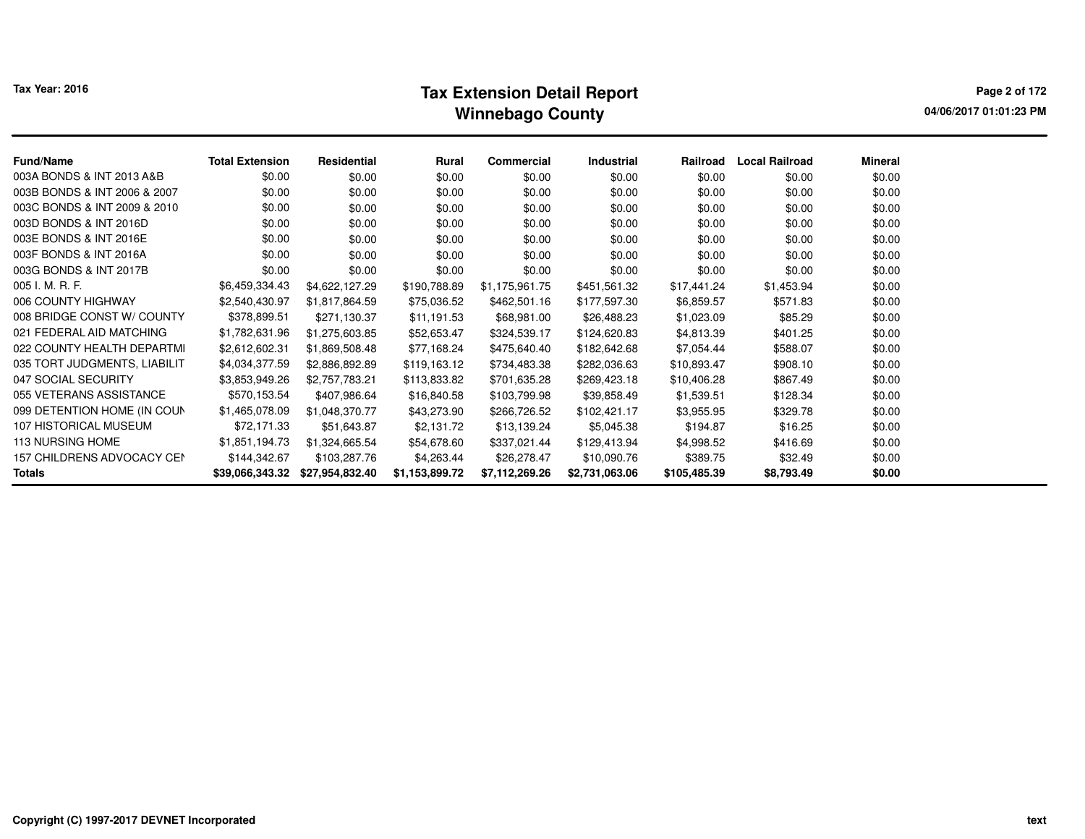# **Tax Extension Detail Report Tax Year: 2016 Page 2 of 172 Winnebago County**

**04/06/2017 01:01:23 PM**

| Fund/Name                    | <b>Total Extension</b> | Residential     | <b>Rural</b>   | Commercial     | <b>Industrial</b> | Railroad     | <b>Local Railroad</b> | <b>Mineral</b> |
|------------------------------|------------------------|-----------------|----------------|----------------|-------------------|--------------|-----------------------|----------------|
| 003A BONDS & INT 2013 A&B    | \$0.00                 | \$0.00          | \$0.00         | \$0.00         | \$0.00            | \$0.00       | \$0.00                | \$0.00         |
| 003B BONDS & INT 2006 & 2007 | \$0.00                 | \$0.00          | \$0.00         | \$0.00         | \$0.00            | \$0.00       | \$0.00                | \$0.00         |
| 003C BONDS & INT 2009 & 2010 | \$0.00                 | \$0.00          | \$0.00         | \$0.00         | \$0.00            | \$0.00       | \$0.00                | \$0.00         |
| 003D BONDS & INT 2016D       | \$0.00                 | \$0.00          | \$0.00         | \$0.00         | \$0.00            | \$0.00       | \$0.00                | \$0.00         |
| 003E BONDS & INT 2016E       | \$0.00                 | \$0.00          | \$0.00         | \$0.00         | \$0.00            | \$0.00       | \$0.00                | \$0.00         |
| 003F BONDS & INT 2016A       | \$0.00                 | \$0.00          | \$0.00         | \$0.00         | \$0.00            | \$0.00       | \$0.00                | \$0.00         |
| 003G BONDS & INT 2017B       | \$0.00                 | \$0.00          | \$0.00         | \$0.00         | \$0.00            | \$0.00       | \$0.00                | \$0.00         |
| 005 I. M. R. F.              | \$6,459,334.43         | \$4,622,127.29  | \$190,788.89   | \$1,175,961.75 | \$451,561.32      | \$17,441.24  | \$1,453.94            | \$0.00         |
| 006 COUNTY HIGHWAY           | \$2,540,430.97         | \$1,817,864.59  | \$75,036.52    | \$462,501.16   | \$177,597.30      | \$6,859.57   | \$571.83              | \$0.00         |
| 008 BRIDGE CONST W/ COUNTY   | \$378,899.51           | \$271,130.37    | \$11,191.53    | \$68,981.00    | \$26,488.23       | \$1,023.09   | \$85.29               | \$0.00         |
| 021 FEDERAL AID MATCHING     | \$1,782,631.96         | \$1,275,603.85  | \$52,653.47    | \$324,539.17   | \$124,620.83      | \$4,813.39   | \$401.25              | \$0.00         |
| 022 COUNTY HEALTH DEPARTMI   | \$2,612,602.31         | \$1,869,508.48  | \$77,168.24    | \$475,640.40   | \$182,642.68      | \$7,054.44   | \$588.07              | \$0.00         |
| 035 TORT JUDGMENTS, LIABILIT | \$4,034,377.59         | \$2,886,892.89  | \$119,163.12   | \$734,483.38   | \$282,036.63      | \$10,893.47  | \$908.10              | \$0.00         |
| 047 SOCIAL SECURITY          | \$3,853,949.26         | \$2,757,783.21  | \$113,833.82   | \$701,635.28   | \$269,423.18      | \$10,406.28  | \$867.49              | \$0.00         |
| 055 VETERANS ASSISTANCE      | \$570,153.54           | \$407,986.64    | \$16,840.58    | \$103,799.98   | \$39,858.49       | \$1,539.51   | \$128.34              | \$0.00         |
| 099 DETENTION HOME (IN COUN  | \$1,465,078.09         | \$1,048,370.77  | \$43,273.90    | \$266,726.52   | \$102,421.17      | \$3,955.95   | \$329.78              | \$0.00         |
| 107 HISTORICAL MUSEUM        | \$72,171.33            | \$51,643.87     | \$2,131.72     | \$13,139.24    | \$5,045.38        | \$194.87     | \$16.25               | \$0.00         |
| <b>113 NURSING HOME</b>      | \$1,851,194.73         | \$1,324,665.54  | \$54,678.60    | \$337,021.44   | \$129,413.94      | \$4,998.52   | \$416.69              | \$0.00         |
| 157 CHILDRENS ADVOCACY CEN   | \$144,342.67           | \$103,287.76    | \$4,263.44     | \$26,278.47    | \$10,090.76       | \$389.75     | \$32.49               | \$0.00         |
| Totals                       | \$39,066,343.32        | \$27,954,832.40 | \$1,153,899.72 | \$7,112,269.26 | \$2,731,063.06    | \$105,485.39 | \$8,793.49            | \$0.00         |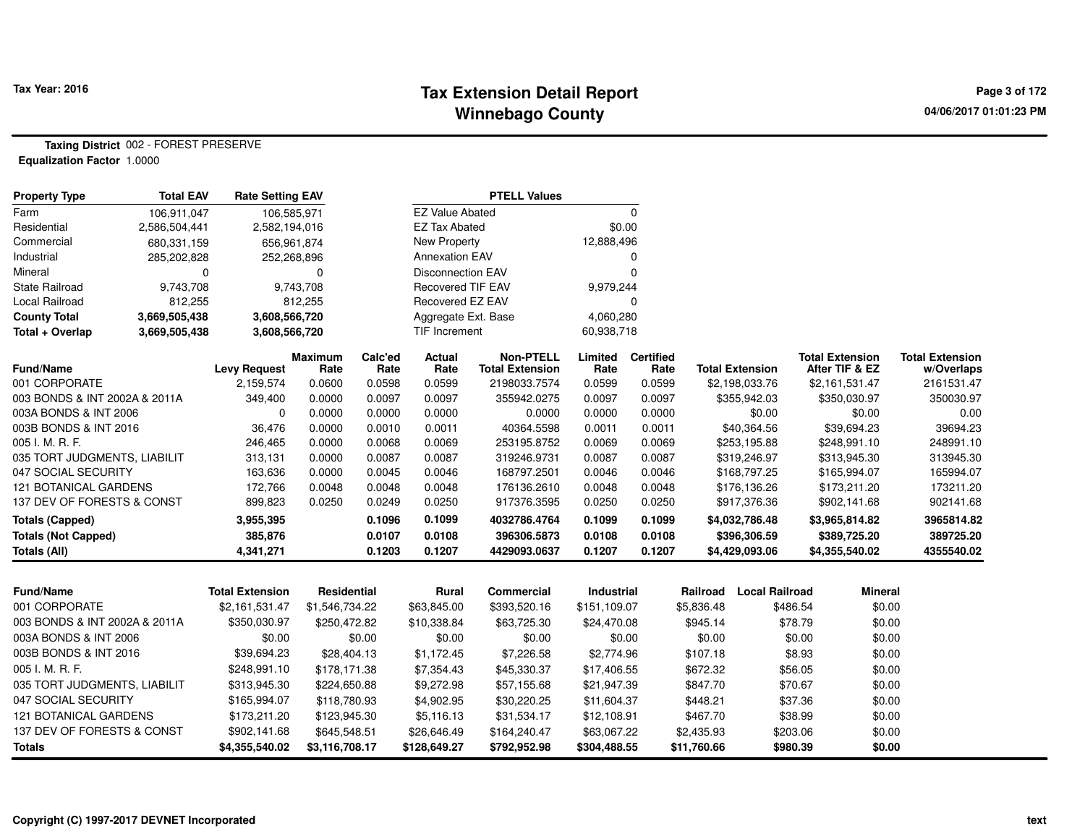## **Tax Extension Detail Report Tax Year: 2016 Page 3 of 172 Winnebago County**

**Taxing District** 002 - FOREST PRESERVE**Equalization Factor** 1.0000

| <b>Property Type</b>          | <b>Total EAV</b> | <b>Rate Setting EAV</b> |                        |                 |                          | <b>PTELL Values</b>                        |                 |                          |             |                        |                                          |                                      |
|-------------------------------|------------------|-------------------------|------------------------|-----------------|--------------------------|--------------------------------------------|-----------------|--------------------------|-------------|------------------------|------------------------------------------|--------------------------------------|
| Farm                          | 106,911,047      | 106,585,971             |                        |                 | <b>EZ Value Abated</b>   |                                            |                 | $\mathbf 0$              |             |                        |                                          |                                      |
| Residential                   | 2,586,504,441    | 2,582,194,016           |                        |                 | <b>EZ Tax Abated</b>     |                                            |                 | \$0.00                   |             |                        |                                          |                                      |
| Commercial                    | 680,331,159      | 656,961,874             |                        |                 | <b>New Property</b>      |                                            | 12,888,496      |                          |             |                        |                                          |                                      |
| Industrial                    | 285,202,828      | 252,268,896             |                        |                 | <b>Annexation EAV</b>    |                                            |                 | 0                        |             |                        |                                          |                                      |
| Mineral                       | $\mathbf 0$      |                         | $\Omega$               |                 | <b>Disconnection EAV</b> |                                            |                 | $\Omega$                 |             |                        |                                          |                                      |
| <b>State Railroad</b>         | 9,743,708        |                         | 9,743,708              |                 | <b>Recovered TIF EAV</b> |                                            | 9,979,244       |                          |             |                        |                                          |                                      |
| Local Railroad                | 812,255          |                         | 812,255                |                 | Recovered EZ EAV         |                                            |                 | $\Omega$                 |             |                        |                                          |                                      |
| <b>County Total</b>           | 3,669,505,438    | 3,608,566,720           |                        |                 | Aggregate Ext. Base      |                                            | 4,060,280       |                          |             |                        |                                          |                                      |
| Total + Overlap               | 3,669,505,438    | 3,608,566,720           |                        |                 | <b>TIF Increment</b>     |                                            | 60,938,718      |                          |             |                        |                                          |                                      |
| Fund/Name                     |                  | <b>Levy Request</b>     | <b>Maximum</b><br>Rate | Calc'ed<br>Rate | Actual<br>Rate           | <b>Non-PTELL</b><br><b>Total Extension</b> | Limited<br>Rate | <b>Certified</b><br>Rate |             | <b>Total Extension</b> | <b>Total Extension</b><br>After TIF & EZ | <b>Total Extension</b><br>w/Overlaps |
| 001 CORPORATE                 |                  | 2,159,574               | 0.0600                 | 0.0598          | 0.0599                   | 2198033.7574                               | 0.0599          | 0.0599                   |             | \$2,198,033.76         | \$2,161,531.47                           | 2161531.47                           |
| 003 BONDS & INT 2002A & 2011A |                  | 349,400                 | 0.0000                 | 0.0097          | 0.0097                   | 355942.0275                                | 0.0097          | 0.0097                   |             | \$355,942.03           | \$350,030.97                             | 350030.97                            |
| 003A BONDS & INT 2006         |                  | $\Omega$                | 0.0000                 | 0.0000          | 0.0000                   | 0.0000                                     | 0.0000          | 0.0000                   |             | \$0.00                 | \$0.00                                   | 0.00                                 |
| 003B BONDS & INT 2016         |                  | 36,476                  | 0.0000                 | 0.0010          | 0.0011                   | 40364.5598                                 | 0.0011          | 0.0011                   |             | \$40,364.56            | \$39,694.23                              | 39694.23                             |
| 005 I. M. R. F.               |                  | 246,465                 | 0.0000                 | 0.0068          | 0.0069                   | 253195.8752                                | 0.0069          | 0.0069                   |             | \$253,195.88           | \$248,991.10                             | 248991.10                            |
| 035 TORT JUDGMENTS, LIABILIT  |                  | 313,131                 | 0.0000                 | 0.0087          | 0.0087                   | 319246.9731                                | 0.0087          | 0.0087                   |             | \$319,246.97           | \$313,945.30                             | 313945.30                            |
| 047 SOCIAL SECURITY           |                  | 163,636                 | 0.0000                 | 0.0045          | 0.0046                   | 168797.2501                                | 0.0046          | 0.0046                   |             | \$168,797.25           | \$165,994.07                             | 165994.07                            |
| 121 BOTANICAL GARDENS         |                  | 172,766                 | 0.0048                 | 0.0048          | 0.0048                   | 176136.2610                                | 0.0048          | 0.0048                   |             | \$176,136.26           | \$173,211.20                             | 173211.20                            |
| 137 DEV OF FORESTS & CONST    |                  | 899,823                 | 0.0250                 | 0.0249          | 0.0250                   | 917376.3595                                | 0.0250          | 0.0250                   |             | \$917,376.36           | \$902,141.68                             | 902141.68                            |
| <b>Totals (Capped)</b>        |                  | 3,955,395               |                        | 0.1096          | 0.1099                   | 4032786.4764                               | 0.1099          | 0.1099                   |             | \$4,032,786.48         | \$3,965,814.82                           | 3965814.82                           |
| <b>Totals (Not Capped)</b>    |                  | 385,876                 |                        | 0.0107          | 0.0108                   | 396306.5873                                | 0.0108          | 0.0108                   |             | \$396,306.59           | \$389,725.20                             | 389725.20                            |
| <b>Totals (All)</b>           |                  | 4,341,271               |                        | 0.1203          | 0.1207                   | 4429093.0637                               | 0.1207          | 0.1207                   |             | \$4,429,093.06         | \$4,355,540.02                           | 4355540.02                           |
|                               |                  |                         |                        |                 |                          |                                            |                 |                          |             |                        |                                          |                                      |
| Fund/Name                     |                  | <b>Total Extension</b>  | Residential            |                 | Rural                    | <b>Commercial</b>                          | Industrial      |                          | Railroad    | <b>Local Railroad</b>  | <b>Mineral</b>                           |                                      |
| 001 CORPORATE                 |                  | \$2,161,531.47          | \$1,546,734.22         |                 | \$63,845.00              | \$393,520.16                               | \$151,109.07    |                          | \$5,836.48  | \$486.54               | \$0.00                                   |                                      |
| 003 BONDS & INT 2002A & 2011A |                  | \$350,030.97            | \$250,472.82           |                 | \$10,338.84              | \$63,725.30                                | \$24,470.08     |                          | \$945.14    | \$78.79                | \$0.00                                   |                                      |
| 003A BONDS & INT 2006         |                  | \$0.00                  |                        | \$0.00          | \$0.00                   | \$0.00                                     |                 | \$0.00                   | \$0.00      | \$0.00                 | \$0.00                                   |                                      |
| 003B BONDS & INT 2016         |                  | \$39,694.23             | \$28,404.13            |                 | \$1,172.45               | \$7,226.58                                 | \$2,774.96      |                          | \$107.18    | \$8.93                 | \$0.00                                   |                                      |
| 005 I. M. R. F.               |                  | \$248,991.10            | \$178,171.38           |                 | \$7,354.43               | \$45,330.37                                | \$17,406.55     |                          | \$672.32    | \$56.05                | \$0.00                                   |                                      |
| 035 TORT JUDGMENTS, LIABILIT  |                  | \$313,945.30            | \$224,650.88           |                 | \$9,272.98               | \$57,155.68                                | \$21,947.39     |                          | \$847.70    | \$70.67                | \$0.00                                   |                                      |
| 047 SOCIAL SECURITY           |                  | \$165,994.07            | \$118,780.93           |                 | \$4,902.95               | \$30,220.25                                | \$11,604.37     |                          | \$448.21    | \$37.36                | \$0.00                                   |                                      |
| <b>121 BOTANICAL GARDENS</b>  |                  | \$173,211.20            | \$123,945.30           |                 | \$5,116.13               | \$31,534.17                                | \$12,108.91     |                          | \$467.70    | \$38.99                | \$0.00                                   |                                      |
| 137 DEV OF FORESTS & CONST    |                  | \$902,141.68            | \$645,548.51           |                 | \$26,646.49              | \$164,240.47                               | \$63,067.22     |                          | \$2,435.93  | \$203.06               | \$0.00                                   |                                      |
| <b>Totals</b>                 |                  | \$4,355,540.02          | \$3,116,708.17         |                 | \$128,649.27             | \$792,952.98                               | \$304,488.55    |                          | \$11,760.66 | \$980.39               | \$0.00                                   |                                      |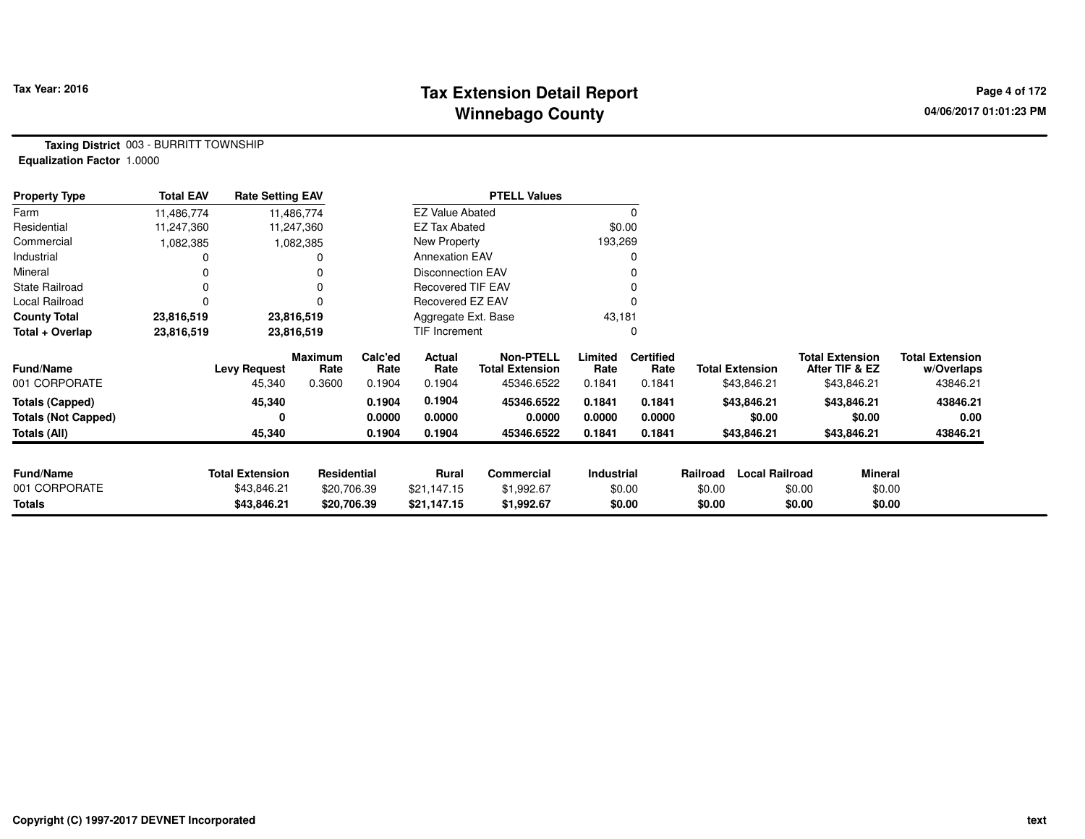## **Tax Extension Detail Report Tax Year: 2016 Page 4 of 172 Winnebago County**

**Taxing District** 003 - BURRITT TOWNSHIP**Equalization Factor** 1.0000

| <b>Property Type</b>       | <b>Total EAV</b> | <b>Rate Setting EAV</b> |                 |                 |                          | <b>PTELL Values</b>                        |                 |                          |          |                        |                                          |                                      |
|----------------------------|------------------|-------------------------|-----------------|-----------------|--------------------------|--------------------------------------------|-----------------|--------------------------|----------|------------------------|------------------------------------------|--------------------------------------|
| Farm                       | 11,486,774       |                         | 11,486,774      |                 | <b>EZ Value Abated</b>   |                                            |                 | 0                        |          |                        |                                          |                                      |
| Residential                | 11,247,360       |                         | 11,247,360      |                 | EZ Tax Abated            |                                            |                 | \$0.00                   |          |                        |                                          |                                      |
| Commercial                 | 1,082,385        |                         | 1,082,385       |                 | New Property             |                                            | 193,269         |                          |          |                        |                                          |                                      |
| Industrial                 |                  |                         |                 |                 | <b>Annexation EAV</b>    |                                            |                 | 0                        |          |                        |                                          |                                      |
| Mineral                    |                  |                         |                 |                 | <b>Disconnection EAV</b> |                                            |                 |                          |          |                        |                                          |                                      |
| <b>State Railroad</b>      |                  |                         |                 |                 | <b>Recovered TIF EAV</b> |                                            |                 |                          |          |                        |                                          |                                      |
| Local Railroad             |                  |                         |                 |                 | Recovered EZ EAV         |                                            |                 |                          |          |                        |                                          |                                      |
| <b>County Total</b>        | 23,816,519       |                         | 23,816,519      |                 | Aggregate Ext. Base      |                                            | 43,181          |                          |          |                        |                                          |                                      |
| Total + Overlap            | 23,816,519       |                         | 23,816,519      |                 | <b>TIF Increment</b>     |                                            |                 | 0                        |          |                        |                                          |                                      |
| <b>Fund/Name</b>           |                  | <b>Levy Request</b>     | Maximum<br>Rate | Calc'ed<br>Rate | Actual<br>Rate           | <b>Non-PTELL</b><br><b>Total Extension</b> | Limited<br>Rate | <b>Certified</b><br>Rate |          | <b>Total Extension</b> | <b>Total Extension</b><br>After TIF & EZ | <b>Total Extension</b><br>w/Overlaps |
| 001 CORPORATE              |                  | 45,340                  | 0.3600          | 0.1904          | 0.1904                   | 45346.6522                                 | 0.1841          | 0.1841                   |          | \$43,846.21            | \$43,846.21                              | 43846.21                             |
| Totals (Capped)            |                  | 45,340                  |                 | 0.1904          | 0.1904                   | 45346.6522                                 | 0.1841          | 0.1841                   |          | \$43,846.21            | \$43,846.21                              | 43846.21                             |
| <b>Totals (Not Capped)</b> |                  | 0                       |                 | 0.0000          | 0.0000                   | 0.0000                                     | 0.0000          | 0.0000                   |          | \$0.00                 | \$0.00                                   | 0.00                                 |
| Totals (All)               |                  | 45,340                  |                 | 0.1904          | 0.1904                   | 45346.6522                                 | 0.1841          | 0.1841                   |          | \$43,846.21            | \$43,846.21                              | 43846.21                             |
|                            |                  |                         |                 |                 |                          |                                            |                 |                          |          |                        |                                          |                                      |
| <b>Fund/Name</b>           |                  | <b>Total Extension</b>  | Residential     |                 | Rural                    | <b>Commercial</b>                          | Industrial      |                          | Railroad | <b>Local Railroad</b>  | <b>Mineral</b>                           |                                      |
| 001 CORPORATE              |                  | \$43,846.21             | \$20,706.39     |                 | \$21,147.15              | \$1,992.67                                 |                 | \$0.00                   | \$0.00   | \$0.00                 | \$0.00                                   |                                      |
| Totals                     |                  | \$43,846.21             | \$20,706.39     |                 | \$21,147.15              | \$1,992.67                                 |                 | \$0.00                   | \$0.00   | \$0.00                 | \$0.00                                   |                                      |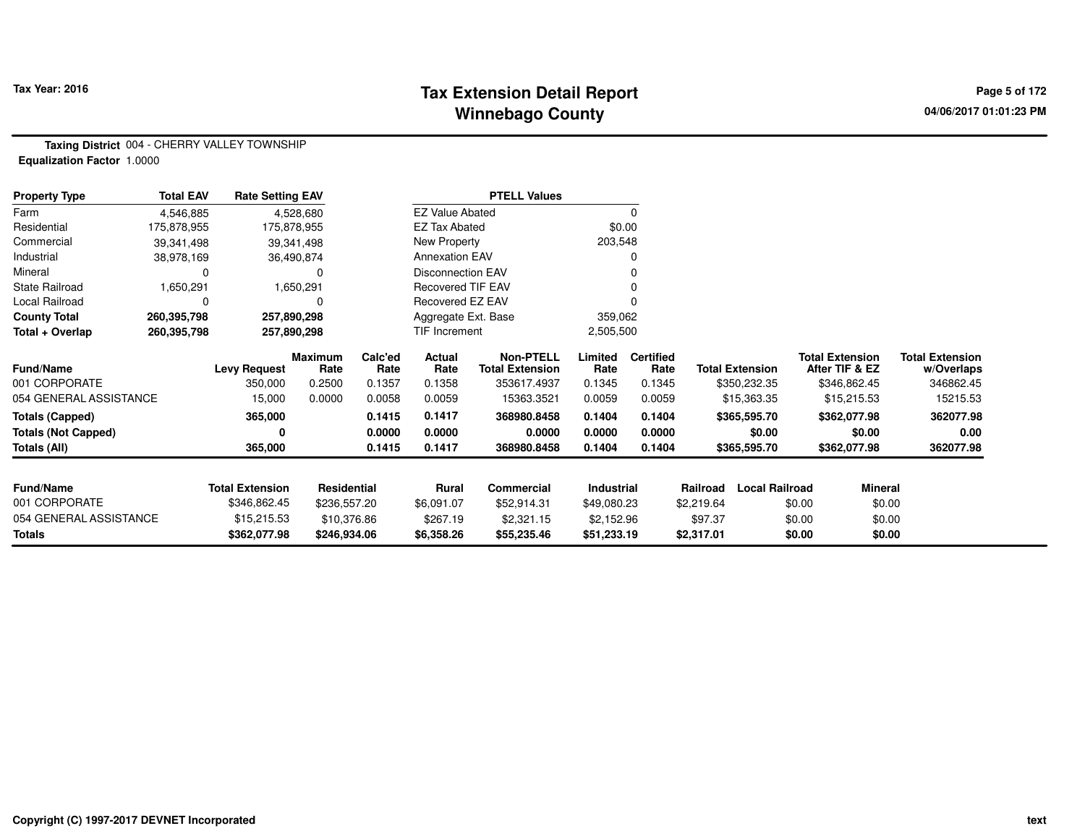## **Tax Extension Detail Report Tax Year: 2016 Page 5 of 172 Winnebago County**

**Taxing District** 004 - CHERRY VALLEY TOWNSHIP**Equalization Factor** 1.0000

| <b>Property Type</b>       | <b>Total EAV</b> | <b>Rate Setting EAV</b> |                        |                 |                          | <b>PTELL Values</b>                 |                 |                          |                        |                       |                                          |                                      |
|----------------------------|------------------|-------------------------|------------------------|-----------------|--------------------------|-------------------------------------|-----------------|--------------------------|------------------------|-----------------------|------------------------------------------|--------------------------------------|
| Farm                       | 4,546,885        |                         | 4,528,680              |                 | <b>EZ Value Abated</b>   |                                     |                 | $\Omega$                 |                        |                       |                                          |                                      |
| Residential                | 175,878,955      | 175,878,955             |                        |                 | EZ Tax Abated            |                                     |                 | \$0.00                   |                        |                       |                                          |                                      |
| Commercial                 | 39,341,498       |                         | 39,341,498             |                 | New Property             |                                     | 203,548         |                          |                        |                       |                                          |                                      |
| Industrial                 | 38,978,169       |                         | 36,490,874             |                 | <b>Annexation EAV</b>    |                                     |                 |                          |                        |                       |                                          |                                      |
| Mineral                    | 0                |                         | 0                      |                 | <b>Disconnection EAV</b> |                                     |                 |                          |                        |                       |                                          |                                      |
| <b>State Railroad</b>      | 1,650,291        |                         | 1,650,291              |                 | <b>Recovered TIF EAV</b> |                                     |                 |                          |                        |                       |                                          |                                      |
| Local Railroad             | 0                |                         | $\mathbf 0$            |                 | Recovered EZ EAV         |                                     |                 |                          |                        |                       |                                          |                                      |
| <b>County Total</b>        | 260,395,798      | 257,890,298             |                        |                 | Aggregate Ext. Base      |                                     | 359,062         |                          |                        |                       |                                          |                                      |
| Total + Overlap            | 260,395,798      | 257,890,298             |                        |                 | TIF Increment            |                                     | 2,505,500       |                          |                        |                       |                                          |                                      |
| <b>Fund/Name</b>           |                  | <b>Levy Request</b>     | <b>Maximum</b><br>Rate | Calc'ed<br>Rate | <b>Actual</b><br>Rate    | Non-PTELL<br><b>Total Extension</b> | Limited<br>Rate | <b>Certified</b><br>Rate | <b>Total Extension</b> |                       | <b>Total Extension</b><br>After TIF & EZ | <b>Total Extension</b><br>w/Overlaps |
| 001 CORPORATE              |                  | 350,000                 | 0.2500                 | 0.1357          | 0.1358                   | 353617.4937                         | 0.1345          | 0.1345                   | \$350,232.35           |                       | \$346,862.45                             | 346862.45                            |
| 054 GENERAL ASSISTANCE     |                  | 15,000                  | 0.0000                 | 0.0058          | 0.0059                   | 15363.3521                          | 0.0059          | 0.0059                   | \$15,363.35            |                       | \$15,215.53                              | 15215.53                             |
| <b>Totals (Capped)</b>     |                  | 365,000                 |                        | 0.1415          | 0.1417                   | 368980.8458                         | 0.1404          | 0.1404                   | \$365,595.70           |                       | \$362,077.98                             | 362077.98                            |
| <b>Totals (Not Capped)</b> |                  |                         |                        | 0.0000          | 0.0000                   | 0.0000                              | 0.0000          | 0.0000                   | \$0.00                 |                       | \$0.00                                   | 0.00                                 |
| Totals (All)               |                  | 365,000                 |                        | 0.1415          | 0.1417                   | 368980.8458                         | 0.1404          | 0.1404                   | \$365,595.70           |                       | \$362,077.98                             | 362077.98                            |
|                            |                  |                         |                        |                 |                          |                                     |                 |                          |                        |                       |                                          |                                      |
| <b>Fund/Name</b>           |                  | <b>Total Extension</b>  | Residential            |                 | Rural                    | Commercial                          | Industrial      |                          | Railroad               | <b>Local Railroad</b> | Mineral                                  |                                      |
| 001 CORPORATE              |                  | \$346,862.45            | \$236,557.20           |                 | \$6,091.07               | \$52,914.31                         | \$49,080.23     |                          | \$2,219.64             | \$0.00                | \$0.00                                   |                                      |
| 054 GENERAL ASSISTANCE     |                  | \$15,215.53             | \$10,376.86            |                 | \$267.19                 | \$2,321.15                          | \$2,152.96      |                          | \$97.37                | \$0.00                | \$0.00                                   |                                      |
| Totals                     |                  | \$362,077.98            | \$246,934.06           |                 | \$6,358.26               | \$55,235.46                         | \$51,233.19     |                          | \$2,317.01             | \$0.00                | \$0.00                                   |                                      |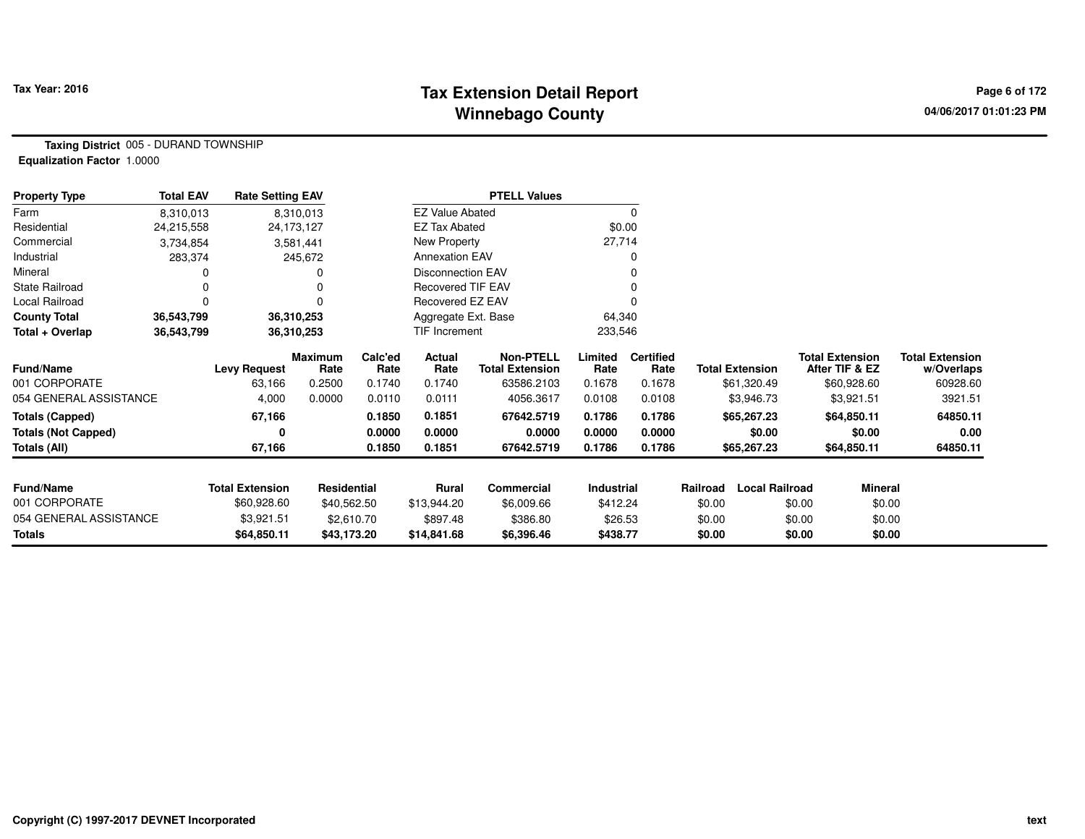## Tax Pear: 2016 **Page 6 of 172 Tax Extension Detail Report Page 19 of 172 Page 6 of 172 Winnebago County**

**Taxing District** 005 - DURAND TOWNSHIP**Equalization Factor** 1.0000

| <b>Property Type</b>       | <b>Total EAV</b> | <b>Rate Setting EAV</b> |                 |                 |                          | <b>PTELL Values</b>                        |                 |                          |          |                        |                                          |                                      |
|----------------------------|------------------|-------------------------|-----------------|-----------------|--------------------------|--------------------------------------------|-----------------|--------------------------|----------|------------------------|------------------------------------------|--------------------------------------|
| Farm                       | 8,310,013        |                         | 8,310,013       |                 | <b>EZ Value Abated</b>   |                                            |                 | $\mathbf 0$              |          |                        |                                          |                                      |
| Residential                | 24,215,558       |                         | 24,173,127      |                 | <b>EZ Tax Abated</b>     |                                            |                 | \$0.00                   |          |                        |                                          |                                      |
| Commercial                 | 3,734,854        |                         | 3,581,441       |                 | New Property             |                                            | 27,714          |                          |          |                        |                                          |                                      |
| Industrial                 | 283,374          |                         | 245,672         |                 | <b>Annexation EAV</b>    |                                            |                 |                          |          |                        |                                          |                                      |
| Mineral                    |                  |                         |                 |                 | <b>Disconnection EAV</b> |                                            |                 |                          |          |                        |                                          |                                      |
| <b>State Railroad</b>      |                  |                         |                 |                 | <b>Recovered TIF EAV</b> |                                            |                 |                          |          |                        |                                          |                                      |
| Local Railroad             | 0                |                         | 0               |                 | Recovered EZ EAV         |                                            |                 |                          |          |                        |                                          |                                      |
| <b>County Total</b>        | 36,543,799       |                         | 36,310,253      |                 | Aggregate Ext. Base      |                                            | 64,340          |                          |          |                        |                                          |                                      |
| Total + Overlap            | 36,543,799       |                         | 36,310,253      |                 | TIF Increment            |                                            | 233,546         |                          |          |                        |                                          |                                      |
| <b>Fund/Name</b>           |                  | <b>Levy Request</b>     | Maximum<br>Rate | Calc'ed<br>Rate | Actual<br>Rate           | <b>Non-PTELL</b><br><b>Total Extension</b> | Limited<br>Rate | <b>Certified</b><br>Rate |          | <b>Total Extension</b> | <b>Total Extension</b><br>After TIF & EZ | <b>Total Extension</b><br>w/Overlaps |
| 001 CORPORATE              |                  | 63,166                  | 0.2500          | 0.1740          | 0.1740                   | 63586.2103                                 | 0.1678          | 0.1678                   |          | \$61,320.49            | \$60,928.60                              | 60928.60                             |
| 054 GENERAL ASSISTANCE     |                  | 4,000                   | 0.0000          | 0.0110          | 0.0111                   | 4056.3617                                  | 0.0108          | 0.0108                   |          | \$3,946.73             | \$3,921.51                               | 3921.51                              |
| <b>Totals (Capped)</b>     |                  | 67,166                  |                 | 0.1850          | 0.1851                   | 67642.5719                                 | 0.1786          | 0.1786                   |          | \$65,267.23            | \$64,850.11                              | 64850.11                             |
| <b>Totals (Not Capped)</b> |                  |                         |                 | 0.0000          | 0.0000                   | 0.0000                                     | 0.0000          | 0.0000                   |          | \$0.00                 | \$0.00                                   | 0.00                                 |
| Totals (All)               |                  | 67,166                  |                 | 0.1850          | 0.1851                   | 67642.5719                                 | 0.1786          | 0.1786                   |          | \$65,267.23            | \$64,850.11                              | 64850.11                             |
| <b>Fund/Name</b>           |                  | <b>Total Extension</b>  | Residential     |                 | Rural                    | <b>Commercial</b>                          | Industrial      |                          | Railroad | <b>Local Railroad</b>  | <b>Mineral</b>                           |                                      |
| 001 CORPORATE              |                  | \$60,928.60             | \$40,562.50     |                 | \$13,944.20              | \$6,009.66                                 | \$412.24        |                          | \$0.00   |                        | \$0.00                                   | \$0.00                               |
| 054 GENERAL ASSISTANCE     |                  | \$3,921.51              |                 | \$2,610.70      | \$897.48                 | \$386.80                                   | \$26.53         |                          | \$0.00   |                        | \$0.00                                   | \$0.00                               |
| <b>Totals</b>              |                  | \$64,850.11             | \$43,173.20     |                 | \$14,841.68              | \$6,396.46                                 | \$438.77        |                          | \$0.00   |                        | \$0.00                                   | \$0.00                               |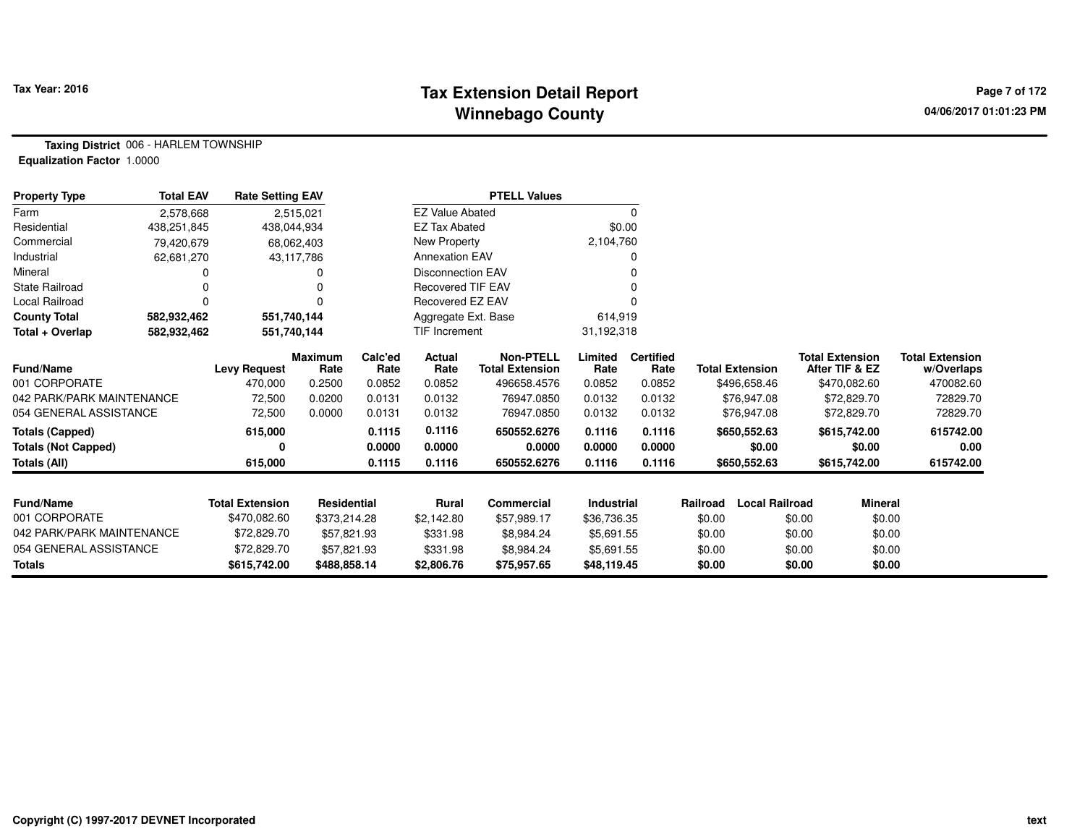## **Tax Extension Detail Report Tax Year: 2016 Page 7 of 172 Winnebago County**

**Taxing District** 006 - HARLEM TOWNSHIP**Equalization Factor** 1.0000

| <b>Property Type</b>       | <b>Total EAV</b> | <b>Rate Setting EAV</b> |                 |                 |                          | <b>PTELL Values</b>                        |                 |                          |                                   |                                          |                                      |
|----------------------------|------------------|-------------------------|-----------------|-----------------|--------------------------|--------------------------------------------|-----------------|--------------------------|-----------------------------------|------------------------------------------|--------------------------------------|
| Farm                       | 2,578,668        |                         | 2,515,021       |                 | <b>EZ Value Abated</b>   |                                            |                 | 0                        |                                   |                                          |                                      |
| Residential                | 438,251,845      | 438,044,934             |                 |                 | <b>EZ Tax Abated</b>     |                                            | \$0.00          |                          |                                   |                                          |                                      |
| Commercial                 | 79,420,679       | 68,062,403              |                 |                 | New Property             |                                            | 2,104,760       |                          |                                   |                                          |                                      |
| Industrial                 | 62,681,270       |                         | 43,117,786      |                 | <b>Annexation EAV</b>    |                                            |                 |                          |                                   |                                          |                                      |
| Mineral                    |                  |                         |                 |                 | Disconnection EAV        |                                            |                 |                          |                                   |                                          |                                      |
| <b>State Railroad</b>      |                  |                         |                 |                 | <b>Recovered TIF EAV</b> |                                            |                 |                          |                                   |                                          |                                      |
| Local Railroad             | $\Omega$         |                         | $\Omega$        |                 | Recovered EZ EAV         |                                            |                 |                          |                                   |                                          |                                      |
| <b>County Total</b>        | 582,932,462      | 551,740,144             |                 |                 | Aggregate Ext. Base      |                                            | 614,919         |                          |                                   |                                          |                                      |
| Total + Overlap            | 582,932,462      | 551,740,144             |                 |                 | <b>TIF Increment</b>     |                                            | 31,192,318      |                          |                                   |                                          |                                      |
| Fund/Name                  |                  | <b>Levy Request</b>     | Maximum<br>Rate | Calc'ed<br>Rate | Actual<br>Rate           | <b>Non-PTELL</b><br><b>Total Extension</b> | Limited<br>Rate | <b>Certified</b><br>Rate | <b>Total Extension</b>            | <b>Total Extension</b><br>After TIF & EZ | <b>Total Extension</b><br>w/Overlaps |
| 001 CORPORATE              |                  | 470,000                 | 0.2500          | 0.0852          | 0.0852                   | 496658.4576                                | 0.0852          | 0.0852                   | \$496,658.46                      | \$470,082.60                             | 470082.60                            |
| 042 PARK/PARK MAINTENANCE  |                  | 72,500                  | 0.0200          | 0.0131          | 0.0132                   | 76947.0850                                 | 0.0132          | 0.0132                   | \$76,947.08                       | \$72,829.70                              | 72829.70                             |
| 054 GENERAL ASSISTANCE     |                  | 72,500                  | 0.0000          | 0.0131          | 0.0132                   | 76947.0850                                 | 0.0132          | 0.0132                   | \$76,947.08                       | \$72,829.70                              | 72829.70                             |
| <b>Totals (Capped)</b>     |                  | 615,000                 |                 | 0.1115          | 0.1116                   | 650552.6276                                | 0.1116          | 0.1116                   | \$650,552.63                      | \$615,742.00                             | 615742.00                            |
| <b>Totals (Not Capped)</b> |                  | 0                       |                 | 0.0000          | 0.0000                   | 0.0000                                     | 0.0000          | 0.0000                   | \$0.00                            | \$0.00                                   | 0.00                                 |
| <b>Totals (All)</b>        |                  | 615,000                 |                 | 0.1115          | 0.1116                   | 650552.6276                                | 0.1116          | 0.1116                   | \$650,552.63                      | \$615,742.00                             | 615742.00                            |
|                            |                  |                         |                 |                 |                          |                                            |                 |                          |                                   |                                          |                                      |
| <b>Fund/Name</b>           |                  | <b>Total Extension</b>  | Residential     |                 | Rural                    | Commercial                                 | Industrial      |                          | <b>Local Railroad</b><br>Railroad | <b>Mineral</b>                           |                                      |
| 001 CORPORATE              |                  | \$470,082.60            | \$373,214.28    |                 | \$2,142.80               | \$57,989.17                                | \$36,736.35     |                          | \$0.00                            | \$0.00<br>\$0.00                         |                                      |
| 042 PARK/PARK MAINTENANCE  |                  | \$72,829.70             | \$57,821.93     |                 | \$331.98                 | \$8,984.24                                 | \$5,691.55      |                          | \$0.00                            | \$0.00<br>\$0.00                         |                                      |
| 054 GENERAL ASSISTANCE     |                  | \$72,829.70             | \$57,821.93     |                 | \$331.98                 | \$8,984.24                                 | \$5,691.55      |                          | \$0.00                            | \$0.00<br>\$0.00                         |                                      |
| <b>Totals</b>              |                  | \$615,742.00            | \$488,858.14    |                 | \$2,806.76               | \$75,957.65                                | \$48,119.45     |                          | \$0.00                            | \$0.00<br>\$0.00                         |                                      |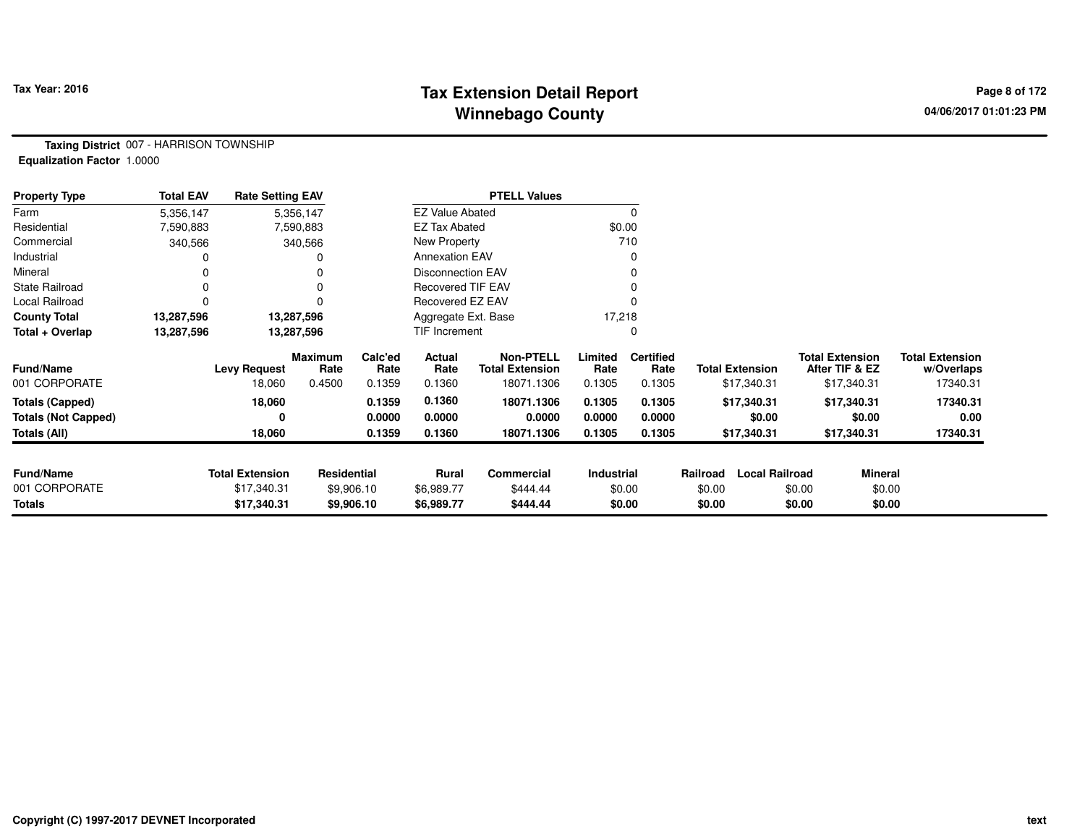## **Tax Extension Detail Report Tax Year: 2016 Page 8 of 172 Winnebago County**

**Taxing District** 007 - HARRISON TOWNSHIP**Equalization Factor** 1.0000

| <b>Property Type</b>       | <b>Total EAV</b> | <b>Rate Setting EAV</b> |                        |                 |                          | <b>PTELL Values</b>                        |                 |                          |          |                        |                                          |                                      |
|----------------------------|------------------|-------------------------|------------------------|-----------------|--------------------------|--------------------------------------------|-----------------|--------------------------|----------|------------------------|------------------------------------------|--------------------------------------|
| Farm                       | 5,356,147        |                         | 5,356,147              |                 | <b>EZ Value Abated</b>   |                                            |                 | $\Omega$                 |          |                        |                                          |                                      |
| Residential                | 7,590,883        |                         | 7,590,883              |                 | <b>EZ Tax Abated</b>     |                                            | \$0.00          |                          |          |                        |                                          |                                      |
| Commercial                 | 340,566          |                         | 340,566                |                 | New Property             |                                            |                 | 710                      |          |                        |                                          |                                      |
| Industrial                 |                  |                         |                        |                 | <b>Annexation EAV</b>    |                                            |                 | 0                        |          |                        |                                          |                                      |
| Mineral                    |                  |                         |                        |                 | <b>Disconnection EAV</b> |                                            |                 | 0                        |          |                        |                                          |                                      |
| <b>State Railroad</b>      | 0                |                         |                        |                 | <b>Recovered TIF EAV</b> |                                            |                 |                          |          |                        |                                          |                                      |
| Local Railroad             |                  |                         |                        |                 | Recovered EZ EAV         |                                            |                 |                          |          |                        |                                          |                                      |
| <b>County Total</b>        | 13,287,596       |                         | 13,287,596             |                 | Aggregate Ext. Base      |                                            | 17,218          |                          |          |                        |                                          |                                      |
| Total + Overlap            | 13,287,596       |                         | 13,287,596             |                 | TIF Increment            |                                            |                 |                          |          |                        |                                          |                                      |
| <b>Fund/Name</b>           |                  | <b>Levy Request</b>     | <b>Maximum</b><br>Rate | Calc'ed<br>Rate | Actual<br>Rate           | <b>Non-PTELL</b><br><b>Total Extension</b> | Limited<br>Rate | <b>Certified</b><br>Rate |          | <b>Total Extension</b> | <b>Total Extension</b><br>After TIF & EZ | <b>Total Extension</b><br>w/Overlaps |
| 001 CORPORATE              |                  | 18,060                  | 0.4500                 | 0.1359          | 0.1360                   | 18071.1306                                 | 0.1305          | 0.1305                   |          | \$17,340.31            | \$17,340.31                              | 17340.31                             |
| <b>Totals (Capped)</b>     |                  | 18,060                  |                        | 0.1359          | 0.1360                   | 18071.1306                                 | 0.1305          | 0.1305                   |          | \$17,340.31            | \$17,340.31                              | 17340.31                             |
| <b>Totals (Not Capped)</b> |                  | 0                       |                        | 0.0000          | 0.0000                   | 0.0000                                     | 0.0000          | 0.0000                   |          | \$0.00                 | \$0.00                                   | 0.00                                 |
| Totals (All)               |                  | 18,060                  |                        | 0.1359          | 0.1360                   | 18071.1306                                 | 0.1305          | 0.1305                   |          | \$17,340.31            | \$17,340.31                              | 17340.31                             |
|                            |                  |                         |                        |                 |                          |                                            |                 |                          |          |                        |                                          |                                      |
| <b>Fund/Name</b>           |                  | <b>Total Extension</b>  | Residential            |                 | Rural                    | <b>Commercial</b>                          | Industrial      |                          | Railroad | <b>Local Railroad</b>  |                                          | <b>Mineral</b>                       |
| 001 CORPORATE              |                  | \$17,340.31             |                        | \$9,906.10      | \$6,989.77               | \$444.44                                   |                 | \$0.00                   | \$0.00   |                        | \$0.00                                   | \$0.00                               |
| <b>Totals</b>              |                  | \$17,340.31             |                        | \$9,906.10      | \$6,989.77               | \$444.44                                   |                 | \$0.00                   | \$0.00   |                        | \$0.00                                   | \$0.00                               |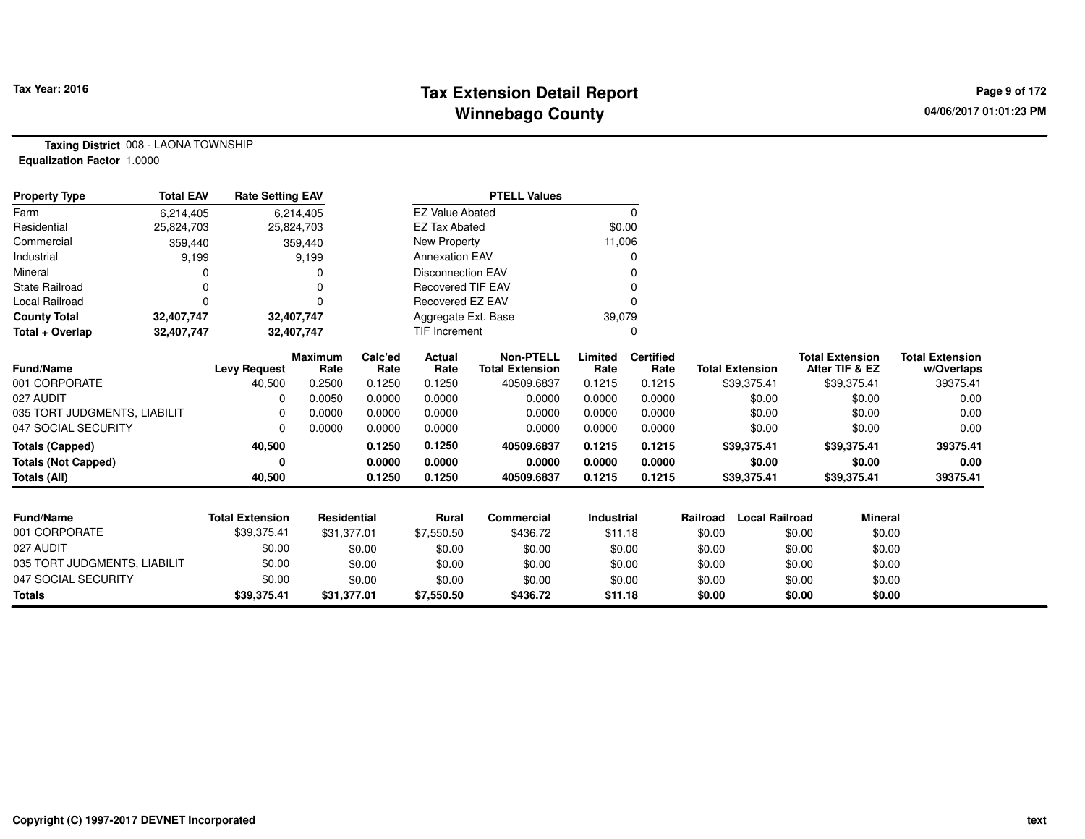## **Tax Extension Detail Report Tax Year: 2016 Page 9 of 172 Winnebago County**

**Taxing District** 008 - LAONA TOWNSHIP**Equalization Factor** 1.0000

| <b>Property Type</b>         | <b>Total EAV</b> | <b>Rate Setting EAV</b> |                        |                 |                          | <b>PTELL Values</b>                        |                   |                          |          |                        |        |                                          |                                      |
|------------------------------|------------------|-------------------------|------------------------|-----------------|--------------------------|--------------------------------------------|-------------------|--------------------------|----------|------------------------|--------|------------------------------------------|--------------------------------------|
| Farm                         | 6,214,405        |                         | 6,214,405              |                 | <b>EZ Value Abated</b>   |                                            |                   | 0                        |          |                        |        |                                          |                                      |
| Residential                  | 25,824,703       | 25,824,703              |                        |                 | <b>EZ Tax Abated</b>     |                                            | \$0.00            |                          |          |                        |        |                                          |                                      |
| Commercial                   | 359,440          |                         | 359,440                |                 | New Property             |                                            | 11,006            |                          |          |                        |        |                                          |                                      |
| Industrial                   | 9,199            |                         | 9,199                  |                 | <b>Annexation EAV</b>    |                                            |                   | 0                        |          |                        |        |                                          |                                      |
| Mineral                      |                  |                         |                        |                 | <b>Disconnection EAV</b> |                                            |                   |                          |          |                        |        |                                          |                                      |
| <b>State Railroad</b>        | 0                |                         |                        |                 | <b>Recovered TIF EAV</b> |                                            |                   | O                        |          |                        |        |                                          |                                      |
| <b>Local Railroad</b>        | $\Omega$         |                         |                        |                 | <b>Recovered EZ EAV</b>  |                                            |                   | 0                        |          |                        |        |                                          |                                      |
| <b>County Total</b>          | 32,407,747       | 32,407,747              |                        |                 | Aggregate Ext. Base      |                                            | 39,079            |                          |          |                        |        |                                          |                                      |
| Total + Overlap              | 32,407,747       |                         | 32,407,747             |                 | <b>TIF Increment</b>     |                                            |                   | 0                        |          |                        |        |                                          |                                      |
| Fund/Name                    |                  | <b>Levy Request</b>     | <b>Maximum</b><br>Rate | Calc'ed<br>Rate | Actual<br>Rate           | <b>Non-PTELL</b><br><b>Total Extension</b> | Limited<br>Rate   | <b>Certified</b><br>Rate |          | <b>Total Extension</b> |        | <b>Total Extension</b><br>After TIF & EZ | <b>Total Extension</b><br>w/Overlaps |
| 001 CORPORATE                |                  | 40,500                  | 0.2500                 | 0.1250          | 0.1250                   | 40509.6837                                 | 0.1215            | 0.1215                   |          | \$39,375.41            |        | \$39,375.41                              | 39375.41                             |
| 027 AUDIT                    |                  | 0                       | 0.0050                 | 0.0000          | 0.0000                   | 0.0000                                     | 0.0000            | 0.0000                   |          | \$0.00                 |        | \$0.00                                   | 0.00                                 |
| 035 TORT JUDGMENTS, LIABILIT |                  | 0                       | 0.0000                 | 0.0000          | 0.0000                   | 0.0000                                     | 0.0000            | 0.0000                   |          | \$0.00                 |        | \$0.00                                   | 0.00                                 |
| 047 SOCIAL SECURITY          |                  | 0                       | 0.0000                 | 0.0000          | 0.0000                   | 0.0000                                     | 0.0000            | 0.0000                   |          | \$0.00                 |        | \$0.00                                   | 0.00                                 |
| <b>Totals (Capped)</b>       |                  | 40,500                  |                        | 0.1250          | 0.1250                   | 40509.6837                                 | 0.1215            | 0.1215                   |          | \$39,375.41            |        | \$39,375.41                              | 39375.41                             |
| <b>Totals (Not Capped)</b>   |                  | 0                       |                        | 0.0000          | 0.0000                   | 0.0000                                     | 0.0000            | 0.0000                   |          | \$0.00                 |        | \$0.00                                   | 0.00                                 |
| <b>Totals (All)</b>          |                  | 40,500                  |                        | 0.1250          | 0.1250                   | 40509.6837                                 | 0.1215            | 0.1215                   |          | \$39,375.41            |        | \$39,375.41                              | 39375.41                             |
|                              |                  |                         |                        |                 |                          |                                            |                   |                          |          |                        |        |                                          |                                      |
| <b>Fund/Name</b>             |                  | <b>Total Extension</b>  | <b>Residential</b>     |                 | <b>Rural</b>             | <b>Commercial</b>                          | <b>Industrial</b> |                          | Railroad | <b>Local Railroad</b>  |        | <b>Mineral</b>                           |                                      |
| 001 CORPORATE                |                  | \$39,375.41             | \$31,377.01            |                 | \$7,550.50               | \$436.72                                   | \$11.18           |                          | \$0.00   |                        | \$0.00 | \$0.00                                   |                                      |
| 027 AUDIT                    |                  | \$0.00                  |                        | \$0.00          | \$0.00                   | \$0.00                                     | \$0.00            |                          | \$0.00   |                        | \$0.00 | \$0.00                                   |                                      |
| 035 TORT JUDGMENTS, LIABILIT |                  | \$0.00                  |                        | \$0.00          | \$0.00                   | \$0.00                                     | \$0.00            |                          | \$0.00   |                        | \$0.00 | \$0.00                                   |                                      |
| 047 SOCIAL SECURITY          |                  | \$0.00                  |                        | \$0.00          | \$0.00                   | \$0.00                                     | \$0.00            |                          | \$0.00   |                        | \$0.00 | \$0.00                                   |                                      |
| <b>Totals</b>                |                  | \$39,375.41             | \$31,377.01            |                 | \$7,550.50               | \$436.72                                   | \$11.18           |                          | \$0.00   |                        | \$0.00 | \$0.00                                   |                                      |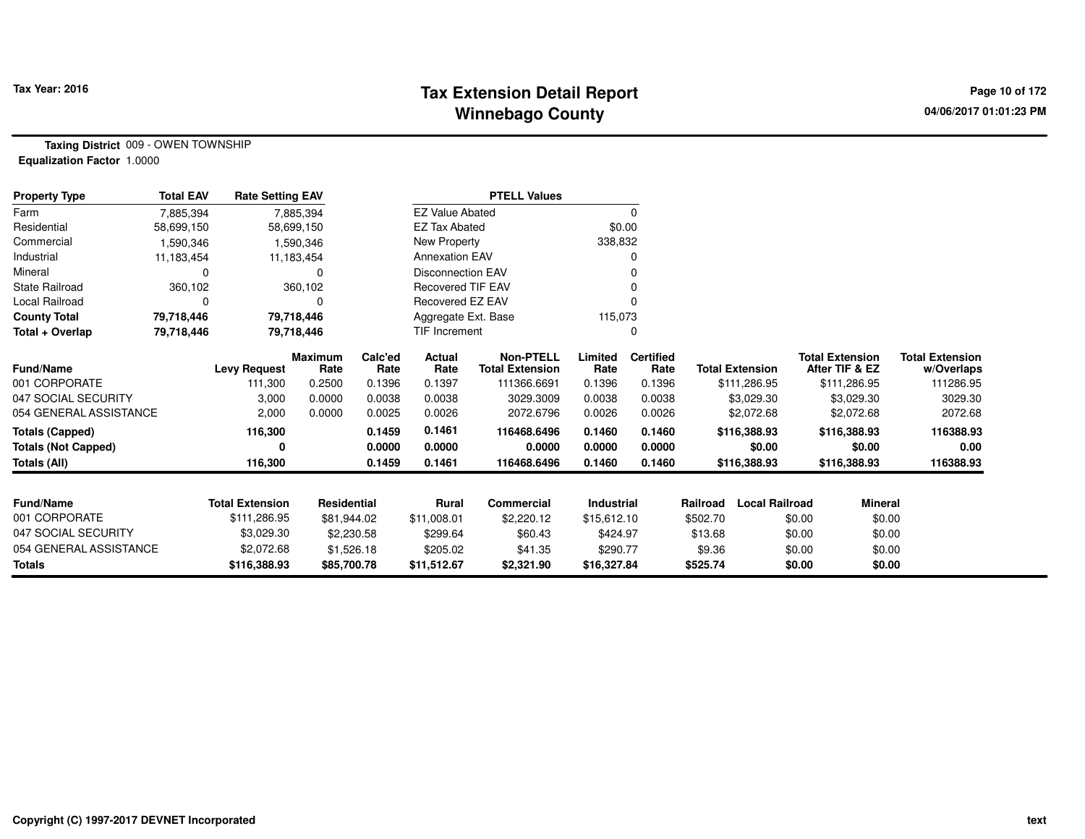## **Tax Extension Detail Report Tax Year: 2016 Page 10 of 172 Winnebago County**

**Taxing District** 009 - OWEN TOWNSHIP**Equalization Factor** 1.0000

| <b>Property Type</b>       | <b>Total EAV</b> | <b>Rate Setting EAV</b> |                        |                 |                          | <b>PTELL Values</b>                        |                 |                          |          |                        |        |                                          |                                      |
|----------------------------|------------------|-------------------------|------------------------|-----------------|--------------------------|--------------------------------------------|-----------------|--------------------------|----------|------------------------|--------|------------------------------------------|--------------------------------------|
| Farm                       | 7,885,394        |                         | 7,885,394              |                 | <b>EZ Value Abated</b>   |                                            |                 | 0                        |          |                        |        |                                          |                                      |
| Residential                | 58,699,150       |                         | 58,699,150             |                 | <b>EZ Tax Abated</b>     |                                            | \$0.00          |                          |          |                        |        |                                          |                                      |
| Commercial                 | 1,590,346        |                         | 1,590,346              |                 | New Property             |                                            | 338,832         |                          |          |                        |        |                                          |                                      |
| Industrial                 | 11,183,454       |                         | 11,183,454             |                 | <b>Annexation EAV</b>    |                                            |                 |                          |          |                        |        |                                          |                                      |
| Mineral                    | O                |                         | 0                      |                 | <b>Disconnection EAV</b> |                                            |                 |                          |          |                        |        |                                          |                                      |
| <b>State Railroad</b>      | 360,102          |                         | 360,102                |                 | <b>Recovered TIF EAV</b> |                                            |                 |                          |          |                        |        |                                          |                                      |
| <b>Local Railroad</b>      |                  |                         | 0                      |                 | Recovered EZ EAV         |                                            |                 |                          |          |                        |        |                                          |                                      |
| <b>County Total</b>        | 79,718,446       |                         | 79,718,446             |                 | Aggregate Ext. Base      |                                            | 115,073         |                          |          |                        |        |                                          |                                      |
| Total + Overlap            | 79,718,446       |                         | 79,718,446             |                 | <b>TIF Increment</b>     |                                            |                 | 0                        |          |                        |        |                                          |                                      |
| <b>Fund/Name</b>           |                  | <b>Levy Request</b>     | <b>Maximum</b><br>Rate | Calc'ed<br>Rate | Actual<br>Rate           | <b>Non-PTELL</b><br><b>Total Extension</b> | Limited<br>Rate | <b>Certified</b><br>Rate |          | <b>Total Extension</b> |        | <b>Total Extension</b><br>After TIF & EZ | <b>Total Extension</b><br>w/Overlaps |
| 001 CORPORATE              |                  | 111.300                 | 0.2500                 | 0.1396          | 0.1397                   | 111366.6691                                | 0.1396          | 0.1396                   |          | \$111,286.95           |        | \$111,286.95                             | 111286.95                            |
| 047 SOCIAL SECURITY        |                  | 3,000                   | 0.0000                 | 0.0038          | 0.0038                   | 3029.3009                                  | 0.0038          | 0.0038                   |          | \$3,029.30             |        | \$3,029.30                               | 3029.30                              |
| 054 GENERAL ASSISTANCE     |                  | 2,000                   | 0.0000                 | 0.0025          | 0.0026                   | 2072.6796                                  | 0.0026          | 0.0026                   |          | \$2,072.68             |        | \$2,072.68                               | 2072.68                              |
| <b>Totals (Capped)</b>     |                  | 116,300                 |                        | 0.1459          | 0.1461                   | 116468.6496                                | 0.1460          | 0.1460                   |          | \$116,388.93           |        | \$116,388.93                             | 116388.93                            |
| <b>Totals (Not Capped)</b> |                  | 0                       |                        | 0.0000          | 0.0000                   | 0.0000                                     | 0.0000          | 0.0000                   |          | \$0.00                 |        | \$0.00                                   | 0.00                                 |
| <b>Totals (All)</b>        |                  | 116,300                 |                        | 0.1459          | 0.1461                   | 116468.6496                                | 0.1460          | 0.1460                   |          | \$116,388.93           |        | \$116,388.93                             | 116388.93                            |
|                            |                  |                         |                        |                 |                          |                                            |                 |                          |          |                        |        |                                          |                                      |
| <b>Fund/Name</b>           |                  | <b>Total Extension</b>  | Residential            |                 | <b>Rural</b>             | <b>Commercial</b>                          | Industrial      |                          | Railroad | <b>Local Railroad</b>  |        | <b>Mineral</b>                           |                                      |
| 001 CORPORATE              |                  | \$111,286.95            | \$81,944.02            |                 | \$11,008.01              | \$2,220.12                                 | \$15,612.10     |                          | \$502.70 |                        | \$0.00 | \$0.00                                   |                                      |
| 047 SOCIAL SECURITY        |                  | \$3,029.30              | \$2,230.58             |                 | \$299.64                 | \$60.43                                    | \$424.97        |                          | \$13.68  |                        | \$0.00 | \$0.00                                   |                                      |
| 054 GENERAL ASSISTANCE     |                  | \$2,072.68              | \$1,526.18             |                 | \$205.02                 | \$41.35                                    | \$290.77        |                          | \$9.36   |                        | \$0.00 | \$0.00                                   |                                      |
| <b>Totals</b>              |                  | \$116,388.93            | \$85,700.78            |                 | \$11,512.67              | \$2,321.90                                 | \$16,327.84     |                          | \$525.74 |                        | \$0.00 | \$0.00                                   |                                      |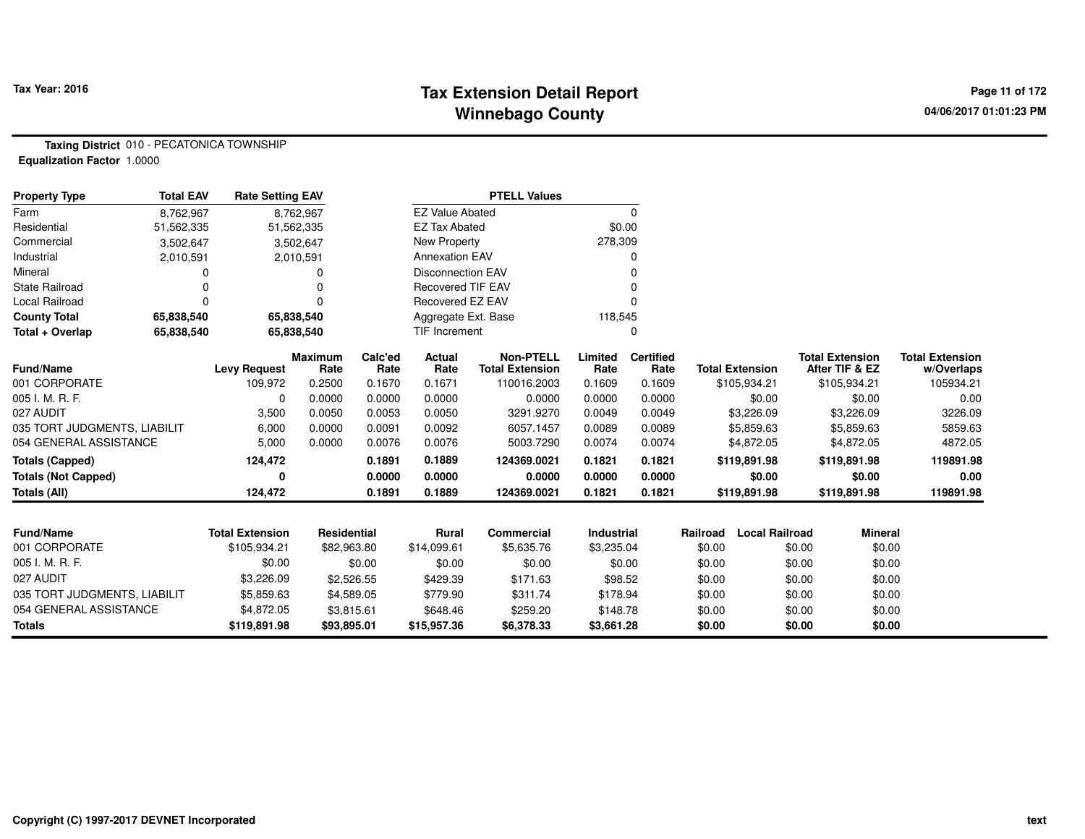## **Tax Extension Detail Report Tax Year: 2016 Page 11 of 172 Winnebago County**

**Taxing District** 010 - PECATONICA TOWNSHIP**Equalization Factor** 1.0000

| <b>Property Type</b>         | <b>Total EAV</b> | <b>Rate Setting EAV</b> |                        |                 |                          | <b>PTELL Values</b>                        |                   |                          |          |                        |        |                                          |                                      |
|------------------------------|------------------|-------------------------|------------------------|-----------------|--------------------------|--------------------------------------------|-------------------|--------------------------|----------|------------------------|--------|------------------------------------------|--------------------------------------|
| Farm                         | 8,762,967        |                         | 8,762,967              |                 | <b>EZ Value Abated</b>   |                                            |                   | 0                        |          |                        |        |                                          |                                      |
| Residential                  | 51,562,335       |                         | 51,562,335             |                 | <b>EZ Tax Abated</b>     |                                            | \$0.00            |                          |          |                        |        |                                          |                                      |
| Commercial                   | 3,502,647        |                         | 3,502,647              |                 | New Property             |                                            | 278,309           |                          |          |                        |        |                                          |                                      |
| Industrial                   | 2,010,591        |                         | 2,010,591              |                 | <b>Annexation EAV</b>    |                                            |                   | 0                        |          |                        |        |                                          |                                      |
| Mineral                      | 0                |                         |                        |                 | <b>Disconnection EAV</b> |                                            |                   | 0                        |          |                        |        |                                          |                                      |
| <b>State Railroad</b>        | $\Omega$         |                         |                        |                 | <b>Recovered TIF EAV</b> |                                            |                   | 0                        |          |                        |        |                                          |                                      |
| Local Railroad               | $\Omega$         |                         |                        |                 | Recovered EZ EAV         |                                            |                   | 0                        |          |                        |        |                                          |                                      |
| <b>County Total</b>          | 65,838,540       |                         | 65,838,540             |                 | Aggregate Ext. Base      |                                            | 118,545           |                          |          |                        |        |                                          |                                      |
| Total + Overlap              | 65,838,540       |                         | 65,838,540             |                 | <b>TIF Increment</b>     |                                            |                   | 0                        |          |                        |        |                                          |                                      |
| <b>Fund/Name</b>             |                  | <b>Levy Request</b>     | <b>Maximum</b><br>Rate | Calc'ed<br>Rate | Actual<br>Rate           | <b>Non-PTELL</b><br><b>Total Extension</b> | Limited<br>Rate   | <b>Certified</b><br>Rate |          | <b>Total Extension</b> |        | <b>Total Extension</b><br>After TIF & EZ | <b>Total Extension</b><br>w/Overlaps |
| 001 CORPORATE                |                  | 109,972                 | 0.2500                 | 0.1670          | 0.1671                   | 110016.2003                                | 0.1609            | 0.1609                   |          | \$105,934.21           |        | \$105,934.21                             | 105934.21                            |
| 005 I. M. R. F.              |                  | 0                       | 0.0000                 | 0.0000          | 0.0000                   | 0.0000                                     | 0.0000            | 0.0000                   |          | \$0.00                 |        | \$0.00                                   | 0.00                                 |
| 027 AUDIT                    |                  | 3,500                   | 0.0050                 | 0.0053          | 0.0050                   | 3291.9270                                  | 0.0049            | 0.0049                   |          | \$3,226.09             |        | \$3,226.09                               | 3226.09                              |
| 035 TORT JUDGMENTS, LIABILIT |                  | 6,000                   | 0.0000                 | 0.0091          | 0.0092                   | 6057.1457                                  | 0.0089            | 0.0089                   |          | \$5,859.63             |        | \$5,859.63                               | 5859.63                              |
| 054 GENERAL ASSISTANCE       |                  | 5,000                   | 0.0000                 | 0.0076          | 0.0076                   | 5003.7290                                  | 0.0074            | 0.0074                   |          | \$4,872.05             |        | \$4,872.05                               | 4872.05                              |
| <b>Totals (Capped)</b>       |                  | 124,472                 |                        | 0.1891          | 0.1889                   | 124369.0021                                | 0.1821            | 0.1821                   |          | \$119,891.98           |        | \$119,891.98                             | 119891.98                            |
| <b>Totals (Not Capped)</b>   |                  | 0                       |                        | 0.0000          | 0.0000                   | 0.0000                                     | 0.0000            | 0.0000                   |          | \$0.00                 |        | \$0.00                                   | 0.00                                 |
| <b>Totals (All)</b>          |                  | 124,472                 |                        | 0.1891          | 0.1889                   | 124369.0021                                | 0.1821            | 0.1821                   |          | \$119,891.98           |        | \$119,891.98                             | 119891.98                            |
|                              |                  |                         |                        |                 |                          |                                            |                   |                          |          |                        |        |                                          |                                      |
| <b>Fund/Name</b>             |                  | <b>Total Extension</b>  | <b>Residential</b>     |                 | <b>Rural</b>             | <b>Commercial</b>                          | <b>Industrial</b> |                          | Railroad | <b>Local Railroad</b>  |        | <b>Mineral</b>                           |                                      |
| 001 CORPORATE                |                  | \$105,934.21            | \$82,963.80            |                 | \$14,099.61              | \$5,635.76                                 | \$3,235.04        |                          | \$0.00   |                        | \$0.00 | \$0.00                                   |                                      |
| 005 I. M. R. F.              |                  | \$0.00                  |                        | \$0.00          | \$0.00                   | \$0.00                                     | \$0.00            |                          | \$0.00   |                        | \$0.00 | \$0.00                                   |                                      |
| 027 AUDIT                    |                  | \$3,226.09              |                        | \$2,526.55      | \$429.39                 | \$171.63                                   | \$98.52           |                          | \$0.00   |                        | \$0.00 | \$0.00                                   |                                      |
| 035 TORT JUDGMENTS, LIABILIT |                  | \$5,859.63              |                        | \$4,589.05      | \$779.90                 | \$311.74                                   | \$178.94          |                          | \$0.00   |                        | \$0.00 | \$0.00                                   |                                      |
| 054 GENERAL ASSISTANCE       |                  | \$4,872.05              | \$3,815.61             |                 | \$648.46                 | \$259.20                                   | \$148.78          |                          | \$0.00   |                        | \$0.00 | \$0.00                                   |                                      |
| <b>Totals</b>                |                  | \$119,891.98            | \$93,895.01            |                 | \$15,957.36              | \$6,378.33                                 | \$3,661.28        |                          | \$0.00   |                        | \$0.00 | \$0.00                                   |                                      |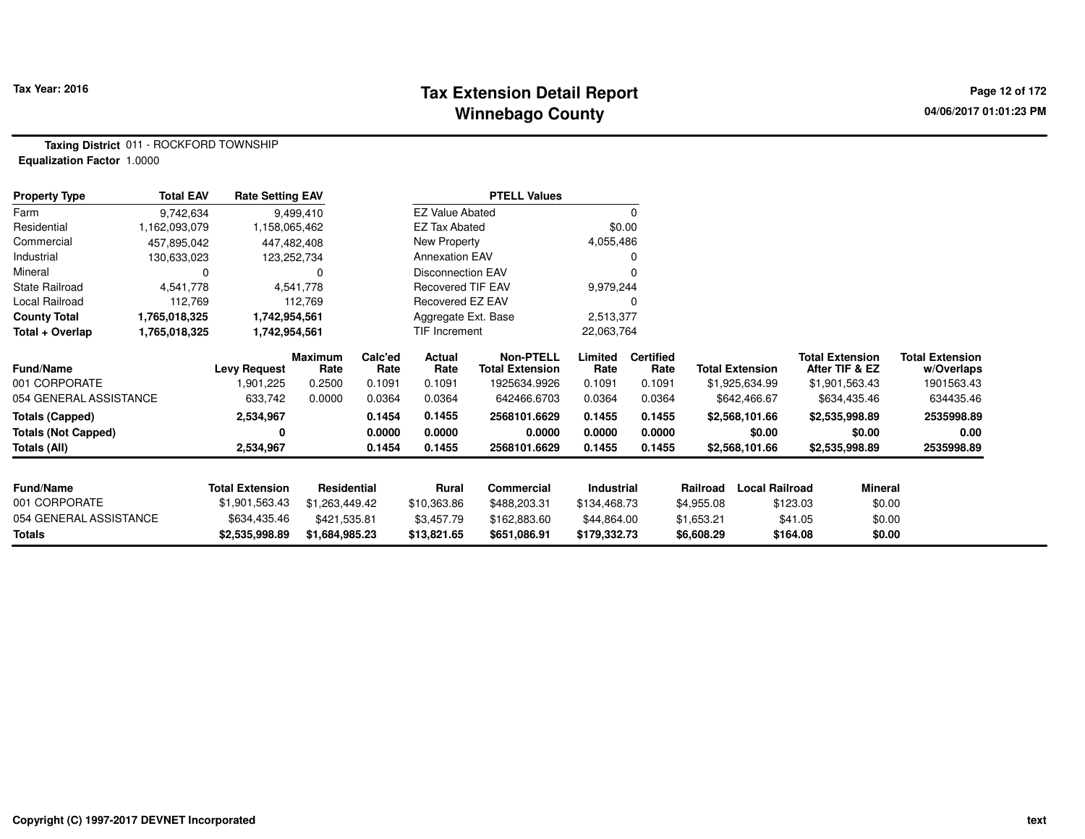#### **Tax Extension Detail Report Tax Year: 2016 Page 12 of 172 Winnebago County**

**Taxing District** 011 - ROCKFORD TOWNSHIP**Equalization Factor** 1.0000

| <b>Property Type</b>       | <b>Total EAV</b> | <b>Rate Setting EAV</b> |                 |                 |                          | <b>PTELL Values</b>                        |                 |                          |                        |                                          |                                      |
|----------------------------|------------------|-------------------------|-----------------|-----------------|--------------------------|--------------------------------------------|-----------------|--------------------------|------------------------|------------------------------------------|--------------------------------------|
| Farm                       | 9,742,634        |                         | 9,499,410       |                 | <b>EZ Value Abated</b>   |                                            |                 | $\Omega$                 |                        |                                          |                                      |
| Residential                | 1,162,093,079    | 1,158,065,462           |                 |                 | EZ Tax Abated            |                                            | \$0.00          |                          |                        |                                          |                                      |
| Commercial                 | 457,895,042      | 447,482,408             |                 |                 | New Property             |                                            | 4,055,486       |                          |                        |                                          |                                      |
| Industrial                 | 130,633,023      | 123,252,734             |                 |                 | <b>Annexation EAV</b>    |                                            |                 | O                        |                        |                                          |                                      |
| Mineral                    | 0                |                         | 0               |                 | <b>Disconnection EAV</b> |                                            |                 |                          |                        |                                          |                                      |
| <b>State Railroad</b>      | 4,541,778        |                         | 4,541,778       |                 | Recovered TIF EAV        |                                            | 9,979,244       |                          |                        |                                          |                                      |
| Local Railroad             | 112,769          |                         | 112,769         |                 | Recovered EZ EAV         |                                            |                 |                          |                        |                                          |                                      |
| <b>County Total</b>        | 1,765,018,325    | 1,742,954,561           |                 |                 | Aggregate Ext. Base      |                                            | 2,513,377       |                          |                        |                                          |                                      |
| Total + Overlap            | 1,765,018,325    | 1,742,954,561           |                 |                 | TIF Increment            |                                            | 22,063,764      |                          |                        |                                          |                                      |
| <b>Fund/Name</b>           |                  | <b>Levy Request</b>     | Maximum<br>Rate | Calc'ed<br>Rate | Actual<br>Rate           | <b>Non-PTELL</b><br><b>Total Extension</b> | Limited<br>Rate | <b>Certified</b><br>Rate | <b>Total Extension</b> | <b>Total Extension</b><br>After TIF & EZ | <b>Total Extension</b><br>w/Overlaps |
| 001 CORPORATE              |                  | 1,901,225               | 0.2500          | 0.1091          | 0.1091                   | 1925634.9926                               | 0.1091          | 0.1091                   | \$1,925,634.99         | \$1,901,563.43                           | 1901563.43                           |
| 054 GENERAL ASSISTANCE     |                  | 633,742                 | 0.0000          | 0.0364          | 0.0364                   | 642466.6703                                | 0.0364          | 0.0364                   | \$642,466.67           | \$634,435.46                             | 634435.46                            |
| <b>Totals (Capped)</b>     |                  | 2,534,967               |                 | 0.1454          | 0.1455                   | 2568101.6629                               | 0.1455          | 0.1455                   | \$2,568,101.66         | \$2,535,998.89                           | 2535998.89                           |
| <b>Totals (Not Capped)</b> |                  |                         |                 | 0.0000          | 0.0000                   | 0.0000                                     | 0.0000          | 0.0000                   | \$0.00                 | \$0.00                                   | 0.00                                 |
| Totals (All)               |                  | 2,534,967               |                 | 0.1454          | 0.1455                   | 2568101.6629                               | 0.1455          | 0.1455                   | \$2,568,101.66         | \$2,535,998.89                           | 2535998.89                           |
| <b>Fund/Name</b>           |                  | <b>Total Extension</b>  | Residential     |                 | <b>Rural</b>             | Commercial                                 | Industrial      |                          | Railroad               | <b>Local Railroad</b>                    | <b>Mineral</b>                       |
| 001 CORPORATE              |                  | \$1,901,563.43          | \$1,263,449.42  |                 | \$10,363.86              | \$488,203.31                               | \$134,468.73    |                          | \$4,955.08             | \$123.03                                 | \$0.00                               |
| 054 GENERAL ASSISTANCE     |                  | \$634,435.46            | \$421,535.81    |                 | \$3,457.79               | \$162,883.60                               | \$44,864.00     |                          | \$1,653.21             | \$41.05                                  | \$0.00                               |
| Totals                     |                  | \$2,535,998.89          | \$1,684,985.23  |                 | \$13,821.65              | \$651,086.91                               | \$179,332.73    |                          | \$6,608.29             | \$164.08                                 | \$0.00                               |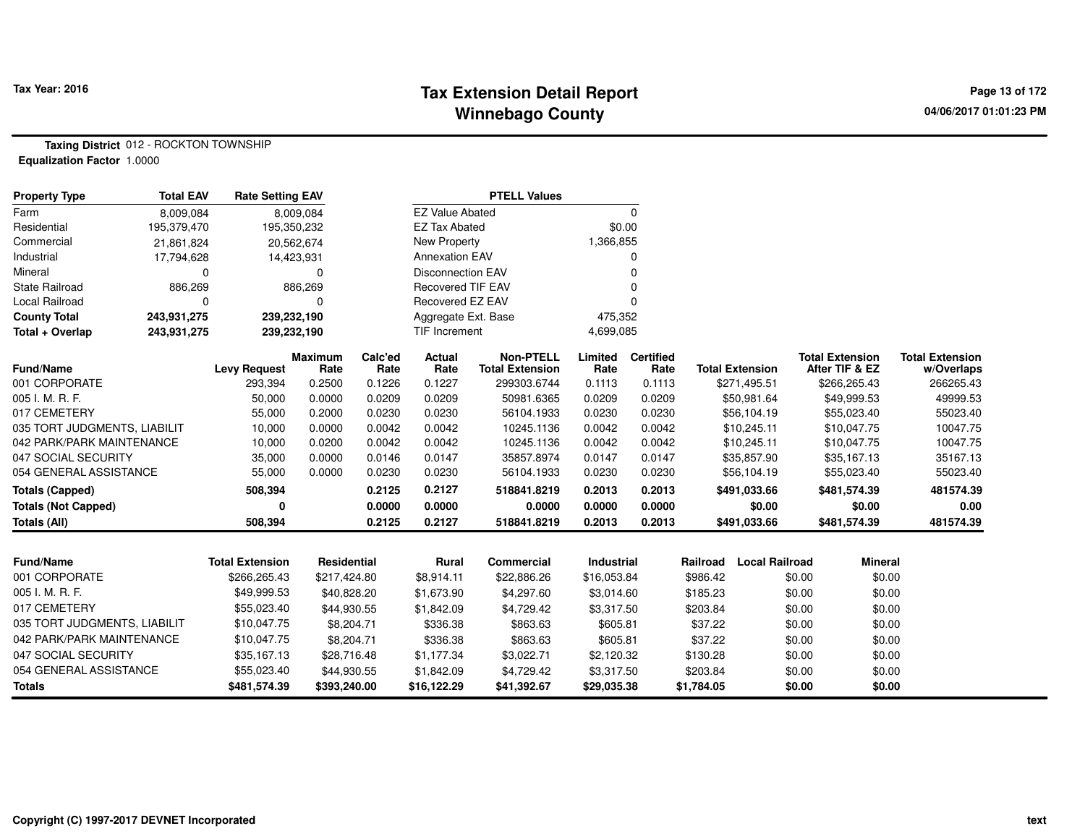## **Tax Extension Detail Report Tax Year: 2016 Page 13 of 172 Winnebago County**

**Taxing District** 012 - ROCKTON TOWNSHIP**Equalization Factor** 1.0000

| <b>Property Type</b>         | <b>Total EAV</b> | <b>Rate Setting EAV</b> |                        |                 |                          | <b>PTELL Values</b>                        |                 |                          |            |                        |                                          |                                      |
|------------------------------|------------------|-------------------------|------------------------|-----------------|--------------------------|--------------------------------------------|-----------------|--------------------------|------------|------------------------|------------------------------------------|--------------------------------------|
| Farm                         | 8,009,084        |                         | 8,009,084              |                 | <b>EZ Value Abated</b>   |                                            |                 | $\mathbf 0$              |            |                        |                                          |                                      |
| Residential                  | 195,379,470      |                         | 195,350,232            |                 | <b>EZ Tax Abated</b>     |                                            | \$0.00          |                          |            |                        |                                          |                                      |
| Commercial                   | 21,861,824       |                         | 20,562,674             |                 | <b>New Property</b>      |                                            | 1,366,855       |                          |            |                        |                                          |                                      |
| Industrial                   | 17,794,628       |                         | 14,423,931             |                 | <b>Annexation EAV</b>    |                                            |                 | 0                        |            |                        |                                          |                                      |
| Mineral                      | 0                |                         | 0                      |                 | <b>Disconnection EAV</b> |                                            |                 | $\Omega$                 |            |                        |                                          |                                      |
| <b>State Railroad</b>        | 886,269          |                         | 886,269                |                 | <b>Recovered TIF EAV</b> |                                            |                 | 0                        |            |                        |                                          |                                      |
| Local Railroad               | 0                |                         | 0                      |                 | Recovered EZ EAV         |                                            |                 | $\Omega$                 |            |                        |                                          |                                      |
| <b>County Total</b>          | 243,931,275      | 239,232,190             |                        |                 | Aggregate Ext. Base      |                                            | 475,352         |                          |            |                        |                                          |                                      |
| Total + Overlap              | 243,931,275      |                         | 239,232,190            |                 | <b>TIF Increment</b>     |                                            | 4,699,085       |                          |            |                        |                                          |                                      |
| <b>Fund/Name</b>             |                  | <b>Levy Request</b>     | <b>Maximum</b><br>Rate | Calc'ed<br>Rate | Actual<br>Rate           | <b>Non-PTELL</b><br><b>Total Extension</b> | Limited<br>Rate | <b>Certified</b><br>Rate |            | <b>Total Extension</b> | <b>Total Extension</b><br>After TIF & EZ | <b>Total Extension</b><br>w/Overlaps |
| 001 CORPORATE                |                  | 293,394                 | 0.2500                 | 0.1226          | 0.1227                   | 299303.6744                                | 0.1113          | 0.1113                   |            | \$271,495.51           | \$266,265.43                             | 266265.43                            |
| 005 I. M. R. F.              |                  | 50,000                  | 0.0000                 | 0.0209          | 0.0209                   | 50981.6365                                 | 0.0209          | 0.0209                   |            | \$50,981.64            | \$49,999.53                              | 49999.53                             |
| 017 CEMETERY                 |                  | 55,000                  | 0.2000                 | 0.0230          | 0.0230                   | 56104.1933                                 | 0.0230          | 0.0230                   |            | \$56,104.19            | \$55,023.40                              | 55023.40                             |
| 035 TORT JUDGMENTS, LIABILIT |                  | 10,000                  | 0.0000                 | 0.0042          | 0.0042                   | 10245.1136                                 | 0.0042          | 0.0042                   |            | \$10,245.11            | \$10,047.75                              | 10047.75                             |
| 042 PARK/PARK MAINTENANCE    |                  | 10,000                  | 0.0200                 | 0.0042          | 0.0042                   | 10245.1136                                 | 0.0042          | 0.0042                   |            | \$10,245.11            | \$10,047.75                              | 10047.75                             |
| 047 SOCIAL SECURITY          |                  | 35,000                  | 0.0000                 | 0.0146          | 0.0147                   | 35857.8974                                 | 0.0147          | 0.0147                   |            | \$35,857.90            | \$35,167.13                              | 35167.13                             |
| 054 GENERAL ASSISTANCE       |                  | 55,000                  | 0.0000                 | 0.0230          | 0.0230                   | 56104.1933                                 | 0.0230          | 0.0230                   |            | \$56,104.19            | \$55,023.40                              | 55023.40                             |
| <b>Totals (Capped)</b>       |                  | 508,394                 |                        | 0.2125          | 0.2127                   | 518841.8219                                | 0.2013          | 0.2013                   |            | \$491,033.66           | \$481,574.39                             | 481574.39                            |
| <b>Totals (Not Capped)</b>   |                  | 0                       |                        | 0.0000          | 0.0000                   | 0.0000                                     | 0.0000          | 0.0000                   |            | \$0.00                 | \$0.00                                   | 0.00                                 |
| Totals (All)                 |                  | 508,394                 |                        | 0.2125          | 0.2127                   | 518841.8219                                | 0.2013          | 0.2013                   |            | \$491,033.66           | \$481,574.39                             | 481574.39                            |
|                              |                  |                         |                        |                 |                          |                                            |                 |                          |            |                        |                                          |                                      |
| <b>Fund/Name</b>             |                  | <b>Total Extension</b>  | Residential            |                 | Rural                    | Commercial                                 | Industrial      |                          | Railroad   | <b>Local Railroad</b>  | <b>Mineral</b>                           |                                      |
| 001 CORPORATE                |                  | \$266,265.43            | \$217,424.80           |                 | \$8,914.11               | \$22,886.26                                | \$16,053.84     |                          | \$986.42   |                        | \$0.00<br>\$0.00                         |                                      |
| 005 I. M. R. F.              |                  | \$49,999.53             | \$40,828.20            |                 | \$1,673.90               | \$4,297.60                                 | \$3,014.60      |                          | \$185.23   |                        | \$0.00<br>\$0.00                         |                                      |
| 017 CEMETERY                 |                  | \$55,023.40             | \$44,930.55            |                 | \$1,842.09               | \$4,729.42                                 | \$3,317.50      |                          | \$203.84   |                        | \$0.00<br>\$0.00                         |                                      |
| 035 TORT JUDGMENTS, LIABILIT |                  | \$10,047.75             | \$8,204.71             |                 | \$336.38                 | \$863.63                                   | \$605.81        |                          | \$37.22    |                        | \$0.00<br>\$0.00                         |                                      |
| 042 PARK/PARK MAINTENANCE    |                  | \$10,047.75             | \$8,204.71             |                 | \$336.38                 | \$863.63                                   | \$605.81        |                          | \$37.22    |                        | \$0.00<br>\$0.00                         |                                      |
| 047 SOCIAL SECURITY          |                  | \$35,167.13             | \$28,716.48            |                 | \$1,177.34               | \$3,022.71                                 | \$2,120.32      |                          | \$130.28   |                        | \$0.00<br>\$0.00                         |                                      |
| 054 GENERAL ASSISTANCE       |                  | \$55,023.40             | \$44,930.55            |                 | \$1,842.09               | \$4,729.42                                 | \$3,317.50      |                          | \$203.84   |                        | \$0.00<br>\$0.00                         |                                      |
| <b>Totals</b>                |                  | \$481,574.39            | \$393,240.00           |                 | \$16,122.29              | \$41,392.67                                | \$29,035.38     |                          | \$1,784.05 |                        | \$0.00<br>\$0.00                         |                                      |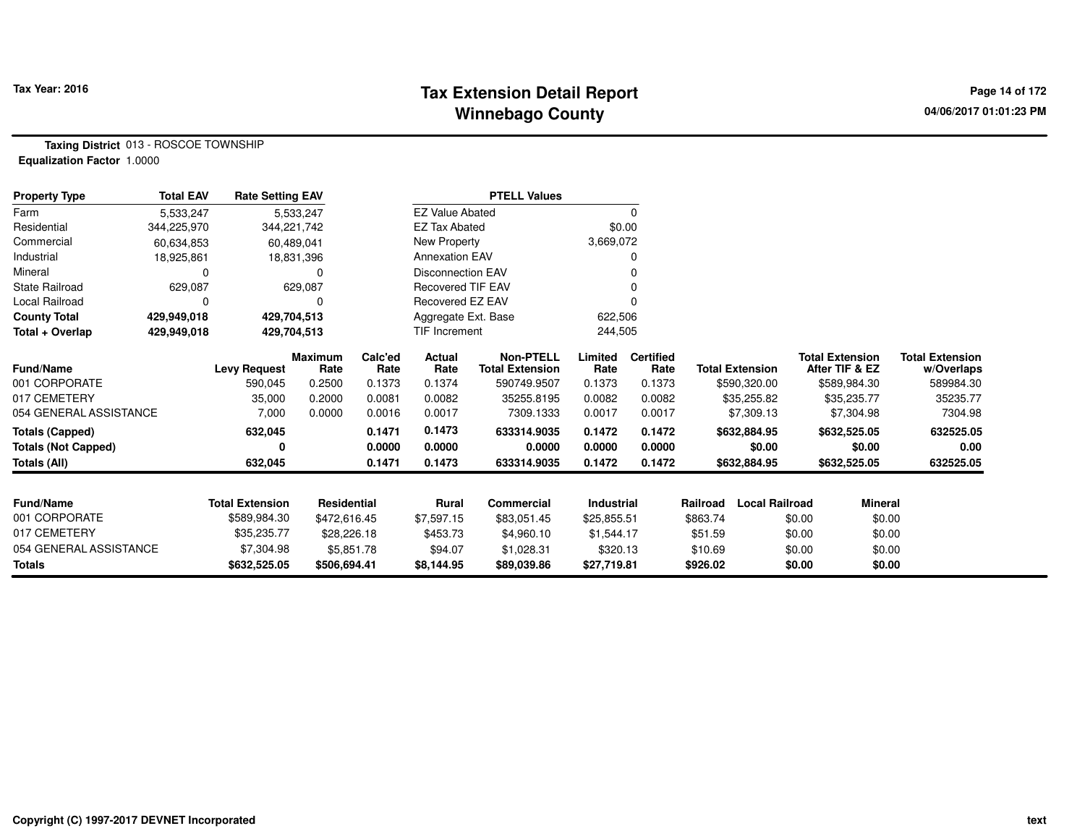## **Tax Extension Detail Report Tax Year: 2016 Page 14 of 172 Winnebago County**

**Taxing District** 013 - ROSCOE TOWNSHIP**Equalization Factor** 1.0000

| <b>Property Type</b>       | <b>Total EAV</b> | <b>Rate Setting EAV</b> |                        |                 | <b>PTELL Values</b>      |                                            |                 |                          |                                   |                                          |                                      |
|----------------------------|------------------|-------------------------|------------------------|-----------------|--------------------------|--------------------------------------------|-----------------|--------------------------|-----------------------------------|------------------------------------------|--------------------------------------|
| Farm                       | 5,533,247        |                         | 5,533,247              |                 | <b>EZ Value Abated</b>   |                                            |                 | 0                        |                                   |                                          |                                      |
| Residential                | 344,225,970      | 344,221,742             |                        |                 | <b>EZ Tax Abated</b>     |                                            | \$0.00          |                          |                                   |                                          |                                      |
| Commercial                 | 60,634,853       | 60,489,041              |                        |                 | New Property             |                                            | 3,669,072       |                          |                                   |                                          |                                      |
| Industrial                 | 18,925,861       |                         | 18,831,396             |                 | <b>Annexation EAV</b>    |                                            |                 |                          |                                   |                                          |                                      |
| Mineral                    |                  |                         | 0                      |                 | <b>Disconnection EAV</b> |                                            |                 |                          |                                   |                                          |                                      |
| <b>State Railroad</b>      | 629,087          |                         | 629,087                |                 | <b>Recovered TIF EAV</b> |                                            |                 |                          |                                   |                                          |                                      |
| Local Railroad             |                  |                         | 0                      |                 | Recovered EZ EAV         |                                            |                 |                          |                                   |                                          |                                      |
| <b>County Total</b>        | 429,949,018      | 429,704,513             |                        |                 | Aggregate Ext. Base      |                                            | 622,506         |                          |                                   |                                          |                                      |
| Total + Overlap            | 429,949,018      | 429,704,513             |                        |                 | <b>TIF Increment</b>     |                                            | 244,505         |                          |                                   |                                          |                                      |
| Fund/Name                  |                  | <b>Levy Request</b>     | <b>Maximum</b><br>Rate | Calc'ed<br>Rate | <b>Actual</b><br>Rate    | <b>Non-PTELL</b><br><b>Total Extension</b> | Limited<br>Rate | <b>Certified</b><br>Rate | <b>Total Extension</b>            | <b>Total Extension</b><br>After TIF & EZ | <b>Total Extension</b><br>w/Overlaps |
| 001 CORPORATE              |                  | 590,045                 | 0.2500                 | 0.1373          | 0.1374                   | 590749.9507                                | 0.1373          | 0.1373                   | \$590,320.00                      | \$589,984.30                             | 589984.30                            |
| 017 CEMETERY               |                  | 35,000                  | 0.2000                 | 0.0081          | 0.0082                   | 35255.8195                                 | 0.0082          | 0.0082                   | \$35,255.82                       | \$35,235.77                              | 35235.77                             |
| 054 GENERAL ASSISTANCE     |                  | 7,000                   | 0.0000                 | 0.0016          | 0.0017                   | 7309.1333                                  | 0.0017          | 0.0017                   | \$7,309.13                        | \$7,304.98                               | 7304.98                              |
| <b>Totals (Capped)</b>     |                  | 632,045                 |                        | 0.1471          | 0.1473                   | 633314.9035                                | 0.1472          | 0.1472                   | \$632,884.95                      | \$632,525.05                             | 632525.05                            |
| <b>Totals (Not Capped)</b> |                  | 0                       |                        | 0.0000          | 0.0000                   | 0.0000                                     | 0.0000          | 0.0000                   | \$0.00                            | \$0.00                                   | 0.00                                 |
| <b>Totals (All)</b>        |                  | 632,045                 |                        | 0.1471          | 0.1473                   | 633314.9035                                | 0.1472          | 0.1472                   | \$632,884.95                      | \$632,525.05                             | 632525.05                            |
| Fund/Name                  |                  | <b>Total Extension</b>  | Residential            |                 | Rural                    | Commercial                                 | Industrial      |                          | <b>Local Railroad</b><br>Railroad | Mineral                                  |                                      |
| 001 CORPORATE              |                  |                         |                        |                 |                          |                                            |                 |                          |                                   |                                          |                                      |
|                            |                  | \$589,984.30            | \$472,616.45           |                 | \$7,597.15               | \$83,051.45                                | \$25,855.51     |                          | \$863.74                          | \$0.00                                   | \$0.00                               |
| 017 CEMETERY               |                  | \$35,235.77             | \$28,226.18            |                 | \$453.73                 | \$4,960.10                                 | \$1,544.17      |                          | \$51.59                           | \$0.00                                   | \$0.00                               |
| 054 GENERAL ASSISTANCE     |                  | \$7,304.98              | \$5,851.78             |                 | \$94.07                  | \$1,028.31                                 | \$320.13        |                          | \$10.69                           | \$0.00                                   | \$0.00                               |
| <b>Totals</b>              |                  | \$632,525.05            | \$506,694.41           |                 | \$8,144.95               | \$89,039.86                                | \$27,719.81     |                          | \$926.02                          | \$0.00                                   | \$0.00                               |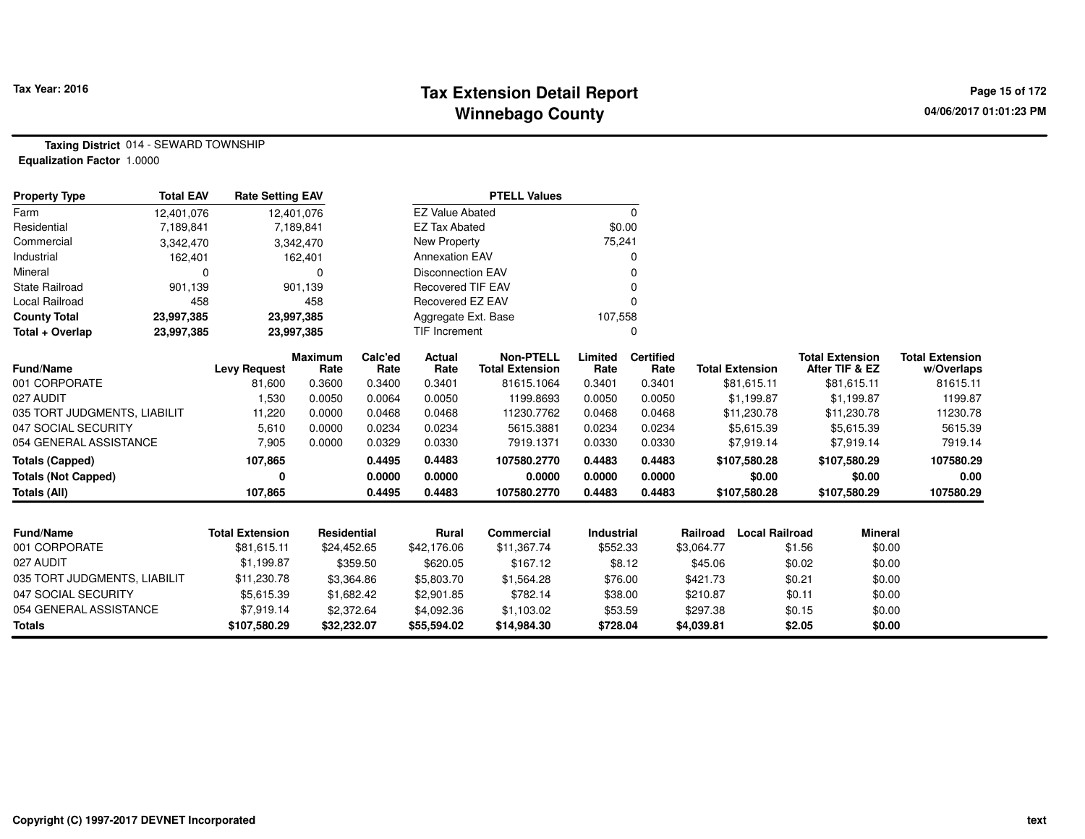## **Tax Extension Detail Report Tax Year: 2016 Page 15 of 172 Winnebago County**

**Taxing District** 014 - SEWARD TOWNSHIP**Equalization Factor** 1.0000

| <b>Property Type</b>         | <b>Total EAV</b> | <b>Rate Setting EAV</b> |                        |                 |                          | <b>PTELL Values</b>                 |                   |                          |            |                        |        |                                          |                                      |
|------------------------------|------------------|-------------------------|------------------------|-----------------|--------------------------|-------------------------------------|-------------------|--------------------------|------------|------------------------|--------|------------------------------------------|--------------------------------------|
| Farm                         | 12,401,076       |                         | 12,401,076             |                 | <b>EZ Value Abated</b>   |                                     |                   | $\mathbf 0$              |            |                        |        |                                          |                                      |
| Residential                  | 7,189,841        |                         | 7,189,841              |                 | <b>EZ Tax Abated</b>     |                                     | \$0.00            |                          |            |                        |        |                                          |                                      |
| Commercial                   | 3,342,470        |                         | 3,342,470              |                 | New Property             |                                     | 75,241            |                          |            |                        |        |                                          |                                      |
| Industrial                   | 162,401          |                         | 162,401                |                 | <b>Annexation EAV</b>    |                                     |                   |                          |            |                        |        |                                          |                                      |
| Mineral                      | 0                |                         | 0                      |                 | <b>Disconnection EAV</b> |                                     |                   |                          |            |                        |        |                                          |                                      |
| <b>State Railroad</b>        | 901,139          |                         | 901,139                |                 | <b>Recovered TIF EAV</b> |                                     |                   |                          |            |                        |        |                                          |                                      |
| Local Railroad               | 458              |                         | 458                    |                 | Recovered EZ EAV         |                                     |                   |                          |            |                        |        |                                          |                                      |
| <b>County Total</b>          | 23,997,385       |                         | 23,997,385             |                 | Aggregate Ext. Base      |                                     | 107,558           |                          |            |                        |        |                                          |                                      |
| Total + Overlap              | 23,997,385       |                         | 23,997,385             |                 | <b>TIF Increment</b>     |                                     |                   | 0                        |            |                        |        |                                          |                                      |
| Fund/Name                    |                  | <b>Levy Request</b>     | <b>Maximum</b><br>Rate | Calc'ed<br>Rate | Actual<br>Rate           | Non-PTELL<br><b>Total Extension</b> | Limited<br>Rate   | <b>Certified</b><br>Rate |            | <b>Total Extension</b> |        | <b>Total Extension</b><br>After TIF & EZ | <b>Total Extension</b><br>w/Overlaps |
| 001 CORPORATE                |                  | 81,600                  | 0.3600                 | 0.3400          | 0.3401                   | 81615.1064                          | 0.3401            | 0.3401                   |            | \$81,615.11            |        | \$81,615.11                              | 81615.11                             |
| 027 AUDIT                    |                  | 1,530                   | 0.0050                 | 0.0064          | 0.0050                   | 1199.8693                           | 0.0050            | 0.0050                   |            | \$1,199.87             |        | \$1,199.87                               | 1199.87                              |
| 035 TORT JUDGMENTS, LIABILIT |                  | 11,220                  | 0.0000                 | 0.0468          | 0.0468                   | 11230.7762                          | 0.0468            | 0.0468                   |            | \$11,230.78            |        | \$11,230.78                              | 11230.78                             |
| 047 SOCIAL SECURITY          |                  | 5,610                   | 0.0000                 | 0.0234          | 0.0234                   | 5615.3881                           | 0.0234            | 0.0234                   |            | \$5,615.39             |        | \$5,615.39                               | 5615.39                              |
| 054 GENERAL ASSISTANCE       |                  | 7,905                   | 0.0000                 | 0.0329          | 0.0330                   | 7919.1371                           | 0.0330            | 0.0330                   |            | \$7,919.14             |        | \$7,919.14                               | 7919.14                              |
| <b>Totals (Capped)</b>       |                  | 107,865                 |                        | 0.4495          | 0.4483                   | 107580.2770                         | 0.4483            | 0.4483                   |            | \$107,580.28           |        | \$107,580.29                             | 107580.29                            |
| <b>Totals (Not Capped)</b>   |                  | 0                       |                        | 0.0000          | 0.0000                   | 0.0000                              | 0.0000            | 0.0000                   |            | \$0.00                 |        | \$0.00                                   | 0.00                                 |
| <b>Totals (All)</b>          |                  | 107,865                 |                        | 0.4495          | 0.4483                   | 107580.2770                         | 0.4483            | 0.4483                   |            | \$107,580.28           |        | \$107,580.29                             | 107580.29                            |
|                              |                  |                         |                        |                 |                          |                                     |                   |                          |            |                        |        |                                          |                                      |
| Fund/Name                    |                  | <b>Total Extension</b>  | <b>Residential</b>     |                 | <b>Rural</b>             | <b>Commercial</b>                   | <b>Industrial</b> |                          | Railroad   | <b>Local Railroad</b>  |        | <b>Mineral</b>                           |                                      |
| 001 CORPORATE                |                  | \$81,615.11             | \$24,452.65            |                 | \$42,176.06              | \$11,367.74                         | \$552.33          |                          | \$3,064.77 |                        | \$1.56 | \$0.00                                   |                                      |
| 027 AUDIT                    |                  | \$1,199.87              |                        | \$359.50        | \$620.05                 | \$167.12                            | \$8.12            |                          | \$45.06    |                        | \$0.02 | \$0.00                                   |                                      |
| 035 TORT JUDGMENTS, LIABILIT |                  | \$11,230.78             |                        | \$3,364.86      | \$5,803.70               | \$1,564.28                          | \$76.00           |                          | \$421.73   |                        | \$0.21 | \$0.00                                   |                                      |
| 047 SOCIAL SECURITY          |                  | \$5,615.39              |                        | \$1,682.42      | \$2,901.85               | \$782.14                            | \$38.00           |                          | \$210.87   |                        | \$0.11 | \$0.00                                   |                                      |
| 054 GENERAL ASSISTANCE       |                  | \$7,919.14              |                        | \$2,372.64      | \$4,092.36               | \$1,103.02                          | \$53.59           |                          | \$297.38   |                        | \$0.15 | \$0.00                                   |                                      |
| <b>Totals</b>                |                  | \$107,580.29            | \$32,232.07            |                 | \$55,594.02              | \$14,984.30                         | \$728.04          |                          | \$4,039.81 |                        | \$2.05 | \$0.00                                   |                                      |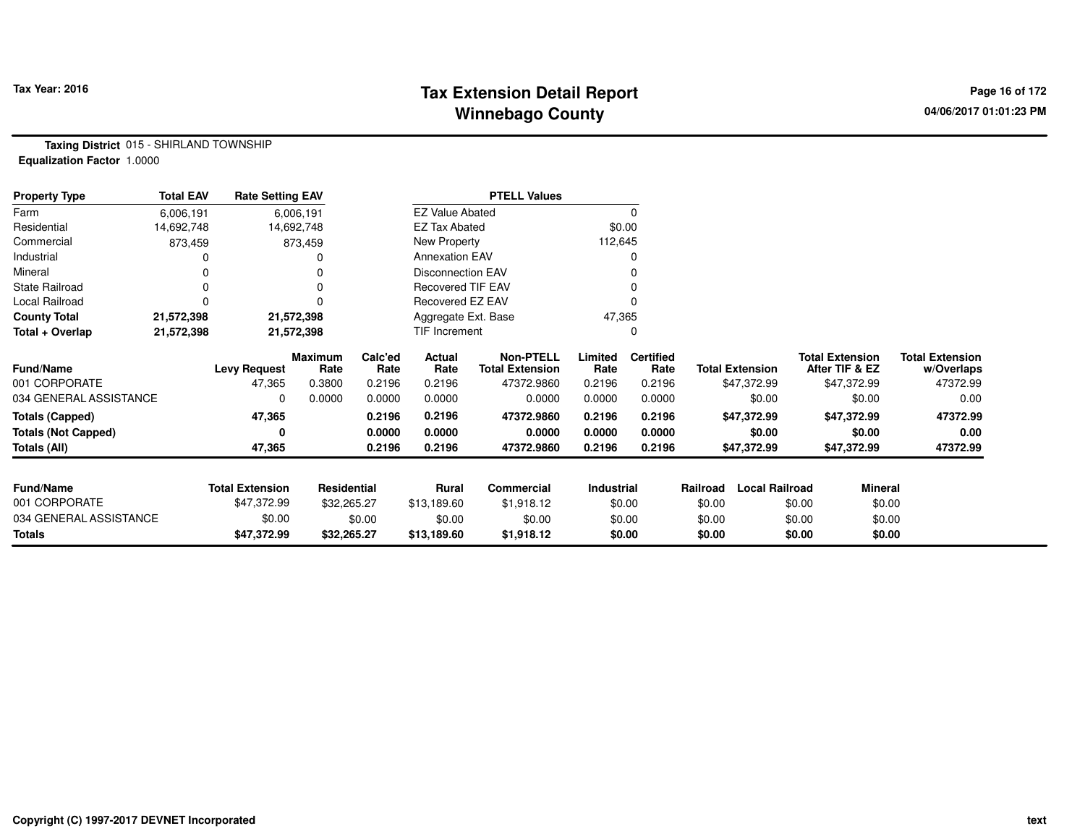## **Tax Extension Detail Report Tax Year: 2016 Page 16 of 172 Winnebago County**

**Taxing District** 015 - SHIRLAND TOWNSHIP**Equalization Factor** 1.0000

| <b>Property Type</b>       | <b>Total EAV</b> | <b>Rate Setting EAV</b> |                        | <b>PTELL Values</b> |                          |                                            |                 |                          |          |                        |        |                                          |                                      |
|----------------------------|------------------|-------------------------|------------------------|---------------------|--------------------------|--------------------------------------------|-----------------|--------------------------|----------|------------------------|--------|------------------------------------------|--------------------------------------|
| Farm                       | 6,006,191        |                         | 6,006,191              |                     | <b>EZ Value Abated</b>   |                                            |                 | $\Omega$                 |          |                        |        |                                          |                                      |
| Residential                | 14,692,748       |                         | 14,692,748             |                     | <b>EZ Tax Abated</b>     |                                            |                 | \$0.00                   |          |                        |        |                                          |                                      |
| Commercial                 | 873,459          |                         | 873,459                |                     | New Property             |                                            | 112,645         |                          |          |                        |        |                                          |                                      |
| Industrial                 |                  |                         |                        |                     | <b>Annexation EAV</b>    |                                            |                 |                          |          |                        |        |                                          |                                      |
| Mineral                    |                  |                         |                        |                     | <b>Disconnection EAV</b> |                                            |                 |                          |          |                        |        |                                          |                                      |
| <b>State Railroad</b>      |                  |                         |                        |                     | Recovered TIF EAV        |                                            |                 |                          |          |                        |        |                                          |                                      |
| Local Railroad             |                  |                         |                        |                     | <b>Recovered EZ EAV</b>  |                                            |                 |                          |          |                        |        |                                          |                                      |
| <b>County Total</b>        | 21,572,398       |                         | 21,572,398             |                     | Aggregate Ext. Base      |                                            | 47,365          |                          |          |                        |        |                                          |                                      |
| Total + Overlap            | 21,572,398       |                         | 21,572,398             |                     | TIF Increment            |                                            |                 |                          |          |                        |        |                                          |                                      |
| <b>Fund/Name</b>           |                  | <b>Levy Request</b>     | <b>Maximum</b><br>Rate | Calc'ed<br>Rate     | Actual<br>Rate           | <b>Non-PTELL</b><br><b>Total Extension</b> | Limited<br>Rate | <b>Certified</b><br>Rate |          | <b>Total Extension</b> |        | <b>Total Extension</b><br>After TIF & EZ | <b>Total Extension</b><br>w/Overlaps |
| 001 CORPORATE              |                  | 47,365                  | 0.3800                 | 0.2196              | 0.2196                   | 47372.9860                                 | 0.2196          | 0.2196                   |          | \$47,372.99            |        | \$47,372.99                              | 47372.99                             |
| 034 GENERAL ASSISTANCE     |                  | 0                       | 0.0000                 | 0.0000              | 0.0000                   | 0.0000                                     | 0.0000          | 0.0000                   |          | \$0.00                 |        | \$0.00                                   | 0.00                                 |
| <b>Totals (Capped)</b>     |                  | 47,365                  |                        | 0.2196              | 0.2196                   | 47372.9860                                 | 0.2196          | 0.2196                   |          | \$47,372.99            |        | \$47,372.99                              | 47372.99                             |
| <b>Totals (Not Capped)</b> |                  | 0                       |                        | 0.0000              | 0.0000                   | 0.0000                                     | 0.0000          | 0.0000                   |          | \$0.00                 |        | \$0.00                                   | 0.00                                 |
| Totals (All)               |                  | 47,365                  |                        | 0.2196              | 0.2196                   | 47372.9860                                 | 0.2196          | 0.2196                   |          | \$47,372.99            |        | \$47,372.99                              | 47372.99                             |
| <b>Fund/Name</b>           |                  | <b>Total Extension</b>  | Residential            |                     | Rural                    | <b>Commercial</b>                          | Industrial      |                          | Railroad | <b>Local Railroad</b>  |        | <b>Mineral</b>                           |                                      |
| 001 CORPORATE              |                  | \$47,372.99             | \$32,265.27            |                     | \$13,189.60              | \$1,918.12                                 |                 | \$0.00                   | \$0.00   |                        | \$0.00 | \$0.00                                   |                                      |
| 034 GENERAL ASSISTANCE     |                  | \$0.00                  |                        | \$0.00              | \$0.00                   | \$0.00                                     |                 | \$0.00                   | \$0.00   |                        | \$0.00 | \$0.00                                   |                                      |
| <b>Totals</b>              |                  | \$47,372.99             | \$32,265.27            |                     | \$13,189.60              | \$1,918.12                                 |                 | \$0.00                   | \$0.00   |                        | \$0.00 | \$0.00                                   |                                      |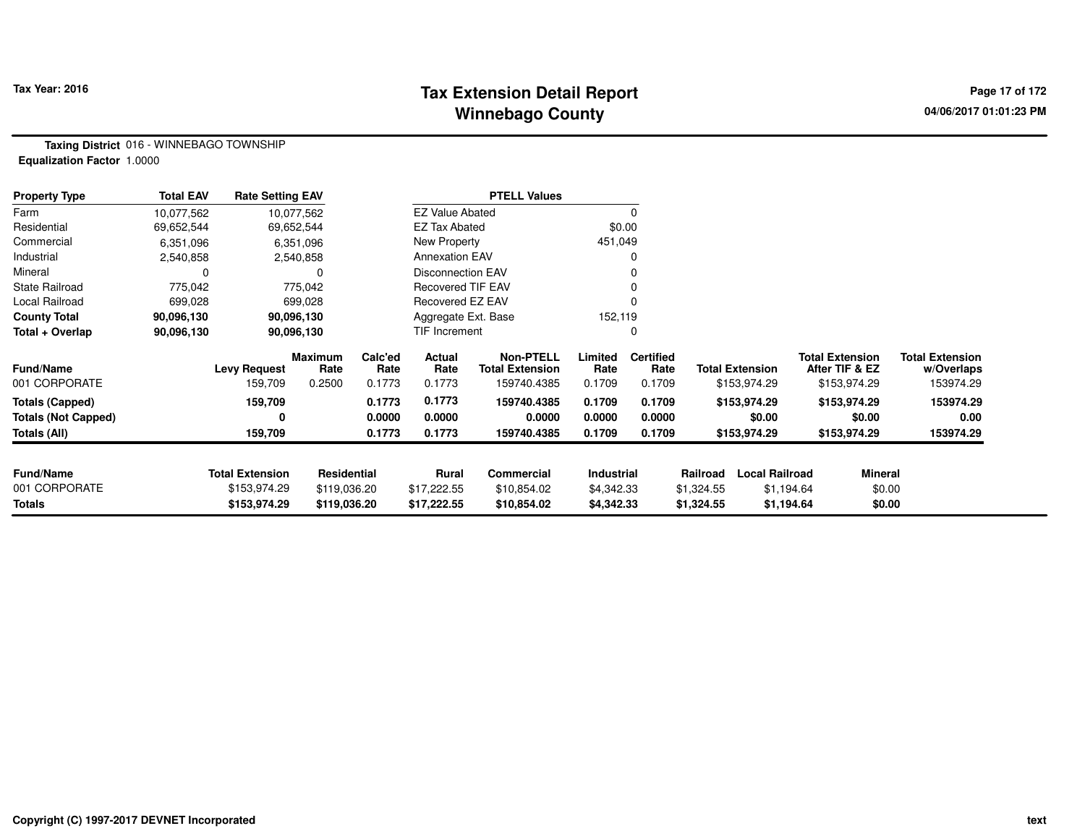#### **Tax Extension Detail Report Tax Year: 2016 Page 17 of 172 Winnebago County**

**Taxing District** 016 - WINNEBAGO TOWNSHIP**Equalization Factor** 1.0000

| <b>Property Type</b>       | <b>Total EAV</b> | <b>Rate Setting EAV</b> |                       |                 |                          | <b>PTELL Values</b>                        |                   |                          |            |                        |                                          |                                      |
|----------------------------|------------------|-------------------------|-----------------------|-----------------|--------------------------|--------------------------------------------|-------------------|--------------------------|------------|------------------------|------------------------------------------|--------------------------------------|
| Farm                       | 10,077,562       |                         | 10,077,562            |                 | <b>EZ Value Abated</b>   |                                            |                   | 0                        |            |                        |                                          |                                      |
| Residential                | 69,652,544       |                         | 69,652,544            |                 | EZ Tax Abated            |                                            |                   | \$0.00                   |            |                        |                                          |                                      |
| Commercial                 | 6,351,096        |                         | 6,351,096             |                 | New Property             |                                            | 451,049           |                          |            |                        |                                          |                                      |
| Industrial                 | 2,540,858        |                         | 2,540,858             |                 | <b>Annexation EAV</b>    |                                            |                   | 0                        |            |                        |                                          |                                      |
| Mineral                    | 0                |                         |                       |                 | <b>Disconnection EAV</b> |                                            |                   | 0                        |            |                        |                                          |                                      |
| <b>State Railroad</b>      | 775,042          |                         | 775,042               |                 | <b>Recovered TIF EAV</b> |                                            |                   |                          |            |                        |                                          |                                      |
| Local Railroad             | 699,028          |                         | 699,028<br>90,096,130 |                 | Recovered EZ EAV         |                                            |                   |                          |            |                        |                                          |                                      |
| <b>County Total</b>        | 90,096,130       | 90,096,130              |                       |                 | Aggregate Ext. Base      |                                            | 152,119           |                          |            |                        |                                          |                                      |
| Total + Overlap            | 90,096,130       |                         |                       |                 | <b>TIF Increment</b>     |                                            |                   | 0                        |            |                        |                                          |                                      |
| <b>Fund/Name</b>           |                  | <b>Levy Request</b>     | Maximum<br>Rate       | Calc'ed<br>Rate | Actual<br>Rate           | <b>Non-PTELL</b><br><b>Total Extension</b> | Limited<br>Rate   | <b>Certified</b><br>Rate |            | <b>Total Extension</b> | <b>Total Extension</b><br>After TIF & EZ | <b>Total Extension</b><br>w/Overlaps |
| 001 CORPORATE              |                  | 159,709                 | 0.2500                | 0.1773          | 0.1773                   | 159740.4385                                | 0.1709            | 0.1709                   |            | \$153,974.29           | \$153,974.29                             | 153974.29                            |
| <b>Totals (Capped)</b>     |                  | 159,709                 |                       | 0.1773          | 0.1773                   | 159740.4385                                | 0.1709            | 0.1709                   |            | \$153,974.29           | \$153,974.29                             | 153974.29                            |
| <b>Totals (Not Capped)</b> |                  | 0                       |                       | 0.0000          | 0.0000                   | 0.0000                                     | 0.0000            | 0.0000                   |            | \$0.00                 | \$0.00                                   | 0.00                                 |
| Totals (All)               |                  | 159,709                 |                       | 0.1773          | 0.1773                   | 159740.4385                                | 0.1709            | 0.1709                   |            | \$153,974.29           | \$153,974.29                             | 153974.29                            |
| <b>Fund/Name</b>           |                  | <b>Total Extension</b>  | Residential           |                 | Rural                    | <b>Commercial</b>                          | <b>Industrial</b> |                          | Railroad   | <b>Local Railroad</b>  | Mineral                                  |                                      |
| 001 CORPORATE              |                  | \$153,974.29            | \$119,036.20          |                 | \$17,222.55              | \$10,854.02                                | \$4,342.33        |                          | \$1,324.55 | \$1,194.64             | \$0.00                                   |                                      |
| Totals                     |                  | \$153,974.29            | \$119,036.20          |                 | \$17,222.55              | \$10,854.02                                | \$4,342.33        |                          | \$1,324.55 | \$1,194.64             | \$0.00                                   |                                      |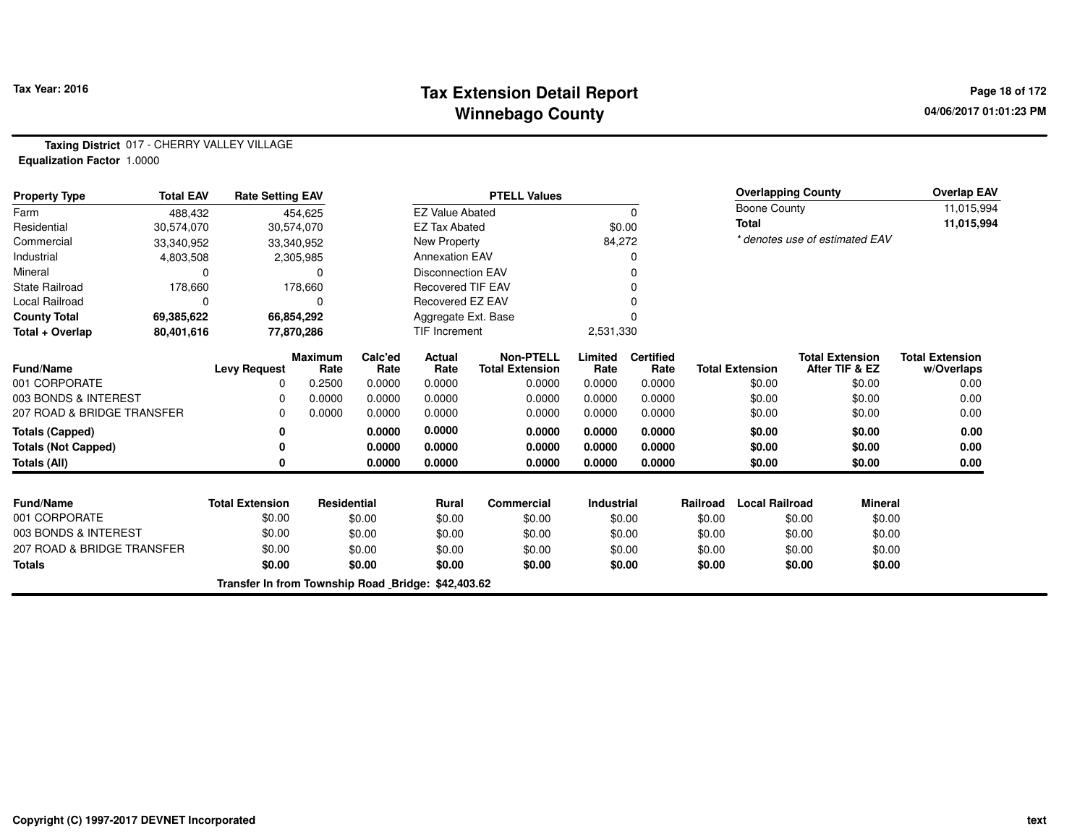## **Tax Extension Detail Report Tax Year: 2016 Page 18 of 172 Winnebago County**

**Taxing District** 017 - CHERRY VALLEY VILLAGE**Equalization Factor** 1.0000

| <b>Property Type</b>       | <b>Total EAV</b> | <b>Rate Setting EAV</b>                            |                        |                 | <b>PTELL Values</b>      |                                            |                   |                          |          |                        | <b>Overlapping County</b>                |                | <b>Overlap EAV</b>                   |
|----------------------------|------------------|----------------------------------------------------|------------------------|-----------------|--------------------------|--------------------------------------------|-------------------|--------------------------|----------|------------------------|------------------------------------------|----------------|--------------------------------------|
| Farm                       | 488.432          |                                                    | 454,625                |                 | <b>EZ Value Abated</b>   |                                            |                   | 0                        |          | <b>Boone County</b>    |                                          |                | 11,015,994                           |
| Residential                | 30,574,070       |                                                    | 30,574,070             |                 | <b>EZ Tax Abated</b>     |                                            |                   | \$0.00                   |          | <b>Total</b>           |                                          |                | 11,015,994                           |
| Commercial                 | 33,340,952       |                                                    | 33,340,952             |                 | New Property             |                                            | 84,272            |                          |          |                        | * denotes use of estimated EAV           |                |                                      |
| Industrial                 | 4,803,508        |                                                    | 2,305,985              |                 | <b>Annexation EAV</b>    |                                            |                   |                          |          |                        |                                          |                |                                      |
| Mineral                    | $\Omega$         |                                                    | 0                      |                 | <b>Disconnection EAV</b> |                                            |                   | 0                        |          |                        |                                          |                |                                      |
| <b>State Railroad</b>      | 178,660          |                                                    | 178,660                |                 | <b>Recovered TIF EAV</b> |                                            |                   |                          |          |                        |                                          |                |                                      |
| Local Railroad             | $\Omega$         |                                                    | 0                      |                 | Recovered EZ EAV         |                                            |                   |                          |          |                        |                                          |                |                                      |
| <b>County Total</b>        | 69,385,622       |                                                    | 66,854,292             |                 | Aggregate Ext. Base      |                                            |                   |                          |          |                        |                                          |                |                                      |
| Total + Overlap            | 80,401,616       |                                                    | 77,870,286             |                 | TIF Increment            |                                            | 2,531,330         |                          |          |                        |                                          |                |                                      |
| <b>Fund/Name</b>           |                  | <b>Levy Request</b>                                | <b>Maximum</b><br>Rate | Calc'ed<br>Rate | Actual<br>Rate           | <b>Non-PTELL</b><br><b>Total Extension</b> | Limited<br>Rate   | <b>Certified</b><br>Rate |          | <b>Total Extension</b> | <b>Total Extension</b><br>After TIF & EZ |                | <b>Total Extension</b><br>w/Overlaps |
| 001 CORPORATE              |                  | 0                                                  | 0.2500                 | 0.0000          | 0.0000                   | 0.0000                                     | 0.0000            | 0.0000                   |          | \$0.00                 |                                          | \$0.00         | 0.00                                 |
| 003 BONDS & INTEREST       |                  | $\Omega$                                           | 0.0000                 | 0.0000          | 0.0000                   | 0.0000                                     | 0.0000            | 0.0000                   |          | \$0.00                 |                                          | \$0.00         | 0.00                                 |
| 207 ROAD & BRIDGE TRANSFER |                  | $\Omega$                                           | 0.0000                 | 0.0000          | 0.0000                   | 0.0000                                     | 0.0000            | 0.0000                   |          | \$0.00                 |                                          | \$0.00         | 0.00                                 |
| <b>Totals (Capped)</b>     |                  | 0                                                  |                        | 0.0000          | 0.0000                   | 0.0000                                     | 0.0000            | 0.0000                   |          | \$0.00                 |                                          | \$0.00         | 0.00                                 |
| <b>Totals (Not Capped)</b> |                  | 0                                                  |                        | 0.0000          | 0.0000                   | 0.0000                                     | 0.0000            | 0.0000                   |          | \$0.00                 |                                          | \$0.00         | 0.00                                 |
| Totals (All)               |                  | 0                                                  |                        | 0.0000          | 0.0000                   | 0.0000                                     | 0.0000            | 0.0000                   |          | \$0.00                 |                                          | \$0.00         | 0.00                                 |
|                            |                  |                                                    |                        |                 |                          |                                            |                   |                          |          |                        |                                          |                |                                      |
| <b>Fund/Name</b>           |                  | <b>Total Extension</b>                             | <b>Residential</b>     |                 | <b>Rural</b>             | <b>Commercial</b>                          | <b>Industrial</b> |                          | Railroad | <b>Local Railroad</b>  |                                          | <b>Mineral</b> |                                      |
| 001 CORPORATE              |                  | \$0.00                                             |                        | \$0.00          | \$0.00                   | \$0.00                                     |                   | \$0.00                   | \$0.00   |                        | \$0.00                                   | \$0.00         |                                      |
| 003 BONDS & INTEREST       |                  | \$0.00                                             |                        | \$0.00          | \$0.00                   | \$0.00                                     |                   | \$0.00                   | \$0.00   |                        | \$0.00                                   | \$0.00         |                                      |
| 207 ROAD & BRIDGE TRANSFER |                  | \$0.00                                             |                        | \$0.00          | \$0.00                   | \$0.00                                     |                   | \$0.00                   | \$0.00   |                        | \$0.00                                   | \$0.00         |                                      |
| <b>Totals</b>              |                  | \$0.00                                             |                        | \$0.00          | \$0.00                   | \$0.00                                     |                   | \$0.00                   | \$0.00   |                        | \$0.00                                   | \$0.00         |                                      |
|                            |                  | Transfer In from Township Road Bridge: \$42,403.62 |                        |                 |                          |                                            |                   |                          |          |                        |                                          |                |                                      |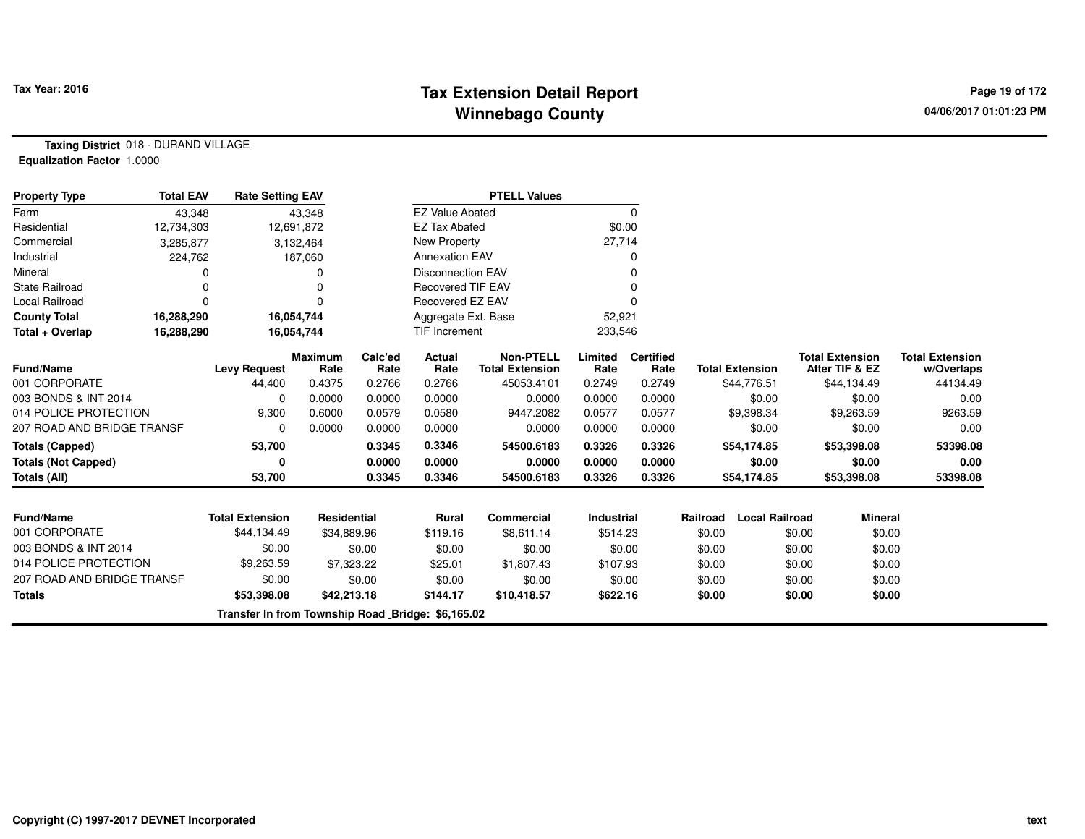## **Tax Extension Detail Report Tax Year: 2016 Page 19 of 172 Winnebago County**

**Taxing District** 018 - DURAND VILLAGE**Equalization Factor** 1.0000

| <b>Total EAV</b><br><b>Rate Setting EAV</b><br><b>Property Type</b> |            |                                                   |                        | <b>PTELL Values</b> |                          |                                            |                   |                          |          |                        |                                          |                                      |
|---------------------------------------------------------------------|------------|---------------------------------------------------|------------------------|---------------------|--------------------------|--------------------------------------------|-------------------|--------------------------|----------|------------------------|------------------------------------------|--------------------------------------|
| Farm                                                                | 43,348     |                                                   | 43,348                 |                     | <b>EZ Value Abated</b>   |                                            |                   | $\Omega$                 |          |                        |                                          |                                      |
| Residential                                                         | 12,734,303 |                                                   | 12,691,872             |                     | <b>EZ Tax Abated</b>     |                                            | \$0.00            |                          |          |                        |                                          |                                      |
| Commercial                                                          | 3,285,877  |                                                   | 3,132,464              |                     | New Property             |                                            | 27,714            |                          |          |                        |                                          |                                      |
| Industrial                                                          | 224,762    |                                                   | 187,060                |                     | <b>Annexation EAV</b>    |                                            |                   | 0                        |          |                        |                                          |                                      |
| Mineral                                                             |            |                                                   |                        |                     | <b>Disconnection EAV</b> |                                            |                   |                          |          |                        |                                          |                                      |
| <b>State Railroad</b>                                               | $\Omega$   |                                                   |                        |                     | <b>Recovered TIF EAV</b> |                                            |                   |                          |          |                        |                                          |                                      |
| <b>Local Railroad</b>                                               | n          |                                                   |                        |                     | <b>Recovered EZ EAV</b>  |                                            |                   |                          |          |                        |                                          |                                      |
| <b>County Total</b>                                                 | 16,288,290 |                                                   | 16,054,744             |                     | Aggregate Ext. Base      |                                            | 52,921            |                          |          |                        |                                          |                                      |
| Total + Overlap                                                     | 16,288,290 |                                                   | 16,054,744             |                     | TIF Increment            |                                            | 233,546           |                          |          |                        |                                          |                                      |
| <b>Fund/Name</b>                                                    |            | <b>Levy Request</b>                               | <b>Maximum</b><br>Rate | Calc'ed<br>Rate     | Actual<br>Rate           | <b>Non-PTELL</b><br><b>Total Extension</b> | Limited<br>Rate   | <b>Certified</b><br>Rate |          | <b>Total Extension</b> | <b>Total Extension</b><br>After TIF & EZ | <b>Total Extension</b><br>w/Overlaps |
| 001 CORPORATE                                                       |            | 44,400                                            | 0.4375                 | 0.2766              | 0.2766                   | 45053.4101                                 | 0.2749            | 0.2749                   |          | \$44,776.51            | \$44,134.49                              | 44134.49                             |
| 003 BONDS & INT 2014                                                |            | 0                                                 | 0.0000                 | 0.0000              | 0.0000                   | 0.0000                                     | 0.0000            | 0.0000                   |          | \$0.00                 | \$0.00                                   | 0.00                                 |
| 014 POLICE PROTECTION                                               |            | 9,300                                             | 0.6000                 | 0.0579              | 0.0580                   | 9447.2082                                  | 0.0577            | 0.0577                   |          | \$9,398.34             | \$9,263.59                               | 9263.59                              |
| 207 ROAD AND BRIDGE TRANSF                                          |            | $\Omega$                                          | 0.0000                 | 0.0000              | 0.0000                   | 0.0000                                     | 0.0000            | 0.0000                   |          | \$0.00                 | \$0.00                                   | 0.00                                 |
| <b>Totals (Capped)</b>                                              |            | 53,700                                            |                        | 0.3345              | 0.3346                   | 54500.6183                                 | 0.3326            | 0.3326                   |          | \$54,174.85            | \$53,398.08                              | 53398.08                             |
| <b>Totals (Not Capped)</b>                                          |            | 0                                                 |                        | 0.0000              | 0.0000                   | 0.0000                                     | 0.0000            | 0.0000                   |          | \$0.00                 | \$0.00                                   | 0.00                                 |
| <b>Totals (All)</b>                                                 |            | 53,700                                            |                        | 0.3345              | 0.3346                   | 54500.6183                                 | 0.3326            | 0.3326                   |          | \$54,174.85            | \$53,398.08                              | 53398.08                             |
|                                                                     |            |                                                   |                        |                     |                          |                                            |                   |                          |          |                        |                                          |                                      |
| <b>Fund/Name</b>                                                    |            | <b>Total Extension</b>                            | Residential            |                     | Rural                    | <b>Commercial</b>                          | <b>Industrial</b> |                          | Railroad | <b>Local Railroad</b>  | <b>Mineral</b>                           |                                      |
| 001 CORPORATE                                                       |            | \$44,134.49                                       | \$34,889.96            |                     | \$119.16                 | \$8,611.14                                 | \$514.23          |                          | \$0.00   |                        | \$0.00<br>\$0.00                         |                                      |
| 003 BONDS & INT 2014                                                |            | \$0.00                                            |                        | \$0.00              | \$0.00                   | \$0.00                                     |                   | \$0.00                   | \$0.00   |                        | \$0.00<br>\$0.00                         |                                      |
| 014 POLICE PROTECTION                                               |            | \$9,263.59                                        |                        | \$7,323.22          | \$25.01                  | \$1,807.43                                 | \$107.93          |                          | \$0.00   |                        | \$0.00<br>\$0.00                         |                                      |
| 207 ROAD AND BRIDGE TRANSF                                          |            | \$0.00                                            |                        | \$0.00              | \$0.00                   | \$0.00                                     |                   | \$0.00                   | \$0.00   |                        | \$0.00<br>\$0.00                         |                                      |
| <b>Totals</b>                                                       |            | \$53,398.08                                       | \$42,213.18            |                     | \$144.17                 | \$10,418.57                                | \$622.16          |                          | \$0.00   |                        | \$0.00<br>\$0.00                         |                                      |
|                                                                     |            | Transfer In from Township Road Bridge: \$6,165.02 |                        |                     |                          |                                            |                   |                          |          |                        |                                          |                                      |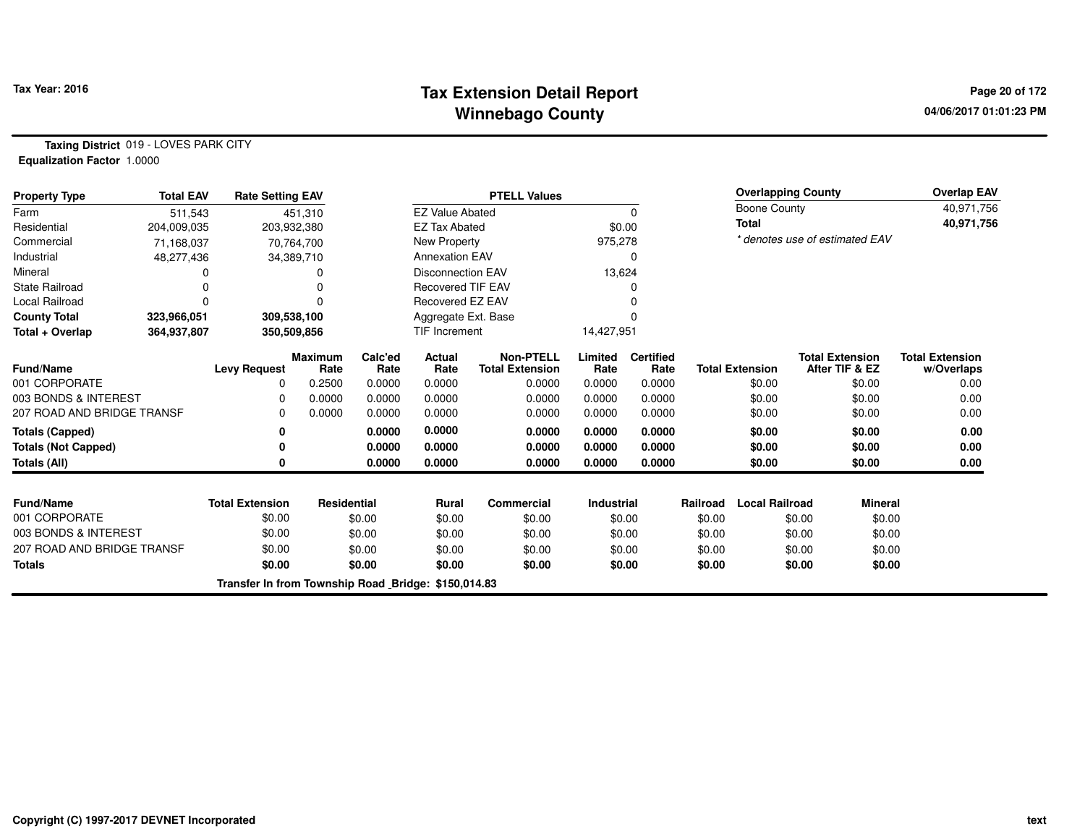## **Tax Extension Detail Report Tax Year: 2016 Page 20 of 172 Winnebago County**

**Taxing District** 019 - LOVES PARK CITY**Equalization Factor** 1.0000

| <b>Property Type</b>       | <b>Total EAV</b> | <b>Rate Setting EAV</b>                             |                        |                 | <b>PTELL Values</b>      |                                            |                 |                          |          |                        | <b>Overlapping County</b>                |                | <b>Overlap EAV</b>                   |
|----------------------------|------------------|-----------------------------------------------------|------------------------|-----------------|--------------------------|--------------------------------------------|-----------------|--------------------------|----------|------------------------|------------------------------------------|----------------|--------------------------------------|
| Farm                       | 511,543          |                                                     | 451,310                |                 | <b>EZ Value Abated</b>   |                                            |                 | 0                        |          | <b>Boone County</b>    |                                          |                | 40,971,756                           |
| Residential                | 204,009,035      |                                                     | 203,932,380            |                 | <b>EZ Tax Abated</b>     |                                            |                 | \$0.00                   |          | <b>Total</b>           |                                          |                | 40,971,756                           |
| Commercial                 | 71,168,037       |                                                     | 70,764,700             |                 | New Property             |                                            | 975,278         |                          |          |                        | * denotes use of estimated EAV           |                |                                      |
| Industrial                 | 48,277,436       |                                                     | 34,389,710             |                 | <b>Annexation EAV</b>    |                                            |                 | 0                        |          |                        |                                          |                |                                      |
| Mineral                    |                  |                                                     |                        |                 | <b>Disconnection EAV</b> |                                            | 13,624          |                          |          |                        |                                          |                |                                      |
| <b>State Railroad</b>      |                  |                                                     |                        |                 | <b>Recovered TIF EAV</b> |                                            |                 |                          |          |                        |                                          |                |                                      |
| Local Railroad             |                  |                                                     |                        |                 | Recovered EZ EAV         |                                            |                 |                          |          |                        |                                          |                |                                      |
| <b>County Total</b>        | 323,966,051      |                                                     | 309,538,100            |                 | Aggregate Ext. Base      |                                            |                 |                          |          |                        |                                          |                |                                      |
| Total + Overlap            | 364,937,807      |                                                     | 350,509,856            |                 | <b>TIF Increment</b>     |                                            | 14,427,951      |                          |          |                        |                                          |                |                                      |
| <b>Fund/Name</b>           |                  | <b>Levy Request</b>                                 | <b>Maximum</b><br>Rate | Calc'ed<br>Rate | Actual<br>Rate           | <b>Non-PTELL</b><br><b>Total Extension</b> | Limited<br>Rate | <b>Certified</b><br>Rate |          | <b>Total Extension</b> | <b>Total Extension</b><br>After TIF & EZ |                | <b>Total Extension</b><br>w/Overlaps |
| 001 CORPORATE              |                  | 0                                                   | 0.2500                 | 0.0000          | 0.0000                   | 0.0000                                     | 0.0000          | 0.0000                   |          | \$0.00                 | \$0.00                                   |                | 0.00                                 |
| 003 BONDS & INTEREST       |                  | $\Omega$                                            | 0.0000                 | 0.0000          | 0.0000                   | 0.0000                                     | 0.0000          | 0.0000                   |          | \$0.00                 | \$0.00                                   |                | 0.00                                 |
| 207 ROAD AND BRIDGE TRANSF |                  | $\Omega$                                            | 0.0000                 | 0.0000          | 0.0000                   | 0.0000                                     | 0.0000          | 0.0000                   |          | \$0.00                 | \$0.00                                   |                | 0.00                                 |
| <b>Totals (Capped)</b>     |                  |                                                     |                        | 0.0000          | 0.0000                   | 0.0000                                     | 0.0000          | 0.0000                   |          | \$0.00                 | \$0.00                                   |                | 0.00                                 |
| <b>Totals (Not Capped)</b> |                  | 0                                                   |                        | 0.0000          | 0.0000                   | 0.0000                                     | 0.0000          | 0.0000                   |          | \$0.00                 | \$0.00                                   |                | 0.00                                 |
| Totals (All)               |                  | 0                                                   |                        | 0.0000          | 0.0000                   | 0.0000                                     | 0.0000          | 0.0000                   |          | \$0.00                 | \$0.00                                   |                | 0.00                                 |
| <b>Fund/Name</b>           |                  | <b>Total Extension</b>                              | Residential            |                 | Rural                    | Commercial                                 | Industrial      |                          | Railroad | <b>Local Railroad</b>  |                                          | <b>Mineral</b> |                                      |
| 001 CORPORATE              |                  | \$0.00                                              |                        | \$0.00          | \$0.00                   | \$0.00                                     |                 | \$0.00                   | \$0.00   |                        | \$0.00                                   | \$0.00         |                                      |
| 003 BONDS & INTEREST       |                  | \$0.00                                              |                        |                 |                          |                                            |                 |                          |          |                        |                                          |                |                                      |
| 207 ROAD AND BRIDGE TRANSF |                  | \$0.00                                              |                        | \$0.00          | \$0.00                   | \$0.00                                     |                 | \$0.00                   | \$0.00   |                        | \$0.00                                   | \$0.00         |                                      |
|                            |                  |                                                     |                        | \$0.00          | \$0.00                   | \$0.00                                     |                 | \$0.00                   | \$0.00   |                        | \$0.00                                   | \$0.00         |                                      |
| <b>Totals</b>              |                  | \$0.00                                              |                        | \$0.00          | \$0.00                   | \$0.00                                     |                 | \$0.00                   | \$0.00   |                        | \$0.00                                   | \$0.00         |                                      |
|                            |                  | Transfer In from Township Road Bridge: \$150,014.83 |                        |                 |                          |                                            |                 |                          |          |                        |                                          |                |                                      |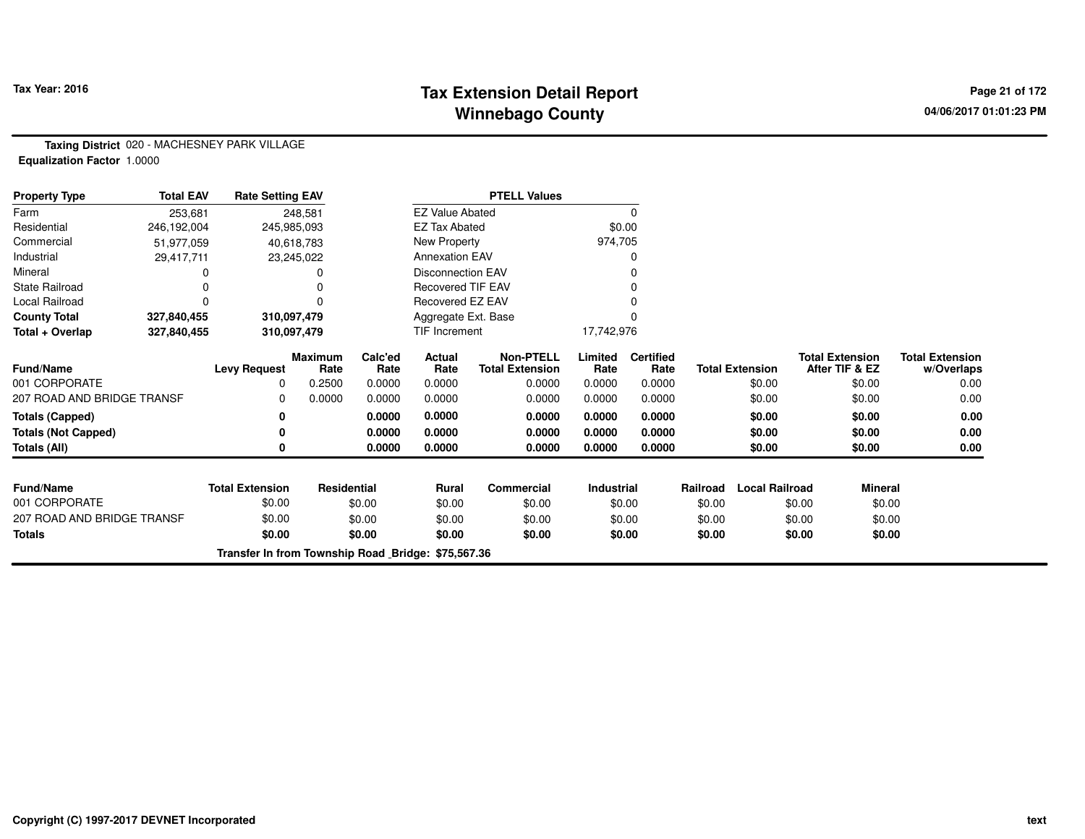## **Tax Extension Detail Report Tax Year: 2016 Page 21 of 172 Winnebago County**

**Taxing District** 020 - MACHESNEY PARK VILLAGE**Equalization Factor** 1.0000

| <b>Property Type</b>       | <b>Total EAV</b> | <b>Rate Setting EAV</b>                            |                        | <b>PTELL Values</b> |                          |                                            |                   |                          |          |                        |                                          |                                      |
|----------------------------|------------------|----------------------------------------------------|------------------------|---------------------|--------------------------|--------------------------------------------|-------------------|--------------------------|----------|------------------------|------------------------------------------|--------------------------------------|
| Farm                       | 253,681          |                                                    | 248,581                |                     | <b>EZ Value Abated</b>   |                                            |                   | 0                        |          |                        |                                          |                                      |
| Residential                | 246,192,004      |                                                    | 245,985,093            |                     | <b>EZ Tax Abated</b>     |                                            | \$0.00            |                          |          |                        |                                          |                                      |
| Commercial                 | 51,977,059       |                                                    | 40,618,783             |                     | New Property             |                                            | 974,705           |                          |          |                        |                                          |                                      |
| Industrial                 | 29,417,711       |                                                    | 23,245,022             |                     | <b>Annexation EAV</b>    |                                            |                   | 0                        |          |                        |                                          |                                      |
| Mineral                    |                  |                                                    |                        |                     | <b>Disconnection EAV</b> |                                            |                   | O                        |          |                        |                                          |                                      |
| <b>State Railroad</b>      |                  |                                                    |                        |                     | <b>Recovered TIF EAV</b> |                                            |                   | O                        |          |                        |                                          |                                      |
| Local Railroad             |                  |                                                    |                        |                     | Recovered EZ EAV         |                                            |                   |                          |          |                        |                                          |                                      |
| <b>County Total</b>        | 327,840,455      |                                                    | 310,097,479            |                     | Aggregate Ext. Base      |                                            |                   | $\Omega$                 |          |                        |                                          |                                      |
| Total + Overlap            | 327,840,455      |                                                    | 310,097,479            |                     | TIF Increment            |                                            | 17,742,976        |                          |          |                        |                                          |                                      |
| Fund/Name                  |                  | <b>Levy Request</b>                                | <b>Maximum</b><br>Rate | Calc'ed<br>Rate     | Actual<br>Rate           | <b>Non-PTELL</b><br><b>Total Extension</b> | Limited<br>Rate   | <b>Certified</b><br>Rate |          | <b>Total Extension</b> | <b>Total Extension</b><br>After TIF & EZ | <b>Total Extension</b><br>w/Overlaps |
| 001 CORPORATE              |                  | 0                                                  | 0.2500                 | 0.0000              | 0.0000                   | 0.0000                                     | 0.0000            | 0.0000                   |          | \$0.00                 | \$0.00                                   | 0.00                                 |
| 207 ROAD AND BRIDGE TRANSF |                  | $\Omega$                                           | 0.0000                 | 0.0000              | 0.0000                   | 0.0000                                     | 0.0000            | 0.0000                   |          | \$0.00                 | \$0.00                                   | 0.00                                 |
| <b>Totals (Capped)</b>     |                  | 0                                                  |                        | 0.0000              | 0.0000                   | 0.0000                                     | 0.0000            | 0.0000                   |          | \$0.00                 | \$0.00                                   | 0.00                                 |
| <b>Totals (Not Capped)</b> |                  | 0                                                  |                        | 0.0000              | 0.0000                   | 0.0000                                     | 0.0000            | 0.0000                   |          | \$0.00                 | \$0.00                                   | 0.00                                 |
| Totals (All)               |                  | 0                                                  |                        | 0.0000              | 0.0000                   | 0.0000                                     | 0.0000            | 0.0000                   |          | \$0.00                 | \$0.00                                   | 0.00                                 |
|                            |                  |                                                    |                        |                     |                          |                                            |                   |                          |          |                        |                                          |                                      |
| <b>Fund/Name</b>           |                  | <b>Total Extension</b>                             | Residential            |                     | <b>Rural</b>             | Commercial                                 | <b>Industrial</b> |                          | Railroad | <b>Local Railroad</b>  | <b>Mineral</b>                           |                                      |
| 001 CORPORATE              |                  | \$0.00                                             |                        | \$0.00              | \$0.00                   | \$0.00                                     |                   | \$0.00                   | \$0.00   |                        | \$0.00<br>\$0.00                         |                                      |
| 207 ROAD AND BRIDGE TRANSF |                  | \$0.00                                             |                        | \$0.00              | \$0.00                   | \$0.00                                     |                   | \$0.00                   | \$0.00   |                        | \$0.00<br>\$0.00                         |                                      |
| <b>Totals</b>              |                  | \$0.00                                             |                        | \$0.00              | \$0.00                   | \$0.00                                     |                   | \$0.00                   | \$0.00   |                        | \$0.00<br>\$0.00                         |                                      |
|                            |                  | Transfer In from Township Road Bridge: \$75,567.36 |                        |                     |                          |                                            |                   |                          |          |                        |                                          |                                      |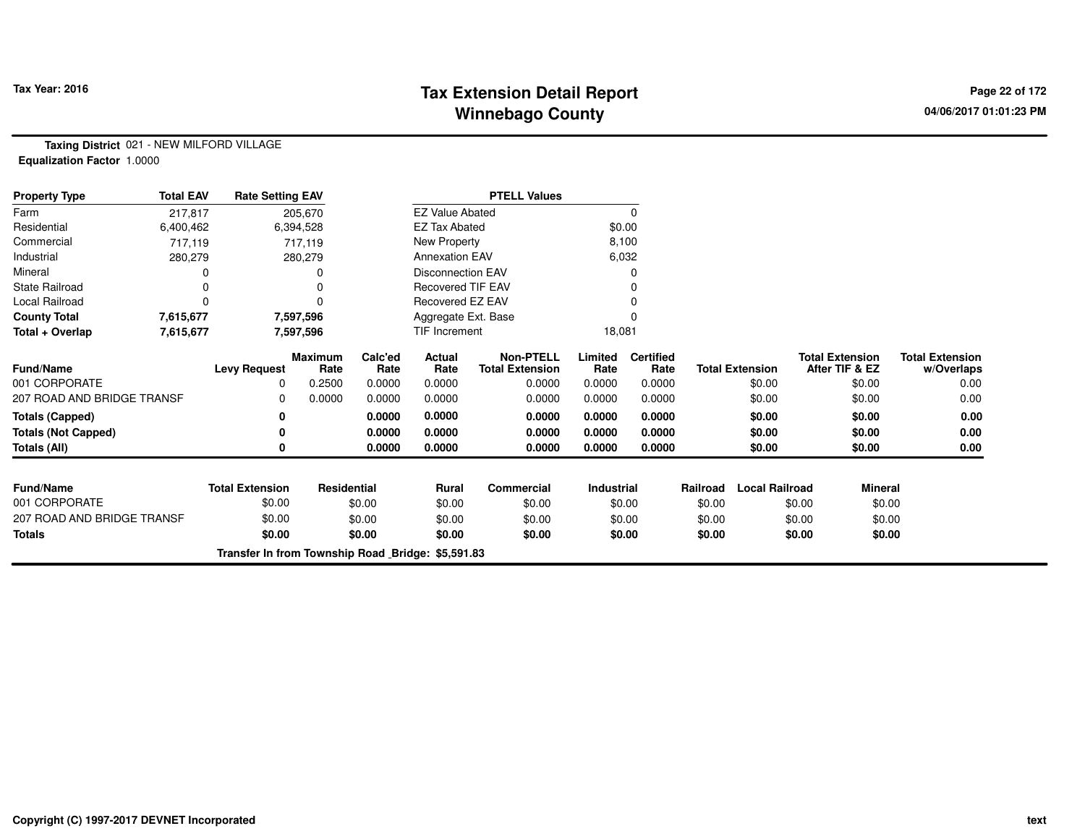## **Tax Extension Detail Report Tax Year: 2016 Page 22 of 172 Winnebago County**

**Taxing District** 021 - NEW MILFORD VILLAGE**Equalization Factor** 1.0000

| <b>Property Type</b>       | <b>Total EAV</b> | <b>Rate Setting EAV</b>                           |                        |                 |                          | <b>PTELL Values</b>                        |                   |                          |          |                        |                                          |                                      |
|----------------------------|------------------|---------------------------------------------------|------------------------|-----------------|--------------------------|--------------------------------------------|-------------------|--------------------------|----------|------------------------|------------------------------------------|--------------------------------------|
| Farm                       | 217,817          |                                                   | 205,670                |                 | <b>EZ Value Abated</b>   |                                            |                   | 0                        |          |                        |                                          |                                      |
| Residential                | 6,400,462        |                                                   | 6,394,528              |                 | <b>EZ Tax Abated</b>     |                                            | \$0.00            |                          |          |                        |                                          |                                      |
| Commercial                 | 717,119          |                                                   | 717,119                |                 | New Property             |                                            | 8,100             |                          |          |                        |                                          |                                      |
| Industrial                 | 280,279          |                                                   | 280,279                |                 | <b>Annexation EAV</b>    |                                            | 6,032             |                          |          |                        |                                          |                                      |
| Mineral                    |                  |                                                   |                        |                 | <b>Disconnection EAV</b> |                                            |                   | 0                        |          |                        |                                          |                                      |
| <b>State Railroad</b>      | 0                |                                                   |                        |                 | <b>Recovered TIF EAV</b> |                                            |                   |                          |          |                        |                                          |                                      |
| Local Railroad             |                  |                                                   |                        |                 | Recovered EZ EAV         |                                            |                   |                          |          |                        |                                          |                                      |
| <b>County Total</b>        | 7,615,677        |                                                   | 7,597,596              |                 | Aggregate Ext. Base      |                                            |                   | $\Omega$                 |          |                        |                                          |                                      |
| Total + Overlap            | 7,615,677        |                                                   | 7,597,596              |                 | <b>TIF Increment</b>     |                                            | 18,081            |                          |          |                        |                                          |                                      |
| Fund/Name                  |                  | <b>Levy Request</b>                               | <b>Maximum</b><br>Rate | Calc'ed<br>Rate | Actual<br>Rate           | <b>Non-PTELL</b><br><b>Total Extension</b> | Limited<br>Rate   | <b>Certified</b><br>Rate |          | <b>Total Extension</b> | <b>Total Extension</b><br>After TIF & EZ | <b>Total Extension</b><br>w/Overlaps |
| 001 CORPORATE              |                  | 0                                                 | 0.2500                 | 0.0000          | 0.0000                   | 0.0000                                     | 0.0000            | 0.0000                   |          | \$0.00                 | \$0.00                                   | 0.00                                 |
| 207 ROAD AND BRIDGE TRANSF |                  | 0                                                 | 0.0000                 | 0.0000          | 0.0000                   | 0.0000                                     | 0.0000            | 0.0000                   |          | \$0.00                 | \$0.00                                   | 0.00                                 |
| <b>Totals (Capped)</b>     |                  | 0                                                 |                        | 0.0000          | 0.0000                   | 0.0000                                     | 0.0000            | 0.0000                   |          | \$0.00                 | \$0.00                                   | 0.00                                 |
| <b>Totals (Not Capped)</b> |                  |                                                   |                        | 0.0000          | 0.0000                   | 0.0000                                     | 0.0000            | 0.0000                   |          | \$0.00                 | \$0.00                                   | 0.00                                 |
| <b>Totals (All)</b>        |                  |                                                   |                        | 0.0000          | 0.0000                   | 0.0000                                     | 0.0000            | 0.0000                   |          | \$0.00                 | \$0.00                                   | 0.00                                 |
| <b>Fund/Name</b>           |                  | <b>Total Extension</b>                            | Residential            |                 | <b>Rural</b>             | Commercial                                 | <b>Industrial</b> |                          | Railroad | <b>Local Railroad</b>  | <b>Mineral</b>                           |                                      |
| 001 CORPORATE              |                  | \$0.00                                            |                        | \$0.00          | \$0.00                   | \$0.00                                     | \$0.00            |                          | \$0.00   |                        | \$0.00<br>\$0.00                         |                                      |
| 207 ROAD AND BRIDGE TRANSF |                  | \$0.00                                            |                        | \$0.00          | \$0.00                   | \$0.00                                     |                   | \$0.00                   | \$0.00   |                        | \$0.00<br>\$0.00                         |                                      |
| <b>Totals</b>              |                  | \$0.00                                            |                        | \$0.00          | \$0.00                   | \$0.00                                     |                   | \$0.00                   | \$0.00   |                        | \$0.00<br>\$0.00                         |                                      |
|                            |                  | Transfer In from Township Road Bridge: \$5,591.83 |                        |                 |                          |                                            |                   |                          |          |                        |                                          |                                      |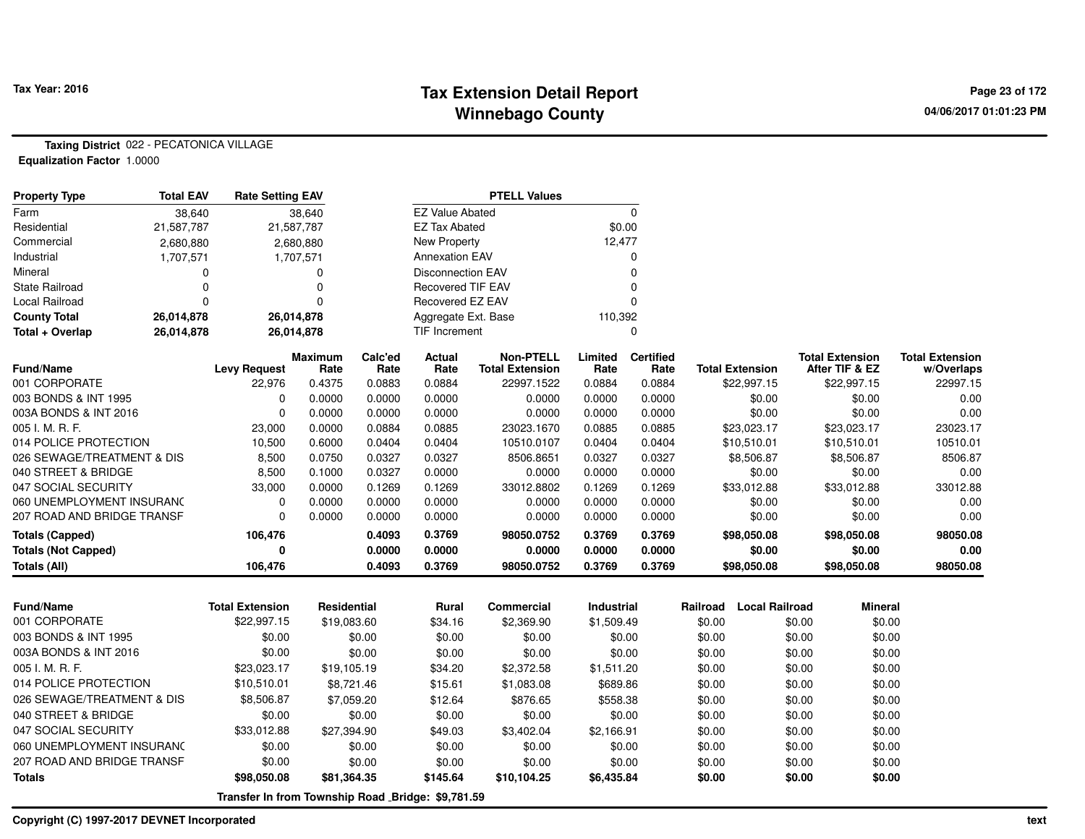## **Tax Extension Detail Report Tax Year: 2016 Page 23 of 172 Winnebago County**

**Taxing District** 022 - PECATONICA VILLAGE

**Equalization Factor** 1.0000

| <b>Total EAV</b><br><b>Property Type</b> |            | <b>Rate Setting EAV</b> |                        |                 |                          | <b>PTELL Values</b>                        |                 |                          |          |                       |                                          |                                      |
|------------------------------------------|------------|-------------------------|------------------------|-----------------|--------------------------|--------------------------------------------|-----------------|--------------------------|----------|-----------------------|------------------------------------------|--------------------------------------|
| Farm                                     | 38,640     |                         | 38,640                 |                 | <b>EZ Value Abated</b>   |                                            |                 | $\mathbf 0$              |          |                       |                                          |                                      |
| Residential                              | 21,587,787 |                         | 21,587,787             |                 | <b>EZ Tax Abated</b>     |                                            | \$0.00          |                          |          |                       |                                          |                                      |
| Commercial                               | 2,680,880  |                         | 2,680,880              |                 | New Property             |                                            | 12,477          |                          |          |                       |                                          |                                      |
| Industrial                               | 1,707,571  |                         | 1,707,571              |                 | <b>Annexation EAV</b>    |                                            |                 | 0                        |          |                       |                                          |                                      |
| Mineral                                  | 0          |                         | 0                      |                 | <b>Disconnection EAV</b> |                                            |                 | $\Omega$                 |          |                       |                                          |                                      |
| <b>State Railroad</b>                    | $\Omega$   |                         | $\Omega$               |                 | <b>Recovered TIF EAV</b> |                                            |                 | $\Omega$                 |          |                       |                                          |                                      |
| <b>Local Railroad</b>                    | $\Omega$   |                         | $\Omega$               |                 | Recovered EZ EAV         |                                            |                 | $\Omega$                 |          |                       |                                          |                                      |
| <b>County Total</b>                      | 26,014,878 |                         | 26,014,878             |                 | Aggregate Ext. Base      |                                            | 110,392         |                          |          |                       |                                          |                                      |
| Total + Overlap                          | 26,014,878 |                         | 26,014,878             |                 | <b>TIF Increment</b>     |                                            |                 | $\mathbf 0$              |          |                       |                                          |                                      |
| <b>Fund/Name</b>                         |            | <b>Levy Request</b>     | <b>Maximum</b><br>Rate | Calc'ed<br>Rate | Actual<br>Rate           | <b>Non-PTELL</b><br><b>Total Extension</b> | Limited<br>Rate | <b>Certified</b><br>Rate |          | Total Extension       | <b>Total Extension</b><br>After TIF & EZ | <b>Total Extension</b><br>w/Overlaps |
| 001 CORPORATE                            |            | 22,976                  | 0.4375                 | 0.0883          | 0.0884                   | 22997.1522                                 | 0.0884          | 0.0884                   |          | \$22,997.15           | \$22,997.15                              | 22997.15                             |
| 003 BONDS & INT 1995                     |            | $\Omega$                | 0.0000                 | 0.0000          | 0.0000                   | 0.0000                                     | 0.0000          | 0.0000                   |          | \$0.00                | \$0.00                                   | 0.00                                 |
| 003A BONDS & INT 2016                    |            | $\Omega$                | 0.0000                 | 0.0000          | 0.0000                   | 0.0000                                     | 0.0000          | 0.0000                   |          | \$0.00                | \$0.00                                   | 0.00                                 |
| 005 I. M. R. F.                          |            | 23,000                  | 0.0000                 | 0.0884          | 0.0885                   | 23023.1670                                 | 0.0885          | 0.0885                   |          | \$23,023.17           | \$23,023.17                              | 23023.17                             |
| 014 POLICE PROTECTION                    |            | 10,500                  | 0.6000                 | 0.0404          | 0.0404                   | 10510.0107                                 | 0.0404          | 0.0404                   |          | \$10,510.01           | \$10,510.01                              | 10510.01                             |
| 026 SEWAGE/TREATMENT & DIS               |            | 8,500                   | 0.0750                 | 0.0327          | 0.0327                   | 8506.8651                                  | 0.0327          | 0.0327                   |          | \$8,506.87            | \$8,506.87                               | 8506.87                              |
| 040 STREET & BRIDGE                      |            | 8,500                   | 0.1000                 | 0.0327          | 0.0000                   | 0.0000                                     | 0.0000          | 0.0000                   |          | \$0.00                | \$0.00                                   | 0.00                                 |
| 047 SOCIAL SECURITY                      |            | 33,000                  | 0.0000                 | 0.1269          | 0.1269                   | 33012.8802                                 | 0.1269          | 0.1269                   |          | \$33,012.88           | \$33,012.88                              | 33012.88                             |
| 060 UNEMPLOYMENT INSURANC                |            | $\Omega$                | 0.0000                 | 0.0000          | 0.0000                   | 0.0000                                     | 0.0000          | 0.0000                   |          | \$0.00                | \$0.00                                   | 0.00                                 |
| 207 ROAD AND BRIDGE TRANSF               |            | 0                       | 0.0000                 | 0.0000          | 0.0000                   | 0.0000                                     | 0.0000          | 0.0000                   |          | \$0.00                | \$0.00                                   | 0.00                                 |
| <b>Totals (Capped)</b>                   |            | 106,476                 |                        | 0.4093          | 0.3769                   | 98050.0752                                 | 0.3769          | 0.3769                   |          | \$98,050.08           | \$98,050.08                              | 98050.08                             |
| <b>Totals (Not Capped)</b>               |            | 0                       |                        | 0.0000          | 0.0000                   | 0.0000                                     | 0.0000          | 0.0000                   |          | \$0.00                | \$0.00                                   | 0.00                                 |
| Totals (All)                             |            | 106,476                 |                        | 0.4093          | 0.3769                   | 98050.0752                                 | 0.3769          | 0.3769                   |          | \$98,050.08           | \$98,050.08                              | 98050.08                             |
|                                          |            |                         |                        |                 |                          |                                            |                 |                          |          |                       |                                          |                                      |
| <b>Fund/Name</b>                         |            | <b>Total Extension</b>  | <b>Residential</b>     |                 | Rural                    | <b>Commercial</b>                          | Industrial      |                          | Railroad | <b>Local Railroad</b> | <b>Mineral</b>                           |                                      |
| 001 CORPORATE                            |            | \$22,997.15             | \$19,083.60            |                 | \$34.16                  | \$2,369.90                                 | \$1,509.49      |                          | \$0.00   |                       | \$0.00<br>\$0.00                         |                                      |
| 003 BONDS & INT 1995                     |            | \$0.00                  |                        | \$0.00          | \$0.00                   | \$0.00                                     | \$0.00          |                          | \$0.00   |                       | \$0.00<br>\$0.00                         |                                      |
| 003A BONDS & INT 2016                    |            | \$0.00                  |                        | \$0.00          | \$0.00                   | \$0.00                                     | \$0.00          |                          | \$0.00   |                       | \$0.00<br>\$0.00                         |                                      |
| 005 I. M. R. F.                          |            | \$23,023.17             | \$19,105.19            |                 | \$34.20                  | \$2,372.58                                 | \$1,511.20      |                          | \$0.00   |                       | \$0.00<br>\$0.00                         |                                      |
| 014 POLICE PROTECTION                    |            | \$10,510.01             |                        | \$8,721.46      | \$15.61                  | \$1,083.08                                 | \$689.86        |                          | \$0.00   |                       | \$0.00<br>\$0.00                         |                                      |
| 026 SEWAGE/TREATMENT & DIS               |            | \$8,506.87              |                        | \$7,059.20      | \$12.64                  | \$876.65                                   | \$558.38        |                          | \$0.00   |                       | \$0.00<br>\$0.00                         |                                      |
| 040 STREET & BRIDGE                      |            | \$0.00                  |                        | \$0.00          | \$0.00                   | \$0.00                                     | \$0.00          |                          | \$0.00   |                       | \$0.00<br>\$0.00                         |                                      |
| 047 SOCIAL SECURITY                      |            | \$33,012.88             | \$27,394.90            |                 | \$49.03                  | \$3,402.04                                 | \$2,166.91      |                          | \$0.00   |                       | \$0.00<br>\$0.00                         |                                      |
| 060 UNEMPLOYMENT INSURANC                |            | \$0.00                  |                        | \$0.00          | \$0.00                   | \$0.00                                     |                 | \$0.00                   | \$0.00   |                       | \$0.00<br>\$0.00                         |                                      |
| 207 ROAD AND BRIDGE TRANSF               |            | \$0.00                  |                        | \$0.00          | \$0.00                   | \$0.00                                     | \$0.00          |                          | \$0.00   |                       | \$0.00<br>\$0.00                         |                                      |

**\$98,050.08 \$81,364.35 \$145.64 \$10,104.25 \$6,435.84 \$0.00 \$0.00 \$0.00**

**Transfer In from Township Road Bridge: \$9,781.59**

**Totals**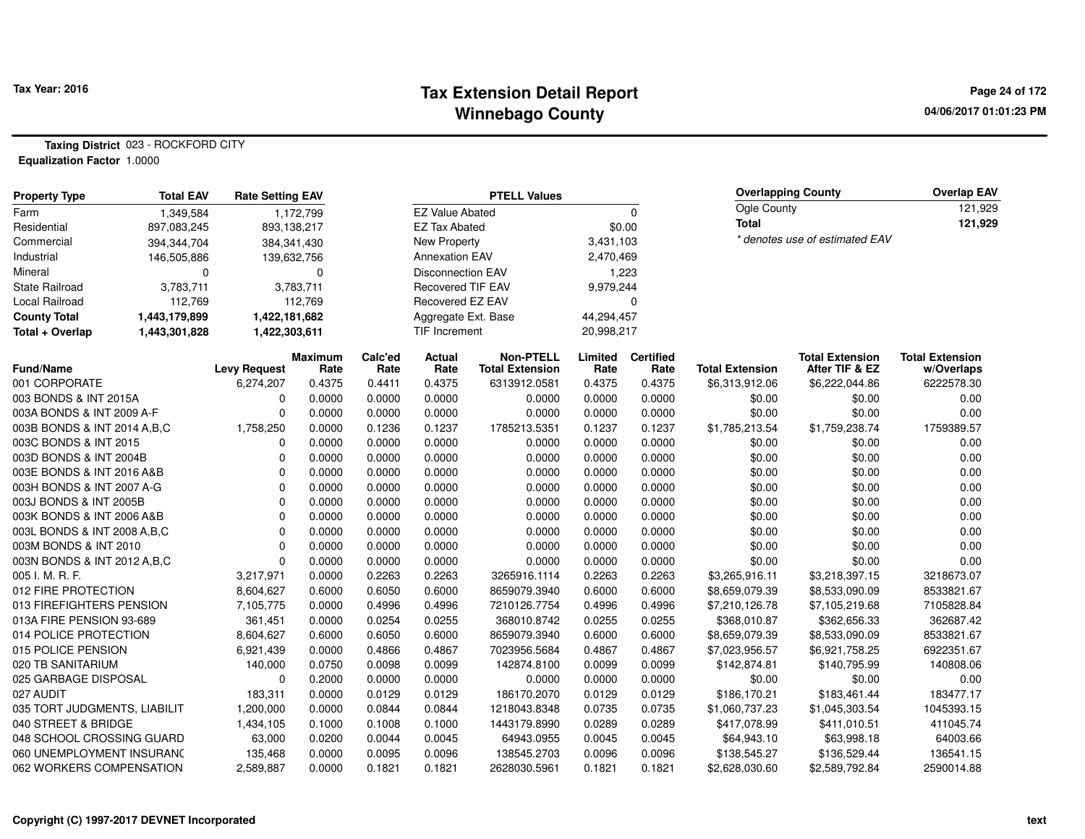#### **Tax Extension Detail Report Tax Year: 2016 Page 24 of 172 Winnebago County**

**04/06/2017 01:01:23 PM**

#### **Taxing District** 023 - ROCKFORD CITY**Equalization Factor** 1.0000

| <b>Property Type</b>         | <b>Total EAV</b> | <b>Rate Setting EAV</b> |                 |                 |                          | <b>PTELL Values</b>                        |                 |                          |                        | <b>Overlapping County</b>                | <b>Overlap EAV</b>                   |
|------------------------------|------------------|-------------------------|-----------------|-----------------|--------------------------|--------------------------------------------|-----------------|--------------------------|------------------------|------------------------------------------|--------------------------------------|
| Farm                         | 1,349,584        |                         | 1,172,799       |                 | <b>EZ Value Abated</b>   |                                            |                 | $\Omega$                 | Ogle County            |                                          | 121,929                              |
| Residential                  | 897,083,245      |                         | 893,138,217     |                 | <b>EZ Tax Abated</b>     |                                            |                 | \$0.00                   | <b>Total</b>           |                                          | 121,929                              |
| Commercial                   | 394,344,704      |                         | 384, 341, 430   |                 | New Property             |                                            | 3,431,103       |                          |                        | * denotes use of estimated EAV           |                                      |
| Industrial                   | 146,505,886      |                         | 139,632,756     |                 | <b>Annexation EAV</b>    |                                            | 2,470,469       |                          |                        |                                          |                                      |
| Mineral                      | 0                |                         | 0               |                 | <b>Disconnection EAV</b> |                                            | 1,223           |                          |                        |                                          |                                      |
| <b>State Railroad</b>        | 3,783,711        |                         | 3,783,711       |                 | Recovered TIF EAV        |                                            | 9,979,244       |                          |                        |                                          |                                      |
| Local Railroad               | 112,769          |                         | 112,769         |                 | Recovered EZ EAV         |                                            |                 | $\mathbf 0$              |                        |                                          |                                      |
| <b>County Total</b>          | 1,443,179,899    | 1,422,181,682           |                 |                 | Aggregate Ext. Base      |                                            | 44,294,457      |                          |                        |                                          |                                      |
| Total + Overlap              | 1,443,301,828    | 1,422,303,611           |                 |                 | TIF Increment            |                                            | 20,998,217      |                          |                        |                                          |                                      |
| Fund/Name                    |                  | <b>Levy Request</b>     | Maximum<br>Rate | Calc'ed<br>Rate | Actual<br>Rate           | <b>Non-PTELL</b><br><b>Total Extension</b> | Limited<br>Rate | <b>Certified</b><br>Rate | <b>Total Extension</b> | <b>Total Extension</b><br>After TIF & EZ | <b>Total Extension</b><br>w/Overlaps |
| 001 CORPORATE                |                  | 6,274,207               | 0.4375          | 0.4411          | 0.4375                   | 6313912.0581                               | 0.4375          | 0.4375                   | \$6,313,912.06         | \$6,222,044.86                           | 6222578.30                           |
| 003 BONDS & INT 2015A        |                  | 0                       | 0.0000          | 0.0000          | 0.0000                   | 0.0000                                     | 0.0000          | 0.0000                   | \$0.00                 | \$0.00                                   | 0.00                                 |
| 003A BONDS & INT 2009 A-F    |                  | 0                       | 0.0000          | 0.0000          | 0.0000                   | 0.0000                                     | 0.0000          | 0.0000                   | \$0.00                 | \$0.00                                   | 0.00                                 |
| 003B BONDS & INT 2014 A,B,C  |                  | 1,758,250               | 0.0000          | 0.1236          | 0.1237                   | 1785213.5351                               | 0.1237          | 0.1237                   | \$1,785,213.54         | \$1,759,238.74                           | 1759389.57                           |
| 003C BONDS & INT 2015        |                  | $\Omega$                | 0.0000          | 0.0000          | 0.0000                   | 0.0000                                     | 0.0000          | 0.0000                   | \$0.00                 | \$0.00                                   | 0.00                                 |
| 003D BONDS & INT 2004B       |                  | $\Omega$                | 0.0000          | 0.0000          | 0.0000                   | 0.0000                                     | 0.0000          | 0.0000                   | \$0.00                 | \$0.00                                   | 0.00                                 |
| 003E BONDS & INT 2016 A&B    |                  | $\Omega$                | 0.0000          | 0.0000          | 0.0000                   | 0.0000                                     | 0.0000          | 0.0000                   | \$0.00                 | \$0.00                                   | 0.00                                 |
| 003H BONDS & INT 2007 A-G    |                  | $\Omega$                | 0.0000          | 0.0000          | 0.0000                   | 0.0000                                     | 0.0000          | 0.0000                   | \$0.00                 | \$0.00                                   | 0.00                                 |
| 003J BONDS & INT 2005B       |                  | $\mathbf 0$             | 0.0000          | 0.0000          | 0.0000                   | 0.0000                                     | 0.0000          | 0.0000                   | \$0.00                 | \$0.00                                   | 0.00                                 |
| 003K BONDS & INT 2006 A&B    |                  | $\mathbf 0$             | 0.0000          | 0.0000          | 0.0000                   | 0.0000                                     | 0.0000          | 0.0000                   | \$0.00                 | \$0.00                                   | 0.00                                 |
| 003L BONDS & INT 2008 A,B,C  |                  | $\Omega$                | 0.0000          | 0.0000          | 0.0000                   | 0.0000                                     | 0.0000          | 0.0000                   | \$0.00                 | \$0.00                                   | 0.00                                 |
| 003M BONDS & INT 2010        |                  | $\Omega$                | 0.0000          | 0.0000          | 0.0000                   | 0.0000                                     | 0.0000          | 0.0000                   | \$0.00                 | \$0.00                                   | 0.00                                 |
| 003N BONDS & INT 2012 A,B,C  |                  | $\mathbf 0$             | 0.0000          | 0.0000          | 0.0000                   | 0.0000                                     | 0.0000          | 0.0000                   | \$0.00                 | \$0.00                                   | 0.00                                 |
| 005 I. M. R. F.              |                  | 3,217,971               | 0.0000          | 0.2263          | 0.2263                   | 3265916.1114                               | 0.2263          | 0.2263                   | \$3,265,916.11         | \$3,218,397.15                           | 3218673.07                           |
| 012 FIRE PROTECTION          |                  | 8,604,627               | 0.6000          | 0.6050          | 0.6000                   | 8659079.3940                               | 0.6000          | 0.6000                   | \$8,659,079.39         | \$8,533,090.09                           | 8533821.67                           |
| 013 FIREFIGHTERS PENSION     |                  | 7,105,775               | 0.0000          | 0.4996          | 0.4996                   | 7210126.7754                               | 0.4996          | 0.4996                   | \$7,210,126.78         | \$7,105,219.68                           | 7105828.84                           |
| 013A FIRE PENSION 93-689     |                  | 361,451                 | 0.0000          | 0.0254          | 0.0255                   | 368010.8742                                | 0.0255          | 0.0255                   | \$368,010.87           | \$362,656.33                             | 362687.42                            |
| 014 POLICE PROTECTION        |                  | 8,604,627               | 0.6000          | 0.6050          | 0.6000                   | 8659079.3940                               | 0.6000          | 0.6000                   | \$8,659,079.39         | \$8,533,090.09                           | 8533821.67                           |
| 015 POLICE PENSION           |                  | 6,921,439               | 0.0000          | 0.4866          | 0.4867                   | 7023956.5684                               | 0.4867          | 0.4867                   | \$7,023,956.57         | \$6,921,758.25                           | 6922351.67                           |
| 020 TB SANITARIUM            |                  | 140,000                 | 0.0750          | 0.0098          | 0.0099                   | 142874.8100                                | 0.0099          | 0.0099                   | \$142,874.81           | \$140,795.99                             | 140808.06                            |
| 025 GARBAGE DISPOSAL         |                  | 0                       | 0.2000          | 0.0000          | 0.0000                   | 0.0000                                     | 0.0000          | 0.0000                   | \$0.00                 | \$0.00                                   | 0.00                                 |
| 027 AUDIT                    |                  | 183,311                 | 0.0000          | 0.0129          | 0.0129                   | 186170.2070                                | 0.0129          | 0.0129                   | \$186,170.21           | \$183,461.44                             | 183477.17                            |
| 035 TORT JUDGMENTS, LIABILIT |                  | 1,200,000               | 0.0000          | 0.0844          | 0.0844                   | 1218043.8348                               | 0.0735          | 0.0735                   | \$1,060,737.23         | \$1,045,303.54                           | 1045393.15                           |
| 040 STREET & BRIDGE          |                  | 1,434,105               | 0.1000          | 0.1008          | 0.1000                   | 1443179.8990                               | 0.0289          | 0.0289                   | \$417,078.99           | \$411,010.51                             | 411045.74                            |
| 048 SCHOOL CROSSING GUARD    |                  | 63,000                  | 0.0200          | 0.0044          | 0.0045                   | 64943.0955                                 | 0.0045          | 0.0045                   | \$64,943.10            | \$63,998.18                              | 64003.66                             |
| 060 UNEMPLOYMENT INSURANC    |                  | 135,468                 | 0.0000          | 0.0095          | 0.0096                   | 138545.2703                                | 0.0096          | 0.0096                   | \$138,545.27           | \$136,529.44                             | 136541.15                            |
| 062 WORKERS COMPENSATION     |                  | 2,589,887               | 0.0000          | 0.1821          | 0.1821                   | 2628030.5961                               | 0.1821          | 0.1821                   | \$2,628,030.60         | \$2,589,792.84                           | 2590014.88                           |
|                              |                  |                         |                 |                 |                          |                                            |                 |                          |                        |                                          |                                      |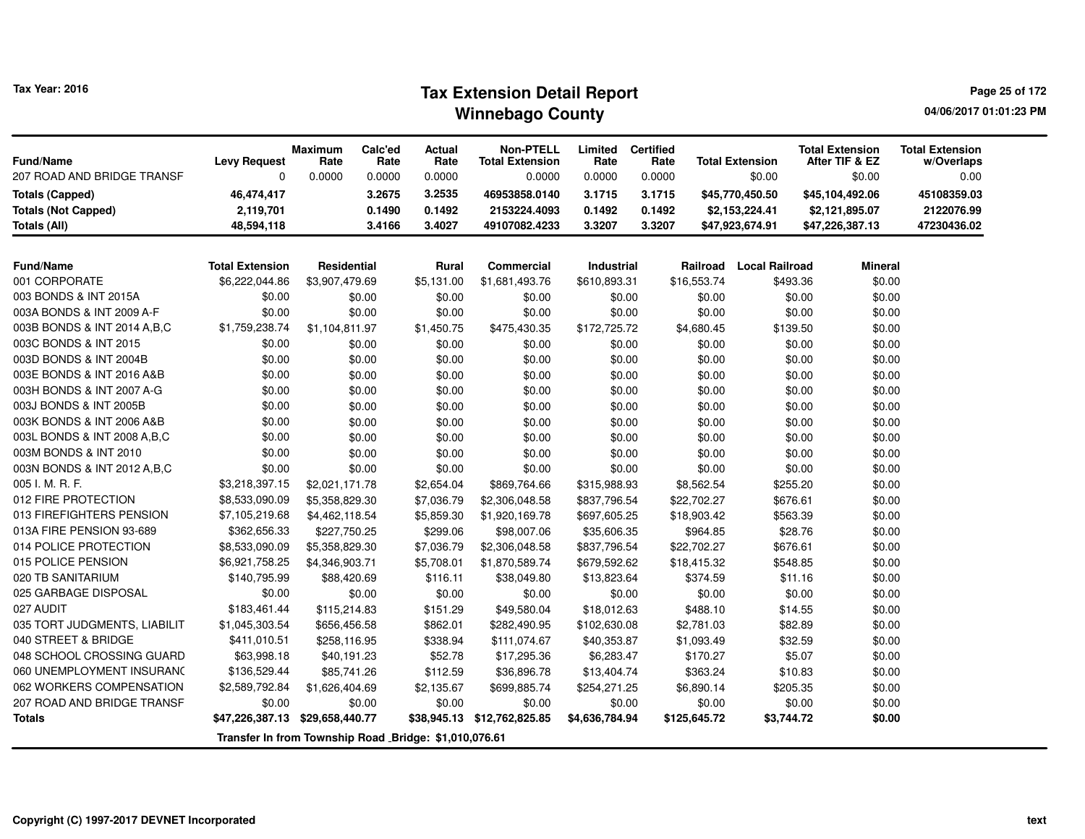# **Tax Extension Detail Report Tax Year: 2016 Page 25 of 172 Winnebago County**

**04/06/2017 01:01:23 PM**

| <b>Fund/Name</b><br>207 ROAD AND BRIDGE TRANSF | <b>Levy Request</b><br>0                               | Maximum<br>Rate<br>0.0000 | Calc'ed<br>Rate<br>0.0000 | Actual<br>Rate<br>0.0000 | <b>Non-PTELL</b><br><b>Total Extension</b><br>0.0000 | Limited<br>Rate<br>0.0000 | <b>Certified</b><br>Rate<br>0.0000 |              | <b>Total Extension</b><br>\$0.00 | <b>Total Extension</b><br>After TIF & EZ<br>\$0.00 | <b>Total Extension</b><br>w/Overlaps<br>0.00 |
|------------------------------------------------|--------------------------------------------------------|---------------------------|---------------------------|--------------------------|------------------------------------------------------|---------------------------|------------------------------------|--------------|----------------------------------|----------------------------------------------------|----------------------------------------------|
| <b>Totals (Capped)</b>                         | 46,474,417                                             |                           | 3.2675                    | 3.2535                   | 46953858.0140                                        | 3.1715                    | 3.1715                             |              | \$45,770,450.50                  | \$45,104,492.06                                    | 45108359.03                                  |
| <b>Totals (Not Capped)</b>                     | 2,119,701                                              |                           | 0.1490                    | 0.1492                   | 2153224.4093                                         | 0.1492                    | 0.1492                             |              | \$2,153,224.41                   | \$2,121,895.07                                     | 2122076.99                                   |
| Totals (All)                                   | 48,594,118                                             |                           | 3.4166                    | 3.4027                   | 49107082.4233                                        | 3.3207                    | 3.3207                             |              | \$47,923,674.91                  | \$47,226,387.13                                    | 47230436.02                                  |
| <b>Fund/Name</b>                               | <b>Total Extension</b>                                 | <b>Residential</b>        |                           | <b>Rural</b>             | <b>Commercial</b>                                    | Industrial                |                                    | Railroad     | <b>Local Railroad</b>            | <b>Mineral</b>                                     |                                              |
| 001 CORPORATE                                  | \$6,222,044.86                                         | \$3,907,479.69            |                           | \$5,131.00               | \$1,681,493.76                                       | \$610,893.31              |                                    | \$16,553.74  | \$493.36                         | \$0.00                                             |                                              |
| 003 BONDS & INT 2015A                          | \$0.00                                                 |                           | \$0.00                    | \$0.00                   | \$0.00                                               | \$0.00                    |                                    | \$0.00       | \$0.00                           | \$0.00                                             |                                              |
| 003A BONDS & INT 2009 A-F                      | \$0.00                                                 |                           | \$0.00                    | \$0.00                   | \$0.00                                               | \$0.00                    |                                    | \$0.00       | \$0.00                           | \$0.00                                             |                                              |
| 003B BONDS & INT 2014 A, B, C                  | \$1,759,238.74                                         | \$1,104,811.97            |                           | \$1,450.75               | \$475,430.35                                         | \$172,725.72              |                                    | \$4,680.45   | \$139.50                         | \$0.00                                             |                                              |
| 003C BONDS & INT 2015                          | \$0.00                                                 |                           | \$0.00                    | \$0.00                   | \$0.00                                               | \$0.00                    |                                    | \$0.00       | \$0.00                           | \$0.00                                             |                                              |
| 003D BONDS & INT 2004B                         | \$0.00                                                 |                           | \$0.00                    | \$0.00                   | \$0.00                                               | \$0.00                    |                                    | \$0.00       | \$0.00                           | \$0.00                                             |                                              |
| 003E BONDS & INT 2016 A&B                      | \$0.00                                                 |                           | \$0.00                    | \$0.00                   | \$0.00                                               | \$0.00                    |                                    | \$0.00       | \$0.00                           | \$0.00                                             |                                              |
| 003H BONDS & INT 2007 A-G                      | \$0.00                                                 |                           | \$0.00                    | \$0.00                   | \$0.00                                               | \$0.00                    |                                    | \$0.00       | \$0.00                           | \$0.00                                             |                                              |
| 003J BONDS & INT 2005B                         | \$0.00                                                 |                           | \$0.00                    | \$0.00                   | \$0.00                                               | \$0.00                    |                                    | \$0.00       | \$0.00                           | \$0.00                                             |                                              |
| 003K BONDS & INT 2006 A&B                      | \$0.00                                                 |                           | \$0.00                    | \$0.00                   | \$0.00                                               | \$0.00                    |                                    | \$0.00       | \$0.00                           | \$0.00                                             |                                              |
| 003L BONDS & INT 2008 A, B, C                  | \$0.00                                                 |                           | \$0.00                    | \$0.00                   | \$0.00                                               | \$0.00                    |                                    | \$0.00       | \$0.00                           | \$0.00                                             |                                              |
| 003M BONDS & INT 2010                          | \$0.00                                                 |                           | \$0.00                    | \$0.00                   | \$0.00                                               | \$0.00                    |                                    | \$0.00       | \$0.00                           | \$0.00                                             |                                              |
| 003N BONDS & INT 2012 A, B, C                  | \$0.00                                                 |                           | \$0.00                    | \$0.00                   | \$0.00                                               | \$0.00                    |                                    | \$0.00       | \$0.00                           | \$0.00                                             |                                              |
| 005 I. M. R. F.                                | \$3,218,397.15                                         | \$2,021,171.78            |                           | \$2,654.04               | \$869,764.66                                         | \$315,988.93              |                                    | \$8,562.54   | \$255.20                         | \$0.00                                             |                                              |
| 012 FIRE PROTECTION                            | \$8,533,090.09                                         | \$5,358,829.30            |                           | \$7,036.79               | \$2,306,048.58                                       | \$837,796.54              |                                    | \$22,702.27  | \$676.61                         | \$0.00                                             |                                              |
| 013 FIREFIGHTERS PENSION                       | \$7,105,219.68                                         | \$4,462,118.54            |                           | \$5,859.30               | \$1,920,169.78                                       | \$697,605.25              |                                    | \$18,903.42  | \$563.39                         | \$0.00                                             |                                              |
| 013A FIRE PENSION 93-689                       | \$362,656.33                                           | \$227,750.25              |                           | \$299.06                 | \$98,007.06                                          | \$35,606.35               |                                    | \$964.85     | \$28.76                          | \$0.00                                             |                                              |
| 014 POLICE PROTECTION                          | \$8,533,090.09                                         | \$5,358,829.30            |                           | \$7,036.79               | \$2,306,048.58                                       | \$837,796.54              |                                    | \$22,702.27  | \$676.61                         | \$0.00                                             |                                              |
| 015 POLICE PENSION                             | \$6,921,758.25                                         | \$4,346,903.71            |                           | \$5,708.01               | \$1,870,589.74                                       | \$679,592.62              |                                    | \$18,415.32  | \$548.85                         | \$0.00                                             |                                              |
| 020 TB SANITARIUM                              | \$140,795.99                                           | \$88,420.69               |                           | \$116.11                 | \$38,049.80                                          | \$13,823.64               |                                    | \$374.59     | \$11.16                          | \$0.00                                             |                                              |
| 025 GARBAGE DISPOSAL                           | \$0.00                                                 |                           | \$0.00                    | \$0.00                   | \$0.00                                               | \$0.00                    |                                    | \$0.00       | \$0.00                           | \$0.00                                             |                                              |
| 027 AUDIT                                      | \$183,461.44                                           | \$115,214.83              |                           | \$151.29                 | \$49,580.04                                          | \$18,012.63               |                                    | \$488.10     | \$14.55                          | \$0.00                                             |                                              |
| 035 TORT JUDGMENTS, LIABILIT                   | \$1,045,303.54                                         | \$656,456.58              |                           | \$862.01                 | \$282,490.95                                         | \$102,630.08              |                                    | \$2,781.03   | \$82.89                          | \$0.00                                             |                                              |
| 040 STREET & BRIDGE                            | \$411,010.51                                           | \$258,116.95              |                           | \$338.94                 | \$111,074.67                                         | \$40,353.87               |                                    | \$1,093.49   | \$32.59                          | \$0.00                                             |                                              |
| 048 SCHOOL CROSSING GUARD                      | \$63,998.18                                            | \$40,191.23               |                           | \$52.78                  | \$17,295.36                                          | \$6,283.47                |                                    | \$170.27     | \$5.07                           | \$0.00                                             |                                              |
| 060 UNEMPLOYMENT INSURANC                      | \$136,529.44                                           | \$85,741.26               |                           | \$112.59                 | \$36,896.78                                          | \$13,404.74               |                                    | \$363.24     | \$10.83                          | \$0.00                                             |                                              |
| 062 WORKERS COMPENSATION                       | \$2,589,792.84                                         | \$1,626,404.69            |                           | \$2,135.67               | \$699,885.74                                         | \$254,271.25              |                                    | \$6,890.14   | \$205.35                         | \$0.00                                             |                                              |
| 207 ROAD AND BRIDGE TRANSF                     | \$0.00                                                 |                           | \$0.00                    | \$0.00                   | \$0.00                                               | \$0.00                    |                                    | \$0.00       | \$0.00                           | \$0.00                                             |                                              |
| <b>Totals</b>                                  | \$47,226,387.13 \$29,658,440.77                        |                           |                           | \$38,945.13              | \$12,762,825.85                                      | \$4,636,784.94            |                                    | \$125,645.72 | \$3,744.72                       | \$0.00                                             |                                              |
|                                                | Transfer In from Township Road _Bridge: \$1,010,076.61 |                           |                           |                          |                                                      |                           |                                    |              |                                  |                                                    |                                              |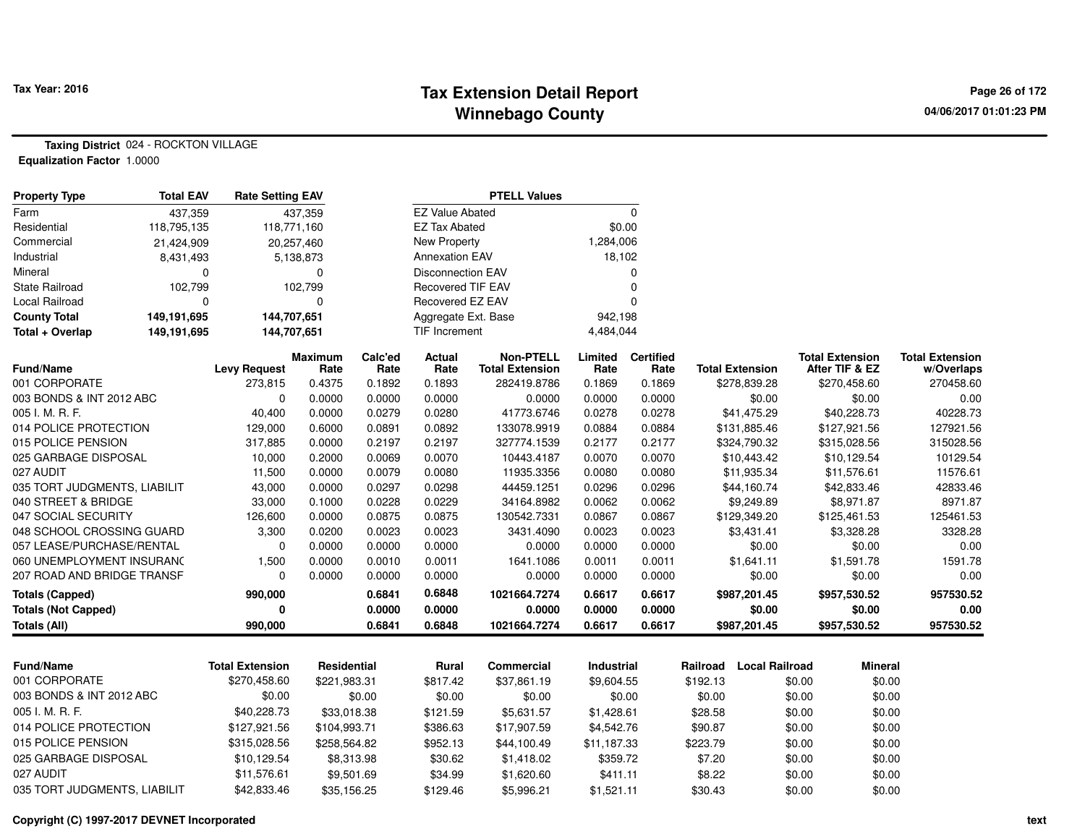#### **Tax Extension Detail Report Tax Year: 2016 Page 26 of 172 Winnebago County**

**Taxing District** 024 - ROCKTON VILLAGE**Equalization Factor** 1.0000

| <b>Property Type</b>         | <b>Total EAV</b> | <b>Rate Setting EAV</b> |                        | <b>PTELL Values</b> |                          |                                            |                 |                          |          |                        |        |                                          |                                      |
|------------------------------|------------------|-------------------------|------------------------|---------------------|--------------------------|--------------------------------------------|-----------------|--------------------------|----------|------------------------|--------|------------------------------------------|--------------------------------------|
| Farm                         | 437,359          |                         | 437,359                |                     | <b>EZ Value Abated</b>   |                                            |                 | $\Omega$                 |          |                        |        |                                          |                                      |
| Residential                  | 118,795,135      | 118,771,160             |                        |                     | <b>EZ Tax Abated</b>     |                                            |                 | \$0.00                   |          |                        |        |                                          |                                      |
| Commercial                   | 21,424,909       |                         | 20,257,460             |                     | <b>New Property</b>      |                                            | 1,284,006       |                          |          |                        |        |                                          |                                      |
| Industrial                   | 8,431,493        |                         | 5,138,873              |                     | <b>Annexation EAV</b>    |                                            | 18,102          |                          |          |                        |        |                                          |                                      |
| Mineral                      | 0                |                         | $\Omega$               |                     | <b>Disconnection EAV</b> |                                            |                 | $\Omega$                 |          |                        |        |                                          |                                      |
| State Railroad               | 102,799          |                         | 102,799                |                     | <b>Recovered TIF EAV</b> |                                            |                 | $\mathbf 0$              |          |                        |        |                                          |                                      |
| <b>Local Railroad</b>        | 0                |                         | $\mathbf 0$            |                     | Recovered EZ EAV         |                                            |                 | $\Omega$                 |          |                        |        |                                          |                                      |
| <b>County Total</b>          | 149,191,695      | 144,707,651             |                        |                     | Aggregate Ext. Base      |                                            | 942,198         |                          |          |                        |        |                                          |                                      |
| Total + Overlap              | 149,191,695      | 144,707,651             |                        |                     | <b>TIF Increment</b>     |                                            | 4,484,044       |                          |          |                        |        |                                          |                                      |
| <b>Fund/Name</b>             |                  | <b>Levy Request</b>     | <b>Maximum</b><br>Rate | Calc'ed<br>Rate     | <b>Actual</b><br>Rate    | <b>Non-PTELL</b><br><b>Total Extension</b> | Limited<br>Rate | <b>Certified</b><br>Rate |          | <b>Total Extension</b> |        | <b>Total Extension</b><br>After TIF & EZ | <b>Total Extension</b><br>w/Overlaps |
| 001 CORPORATE                |                  | 273,815                 | 0.4375                 | 0.1892              | 0.1893                   | 282419.8786                                | 0.1869          | 0.1869                   |          | \$278,839.28           |        | \$270,458.60                             | 270458.60                            |
| 003 BONDS & INT 2012 ABC     |                  | $\Omega$                | 0.0000                 | 0.0000              | 0.0000                   | 0.0000                                     | 0.0000          | 0.0000                   |          | \$0.00                 |        | \$0.00                                   | 0.00                                 |
| 005 I. M. R. F.              |                  | 40,400                  | 0.0000                 | 0.0279              | 0.0280                   | 41773.6746                                 | 0.0278          | 0.0278                   |          | \$41,475.29            |        | \$40,228.73                              | 40228.73                             |
| 014 POLICE PROTECTION        |                  | 129,000                 | 0.6000                 | 0.0891              | 0.0892                   | 133078.9919                                | 0.0884          | 0.0884                   |          | \$131,885.46           |        | \$127,921.56                             | 127921.56                            |
| 015 POLICE PENSION           |                  | 317,885                 | 0.0000                 | 0.2197              | 0.2197                   | 327774.1539                                | 0.2177          | 0.2177                   |          | \$324,790.32           |        | \$315,028.56                             | 315028.56                            |
| 025 GARBAGE DISPOSAL         |                  | 10,000                  | 0.2000                 | 0.0069              | 0.0070                   | 10443.4187                                 | 0.0070          | 0.0070                   |          | \$10,443.42            |        | \$10,129.54                              | 10129.54                             |
| 027 AUDIT                    |                  | 11,500                  | 0.0000                 | 0.0079              | 0.0080                   | 11935.3356                                 | 0.0080          | 0.0080                   |          | \$11,935.34            |        | \$11,576.61                              | 11576.61                             |
| 035 TORT JUDGMENTS, LIABILIT |                  | 43,000                  | 0.0000                 | 0.0297              | 0.0298                   | 44459.1251                                 | 0.0296          | 0.0296                   |          | \$44,160.74            |        | \$42,833.46                              | 42833.46                             |
| 040 STREET & BRIDGE          |                  | 33,000                  | 0.1000                 | 0.0228              | 0.0229                   | 34164.8982                                 | 0.0062          | 0.0062                   |          | \$9,249.89             |        | \$8,971.87                               | 8971.87                              |
| 047 SOCIAL SECURITY          |                  | 126,600                 | 0.0000                 | 0.0875              | 0.0875                   | 130542.7331                                | 0.0867          | 0.0867                   |          | \$129,349.20           |        | \$125,461.53                             | 125461.53                            |
| 048 SCHOOL CROSSING GUARD    |                  | 3,300                   | 0.0200                 | 0.0023              | 0.0023                   | 3431.4090                                  | 0.0023          | 0.0023                   |          | \$3,431.41             |        | \$3,328.28                               | 3328.28                              |
| 057 LEASE/PURCHASE/RENTAL    |                  | $\Omega$                | 0.0000                 | 0.0000              | 0.0000                   | 0.0000                                     | 0.0000          | 0.0000                   |          | \$0.00                 |        | \$0.00                                   | 0.00                                 |
| 060 UNEMPLOYMENT INSURANC    |                  | 1,500                   | 0.0000                 | 0.0010              | 0.0011                   | 1641.1086                                  | 0.0011          | 0.0011                   |          | \$1,641.11             |        | \$1,591.78                               | 1591.78                              |
| 207 ROAD AND BRIDGE TRANSF   |                  | $\Omega$                | 0.0000                 | 0.0000              | 0.0000                   | 0.0000                                     | 0.0000          | 0.0000                   |          | \$0.00                 |        | \$0.00                                   | 0.00                                 |
| <b>Totals (Capped)</b>       |                  | 990,000                 |                        | 0.6841              | 0.6848                   | 1021664.7274                               | 0.6617          | 0.6617                   |          | \$987,201.45           |        | \$957,530.52                             | 957530.52                            |
| <b>Totals (Not Capped)</b>   |                  | 0                       |                        | 0.0000              | 0.0000                   | 0.0000                                     | 0.0000          | 0.0000                   |          | \$0.00                 |        | \$0.00                                   | 0.00                                 |
| <b>Totals (All)</b>          |                  | 990.000                 |                        | 0.6841              | 0.6848                   | 1021664.7274                               | 0.6617          | 0.6617                   |          | \$987,201.45           |        | \$957,530.52                             | 957530.52                            |
|                              |                  |                         |                        |                     |                          |                                            |                 |                          |          |                        |        |                                          |                                      |
| <b>Fund/Name</b>             |                  | <b>Total Extension</b>  | Residential            |                     | <b>Rural</b>             | Commercial                                 | Industrial      |                          | Railroad | <b>Local Railroad</b>  |        | <b>Mineral</b>                           |                                      |
| 001 CORPORATE                |                  | \$270,458.60            | \$221,983.31           |                     | \$817.42                 | \$37,861.19                                | \$9,604.55      |                          | \$192.13 |                        | \$0.00 | \$0.00                                   |                                      |
| 003 BONDS & INT 2012 ABC     |                  | \$0.00                  |                        | \$0.00              | \$0.00                   | \$0.00                                     |                 | \$0.00                   | \$0.00   |                        | \$0.00 | \$0.00                                   |                                      |
| 005 I. M. R. F.              |                  | \$40,228.73             | \$33,018.38            |                     | \$121.59                 | \$5,631.57                                 | \$1,428.61      |                          | \$28.58  |                        | \$0.00 | \$0.00                                   |                                      |
| 014 POLICE PROTECTION        |                  | \$127,921.56            | \$104,993.71           |                     | \$386.63                 | \$17,907.59                                | \$4,542.76      |                          | \$90.87  |                        | \$0.00 | \$0.00                                   |                                      |
| 015 POLICE PENSION           |                  | \$315,028.56            | \$258,564.82           |                     | \$952.13                 | \$44,100.49                                | \$11,187.33     |                          | \$223.79 |                        | \$0.00 | \$0.00                                   |                                      |
| 025 GARBAGE DISPOSAL         |                  | \$10,129.54             | \$8,313.98             |                     | \$30.62                  | \$1,418.02                                 | \$359.72        |                          | \$7.20   |                        | \$0.00 | \$0.00                                   |                                      |
| 027 AUDIT                    |                  | \$11,576.61             |                        | \$9,501.69          | \$34.99                  | \$1,620.60                                 | \$411.11        |                          | \$8.22   |                        | \$0.00 | \$0.00                                   |                                      |
| 035 TORT JUDGMENTS, LIABILIT |                  | \$42,833.46             | \$35,156.25            |                     | \$129.46                 | \$5,996.21                                 | \$1,521.11      |                          | \$30.43  |                        | \$0.00 | \$0.00                                   |                                      |

**Copyright (C) 1997-2017 DEVNET Incorporated**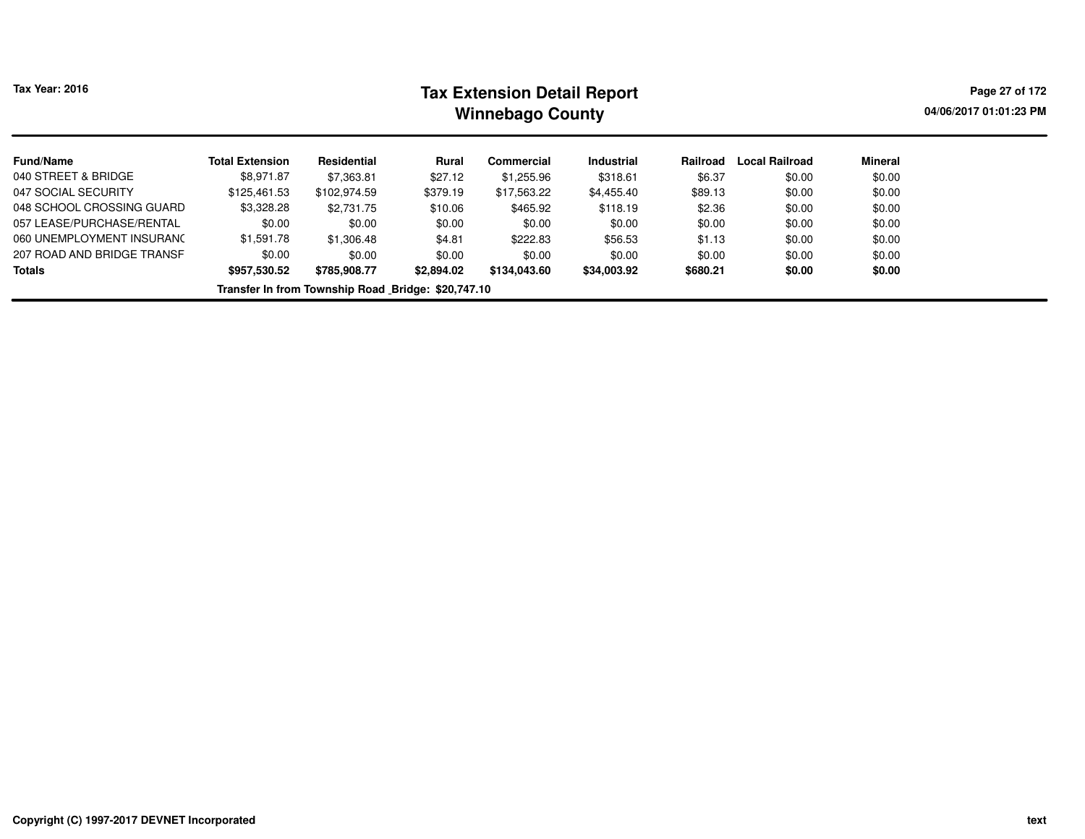| <b>Tax Year: 2016</b>                              |                        |              |            | <b>Tax Extension Detail Report</b><br><b>Winnebago County</b> |                   |          |                       |         | Page 27 of 172<br>04/06/2017 01:01:23 PM |  |  |  |
|----------------------------------------------------|------------------------|--------------|------------|---------------------------------------------------------------|-------------------|----------|-----------------------|---------|------------------------------------------|--|--|--|
| <b>Fund/Name</b>                                   | <b>Total Extension</b> | Residential  | Rural      | Commercial                                                    | <b>Industrial</b> | Railroad | <b>Local Railroad</b> | Mineral |                                          |  |  |  |
| 040 STREET & BRIDGE                                | \$8,971.87             | \$7,363.81   | \$27.12    | \$1,255.96                                                    | \$318.61          | \$6.37   | \$0.00                | \$0.00  |                                          |  |  |  |
| 047 SOCIAL SECURITY                                | \$125.461.53           | \$102.974.59 | \$379.19   | \$17.563.22                                                   | \$4,455.40        | \$89.13  | \$0.00                | \$0.00  |                                          |  |  |  |
| 048 SCHOOL CROSSING GUARD                          | \$3,328.28             | \$2,731.75   | \$10.06    | \$465.92                                                      | \$118.19          | \$2.36   | \$0.00                | \$0.00  |                                          |  |  |  |
| 057 LEASE/PURCHASE/RENTAL                          | \$0.00                 | \$0.00       | \$0.00     | \$0.00                                                        | \$0.00            | \$0.00   | \$0.00                | \$0.00  |                                          |  |  |  |
| 060 UNEMPLOYMENT INSURANC                          | \$1,591.78             | \$1,306.48   | \$4.81     | \$222.83                                                      | \$56.53           | \$1.13   | \$0.00                | \$0.00  |                                          |  |  |  |
| 207 ROAD AND BRIDGE TRANSF                         | \$0.00                 | \$0.00       | \$0.00     | \$0.00                                                        | \$0.00            | \$0.00   | \$0.00                | \$0.00  |                                          |  |  |  |
| <b>Totals</b>                                      | \$957,530.52           | \$785,908.77 | \$2,894.02 | \$134,043.60                                                  | \$34,003.92       | \$680.21 | \$0.00                | \$0.00  |                                          |  |  |  |
| Transfer In from Township Road Bridge: \$20,747.10 |                        |              |            |                                                               |                   |          |                       |         |                                          |  |  |  |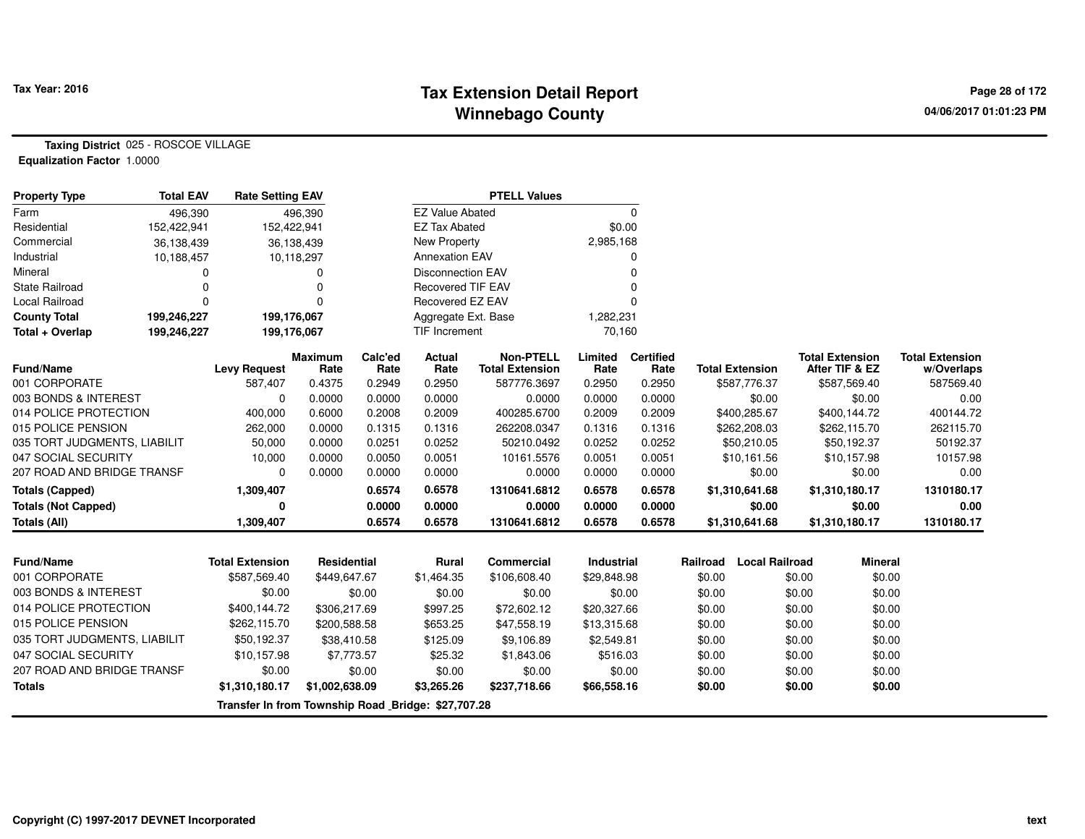## **Tax Extension Detail Report Tax Year: 2016 Page 28 of 172 Winnebago County**

**Taxing District** 025 - ROSCOE VILLAGE**Equalization Factor** 1.0000

| <b>Property Type</b>         | <b>Total EAV</b>                                   | <b>Rate Setting EAV</b> |                        |                 |                          | <b>PTELL Values</b>                        |                 |                          |                                   |                                          |                                      |
|------------------------------|----------------------------------------------------|-------------------------|------------------------|-----------------|--------------------------|--------------------------------------------|-----------------|--------------------------|-----------------------------------|------------------------------------------|--------------------------------------|
| Farm                         | 496,390                                            |                         | 496.390                |                 | <b>EZ Value Abated</b>   |                                            |                 | $\Omega$                 |                                   |                                          |                                      |
| Residential                  | 152,422,941                                        | 152,422,941             |                        |                 | <b>EZ Tax Abated</b>     |                                            | \$0.00          |                          |                                   |                                          |                                      |
| Commercial                   | 36,138,439                                         |                         | 36,138,439             |                 | <b>New Property</b>      |                                            | 2,985,168       |                          |                                   |                                          |                                      |
| Industrial                   | 10,188,457                                         |                         | 10,118,297             |                 | <b>Annexation EAV</b>    |                                            |                 | O                        |                                   |                                          |                                      |
| Mineral                      | 0                                                  |                         | 0                      |                 | <b>Disconnection EAV</b> |                                            |                 | $\Omega$                 |                                   |                                          |                                      |
| <b>State Railroad</b>        | 0                                                  |                         | 0                      |                 | <b>Recovered TIF EAV</b> |                                            |                 |                          |                                   |                                          |                                      |
| Local Railroad               | 0                                                  |                         | 0                      |                 | Recovered EZ EAV         |                                            |                 |                          |                                   |                                          |                                      |
| <b>County Total</b>          | 199,246,227                                        | 199,176,067             |                        |                 | Aggregate Ext. Base      |                                            | 1,282,231       |                          |                                   |                                          |                                      |
| Total + Overlap              | 199,246,227                                        | 199,176,067             |                        |                 | TIF Increment            |                                            | 70,160          |                          |                                   |                                          |                                      |
| <b>Fund/Name</b>             |                                                    | <b>Levy Request</b>     | <b>Maximum</b><br>Rate | Calc'ed<br>Rate | Actual<br>Rate           | <b>Non-PTELL</b><br><b>Total Extension</b> | Limited<br>Rate | <b>Certified</b><br>Rate | <b>Total Extension</b>            | <b>Total Extension</b><br>After TIF & EZ | <b>Total Extension</b><br>w/Overlaps |
| 001 CORPORATE                |                                                    | 587,407                 | 0.4375                 | 0.2949          | 0.2950                   | 587776.3697                                | 0.2950          | 0.2950                   | \$587,776.37                      | \$587,569.40                             | 587569.40                            |
| 003 BONDS & INTEREST         |                                                    | O                       | 0.0000                 | 0.0000          | 0.0000                   | 0.0000                                     | 0.0000          | 0.0000                   | \$0.00                            | \$0.00                                   | 0.00                                 |
| 014 POLICE PROTECTION        |                                                    | 400,000                 | 0.6000                 | 0.2008          | 0.2009                   | 400285.6700                                | 0.2009          | 0.2009                   | \$400,285.67                      | \$400,144.72                             | 400144.72                            |
| 015 POLICE PENSION           |                                                    | 262,000                 | 0.0000                 | 0.1315          | 0.1316                   | 262208.0347                                | 0.1316          | 0.1316                   | \$262,208.03                      | \$262,115.70                             | 262115.70                            |
| 035 TORT JUDGMENTS, LIABILIT |                                                    | 50,000                  | 0.0000                 | 0.0251          | 0.0252                   | 50210.0492                                 | 0.0252          | 0.0252                   | \$50,210.05                       | \$50,192.37                              | 50192.37                             |
| 047 SOCIAL SECURITY          |                                                    | 10,000                  | 0.0000                 | 0.0050          | 0.0051                   | 10161.5576                                 | 0.0051          | 0.0051                   | \$10,161.56                       | \$10,157.98                              | 10157.98                             |
| 207 ROAD AND BRIDGE TRANSF   |                                                    | $\Omega$                | 0.0000                 | 0.0000          | 0.0000                   | 0.0000                                     | 0.0000          | 0.0000                   | \$0.00                            | \$0.00                                   | 0.00                                 |
| <b>Totals (Capped)</b>       |                                                    | 1,309,407               |                        | 0.6574          | 0.6578                   | 1310641.6812                               | 0.6578          | 0.6578                   | \$1,310,641.68                    | \$1,310,180.17                           | 1310180.17                           |
| <b>Totals (Not Capped)</b>   |                                                    | 0                       |                        | 0.0000          | 0.0000                   | 0.0000                                     | 0.0000          | 0.0000                   | \$0.00                            | \$0.00                                   | 0.00                                 |
| <b>Totals (All)</b>          |                                                    | 1,309,407               |                        | 0.6574          | 0.6578                   | 1310641.6812                               | 0.6578          | 0.6578                   | \$1,310,641.68                    | \$1,310,180.17                           | 1310180.17                           |
|                              |                                                    |                         |                        |                 |                          |                                            |                 |                          |                                   |                                          |                                      |
| Fund/Name                    |                                                    | <b>Total Extension</b>  | <b>Residential</b>     |                 | Rural                    | Commercial                                 | Industrial      |                          | Railroad<br><b>Local Railroad</b> | <b>Mineral</b>                           |                                      |
| 001 CORPORATE                |                                                    | \$587,569.40            | \$449,647.67           |                 | \$1,464.35               | \$106,608.40                               | \$29,848.98     |                          | \$0.00                            | \$0.00                                   | \$0.00                               |
| 003 BONDS & INTEREST         |                                                    | \$0.00                  |                        | \$0.00          | \$0.00                   | \$0.00                                     |                 | \$0.00                   | \$0.00                            | \$0.00                                   | \$0.00                               |
| 014 POLICE PROTECTION        |                                                    | \$400,144.72            | \$306,217.69           |                 | \$997.25                 | \$72,602.12                                | \$20,327.66     |                          | \$0.00                            | \$0.00                                   | \$0.00                               |
| 015 POLICE PENSION           |                                                    | \$262,115.70            | \$200,588.58           |                 | \$653.25                 | \$47,558.19                                | \$13,315.68     |                          | \$0.00                            | \$0.00                                   | \$0.00                               |
| 035 TORT JUDGMENTS, LIABILIT |                                                    | \$50,192.37             | \$38,410.58            |                 | \$125.09                 | \$9,106.89                                 | \$2,549.81      |                          | \$0.00                            | \$0.00                                   | \$0.00                               |
| 047 SOCIAL SECURITY          |                                                    | \$10,157.98             | \$7,773.57             |                 | \$25.32                  | \$1,843.06                                 | \$516.03        |                          | \$0.00                            | \$0.00                                   | \$0.00                               |
| 207 ROAD AND BRIDGE TRANSF   |                                                    | \$0.00                  |                        | \$0.00          | \$0.00                   | \$0.00                                     |                 | \$0.00                   | \$0.00                            | \$0.00                                   | \$0.00                               |
| <b>Totals</b>                |                                                    | \$1,310,180.17          | \$1,002,638.09         |                 | \$3,265.26               | \$237,718.66                               | \$66,558.16     |                          | \$0.00                            | \$0.00                                   | \$0.00                               |
|                              | Transfer In from Township Road Bridge: \$27,707.28 |                         |                        |                 |                          |                                            |                 |                          |                                   |                                          |                                      |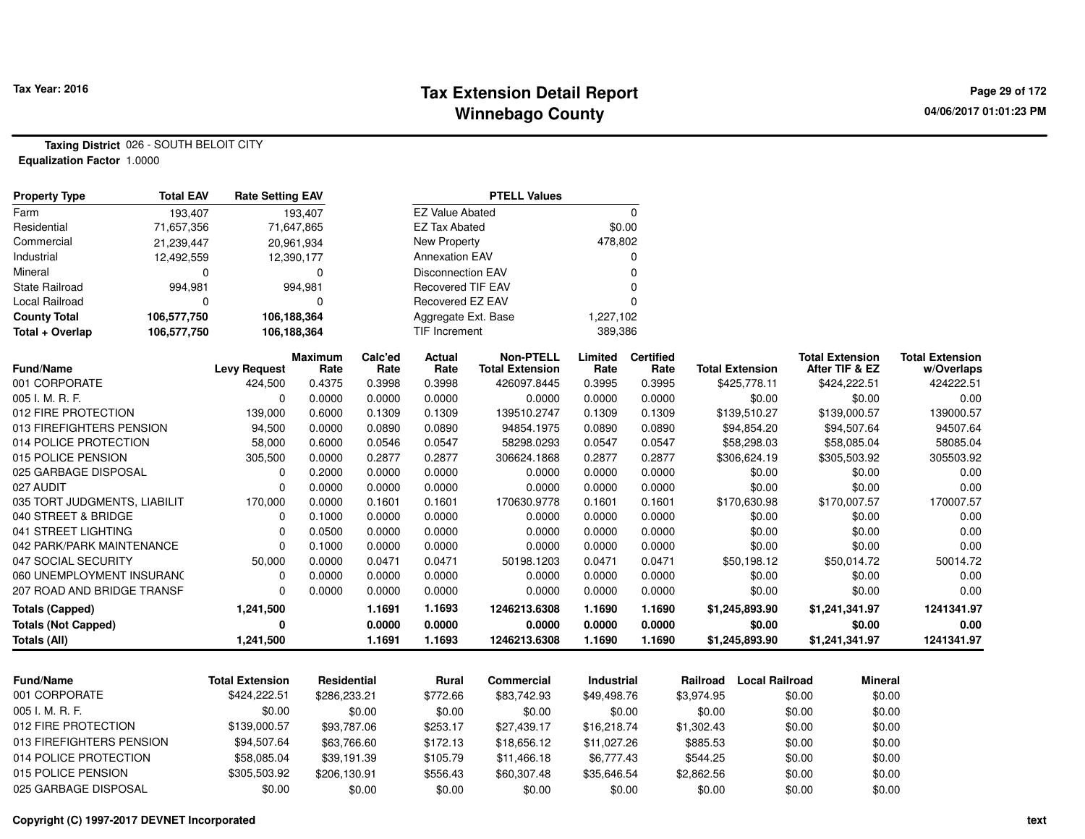## **Tax Extension Detail Report Tax Year: 2016 Page 29 of 172 Winnebago County**

**Taxing District** 026 - SOUTH BELOIT CITY**Equalization Factor** 1.0000

| <b>Property Type</b>         | <b>Total EAV</b> | <b>Rate Setting EAV</b> |                        | <b>PTELL Values</b> |                          |                                            |                 |                          |            |                        |        |                                          |                                      |
|------------------------------|------------------|-------------------------|------------------------|---------------------|--------------------------|--------------------------------------------|-----------------|--------------------------|------------|------------------------|--------|------------------------------------------|--------------------------------------|
| Farm                         | 193,407          |                         | 193,407                |                     | <b>EZ Value Abated</b>   |                                            |                 | $\mathbf 0$              |            |                        |        |                                          |                                      |
| Residential                  | 71,657,356       |                         | 71,647,865             |                     | <b>EZ Tax Abated</b>     |                                            | \$0.00          |                          |            |                        |        |                                          |                                      |
| Commercial                   | 21,239,447       |                         | 20,961,934             |                     | New Property             |                                            | 478,802         |                          |            |                        |        |                                          |                                      |
| Industrial                   | 12,492,559       |                         | 12,390,177             |                     | <b>Annexation EAV</b>    |                                            |                 | 0                        |            |                        |        |                                          |                                      |
| Mineral                      | 0                |                         | 0                      |                     | <b>Disconnection EAV</b> |                                            |                 | $\mathbf 0$              |            |                        |        |                                          |                                      |
| <b>State Railroad</b>        | 994,981          |                         | 994,981                |                     | <b>Recovered TIF EAV</b> |                                            |                 | $\mathbf 0$              |            |                        |        |                                          |                                      |
| Local Railroad               | $\Omega$         |                         | $\Omega$               |                     | <b>Recovered EZ EAV</b>  |                                            |                 | $\Omega$                 |            |                        |        |                                          |                                      |
| <b>County Total</b>          | 106,577,750      | 106,188,364             |                        |                     | Aggregate Ext. Base      |                                            | 1,227,102       |                          |            |                        |        |                                          |                                      |
| Total + Overlap              | 106,577,750      | 106,188,364             |                        |                     | <b>TIF Increment</b>     |                                            | 389,386         |                          |            |                        |        |                                          |                                      |
| <b>Fund/Name</b>             |                  | <b>Levy Request</b>     | <b>Maximum</b><br>Rate | Calc'ed<br>Rate     | <b>Actual</b><br>Rate    | <b>Non-PTELL</b><br><b>Total Extension</b> | Limited<br>Rate | <b>Certified</b><br>Rate |            | <b>Total Extension</b> |        | <b>Total Extension</b><br>After TIF & EZ | <b>Total Extension</b><br>w/Overlaps |
| 001 CORPORATE                |                  | 424,500                 | 0.4375                 | 0.3998              | 0.3998                   | 426097.8445                                | 0.3995          | 0.3995                   |            | \$425,778.11           |        | \$424,222.51                             | 424222.51                            |
| 005 I. M. R. F.              |                  | $\mathbf 0$             | 0.0000                 | 0.0000              | 0.0000                   | 0.0000                                     | 0.0000          | 0.0000                   |            | \$0.00                 |        | \$0.00                                   | 0.00                                 |
| 012 FIRE PROTECTION          |                  | 139,000                 | 0.6000                 | 0.1309              | 0.1309                   | 139510.2747                                | 0.1309          | 0.1309                   |            | \$139,510.27           |        | \$139,000.57                             | 139000.57                            |
| 013 FIREFIGHTERS PENSION     |                  | 94,500                  | 0.0000                 | 0.0890              | 0.0890                   | 94854.1975                                 | 0.0890          | 0.0890                   |            | \$94,854.20            |        | \$94,507.64                              | 94507.64                             |
| 014 POLICE PROTECTION        |                  | 58,000                  | 0.6000                 | 0.0546              | 0.0547                   | 58298.0293                                 | 0.0547          | 0.0547                   |            | \$58,298.03            |        | \$58,085.04                              | 58085.04                             |
| 015 POLICE PENSION           |                  | 305,500                 | 0.0000                 | 0.2877              | 0.2877                   | 306624.1868                                | 0.2877          | 0.2877                   |            | \$306,624.19           |        | \$305,503.92                             | 305503.92                            |
| 025 GARBAGE DISPOSAL         |                  | $\Omega$                | 0.2000                 | 0.0000              | 0.0000                   | 0.0000                                     | 0.0000          | 0.0000                   |            | \$0.00                 |        | \$0.00                                   | 0.00                                 |
| 027 AUDIT                    |                  | $\Omega$                | 0.0000                 | 0.0000              | 0.0000                   | 0.0000                                     | 0.0000          | 0.0000                   |            | \$0.00                 |        | \$0.00                                   | 0.00                                 |
| 035 TORT JUDGMENTS, LIABILIT |                  | 170,000                 | 0.0000                 | 0.1601              | 0.1601                   | 170630.9778                                | 0.1601          | 0.1601                   |            | \$170,630.98           |        | \$170,007.57                             | 170007.57                            |
| 040 STREET & BRIDGE          |                  | $\mathbf 0$             | 0.1000                 | 0.0000              | 0.0000                   | 0.0000                                     | 0.0000          | 0.0000                   |            | \$0.00                 |        | \$0.00                                   | 0.00                                 |
| 041 STREET LIGHTING          |                  | $\mathbf 0$             | 0.0500                 | 0.0000              | 0.0000                   | 0.0000                                     | 0.0000          | 0.0000                   |            | \$0.00                 |        | \$0.00                                   | 0.00                                 |
| 042 PARK/PARK MAINTENANCE    |                  | $\mathbf 0$             | 0.1000                 | 0.0000              | 0.0000                   | 0.0000                                     | 0.0000          | 0.0000                   |            | \$0.00                 |        | \$0.00                                   | 0.00                                 |
| 047 SOCIAL SECURITY          |                  | 50,000                  | 0.0000                 | 0.0471              | 0.0471                   | 50198.1203                                 | 0.0471          | 0.0471                   |            | \$50,198.12            |        | \$50,014.72                              | 50014.72                             |
| 060 UNEMPLOYMENT INSURANC    |                  | $\Omega$                | 0.0000                 | 0.0000              | 0.0000                   | 0.0000                                     | 0.0000          | 0.0000                   |            | \$0.00                 |        | \$0.00                                   | 0.00                                 |
| 207 ROAD AND BRIDGE TRANSF   |                  | $\Omega$                | 0.0000                 | 0.0000              | 0.0000                   | 0.0000                                     | 0.0000          | 0.0000                   |            | \$0.00                 |        | \$0.00                                   | 0.00                                 |
| <b>Totals (Capped)</b>       |                  | 1,241,500               |                        | 1.1691              | 1.1693                   | 1246213.6308                               | 1.1690          | 1.1690                   |            | \$1,245,893.90         |        | \$1,241,341.97                           | 1241341.97                           |
| <b>Totals (Not Capped)</b>   |                  | $\bf{0}$                |                        | 0.0000              | 0.0000                   | 0.0000                                     | 0.0000          | 0.0000                   |            | \$0.00                 |        | \$0.00                                   | 0.00                                 |
| <b>Totals (All)</b>          |                  | 1,241,500               |                        | 1.1691              | 1.1693                   | 1246213.6308                               | 1.1690          | 1.1690                   |            | \$1,245,893.90         |        | \$1,241,341.97                           | 1241341.97                           |
|                              |                  |                         |                        |                     |                          |                                            |                 |                          |            |                        |        |                                          |                                      |
| <b>Fund/Name</b>             |                  | <b>Total Extension</b>  | Residential            |                     | Rural                    | <b>Commercial</b>                          | Industrial      |                          | Railroad   | <b>Local Railroad</b>  |        | <b>Mineral</b>                           |                                      |
| 001 CORPORATE                |                  | \$424,222.51            | \$286,233.21           |                     | \$772.66                 | \$83,742.93                                | \$49,498.76     |                          | \$3,974.95 |                        | \$0.00 | \$0.00                                   |                                      |
| 005 I. M. R. F.              |                  | \$0.00                  |                        | \$0.00              | \$0.00                   | \$0.00                                     | \$0.00          |                          | \$0.00     |                        | \$0.00 | \$0.00                                   |                                      |
| 012 FIRE PROTECTION          |                  | \$139,000.57            | \$93,787.06            |                     | \$253.17                 | \$27,439.17                                | \$16,218.74     |                          | \$1,302.43 |                        | \$0.00 | \$0.00                                   |                                      |
| 013 FIREFIGHTERS PENSION     |                  | \$94,507.64             | \$63,766.60            |                     | \$172.13                 | \$18,656.12                                | \$11,027.26     |                          | \$885.53   |                        | \$0.00 | \$0.00                                   |                                      |
| 014 POLICE PROTECTION        |                  | \$58,085.04             | \$39,191.39            |                     | \$105.79                 | \$11,466.18                                | \$6,777.43      |                          | \$544.25   |                        | \$0.00 | \$0.00                                   |                                      |
| 015 POLICE PENSION           |                  | \$305,503.92            | \$206,130.91           |                     | \$556.43                 | \$60,307.48                                | \$35,646.54     |                          | \$2,862.56 |                        | \$0.00 | \$0.00                                   |                                      |
| 025 GARBAGE DISPOSAL         |                  | \$0.00                  |                        | \$0.00              | \$0.00                   | \$0.00                                     |                 | \$0.00                   | \$0.00     |                        | \$0.00 | \$0.00                                   |                                      |

#### **Copyright (C) 1997-2017 DEVNET Incorporated**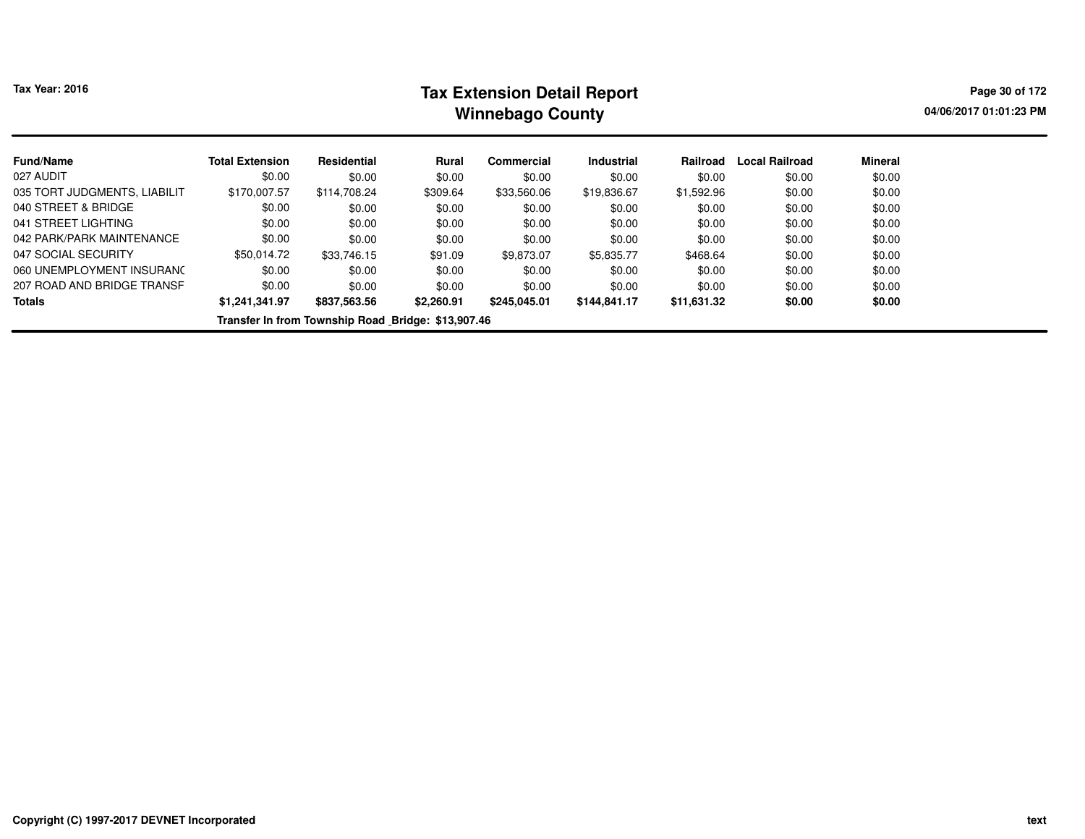# **Tax Extension Detail Report Tax Year: 2016 Page 30 of 172 Winnebago County**

**04/06/2017 01:01:23 PM**

| <b>Fund/Name</b>                                   | <b>Total Extension</b> | Residential  | Rural      | Commercial   | <b>Industrial</b> | Railroad    | <b>Local Railroad</b> | Mineral |  |  |  |  |
|----------------------------------------------------|------------------------|--------------|------------|--------------|-------------------|-------------|-----------------------|---------|--|--|--|--|
| 027 AUDIT                                          | \$0.00                 | \$0.00       | \$0.00     | \$0.00       | \$0.00            | \$0.00      | \$0.00                | \$0.00  |  |  |  |  |
| 035 TORT JUDGMENTS, LIABILIT                       | \$170,007.57           | \$114,708.24 | \$309.64   | \$33,560.06  | \$19,836.67       | \$1,592.96  | \$0.00                | \$0.00  |  |  |  |  |
| 040 STREET & BRIDGE                                | \$0.00                 | \$0.00       | \$0.00     | \$0.00       | \$0.00            | \$0.00      | \$0.00                | \$0.00  |  |  |  |  |
| 041 STREET LIGHTING                                | \$0.00                 | \$0.00       | \$0.00     | \$0.00       | \$0.00            | \$0.00      | \$0.00                | \$0.00  |  |  |  |  |
| 042 PARK/PARK MAINTENANCE                          | \$0.00                 | \$0.00       | \$0.00     | \$0.00       | \$0.00            | \$0.00      | \$0.00                | \$0.00  |  |  |  |  |
| 047 SOCIAL SECURITY                                | \$50,014.72            | \$33,746.15  | \$91.09    | \$9.873.07   | \$5.835.77        | \$468.64    | \$0.00                | \$0.00  |  |  |  |  |
| 060 UNEMPLOYMENT INSURANC                          | \$0.00                 | \$0.00       | \$0.00     | \$0.00       | \$0.00            | \$0.00      | \$0.00                | \$0.00  |  |  |  |  |
| 207 ROAD AND BRIDGE TRANSF                         | \$0.00                 | \$0.00       | \$0.00     | \$0.00       | \$0.00            | \$0.00      | \$0.00                | \$0.00  |  |  |  |  |
| <b>Totals</b>                                      | \$1,241,341.97         | \$837,563.56 | \$2,260.91 | \$245,045.01 | \$144.841.17      | \$11,631.32 | \$0.00                | \$0.00  |  |  |  |  |
| Transfer In from Township Road Bridge: \$13,907.46 |                        |              |            |              |                   |             |                       |         |  |  |  |  |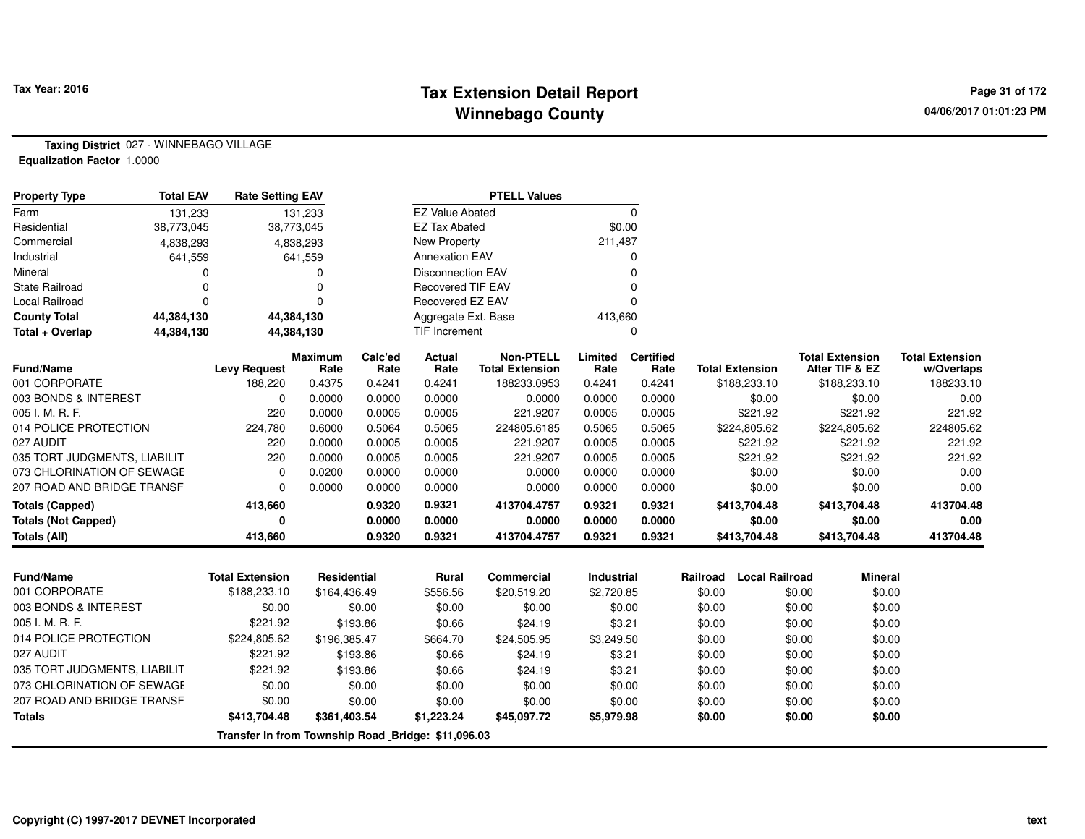## **Tax Extension Detail Report Tax Year: 2016 Page 31 of 172 Winnebago County**

**Taxing District** 027 - WINNEBAGO VILLAGE**Equalization Factor** 1.0000

| <b>Property Type</b>         | <b>Total EAV</b> | <b>Rate Setting EAV</b> |                 |                 |                          | <b>PTELL Values</b>                        |                 |                          |                        |                                          |                                      |
|------------------------------|------------------|-------------------------|-----------------|-----------------|--------------------------|--------------------------------------------|-----------------|--------------------------|------------------------|------------------------------------------|--------------------------------------|
| Farm                         | 131,233          |                         | 131,233         |                 | <b>EZ Value Abated</b>   |                                            |                 |                          |                        |                                          |                                      |
| Residential                  | 38,773,045       |                         | 38,773,045      |                 | EZ Tax Abated            |                                            |                 | \$0.00                   |                        |                                          |                                      |
| Commercial                   | 4,838,293        |                         | 4,838,293       |                 | New Property             |                                            | 211,487         |                          |                        |                                          |                                      |
| Industrial                   | 641,559          |                         | 641,559         |                 | <b>Annexation EAV</b>    |                                            |                 |                          |                        |                                          |                                      |
| Mineral                      |                  |                         |                 |                 | <b>Disconnection EAV</b> |                                            |                 |                          |                        |                                          |                                      |
| <b>State Railroad</b>        |                  |                         |                 |                 | <b>Recovered TIF EAV</b> |                                            |                 |                          |                        |                                          |                                      |
| Local Railroad               |                  |                         |                 |                 | Recovered EZ EAV         |                                            |                 |                          |                        |                                          |                                      |
| <b>County Total</b>          | 44,384,130       |                         | 44,384,130      |                 | Aggregate Ext. Base      |                                            | 413,660         |                          |                        |                                          |                                      |
| Total + Overlap              | 44,384,130       |                         | 44,384,130      | TIF Increment   |                          |                                            |                 |                          |                        |                                          |                                      |
| <b>Fund/Name</b>             |                  | <b>Levy Request</b>     | Maximum<br>Rate | Calc'ed<br>Rate | Actual<br>Rate           | <b>Non-PTELL</b><br><b>Total Extension</b> | Limited<br>Rate | <b>Certified</b><br>Rate | <b>Total Extension</b> | <b>Total Extension</b><br>After TIF & EZ | <b>Total Extension</b><br>w/Overlaps |
| 001 CORPORATE                |                  | 188,220                 | 0.4375          | 0.4241          | 0.4241                   | 188233.0953                                | 0.4241          | 0.4241                   | \$188,233.10           | \$188,233.10                             | 188233.10                            |
| 003 BONDS & INTEREST         |                  | 0                       | 0.0000          | 0.0000          | 0.0000                   | 0.0000                                     | 0.0000          | 0.0000                   | \$0.00                 | \$0.00                                   | 0.00                                 |
| 005 I. M. R. F.              |                  | 220                     | 0.0000          | 0.0005          | 0.0005                   | 221.9207                                   | 0.0005          | 0.0005                   | \$221.92               | \$221.92                                 | 221.92                               |
| 014 POLICE PROTECTION        |                  | 224,780                 | 0.6000          | 0.5064          | 0.5065                   | 224805.6185                                | 0.5065          | 0.5065                   | \$224,805.62           | \$224,805.62                             | 224805.62                            |
| 027 AUDIT                    |                  | 220                     | 0.0000          | 0.0005          | 0.0005                   | 221.9207                                   | 0.0005          | 0.0005                   | \$221.92               | \$221.92                                 | 221.92                               |
| 035 TORT JUDGMENTS, LIABILIT |                  | 220                     | 0.0000          | 0.0005          | 0.0005                   | 221.9207                                   | 0.0005          | 0.0005                   | \$221.92               | \$221.92                                 | 221.92                               |
| 073 CHLORINATION OF SEWAGE   |                  | 0                       | 0.0200          | 0.0000          | 0.0000                   | 0.0000                                     | 0.0000          | 0.0000                   | \$0.00                 | \$0.00                                   | 0.00                                 |
| 207 ROAD AND BRIDGE TRANSF   |                  | 0                       | 0.0000          | 0.0000          | 0.0000                   | 0.0000                                     | 0.0000          | 0.0000                   | \$0.00                 | \$0.00                                   | 0.00                                 |
| <b>Totals (Capped)</b>       |                  | 413,660                 |                 | 0.9320          | 0.9321                   | 413704.4757                                | 0.9321          | 0.9321                   | \$413,704.48           | \$413,704.48                             | 413704.48                            |
| <b>Totals (Not Capped)</b>   |                  | 0                       |                 | 0.0000          | 0.0000                   | 0.0000                                     | 0.0000          | 0.0000                   | \$0.00                 | \$0.00                                   | 0.00                                 |
| Totals (All)                 |                  | 413,660                 |                 | 0.9320          | 0.9321                   | 413704.4757                                | 0.9321          | 0.9321                   | \$413,704.48           | \$413,704.48                             | 413704.48                            |

| <b>Fund/Name</b>                                   | <b>Total Extension</b> | <b>Residential</b> | Rural      | Commercial  | <b>Industrial</b> | Railroad | Local Railroad | <b>Mineral</b> |  |  |  |  |  |
|----------------------------------------------------|------------------------|--------------------|------------|-------------|-------------------|----------|----------------|----------------|--|--|--|--|--|
| 001 CORPORATE                                      | \$188,233.10           | \$164,436.49       | \$556.56   | \$20,519.20 | \$2,720.85        | \$0.00   | \$0.00         | \$0.00         |  |  |  |  |  |
| 003 BONDS & INTEREST                               | \$0.00                 | \$0.00             | \$0.00     | \$0.00      | \$0.00            | \$0.00   | \$0.00         | \$0.00         |  |  |  |  |  |
| 005 I. M. R. F.                                    | \$221.92               | \$193.86           | \$0.66     | \$24.19     | \$3.21            | \$0.00   | \$0.00         | \$0.00         |  |  |  |  |  |
| 014 POLICE PROTECTION                              | \$224,805.62           | \$196.385.47       | \$664.70   | \$24.505.95 | \$3,249.50        | \$0.00   | \$0.00         | \$0.00         |  |  |  |  |  |
| 027 AUDIT                                          | \$221.92               | \$193.86           | \$0.66     | \$24.19     | \$3.21            | \$0.00   | \$0.00         | \$0.00         |  |  |  |  |  |
| 035 TORT JUDGMENTS, LIABILIT                       | \$221.92               | \$193.86           | \$0.66     | \$24.19     | \$3.21            | \$0.00   | \$0.00         | \$0.00         |  |  |  |  |  |
| 073 CHLORINATION OF SEWAGE                         | \$0.00                 | \$0.00             | \$0.00     | \$0.00      | \$0.00            | \$0.00   | \$0.00         | \$0.00         |  |  |  |  |  |
| 207 ROAD AND BRIDGE TRANSF                         | \$0.00                 | \$0.00             | \$0.00     | \$0.00      | \$0.00            | \$0.00   | \$0.00         | \$0.00         |  |  |  |  |  |
| Totals                                             | \$413,704.48           | \$361,403.54       | \$1,223.24 | \$45,097.72 | \$5,979.98        | \$0.00   | \$0.00         | \$0.00         |  |  |  |  |  |
| Transfer In from Township Road Bridge: \$11,096.03 |                        |                    |            |             |                   |          |                |                |  |  |  |  |  |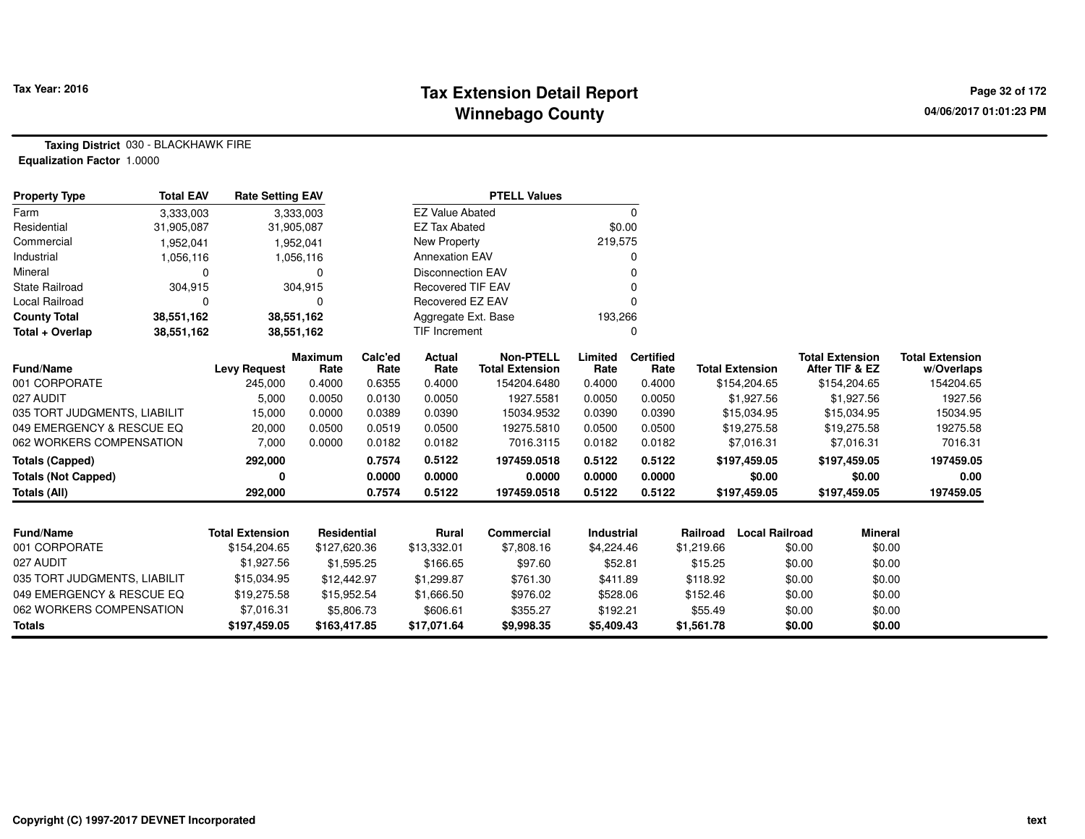## **Tax Extension Detail Report Tax Year: 2016 Page 32 of 172 Winnebago County**

**Taxing District** 030 - BLACKHAWK FIRE**Equalization Factor** 1.0000

| <b>Property Type</b>         | <b>Total EAV</b> | <b>Rate Setting EAV</b> |                        | <b>PTELL Values</b> |                          |                                            |                   |                          |            |                        |        |                                          |                                      |
|------------------------------|------------------|-------------------------|------------------------|---------------------|--------------------------|--------------------------------------------|-------------------|--------------------------|------------|------------------------|--------|------------------------------------------|--------------------------------------|
| Farm                         | 3,333,003        |                         | 3,333,003              |                     | <b>EZ Value Abated</b>   |                                            |                   | 0                        |            |                        |        |                                          |                                      |
| Residential                  | 31,905,087       |                         | 31,905,087             |                     | <b>EZ Tax Abated</b>     |                                            | \$0.00            |                          |            |                        |        |                                          |                                      |
| Commercial                   | 1,952,041        |                         | 1,952,041              |                     | New Property             |                                            | 219,575           |                          |            |                        |        |                                          |                                      |
| Industrial                   | 1,056,116        |                         | 1,056,116              |                     | <b>Annexation EAV</b>    |                                            |                   |                          |            |                        |        |                                          |                                      |
| Mineral                      | $\Omega$         |                         | 0                      |                     | <b>Disconnection EAV</b> |                                            |                   |                          |            |                        |        |                                          |                                      |
| <b>State Railroad</b>        | 304,915          |                         | 304,915                |                     | <b>Recovered TIF EAV</b> |                                            |                   |                          |            |                        |        |                                          |                                      |
| Local Railroad               | n                |                         | ŋ                      |                     | Recovered EZ EAV         |                                            |                   |                          |            |                        |        |                                          |                                      |
| <b>County Total</b>          | 38,551,162       |                         | 38,551,162             |                     | Aggregate Ext. Base      |                                            | 193,266           |                          |            |                        |        |                                          |                                      |
| Total + Overlap              | 38,551,162       |                         | 38,551,162             | TIF Increment       |                          |                                            | 0                 |                          |            |                        |        |                                          |                                      |
| <b>Fund/Name</b>             |                  | <b>Levy Request</b>     | <b>Maximum</b><br>Rate | Calc'ed<br>Rate     | <b>Actual</b><br>Rate    | <b>Non-PTELL</b><br><b>Total Extension</b> | Limited<br>Rate   | <b>Certified</b><br>Rate |            | <b>Total Extension</b> |        | <b>Total Extension</b><br>After TIF & EZ | <b>Total Extension</b><br>w/Overlaps |
| 001 CORPORATE                |                  | 245,000                 | 0.4000                 | 0.6355              | 0.4000                   | 154204.6480                                | 0.4000            | 0.4000                   |            | \$154,204.65           |        | \$154,204.65                             | 154204.65                            |
| 027 AUDIT                    |                  | 5,000                   | 0.0050                 | 0.0130              | 0.0050                   | 1927.5581                                  | 0.0050            | 0.0050                   |            | \$1,927.56             |        | \$1,927.56                               | 1927.56                              |
| 035 TORT JUDGMENTS, LIABILIT |                  | 15,000                  | 0.0000                 | 0.0389              | 0.0390                   | 15034.9532                                 | 0.0390            | 0.0390                   |            | \$15,034.95            |        | \$15,034.95                              | 15034.95                             |
| 049 EMERGENCY & RESCUE EQ    |                  | 20,000                  | 0.0500                 | 0.0519              | 0.0500                   | 19275.5810                                 | 0.0500            | 0.0500                   |            | \$19,275.58            |        | \$19,275.58                              | 19275.58                             |
| 062 WORKERS COMPENSATION     |                  | 7,000                   | 0.0000                 | 0.0182              | 0.0182                   | 7016.3115                                  | 0.0182            | 0.0182                   |            | \$7,016.31             |        | \$7,016.31                               | 7016.31                              |
| <b>Totals (Capped)</b>       |                  | 292,000                 |                        | 0.7574              | 0.5122                   | 197459.0518                                | 0.5122            | 0.5122                   |            | \$197,459.05           |        | \$197,459.05                             | 197459.05                            |
| <b>Totals (Not Capped)</b>   |                  | 0                       |                        | 0.0000              | 0.0000                   | 0.0000                                     | 0.0000            | 0.0000                   |            | \$0.00                 |        | \$0.00                                   | 0.00                                 |
| <b>Totals (All)</b>          |                  | 292,000                 |                        | 0.7574              | 0.5122                   | 197459.0518                                | 0.5122            | 0.5122                   |            | \$197,459.05           |        | \$197,459.05                             | 197459.05                            |
|                              |                  |                         |                        |                     |                          |                                            |                   |                          |            |                        |        |                                          |                                      |
| <b>Fund/Name</b>             |                  | <b>Total Extension</b>  | <b>Residential</b>     |                     | <b>Rural</b>             | <b>Commercial</b>                          | <b>Industrial</b> |                          | Railroad   | <b>Local Railroad</b>  |        | <b>Mineral</b>                           |                                      |
| 001 CORPORATE                |                  | \$154,204.65            | \$127,620.36           |                     | \$13,332.01              | \$7,808.16                                 | \$4,224.46        |                          | \$1,219.66 |                        | \$0.00 | \$0.00                                   |                                      |
| 027 AUDIT                    |                  | \$1,927.56              |                        | \$1,595.25          | \$166.65                 | \$97.60                                    | \$52.81           |                          | \$15.25    |                        | \$0.00 | \$0.00                                   |                                      |
| 035 TORT JUDGMENTS, LIABILIT |                  | \$15,034.95             | \$12,442.97            |                     | \$1,299.87               | \$761.30                                   | \$411.89          |                          | \$118.92   |                        | \$0.00 | \$0.00                                   |                                      |
| 049 EMERGENCY & RESCUE EQ    |                  | \$19,275.58             | \$15,952.54            |                     | \$1,666.50               | \$976.02                                   | \$528.06          |                          | \$152.46   |                        | \$0.00 | \$0.00                                   |                                      |
| 062 WORKERS COMPENSATION     |                  | \$7,016.31              |                        | \$5,806.73          | \$606.61                 | \$355.27                                   | \$192.21          |                          | \$55.49    |                        | \$0.00 | \$0.00                                   |                                      |
| <b>Totals</b>                |                  | \$197,459.05            | \$163,417.85           |                     | \$17,071.64              | \$9,998.35                                 | \$5,409.43        |                          | \$1,561.78 |                        | \$0.00 | \$0.00                                   |                                      |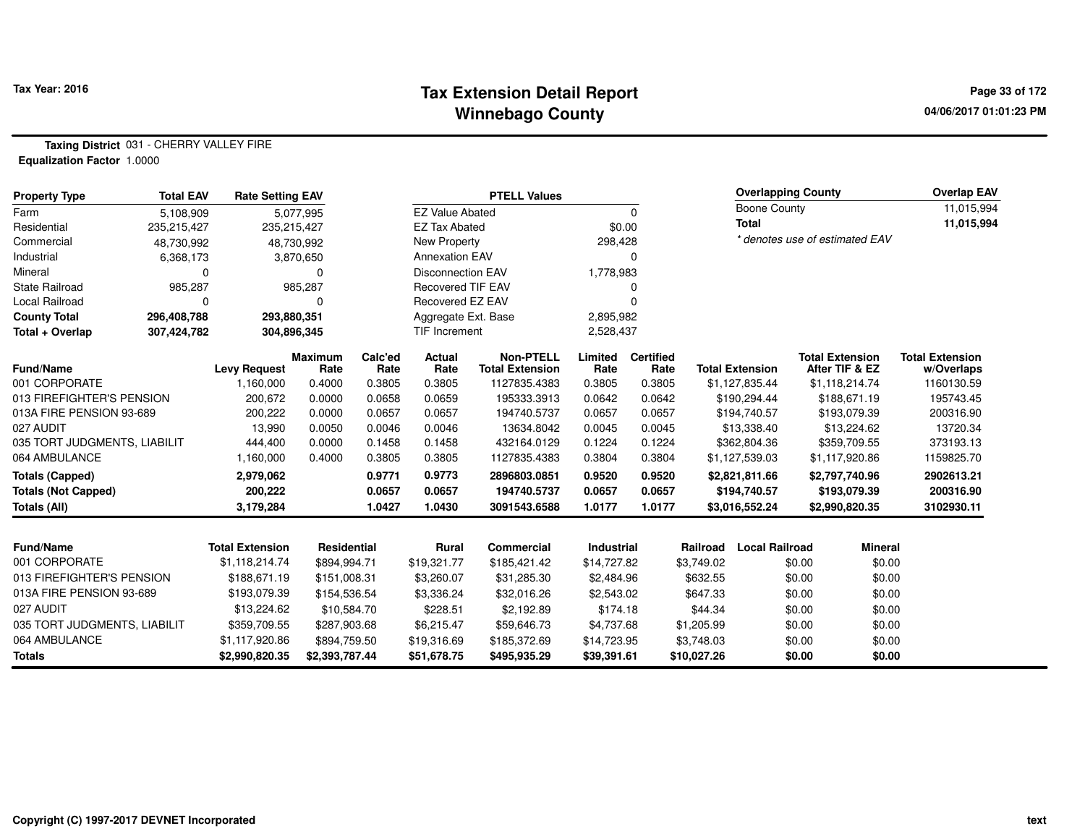#### **Tax Extension Detail Report Tax Year: 2016 Page 33 of 172 Winnebago County**

**Taxing District** 031 - CHERRY VALLEY FIRE**Equalization Factor** 1.0000

| <b>Property Type</b>         | <b>Total EAV</b> | <b>Rate Setting EAV</b> |                        |                 |                          | <b>PTELL Values</b>                        |                   |                          |             | <b>Overlapping County</b> |        |                                          | <b>Overlap EAV</b>                   |
|------------------------------|------------------|-------------------------|------------------------|-----------------|--------------------------|--------------------------------------------|-------------------|--------------------------|-------------|---------------------------|--------|------------------------------------------|--------------------------------------|
| Farm                         | 5,108,909        |                         | 5,077,995              |                 | <b>EZ Value Abated</b>   |                                            |                   | $\mathbf 0$              |             | <b>Boone County</b>       |        |                                          | 11,015,994                           |
| Residential                  | 235,215,427      |                         | 235,215,427            |                 | <b>EZ Tax Abated</b>     |                                            | \$0.00            |                          |             | <b>Total</b>              |        |                                          | 11,015,994                           |
| Commercial                   | 48,730,992       |                         | 48,730,992             |                 | New Property             |                                            | 298,428           |                          |             |                           |        | * denotes use of estimated EAV           |                                      |
| Industrial                   | 6,368,173        |                         | 3,870,650              |                 | <b>Annexation EAV</b>    |                                            |                   | O                        |             |                           |        |                                          |                                      |
| Mineral                      | 0                |                         | $\Omega$               |                 | <b>Disconnection EAV</b> |                                            | 1,778,983         |                          |             |                           |        |                                          |                                      |
| State Railroad               | 985,287          |                         | 985,287                |                 | <b>Recovered TIF EAV</b> |                                            |                   |                          |             |                           |        |                                          |                                      |
| Local Railroad               | 0                |                         | 0                      |                 | Recovered EZ EAV         |                                            |                   |                          |             |                           |        |                                          |                                      |
| <b>County Total</b>          | 296,408,788      |                         | 293,880,351            |                 | Aggregate Ext. Base      |                                            | 2,895,982         |                          |             |                           |        |                                          |                                      |
| Total + Overlap              | 307,424,782      |                         | 304,896,345            | TIF Increment   |                          |                                            | 2,528,437         |                          |             |                           |        |                                          |                                      |
| <b>Fund/Name</b>             |                  | <b>Levy Request</b>     | <b>Maximum</b><br>Rate | Calc'ed<br>Rate | <b>Actual</b><br>Rate    | <b>Non-PTELL</b><br><b>Total Extension</b> | Limited<br>Rate   | <b>Certified</b><br>Rate |             | <b>Total Extension</b>    |        | <b>Total Extension</b><br>After TIF & EZ | <b>Total Extension</b><br>w/Overlaps |
| 001 CORPORATE                |                  | 1,160,000               | 0.4000                 | 0.3805          | 0.3805                   | 1127835.4383                               | 0.3805            | 0.3805                   |             | \$1,127,835.44            |        | \$1,118,214.74                           | 1160130.59                           |
| 013 FIREFIGHTER'S PENSION    |                  | 200,672                 | 0.0000                 | 0.0658          | 0.0659                   | 195333.3913                                | 0.0642            | 0.0642                   |             | \$190,294.44              |        | \$188,671.19                             | 195743.45                            |
| 013A FIRE PENSION 93-689     |                  | 200,222                 | 0.0000                 | 0.0657          | 0.0657                   | 194740.5737                                | 0.0657            | 0.0657                   |             | \$194,740.57              |        | \$193,079.39                             | 200316.90                            |
| 027 AUDIT                    |                  | 13,990                  | 0.0050                 | 0.0046          | 0.0046                   | 13634.8042                                 | 0.0045            | 0.0045                   |             | \$13,338.40               |        | \$13,224.62                              | 13720.34                             |
| 035 TORT JUDGMENTS, LIABILIT |                  | 444,400                 | 0.0000                 | 0.1458          | 0.1458                   | 432164.0129                                | 0.1224            | 0.1224                   |             | \$362,804.36              |        | \$359,709.55                             | 373193.13                            |
| 064 AMBULANCE                |                  | 1,160,000               | 0.4000                 | 0.3805          | 0.3805                   | 1127835.4383                               | 0.3804            | 0.3804                   |             | \$1,127,539.03            |        | \$1,117,920.86                           | 1159825.70                           |
| <b>Totals (Capped)</b>       |                  | 2,979,062               |                        | 0.9771          | 0.9773                   | 2896803.0851                               | 0.9520            | 0.9520                   |             | \$2,821,811.66            |        | \$2,797,740.96                           | 2902613.21                           |
| <b>Totals (Not Capped)</b>   |                  | 200,222                 |                        | 0.0657          | 0.0657                   | 194740.5737                                | 0.0657            | 0.0657                   |             | \$194,740.57              |        | \$193,079.39                             | 200316.90                            |
| Totals (All)                 |                  | 3,179,284               |                        | 1.0427          | 1.0430                   | 3091543.6588                               | 1.0177            | 1.0177                   |             | \$3,016,552.24            |        | \$2,990,820.35                           | 3102930.11                           |
|                              |                  |                         |                        |                 |                          |                                            |                   |                          |             |                           |        |                                          |                                      |
| <b>Fund/Name</b>             |                  | <b>Total Extension</b>  | Residential            |                 | Rural                    | Commercial                                 | <b>Industrial</b> |                          | Railroad    | <b>Local Railroad</b>     |        | <b>Mineral</b>                           |                                      |
| 001 CORPORATE                |                  | \$1,118,214.74          | \$894,994.71           |                 | \$19,321.77              | \$185,421.42                               | \$14,727.82       |                          | \$3,749.02  |                           | \$0.00 | \$0.00                                   |                                      |
| 013 FIREFIGHTER'S PENSION    |                  | \$188,671.19            | \$151,008.31           |                 | \$3,260.07               | \$31,285.30                                | \$2,484.96        |                          | \$632.55    |                           | \$0.00 | \$0.00                                   |                                      |
| 013A FIRE PENSION 93-689     |                  | \$193,079.39            | \$154,536.54           |                 | \$3,336.24               | \$32,016.26                                | \$2,543.02        |                          | \$647.33    |                           | \$0.00 | \$0.00                                   |                                      |
| 027 AUDIT                    |                  | \$13,224.62             | \$10,584.70            |                 | \$228.51                 | \$2,192.89                                 | \$174.18          |                          | \$44.34     |                           | \$0.00 | \$0.00                                   |                                      |
| 035 TORT JUDGMENTS, LIABILIT |                  | \$359,709.55            | \$287,903.68           |                 | \$6,215.47               | \$59,646.73                                | \$4,737.68        |                          | \$1,205.99  |                           | \$0.00 | \$0.00                                   |                                      |
| 064 AMBULANCE                |                  | \$1,117,920.86          | \$894,759.50           |                 | \$19,316.69              | \$185,372.69                               | \$14,723.95       |                          | \$3,748.03  |                           | \$0.00 | \$0.00                                   |                                      |
| <b>Totals</b>                |                  | \$2,990,820.35          | \$2,393,787.44         |                 | \$51,678.75              | \$495,935.29                               | \$39,391.61       |                          | \$10,027.26 |                           | \$0.00 | \$0.00                                   |                                      |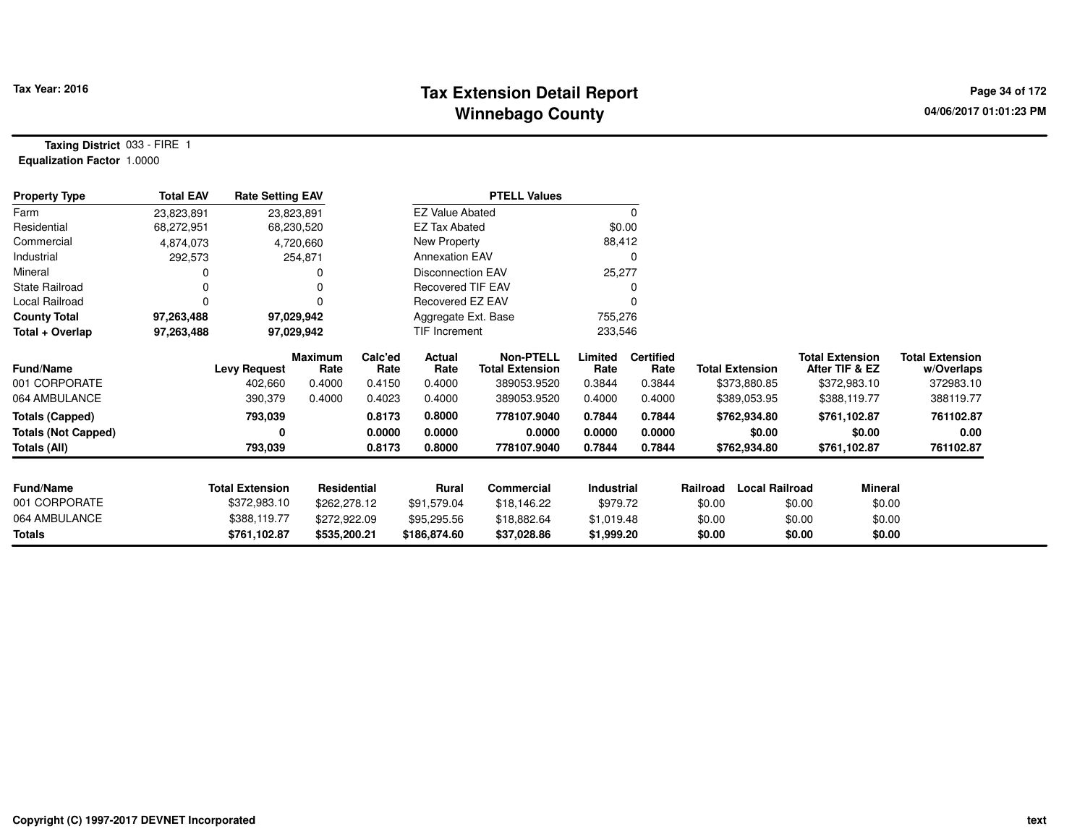## **Tax Extension Detail Report Tax Year: 2016 Page 34 of 172 Winnebago County**

**Taxing District** 033 - FIRE 1**Equalization Factor** 1.0000

| <b>Property Type</b>                       | <b>Total EAV</b> | <b>Rate Setting EAV</b>        |                                  |                           |                            | <b>PTELL Values</b>                                       |                           |                                    |                                        |                       |                                                          |                                                   |
|--------------------------------------------|------------------|--------------------------------|----------------------------------|---------------------------|----------------------------|-----------------------------------------------------------|---------------------------|------------------------------------|----------------------------------------|-----------------------|----------------------------------------------------------|---------------------------------------------------|
| Farm                                       | 23,823,891       | 23,823,891                     |                                  |                           | <b>EZ Value Abated</b>     |                                                           |                           | 0                                  |                                        |                       |                                                          |                                                   |
| Residential                                | 68,272,951       | 68,230,520                     |                                  |                           | <b>EZ Tax Abated</b>       |                                                           |                           | \$0.00                             |                                        |                       |                                                          |                                                   |
| Commercial                                 | 4,874,073        | 4,720,660                      |                                  |                           | New Property               |                                                           | 88,412                    |                                    |                                        |                       |                                                          |                                                   |
| Industrial                                 | 292,573          |                                | 254,871                          |                           | <b>Annexation EAV</b>      |                                                           |                           | 0                                  |                                        |                       |                                                          |                                                   |
| Mineral                                    | 0                |                                |                                  |                           | <b>Disconnection EAV</b>   |                                                           | 25,277                    |                                    |                                        |                       |                                                          |                                                   |
| <b>State Railroad</b>                      | 0                |                                | 0                                |                           | <b>Recovered TIF EAV</b>   |                                                           |                           |                                    |                                        |                       |                                                          |                                                   |
| Local Railroad                             | 0                |                                | $\Omega$                         |                           | Recovered EZ EAV           |                                                           |                           |                                    |                                        |                       |                                                          |                                                   |
| <b>County Total</b>                        | 97,263,488       | 97,029,942                     |                                  | Aggregate Ext. Base       |                            |                                                           | 755,276                   |                                    |                                        |                       |                                                          |                                                   |
| Total + Overlap                            | 97,263,488       | 97,029,942                     |                                  |                           | TIF Increment              |                                                           | 233,546                   |                                    |                                        |                       |                                                          |                                                   |
| <b>Fund/Name</b><br>001 CORPORATE          |                  | <b>Levy Request</b><br>402,660 | <b>Maximum</b><br>Rate<br>0.4000 | Calc'ed<br>Rate<br>0.4150 | Actual<br>Rate<br>0.4000   | <b>Non-PTELL</b><br><b>Total Extension</b><br>389053.9520 | Limited<br>Rate<br>0.3844 | <b>Certified</b><br>Rate<br>0.3844 | <b>Total Extension</b><br>\$373,880.85 |                       | <b>Total Extension</b><br>After TIF & EZ<br>\$372,983.10 | <b>Total Extension</b><br>w/Overlaps<br>372983.10 |
| 064 AMBULANCE                              |                  | 390,379                        | 0.4000                           | 0.4023                    | 0.4000                     | 389053.9520                                               | 0.4000                    | 0.4000                             | \$389,053.95                           |                       | \$388,119.77                                             | 388119.77                                         |
| <b>Totals (Capped)</b>                     |                  | 793,039                        |                                  | 0.8173                    | 0.8000                     | 778107.9040                                               | 0.7844                    | 0.7844                             | \$762,934.80                           |                       | \$761,102.87                                             | 761102.87                                         |
| <b>Totals (Not Capped)</b><br>Totals (All) |                  | 793,039                        |                                  | 0.0000<br>0.8173          | 0.0000<br>0.8000           | 0.0000<br>778107.9040                                     | 0.0000<br>0.7844          | 0.0000<br>0.7844                   | \$762,934.80                           | \$0.00                | \$0.00<br>\$761,102.87                                   | 0.00<br>761102.87                                 |
| <b>Fund/Name</b>                           |                  | <b>Total Extension</b>         | Residential                      |                           | Rural                      | Commercial                                                | Industrial                |                                    | Railroad                               | <b>Local Railroad</b> | Mineral                                                  |                                                   |
| 001 CORPORATE                              |                  | \$372,983.10                   | \$262,278.12                     |                           |                            |                                                           | \$979.72                  |                                    | \$0.00                                 | \$0.00                | \$0.00                                                   |                                                   |
| 064 AMBULANCE                              |                  | \$388,119.77                   | \$272,922.09                     |                           | \$91,579.04<br>\$95,295.56 | \$18,146.22<br>\$18,882.64                                | \$1,019.48                |                                    | \$0.00                                 | \$0.00                | \$0.00                                                   |                                                   |
| Totals                                     |                  | \$761,102.87                   | \$535,200.21                     |                           | \$186,874.60               | \$37,028.86                                               | \$1,999.20                |                                    | \$0.00                                 | \$0.00                | \$0.00                                                   |                                                   |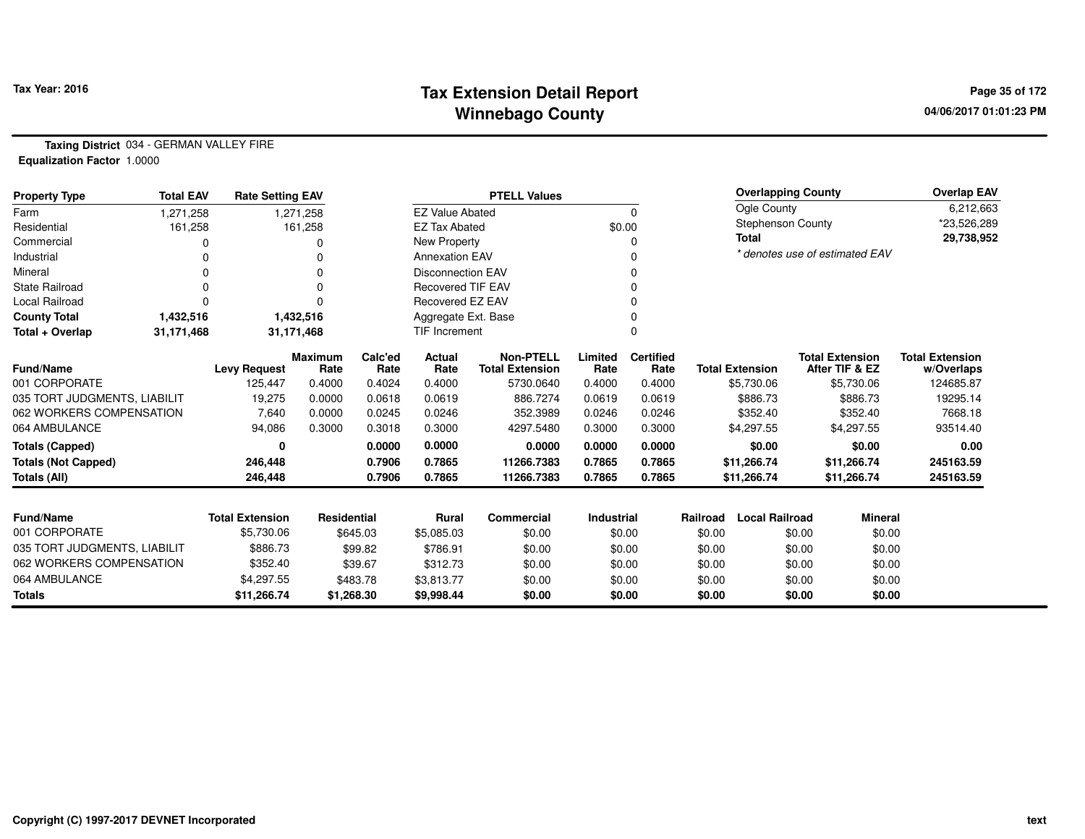## **Tax Extension Detail Report Tax Year: 2016 Page 35 of 172 Winnebago County**

**Taxing District** 034 - GERMAN VALLEY FIRE**Equalization Factor** 1.0000

| <b>Property Type</b>         | <b>Total EAV</b> | <b>Rate Setting EAV</b> |                        |                      |                          | <b>PTELL Values</b>                        |                   |                          |          | <b>Overlapping County</b> |        |                                          | <b>Overlap EAV</b>                   |
|------------------------------|------------------|-------------------------|------------------------|----------------------|--------------------------|--------------------------------------------|-------------------|--------------------------|----------|---------------------------|--------|------------------------------------------|--------------------------------------|
| Farm                         | 1.271.258        |                         | 1,271,258              |                      | <b>EZ Value Abated</b>   |                                            |                   | $\Omega$                 |          | Ogle County               |        |                                          | 6,212,663                            |
| Residential                  | 161,258          |                         | 161,258                |                      | <b>EZ Tax Abated</b>     |                                            | \$0.00            |                          |          | <b>Stephenson County</b>  |        |                                          | *23,526,289                          |
| Commercial                   |                  |                         |                        |                      | New Property             |                                            |                   |                          |          | <b>Total</b>              |        |                                          | 29,738,952                           |
| Industrial                   |                  |                         |                        |                      | <b>Annexation EAV</b>    |                                            |                   | <sup>0</sup>             |          |                           |        | * denotes use of estimated EAV           |                                      |
| Mineral                      |                  |                         |                        |                      | <b>Disconnection EAV</b> |                                            |                   |                          |          |                           |        |                                          |                                      |
| <b>State Railroad</b>        |                  |                         |                        |                      | <b>Recovered TIF EAV</b> |                                            |                   |                          |          |                           |        |                                          |                                      |
| Local Railroad               |                  |                         |                        |                      | Recovered EZ EAV         |                                            |                   |                          |          |                           |        |                                          |                                      |
| <b>County Total</b>          | 1,432,516        |                         | 1,432,516              |                      | Aggregate Ext. Base      |                                            |                   |                          |          |                           |        |                                          |                                      |
| Total + Overlap              | 31,171,468       |                         | 31,171,468             | <b>TIF Increment</b> |                          |                                            |                   | $\Omega$                 |          |                           |        |                                          |                                      |
| Fund/Name                    |                  | <b>Levy Request</b>     | <b>Maximum</b><br>Rate | Calc'ed<br>Rate      | <b>Actual</b><br>Rate    | <b>Non-PTELL</b><br><b>Total Extension</b> | Limited<br>Rate   | <b>Certified</b><br>Rate |          | <b>Total Extension</b>    |        | <b>Total Extension</b><br>After TIF & EZ | <b>Total Extension</b><br>w/Overlaps |
| 001 CORPORATE                |                  | 125,447                 | 0.4000                 | 0.4024               | 0.4000                   | 5730.0640                                  | 0.4000            | 0.4000                   |          | \$5,730.06                |        | \$5,730.06                               | 124685.87                            |
| 035 TORT JUDGMENTS, LIABILIT |                  | 19,275                  | 0.0000                 | 0.0618               | 0.0619                   | 886.7274                                   | 0.0619            | 0.0619                   |          | \$886.73                  |        | \$886.73                                 | 19295.14                             |
| 062 WORKERS COMPENSATION     |                  | 7,640                   | 0.0000                 | 0.0245               | 0.0246                   | 352.3989                                   | 0.0246            | 0.0246                   |          | \$352.40                  |        | \$352.40                                 | 7668.18                              |
| 064 AMBULANCE                |                  | 94,086                  | 0.3000                 | 0.3018               | 0.3000                   | 4297.5480                                  | 0.3000            | 0.3000                   |          | \$4,297.55                |        | \$4,297.55                               | 93514.40                             |
| <b>Totals (Capped)</b>       |                  | 0                       |                        | 0.0000               | 0.0000                   | 0.0000                                     | 0.0000            | 0.0000                   |          | \$0.00                    |        | \$0.00                                   | 0.00                                 |
| Totals (Not Capped)          |                  | 246,448                 |                        | 0.7906               | 0.7865                   | 11266.7383                                 | 0.7865            | 0.7865                   |          | \$11,266.74               |        | \$11,266.74                              | 245163.59                            |
| Totals (All)                 |                  | 246,448                 |                        | 0.7906               | 0.7865                   | 11266.7383                                 | 0.7865            | 0.7865                   |          | \$11,266.74               |        | \$11,266.74                              | 245163.59                            |
|                              |                  |                         |                        |                      |                          |                                            |                   |                          |          |                           |        |                                          |                                      |
| <b>Fund/Name</b>             |                  | <b>Total Extension</b>  | <b>Residential</b>     |                      | <b>Rural</b>             | <b>Commercial</b>                          | <b>Industrial</b> |                          | Railroad | <b>Local Railroad</b>     |        | <b>Mineral</b>                           |                                      |
| 001 CORPORATE                |                  | \$5,730.06              |                        | \$645.03             | \$5,085.03               | \$0.00                                     | \$0.00            |                          | \$0.00   |                           | \$0.00 | \$0.00                                   |                                      |
| 035 TORT JUDGMENTS, LIABILIT |                  | \$886.73                |                        | \$99.82              | \$786.91                 | \$0.00                                     | \$0.00            |                          | \$0.00   |                           | \$0.00 | \$0.00                                   |                                      |
| 062 WORKERS COMPENSATION     |                  | \$352.40                |                        | \$39.67              | \$312.73                 | \$0.00                                     | \$0.00            |                          | \$0.00   |                           | \$0.00 | \$0.00                                   |                                      |
| 064 AMBULANCE                |                  | \$4,297.55              |                        | \$483.78             | \$3,813.77               | \$0.00                                     | \$0.00            |                          | \$0.00   |                           | \$0.00 | \$0.00                                   |                                      |
| <b>Totals</b>                |                  | \$11,266.74             | \$1,268.30             |                      | \$9,998.44               | \$0.00                                     | \$0.00            |                          | \$0.00   |                           | \$0.00 | \$0.00                                   |                                      |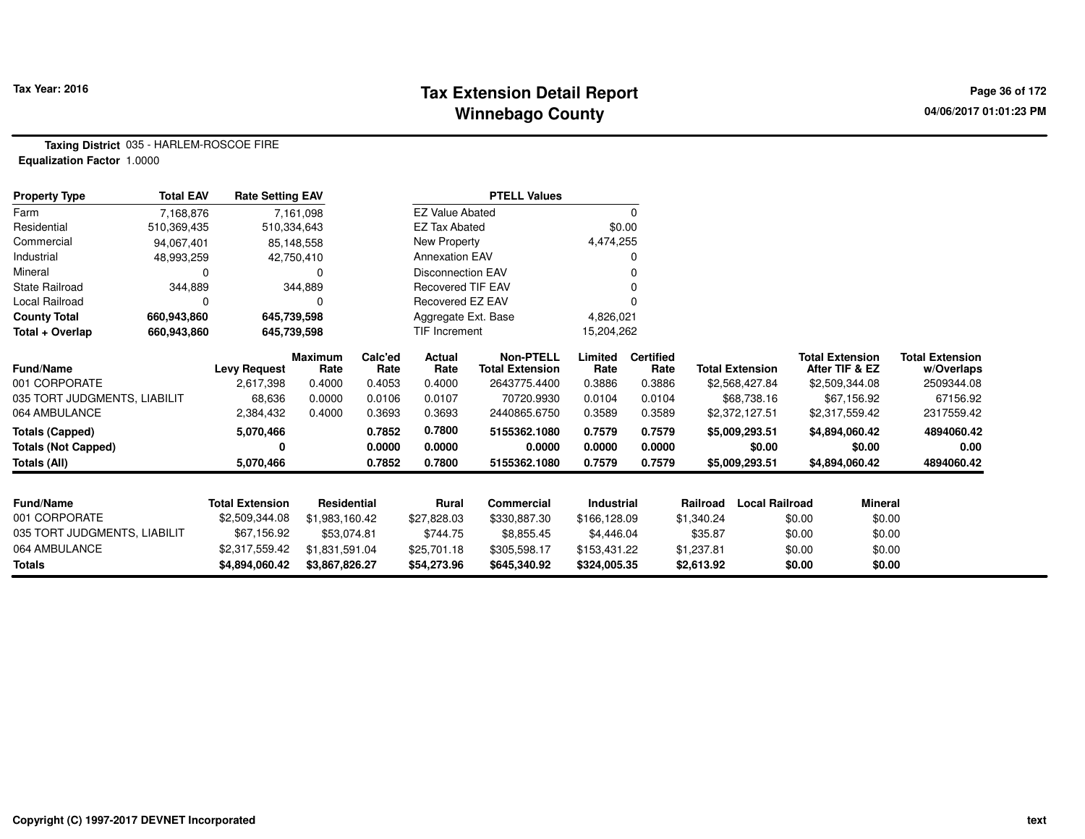## **Tax Extension Detail Report Tax Year: 2016 Page 36 of 172 Winnebago County**

**Taxing District** 035 - HARLEM-ROSCOE FIRE**Equalization Factor** 1.0000

| <b>Property Type</b>         | <b>Total EAV</b>         | <b>Rate Setting EAV</b> |                               |                 | <b>PTELL Values</b>      |                                            |                            |                          |                        |                       |                                          |                                      |
|------------------------------|--------------------------|-------------------------|-------------------------------|-----------------|--------------------------|--------------------------------------------|----------------------------|--------------------------|------------------------|-----------------------|------------------------------------------|--------------------------------------|
| Farm                         |                          | 7,161,098<br>7.168.876  |                               |                 | <b>EZ Value Abated</b>   |                                            |                            | 0                        |                        |                       |                                          |                                      |
| Residential                  | 510,369,435              | 510,334,643             |                               |                 | <b>EZ Tax Abated</b>     |                                            | \$0.00                     |                          |                        |                       |                                          |                                      |
| Commercial                   | 85,148,558<br>94,067,401 |                         |                               |                 | New Property             |                                            |                            | 4,474,255                |                        |                       |                                          |                                      |
| Industrial                   | 48,993,259               | 42,750,410              |                               |                 | <b>Annexation EAV</b>    |                                            | 0                          |                          |                        |                       |                                          |                                      |
| Mineral                      | O                        | 0                       |                               |                 | Disconnection EAV        |                                            |                            |                          |                        |                       |                                          |                                      |
| <b>State Railroad</b>        | 344,889                  | 344,889                 |                               |                 | <b>Recovered TIF EAV</b> |                                            |                            |                          |                        |                       |                                          |                                      |
| Local Railroad               |                          | 0<br>0                  |                               |                 | Recovered EZ EAV         |                                            |                            |                          |                        |                       |                                          |                                      |
| <b>County Total</b>          | 660,943,860              | 645,739,598             |                               |                 | Aggregate Ext. Base      |                                            | 4,826,021                  |                          |                        |                       |                                          |                                      |
| Total + Overlap              | 660,943,860              | 645,739,598             |                               |                 | TIF Increment            |                                            | 15,204,262                 |                          |                        |                       |                                          |                                      |
| Fund/Name                    |                          | <b>Levy Request</b>     | <b>Maximum</b><br>Rate        | Calc'ed<br>Rate | <b>Actual</b><br>Rate    | <b>Non-PTELL</b><br><b>Total Extension</b> | Limited<br>Rate            | <b>Certified</b><br>Rate | <b>Total Extension</b> |                       | <b>Total Extension</b><br>After TIF & EZ | <b>Total Extension</b><br>w/Overlaps |
| 001 CORPORATE                |                          | 2,617,398               | 0.4000                        | 0.4053          | 0.4000                   | 2643775.4400                               | 0.3886                     | 0.3886                   | \$2,568,427.84         |                       | \$2,509,344.08                           | 2509344.08                           |
| 035 TORT JUDGMENTS, LIABILIT |                          | 68,636                  | 0.0000                        | 0.0106          | 0.0107                   | 70720.9930                                 | 0.0104                     | 0.0104                   |                        | \$68,738.16           | \$67,156.92                              | 67156.92                             |
| 064 AMBULANCE                |                          | 2,384,432               | 0.4000                        | 0.3693          | 0.3693                   | 2440865.6750                               | 0.3589                     | 0.3589                   | \$2,372,127.51         |                       | \$2,317,559.42                           | 2317559.42                           |
| <b>Totals (Capped)</b>       |                          | 5,070,466               |                               | 0.7852          | 0.7800                   | 5155362.1080                               | 0.7579                     | 0.7579                   | \$5,009,293.51         |                       | \$4,894,060.42                           | 4894060.42                           |
| <b>Totals (Not Capped)</b>   |                          | 0                       |                               | 0.0000          | 0.0000                   | 0.0000                                     | 0.0000                     | 0.0000                   |                        | \$0.00                | \$0.00                                   | 0.00                                 |
| <b>Totals (All)</b>          |                          | 5,070,466               |                               | 0.7852          | 0.7800                   | 5155362.1080                               | 0.7579                     | 0.7579                   | \$5,009,293.51         |                       | \$4,894,060.42                           | 4894060.42                           |
| Fund/Name                    |                          | <b>Total Extension</b>  | <b>Residential</b>            |                 | <b>Rural</b>             | <b>Commercial</b>                          | Industrial                 |                          | Railroad               | <b>Local Railroad</b> | Mineral                                  |                                      |
| 001 CORPORATE                |                          | \$2,509,344.08          |                               |                 | \$27,828.03              | \$330,887.30                               |                            |                          | \$1,340.24             | \$0.00                | \$0.00                                   |                                      |
| 035 TORT JUDGMENTS, LIABILIT |                          | \$67,156.92             | \$1,983,160.42<br>\$53,074.81 |                 | \$744.75                 |                                            | \$166,128.09               |                          |                        |                       |                                          |                                      |
| 064 AMBULANCE                |                          |                         | \$1,831,591.04                |                 |                          | \$8,855.45                                 | \$4,446.04<br>\$153,431.22 |                          | \$35.87                | \$0.00                | \$0.00                                   |                                      |
|                              |                          | \$2,317,559.42          |                               |                 | \$25,701.18              | \$305,598.17                               |                            |                          | \$1,237.81             | \$0.00                | \$0.00                                   |                                      |
| <b>Totals</b>                |                          | \$4,894,060.42          | \$3,867,826.27                |                 | \$54,273.96              | \$645,340.92                               | \$324,005.35               |                          | \$2,613.92             | \$0.00                | \$0.00                                   |                                      |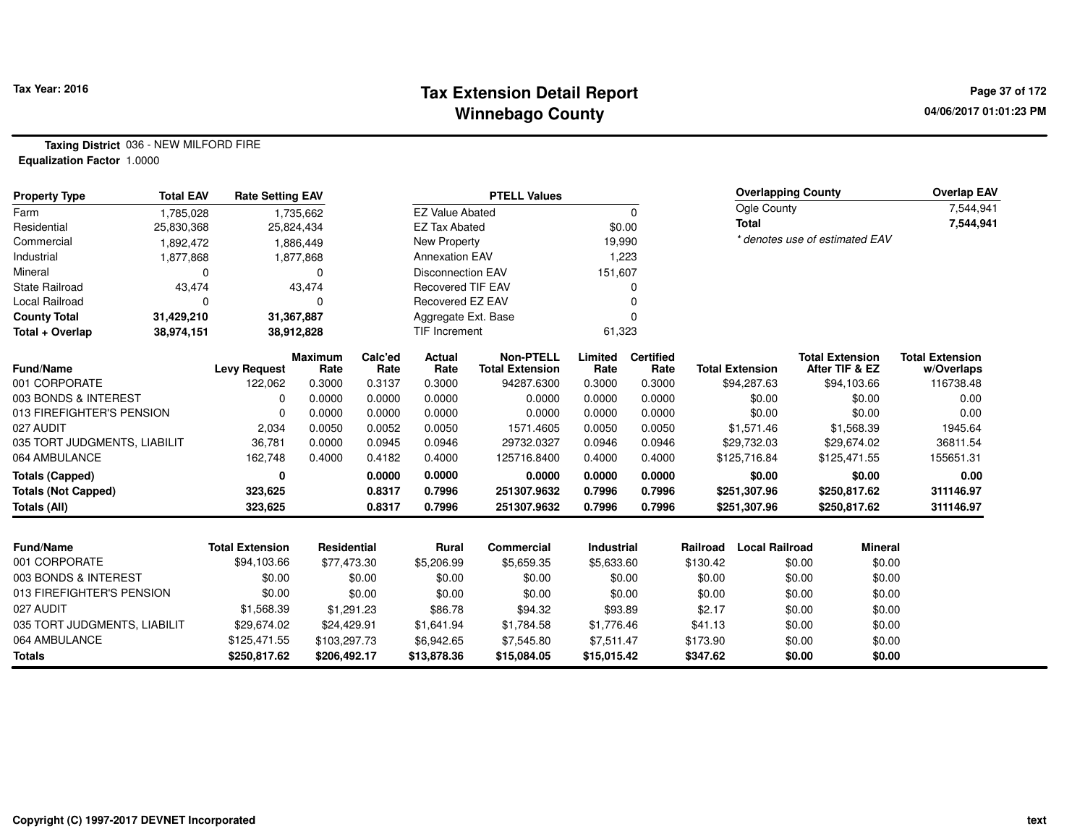### **Tax Extension Detail Report Tax Year: 2016 Page 37 of 172 Winnebago County**

**Taxing District** 036 - NEW MILFORD FIRE**Equalization Factor** 1.0000

| <b>Property Type</b>         | <b>Total EAV</b> | <b>Rate Setting EAV</b> |                        |                 |                          | <b>PTELL Values</b>                        |                 |                          | <b>Overlapping County</b> |                        |                                          | <b>Overlap EAV</b>                   |
|------------------------------|------------------|-------------------------|------------------------|-----------------|--------------------------|--------------------------------------------|-----------------|--------------------------|---------------------------|------------------------|------------------------------------------|--------------------------------------|
| Farm                         | 1,785,028        |                         | 1,735,662              |                 | <b>EZ Value Abated</b>   |                                            |                 | $\mathbf 0$              |                           | Ogle County            |                                          | 7,544,941                            |
| Residential                  | 25,830,368       |                         | 25,824,434             |                 | <b>EZ Tax Abated</b>     |                                            | \$0.00          |                          |                           | <b>Total</b>           |                                          | 7,544,941                            |
| Commercial                   | 1,892,472        |                         | 1,886,449              |                 | New Property             |                                            | 19,990          |                          |                           |                        | * denotes use of estimated EAV           |                                      |
| Industrial                   | 1,877,868        |                         | 1,877,868              |                 | <b>Annexation EAV</b>    |                                            | 1,223           |                          |                           |                        |                                          |                                      |
| Mineral                      | $\Omega$         |                         | $\Omega$               |                 | <b>Disconnection EAV</b> |                                            | 151,607         |                          |                           |                        |                                          |                                      |
| <b>State Railroad</b>        | 43,474           |                         | 43,474                 |                 | <b>Recovered TIF EAV</b> |                                            |                 | ი                        |                           |                        |                                          |                                      |
| Local Railroad               | 0                |                         | 0                      |                 | Recovered EZ EAV         |                                            |                 | 0                        |                           |                        |                                          |                                      |
| <b>County Total</b>          | 31,429,210       |                         | 31,367,887             |                 | Aggregate Ext. Base      |                                            |                 | 0                        |                           |                        |                                          |                                      |
| Total + Overlap              | 38,974,151       |                         | 38,912,828             |                 | TIF Increment            |                                            | 61,323          |                          |                           |                        |                                          |                                      |
| <b>Fund/Name</b>             |                  | <b>Levy Request</b>     | <b>Maximum</b><br>Rate | Calc'ed<br>Rate | <b>Actual</b><br>Rate    | <b>Non-PTELL</b><br><b>Total Extension</b> | Limited<br>Rate | <b>Certified</b><br>Rate |                           | <b>Total Extension</b> | <b>Total Extension</b><br>After TIF & EZ | <b>Total Extension</b><br>w/Overlaps |
| 001 CORPORATE                |                  | 122,062                 | 0.3000                 | 0.3137          | 0.3000                   | 94287.6300                                 | 0.3000          | 0.3000                   |                           | \$94,287.63            | \$94,103.66                              | 116738.48                            |
| 003 BONDS & INTEREST         |                  | 0                       | 0.0000                 | 0.0000          | 0.0000                   | 0.0000                                     | 0.0000          | 0.0000                   |                           | \$0.00                 | \$0.00                                   | 0.00                                 |
| 013 FIREFIGHTER'S PENSION    |                  | $\Omega$                | 0.0000                 | 0.0000          | 0.0000                   | 0.0000                                     | 0.0000          | 0.0000                   |                           | \$0.00                 | \$0.00                                   | 0.00                                 |
| 027 AUDIT                    |                  | 2,034                   | 0.0050                 | 0.0052          | 0.0050                   | 1571.4605                                  | 0.0050          | 0.0050                   |                           | \$1,571.46             | \$1,568.39                               | 1945.64                              |
| 035 TORT JUDGMENTS, LIABILIT |                  | 36,781                  | 0.0000                 | 0.0945          | 0.0946                   | 29732.0327                                 | 0.0946          | 0.0946                   |                           | \$29,732.03            | \$29,674.02                              | 36811.54                             |
| 064 AMBULANCE                |                  | 162,748                 | 0.4000                 | 0.4182          | 0.4000                   | 125716.8400                                | 0.4000          | 0.4000                   |                           | \$125,716.84           | \$125,471.55                             | 155651.31                            |
| <b>Totals (Capped)</b>       |                  | 0                       |                        | 0.0000          | 0.0000                   | 0.0000                                     | 0.0000          | 0.0000                   |                           | \$0.00                 | \$0.00                                   | 0.00                                 |
| <b>Totals (Not Capped)</b>   |                  | 323,625                 |                        | 0.8317          | 0.7996                   | 251307.9632                                | 0.7996          | 0.7996                   |                           | \$251,307.96           | \$250,817.62                             | 311146.97                            |
| Totals (All)                 |                  | 323,625                 |                        | 0.8317          | 0.7996                   | 251307.9632                                | 0.7996          | 0.7996                   |                           | \$251,307.96           | \$250,817.62                             | 311146.97                            |
|                              |                  |                         |                        |                 |                          |                                            |                 |                          |                           |                        |                                          |                                      |
| <b>Fund/Name</b>             |                  | <b>Total Extension</b>  | Residential            |                 | <b>Rural</b>             | Commercial                                 | Industrial      |                          | Railroad                  | <b>Local Railroad</b>  | <b>Mineral</b>                           |                                      |
| 001 CORPORATE                |                  | \$94,103.66             | \$77,473.30            |                 | \$5,206.99               | \$5,659.35                                 | \$5,633.60      |                          | \$130.42                  | \$0.00                 | \$0.00                                   |                                      |
| 003 BONDS & INTEREST         |                  | \$0.00                  |                        | \$0.00          | \$0.00                   | \$0.00                                     |                 | \$0.00                   | \$0.00                    | \$0.00                 | \$0.00                                   |                                      |
| 013 FIREFIGHTER'S PENSION    |                  | \$0.00                  |                        | \$0.00          | \$0.00                   | \$0.00                                     |                 | \$0.00                   | \$0.00                    | \$0.00                 | \$0.00                                   |                                      |
| 027 AUDIT                    |                  | \$1,568.39              |                        | \$1,291.23      | \$86.78                  | \$94.32                                    | \$93.89         |                          | \$2.17                    | \$0.00                 | \$0.00                                   |                                      |
| 035 TORT JUDGMENTS, LIABILIT |                  | \$29,674.02             | \$24,429.91            |                 | \$1,641.94               | \$1,784.58                                 | \$1,776.46      |                          | \$41.13                   | \$0.00                 | \$0.00                                   |                                      |
| 064 AMBULANCE                |                  | \$125,471.55            | \$103,297.73           |                 | \$6,942.65               | \$7,545.80                                 | \$7,511.47      |                          | \$173.90                  | \$0.00                 | \$0.00                                   |                                      |
| <b>Totals</b>                |                  | \$250,817.62            | \$206,492.17           |                 | \$13,878.36              | \$15,084.05                                | \$15,015.42     |                          | \$347.62                  | \$0.00                 | \$0.00                                   |                                      |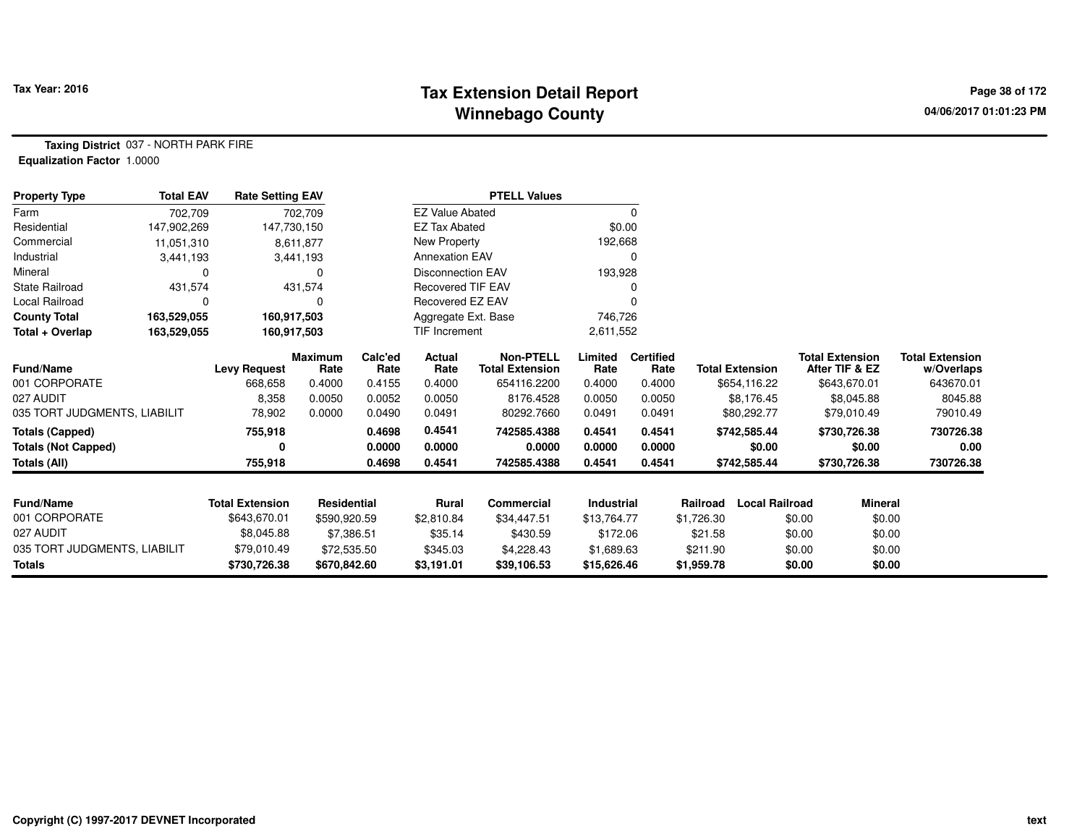# **Tax Extension Detail Report Tax Year: 2016 Page 38 of 172 Winnebago County**

**Taxing District** 037 - NORTH PARK FIRE**Equalization Factor** 1.0000

| <b>Property Type</b>         | <b>Total EAV</b> | <b>Rate Setting EAV</b> |                    |                 |                          | <b>PTELL Values</b>                        |                 |                          |                        |                       |                                          |                                      |
|------------------------------|------------------|-------------------------|--------------------|-----------------|--------------------------|--------------------------------------------|-----------------|--------------------------|------------------------|-----------------------|------------------------------------------|--------------------------------------|
| Farm                         | 702,709          |                         | 702,709            |                 | <b>EZ Value Abated</b>   |                                            |                 | 0                        |                        |                       |                                          |                                      |
| Residential                  | 147,902,269      | 147,730,150             |                    |                 | <b>EZ Tax Abated</b>     |                                            | \$0.00          |                          |                        |                       |                                          |                                      |
| Commercial                   | 11,051,310       |                         | 8,611,877          |                 | New Property             |                                            | 192,668         |                          |                        |                       |                                          |                                      |
| Industrial                   | 3,441,193        |                         | 3,441,193          |                 | <b>Annexation EAV</b>    |                                            |                 | 0                        |                        |                       |                                          |                                      |
| Mineral                      | O                |                         | 0                  |                 | <b>Disconnection EAV</b> |                                            | 193,928         |                          |                        |                       |                                          |                                      |
| <b>State Railroad</b>        | 431,574          |                         | 431,574            |                 | <b>Recovered TIF EAV</b> |                                            |                 |                          |                        |                       |                                          |                                      |
| Local Railroad               | 0                |                         | 0                  |                 | Recovered EZ EAV         |                                            |                 |                          |                        |                       |                                          |                                      |
| <b>County Total</b>          | 163,529,055      | 160,917,503             |                    |                 | Aggregate Ext. Base      |                                            | 746,726         |                          |                        |                       |                                          |                                      |
| Total + Overlap              | 163,529,055      | 160,917,503             |                    |                 | <b>TIF Increment</b>     |                                            | 2,611,552       |                          |                        |                       |                                          |                                      |
| Fund/Name                    |                  | <b>Levy Request</b>     | Maximum<br>Rate    | Calc'ed<br>Rate | Actual<br>Rate           | <b>Non-PTELL</b><br><b>Total Extension</b> | Limited<br>Rate | <b>Certified</b><br>Rate | <b>Total Extension</b> |                       | <b>Total Extension</b><br>After TIF & EZ | <b>Total Extension</b><br>w/Overlaps |
| 001 CORPORATE                |                  | 668,658                 | 0.4000             | 0.4155          | 0.4000                   | 654116.2200                                | 0.4000          | 0.4000                   | \$654,116.22           |                       | \$643,670.01                             | 643670.01                            |
| 027 AUDIT                    |                  | 8,358                   | 0.0050             | 0.0052          | 0.0050                   | 8176.4528                                  | 0.0050          | 0.0050                   | \$8,176.45             |                       | \$8,045.88                               | 8045.88                              |
| 035 TORT JUDGMENTS, LIABILIT |                  | 78,902                  | 0.0000             | 0.0490          | 0.0491                   | 80292.7660                                 | 0.0491          | 0.0491                   | \$80,292.77            |                       | \$79,010.49                              | 79010.49                             |
| <b>Totals (Capped)</b>       |                  | 755,918                 |                    | 0.4698          | 0.4541                   | 742585.4388                                | 0.4541          | 0.4541                   | \$742,585.44           |                       | \$730,726.38                             | 730726.38                            |
| <b>Totals (Not Capped)</b>   |                  | 0                       |                    | 0.0000          | 0.0000                   | 0.0000                                     | 0.0000          | 0.0000                   |                        | \$0.00                | \$0.00                                   | 0.00                                 |
| <b>Totals (All)</b>          |                  | 755,918                 |                    | 0.4698          | 0.4541                   | 742585.4388                                | 0.4541          | 0.4541                   | \$742,585.44           |                       | \$730,726.38                             | 730726.38                            |
| Fund/Name                    |                  | <b>Total Extension</b>  | <b>Residential</b> |                 | Rural                    | <b>Commercial</b>                          | Industrial      |                          | Railroad               | <b>Local Railroad</b> | Mineral                                  |                                      |
| 001 CORPORATE                |                  | \$643,670.01            | \$590,920.59       |                 | \$2,810.84               | \$34,447.51                                | \$13,764.77     |                          | \$1,726.30             | \$0.00                | \$0.00                                   |                                      |
| 027 AUDIT                    |                  | \$8,045.88              | \$7,386.51         |                 | \$35.14                  | \$430.59                                   | \$172.06        |                          | \$21.58                | \$0.00                | \$0.00                                   |                                      |
| 035 TORT JUDGMENTS, LIABILIT |                  | \$79,010.49             | \$72,535.50        |                 | \$345.03                 | \$4,228.43                                 | \$1,689.63      |                          | \$211.90               | \$0.00                | \$0.00                                   |                                      |
| <b>Totals</b>                |                  | \$730,726.38            | \$670,842.60       |                 | \$3,191.01               | \$39,106.53                                | \$15,626.46     |                          | \$1,959.78             | \$0.00                | \$0.00                                   |                                      |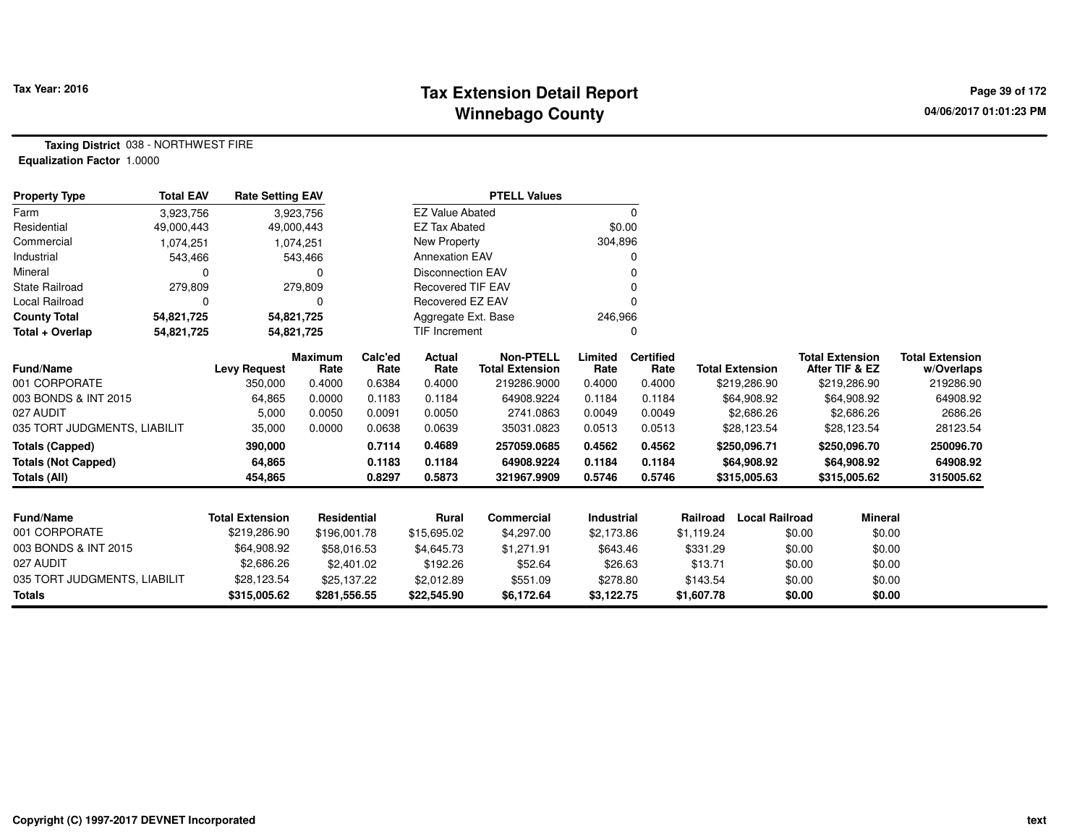# **Tax Extension Detail Report Tax Year: 2016 Page 39 of 172 Winnebago County**

**Taxing District** 038 - NORTHWEST FIRE**Equalization Factor** 1.0000

| <b>Property Type</b>         | <b>Total EAV</b> | <b>Rate Setting EAV</b> |                 |                 |                          | <b>PTELL Values</b>                        |                 |                          |            |                        |        |                                          |                                      |
|------------------------------|------------------|-------------------------|-----------------|-----------------|--------------------------|--------------------------------------------|-----------------|--------------------------|------------|------------------------|--------|------------------------------------------|--------------------------------------|
| Farm                         | 3,923,756        |                         | 3,923,756       |                 | <b>EZ Value Abated</b>   |                                            |                 | 0                        |            |                        |        |                                          |                                      |
| Residential                  | 49,000,443       | 49,000,443              |                 |                 | <b>EZ Tax Abated</b>     |                                            | \$0.00          |                          |            |                        |        |                                          |                                      |
| Commercial                   | 1,074,251        |                         | 1,074,251       |                 | New Property             |                                            | 304,896         |                          |            |                        |        |                                          |                                      |
| Industrial                   | 543,466          |                         | 543,466         |                 | <b>Annexation EAV</b>    |                                            |                 | 0                        |            |                        |        |                                          |                                      |
| Mineral                      | 0                |                         | 0               |                 | <b>Disconnection EAV</b> |                                            |                 |                          |            |                        |        |                                          |                                      |
| <b>State Railroad</b>        | 279,809          |                         | 279,809         |                 | <b>Recovered TIF EAV</b> |                                            |                 | 0                        |            |                        |        |                                          |                                      |
| Local Railroad               | 0                |                         | 0               |                 | Recovered EZ EAV         |                                            |                 | O                        |            |                        |        |                                          |                                      |
| <b>County Total</b>          | 54,821,725       | 54,821,725              |                 |                 | Aggregate Ext. Base      |                                            | 246,966         |                          |            |                        |        |                                          |                                      |
| Total + Overlap              | 54,821,725       | 54,821,725              |                 |                 | TIF Increment            |                                            |                 | 0                        |            |                        |        |                                          |                                      |
| <b>Fund/Name</b>             |                  | <b>Levy Request</b>     | Maximum<br>Rate | Calc'ed<br>Rate | Actual<br>Rate           | <b>Non-PTELL</b><br><b>Total Extension</b> | Limited<br>Rate | <b>Certified</b><br>Rate |            | <b>Total Extension</b> |        | <b>Total Extension</b><br>After TIF & EZ | <b>Total Extension</b><br>w/Overlaps |
| 001 CORPORATE                |                  | 350,000                 | 0.4000          | 0.6384          | 0.4000                   | 219286.9000                                | 0.4000          | 0.4000                   |            | \$219,286.90           |        | \$219,286.90                             | 219286.90                            |
| 003 BONDS & INT 2015         |                  | 64,865                  | 0.0000          | 0.1183          | 0.1184                   | 64908.9224                                 | 0.1184          | 0.1184                   |            | \$64,908.92            |        | \$64,908.92                              | 64908.92                             |
| 027 AUDIT                    |                  | 5,000                   | 0.0050          | 0.0091          | 0.0050                   | 2741.0863                                  | 0.0049          | 0.0049                   |            | \$2,686.26             |        | \$2,686.26                               | 2686.26                              |
| 035 TORT JUDGMENTS, LIABILIT |                  | 35,000                  | 0.0000          | 0.0638          | 0.0639                   | 35031.0823                                 | 0.0513          | 0.0513                   |            | \$28,123.54            |        | \$28,123.54                              | 28123.54                             |
| <b>Totals (Capped)</b>       |                  | 390,000                 |                 | 0.7114          | 0.4689                   | 257059.0685                                | 0.4562          | 0.4562                   |            | \$250,096.71           |        | \$250,096.70                             | 250096.70                            |
| <b>Totals (Not Capped)</b>   |                  | 64,865                  |                 | 0.1183          | 0.1184                   | 64908.9224                                 | 0.1184          | 0.1184                   |            | \$64,908.92            |        | \$64,908.92                              | 64908.92                             |
| <b>Totals (All)</b>          |                  | 454,865                 |                 | 0.8297          | 0.5873                   | 321967.9909                                | 0.5746          | 0.5746                   |            | \$315,005.63           |        | \$315,005.62                             | 315005.62                            |
|                              |                  |                         |                 |                 |                          |                                            |                 |                          |            |                        |        |                                          |                                      |
| <b>Fund/Name</b>             |                  | <b>Total Extension</b>  | Residential     |                 | <b>Rural</b>             | Commercial                                 | Industrial      |                          | Railroad   | <b>Local Railroad</b>  |        | <b>Mineral</b>                           |                                      |
| 001 CORPORATE                |                  | \$219,286.90            | \$196,001.78    |                 | \$15,695.02              | \$4,297.00                                 | \$2,173.86      |                          | \$1,119.24 |                        | \$0.00 | \$0.00                                   |                                      |
| 003 BONDS & INT 2015         |                  | \$64,908.92             | \$58,016.53     |                 | \$4,645.73               | \$1,271.91                                 | \$643.46        |                          | \$331.29   |                        | \$0.00 | \$0.00                                   |                                      |
| 027 AUDIT                    |                  | \$2,686.26              | \$2,401.02      |                 | \$192.26                 | \$52.64                                    | \$26.63         |                          | \$13.71    |                        | \$0.00 | \$0.00                                   |                                      |
| 035 TORT JUDGMENTS, LIABILIT |                  | \$28,123.54             | \$25,137.22     |                 | \$2,012.89               | \$551.09                                   | \$278.80        |                          | \$143.54   |                        | \$0.00 | \$0.00                                   |                                      |
| <b>Totals</b>                |                  | \$315,005.62            | \$281,556.55    |                 | \$22,545.90              | \$6,172.64                                 | \$3,122.75      |                          | \$1,607.78 |                        | \$0.00 | \$0.00                                   |                                      |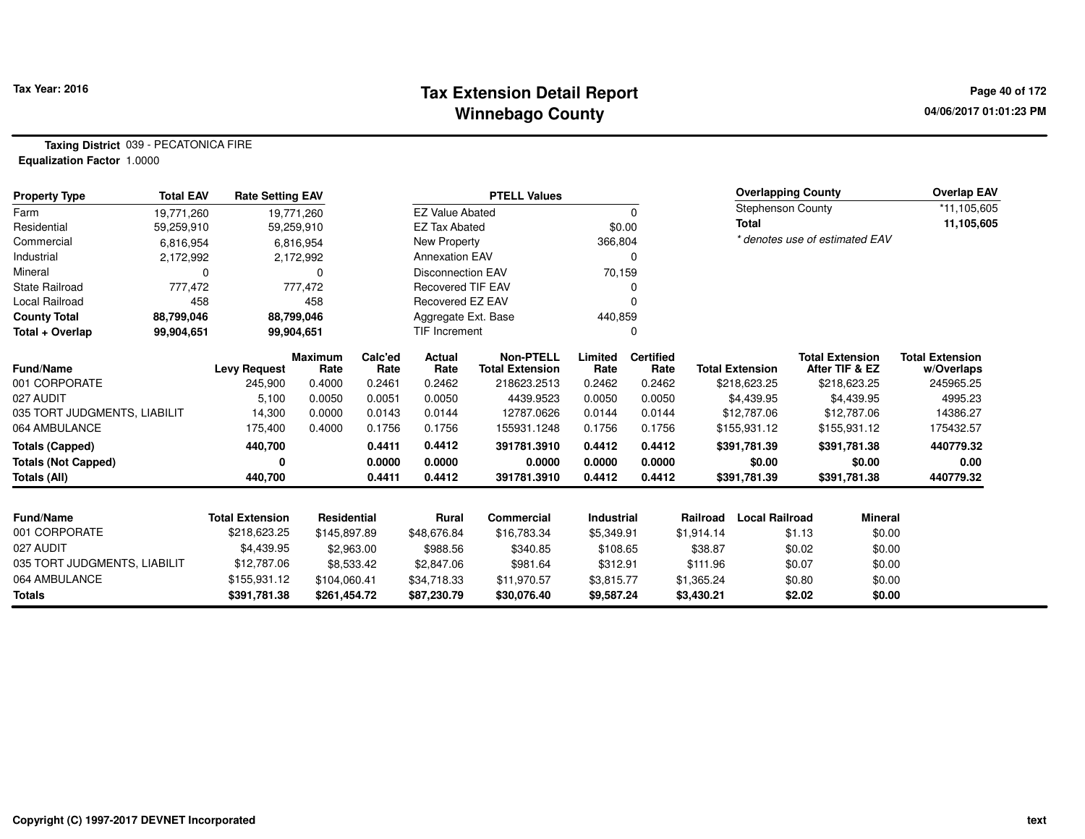### **Tax Extension Detail Report Tax Year: 2016 Page 40 of 172 Winnebago County**

**Taxing District** 039 - PECATONICA FIRE**Equalization Factor** 1.0000

| <b>Property Type</b>         | <b>Total EAV</b> | <b>Rate Setting EAV</b> |                        |                 |                          | <b>PTELL Values</b>                 |                 |                          |            | <b>Overlapping County</b> |        |                                          | Overlap EAV                          |
|------------------------------|------------------|-------------------------|------------------------|-----------------|--------------------------|-------------------------------------|-----------------|--------------------------|------------|---------------------------|--------|------------------------------------------|--------------------------------------|
| Farm                         | 19.771.260       |                         | 19,771,260             |                 | <b>EZ Value Abated</b>   |                                     |                 | 0                        |            | <b>Stephenson County</b>  |        |                                          | *11,105,605                          |
| Residential                  | 59,259,910       |                         | 59,259,910             |                 | <b>EZ Tax Abated</b>     |                                     | \$0.00          |                          |            | <b>Total</b>              |        |                                          | 11,105,605                           |
| Commercial                   | 6,816,954        |                         | 6,816,954              |                 | New Property             |                                     | 366,804         |                          |            |                           |        | * denotes use of estimated EAV           |                                      |
| Industrial                   | 2,172,992        |                         | 2,172,992              |                 | <b>Annexation EAV</b>    |                                     |                 | $\Omega$                 |            |                           |        |                                          |                                      |
| Mineral                      | 0                |                         | 0                      |                 | <b>Disconnection EAV</b> |                                     | 70,159          |                          |            |                           |        |                                          |                                      |
| <b>State Railroad</b>        | 777,472          |                         | 777,472                |                 | <b>Recovered TIF EAV</b> |                                     |                 | 0                        |            |                           |        |                                          |                                      |
| Local Railroad               | 458              |                         | 458                    |                 | <b>Recovered EZ EAV</b>  |                                     |                 | $\Omega$                 |            |                           |        |                                          |                                      |
| <b>County Total</b>          | 88,799,046       |                         | 88,799,046             |                 | Aggregate Ext. Base      |                                     | 440,859         |                          |            |                           |        |                                          |                                      |
| Total + Overlap              | 99,904,651       | 99,904,651              |                        |                 | <b>TIF Increment</b>     |                                     |                 | 0                        |            |                           |        |                                          |                                      |
| <b>Fund/Name</b>             |                  | <b>Levy Request</b>     | <b>Maximum</b><br>Rate | Calc'ed<br>Rate | Actual<br>Rate           | Non-PTELL<br><b>Total Extension</b> | Limited<br>Rate | <b>Certified</b><br>Rate |            | <b>Total Extension</b>    |        | <b>Total Extension</b><br>After TIF & EZ | <b>Total Extension</b><br>w/Overlaps |
| 001 CORPORATE                |                  | 245,900                 | 0.4000                 | 0.2461          | 0.2462                   | 218623.2513                         | 0.2462          | 0.2462                   |            | \$218,623.25              |        | \$218,623.25                             | 245965.25                            |
| 027 AUDIT                    |                  | 5,100                   | 0.0050                 | 0.0051          | 0.0050                   | 4439.9523                           | 0.0050          | 0.0050                   |            | \$4,439.95                |        | \$4,439.95                               | 4995.23                              |
| 035 TORT JUDGMENTS, LIABILIT |                  | 14,300                  | 0.0000                 | 0.0143          | 0.0144                   | 12787.0626                          | 0.0144          | 0.0144                   |            | \$12,787.06               |        | \$12,787.06                              | 14386.27                             |
| 064 AMBULANCE                |                  | 175,400                 | 0.4000                 | 0.1756          | 0.1756                   | 155931.1248                         | 0.1756          | 0.1756                   |            | \$155,931.12              |        | \$155,931.12                             | 175432.57                            |
| <b>Totals (Capped)</b>       |                  | 440,700                 |                        | 0.4411          | 0.4412                   | 391781.3910                         | 0.4412          | 0.4412                   |            | \$391,781.39              |        | \$391,781.38                             | 440779.32                            |
| <b>Totals (Not Capped)</b>   |                  | 0                       |                        | 0.0000          | 0.0000                   | 0.0000                              | 0.0000          | 0.0000                   |            | \$0.00                    |        | \$0.00                                   | 0.00                                 |
| <b>Totals (All)</b>          |                  | 440,700                 |                        | 0.4411          | 0.4412                   | 391781.3910                         | 0.4412          | 0.4412                   |            | \$391,781.39              |        | \$391,781.38                             | 440779.32                            |
|                              |                  |                         |                        |                 |                          |                                     |                 |                          |            |                           |        |                                          |                                      |
| <b>Fund/Name</b>             |                  | <b>Total Extension</b>  | <b>Residential</b>     |                 | Rural                    | Commercial                          | Industrial      |                          | Railroad   | <b>Local Railroad</b>     |        | <b>Mineral</b>                           |                                      |
| 001 CORPORATE                |                  | \$218,623.25            | \$145,897.89           |                 | \$48,676.84              | \$16,783.34                         | \$5,349.91      |                          | \$1,914.14 |                           | \$1.13 | \$0.00                                   |                                      |
| 027 AUDIT                    |                  | \$4,439.95              |                        | \$2,963.00      | \$988.56                 | \$340.85                            | \$108.65        |                          | \$38.87    |                           | \$0.02 | \$0.00                                   |                                      |
| 035 TORT JUDGMENTS, LIABILIT |                  | \$12,787.06             |                        | \$8,533.42      | \$2,847.06               | \$981.64                            | \$312.91        |                          | \$111.96   |                           | \$0.07 | \$0.00                                   |                                      |
| 064 AMBULANCE                |                  | \$155,931.12            | \$104,060.41           |                 | \$34,718.33              | \$11,970.57                         | \$3,815.77      |                          | \$1,365.24 |                           | \$0.80 | \$0.00                                   |                                      |
| <b>Totals</b>                |                  | \$391,781.38            | \$261,454.72           |                 | \$87,230.79              | \$30,076.40                         | \$9,587.24      |                          | \$3,430.21 |                           | \$2.02 | \$0.00                                   |                                      |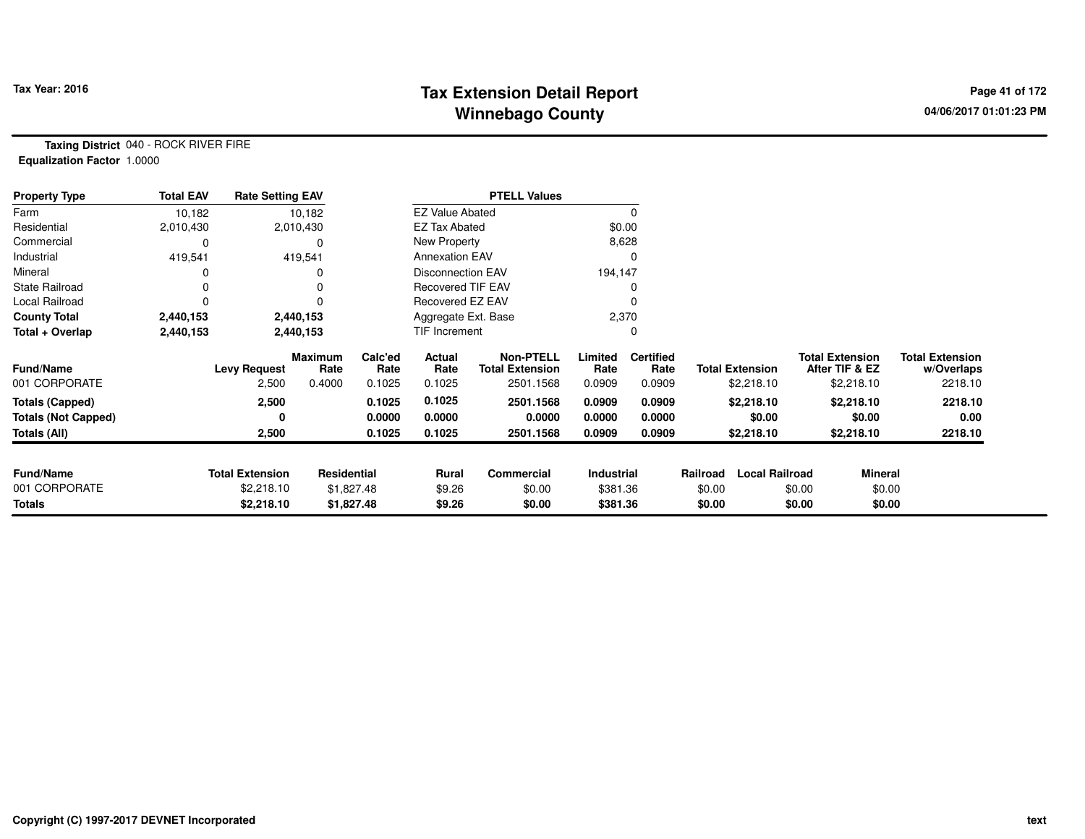# **Tax Extension Detail Report Tax Year: 2016 Page 41 of 172 Winnebago County**

**Taxing District** 040 - ROCK RIVER FIRE**Equalization Factor** 1.0000

| <b>Property Type</b>       | <b>Total EAV</b> | <b>Rate Setting EAV</b> |                        |                 |                        | <b>PTELL Values</b>                        |                 |                          |          |                        |        |                                          |                                      |
|----------------------------|------------------|-------------------------|------------------------|-----------------|------------------------|--------------------------------------------|-----------------|--------------------------|----------|------------------------|--------|------------------------------------------|--------------------------------------|
| Farm                       | 10,182           |                         | 10,182                 |                 | <b>EZ Value Abated</b> |                                            |                 |                          |          |                        |        |                                          |                                      |
| Residential                | 2,010,430        |                         | 2,010,430              |                 | <b>EZ Tax Abated</b>   |                                            | \$0.00          |                          |          |                        |        |                                          |                                      |
| Commercial                 | 0                |                         |                        |                 | New Property           |                                            | 8,628           |                          |          |                        |        |                                          |                                      |
| Industrial                 | 419,541          |                         | 419,541                |                 | <b>Annexation EAV</b>  |                                            |                 |                          |          |                        |        |                                          |                                      |
| Mineral                    |                  |                         |                        |                 | Disconnection EAV      |                                            | 194,147         |                          |          |                        |        |                                          |                                      |
| <b>State Railroad</b>      | O                |                         |                        |                 | Recovered TIF EAV      |                                            |                 |                          |          |                        |        |                                          |                                      |
| Local Railroad             | 0                |                         |                        |                 | Recovered EZ EAV       |                                            |                 |                          |          |                        |        |                                          |                                      |
| <b>County Total</b>        | 2,440,153        |                         | 2,440,153              |                 | Aggregate Ext. Base    |                                            | 2,370           |                          |          |                        |        |                                          |                                      |
| Total + Overlap            | 2,440,153        |                         | 2,440,153              |                 | TIF Increment          |                                            |                 |                          |          |                        |        |                                          |                                      |
| <b>Fund/Name</b>           |                  | <b>Levy Request</b>     | <b>Maximum</b><br>Rate | Calc'ed<br>Rate | Actual<br>Rate         | <b>Non-PTELL</b><br><b>Total Extension</b> | Limited<br>Rate | <b>Certified</b><br>Rate |          | <b>Total Extension</b> |        | <b>Total Extension</b><br>After TIF & EZ | <b>Total Extension</b><br>w/Overlaps |
| 001 CORPORATE              |                  | 2,500                   | 0.4000                 | 0.1025          | 0.1025                 | 2501.1568                                  | 0.0909          | 0.0909                   |          | \$2,218.10             |        | \$2,218.10                               | 2218.10                              |
| <b>Totals (Capped)</b>     |                  | 2,500                   |                        | 0.1025          | 0.1025                 | 2501.1568                                  | 0.0909          | 0.0909                   |          | \$2,218.10             |        | \$2,218.10                               | 2218.10                              |
| <b>Totals (Not Capped)</b> |                  | 0                       |                        | 0.0000          | 0.0000                 | 0.0000                                     | 0.0000          | 0.0000                   |          | \$0.00                 |        | \$0.00                                   | 0.00                                 |
| Totals (All)               |                  | 2,500                   |                        | 0.1025          | 0.1025                 | 2501.1568                                  | 0.0909          | 0.0909                   |          | \$2,218.10             |        | \$2,218.10                               | 2218.10                              |
| <b>Fund/Name</b>           |                  | <b>Total Extension</b>  | Residential            |                 | Rural                  | Commercial                                 | Industrial      |                          | Railroad | <b>Local Railroad</b>  |        | <b>Mineral</b>                           |                                      |
| 001 CORPORATE              |                  | \$2,218.10              |                        | \$1,827.48      | \$9.26                 | \$0.00                                     | \$381.36        |                          | \$0.00   |                        | \$0.00 | \$0.00                                   |                                      |
| <b>Totals</b>              |                  | \$2,218.10              |                        | \$1,827.48      | \$9.26                 | \$0.00                                     | \$381.36        |                          | \$0.00   |                        | \$0.00 | \$0.00                                   |                                      |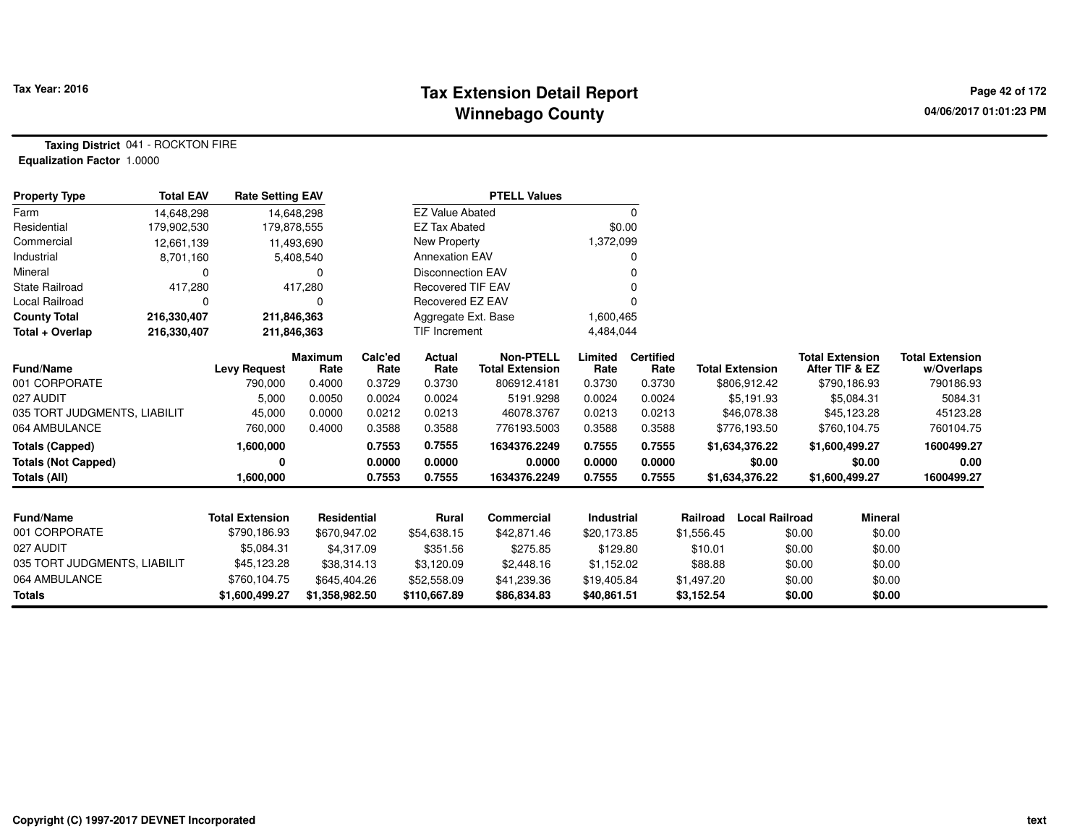# **Tax Extension Detail Report Tax Year: 2016 Page 42 of 172 Winnebago County**

**Taxing District** 041 - ROCKTON FIRE**Equalization Factor** 1.0000

| <b>Property Type</b>         | <b>Total EAV</b> | <b>Rate Setting EAV</b> |                        |                 |                          | <b>PTELL Values</b>                        |                   |                          |            |                        |                                          |                |                                      |
|------------------------------|------------------|-------------------------|------------------------|-----------------|--------------------------|--------------------------------------------|-------------------|--------------------------|------------|------------------------|------------------------------------------|----------------|--------------------------------------|
| Farm                         | 14,648,298       | 14,648,298              |                        |                 | <b>EZ Value Abated</b>   |                                            |                   | 0                        |            |                        |                                          |                |                                      |
| Residential                  | 179,902,530      | 179,878,555             |                        |                 | <b>EZ Tax Abated</b>     |                                            |                   | \$0.00                   |            |                        |                                          |                |                                      |
| Commercial                   | 12,661,139       | 11,493,690              |                        |                 | New Property             |                                            | 1,372,099         |                          |            |                        |                                          |                |                                      |
| Industrial                   | 8,701,160        |                         | 5,408,540              |                 | <b>Annexation EAV</b>    |                                            |                   | 0                        |            |                        |                                          |                |                                      |
| Mineral                      | $\Omega$         |                         |                        |                 | <b>Disconnection EAV</b> |                                            |                   |                          |            |                        |                                          |                |                                      |
| <b>State Railroad</b>        | 417,280          |                         | 417,280                |                 | <b>Recovered TIF EAV</b> |                                            |                   |                          |            |                        |                                          |                |                                      |
| <b>Local Railroad</b>        | $\Omega$         |                         |                        |                 | Recovered EZ EAV         |                                            |                   | 0                        |            |                        |                                          |                |                                      |
| <b>County Total</b>          | 216,330,407      | 211,846,363             |                        |                 | Aggregate Ext. Base      |                                            | 1,600,465         |                          |            |                        |                                          |                |                                      |
| Total + Overlap              | 216,330,407      | 211,846,363             |                        |                 | TIF Increment            |                                            | 4,484,044         |                          |            |                        |                                          |                |                                      |
| Fund/Name                    |                  | <b>Levy Request</b>     | <b>Maximum</b><br>Rate | Calc'ed<br>Rate | Actual<br>Rate           | <b>Non-PTELL</b><br><b>Total Extension</b> | Limited<br>Rate   | <b>Certified</b><br>Rate |            | <b>Total Extension</b> | <b>Total Extension</b><br>After TIF & EZ |                | <b>Total Extension</b><br>w/Overlaps |
| 001 CORPORATE                |                  | 790,000                 | 0.4000                 | 0.3729          | 0.3730                   | 806912.4181                                | 0.3730            | 0.3730                   |            | \$806,912.42           | \$790,186.93                             |                | 790186.93                            |
| 027 AUDIT                    |                  | 5,000                   | 0.0050                 | 0.0024          | 0.0024                   | 5191.9298                                  | 0.0024            | 0.0024                   |            | \$5,191.93             | \$5,084.31                               |                | 5084.31                              |
| 035 TORT JUDGMENTS, LIABILIT |                  | 45,000                  | 0.0000                 | 0.0212          | 0.0213                   | 46078.3767                                 | 0.0213            | 0.0213                   |            | \$46,078.38            | \$45,123.28                              |                | 45123.28                             |
| 064 AMBULANCE                |                  | 760,000                 | 0.4000                 | 0.3588          | 0.3588                   | 776193.5003                                | 0.3588            | 0.3588                   |            | \$776,193.50           | \$760,104.75                             |                | 760104.75                            |
| <b>Totals (Capped)</b>       |                  | 1,600,000               |                        | 0.7553          | 0.7555                   | 1634376.2249                               | 0.7555            | 0.7555                   |            | \$1,634,376.22         | \$1,600,499.27                           |                | 1600499.27                           |
| <b>Totals (Not Capped)</b>   |                  | 0                       |                        | 0.0000          | 0.0000                   | 0.0000                                     | 0.0000            | 0.0000                   |            | \$0.00                 |                                          | \$0.00         | 0.00                                 |
| Totals (All)                 |                  | 1,600,000               |                        | 0.7553          | 0.7555                   | 1634376.2249                               | 0.7555            | 0.7555                   |            | \$1,634,376.22         | \$1,600,499.27                           |                | 1600499.27                           |
|                              |                  |                         |                        |                 |                          |                                            |                   |                          |            |                        |                                          |                |                                      |
| <b>Fund/Name</b>             |                  | <b>Total Extension</b>  | <b>Residential</b>     |                 | Rural                    | Commercial                                 | <b>Industrial</b> |                          | Railroad   | <b>Local Railroad</b>  |                                          | <b>Mineral</b> |                                      |
| 001 CORPORATE                |                  | \$790,186.93            | \$670,947.02           |                 | \$54,638.15              | \$42,871.46                                | \$20,173.85       |                          | \$1,556.45 |                        | \$0.00                                   | \$0.00         |                                      |
| 027 AUDIT                    |                  | \$5,084.31              | \$4,317.09             |                 | \$351.56                 | \$275.85                                   | \$129.80          |                          | \$10.01    |                        | \$0.00                                   | \$0.00         |                                      |
| 035 TORT JUDGMENTS, LIABILIT |                  | \$45,123.28             | \$38,314.13            |                 | \$3,120.09               | \$2,448.16                                 | \$1,152.02        |                          | \$88.88    |                        | \$0.00                                   | \$0.00         |                                      |
| 064 AMBULANCE                |                  | \$760,104.75            | \$645,404.26           |                 | \$52,558.09              | \$41,239.36                                | \$19,405.84       |                          | \$1,497.20 |                        | \$0.00                                   | \$0.00         |                                      |
| <b>Totals</b>                |                  | \$1,600,499.27          | \$1,358,982.50         |                 | \$110,667.89             | \$86,834.83                                | \$40,861.51       |                          | \$3,152.54 |                        | \$0.00                                   | \$0.00         |                                      |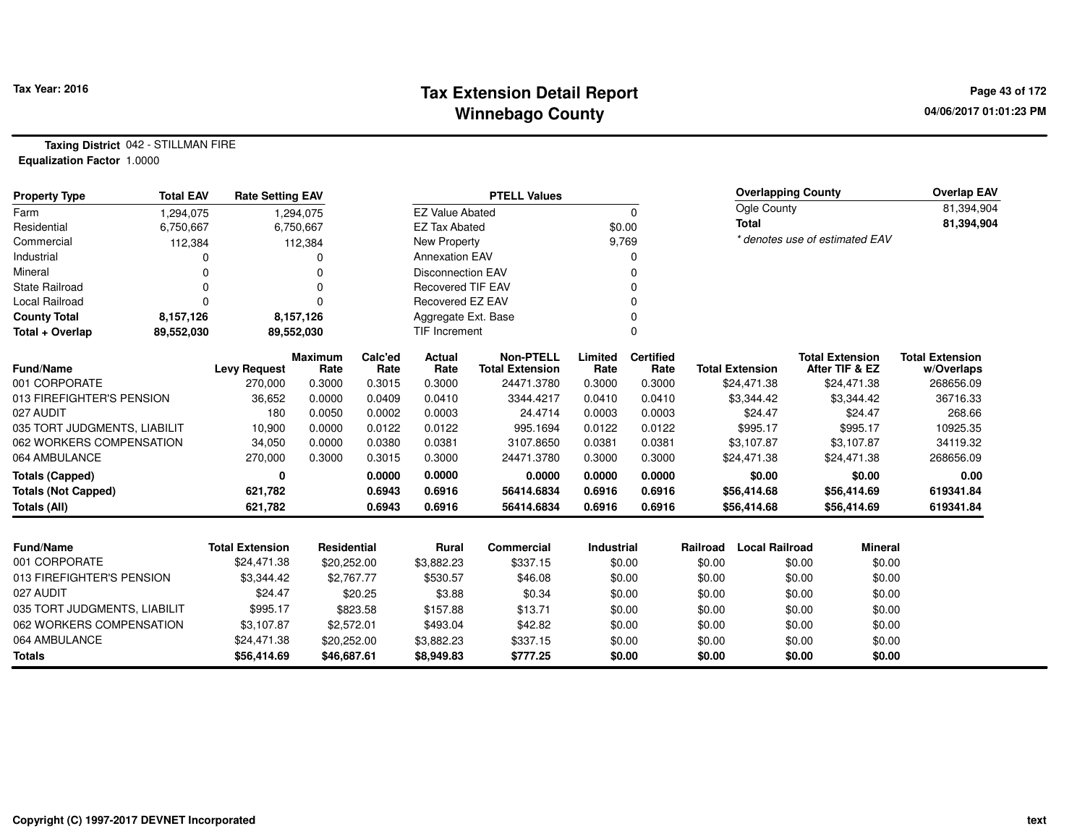# **Tax Extension Detail Report Tax Year: 2016 Page 43 of 172 Winnebago County**

**Taxing District** 042 - STILLMAN FIRE**Equalization Factor** 1.0000

| <b>Property Type</b>         | <b>Total EAV</b> | <b>Rate Setting EAV</b> |                        | <b>PTELL Values</b> |                          |                                            |                   |                          |          | <b>Overlapping County</b> |                                          | <b>Overlap EAV</b>                   |
|------------------------------|------------------|-------------------------|------------------------|---------------------|--------------------------|--------------------------------------------|-------------------|--------------------------|----------|---------------------------|------------------------------------------|--------------------------------------|
| Farm                         | 1,294,075        |                         | 1,294,075              |                     | <b>EZ Value Abated</b>   |                                            |                   | 0                        |          | Ogle County               |                                          | 81,394,904                           |
| Residential                  | 6,750,667        |                         | 6,750,667              |                     | <b>EZ Tax Abated</b>     |                                            | \$0.00            |                          |          | <b>Total</b>              |                                          | 81,394,904                           |
| Commercial                   | 112,384          |                         | 112,384                |                     | New Property             |                                            | 9,769             |                          |          |                           | * denotes use of estimated EAV           |                                      |
| Industrial                   | 0                |                         |                        |                     | <b>Annexation EAV</b>    |                                            |                   | O                        |          |                           |                                          |                                      |
| Mineral                      | 0                |                         | $\Omega$               |                     | <b>Disconnection EAV</b> |                                            |                   | ŋ                        |          |                           |                                          |                                      |
| <b>State Railroad</b>        | 0                |                         | $\Omega$               |                     | <b>Recovered TIF EAV</b> |                                            |                   |                          |          |                           |                                          |                                      |
| Local Railroad               | 0                |                         | $\Omega$               |                     | Recovered EZ EAV         |                                            |                   |                          |          |                           |                                          |                                      |
| <b>County Total</b>          | 8,157,126        |                         | 8,157,126              |                     | Aggregate Ext. Base      |                                            |                   | $\Omega$                 |          |                           |                                          |                                      |
| Total + Overlap              | 89,552,030       |                         | 89,552,030             |                     | <b>TIF Increment</b>     |                                            |                   |                          |          |                           |                                          |                                      |
| <b>Fund/Name</b>             |                  | <b>Levy Request</b>     | <b>Maximum</b><br>Rate | Calc'ed<br>Rate     | Actual<br>Rate           | <b>Non-PTELL</b><br><b>Total Extension</b> | Limited<br>Rate   | <b>Certified</b><br>Rate |          | <b>Total Extension</b>    | <b>Total Extension</b><br>After TIF & EZ | <b>Total Extension</b><br>w/Overlaps |
| 001 CORPORATE                |                  | 270,000                 | 0.3000                 | 0.3015              | 0.3000                   | 24471.3780                                 | 0.3000            | 0.3000                   |          | \$24,471.38               | \$24,471.38                              | 268656.09                            |
| 013 FIREFIGHTER'S PENSION    |                  | 36,652                  | 0.0000                 | 0.0409              | 0.0410                   | 3344.4217                                  | 0.0410            | 0.0410                   |          | \$3,344.42                | \$3,344.42                               | 36716.33                             |
| 027 AUDIT                    |                  | 180                     | 0.0050                 | 0.0002              | 0.0003                   | 24.4714                                    | 0.0003            | 0.0003                   |          | \$24.47                   | \$24.47                                  | 268.66                               |
| 035 TORT JUDGMENTS, LIABILIT |                  | 10,900                  | 0.0000                 | 0.0122              | 0.0122                   | 995.1694                                   | 0.0122            | 0.0122                   |          | \$995.17                  | \$995.17                                 | 10925.35                             |
| 062 WORKERS COMPENSATION     |                  | 34,050                  | 0.0000                 | 0.0380              | 0.0381                   | 3107.8650                                  | 0.0381            | 0.0381                   |          | \$3,107.87                | \$3,107.87                               | 34119.32                             |
| 064 AMBULANCE                |                  | 270,000                 | 0.3000                 | 0.3015              | 0.3000                   | 24471.3780                                 | 0.3000            | 0.3000                   |          | \$24,471.38               | \$24,471.38                              | 268656.09                            |
| <b>Totals (Capped)</b>       |                  | 0                       |                        | 0.0000              | 0.0000                   | 0.0000                                     | 0.0000            | 0.0000                   |          | \$0.00                    | \$0.00                                   | 0.00                                 |
| <b>Totals (Not Capped)</b>   |                  | 621,782                 |                        | 0.6943              | 0.6916                   | 56414.6834                                 | 0.6916            | 0.6916                   |          | \$56,414.68               | \$56,414.69                              | 619341.84                            |
| Totals (All)                 |                  | 621,782                 |                        | 0.6943              | 0.6916                   | 56414.6834                                 | 0.6916            | 0.6916                   |          | \$56,414.68               | \$56,414.69                              | 619341.84                            |
|                              |                  |                         |                        |                     |                          |                                            |                   |                          |          |                           |                                          |                                      |
| <b>Fund/Name</b>             |                  | <b>Total Extension</b>  | Residential            |                     | Rural                    | <b>Commercial</b>                          | <b>Industrial</b> |                          | Railroad | <b>Local Railroad</b>     | <b>Mineral</b>                           |                                      |
| 001 CORPORATE                |                  | \$24,471.38             | \$20,252.00            |                     | \$3,882.23               | \$337.15                                   |                   | \$0.00                   | \$0.00   | \$0.00                    | \$0.00                                   |                                      |
| 013 FIREFIGHTER'S PENSION    |                  | \$3,344.42              |                        | \$2,767.77          | \$530.57                 | \$46.08                                    |                   | \$0.00                   | \$0.00   | \$0.00                    | \$0.00                                   |                                      |
| 027 AUDIT                    |                  | \$24.47                 |                        | \$20.25             | \$3.88                   | \$0.34                                     |                   | \$0.00                   | \$0.00   | \$0.00                    | \$0.00                                   |                                      |
| 035 TORT JUDGMENTS, LIABILIT |                  | \$995.17                |                        | \$823.58            | \$157.88                 | \$13.71                                    |                   | \$0.00                   | \$0.00   | \$0.00                    | \$0.00                                   |                                      |
| 062 WORKERS COMPENSATION     |                  | \$3,107.87              |                        | \$2,572.01          | \$493.04                 | \$42.82                                    |                   | \$0.00                   | \$0.00   | \$0.00                    | \$0.00                                   |                                      |
| 064 AMBULANCE                |                  | \$24,471.38             | \$20,252.00            |                     | \$3,882.23               | \$337.15                                   |                   | \$0.00                   | \$0.00   | \$0.00                    | \$0.00                                   |                                      |
| <b>Totals</b>                |                  | \$56,414.69             | \$46,687.61            |                     | \$8,949.83               | \$777.25                                   |                   | \$0.00                   | \$0.00   | \$0.00                    | \$0.00                                   |                                      |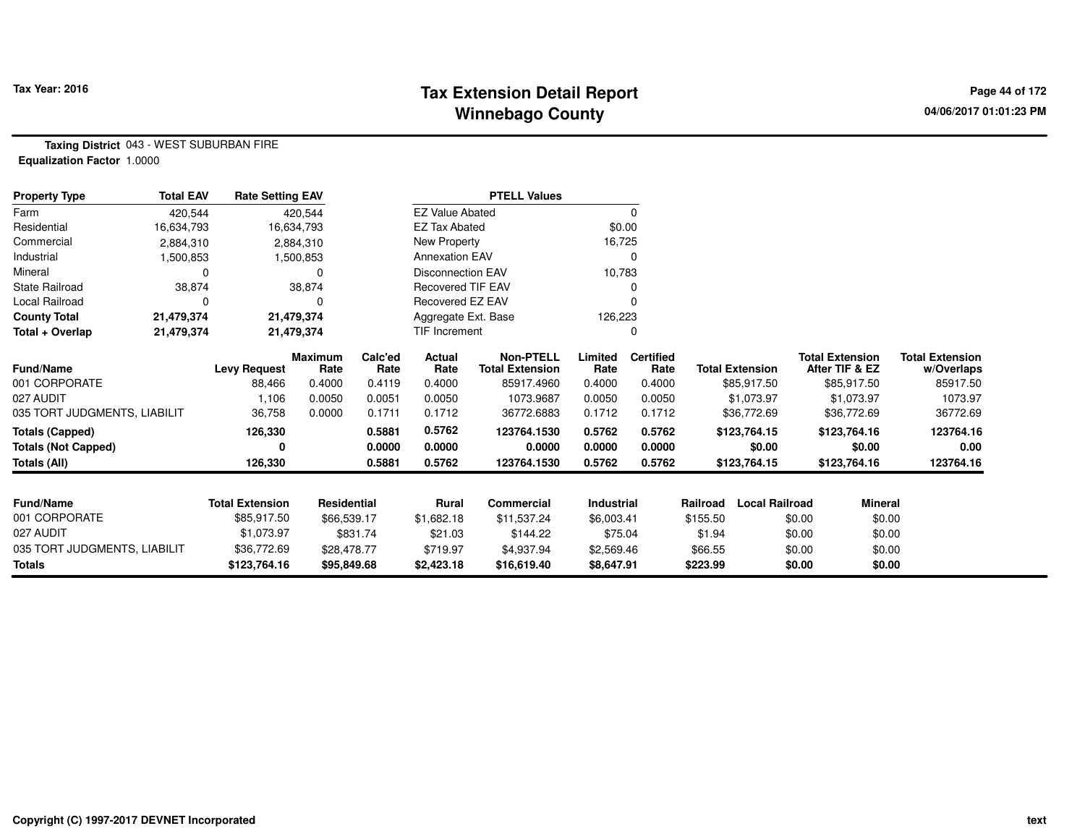# **Tax Extension Detail Report Tax Year: 2016 Page 44 of 172 Winnebago County**

**Taxing District** 043 - WEST SUBURBAN FIRE**Equalization Factor** 1.0000

| <b>Property Type</b>         | <b>Total EAV</b> | <b>Rate Setting EAV</b> |                 |                 |                          | <b>PTELL Values</b>                        |                 |                          |                                   |                                          |                                      |
|------------------------------|------------------|-------------------------|-----------------|-----------------|--------------------------|--------------------------------------------|-----------------|--------------------------|-----------------------------------|------------------------------------------|--------------------------------------|
| Farm                         | 420,544          |                         | 420,544         |                 | <b>EZ Value Abated</b>   |                                            |                 | 0                        |                                   |                                          |                                      |
| Residential                  | 16,634,793       |                         | 16,634,793      |                 | <b>EZ Tax Abated</b>     |                                            | \$0.00          |                          |                                   |                                          |                                      |
| Commercial                   | 2,884,310        |                         | 2,884,310       |                 | New Property             |                                            | 16,725          |                          |                                   |                                          |                                      |
| Industrial                   | 1,500,853        |                         | 1,500,853       |                 | <b>Annexation EAV</b>    |                                            |                 | 0                        |                                   |                                          |                                      |
| Mineral                      | 0                |                         | 0               |                 | <b>Disconnection EAV</b> |                                            | 10,783          |                          |                                   |                                          |                                      |
| State Railroad               | 38,874           |                         | 38,874          |                 | Recovered TIF EAV        |                                            |                 | 0                        |                                   |                                          |                                      |
| Local Railroad               | 0                |                         | 0               |                 | Recovered EZ EAV         |                                            |                 |                          |                                   |                                          |                                      |
| <b>County Total</b>          | 21,479,374       |                         | 21,479,374      |                 | Aggregate Ext. Base      |                                            | 126,223         |                          |                                   |                                          |                                      |
| Total + Overlap              | 21,479,374       |                         | 21,479,374      |                 | TIF Increment            |                                            |                 | 0                        |                                   |                                          |                                      |
| Fund/Name                    |                  | <b>Levy Request</b>     | Maximum<br>Rate | Calc'ed<br>Rate | Actual<br>Rate           | <b>Non-PTELL</b><br><b>Total Extension</b> | Limited<br>Rate | <b>Certified</b><br>Rate | <b>Total Extension</b>            | <b>Total Extension</b><br>After TIF & EZ | <b>Total Extension</b><br>w/Overlaps |
| 001 CORPORATE                |                  | 88,466                  | 0.4000          | 0.4119          | 0.4000                   | 85917.4960                                 | 0.4000          | 0.4000                   | \$85,917.50                       | \$85,917.50                              | 85917.50                             |
| 027 AUDIT                    |                  | 1,106                   | 0.0050          | 0.0051          | 0.0050                   | 1073.9687                                  | 0.0050          | 0.0050                   | \$1,073.97                        | \$1,073.97                               | 1073.97                              |
| 035 TORT JUDGMENTS, LIABILIT |                  | 36,758                  | 0.0000          | 0.1711          | 0.1712                   | 36772.6883                                 | 0.1712          | 0.1712                   | \$36,772.69                       | \$36,772.69                              | 36772.69                             |
| <b>Totals (Capped)</b>       |                  | 126,330                 |                 | 0.5881          | 0.5762                   | 123764.1530                                | 0.5762          | 0.5762                   | \$123,764.15                      | \$123,764.16                             | 123764.16                            |
| <b>Totals (Not Capped)</b>   |                  | 0                       |                 | 0.0000          | 0.0000                   | 0.0000                                     | 0.0000          | 0.0000                   | \$0.00                            | \$0.00                                   | 0.00                                 |
| <b>Totals (All)</b>          |                  | 126,330                 |                 | 0.5881          | 0.5762                   | 123764.1530                                | 0.5762          | 0.5762                   | \$123,764.15                      | \$123,764.16                             | 123764.16                            |
|                              |                  |                         |                 |                 |                          |                                            |                 |                          |                                   |                                          |                                      |
| <b>Fund/Name</b>             |                  | <b>Total Extension</b>  | Residential     |                 | Rural                    | Commercial                                 | Industrial      |                          | <b>Local Railroad</b><br>Railroad | <b>Mineral</b>                           |                                      |
| 001 CORPORATE                |                  | \$85,917.50             | \$66,539.17     |                 | \$1,682.18               | \$11,537.24                                | \$6,003.41      |                          | \$155.50                          | \$0.00<br>\$0.00                         |                                      |
| 027 AUDIT                    |                  | \$1,073.97              |                 | \$831.74        | \$21.03                  | \$144.22                                   | \$75.04         |                          | \$1.94                            | \$0.00<br>\$0.00                         |                                      |
| 035 TORT JUDGMENTS, LIABILIT |                  | \$36,772.69             | \$28,478.77     |                 | \$719.97                 | \$4,937.94                                 | \$2,569.46      |                          | \$66.55                           | \$0.00<br>\$0.00                         |                                      |
| <b>Totals</b>                |                  | \$123,764.16            | \$95,849.68     |                 | \$2,423.18               | \$16,619.40                                | \$8,647.91      |                          | \$223.99                          | \$0.00<br>\$0.00                         |                                      |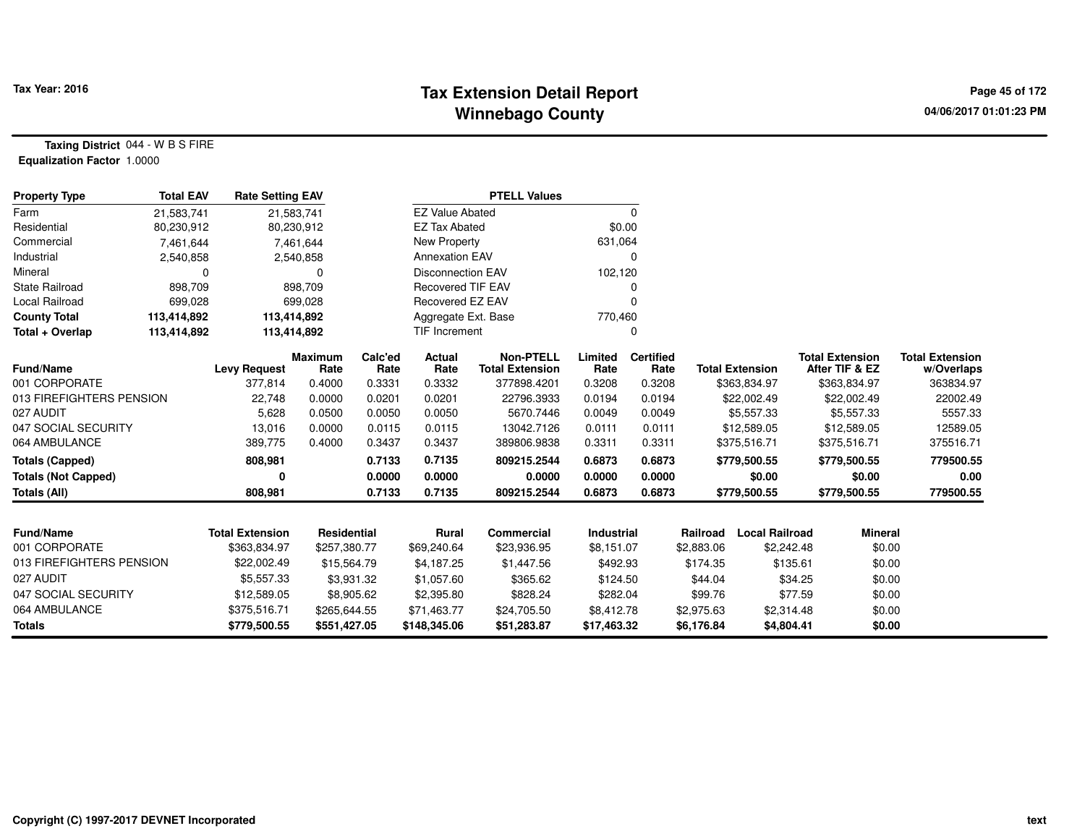# **Tax Extension Detail Report Tax Year: 2016 Page 45 of 172 Winnebago County**

**Taxing District** 044 - W B S FIRE**Equalization Factor** 1.0000

| <b>Property Type</b>       | <b>Total EAV</b> | <b>Rate Setting EAV</b> |                        |                 |                          | <b>PTELL Values</b>                        |                 |                          |            |                        |                                          |                                      |
|----------------------------|------------------|-------------------------|------------------------|-----------------|--------------------------|--------------------------------------------|-----------------|--------------------------|------------|------------------------|------------------------------------------|--------------------------------------|
| Farm                       | 21,583,741       |                         | 21,583,741             |                 | <b>EZ Value Abated</b>   |                                            |                 | 0                        |            |                        |                                          |                                      |
| Residential                | 80,230,912       |                         | 80,230,912             |                 | <b>EZ Tax Abated</b>     |                                            | \$0.00          |                          |            |                        |                                          |                                      |
| Commercial                 | 7,461,644        |                         | 7,461,644              |                 | New Property             |                                            | 631,064         |                          |            |                        |                                          |                                      |
| Industrial                 | 2,540,858        |                         | 2,540,858              |                 | <b>Annexation EAV</b>    |                                            |                 | 0                        |            |                        |                                          |                                      |
| Mineral                    | 0                |                         | 0                      |                 | <b>Disconnection EAV</b> |                                            | 102,120         |                          |            |                        |                                          |                                      |
| <b>State Railroad</b>      | 898,709          |                         | 898,709                |                 | <b>Recovered TIF EAV</b> |                                            |                 | 0                        |            |                        |                                          |                                      |
| Local Railroad             | 699,028          |                         | 699,028                |                 | Recovered EZ EAV         |                                            |                 | $\Omega$                 |            |                        |                                          |                                      |
| <b>County Total</b>        | 113,414,892      |                         | 113,414,892            |                 | Aggregate Ext. Base      |                                            | 770,460         |                          |            |                        |                                          |                                      |
| Total + Overlap            | 113,414,892      |                         | 113,414,892            |                 | <b>TIF Increment</b>     |                                            |                 | 0                        |            |                        |                                          |                                      |
| <b>Fund/Name</b>           |                  | <b>Levy Request</b>     | <b>Maximum</b><br>Rate | Calc'ed<br>Rate | <b>Actual</b><br>Rate    | <b>Non-PTELL</b><br><b>Total Extension</b> | Limited<br>Rate | <b>Certified</b><br>Rate |            | <b>Total Extension</b> | <b>Total Extension</b><br>After TIF & EZ | <b>Total Extension</b><br>w/Overlaps |
| 001 CORPORATE              |                  | 377,814                 | 0.4000                 | 0.3331          | 0.3332                   | 377898.4201                                | 0.3208          | 0.3208                   |            | \$363,834.97           | \$363,834.97                             | 363834.97                            |
| 013 FIREFIGHTERS PENSION   |                  | 22,748                  | 0.0000                 | 0.0201          | 0.0201                   | 22796.3933                                 | 0.0194          | 0.0194                   |            | \$22,002.49            | \$22,002.49                              | 22002.49                             |
| 027 AUDIT                  |                  | 5,628                   | 0.0500                 | 0.0050          | 0.0050                   | 5670.7446                                  | 0.0049          | 0.0049                   |            | \$5,557.33             | \$5,557.33                               | 5557.33                              |
| 047 SOCIAL SECURITY        |                  | 13,016                  | 0.0000                 | 0.0115          | 0.0115                   | 13042.7126                                 | 0.0111          | 0.0111                   |            | \$12,589.05            | \$12,589.05                              | 12589.05                             |
| 064 AMBULANCE              |                  | 389,775                 | 0.4000                 | 0.3437          | 0.3437                   | 389806.9838                                | 0.3311          | 0.3311                   |            | \$375,516.71           | \$375,516.71                             | 375516.71                            |
| <b>Totals (Capped)</b>     |                  | 808,981                 |                        | 0.7133          | 0.7135                   | 809215.2544                                | 0.6873          | 0.6873                   |            | \$779,500.55           | \$779,500.55                             | 779500.55                            |
| <b>Totals (Not Capped)</b> |                  | 0                       |                        | 0.0000          | 0.0000                   | 0.0000                                     | 0.0000          | 0.0000                   |            | \$0.00                 | \$0.00                                   | 0.00                                 |
| <b>Totals (All)</b>        |                  | 808,981                 |                        | 0.7133          | 0.7135                   | 809215.2544                                | 0.6873          | 0.6873                   |            | \$779,500.55           | \$779,500.55                             | 779500.55                            |
|                            |                  |                         |                        |                 |                          |                                            |                 |                          |            |                        |                                          |                                      |
| <b>Fund/Name</b>           |                  | <b>Total Extension</b>  | Residential            |                 | Rural                    | <b>Commercial</b>                          | Industrial      |                          | Railroad   | <b>Local Railroad</b>  | <b>Mineral</b>                           |                                      |
| 001 CORPORATE              |                  | \$363,834.97            | \$257,380.77           |                 | \$69,240.64              | \$23,936.95                                | \$8,151.07      |                          | \$2,883.06 | \$2,242.48             | \$0.00                                   |                                      |
| 013 FIREFIGHTERS PENSION   |                  | \$22,002.49             | \$15,564.79            |                 | \$4,187.25               | \$1,447.56                                 | \$492.93        |                          | \$174.35   | \$135.61               | \$0.00                                   |                                      |
| 027 AUDIT                  |                  | \$5,557.33              |                        | \$3,931.32      | \$1,057.60               | \$365.62                                   | \$124.50        |                          | \$44.04    | \$34.25                | \$0.00                                   |                                      |
| 047 SOCIAL SECURITY        |                  | \$12,589.05             |                        | \$8,905.62      | \$2,395.80               | \$828.24                                   | \$282.04        |                          | \$99.76    | \$77.59                | \$0.00                                   |                                      |
| 064 AMBULANCE              |                  | \$375,516.71            | \$265,644.55           |                 | \$71,463.77              | \$24,705.50                                | \$8,412.78      |                          | \$2,975.63 | \$2,314.48             | \$0.00                                   |                                      |
| <b>Totals</b>              |                  | \$779,500.55            | \$551,427.05           |                 | \$148,345.06             | \$51,283.87                                | \$17,463.32     |                          | \$6,176.84 | \$4,804.41             | \$0.00                                   |                                      |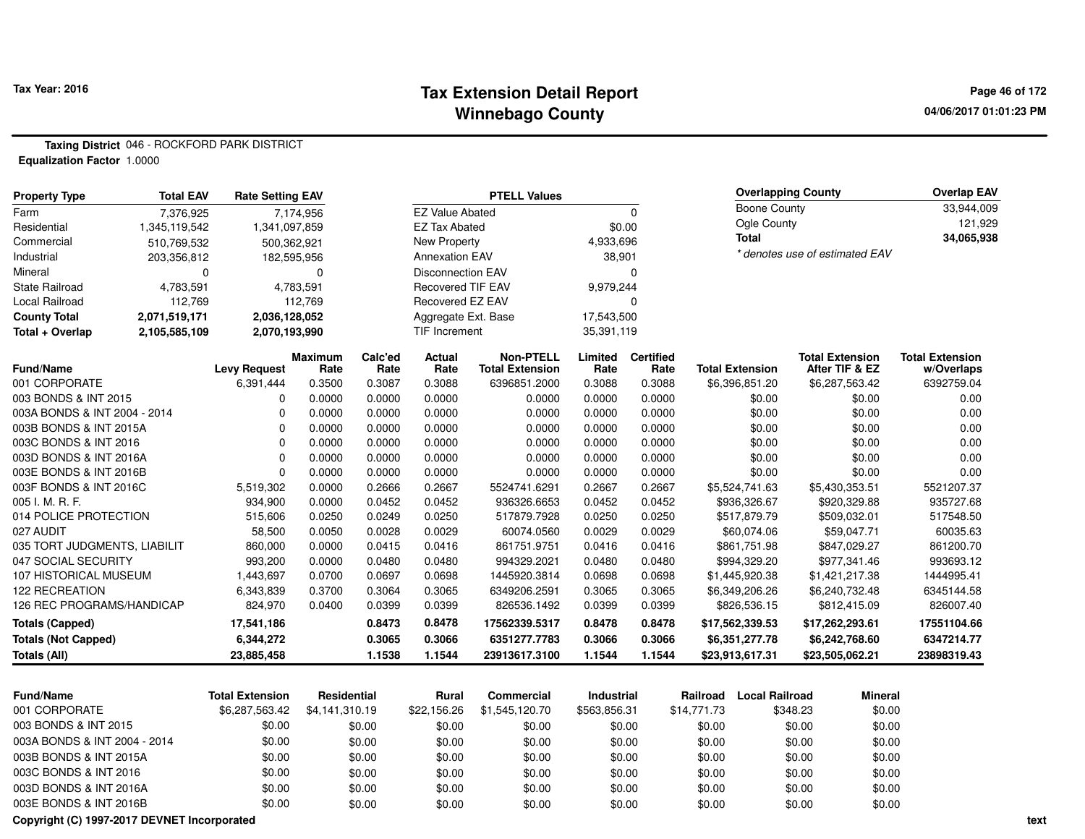#### **Tax Extension Detail Report Tax Year: 2016 Page 46 of 172 Winnebago County**

**04/06/2017 01:01:23 PM**

**Taxing District** 046 - ROCKFORD PARK DISTRICT**Equalization Factor** 1.0000

| <b>Total EAV</b><br><b>Property Type</b>         |               | <b>Rate Setting EAV</b>    |                  |                  |                          | <b>PTELL Values</b>    |                   |                  |                                   | <b>Overlapping County</b>      | <b>Overlap EAV</b>     |
|--------------------------------------------------|---------------|----------------------------|------------------|------------------|--------------------------|------------------------|-------------------|------------------|-----------------------------------|--------------------------------|------------------------|
| Farm                                             | 7,376,925     |                            | 7,174,956        |                  | <b>EZ Value Abated</b>   |                        |                   | $\Omega$         | <b>Boone County</b>               |                                | 33,944,009             |
| Residential                                      | 1,345,119,542 | 1,341,097,859              |                  |                  | <b>EZ Tax Abated</b>     |                        |                   | \$0.00           | Ogle County                       |                                | 121,929                |
| Commercial                                       | 510,769,532   | 500,362,921                |                  |                  | New Property             |                        | 4,933,696         |                  | <b>Total</b>                      |                                | 34,065,938             |
| Industrial                                       | 203,356,812   | 182,595,956                |                  |                  | <b>Annexation EAV</b>    |                        | 38,901            |                  |                                   | * denotes use of estimated EAV |                        |
| Mineral                                          | 0             |                            | $\mathbf 0$      |                  | <b>Disconnection EAV</b> |                        |                   | $\Omega$         |                                   |                                |                        |
| <b>State Railroad</b>                            | 4,783,591     |                            | 4,783,591        |                  | Recovered TIF EAV        |                        | 9,979,244         |                  |                                   |                                |                        |
| <b>Local Railroad</b>                            | 112,769       |                            | 112,769          |                  | Recovered EZ EAV         |                        |                   | $\Omega$         |                                   |                                |                        |
| <b>County Total</b>                              | 2,071,519,171 | 2,036,128,052              |                  |                  | Aggregate Ext. Base      |                        | 17,543,500        |                  |                                   |                                |                        |
| Total + Overlap                                  | 2,105,585,109 | 2,070,193,990              |                  |                  | TIF Increment            |                        | 35,391,119        |                  |                                   |                                |                        |
|                                                  |               |                            | <b>Maximum</b>   | Calc'ed          | Actual                   | <b>Non-PTELL</b>       | Limited           | <b>Certified</b> |                                   | <b>Total Extension</b>         | <b>Total Extension</b> |
| Fund/Name                                        |               | <b>Levy Request</b>        | Rate             | Rate             | Rate                     | <b>Total Extension</b> | Rate              | Rate             | <b>Total Extension</b>            | After TIF & EZ                 | w/Overlaps             |
| 001 CORPORATE                                    |               | 6,391,444                  | 0.3500           | 0.3087           | 0.3088                   | 6396851.2000           | 0.3088            | 0.3088           | \$6,396,851.20                    | \$6,287,563.42                 | 6392759.04             |
| 003 BONDS & INT 2015                             |               | 0                          | 0.0000           | 0.0000           | 0.0000                   | 0.0000                 | 0.0000            | 0.0000           | \$0.00                            | \$0.00                         | 0.00                   |
| 003A BONDS & INT 2004 - 2014                     |               | $\mathbf 0$                | 0.0000           | 0.0000           | 0.0000                   | 0.0000                 | 0.0000            | 0.0000           | \$0.00                            | \$0.00                         | 0.00                   |
| 003B BONDS & INT 2015A                           |               | $\mathbf 0$<br>$\mathbf 0$ | 0.0000           | 0.0000           | 0.0000                   | 0.0000                 | 0.0000            | 0.0000           | \$0.00                            | \$0.00                         | 0.00                   |
| 003C BONDS & INT 2016                            |               | $\mathbf 0$                | 0.0000           | 0.0000           | 0.0000                   | 0.0000                 | 0.0000            | 0.0000           | \$0.00                            | \$0.00                         | 0.00                   |
| 003D BONDS & INT 2016A                           |               | $\Omega$                   | 0.0000           | 0.0000           | 0.0000                   | 0.0000<br>0.0000       | 0.0000            | 0.0000           | \$0.00                            | \$0.00                         | 0.00                   |
| 003E BONDS & INT 2016B<br>003F BONDS & INT 2016C |               | 5,519,302                  | 0.0000<br>0.0000 | 0.0000<br>0.2666 | 0.0000<br>0.2667         | 5524741.6291           | 0.0000<br>0.2667  | 0.0000<br>0.2667 | \$0.00<br>\$5,524,741.63          | \$0.00<br>\$5,430,353.51       | 0.00<br>5521207.37     |
| 005 I. M. R. F.                                  |               |                            |                  | 0.0452           | 0.0452                   | 936326.6653            |                   | 0.0452           | \$936,326.67                      |                                | 935727.68              |
| 014 POLICE PROTECTION                            |               | 934,900                    | 0.0000<br>0.0250 | 0.0249           | 0.0250                   | 517879.7928            | 0.0452            | 0.0250           |                                   | \$920,329.88                   |                        |
| 027 AUDIT                                        |               | 515,606<br>58,500          |                  | 0.0028           | 0.0029                   | 60074.0560             | 0.0250<br>0.0029  | 0.0029           | \$517,879.79<br>\$60,074.06       | \$509,032.01<br>\$59,047.71    | 517548.50<br>60035.63  |
| 035 TORT JUDGMENTS, LIABILIT                     |               | 860,000                    | 0.0050<br>0.0000 | 0.0415           | 0.0416                   | 861751.9751            | 0.0416            | 0.0416           |                                   | \$847,029.27                   | 861200.70              |
| 047 SOCIAL SECURITY                              |               | 993,200                    | 0.0000           | 0.0480           | 0.0480                   | 994329.2021            | 0.0480            | 0.0480           | \$861,751.98<br>\$994,329.20      | \$977,341.46                   | 993693.12              |
| 107 HISTORICAL MUSEUM                            |               | 1,443,697                  | 0.0700           | 0.0697           | 0.0698                   | 1445920.3814           | 0.0698            | 0.0698           | \$1,445,920.38                    | \$1,421,217.38                 | 1444995.41             |
| <b>122 RECREATION</b>                            |               | 6,343,839                  | 0.3700           | 0.3064           | 0.3065                   | 6349206.2591           | 0.3065            | 0.3065           | \$6,349,206.26                    | \$6,240,732.48                 | 6345144.58             |
| 126 REC PROGRAMS/HANDICAP                        |               | 824,970                    | 0.0400           | 0.0399           | 0.0399                   | 826536.1492            | 0.0399            | 0.0399           | \$826,536.15                      | \$812,415.09                   | 826007.40              |
|                                                  |               |                            |                  |                  |                          |                        |                   |                  |                                   |                                |                        |
| <b>Totals (Capped)</b>                           |               | 17,541,186                 |                  | 0.8473           | 0.8478                   | 17562339.5317          | 0.8478            | 0.8478           | \$17,562,339.53                   | \$17,262,293.61                | 17551104.66            |
| <b>Totals (Not Capped)</b>                       |               | 6,344,272                  |                  | 0.3065           | 0.3066                   | 6351277.7783           | 0.3066            | 0.3066           | \$6,351,277.78                    | \$6,242,768.60                 | 6347214.77             |
| <b>Totals (All)</b>                              |               | 23,885,458                 |                  | 1.1538           | 1.1544                   | 23913617.3100          | 1.1544            | 1.1544           | \$23,913,617.31                   | \$23,505,062.21                | 23898319.43            |
| <b>Fund/Name</b>                                 |               | <b>Total Extension</b>     | Residential      |                  | Rural                    | <b>Commercial</b>      | <b>Industrial</b> |                  | <b>Local Railroad</b><br>Railroad | <b>Mineral</b>                 |                        |
| 001 CORPORATE                                    |               | \$6,287,563.42             | \$4,141,310.19   |                  | \$22,156.26              | \$1,545,120.70         | \$563,856.31      |                  | \$14,771.73                       | \$348.23<br>\$0.00             |                        |
| 003 BONDS & INT 2015                             |               | \$0.00                     |                  |                  |                          |                        |                   |                  |                                   | \$0.00                         |                        |
| 003A BONDS & INT 2004 - 2014                     |               |                            |                  | \$0.00           | \$0.00                   | \$0.00                 |                   | \$0.00           | \$0.00                            | \$0.00                         |                        |
|                                                  |               | \$0.00                     |                  | \$0.00           | \$0.00                   | \$0.00                 |                   | \$0.00           | \$0.00                            | \$0.00<br>\$0.00               |                        |
| 003B BONDS & INT 2015A                           |               | \$0.00                     |                  | \$0.00           | \$0.00                   | \$0.00                 |                   | \$0.00           | \$0.00                            | \$0.00<br>\$0.00               |                        |
| 003C BONDS & INT 2016                            |               | \$0.00                     |                  | \$0.00           | \$0.00                   | \$0.00                 |                   | \$0.00           | \$0.00                            | \$0.00<br>\$0.00               |                        |
| 003D BONDS & INT 2016A                           |               | \$0.00                     |                  | \$0.00           | \$0.00                   | \$0.00                 |                   | \$0.00           | \$0.00                            | \$0.00<br>\$0.00               |                        |
| 003E BONDS & INT 2016B                           |               | \$0.00                     |                  | \$0.00           | \$0.00                   | \$0.00                 |                   | \$0.00           | \$0.00                            | \$0.00<br>\$0.00               |                        |

**Copyright (C) 1997-2017 DEVNET Incorporated**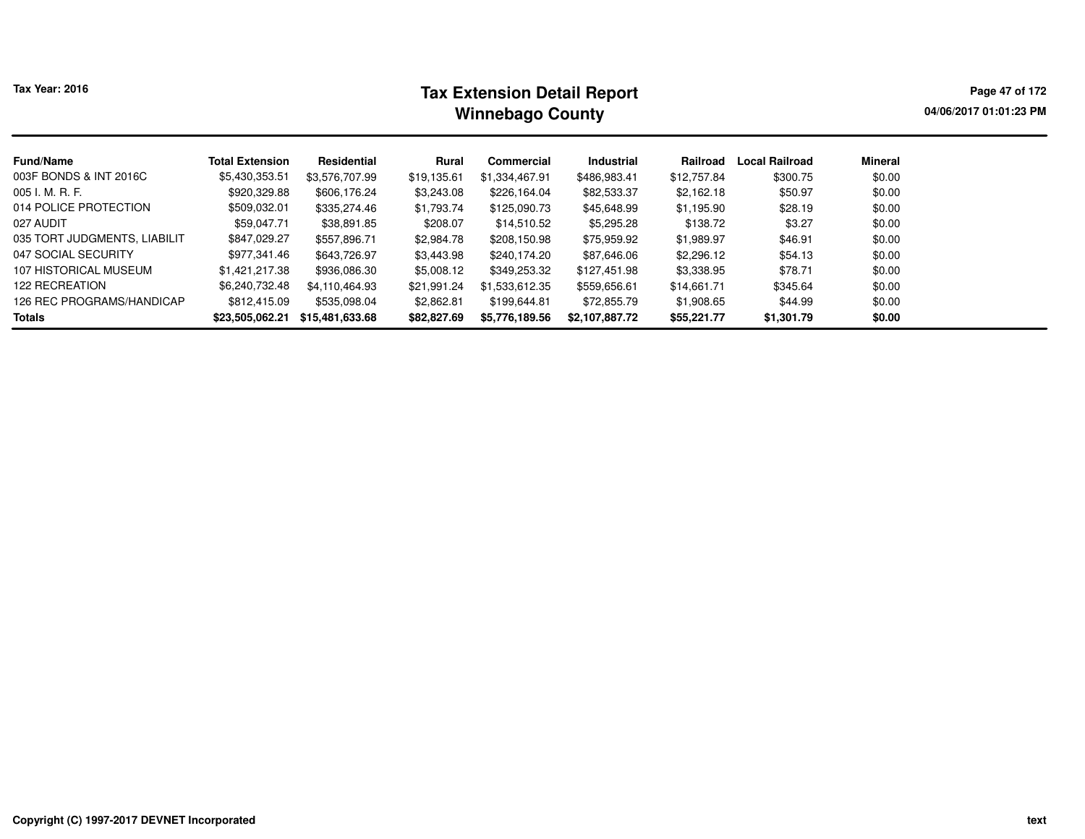# **Tax Extension Detail Report Tax Year: 2016 Page 47 of 172 Winnebago County**

**04/06/2017 01:01:23 PM**

| <b>Fund/Name</b>             | <b>Total Extension</b> | Residential     | Rural       | <b>Commercial</b> | <b>Industrial</b> | Railroad    | <b>Local Railroad</b> | Mineral |  |
|------------------------------|------------------------|-----------------|-------------|-------------------|-------------------|-------------|-----------------------|---------|--|
| 003F BONDS & INT 2016C       | \$5,430,353.51         | \$3,576,707.99  | \$19,135.61 | \$1,334,467.91    | \$486,983.41      | \$12,757.84 | \$300.75              | \$0.00  |  |
| 005 I. M. R. F.              | \$920,329.88           | \$606,176.24    | \$3,243.08  | \$226,164.04      | \$82,533.37       | \$2,162.18  | \$50.97               | \$0.00  |  |
| 014 POLICE PROTECTION        | \$509,032.01           | \$335,274.46    | \$1,793.74  | \$125,090.73      | \$45,648.99       | \$1,195.90  | \$28.19               | \$0.00  |  |
| 027 AUDIT                    | \$59,047.71            | \$38,891.85     | \$208.07    | \$14,510.52       | \$5,295.28        | \$138.72    | \$3.27                | \$0.00  |  |
| 035 TORT JUDGMENTS, LIABILIT | \$847,029.27           | \$557,896.71    | \$2,984.78  | \$208,150.98      | \$75,959.92       | \$1,989.97  | \$46.91               | \$0.00  |  |
| 047 SOCIAL SECURITY          | \$977,341.46           | \$643,726.97    | \$3,443.98  | \$240,174.20      | \$87,646.06       | \$2,296.12  | \$54.13               | \$0.00  |  |
| 107 HISTORICAL MUSEUM        | \$1,421,217.38         | \$936,086.30    | \$5,008.12  | \$349,253.32      | \$127,451.98      | \$3,338.95  | \$78.71               | \$0.00  |  |
| 122 RECREATION               | \$6,240,732.48         | \$4,110,464.93  | \$21,991.24 | \$1,533,612.35    | \$559,656.61      | \$14,661,71 | \$345.64              | \$0.00  |  |
| 126 REC PROGRAMS/HANDICAP    | \$812,415.09           | \$535,098.04    | \$2,862.81  | \$199,644.81      | \$72,855.79       | \$1,908.65  | \$44.99               | \$0.00  |  |
| Totals                       | \$23,505,062.21        | \$15,481,633.68 | \$82,827.69 | \$5,776,189.56    | \$2,107,887.72    | \$55,221.77 | \$1,301.79            | \$0.00  |  |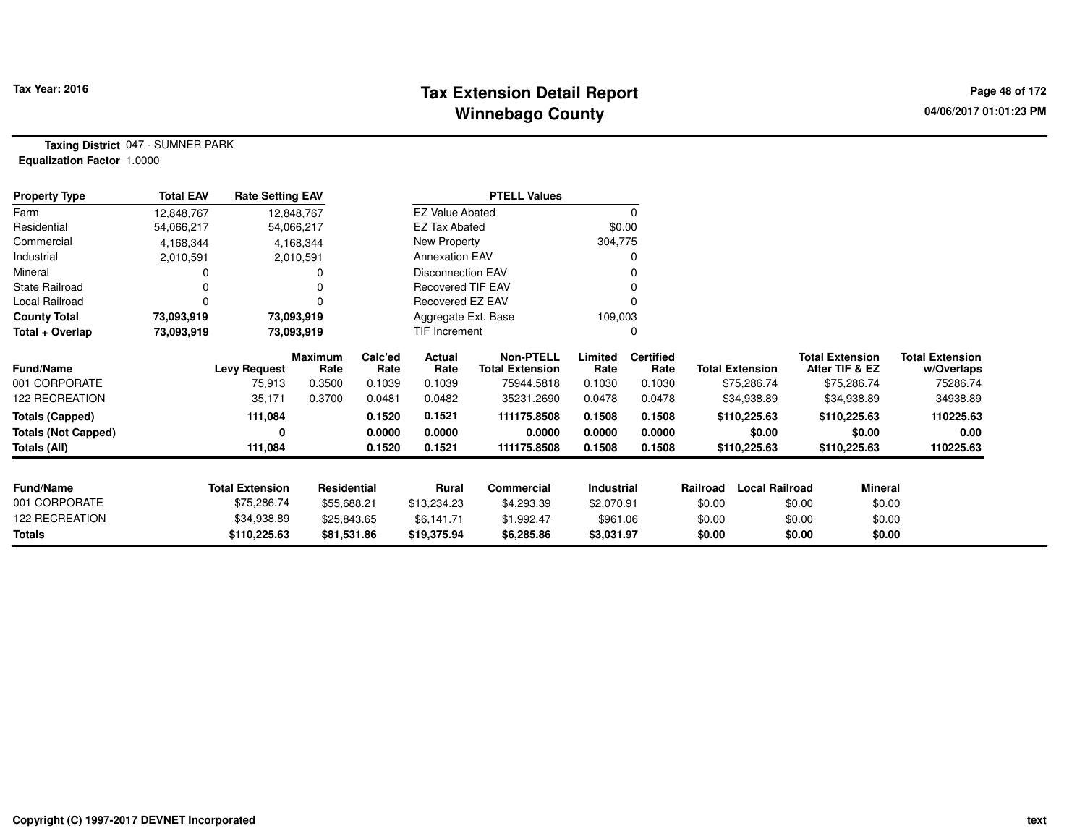# **Tax Extension Detail Report Tax Year: 2016 Page 48 of 172 Winnebago County**

**Taxing District** 047 - SUMNER PARK**Equalization Factor** 1.0000

| <b>Property Type</b>       | <b>Total EAV</b> | <b>Rate Setting EAV</b> |                        |                 |                          | <b>PTELL Values</b>                        |                 |                          |                        |                       |                                          |                                      |
|----------------------------|------------------|-------------------------|------------------------|-----------------|--------------------------|--------------------------------------------|-----------------|--------------------------|------------------------|-----------------------|------------------------------------------|--------------------------------------|
| Farm                       | 12,848,767       | 12,848,767              |                        |                 | <b>EZ Value Abated</b>   |                                            |                 | $\Omega$                 |                        |                       |                                          |                                      |
| Residential                | 54,066,217       | 54,066,217              |                        |                 | <b>EZ Tax Abated</b>     |                                            | \$0.00          |                          |                        |                       |                                          |                                      |
| Commercial                 | 4,168,344        |                         | 4,168,344              |                 | New Property             |                                            | 304,775         |                          |                        |                       |                                          |                                      |
| Industrial                 | 2,010,591        |                         | 2,010,591              |                 | <b>Annexation EAV</b>    |                                            |                 | O                        |                        |                       |                                          |                                      |
| Mineral                    |                  |                         |                        |                 | <b>Disconnection EAV</b> |                                            |                 |                          |                        |                       |                                          |                                      |
| <b>State Railroad</b>      |                  |                         |                        |                 | <b>Recovered TIF EAV</b> |                                            |                 |                          |                        |                       |                                          |                                      |
| Local Railroad             | 0                |                         | 0                      |                 | Recovered EZ EAV         |                                            |                 |                          |                        |                       |                                          |                                      |
| <b>County Total</b>        | 73,093,919       | 73,093,919              |                        |                 | Aggregate Ext. Base      |                                            | 109,003         |                          |                        |                       |                                          |                                      |
| Total + Overlap            | 73,093,919       | 73,093,919              |                        |                 | TIF Increment            |                                            |                 | $\Omega$                 |                        |                       |                                          |                                      |
| Fund/Name                  |                  | <b>Levy Request</b>     | <b>Maximum</b><br>Rate | Calc'ed<br>Rate | Actual<br>Rate           | <b>Non-PTELL</b><br><b>Total Extension</b> | Limited<br>Rate | <b>Certified</b><br>Rate | <b>Total Extension</b> |                       | <b>Total Extension</b><br>After TIF & EZ | <b>Total Extension</b><br>w/Overlaps |
| 001 CORPORATE              |                  | 75,913                  | 0.3500                 | 0.1039          | 0.1039                   | 75944.5818                                 | 0.1030          | 0.1030                   |                        | \$75,286.74           | \$75,286.74                              | 75286.74                             |
| 122 RECREATION             |                  | 35,171                  | 0.3700                 | 0.0481          | 0.0482                   | 35231.2690                                 | 0.0478          | 0.0478                   |                        | \$34,938.89           | \$34,938.89                              | 34938.89                             |
| <b>Totals (Capped)</b>     |                  | 111,084                 |                        | 0.1520          | 0.1521                   | 111175.8508                                | 0.1508          | 0.1508                   | \$110,225.63           |                       | \$110,225.63                             | 110225.63                            |
| <b>Totals (Not Capped)</b> |                  |                         |                        | 0.0000          | 0.0000                   | 0.0000                                     | 0.0000          | 0.0000                   |                        | \$0.00                | \$0.00                                   | 0.00                                 |
| Totals (All)               |                  | 111,084                 |                        | 0.1520          | 0.1521                   | 111175.8508                                | 0.1508          | 0.1508                   | \$110,225.63           |                       | \$110,225.63                             | 110225.63                            |
| <b>Fund/Name</b>           |                  | <b>Total Extension</b>  | Residential            |                 | <b>Rural</b>             | Commercial                                 | Industrial      |                          | Railroad               | <b>Local Railroad</b> | Mineral                                  |                                      |
| 001 CORPORATE              |                  | \$75,286.74             | \$55,688.21            |                 | \$13,234.23              | \$4,293.39                                 | \$2,070.91      |                          | \$0.00                 | \$0.00                | \$0.00                                   |                                      |
| 122 RECREATION             |                  | \$34,938.89             | \$25,843.65            |                 | \$6,141.71               | \$1,992.47                                 | \$961.06        |                          | \$0.00                 | \$0.00                | \$0.00                                   |                                      |
| Totals                     |                  | \$110,225.63            | \$81,531.86            |                 | \$19,375.94              | \$6,285.86                                 | \$3,031.97      |                          | \$0.00                 | \$0.00                | \$0.00                                   |                                      |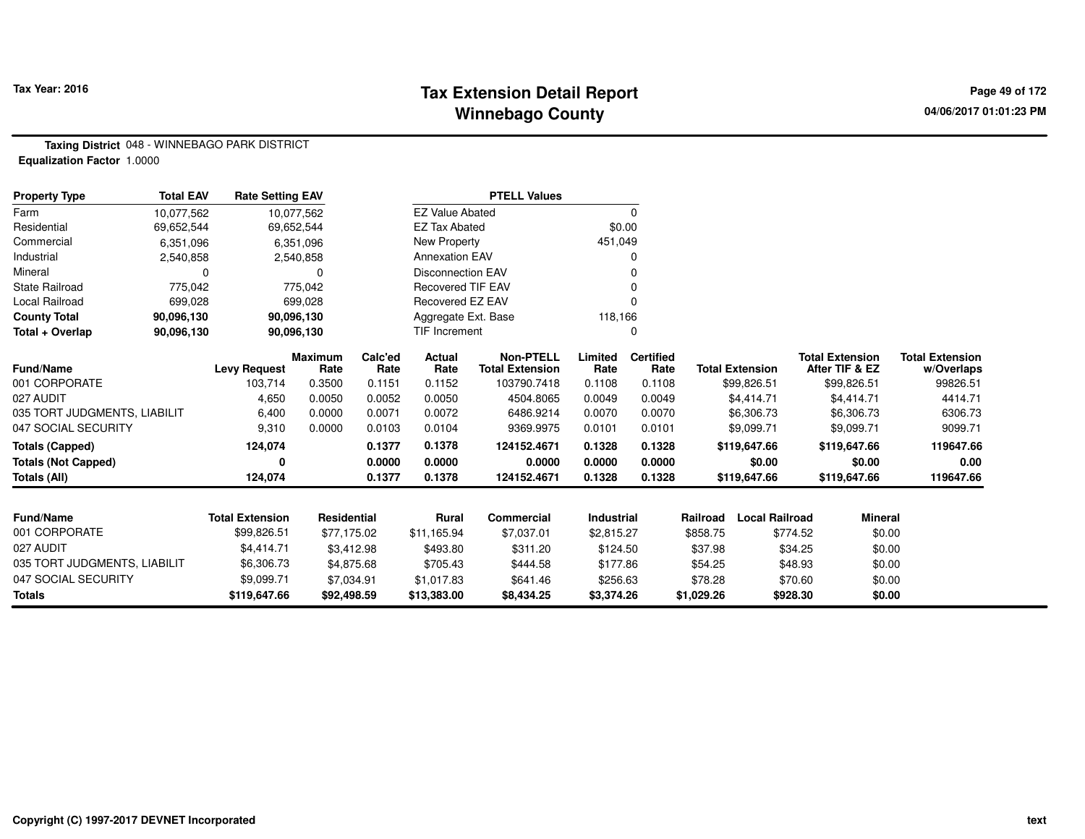# **Tax Extension Detail Report Tax Year: 2016 Page 49 of 172 Winnebago County**

**Taxing District** 048 - WINNEBAGO PARK DISTRICT**Equalization Factor** 1.0000

| <b>Property Type</b>         | <b>Total EAV</b> | <b>Rate Setting EAV</b> |                        |                 |                          | <b>PTELL Values</b>                        |                   |                          |            |                        |          |                                          |                                      |
|------------------------------|------------------|-------------------------|------------------------|-----------------|--------------------------|--------------------------------------------|-------------------|--------------------------|------------|------------------------|----------|------------------------------------------|--------------------------------------|
| Farm                         | 10,077,562       |                         | 10,077,562             |                 | <b>EZ Value Abated</b>   |                                            |                   | 0                        |            |                        |          |                                          |                                      |
| Residential                  | 69,652,544       |                         | 69,652,544             |                 | <b>EZ Tax Abated</b>     |                                            | \$0.00            |                          |            |                        |          |                                          |                                      |
| Commercial                   | 6,351,096        |                         | 6,351,096              |                 | New Property             |                                            | 451,049           |                          |            |                        |          |                                          |                                      |
| Industrial                   | 2,540,858        |                         | 2,540,858              |                 | <b>Annexation EAV</b>    |                                            |                   | n                        |            |                        |          |                                          |                                      |
| Mineral                      | $\Omega$         |                         | 0                      |                 | <b>Disconnection EAV</b> |                                            |                   |                          |            |                        |          |                                          |                                      |
| <b>State Railroad</b>        | 775,042          |                         | 775,042                |                 | <b>Recovered TIF EAV</b> |                                            |                   |                          |            |                        |          |                                          |                                      |
| Local Railroad               | 699,028          |                         | 699,028                |                 | Recovered EZ EAV         |                                            |                   |                          |            |                        |          |                                          |                                      |
| <b>County Total</b>          | 90,096,130       |                         | 90,096,130             |                 | Aggregate Ext. Base      |                                            | 118,166           |                          |            |                        |          |                                          |                                      |
| Total + Overlap              | 90,096,130       |                         | 90,096,130             |                 | TIF Increment            |                                            |                   |                          |            |                        |          |                                          |                                      |
| <b>Fund/Name</b>             |                  | <b>Levy Request</b>     | <b>Maximum</b><br>Rate | Calc'ed<br>Rate | <b>Actual</b><br>Rate    | <b>Non-PTELL</b><br><b>Total Extension</b> | Limited<br>Rate   | <b>Certified</b><br>Rate |            | <b>Total Extension</b> |          | <b>Total Extension</b><br>After TIF & EZ | <b>Total Extension</b><br>w/Overlaps |
| 001 CORPORATE                |                  | 103,714                 | 0.3500                 | 0.1151          | 0.1152                   | 103790.7418                                | 0.1108            | 0.1108                   |            | \$99,826.51            |          | \$99,826.51                              | 99826.51                             |
| 027 AUDIT                    |                  | 4,650                   | 0.0050                 | 0.0052          | 0.0050                   | 4504.8065                                  | 0.0049            | 0.0049                   |            | \$4,414.71             |          | \$4,414.71                               | 4414.71                              |
| 035 TORT JUDGMENTS, LIABILIT |                  | 6,400                   | 0.0000                 | 0.0071          | 0.0072                   | 6486.9214                                  | 0.0070            | 0.0070                   |            | \$6,306.73             |          | \$6,306.73                               | 6306.73                              |
| 047 SOCIAL SECURITY          |                  | 9,310                   | 0.0000                 | 0.0103          | 0.0104                   | 9369.9975                                  | 0.0101            | 0.0101                   |            | \$9,099.71             |          | \$9,099.71                               | 9099.71                              |
| <b>Totals (Capped)</b>       |                  | 124,074                 |                        | 0.1377          | 0.1378                   | 124152.4671                                | 0.1328            | 0.1328                   |            | \$119,647.66           |          | \$119,647.66                             | 119647.66                            |
| <b>Totals (Not Capped)</b>   |                  | 0                       |                        | 0.0000          | 0.0000                   | 0.0000                                     | 0.0000            | 0.0000                   |            | \$0.00                 |          | \$0.00                                   | 0.00                                 |
| Totals (All)                 |                  | 124,074                 |                        | 0.1377          | 0.1378                   | 124152.4671                                | 0.1328            | 0.1328                   |            | \$119,647.66           |          | \$119,647.66                             | 119647.66                            |
|                              |                  |                         |                        |                 |                          |                                            |                   |                          |            |                        |          |                                          |                                      |
| <b>Fund/Name</b>             |                  | <b>Total Extension</b>  | Residential            |                 | <b>Rural</b>             | Commercial                                 | <b>Industrial</b> |                          | Railroad   | <b>Local Railroad</b>  |          | <b>Mineral</b>                           |                                      |
| 001 CORPORATE                |                  | \$99,826.51             | \$77,175.02            |                 | \$11,165.94              | \$7,037.01                                 | \$2,815.27        |                          | \$858.75   |                        | \$774.52 | \$0.00                                   |                                      |
| 027 AUDIT                    |                  | \$4,414.71              | \$3,412.98             |                 | \$493.80                 | \$311.20                                   | \$124.50          |                          | \$37.98    |                        | \$34.25  | \$0.00                                   |                                      |
| 035 TORT JUDGMENTS, LIABILIT |                  | \$6,306.73              | \$4,875.68             |                 | \$705.43                 | \$444.58                                   | \$177.86          |                          | \$54.25    |                        | \$48.93  | \$0.00                                   |                                      |
| 047 SOCIAL SECURITY          |                  | \$9,099.71              | \$7,034.91             |                 | \$1,017.83               | \$641.46                                   | \$256.63          |                          | \$78.28    |                        | \$70.60  | \$0.00                                   |                                      |
| <b>Totals</b>                |                  | \$119,647.66            | \$92,498.59            |                 | \$13,383.00              | \$8,434.25                                 | \$3,374.26        |                          | \$1,029.26 |                        | \$928.30 | \$0.00                                   |                                      |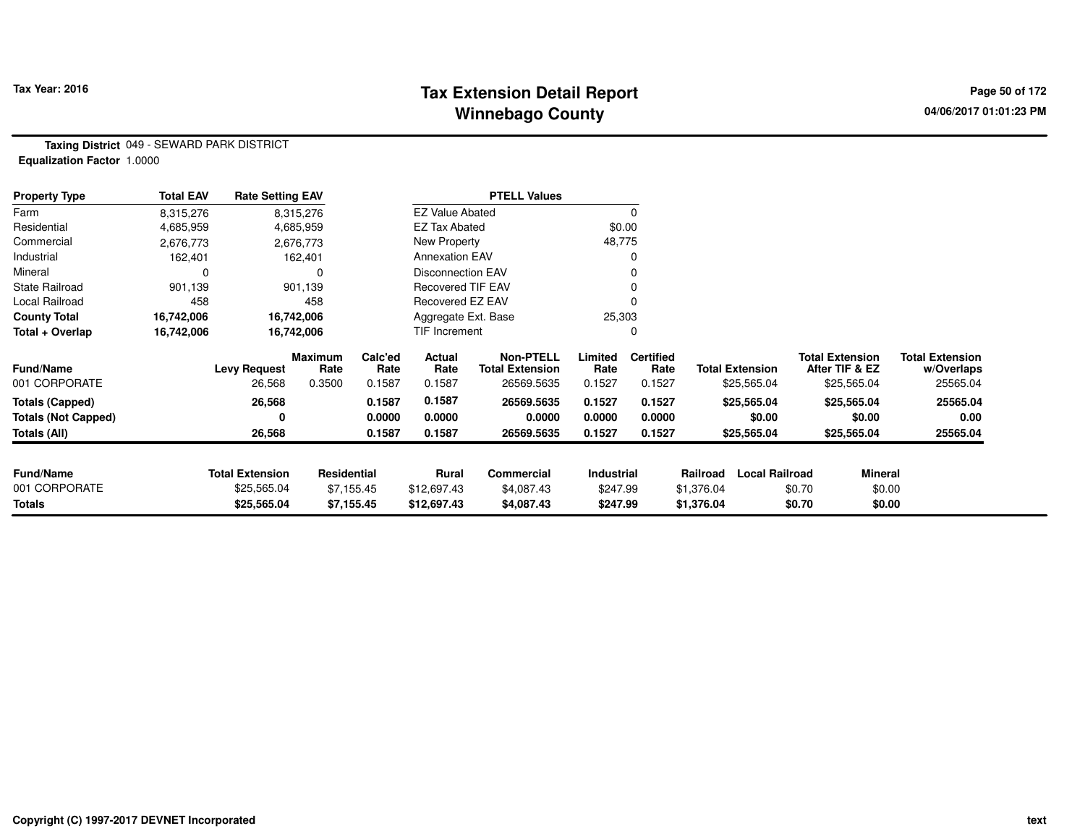# **Tax Extension Detail Report Tax Year: 2016 Page 50 of 172 Winnebago County**

**Taxing District** 049 - SEWARD PARK DISTRICT**Equalization Factor** 1.0000

| <b>Property Type</b>       | <b>Total EAV</b> | <b>Rate Setting EAV</b> |                        |                 |                          | <b>PTELL Values</b>                        |                 |                          |                        |                       |                                          |                                      |
|----------------------------|------------------|-------------------------|------------------------|-----------------|--------------------------|--------------------------------------------|-----------------|--------------------------|------------------------|-----------------------|------------------------------------------|--------------------------------------|
| Farm                       | 8,315,276        |                         | 8,315,276              |                 | <b>EZ Value Abated</b>   |                                            |                 |                          |                        |                       |                                          |                                      |
| Residential                | 4,685,959        |                         | 4,685,959              |                 | <b>EZ Tax Abated</b>     |                                            | \$0.00          |                          |                        |                       |                                          |                                      |
| Commercial                 | 2,676,773        |                         | 2,676,773              |                 | New Property             |                                            | 48,775          |                          |                        |                       |                                          |                                      |
| Industrial                 | 162,401          |                         | 162,401                |                 | <b>Annexation EAV</b>    |                                            |                 |                          |                        |                       |                                          |                                      |
| Mineral                    |                  |                         | $\Omega$               |                 | <b>Disconnection EAV</b> |                                            |                 |                          |                        |                       |                                          |                                      |
| <b>State Railroad</b>      | 901,139          |                         | 901,139                |                 | <b>Recovered TIF EAV</b> |                                            |                 |                          |                        |                       |                                          |                                      |
| Local Railroad             | 458              |                         | 458                    |                 | Recovered EZ EAV         |                                            |                 |                          |                        |                       |                                          |                                      |
| <b>County Total</b>        | 16,742,006       |                         | 16,742,006             |                 | Aggregate Ext. Base      |                                            | 25,303          |                          |                        |                       |                                          |                                      |
| Total + Overlap            | 16,742,006       |                         | 16,742,006             |                 | TIF Increment            |                                            |                 |                          |                        |                       |                                          |                                      |
| <b>Fund/Name</b>           |                  | <b>Levy Request</b>     | <b>Maximum</b><br>Rate | Calc'ed<br>Rate | Actual<br>Rate           | <b>Non-PTELL</b><br><b>Total Extension</b> | Limited<br>Rate | <b>Certified</b><br>Rate | <b>Total Extension</b> |                       | <b>Total Extension</b><br>After TIF & EZ | <b>Total Extension</b><br>w/Overlaps |
| 001 CORPORATE              |                  | 26,568                  | 0.3500                 | 0.1587          | 0.1587                   | 26569.5635                                 | 0.1527          | 0.1527                   |                        | \$25,565.04           | \$25,565.04                              | 25565.04                             |
| <b>Totals (Capped)</b>     |                  | 26,568                  |                        | 0.1587          | 0.1587                   | 26569.5635                                 | 0.1527          | 0.1527                   |                        | \$25,565.04           | \$25,565.04                              | 25565.04                             |
| <b>Totals (Not Capped)</b> |                  | 0                       |                        | 0.0000          | 0.0000                   | 0.0000                                     | 0.0000          | 0.0000                   |                        | \$0.00                | \$0.00                                   | 0.00                                 |
| Totals (All)               |                  | 26,568                  |                        | 0.1587          | 0.1587                   | 26569.5635                                 | 0.1527          | 0.1527                   |                        | \$25,565.04           | \$25,565.04                              | 25565.04                             |
|                            |                  |                         |                        |                 |                          |                                            |                 |                          |                        |                       |                                          |                                      |
| <b>Fund/Name</b>           |                  | <b>Total Extension</b>  | Residential            |                 | <b>Rural</b>             | Commercial                                 | Industrial      |                          | Railroad               | <b>Local Railroad</b> | Mineral                                  |                                      |
| 001 CORPORATE              |                  | \$25,565.04             |                        | \$7,155.45      | \$12,697.43              | \$4,087.43                                 | \$247.99        |                          | \$1,376.04             | \$0.70                | \$0.00                                   |                                      |
| Totals                     |                  | \$25,565.04             |                        | \$7,155.45      | \$12,697.43              | \$4,087.43                                 | \$247.99        |                          | \$1,376.04             | \$0.70                | \$0.00                                   |                                      |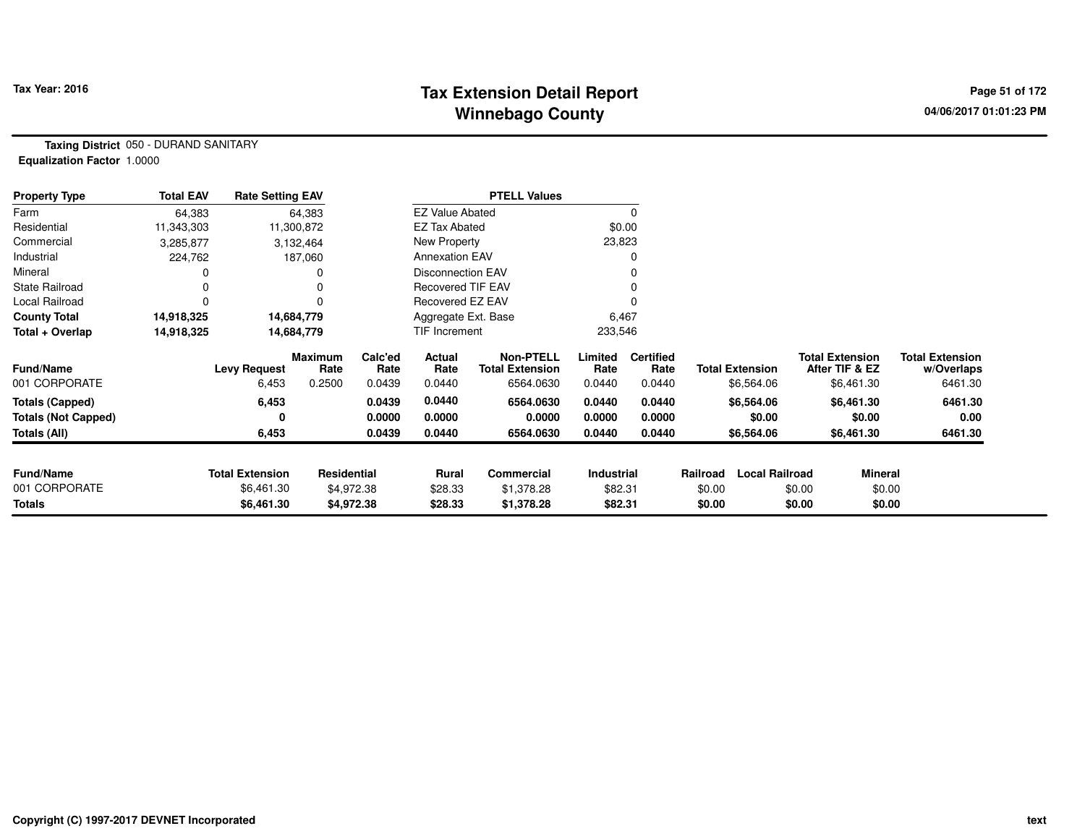# **Tax Extension Detail Report Tax Year: 2016 Page 51 of 172 Winnebago County**

**Taxing District** 050 - DURAND SANITARY**Equalization Factor** 1.0000

| <b>Property Type</b>       | <b>Total EAV</b> | <b>Rate Setting EAV</b> |                        |                 |                          | <b>PTELL Values</b>                 |                 |                          |          |                        |                                          |                                      |
|----------------------------|------------------|-------------------------|------------------------|-----------------|--------------------------|-------------------------------------|-----------------|--------------------------|----------|------------------------|------------------------------------------|--------------------------------------|
| Farm                       | 64,383           |                         | 64,383                 |                 | <b>EZ Value Abated</b>   |                                     |                 | 0                        |          |                        |                                          |                                      |
| Residential                | 11,343,303       |                         | 11,300,872             |                 | <b>EZ Tax Abated</b>     |                                     |                 | \$0.00                   |          |                        |                                          |                                      |
| Commercial                 | 3,285,877        |                         | 3,132,464              |                 | New Property             |                                     | 23,823          |                          |          |                        |                                          |                                      |
| Industrial                 | 224,762          |                         | 187,060                |                 | <b>Annexation EAV</b>    |                                     |                 | 0                        |          |                        |                                          |                                      |
| Mineral                    |                  |                         |                        |                 | <b>Disconnection EAV</b> |                                     |                 | 0                        |          |                        |                                          |                                      |
| <b>State Railroad</b>      |                  |                         |                        |                 | <b>Recovered TIF EAV</b> |                                     |                 |                          |          |                        |                                          |                                      |
| Local Railroad             | 0                |                         |                        |                 | Recovered EZ EAV         |                                     |                 |                          |          |                        |                                          |                                      |
| <b>County Total</b>        | 14,918,325       |                         | 14,684,779             |                 | Aggregate Ext. Base      |                                     | 6,467           |                          |          |                        |                                          |                                      |
| Total + Overlap            | 14,918,325       |                         | 14,684,779             |                 | <b>TIF Increment</b>     |                                     | 233,546         |                          |          |                        |                                          |                                      |
| <b>Fund/Name</b>           |                  | <b>Levy Request</b>     | <b>Maximum</b><br>Rate | Calc'ed<br>Rate | Actual<br>Rate           | Non-PTELL<br><b>Total Extension</b> | Limited<br>Rate | <b>Certified</b><br>Rate |          | <b>Total Extension</b> | <b>Total Extension</b><br>After TIF & EZ | <b>Total Extension</b><br>w/Overlaps |
| 001 CORPORATE              |                  | 6,453                   | 0.2500                 | 0.0439          | 0.0440                   | 6564.0630                           | 0.0440          | 0.0440                   |          | \$6,564.06             | \$6,461.30                               | 6461.30                              |
| <b>Totals (Capped)</b>     |                  | 6,453                   |                        | 0.0439          | 0.0440                   | 6564.0630                           | 0.0440          | 0.0440                   |          | \$6,564.06             | \$6,461.30                               | 6461.30                              |
| <b>Totals (Not Capped)</b> |                  | 0                       |                        | 0.0000          | 0.0000                   | 0.0000                              | 0.0000          | 0.0000                   |          | \$0.00                 | \$0.00                                   | 0.00                                 |
| Totals (All)               |                  | 6,453                   |                        | 0.0439          | 0.0440                   | 6564.0630                           | 0.0440          | 0.0440                   |          | \$6,564.06             | \$6,461.30                               | 6461.30                              |
|                            |                  |                         |                        |                 |                          |                                     |                 |                          |          |                        |                                          |                                      |
| <b>Fund/Name</b>           |                  | <b>Total Extension</b>  | Residential            |                 | Rural                    | <b>Commercial</b>                   | Industrial      |                          | Railroad | <b>Local Railroad</b>  | <b>Mineral</b>                           |                                      |
| 001 CORPORATE              |                  | \$6,461.30              |                        | \$4,972.38      | \$28.33                  | \$1,378.28                          | \$82.31         |                          | \$0.00   |                        | \$0.00<br>\$0.00                         |                                      |
| <b>Totals</b>              |                  | \$6,461.30              |                        | \$4,972.38      | \$28.33                  | \$1,378.28                          | \$82.31         |                          | \$0.00   |                        | \$0.00<br>\$0.00                         |                                      |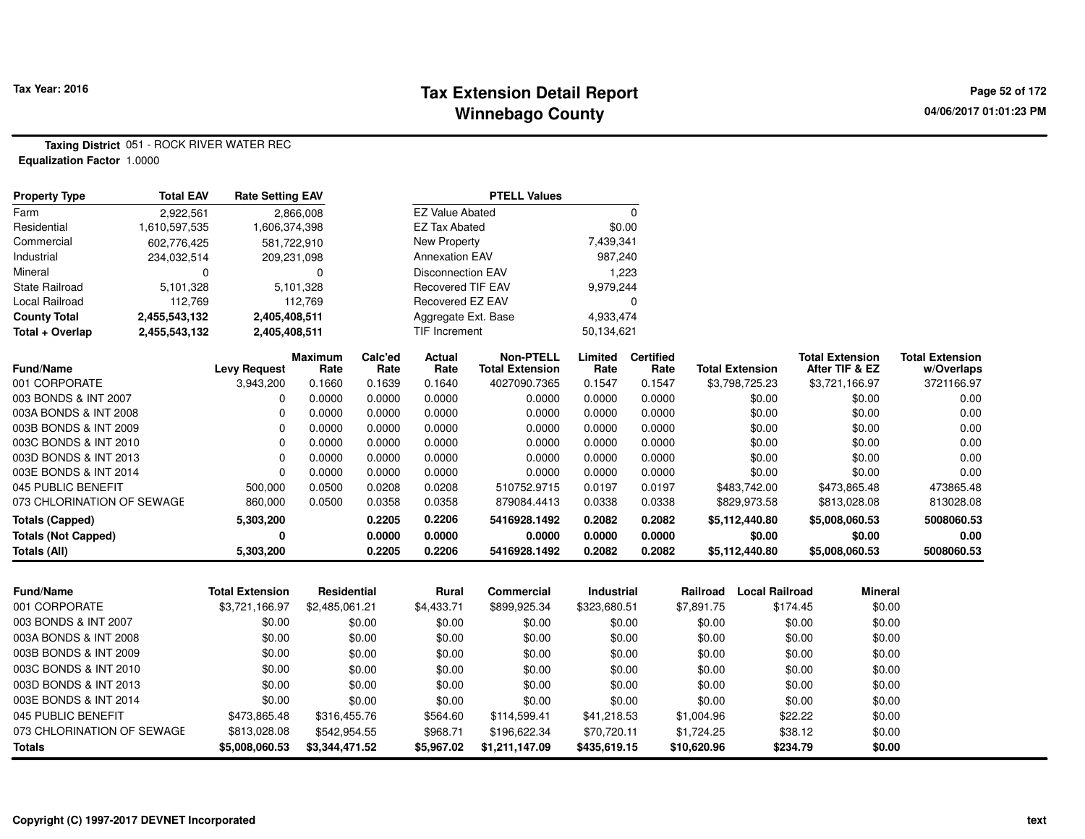# **Tax Extension Detail Report Tax Year: 2016 Page 52 of 172 Winnebago County**

**Taxing District** 051 - ROCK RIVER WATER REC**Equalization Factor** 1.0000

| <b>Property Type</b>       | <b>Total EAV</b> | <b>Rate Setting EAV</b> |                        |                 |                          | <b>PTELL Values</b>                        |                 |                          |             |                        |                                          |                                      |
|----------------------------|------------------|-------------------------|------------------------|-----------------|--------------------------|--------------------------------------------|-----------------|--------------------------|-------------|------------------------|------------------------------------------|--------------------------------------|
| Farm                       | 2,922,561        |                         | 2,866,008              |                 | <b>EZ Value Abated</b>   |                                            |                 | $\mathbf 0$              |             |                        |                                          |                                      |
| Residential                | 1,610,597,535    | 1,606,374,398           |                        |                 | <b>EZ Tax Abated</b>     |                                            | \$0.00          |                          |             |                        |                                          |                                      |
| Commercial                 | 602,776,425      | 581,722,910             |                        |                 | <b>New Property</b>      |                                            | 7,439,341       |                          |             |                        |                                          |                                      |
| Industrial                 | 234,032,514      | 209,231,098             |                        |                 | <b>Annexation EAV</b>    |                                            | 987,240         |                          |             |                        |                                          |                                      |
| Mineral                    | $\Omega$         |                         | $\Omega$               |                 | <b>Disconnection EAV</b> |                                            | 1,223           |                          |             |                        |                                          |                                      |
| <b>State Railroad</b>      | 5,101,328        |                         | 5,101,328              |                 | Recovered TIF EAV        |                                            | 9,979,244       |                          |             |                        |                                          |                                      |
| Local Railroad             | 112,769          |                         | 112,769                |                 | Recovered EZ EAV         |                                            |                 | $\mathbf 0$              |             |                        |                                          |                                      |
| <b>County Total</b>        | 2,455,543,132    | 2,405,408,511           |                        |                 | Aggregate Ext. Base      |                                            | 4,933,474       |                          |             |                        |                                          |                                      |
| Total + Overlap            | 2,455,543,132    | 2,405,408,511           |                        |                 | <b>TIF Increment</b>     |                                            | 50,134,621      |                          |             |                        |                                          |                                      |
| <b>Fund/Name</b>           |                  | <b>Levy Request</b>     | <b>Maximum</b><br>Rate | Calc'ed<br>Rate | Actual<br>Rate           | <b>Non-PTELL</b><br><b>Total Extension</b> | Limited<br>Rate | <b>Certified</b><br>Rate |             | <b>Total Extension</b> | <b>Total Extension</b><br>After TIF & EZ | <b>Total Extension</b><br>w/Overlaps |
| 001 CORPORATE              |                  | 3,943,200               | 0.1660                 | 0.1639          | 0.1640                   | 4027090.7365                               | 0.1547          | 0.1547                   |             | \$3,798,725.23         | \$3,721,166.97                           | 3721166.97                           |
| 003 BONDS & INT 2007       |                  | 0                       | 0.0000                 | 0.0000          | 0.0000                   | 0.0000                                     | 0.0000          | 0.0000                   |             | \$0.00                 | \$0.00                                   | 0.00                                 |
| 003A BONDS & INT 2008      |                  | 0                       | 0.0000                 | 0.0000          | 0.0000                   | 0.0000                                     | 0.0000          | 0.0000                   |             | \$0.00                 | \$0.00                                   | 0.00                                 |
| 003B BONDS & INT 2009      |                  | 0                       | 0.0000                 | 0.0000          | 0.0000                   | 0.0000                                     | 0.0000          | 0.0000                   |             | \$0.00                 | \$0.00                                   | 0.00                                 |
| 003C BONDS & INT 2010      |                  | $\Omega$                | 0.0000                 | 0.0000          | 0.0000                   | 0.0000                                     | 0.0000          | 0.0000                   |             | \$0.00                 | \$0.00                                   | 0.00                                 |
| 003D BONDS & INT 2013      |                  | $\Omega$                | 0.0000                 | 0.0000          | 0.0000                   | 0.0000                                     | 0.0000          | 0.0000                   |             | \$0.00                 | \$0.00                                   | 0.00                                 |
| 003E BONDS & INT 2014      |                  | $\Omega$                | 0.0000                 | 0.0000          | 0.0000                   | 0.0000                                     | 0.0000          | 0.0000                   |             | \$0.00                 | \$0.00                                   | 0.00                                 |
| 045 PUBLIC BENEFIT         |                  | 500,000                 | 0.0500                 | 0.0208          | 0.0208                   | 510752.9715                                | 0.0197          | 0.0197                   |             | \$483,742.00           | \$473,865.48                             | 473865.48                            |
| 073 CHLORINATION OF SEWAGE |                  | 860,000                 | 0.0500                 | 0.0358          | 0.0358                   | 879084.4413                                | 0.0338          | 0.0338                   |             | \$829,973.58           | \$813,028.08                             | 813028.08                            |
| <b>Totals (Capped)</b>     |                  | 5,303,200               |                        | 0.2205          | 0.2206                   | 5416928.1492                               | 0.2082          | 0.2082                   |             | \$5,112,440.80         | \$5,008,060.53                           | 5008060.53                           |
| <b>Totals (Not Capped)</b> |                  | 0                       |                        | 0.0000          | 0.0000                   | 0.0000                                     | 0.0000          | 0.0000                   |             | \$0.00                 | \$0.00                                   | 0.00                                 |
| <b>Totals (All)</b>        |                  | 5,303,200               |                        | 0.2205          | 0.2206                   | 5416928.1492                               | 0.2082          | 0.2082                   |             | \$5,112,440.80         | \$5,008,060.53                           | 5008060.53                           |
| Fund/Name                  |                  | <b>Total Extension</b>  | <b>Residential</b>     |                 | Rural                    | Commercial                                 | Industrial      |                          | Railroad    | <b>Local Railroad</b>  | <b>Mineral</b>                           |                                      |
| 001 CORPORATE              |                  | \$3,721,166.97          | \$2,485,061.21         |                 | \$4,433.71               | \$899,925.34                               | \$323,680.51    |                          | \$7,891.75  | \$174.45               | \$0.00                                   |                                      |
| 003 BONDS & INT 2007       |                  | \$0.00                  |                        | \$0.00          | \$0.00                   | \$0.00                                     |                 | \$0.00                   | \$0.00      | \$0.00                 | \$0.00                                   |                                      |
| 003A BONDS & INT 2008      |                  | \$0.00                  |                        | \$0.00          | \$0.00                   | \$0.00                                     |                 | \$0.00                   | \$0.00      | \$0.00                 | \$0.00                                   |                                      |
| 003B BONDS & INT 2009      |                  | \$0.00                  |                        | \$0.00          | \$0.00                   | \$0.00                                     |                 | \$0.00                   | \$0.00      | \$0.00                 | \$0.00                                   |                                      |
| 003C BONDS & INT 2010      |                  | \$0.00                  |                        | \$0.00          | \$0.00                   | \$0.00                                     |                 | \$0.00                   | \$0.00      | \$0.00                 | \$0.00                                   |                                      |
| 003D BONDS & INT 2013      |                  | \$0.00                  |                        | \$0.00          | \$0.00                   | \$0.00                                     |                 | \$0.00                   | \$0.00      | \$0.00                 | \$0.00                                   |                                      |
| 003E BONDS & INT 2014      |                  | \$0.00                  |                        | \$0.00          | \$0.00                   | \$0.00                                     |                 | \$0.00                   | \$0.00      | \$0.00                 | \$0.00                                   |                                      |
| 045 PUBLIC BENEFIT         |                  | \$473,865.48            | \$316,455.76           |                 | \$564.60                 | \$114,599.41                               | \$41,218.53     |                          | \$1,004.96  | \$22.22                | \$0.00                                   |                                      |
| 073 CHLORINATION OF SEWAGE |                  | \$813,028.08            | \$542,954.55           |                 | \$968.71                 | \$196,622.34                               | \$70,720.11     |                          | \$1,724.25  | \$38.12                | \$0.00                                   |                                      |
| Totals                     |                  | \$5,008,060.53          | \$3,344,471.52         |                 | \$5,967.02               | \$1,211,147.09                             | \$435,619.15    |                          | \$10,620.96 | \$234.79               | \$0.00                                   |                                      |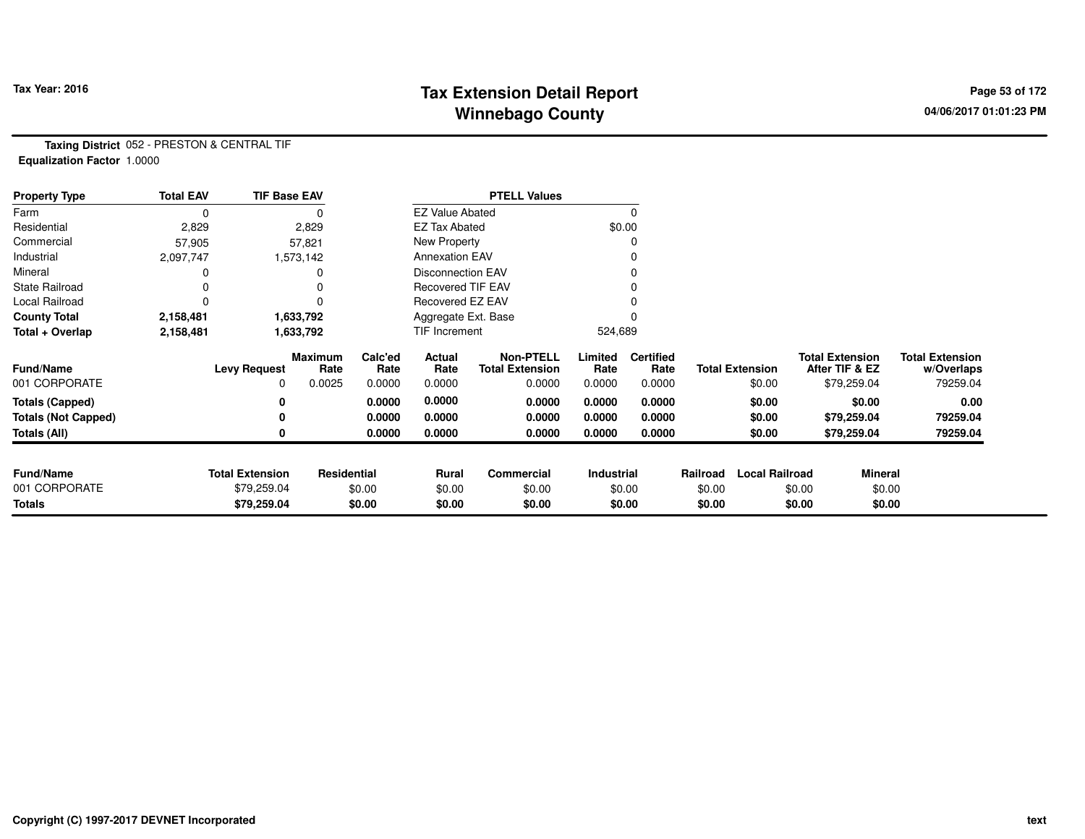# **Tax Extension Detail Report Tax Year: 2016 Page 53 of 172 Winnebago County**

**Taxing District** 052 - PRESTON & CENTRAL TIF**Equalization Factor** 1.0000

| <b>Property Type</b>       | <b>Total EAV</b> | <b>TIF Base EAV</b>    |                 |                 |                          | <b>PTELL Values</b>                        |                 |                          |          |                        |                        |                |                                      |
|----------------------------|------------------|------------------------|-----------------|-----------------|--------------------------|--------------------------------------------|-----------------|--------------------------|----------|------------------------|------------------------|----------------|--------------------------------------|
| Farm                       | 0                |                        |                 |                 | <b>EZ Value Abated</b>   |                                            |                 | 0                        |          |                        |                        |                |                                      |
| Residential                | 2,829            |                        | 2,829           |                 | <b>EZ Tax Abated</b>     |                                            |                 | \$0.00                   |          |                        |                        |                |                                      |
| Commercial                 | 57,905           |                        | 57,821          |                 | New Property             |                                            |                 | O                        |          |                        |                        |                |                                      |
| Industrial                 | 2,097,747        |                        | 1,573,142       |                 | <b>Annexation EAV</b>    |                                            |                 |                          |          |                        |                        |                |                                      |
| Mineral                    |                  |                        |                 |                 | <b>Disconnection EAV</b> |                                            |                 | 0                        |          |                        |                        |                |                                      |
| <b>State Railroad</b>      |                  |                        |                 |                 | <b>Recovered TIF EAV</b> |                                            |                 |                          |          |                        |                        |                |                                      |
| Local Railroad             |                  |                        |                 |                 | Recovered EZ EAV         |                                            |                 |                          |          |                        |                        |                |                                      |
| <b>County Total</b>        | 2,158,481        |                        | 1,633,792       |                 | Aggregate Ext. Base      |                                            |                 |                          |          |                        |                        |                |                                      |
| Total + Overlap            | 2,158,481        |                        | 1,633,792       |                 | TIF Increment            |                                            | 524,689         |                          |          |                        |                        |                |                                      |
| <b>Fund/Name</b>           |                  | <b>Levy Request</b>    | Maximum<br>Rate | Calc'ed<br>Rate | Actual<br>Rate           | <b>Non-PTELL</b><br><b>Total Extension</b> | Limited<br>Rate | <b>Certified</b><br>Rate |          | <b>Total Extension</b> | <b>Total Extension</b> | After TIF & EZ | <b>Total Extension</b><br>w/Overlaps |
| 001 CORPORATE              |                  | 0                      | 0.0025          | 0.0000          | 0.0000                   | 0.0000                                     | 0.0000          | 0.0000                   |          | \$0.00                 |                        | \$79,259.04    | 79259.04                             |
| <b>Totals (Capped)</b>     |                  |                        |                 | 0.0000          | 0.0000                   | 0.0000                                     | 0.0000          | 0.0000                   |          | \$0.00                 |                        | \$0.00         | 0.00                                 |
| <b>Totals (Not Capped)</b> |                  |                        |                 | 0.0000          | 0.0000                   | 0.0000                                     | 0.0000          | 0.0000                   |          | \$0.00                 |                        | \$79,259.04    | 79259.04                             |
| <b>Totals (All)</b>        |                  |                        |                 | 0.0000          | 0.0000                   | 0.0000                                     | 0.0000          | 0.0000                   |          | \$0.00                 |                        | \$79,259.04    | 79259.04                             |
|                            |                  |                        |                 |                 |                          |                                            |                 |                          |          |                        |                        |                |                                      |
| <b>Fund/Name</b>           |                  | <b>Total Extension</b> | Residential     |                 | Rural                    | Commercial                                 | Industrial      |                          | Railroad | <b>Local Railroad</b>  |                        | Mineral        |                                      |
| 001 CORPORATE              |                  | \$79,259.04            |                 | \$0.00          | \$0.00                   | \$0.00                                     |                 | \$0.00                   | \$0.00   |                        | \$0.00                 | \$0.00         |                                      |
| <b>Totals</b>              |                  | \$79,259.04            |                 | \$0.00          | \$0.00                   | \$0.00                                     |                 | \$0.00                   | \$0.00   |                        | \$0.00                 | \$0.00         |                                      |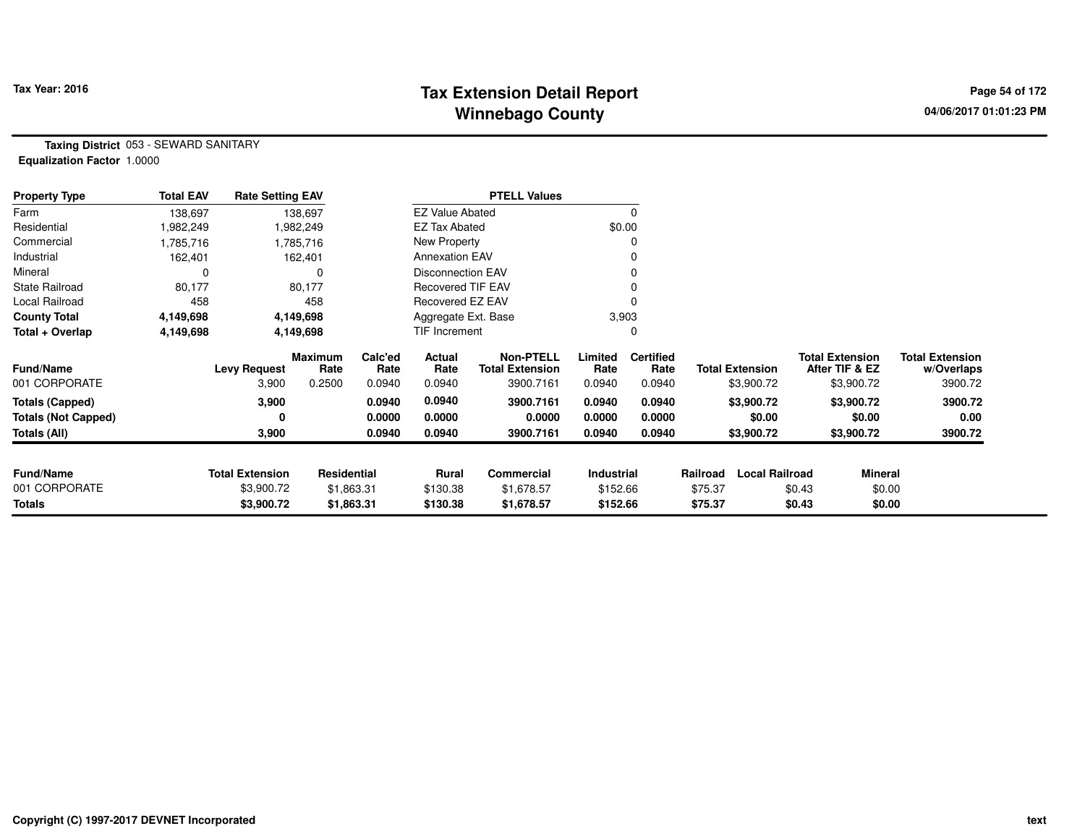# **Tax Extension Detail Report Tax Year: 2016 Page 54 of 172 Winnebago County**

**Taxing District** 053 - SEWARD SANITARY**Equalization Factor** 1.0000

| <b>Property Type</b>       | <b>Total EAV</b> | <b>Rate Setting EAV</b> |                        |                 |                          | <b>PTELL Values</b>                        |                 |                          |          |                        |        |                                          |                                      |
|----------------------------|------------------|-------------------------|------------------------|-----------------|--------------------------|--------------------------------------------|-----------------|--------------------------|----------|------------------------|--------|------------------------------------------|--------------------------------------|
| Farm                       | 138,697          |                         | 138,697                |                 | <b>EZ Value Abated</b>   |                                            |                 | 0                        |          |                        |        |                                          |                                      |
| Residential                | ,982,249         |                         | 1,982,249              |                 | <b>EZ Tax Abated</b>     |                                            | \$0.00          |                          |          |                        |        |                                          |                                      |
| Commercial                 | .785,716         |                         | 1,785,716              |                 | New Property             |                                            |                 |                          |          |                        |        |                                          |                                      |
| Industrial                 | 162,401          |                         | 162,401                |                 | <b>Annexation EAV</b>    |                                            |                 |                          |          |                        |        |                                          |                                      |
| Mineral                    |                  |                         | $\Omega$               |                 | <b>Disconnection EAV</b> |                                            |                 |                          |          |                        |        |                                          |                                      |
| <b>State Railroad</b>      | 80,177           |                         | 80,177                 |                 | Recovered TIF EAV        |                                            |                 |                          |          |                        |        |                                          |                                      |
| Local Railroad             | 458              |                         | 458                    |                 | Recovered EZ EAV         |                                            |                 |                          |          |                        |        |                                          |                                      |
| <b>County Total</b>        | 4,149,698        |                         | 4,149,698              |                 | Aggregate Ext. Base      |                                            | 3,903           |                          |          |                        |        |                                          |                                      |
| Total + Overlap            | 4,149,698        |                         | 4,149,698              |                 | TIF Increment            |                                            |                 |                          |          |                        |        |                                          |                                      |
| <b>Fund/Name</b>           |                  | <b>Levy Request</b>     | <b>Maximum</b><br>Rate | Calc'ed<br>Rate | Actual<br>Rate           | <b>Non-PTELL</b><br><b>Total Extension</b> | Limited<br>Rate | <b>Certified</b><br>Rate |          | <b>Total Extension</b> |        | <b>Total Extension</b><br>After TIF & EZ | <b>Total Extension</b><br>w/Overlaps |
| 001 CORPORATE              |                  | 3,900                   | 0.2500                 | 0.0940          | 0.0940                   | 3900.7161                                  | 0.0940          | 0.0940                   |          | \$3,900.72             |        | \$3,900.72                               | 3900.72                              |
| <b>Totals (Capped)</b>     |                  | 3,900                   |                        | 0.0940          | 0.0940                   | 3900.7161                                  | 0.0940          | 0.0940                   |          | \$3,900.72             |        | \$3,900.72                               | 3900.72                              |
| <b>Totals (Not Capped)</b> |                  | 0                       |                        | 0.0000          | 0.0000                   | 0.0000                                     | 0.0000          | 0.0000                   |          | \$0.00                 |        | \$0.00                                   | 0.00                                 |
| Totals (All)               |                  | 3,900                   |                        | 0.0940          | 0.0940                   | 3900.7161                                  | 0.0940          | 0.0940                   |          | \$3,900.72             |        | \$3,900.72                               | 3900.72                              |
|                            |                  |                         |                        |                 |                          |                                            |                 |                          |          |                        |        |                                          |                                      |
| <b>Fund/Name</b>           |                  | <b>Total Extension</b>  | Residential            |                 | <b>Rural</b>             | Commercial                                 | Industrial      |                          | Railroad | <b>Local Railroad</b>  |        | <b>Mineral</b>                           |                                      |
| 001 CORPORATE              |                  | \$3,900.72              |                        | \$1,863.31      | \$130.38                 | \$1,678.57                                 | \$152.66        |                          | \$75.37  |                        | \$0.43 | \$0.00                                   |                                      |
| Totals                     |                  | \$3,900.72              |                        | \$1,863.31      | \$130.38                 | \$1,678.57                                 | \$152.66        |                          | \$75.37  |                        | \$0.43 | \$0.00                                   |                                      |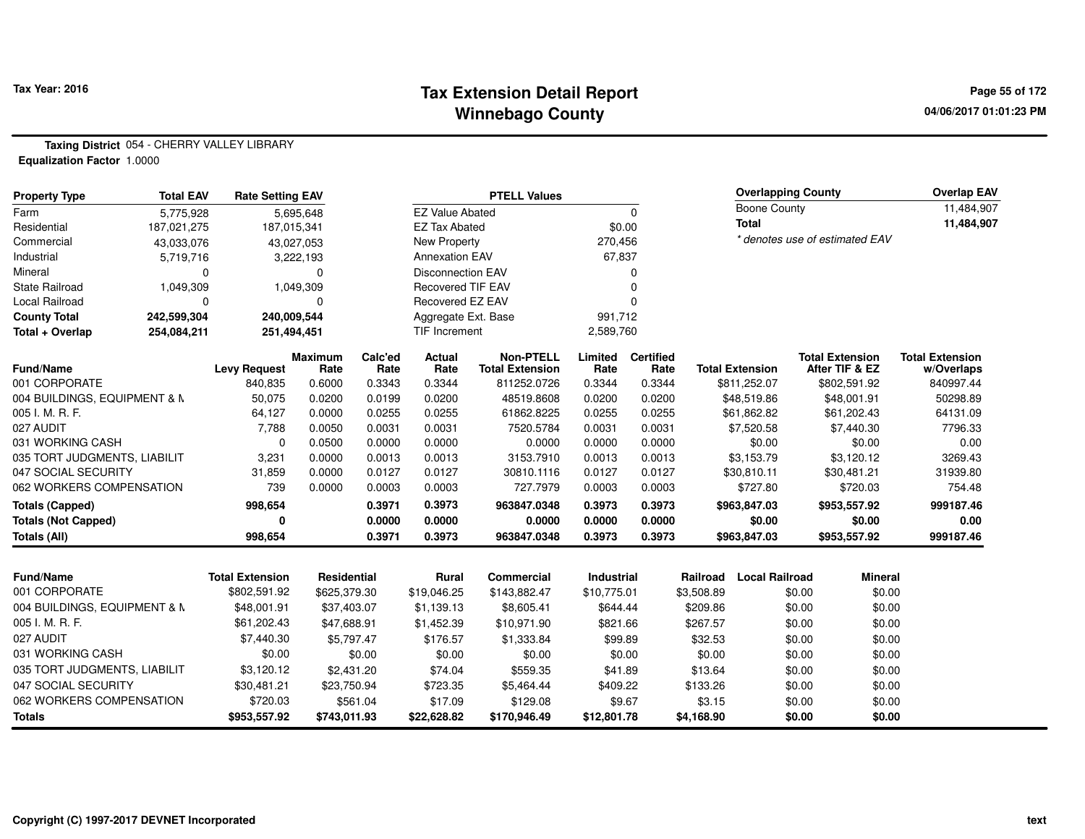### **Tax Extension Detail Report Tax Year: 2016 Page 55 of 172 Winnebago County**

**Taxing District** 054 - CHERRY VALLEY LIBRARY

**Equalization Factor** 1.0000

| <b>Property Type</b>                                | <b>Total EAV</b> | <b>Rate Setting EAV</b>                |                             |                  |                             | <b>PTELL Values</b>        |                           |                  |                        | <b>Overlapping County</b>   |                  |                                | <b>Overlap EAV</b>     |
|-----------------------------------------------------|------------------|----------------------------------------|-----------------------------|------------------|-----------------------------|----------------------------|---------------------------|------------------|------------------------|-----------------------------|------------------|--------------------------------|------------------------|
| Farm                                                | 5,775,928        |                                        | 5,695,648                   |                  | <b>EZ Value Abated</b>      |                            |                           | $\Omega$         |                        | <b>Boone County</b>         |                  |                                | 11,484,907             |
| Residential                                         | 187,021,275      | 187,015,341                            |                             |                  | <b>EZ Tax Abated</b>        |                            | \$0.00                    |                  |                        | <b>Total</b>                |                  |                                | 11,484,907             |
| Commercial                                          | 43,033,076       |                                        | 43,027,053                  |                  | <b>New Property</b>         |                            | 270,456                   |                  |                        |                             |                  | * denotes use of estimated EAV |                        |
| Industrial                                          | 5,719,716        |                                        | 3,222,193                   |                  | <b>Annexation EAV</b>       |                            | 67,837                    |                  |                        |                             |                  |                                |                        |
| Mineral                                             | $\Omega$         |                                        | 0                           |                  | <b>Disconnection EAV</b>    |                            |                           | 0                |                        |                             |                  |                                |                        |
| <b>State Railroad</b>                               | 1,049,309        |                                        | 1,049,309                   |                  | <b>Recovered TIF EAV</b>    |                            |                           | 0                |                        |                             |                  |                                |                        |
| <b>Local Railroad</b>                               | $\Omega$         |                                        | $\Omega$                    |                  | Recovered EZ EAV            |                            |                           | $\Omega$         |                        |                             |                  |                                |                        |
| <b>County Total</b>                                 | 242,599,304      | 240,009,544                            |                             |                  | Aggregate Ext. Base         |                            | 991,712                   |                  |                        |                             |                  |                                |                        |
| Total + Overlap                                     | 254,084,211      | 251,494,451                            |                             |                  | <b>TIF Increment</b>        |                            | 2,589,760                 |                  |                        |                             |                  |                                |                        |
|                                                     |                  |                                        | <b>Maximum</b>              | Calc'ed          | Actual                      | <b>Non-PTELL</b>           | Limited                   | <b>Certified</b> |                        |                             |                  | <b>Total Extension</b>         | <b>Total Extension</b> |
| <b>Fund/Name</b>                                    |                  | <b>Levy Request</b>                    | Rate                        | Rate             | Rate                        | <b>Total Extension</b>     | Rate                      | Rate             |                        | <b>Total Extension</b>      |                  | After TIF & EZ                 | w/Overlaps             |
| 001 CORPORATE<br>004 BUILDINGS, EQUIPMENT & M       |                  | 840,835<br>50,075                      | 0.6000<br>0.0200            | 0.3343<br>0.0199 | 0.3344<br>0.0200            | 811252.0726<br>48519.8608  | 0.3344<br>0.0200          | 0.3344<br>0.0200 |                        | \$811,252.07<br>\$48,519.86 |                  | \$802,591.92<br>\$48,001.91    | 840997.44<br>50298.89  |
| 005 I. M. R. F.                                     |                  | 64,127                                 | 0.0000                      | 0.0255           | 0.0255                      | 61862.8225                 | 0.0255                    | 0.0255           |                        | \$61,862.82                 |                  | \$61,202.43                    | 64131.09               |
| 027 AUDIT                                           |                  | 7,788                                  | 0.0050                      | 0.0031           | 0.0031                      | 7520.5784                  | 0.0031                    | 0.0031           |                        | \$7,520.58                  |                  | \$7,440.30                     | 7796.33                |
| 031 WORKING CASH                                    |                  | $\mathbf 0$                            | 0.0500                      | 0.0000           | 0.0000                      | 0.0000                     | 0.0000                    | 0.0000           |                        | \$0.00                      |                  | \$0.00                         | 0.00                   |
| 035 TORT JUDGMENTS, LIABILIT                        |                  | 3,231                                  | 0.0000                      | 0.0013           | 0.0013                      | 3153.7910                  | 0.0013                    | 0.0013           |                        | \$3,153.79                  |                  | \$3,120.12                     | 3269.43                |
| 047 SOCIAL SECURITY                                 |                  | 31,859                                 | 0.0000                      | 0.0127           | 0.0127                      | 30810.1116                 | 0.0127                    | 0.0127           |                        | \$30,810.11                 |                  | \$30,481.21                    | 31939.80               |
| 062 WORKERS COMPENSATION                            |                  | 739                                    | 0.0000                      | 0.0003           | 0.0003                      | 727.7979                   | 0.0003                    | 0.0003           |                        | \$727.80                    |                  | \$720.03                       | 754.48                 |
| <b>Totals (Capped)</b>                              |                  | 998,654                                |                             | 0.3971           | 0.3973                      | 963847.0348                | 0.3973                    | 0.3973           |                        | \$963,847.03                |                  | \$953,557.92                   | 999187.46              |
| <b>Totals (Not Capped)</b>                          |                  | 0                                      |                             | 0.0000           | 0.0000                      | 0.0000                     | 0.0000                    | 0.0000           |                        | \$0.00                      |                  | \$0.00                         | 0.00                   |
| Totals (All)                                        |                  | 998,654                                |                             | 0.3971           | 0.3973                      | 963847.0348                | 0.3973                    | 0.3973           |                        | \$963,847.03                |                  | \$953,557.92                   | 999187.46              |
|                                                     |                  |                                        |                             |                  |                             |                            |                           |                  |                        |                             |                  |                                |                        |
| <b>Fund/Name</b><br>001 CORPORATE                   |                  | <b>Total Extension</b><br>\$802,591.92 | Residential<br>\$625,379.30 |                  | <b>Rural</b><br>\$19,046.25 | Commercial<br>\$143,882.47 | Industrial<br>\$10,775.01 |                  | Railroad<br>\$3,508.89 | <b>Local Railroad</b>       | \$0.00           | <b>Mineral</b><br>\$0.00       |                        |
| 004 BUILDINGS, EQUIPMENT & N                        |                  | \$48,001.91                            | \$37,403.07                 |                  | \$1,139.13                  | \$8,605.41                 | \$644.44                  |                  | \$209.86               |                             | \$0.00           | \$0.00                         |                        |
| 005 I. M. R. F.                                     |                  | \$61,202.43                            | \$47,688.91                 |                  | \$1,452.39                  | \$10,971.90                | \$821.66                  |                  | \$267.57               |                             | \$0.00           | \$0.00                         |                        |
| 027 AUDIT                                           |                  | \$7,440.30                             | \$5,797.47                  |                  | \$176.57                    |                            | \$99.89                   |                  | \$32.53                |                             | \$0.00           | \$0.00                         |                        |
| 031 WORKING CASH                                    |                  | \$0.00                                 |                             | \$0.00           |                             | \$1,333.84                 |                           | \$0.00           | \$0.00                 |                             | \$0.00           |                                |                        |
|                                                     |                  |                                        |                             |                  | \$0.00                      | \$0.00                     |                           |                  |                        |                             |                  | \$0.00                         |                        |
| 035 TORT JUDGMENTS, LIABILIT<br>047 SOCIAL SECURITY |                  | \$3,120.12                             | \$2,431.20                  |                  | \$74.04                     | \$559.35                   | \$41.89                   |                  | \$13.64                |                             | \$0.00           | \$0.00                         |                        |
|                                                     |                  | \$30,481.21                            | \$23,750.94                 |                  | \$723.35                    | \$5,464.44                 | \$409.22                  |                  | \$133.26               |                             | \$0.00           | \$0.00                         |                        |
| 062 WORKERS COMPENSATION<br>Totals                  |                  | \$720.03<br>\$953,557.92               | \$743,011.93                | \$561.04         | \$17.09<br>\$22,628.82      | \$129.08<br>\$170,946.49   | \$12,801.78               | \$9.67           | \$3.15<br>\$4,168.90   |                             | \$0.00<br>\$0.00 | \$0.00<br>\$0.00               |                        |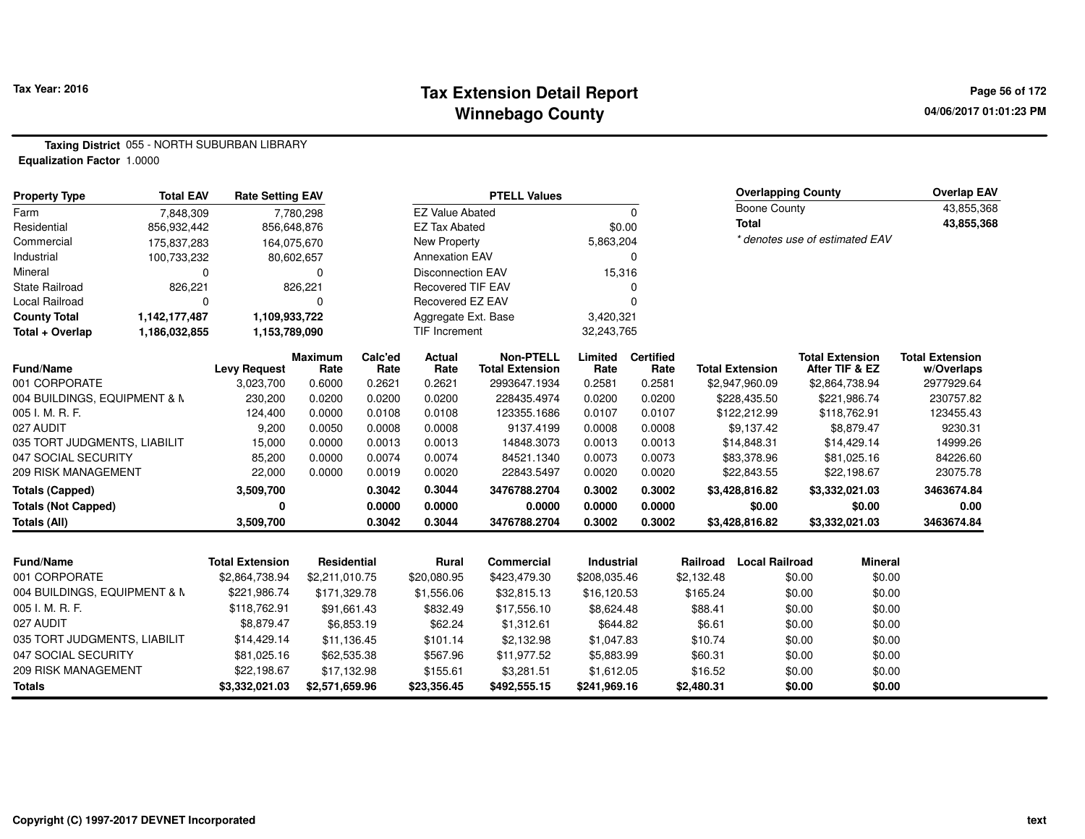### **Tax Extension Detail Report Tax Year: 2016 Page 56 of 172 Winnebago County**

**04/06/2017 01:01:23 PM**

**Taxing District** 055 - NORTH SUBURBAN LIBRARY**Equalization Factor** 1.0000

| <b>Property Type</b>         | <b>Total EAV</b> | <b>Rate Setting EAV</b> |                        |                 |                          | <b>PTELL Values</b>                        |                   |                          |            | <b>Overlapping County</b> |        |                                          | <b>Overlap EAV</b>                   |
|------------------------------|------------------|-------------------------|------------------------|-----------------|--------------------------|--------------------------------------------|-------------------|--------------------------|------------|---------------------------|--------|------------------------------------------|--------------------------------------|
| Farm                         | 7.848.309        |                         | 7,780,298              |                 | <b>EZ Value Abated</b>   |                                            |                   | 0                        |            | <b>Boone County</b>       |        |                                          | 43,855,368                           |
| Residential                  | 856,932,442      |                         | 856,648,876            |                 | <b>EZ Tax Abated</b>     |                                            | \$0.00            |                          |            | <b>Total</b>              |        |                                          | 43,855,368                           |
| Commercial                   | 175,837,283      |                         | 164,075,670            |                 | New Property             |                                            | 5,863,204         |                          |            |                           |        | * denotes use of estimated EAV           |                                      |
| Industrial                   | 100,733,232      |                         | 80,602,657             |                 | <b>Annexation EAV</b>    |                                            |                   |                          |            |                           |        |                                          |                                      |
| Mineral                      | $\Omega$         |                         | $\Omega$               |                 | <b>Disconnection EAV</b> |                                            | 15,316            |                          |            |                           |        |                                          |                                      |
| <b>State Railroad</b>        | 826,221          |                         | 826,221                |                 | <b>Recovered TIF EAV</b> |                                            |                   |                          |            |                           |        |                                          |                                      |
| Local Railroad               | $\Omega$         |                         | 0                      |                 | Recovered EZ EAV         |                                            |                   |                          |            |                           |        |                                          |                                      |
| <b>County Total</b>          | 1,142,177,487    | 1,109,933,722           |                        |                 | Aggregate Ext. Base      |                                            | 3,420,321         |                          |            |                           |        |                                          |                                      |
| Total + Overlap              | 1,186,032,855    | 1,153,789,090           |                        |                 | <b>TIF Increment</b>     |                                            | 32,243,765        |                          |            |                           |        |                                          |                                      |
| <b>Fund/Name</b>             |                  | <b>Levy Request</b>     | <b>Maximum</b><br>Rate | Calc'ed<br>Rate | <b>Actual</b><br>Rate    | <b>Non-PTELL</b><br><b>Total Extension</b> | Limited<br>Rate   | <b>Certified</b><br>Rate |            | <b>Total Extension</b>    |        | <b>Total Extension</b><br>After TIF & EZ | <b>Total Extension</b><br>w/Overlaps |
| 001 CORPORATE                |                  | 3,023,700               | 0.6000                 | 0.2621          | 0.2621                   | 2993647.1934                               | 0.2581            | 0.2581                   |            | \$2,947,960.09            |        | \$2,864,738.94                           | 2977929.64                           |
| 004 BUILDINGS, EQUIPMENT & M |                  | 230,200                 | 0.0200                 | 0.0200          | 0.0200                   | 228435.4974                                | 0.0200            | 0.0200                   |            | \$228,435.50              |        | \$221,986.74                             | 230757.82                            |
| 005 I. M. R. F.              |                  | 124,400                 | 0.0000                 | 0.0108          | 0.0108                   | 123355.1686                                | 0.0107            | 0.0107                   |            | \$122,212.99              |        | \$118,762.91                             | 123455.43                            |
| 027 AUDIT                    |                  | 9,200                   | 0.0050                 | 0.0008          | 0.0008                   | 9137.4199                                  | 0.0008            | 0.0008                   |            | \$9,137.42                |        | \$8,879.47                               | 9230.31                              |
| 035 TORT JUDGMENTS, LIABILIT |                  | 15,000                  | 0.0000                 | 0.0013          | 0.0013                   | 14848.3073                                 | 0.0013            | 0.0013                   |            | \$14,848.31               |        | \$14,429.14                              | 14999.26                             |
| 047 SOCIAL SECURITY          |                  | 85,200                  | 0.0000                 | 0.0074          | 0.0074                   | 84521.1340                                 | 0.0073            | 0.0073                   |            | \$83,378.96               |        | \$81,025.16                              | 84226.60                             |
| <b>209 RISK MANAGEMENT</b>   |                  | 22,000                  | 0.0000                 | 0.0019          | 0.0020                   | 22843.5497                                 | 0.0020            | 0.0020                   |            | \$22,843.55               |        | \$22,198.67                              | 23075.78                             |
| <b>Totals (Capped)</b>       |                  | 3,509,700               |                        | 0.3042          | 0.3044                   | 3476788.2704                               | 0.3002            | 0.3002                   |            | \$3,428,816.82            |        | \$3,332,021.03                           | 3463674.84                           |
| <b>Totals (Not Capped)</b>   |                  | 0                       |                        | 0.0000          | 0.0000                   | 0.0000                                     | 0.0000            | 0.0000                   |            | \$0.00                    |        | \$0.00                                   | 0.00                                 |
| Totals (All)                 |                  | 3,509,700               |                        | 0.3042          | 0.3044                   | 3476788.2704                               | 0.3002            | 0.3002                   |            | \$3,428,816.82            |        | \$3,332,021.03                           | 3463674.84                           |
|                              |                  |                         |                        |                 |                          |                                            |                   |                          |            |                           |        |                                          |                                      |
| <b>Fund/Name</b>             |                  | <b>Total Extension</b>  | <b>Residential</b>     |                 | Rural                    | <b>Commercial</b>                          | <b>Industrial</b> |                          | Railroad   | <b>Local Railroad</b>     |        | <b>Mineral</b>                           |                                      |
| 001 CORPORATE                |                  | \$2,864,738.94          | \$2,211,010.75         |                 | \$20,080.95              | \$423,479.30                               | \$208,035.46      |                          | \$2,132.48 |                           | \$0.00 | \$0.00                                   |                                      |
| 004 BUILDINGS, EQUIPMENT & N |                  | \$221,986.74            | \$171,329.78           |                 | \$1,556.06               | \$32,815.13                                | \$16,120.53       |                          | \$165.24   |                           | \$0.00 | \$0.00                                   |                                      |
| 005 I. M. R. F.              |                  | \$118,762.91            | \$91,661.43            |                 | \$832.49                 | \$17,556.10                                | \$8,624.48        |                          | \$88.41    |                           | \$0.00 | \$0.00                                   |                                      |
| 027 AUDIT                    |                  | \$8,879.47              |                        | \$6,853.19      | \$62.24                  | \$1,312.61                                 | \$644.82          |                          | \$6.61     |                           | \$0.00 | \$0.00                                   |                                      |

**\$3,332,021.03 \$2,571,659.96 \$23,356.45 \$492,555.15 \$241,969.16 \$2,480.31 \$0.00 \$0.00**

\$14,429.14 \$11,136.45 \$101.14 \$2,132.98 \$1,047.83 \$10.74 \$0.00 \$0.00

\$62,535.38 \$567.96 \$11,977.52 \$5,883.99 \$60.31 \$0.00 \$0.00

\$17,132.98 \$155.61 \$3,281.51 \$1,612.05 \$16.52 \$0.00 \$0.00

035 TORT JUDGMENTS, LIABILIT \$14,429.14

047 SOCIAL SECURITY \$81,025.16

209 RISK MANAGEMENT \$22,198.67

**Totals**

\$0.00

\$0.00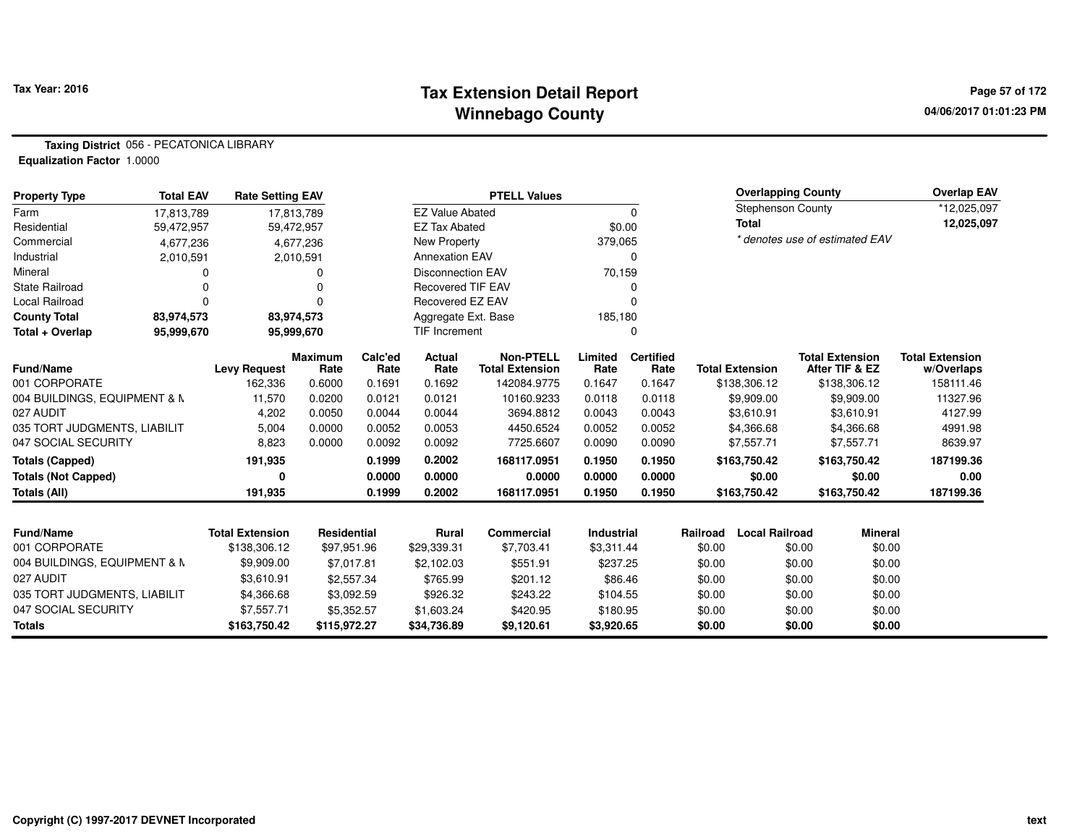### **Tax Extension Detail Report Tax Year: 2016 Page 57 of 172 Winnebago County**

**Taxing District** 056 - PECATONICA LIBRARY**Equalization Factor** 1.0000

| <b>Property Type</b>         | <b>Total EAV</b> | <b>Rate Setting EAV</b> |                        |                 |                          | <b>PTELL Values</b>                        |                   |                          |          | <b>Overlapping County</b> |        |                                          | <b>Overlap EAV</b>                   |
|------------------------------|------------------|-------------------------|------------------------|-----------------|--------------------------|--------------------------------------------|-------------------|--------------------------|----------|---------------------------|--------|------------------------------------------|--------------------------------------|
| Farm                         | 17,813,789       |                         | 17,813,789             |                 | <b>EZ Value Abated</b>   |                                            |                   | 0                        |          | <b>Stephenson County</b>  |        |                                          | *12,025,097                          |
| Residential                  | 59,472,957       |                         | 59,472,957             |                 | <b>EZ Tax Abated</b>     |                                            | \$0.00            |                          |          | <b>Total</b>              |        |                                          | 12,025,097                           |
| Commercial                   | 4,677,236        |                         | 4,677,236              |                 | New Property             |                                            | 379,065           |                          |          |                           |        | * denotes use of estimated EAV           |                                      |
| Industrial                   | 2,010,591        |                         | 2,010,591              |                 | <b>Annexation EAV</b>    |                                            |                   | 0                        |          |                           |        |                                          |                                      |
| Mineral                      | 0                |                         | ი                      |                 | <b>Disconnection EAV</b> |                                            | 70,159            |                          |          |                           |        |                                          |                                      |
| <b>State Railroad</b>        |                  |                         |                        |                 | <b>Recovered TIF EAV</b> |                                            |                   | 0                        |          |                           |        |                                          |                                      |
| Local Railroad               | 0                |                         |                        |                 | Recovered EZ EAV         |                                            |                   | $\Omega$                 |          |                           |        |                                          |                                      |
| <b>County Total</b>          | 83,974,573       |                         | 83,974,573             |                 | Aggregate Ext. Base      |                                            | 185,180           |                          |          |                           |        |                                          |                                      |
| Total + Overlap              | 95,999,670       |                         | 95,999,670             |                 | TIF Increment            |                                            |                   | 0                        |          |                           |        |                                          |                                      |
| <b>Fund/Name</b>             |                  | <b>Levy Request</b>     | <b>Maximum</b><br>Rate | Calc'ed<br>Rate | Actual<br>Rate           | <b>Non-PTELL</b><br><b>Total Extension</b> | Limited<br>Rate   | <b>Certified</b><br>Rate |          | <b>Total Extension</b>    |        | <b>Total Extension</b><br>After TIF & EZ | <b>Total Extension</b><br>w/Overlaps |
| 001 CORPORATE                |                  | 162,336                 | 0.6000                 | 0.1691          | 0.1692                   | 142084.9775                                | 0.1647            | 0.1647                   |          | \$138,306.12              |        | \$138,306.12                             | 158111.46                            |
| 004 BUILDINGS, EQUIPMENT & M |                  | 11,570                  | 0.0200                 | 0.0121          | 0.0121                   | 10160.9233                                 | 0.0118            | 0.0118                   |          | \$9,909.00                |        | \$9,909.00                               | 11327.96                             |
| 027 AUDIT                    |                  | 4,202                   | 0.0050                 | 0.0044          | 0.0044                   | 3694.8812                                  | 0.0043            | 0.0043                   |          | \$3,610.91                |        | \$3,610.91                               | 4127.99                              |
| 035 TORT JUDGMENTS, LIABILIT |                  | 5,004                   | 0.0000                 | 0.0052          | 0.0053                   | 4450.6524                                  | 0.0052            | 0.0052                   |          | \$4,366.68                |        | \$4,366.68                               | 4991.98                              |
| 047 SOCIAL SECURITY          |                  | 8,823                   | 0.0000                 | 0.0092          | 0.0092                   | 7725.6607                                  | 0.0090            | 0.0090                   |          | \$7,557.71                |        | \$7,557.71                               | 8639.97                              |
| <b>Totals (Capped)</b>       |                  | 191,935                 |                        | 0.1999          | 0.2002                   | 168117.0951                                | 0.1950            | 0.1950                   |          | \$163,750.42              |        | \$163,750.42                             | 187199.36                            |
| <b>Totals (Not Capped)</b>   |                  | 0                       |                        | 0.0000          | 0.0000                   | 0.0000                                     | 0.0000            | 0.0000                   |          | \$0.00                    |        | \$0.00                                   | 0.00                                 |
| Totals (All)                 |                  | 191,935                 |                        | 0.1999          | 0.2002                   | 168117.0951                                | 0.1950            | 0.1950                   |          | \$163,750.42              |        | \$163,750.42                             | 187199.36                            |
|                              |                  |                         |                        |                 |                          |                                            |                   |                          |          |                           |        |                                          |                                      |
| <b>Fund/Name</b>             |                  | <b>Total Extension</b>  | Residential            |                 | <b>Rural</b>             | <b>Commercial</b>                          | <b>Industrial</b> |                          | Railroad | <b>Local Railroad</b>     |        | <b>Mineral</b>                           |                                      |
| 001 CORPORATE                |                  | \$138,306.12            | \$97,951.96            |                 | \$29,339.31              | \$7,703.41                                 | \$3,311.44        |                          | \$0.00   |                           | \$0.00 | \$0.00                                   |                                      |
| 004 BUILDINGS, EQUIPMENT & N |                  | \$9,909.00              | \$7,017.81             |                 | \$2,102.03               | \$551.91                                   | \$237.25          |                          | \$0.00   |                           | \$0.00 | \$0.00                                   |                                      |
| 027 AUDIT                    |                  | \$3,610.91              |                        | \$2,557.34      | \$765.99                 | \$201.12                                   | \$86.46           |                          | \$0.00   |                           | \$0.00 | \$0.00                                   |                                      |
| 035 TORT JUDGMENTS, LIABILIT |                  | \$4,366.68              |                        | \$3,092.59      | \$926.32                 | \$243.22                                   | \$104.55          |                          | \$0.00   |                           | \$0.00 | \$0.00                                   |                                      |
| 047 SOCIAL SECURITY          |                  | \$7,557.71              |                        | \$5,352.57      | \$1,603.24               | \$420.95                                   | \$180.95          |                          | \$0.00   |                           | \$0.00 | \$0.00                                   |                                      |
| <b>Totals</b>                |                  | \$163,750.42            | \$115,972.27           |                 | \$34,736.89              | \$9,120.61                                 | \$3,920.65        |                          | \$0.00   |                           | \$0.00 | \$0.00                                   |                                      |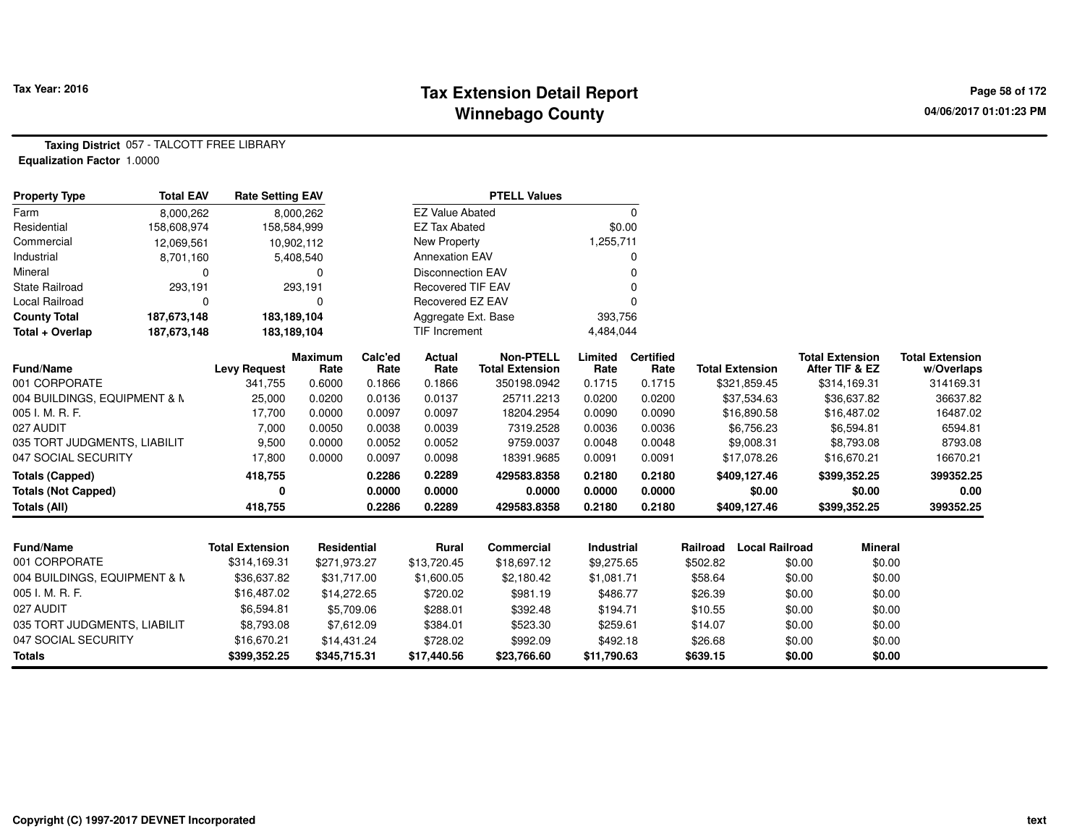# **Tax Extension Detail Report Tax Year: 2016 Page 58 of 172 Winnebago County**

**Taxing District** 057 - TALCOTT FREE LIBRARY**Equalization Factor** 1.0000

| <b>Property Type</b>         | <b>Total EAV</b> | <b>Rate Setting EAV</b> |                        |                 |                          | <b>PTELL Values</b>                        |                   |                          |          |                        |        |                                          |                                      |
|------------------------------|------------------|-------------------------|------------------------|-----------------|--------------------------|--------------------------------------------|-------------------|--------------------------|----------|------------------------|--------|------------------------------------------|--------------------------------------|
| Farm                         | 8,000,262        |                         | 8,000,262              |                 | <b>EZ Value Abated</b>   |                                            |                   | 0                        |          |                        |        |                                          |                                      |
| Residential                  | 158,608,974      |                         | 158,584,999            |                 | <b>EZ Tax Abated</b>     |                                            | \$0.00            |                          |          |                        |        |                                          |                                      |
| Commercial                   | 12,069,561       |                         | 10,902,112             |                 | New Property             |                                            | 1,255,711         |                          |          |                        |        |                                          |                                      |
| Industrial                   | 8,701,160        |                         | 5,408,540              |                 | <b>Annexation EAV</b>    |                                            |                   | 0                        |          |                        |        |                                          |                                      |
| Mineral                      | $\Omega$         |                         | $\Omega$               |                 | <b>Disconnection EAV</b> |                                            |                   |                          |          |                        |        |                                          |                                      |
| <b>State Railroad</b>        | 293,191          |                         | 293,191                |                 | <b>Recovered TIF EAV</b> |                                            |                   | O                        |          |                        |        |                                          |                                      |
| Local Railroad               | 0                |                         | $\Omega$               |                 | Recovered EZ EAV         |                                            |                   |                          |          |                        |        |                                          |                                      |
| <b>County Total</b>          | 187,673,148      |                         | 183,189,104            |                 | Aggregate Ext. Base      |                                            | 393,756           |                          |          |                        |        |                                          |                                      |
| Total + Overlap              | 187,673,148      |                         | 183,189,104            |                 | TIF Increment            |                                            | 4,484,044         |                          |          |                        |        |                                          |                                      |
| Fund/Name                    |                  | <b>Levy Request</b>     | <b>Maximum</b><br>Rate | Calc'ed<br>Rate | <b>Actual</b><br>Rate    | <b>Non-PTELL</b><br><b>Total Extension</b> | Limited<br>Rate   | <b>Certified</b><br>Rate |          | <b>Total Extension</b> |        | <b>Total Extension</b><br>After TIF & EZ | <b>Total Extension</b><br>w/Overlaps |
| 001 CORPORATE                |                  | 341,755                 | 0.6000                 | 0.1866          | 0.1866                   | 350198.0942                                | 0.1715            | 0.1715                   |          | \$321,859.45           |        | \$314,169.31                             | 314169.31                            |
| 004 BUILDINGS, EQUIPMENT & M |                  | 25,000                  | 0.0200                 | 0.0136          | 0.0137                   | 25711.2213                                 | 0.0200            | 0.0200                   |          | \$37,534.63            |        | \$36,637.82                              | 36637.82                             |
| 005 I. M. R. F.              |                  | 17,700                  | 0.0000                 | 0.0097          | 0.0097                   | 18204.2954                                 | 0.0090            | 0.0090                   |          | \$16,890.58            |        | \$16,487.02                              | 16487.02                             |
| 027 AUDIT                    |                  | 7,000                   | 0.0050                 | 0.0038          | 0.0039                   | 7319.2528                                  | 0.0036            | 0.0036                   |          | \$6,756.23             |        | \$6,594.81                               | 6594.81                              |
| 035 TORT JUDGMENTS, LIABILIT |                  | 9,500                   | 0.0000                 | 0.0052          | 0.0052                   | 9759.0037                                  | 0.0048            | 0.0048                   |          | \$9,008.31             |        | \$8,793.08                               | 8793.08                              |
| 047 SOCIAL SECURITY          |                  | 17,800                  | 0.0000                 | 0.0097          | 0.0098                   | 18391.9685                                 | 0.0091            | 0.0091                   |          | \$17,078.26            |        | \$16,670.21                              | 16670.21                             |
| <b>Totals (Capped)</b>       |                  | 418,755                 |                        | 0.2286          | 0.2289                   | 429583.8358                                | 0.2180            | 0.2180                   |          | \$409,127.46           |        | \$399,352.25                             | 399352.25                            |
| <b>Totals (Not Capped)</b>   |                  |                         |                        | 0.0000          | 0.0000                   | 0.0000                                     | 0.0000            | 0.0000                   |          | \$0.00                 |        | \$0.00                                   | 0.00                                 |
| Totals (All)                 |                  | 418,755                 |                        | 0.2286          | 0.2289                   | 429583.8358                                | 0.2180            | 0.2180                   |          | \$409,127.46           |        | \$399,352.25                             | 399352.25                            |
|                              |                  |                         |                        |                 |                          |                                            |                   |                          |          |                        |        |                                          |                                      |
| <b>Fund/Name</b>             |                  | <b>Total Extension</b>  | <b>Residential</b>     |                 | <b>Rural</b>             | <b>Commercial</b>                          | <b>Industrial</b> |                          | Railroad | <b>Local Railroad</b>  |        | <b>Mineral</b>                           |                                      |
| 001 CORPORATE                |                  | \$314,169.31            | \$271,973.27           |                 | \$13,720.45              | \$18,697.12                                | \$9,275.65        |                          | \$502.82 |                        | \$0.00 | \$0.00                                   |                                      |
| 004 BUILDINGS, EQUIPMENT & N |                  | \$36,637.82             | \$31,717.00            |                 | \$1,600.05               | \$2,180.42                                 | \$1,081.71        |                          | \$58.64  |                        | \$0.00 | \$0.00                                   |                                      |
| 005 I. M. R. F.              |                  | \$16,487.02             | \$14,272.65            |                 | \$720.02                 | \$981.19                                   | \$486.77          |                          | \$26.39  |                        | \$0.00 | \$0.00                                   |                                      |
| 027 AUDIT                    |                  | \$6,594.81              |                        | \$5,709.06      | \$288.01                 | \$392.48                                   | \$194.71          |                          | \$10.55  |                        | \$0.00 | \$0.00                                   |                                      |
| 035 TORT JUDGMENTS, LIABILIT |                  | \$8,793.08              |                        | \$7,612.09      | \$384.01                 | \$523.30                                   | \$259.61          |                          | \$14.07  |                        | \$0.00 | \$0.00                                   |                                      |
| 047 SOCIAL SECURITY          |                  | \$16,670.21             | \$14,431.24            |                 | \$728.02                 | \$992.09                                   | \$492.18          |                          | \$26.68  |                        | \$0.00 | \$0.00                                   |                                      |
| <b>Totals</b>                |                  | \$399,352.25            | \$345,715.31           |                 | \$17,440.56              | \$23,766.60                                | \$11,790.63       |                          | \$639.15 |                        | \$0.00 | \$0.00                                   |                                      |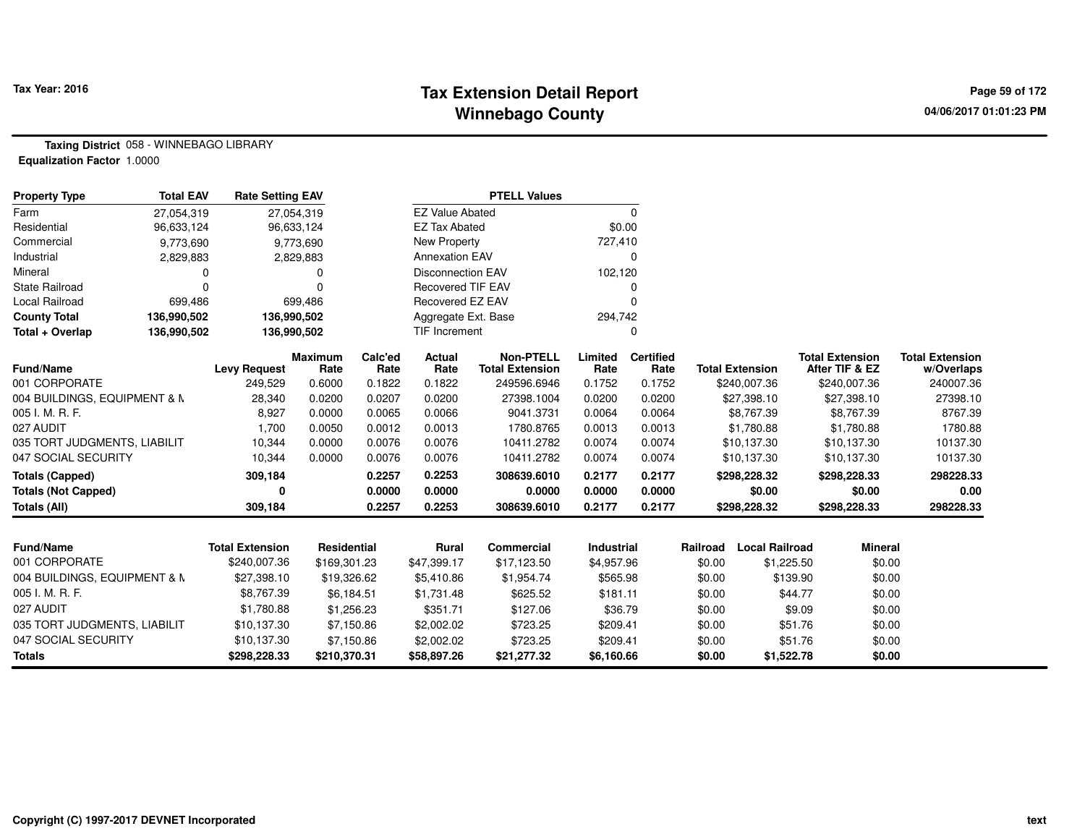# **Tax Extension Detail Report Tax Year: 2016 Page 59 of 172 Winnebago County**

**Taxing District** 058 - WINNEBAGO LIBRARY**Equalization Factor** 1.0000

| <b>Property Type</b>         | <b>Total EAV</b> | <b>Rate Setting EAV</b> |                        |                 |                          | <b>PTELL Values</b>                        |                   |                          |          |                        |                                          |                                      |
|------------------------------|------------------|-------------------------|------------------------|-----------------|--------------------------|--------------------------------------------|-------------------|--------------------------|----------|------------------------|------------------------------------------|--------------------------------------|
| Farm                         | 27,054,319       |                         | 27,054,319             |                 | <b>EZ Value Abated</b>   |                                            |                   | $\Omega$                 |          |                        |                                          |                                      |
| Residential                  | 96,633,124       |                         | 96,633,124             |                 | <b>EZ Tax Abated</b>     |                                            |                   | \$0.00                   |          |                        |                                          |                                      |
| Commercial                   | 9,773,690        |                         | 9,773,690              |                 | <b>New Property</b>      |                                            | 727,410           |                          |          |                        |                                          |                                      |
| Industrial                   | 2,829,883        |                         | 2,829,883              |                 | <b>Annexation EAV</b>    |                                            |                   | 0                        |          |                        |                                          |                                      |
| Mineral                      | 0                |                         | 0                      |                 | <b>Disconnection EAV</b> |                                            | 102,120           |                          |          |                        |                                          |                                      |
| <b>State Railroad</b>        | $\Omega$         |                         | $\Omega$               |                 | <b>Recovered TIF EAV</b> |                                            |                   |                          |          |                        |                                          |                                      |
| Local Railroad               | 699,486          |                         | 699,486                |                 | Recovered EZ EAV         |                                            |                   | $\Omega$                 |          |                        |                                          |                                      |
| <b>County Total</b>          | 136,990,502      | 136,990,502             |                        |                 | Aggregate Ext. Base      |                                            | 294,742           |                          |          |                        |                                          |                                      |
| Total + Overlap              | 136,990,502      | 136,990,502             |                        |                 | <b>TIF Increment</b>     |                                            |                   | $\Omega$                 |          |                        |                                          |                                      |
| <b>Fund/Name</b>             |                  | <b>Levy Request</b>     | <b>Maximum</b><br>Rate | Calc'ed<br>Rate | <b>Actual</b><br>Rate    | <b>Non-PTELL</b><br><b>Total Extension</b> | Limited<br>Rate   | <b>Certified</b><br>Rate |          | <b>Total Extension</b> | <b>Total Extension</b><br>After TIF & EZ | <b>Total Extension</b><br>w/Overlaps |
| 001 CORPORATE                |                  | 249,529                 | 0.6000                 | 0.1822          | 0.1822                   | 249596.6946                                | 0.1752            | 0.1752                   |          | \$240,007.36           | \$240,007.36                             | 240007.36                            |
| 004 BUILDINGS, EQUIPMENT & M |                  | 28,340                  | 0.0200                 | 0.0207          | 0.0200                   | 27398.1004                                 | 0.0200            | 0.0200                   |          | \$27,398.10            | \$27,398.10                              | 27398.10                             |
| 005 I. M. R. F.              |                  | 8,927                   | 0.0000                 | 0.0065          | 0.0066                   | 9041.3731                                  | 0.0064            | 0.0064                   |          | \$8,767.39             | \$8,767.39                               | 8767.39                              |
| 027 AUDIT                    |                  | 1.700                   | 0.0050                 | 0.0012          | 0.0013                   | 1780.8765                                  | 0.0013            | 0.0013                   |          | \$1,780.88             | \$1,780.88                               | 1780.88                              |
| 035 TORT JUDGMENTS, LIABILIT |                  | 10,344                  | 0.0000                 | 0.0076          | 0.0076                   | 10411.2782                                 | 0.0074            | 0.0074                   |          | \$10,137.30            | \$10,137.30                              | 10137.30                             |
| 047 SOCIAL SECURITY          |                  | 10,344                  | 0.0000                 | 0.0076          | 0.0076                   | 10411.2782                                 | 0.0074            | 0.0074                   |          | \$10,137.30            | \$10,137.30                              | 10137.30                             |
| <b>Totals (Capped)</b>       |                  | 309,184                 |                        | 0.2257          | 0.2253                   | 308639.6010                                | 0.2177            | 0.2177                   |          | \$298,228.32           | \$298,228.33                             | 298228.33                            |
| <b>Totals (Not Capped)</b>   |                  | ŋ                       |                        | 0.0000          | 0.0000                   | 0.0000                                     | 0.0000            | 0.0000                   |          | \$0.00                 | \$0.00                                   | 0.00                                 |
| <b>Totals (All)</b>          |                  | 309,184                 |                        | 0.2257          | 0.2253                   | 308639.6010                                | 0.2177            | 0.2177                   |          | \$298,228.32           | \$298,228.33                             | 298228.33                            |
|                              |                  |                         |                        |                 |                          |                                            |                   |                          |          |                        |                                          |                                      |
| <b>Fund/Name</b>             |                  | <b>Total Extension</b>  | Residential            |                 | <b>Rural</b>             | <b>Commercial</b>                          | <b>Industrial</b> |                          | Railroad | <b>Local Railroad</b>  | <b>Mineral</b>                           |                                      |
| 001 CORPORATE                |                  | \$240,007.36            | \$169,301.23           |                 | \$47,399.17              | \$17,123.50                                | \$4,957.96        |                          | \$0.00   | \$1,225.50             | \$0.00                                   |                                      |
| 004 BUILDINGS, EQUIPMENT & N |                  | \$27,398.10             | \$19,326.62            |                 | \$5,410.86               | \$1,954.74                                 | \$565.98          |                          | \$0.00   | \$139.90               | \$0.00                                   |                                      |
| 005 I. M. R. F.              |                  | \$8,767.39              | \$6,184.51             |                 | \$1,731.48               | \$625.52                                   | \$181.11          |                          | \$0.00   |                        | \$44.77<br>\$0.00                        |                                      |
| 027 AUDIT                    |                  | \$1,780.88              | \$1,256.23             |                 | \$351.71                 | \$127.06                                   | \$36.79           |                          | \$0.00   |                        | \$9.09<br>\$0.00                         |                                      |
| 035 TORT JUDGMENTS, LIABILIT |                  | \$10,137.30             |                        | \$7,150.86      | \$2,002.02               | \$723.25                                   | \$209.41          |                          | \$0.00   |                        | \$51.76<br>\$0.00                        |                                      |
| 047 SOCIAL SECURITY          |                  | \$10,137.30             |                        | \$7,150.86      | \$2,002.02               | \$723.25                                   | \$209.41          |                          | \$0.00   |                        | \$51.76<br>\$0.00                        |                                      |
| <b>Totals</b>                |                  | \$298,228.33            | \$210,370.31           |                 | \$58,897.26              | \$21,277.32                                | \$6,160.66        |                          | \$0.00   | \$1,522.78             | \$0.00                                   |                                      |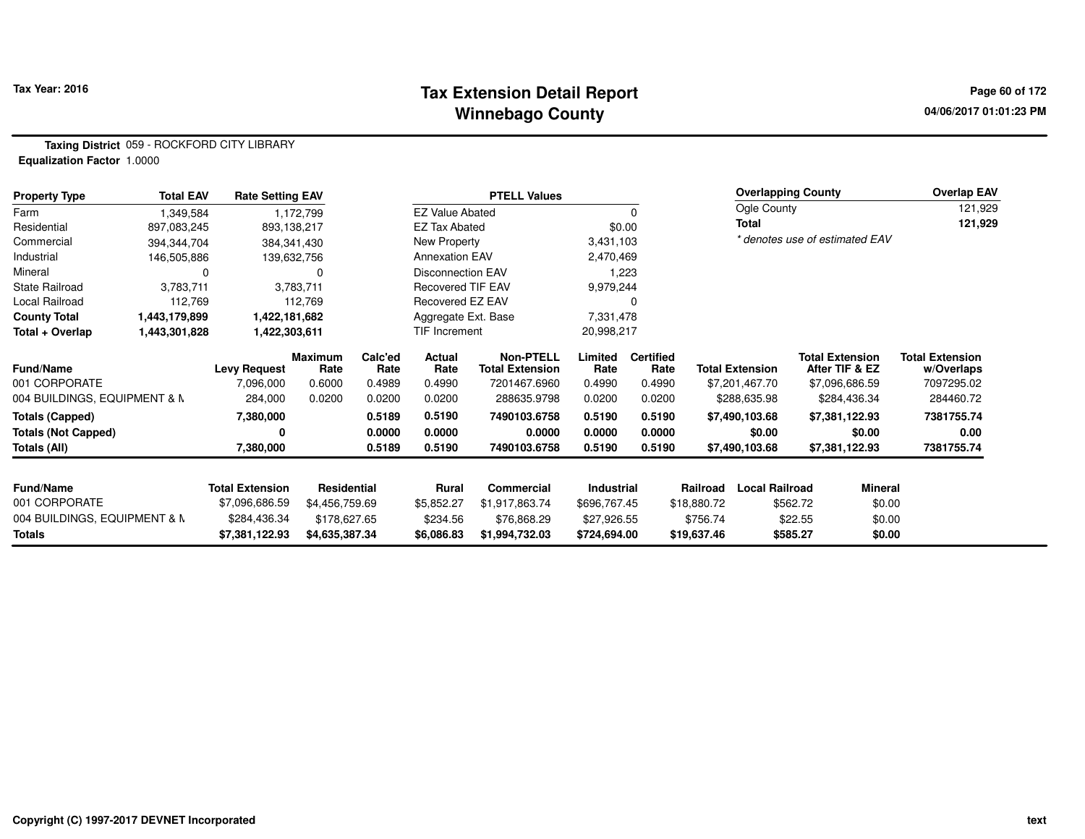# **Tax Extension Detail Report Tax Year: 2016 Page 60 of 172 Winnebago County**

**Taxing District** 059 - ROCKFORD CITY LIBRARY**Equalization Factor** 1.0000

| <b>Property Type</b>         | <b>Total EAV</b> | <b>Rate Setting EAV</b> |                 |                 |                          | <b>PTELL Values</b>                        |                 |                          |                        | <b>Overlapping County</b> |                                          | <b>Overlap EAV</b>                   |
|------------------------------|------------------|-------------------------|-----------------|-----------------|--------------------------|--------------------------------------------|-----------------|--------------------------|------------------------|---------------------------|------------------------------------------|--------------------------------------|
| Farm                         | 1,349,584        |                         | 1,172,799       |                 | <b>EZ Value Abated</b>   |                                            |                 | $\Omega$                 |                        | Ogle County               |                                          | 121,929                              |
| Residential                  | 897,083,245      | 893,138,217             |                 |                 | <b>EZ Tax Abated</b>     |                                            |                 | \$0.00                   | Total                  |                           |                                          | 121,929                              |
| Commercial                   | 394,344,704      | 384, 341, 430           |                 |                 | New Property             |                                            | 3,431,103       |                          |                        |                           | * denotes use of estimated EAV           |                                      |
| Industrial                   | 146,505,886      |                         | 139,632,756     |                 | <b>Annexation EAV</b>    |                                            | 2,470,469       |                          |                        |                           |                                          |                                      |
| Mineral                      | 0                |                         | 0               |                 | <b>Disconnection EAV</b> |                                            |                 | 1,223                    |                        |                           |                                          |                                      |
| State Railroad               | 3,783,711        |                         | 3,783,711       |                 | <b>Recovered TIF EAV</b> |                                            | 9,979,244       |                          |                        |                           |                                          |                                      |
| Local Railroad               | 112,769          |                         | 112,769         |                 | Recovered EZ EAV         |                                            |                 |                          |                        |                           |                                          |                                      |
| <b>County Total</b>          | 1,443,179,899    | 1,422,181,682           |                 |                 | Aggregate Ext. Base      |                                            | 7,331,478       |                          |                        |                           |                                          |                                      |
| Total + Overlap              | 1,443,301,828    | 1,422,303,611           |                 |                 | TIF Increment            |                                            | 20,998,217      |                          |                        |                           |                                          |                                      |
| <b>Fund/Name</b>             |                  | <b>Levy Request</b>     | Maximum<br>Rate | Calc'ed<br>Rate | Actual<br>Rate           | <b>Non-PTELL</b><br><b>Total Extension</b> | Limited<br>Rate | <b>Certified</b><br>Rate | <b>Total Extension</b> |                           | <b>Total Extension</b><br>After TIF & EZ | <b>Total Extension</b><br>w/Overlaps |
| 001 CORPORATE                |                  | 7,096,000               | 0.6000          | 0.4989          | 0.4990                   | 7201467.6960                               | 0.4990          | 0.4990                   | \$7,201,467.70         |                           | \$7,096,686.59                           | 7097295.02                           |
| 004 BUILDINGS, EQUIPMENT & N |                  | 284,000                 | 0.0200          | 0.0200          | 0.0200                   | 288635.9798                                | 0.0200          | 0.0200                   | \$288,635.98           |                           | \$284,436.34                             | 284460.72                            |
| <b>Totals (Capped)</b>       |                  | 7,380,000               |                 | 0.5189          | 0.5190                   | 7490103.6758                               | 0.5190          | 0.5190                   | \$7,490,103.68         |                           | \$7,381,122.93                           | 7381755.74                           |
| <b>Totals (Not Capped)</b>   |                  | ŋ                       |                 | 0.0000          | 0.0000                   | 0.0000                                     | 0.0000          | 0.0000                   |                        | \$0.00                    | \$0.00                                   | 0.00                                 |
| Totals (All)                 |                  | 7,380,000               |                 | 0.5189          | 0.5190                   | 7490103.6758                               | 0.5190          | 0.5190                   | \$7,490,103.68         |                           | \$7,381,122.93                           | 7381755.74                           |
| <b>Fund/Name</b>             |                  | <b>Total Extension</b>  | Residential     |                 | Rural                    | <b>Commercial</b>                          | Industrial      |                          | Railroad               | <b>Local Railroad</b>     | <b>Mineral</b>                           |                                      |
| 001 CORPORATE                |                  | \$7,096,686.59          | \$4,456,759.69  |                 | \$5,852.27               | \$1,917,863.74                             | \$696,767.45    |                          | \$18,880.72            | \$562.72                  | \$0.00                                   |                                      |
| 004 BUILDINGS, EQUIPMENT & N |                  | \$284,436.34            | \$178,627.65    |                 | \$234.56                 | \$76,868.29                                | \$27,926.55     |                          | \$756.74               | \$22.55                   | \$0.00                                   |                                      |
| Totals                       |                  | \$7,381,122.93          | \$4,635,387.34  |                 | \$6,086.83               | \$1,994,732.03                             | \$724,694.00    |                          | \$19,637.46            | \$585.27                  | \$0.00                                   |                                      |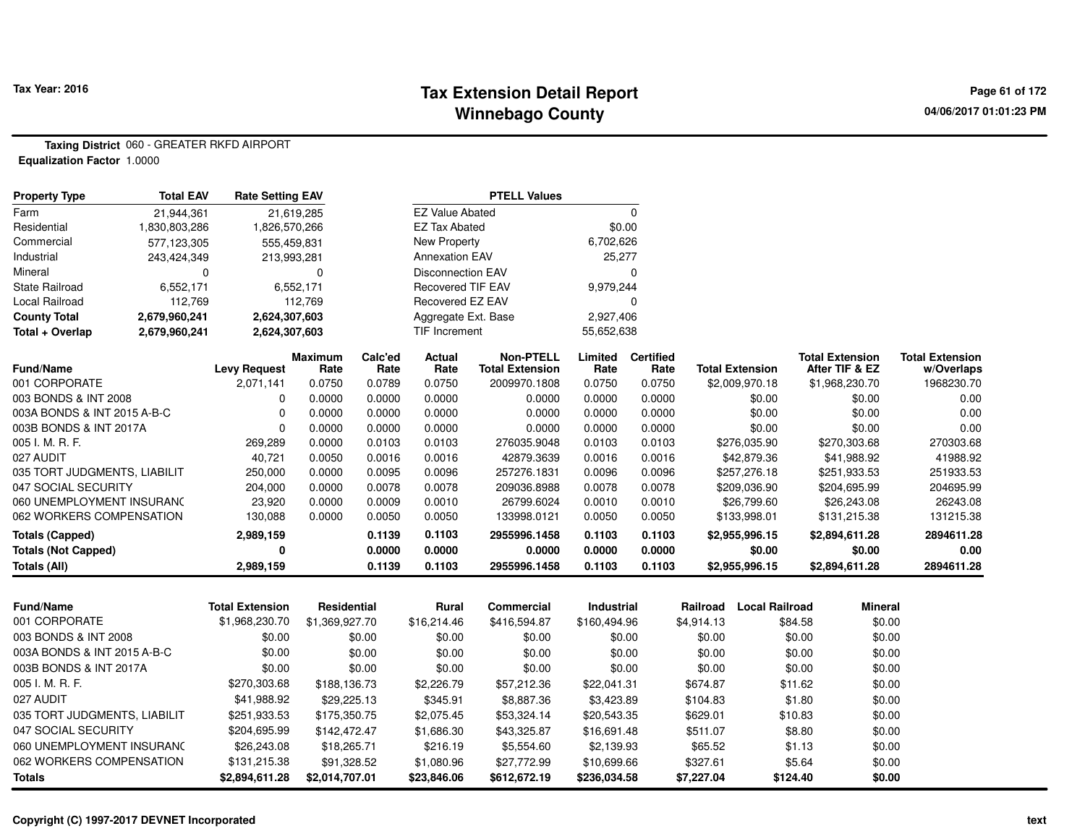# **Tax Extension Detail Report Tax Year: 2016 Page 61 of 172 Winnebago County**

**Taxing District** 060 - GREATER RKFD AIRPORT**Equalization Factor** 1.0000

| <b>Property Type</b>         | <b>Total EAV</b> |                        | <b>Rate Setting EAV</b> |                 |                          | <b>PTELL Values</b>                        |                 |                          |                                   |                                          |                                      |
|------------------------------|------------------|------------------------|-------------------------|-----------------|--------------------------|--------------------------------------------|-----------------|--------------------------|-----------------------------------|------------------------------------------|--------------------------------------|
| Farm                         | 21,944,361       |                        | 21,619,285              |                 | <b>EZ Value Abated</b>   |                                            |                 | $\Omega$                 |                                   |                                          |                                      |
| Residential                  | 1,830,803,286    | 1,826,570,266          |                         |                 | <b>EZ Tax Abated</b>     |                                            | \$0.00          |                          |                                   |                                          |                                      |
| Commercial                   | 577,123,305      | 555,459,831            |                         |                 | <b>New Property</b>      |                                            | 6,702,626       |                          |                                   |                                          |                                      |
| Industrial                   | 243,424,349      | 213,993,281            |                         |                 | <b>Annexation EAV</b>    |                                            | 25,277          |                          |                                   |                                          |                                      |
| Mineral                      | 0                |                        | $\Omega$                |                 | <b>Disconnection EAV</b> |                                            |                 | $\Omega$                 |                                   |                                          |                                      |
| <b>State Railroad</b>        | 6,552,171        |                        | 6,552,171               |                 | <b>Recovered TIF EAV</b> |                                            | 9,979,244       |                          |                                   |                                          |                                      |
| Local Railroad               | 112,769          |                        | 112,769                 |                 | Recovered EZ EAV         |                                            |                 | $\Omega$                 |                                   |                                          |                                      |
| <b>County Total</b>          | 2,679,960,241    | 2,624,307,603          |                         |                 | Aggregate Ext. Base      |                                            | 2,927,406       |                          |                                   |                                          |                                      |
| Total + Overlap              | 2,679,960,241    | 2,624,307,603          |                         |                 | <b>TIF Increment</b>     |                                            | 55,652,638      |                          |                                   |                                          |                                      |
| <b>Fund/Name</b>             |                  | <b>Levy Request</b>    | <b>Maximum</b><br>Rate  | Calc'ed<br>Rate | Actual<br>Rate           | <b>Non-PTELL</b><br><b>Total Extension</b> | Limited<br>Rate | <b>Certified</b><br>Rate | <b>Total Extension</b>            | <b>Total Extension</b><br>After TIF & EZ | <b>Total Extension</b><br>w/Overlaps |
| 001 CORPORATE                |                  | 2,071,141              | 0.0750                  | 0.0789          | 0.0750                   | 2009970.1808                               | 0.0750          | 0.0750                   | \$2,009,970.18                    | \$1,968,230.70                           | 1968230.70                           |
| 003 BONDS & INT 2008         |                  | $\Omega$               | 0.0000                  | 0.0000          | 0.0000                   | 0.0000                                     | 0.0000          | 0.0000                   | \$0.00                            | \$0.00                                   | 0.00                                 |
| 003A BONDS & INT 2015 A-B-C  |                  | $\Omega$               | 0.0000                  | 0.0000          | 0.0000                   | 0.0000                                     | 0.0000          | 0.0000                   | \$0.00                            | \$0.00                                   | 0.00                                 |
| 003B BONDS & INT 2017A       |                  | $\mathbf 0$            | 0.0000                  | 0.0000          | 0.0000                   | 0.0000                                     | 0.0000          | 0.0000                   | \$0.00                            | \$0.00                                   | 0.00                                 |
| 005 I. M. R. F.              |                  | 269,289                | 0.0000                  | 0.0103          | 0.0103                   | 276035.9048                                | 0.0103          | 0.0103                   | \$276,035.90                      | \$270,303.68                             | 270303.68                            |
| 027 AUDIT                    |                  | 40,721                 | 0.0050                  | 0.0016          | 0.0016                   | 42879.3639                                 | 0.0016          | 0.0016                   | \$42,879.36                       | \$41,988.92                              | 41988.92                             |
| 035 TORT JUDGMENTS, LIABILIT |                  | 250,000                | 0.0000                  | 0.0095          | 0.0096                   | 257276.1831                                | 0.0096          | 0.0096                   | \$257,276.18                      | \$251,933.53                             | 251933.53                            |
| 047 SOCIAL SECURITY          |                  | 204,000                | 0.0000                  | 0.0078          | 0.0078                   | 209036.8988                                | 0.0078          | 0.0078                   | \$209,036.90                      | \$204,695.99                             | 204695.99                            |
| 060 UNEMPLOYMENT INSURANC    |                  | 23,920                 | 0.0000                  | 0.0009          | 0.0010                   | 26799.6024                                 | 0.0010          | 0.0010                   | \$26,799.60                       | \$26,243.08                              | 26243.08                             |
| 062 WORKERS COMPENSATION     |                  | 130,088                | 0.0000                  | 0.0050          | 0.0050                   | 133998.0121                                | 0.0050          | 0.0050                   | \$133,998.01                      | \$131,215.38                             | 131215.38                            |
| <b>Totals (Capped)</b>       |                  | 2,989,159              |                         | 0.1139          | 0.1103                   | 2955996.1458                               | 0.1103          | 0.1103                   | \$2,955,996.15                    | \$2,894,611.28                           | 2894611.28                           |
| <b>Totals (Not Capped)</b>   |                  | 0                      |                         | 0.0000          | 0.0000                   | 0.0000                                     | 0.0000          | 0.0000                   | \$0.00                            | \$0.00                                   | 0.00                                 |
| <b>Totals (All)</b>          |                  | 2,989,159              |                         | 0.1139          | 0.1103                   | 2955996.1458                               | 0.1103          | 0.1103                   | \$2,955,996.15                    | \$2,894,611.28                           | 2894611.28                           |
|                              |                  |                        |                         |                 |                          |                                            |                 |                          |                                   |                                          |                                      |
| <b>Fund/Name</b>             |                  | <b>Total Extension</b> | Residential             |                 | <b>Rural</b>             | <b>Commercial</b>                          | Industrial      |                          | <b>Local Railroad</b><br>Railroad | <b>Mineral</b>                           |                                      |
| 001 CORPORATE                |                  | \$1,968,230.70         | \$1,369,927.70          |                 | \$16,214.46              | \$416,594.87                               | \$160,494.96    |                          | \$4,914.13                        | \$0.00<br>\$84.58                        |                                      |
| 003 BONDS & INT 2008         |                  | \$0.00                 |                         | \$0.00          | \$0.00                   | \$0.00                                     |                 | \$0.00                   | \$0.00                            | \$0.00<br>\$0.00                         |                                      |
| 003A BONDS & INT 2015 A-B-C  |                  | \$0.00                 |                         | \$0.00          | \$0.00                   | \$0.00                                     | \$0.00          |                          | \$0.00                            | \$0.00<br>\$0.00                         |                                      |
| 003B BONDS & INT 2017A       |                  | \$0.00                 |                         | \$0.00          | \$0.00                   | \$0.00                                     | \$0.00          |                          | \$0.00                            | \$0.00<br>\$0.00                         |                                      |
| 005 I. M. R. F.              |                  | \$270,303.68           | \$188,136.73            |                 | \$2,226.79               | \$57,212.36                                | \$22,041.31     |                          | \$674.87                          | \$11.62<br>\$0.00                        |                                      |

\$29,225.13 \$345.91 \$8,887.36 \$3,423.89 \$104.83 \$1.80 \$0.00

\$142,472.47 \$1,686.30 \$43,325.87 \$16,691.48 \$511.07 \$8.80 \$0.00

\$251,933.53 \$175,350.75 \$2,075.45 \$53,324.14 \$20,543.35 \$629.01 \$10.83 \$0.00

\$26,243.08 \$18,265.71 \$216.19 \$5,554.60 \$2,139.93 \$65.52 \$1.13 \$0.00

**\$2,894,611.28 \$2,014,707.01 \$23,846.06 \$612,672.19 \$236,034.58 \$7,227.04 \$124.40 \$0.00**

\$91,328.52 \$1,080.96 \$27,772.99 \$10,699.66 \$327.61 \$5.64

060 UNEMPLOYMENT INSURANCE

**Totals**

027 AUDIT \$41,988.92

035 TORT JUDGMENTS, LIABILIT \$251,933.53

047 SOCIAL SECURITY \$204,695.99

062 WORKERS COMPENSATION \$131,215.38

 $$0.00$ 

\$0.00

\$0.00

 $$5.64$   $$0.00$ <br> $$124.40$   $$0.00$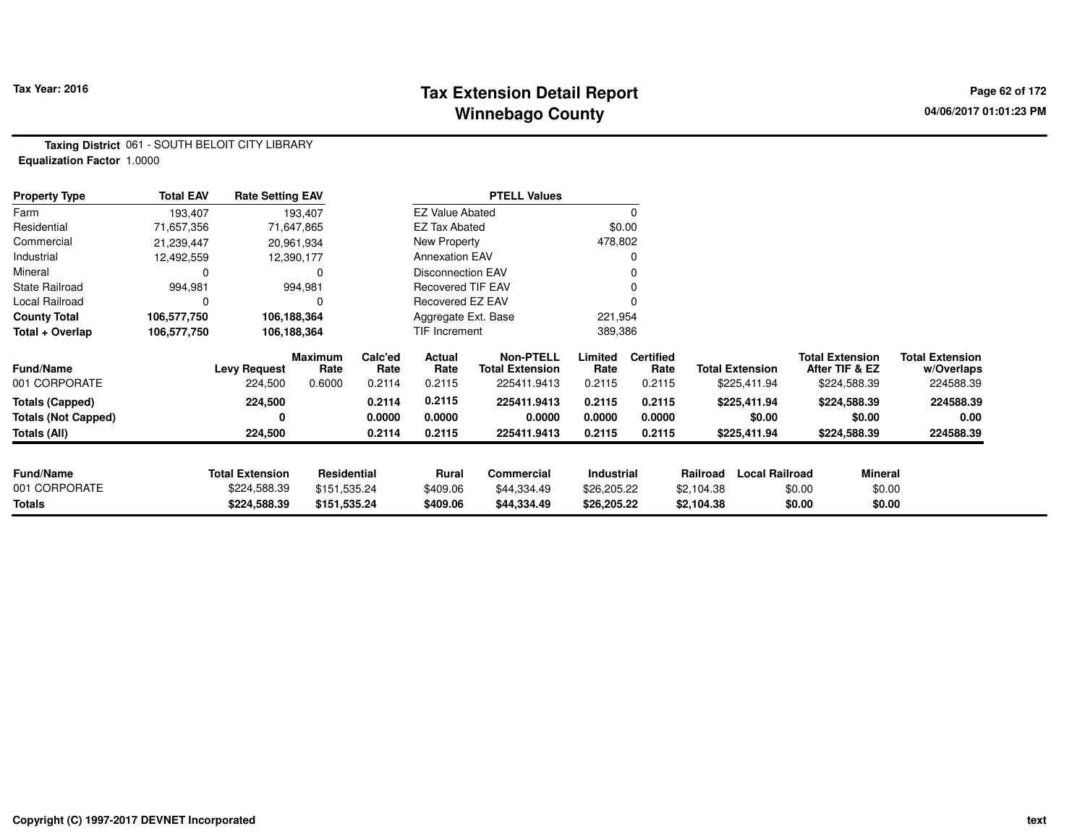# **Tax Extension Detail Report Tax Year: 2016 Page 62 of 172 Winnebago County**

**Taxing District** 061 - SOUTH BELOIT CITY LIBRARY**Equalization Factor** 1.0000

| <b>Property Type</b>       | <b>Total EAV</b> | <b>Rate Setting EAV</b> |                        |                          |                          | <b>PTELL Values</b>                        |                 |                          |            |                        |                                          |                                      |
|----------------------------|------------------|-------------------------|------------------------|--------------------------|--------------------------|--------------------------------------------|-----------------|--------------------------|------------|------------------------|------------------------------------------|--------------------------------------|
| Farm                       | 193,407          |                         | 193,407                |                          | <b>EZ Value Abated</b>   |                                            |                 | $\Omega$                 |            |                        |                                          |                                      |
| Residential                | 71,657,356       |                         | 71,647,865             |                          | <b>EZ Tax Abated</b>     |                                            |                 | \$0.00                   |            |                        |                                          |                                      |
| Commercial                 | 21,239,447       |                         | 20,961,934             |                          | New Property             |                                            |                 | 478,802                  |            |                        |                                          |                                      |
| Industrial                 | 12,492,559       |                         | 12,390,177             |                          | <b>Annexation EAV</b>    |                                            |                 | 0                        |            |                        |                                          |                                      |
| Mineral                    | 0                |                         |                        |                          | <b>Disconnection EAV</b> |                                            |                 | 0                        |            |                        |                                          |                                      |
| <b>State Railroad</b>      | 994,981          |                         | 994,981                | <b>Recovered TIF EAV</b> |                          |                                            | 0               |                          |            |                        |                                          |                                      |
| Local Railroad             | 0                |                         |                        | Recovered EZ EAV         |                          |                                            |                 |                          |            |                        |                                          |                                      |
| <b>County Total</b>        | 106,577,750      | 106,188,364             |                        |                          | Aggregate Ext. Base      |                                            | 221,954         |                          |            |                        |                                          |                                      |
| Total + Overlap            | 106,577,750      | 106,188,364             |                        |                          | <b>TIF Increment</b>     |                                            | 389,386         |                          |            |                        |                                          |                                      |
| <b>Fund/Name</b>           |                  | <b>Levy Request</b>     | <b>Maximum</b><br>Rate | Calc'ed<br>Rate          | Actual<br>Rate           | <b>Non-PTELL</b><br><b>Total Extension</b> | Limited<br>Rate | <b>Certified</b><br>Rate |            | <b>Total Extension</b> | <b>Total Extension</b><br>After TIF & EZ | <b>Total Extension</b><br>w/Overlaps |
| 001 CORPORATE              |                  | 224,500                 | 0.6000                 | 0.2114                   | 0.2115                   | 225411.9413                                | 0.2115          | 0.2115                   |            | \$225,411.94           | \$224,588.39                             | 224588.39                            |
| <b>Totals (Capped)</b>     |                  | 224,500                 |                        | 0.2114                   | 0.2115                   | 225411.9413                                | 0.2115          | 0.2115                   |            | \$225,411.94           | \$224,588.39                             | 224588.39                            |
| <b>Totals (Not Capped)</b> |                  | 0                       |                        | 0.0000                   | 0.0000                   | 0.0000                                     | 0.0000          | 0.0000                   |            | \$0.00                 | \$0.00                                   | 0.00                                 |
| Totals (All)               |                  | 224,500                 |                        | 0.2114                   | 0.2115                   | 225411.9413                                | 0.2115          | 0.2115                   |            | \$225,411.94           | \$224,588.39                             | 224588.39                            |
|                            |                  |                         |                        |                          |                          |                                            |                 |                          |            |                        |                                          |                                      |
| <b>Fund/Name</b>           |                  | <b>Total Extension</b>  | Residential            |                          | Rural                    | Commercial                                 | Industrial      |                          | Railroad   | <b>Local Railroad</b>  | <b>Mineral</b>                           |                                      |
| 001 CORPORATE              |                  | \$224,588.39            | \$151,535.24           |                          | \$409.06                 | \$44,334.49                                | \$26,205.22     |                          | \$2,104.38 | \$0.00                 | \$0.00                                   |                                      |
| <b>Totals</b>              |                  | \$224,588.39            | \$151,535.24           |                          | \$409.06                 | \$44,334.49                                | \$26,205.22     |                          | \$2,104.38 |                        | \$0.00<br>\$0.00                         |                                      |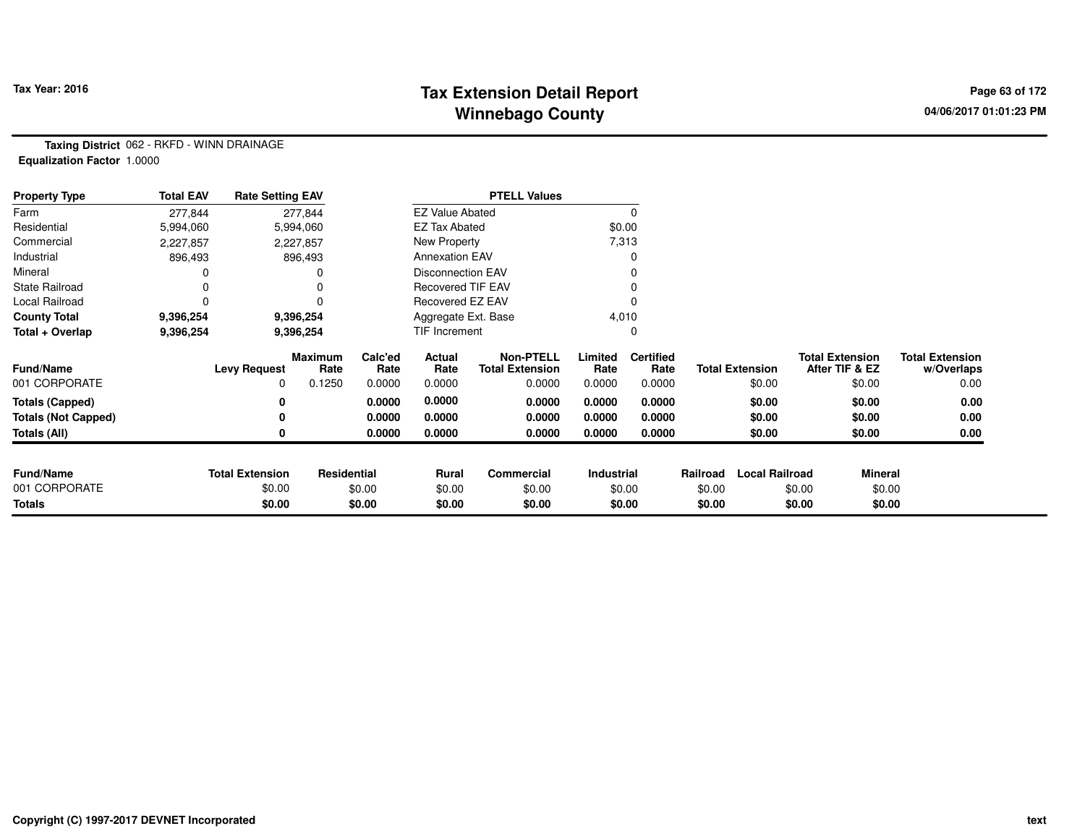# **Tax Extension Detail Report Tax Year: 2016 Page 63 of 172 Winnebago County**

**Taxing District** 062 - RKFD - WINN DRAINAGE**Equalization Factor** 1.0000

| <b>Property Type</b>       | <b>Total EAV</b> | <b>Rate Setting EAV</b> |                 |                 |                          | <b>PTELL Values</b>                        |                 |                          |          |                        |                                          |                                      |
|----------------------------|------------------|-------------------------|-----------------|-----------------|--------------------------|--------------------------------------------|-----------------|--------------------------|----------|------------------------|------------------------------------------|--------------------------------------|
| Farm                       | 277,844          |                         | 277,844         |                 | <b>EZ Value Abated</b>   |                                            |                 | 0                        |          |                        |                                          |                                      |
| Residential                | 5,994,060        |                         | 5,994,060       |                 | <b>EZ Tax Abated</b>     |                                            |                 | \$0.00                   |          |                        |                                          |                                      |
| Commercial                 | 2,227,857        |                         | 2,227,857       |                 | New Property             |                                            |                 | 7,313                    |          |                        |                                          |                                      |
| Industrial                 | 896,493          |                         | 896,493         |                 | <b>Annexation EAV</b>    |                                            |                 |                          |          |                        |                                          |                                      |
| Mineral                    |                  |                         |                 |                 | <b>Disconnection EAV</b> |                                            |                 |                          |          |                        |                                          |                                      |
| <b>State Railroad</b>      | 0                |                         |                 |                 | <b>Recovered TIF EAV</b> |                                            |                 |                          |          |                        |                                          |                                      |
| Local Railroad             | 0                |                         |                 |                 | Recovered EZ EAV         |                                            |                 |                          |          |                        |                                          |                                      |
| <b>County Total</b>        | 9,396,254        |                         | 9,396,254       |                 | Aggregate Ext. Base      |                                            |                 | 4,010                    |          |                        |                                          |                                      |
| Total + Overlap            | 9,396,254        |                         | 9,396,254       | TIF Increment   |                          |                                            |                 | 0                        |          |                        |                                          |                                      |
| <b>Fund/Name</b>           |                  | <b>Levy Request</b>     | Maximum<br>Rate | Calc'ed<br>Rate | Actual<br>Rate           | <b>Non-PTELL</b><br><b>Total Extension</b> | Limited<br>Rate | <b>Certified</b><br>Rate |          | <b>Total Extension</b> | <b>Total Extension</b><br>After TIF & EZ | <b>Total Extension</b><br>w/Overlaps |
| 001 CORPORATE              |                  | 0                       | 0.1250          | 0.0000          | 0.0000                   | 0.0000                                     | 0.0000          | 0.0000                   |          | \$0.00                 | \$0.00                                   | 0.00                                 |
| <b>Totals (Capped)</b>     |                  | 0                       |                 | 0.0000          | 0.0000                   | 0.0000                                     | 0.0000          | 0.0000                   |          | \$0.00                 | \$0.00                                   | 0.00                                 |
| <b>Totals (Not Capped)</b> |                  | 0                       |                 | 0.0000          | 0.0000                   | 0.0000                                     | 0.0000          | 0.0000                   |          | \$0.00                 | \$0.00                                   | 0.00                                 |
| <b>Totals (All)</b>        |                  | 0                       |                 | 0.0000          | 0.0000                   | 0.0000                                     | 0.0000          | 0.0000                   |          | \$0.00                 | \$0.00                                   | 0.00                                 |
|                            |                  |                         |                 |                 |                          |                                            |                 |                          |          |                        |                                          |                                      |
| <b>Fund/Name</b>           |                  | <b>Total Extension</b>  | Residential     |                 | Rural                    | Commercial                                 | Industrial      |                          | Railroad | <b>Local Railroad</b>  | <b>Mineral</b>                           |                                      |
| 001 CORPORATE              |                  | \$0.00                  |                 | \$0.00          | \$0.00                   | \$0.00                                     | \$0.00          |                          | \$0.00   |                        | \$0.00<br>\$0.00                         |                                      |
| <b>Totals</b>              |                  | \$0.00                  |                 | \$0.00          | \$0.00                   | \$0.00                                     |                 | \$0.00                   | \$0.00   |                        | \$0.00                                   | \$0.00                               |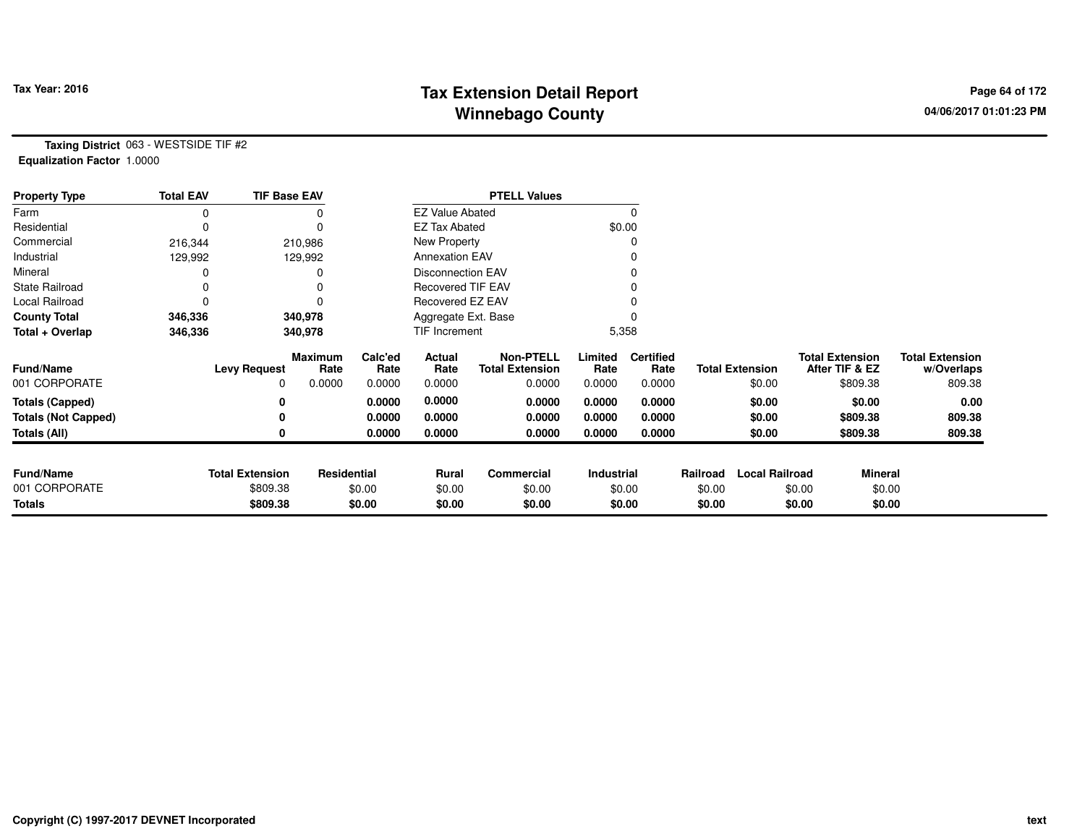# **Tax Extension Detail Report Tax Year: 2016 Page 64 of 172 Winnebago County**

**Taxing District** 063 - WESTSIDE TIF #2**Equalization Factor** 1.0000

| <b>Property Type</b>       | <b>Total EAV</b> | <b>TIF Base EAV</b>    |                        |                     |                        | <b>PTELL Values</b>                        |                 |                          |          |                        |                                          |         |                                      |
|----------------------------|------------------|------------------------|------------------------|---------------------|------------------------|--------------------------------------------|-----------------|--------------------------|----------|------------------------|------------------------------------------|---------|--------------------------------------|
| Farm                       | 0                |                        |                        |                     | <b>EZ Value Abated</b> |                                            |                 | $\Omega$                 |          |                        |                                          |         |                                      |
| Residential                | 0                |                        | 0                      |                     | <b>EZ Tax Abated</b>   |                                            |                 | \$0.00                   |          |                        |                                          |         |                                      |
| Commercial                 | 216,344          |                        | 210,986                |                     | New Property           |                                            |                 | 0                        |          |                        |                                          |         |                                      |
| Industrial                 | 129,992          |                        | 129,992                |                     | <b>Annexation EAV</b>  |                                            |                 | 0                        |          |                        |                                          |         |                                      |
| Mineral                    |                  |                        | 0                      |                     | Disconnection EAV      |                                            |                 | 0                        |          |                        |                                          |         |                                      |
| <b>State Railroad</b>      |                  |                        | 0                      |                     | Recovered TIF EAV      |                                            |                 |                          |          |                        |                                          |         |                                      |
| Local Railroad             |                  |                        | 0                      |                     | Recovered EZ EAV       |                                            |                 |                          |          |                        |                                          |         |                                      |
| <b>County Total</b>        | 346,336          |                        | 340,978                | Aggregate Ext. Base |                        |                                            |                 |                          |          |                        |                                          |         |                                      |
| Total + Overlap            | 346,336          |                        | 340,978                |                     | TIF Increment          |                                            |                 | 5,358                    |          |                        |                                          |         |                                      |
| <b>Fund/Name</b>           |                  | <b>Levy Request</b>    | <b>Maximum</b><br>Rate | Calc'ed<br>Rate     | Actual<br>Rate         | <b>Non-PTELL</b><br><b>Total Extension</b> | Limited<br>Rate | <b>Certified</b><br>Rate |          | <b>Total Extension</b> | <b>Total Extension</b><br>After TIF & EZ |         | <b>Total Extension</b><br>w/Overlaps |
| 001 CORPORATE              |                  | 0                      | 0.0000                 | 0.0000              | 0.0000                 | 0.0000                                     | 0.0000          | 0.0000                   |          | \$0.00                 | \$809.38                                 |         | 809.38                               |
| <b>Totals (Capped)</b>     |                  | 0                      |                        | 0.0000              | 0.0000                 | 0.0000                                     | 0.0000          | 0.0000                   |          | \$0.00                 |                                          | \$0.00  | 0.00                                 |
| <b>Totals (Not Capped)</b> |                  | 0                      |                        | 0.0000              | 0.0000                 | 0.0000                                     | 0.0000          | 0.0000                   |          | \$0.00                 | \$809.38                                 |         | 809.38                               |
| Totals (All)               |                  | 0                      |                        | 0.0000              | 0.0000                 | 0.0000                                     | 0.0000          | 0.0000                   |          | \$0.00                 | \$809.38                                 |         | 809.38                               |
| <b>Fund/Name</b>           |                  | <b>Total Extension</b> | Residential            |                     | Rural                  | Commercial                                 | Industrial      |                          | Railroad | <b>Local Railroad</b>  |                                          | Mineral |                                      |
| 001 CORPORATE              |                  | \$809.38               |                        | \$0.00              | \$0.00                 | \$0.00                                     |                 | \$0.00                   | \$0.00   |                        | \$0.00                                   | \$0.00  |                                      |
| <b>Totals</b>              |                  | \$809.38               |                        | \$0.00              | \$0.00                 | \$0.00                                     |                 | \$0.00                   | \$0.00   |                        | \$0.00                                   | \$0.00  |                                      |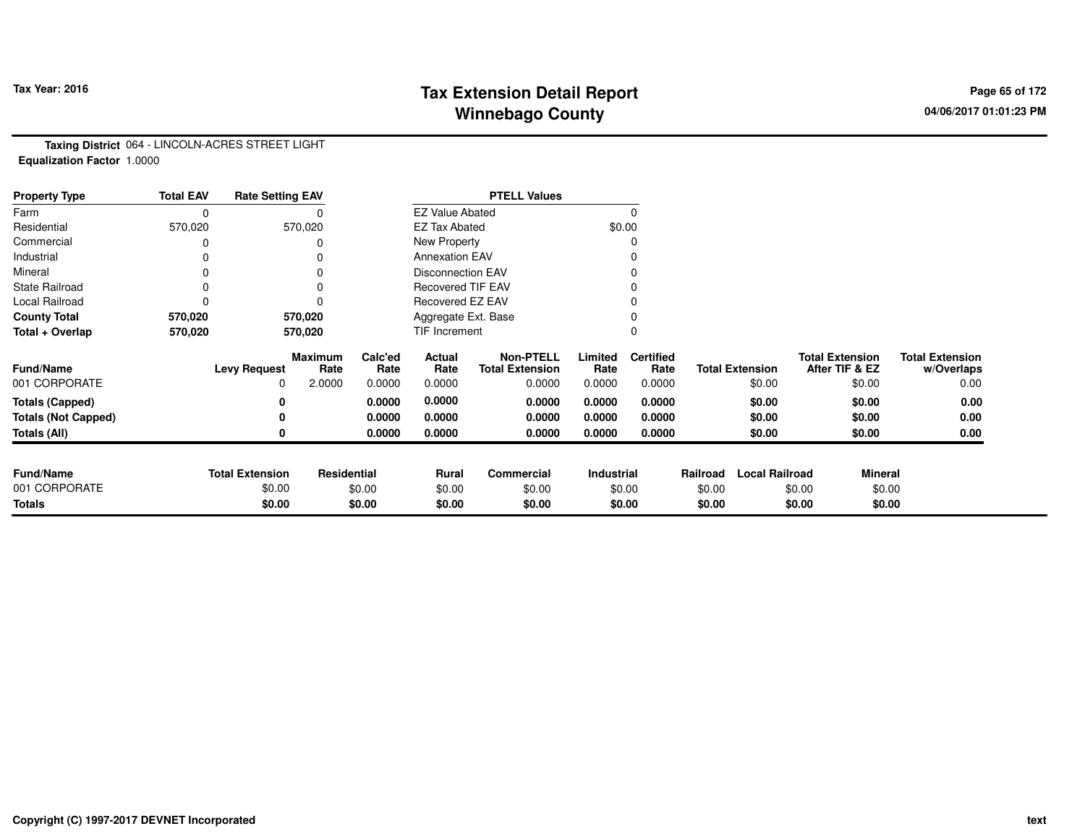# **Tax Extension Detail Report Tax Year: 2016 Page 65 of 172 Winnebago County**

**Taxing District** 064 - LINCOLN-ACRES STREET LIGHT**Equalization Factor** 1.0000

| <b>Property Type</b>       | <b>Total EAV</b> | <b>Rate Setting EAV</b> |                        |                     |                          | <b>PTELL Values</b>                        |                   |                          |          |                        |                                          |                                      |
|----------------------------|------------------|-------------------------|------------------------|---------------------|--------------------------|--------------------------------------------|-------------------|--------------------------|----------|------------------------|------------------------------------------|--------------------------------------|
| Farm                       | $\mathbf 0$      |                         |                        |                     | <b>EZ Value Abated</b>   |                                            |                   | $\Omega$                 |          |                        |                                          |                                      |
| Residential                | 570,020          |                         | 570,020                |                     | <b>EZ Tax Abated</b>     |                                            |                   | \$0.00                   |          |                        |                                          |                                      |
| Commercial                 |                  |                         |                        |                     | New Property             |                                            |                   |                          |          |                        |                                          |                                      |
| Industrial                 | 0                |                         |                        |                     | <b>Annexation EAV</b>    |                                            |                   |                          |          |                        |                                          |                                      |
| Mineral                    | 0                |                         |                        |                     | <b>Disconnection EAV</b> |                                            |                   |                          |          |                        |                                          |                                      |
| <b>State Railroad</b>      | 0                |                         | $\Omega$               |                     | <b>Recovered TIF EAV</b> |                                            |                   |                          |          |                        |                                          |                                      |
| Local Railroad             | 0                |                         |                        |                     | Recovered EZ EAV         |                                            |                   |                          |          |                        |                                          |                                      |
| <b>County Total</b>        | 570,020          |                         | 570,020                | Aggregate Ext. Base |                          |                                            |                   |                          |          |                        |                                          |                                      |
| Total + Overlap            | 570,020          |                         | 570,020                | TIF Increment       |                          |                                            | $\Omega$          |                          |          |                        |                                          |                                      |
| <b>Fund/Name</b>           |                  | <b>Levy Request</b>     | <b>Maximum</b><br>Rate | Calc'ed<br>Rate     | Actual<br>Rate           | <b>Non-PTELL</b><br><b>Total Extension</b> | Limited<br>Rate   | <b>Certified</b><br>Rate |          | <b>Total Extension</b> | <b>Total Extension</b><br>After TIF & EZ | <b>Total Extension</b><br>w/Overlaps |
| 001 CORPORATE              |                  | 0                       | 2.0000                 | 0.0000              | 0.0000                   | 0.0000                                     | 0.0000            | 0.0000                   |          | \$0.00                 | \$0.00                                   | 0.00                                 |
| <b>Totals (Capped)</b>     |                  | 0                       |                        | 0.0000              | 0.0000                   | 0.0000                                     | 0.0000            | 0.0000                   |          | \$0.00                 | \$0.00                                   | 0.00                                 |
| <b>Totals (Not Capped)</b> |                  | 0                       |                        | 0.0000              | 0.0000                   | 0.0000                                     | 0.0000            | 0.0000                   |          | \$0.00                 | \$0.00                                   | 0.00                                 |
| Totals (All)               |                  | 0                       |                        | 0.0000              | 0.0000                   | 0.0000                                     | 0.0000            | 0.0000                   |          | \$0.00                 | \$0.00                                   | 0.00                                 |
|                            |                  |                         |                        |                     |                          |                                            |                   |                          |          |                        |                                          |                                      |
| <b>Fund/Name</b>           |                  | <b>Total Extension</b>  | Residential            |                     | Rural                    | <b>Commercial</b>                          | <b>Industrial</b> |                          | Railroad | <b>Local Railroad</b>  | <b>Mineral</b>                           |                                      |
| 001 CORPORATE              |                  | \$0.00                  |                        | \$0.00              | \$0.00                   | \$0.00                                     |                   | \$0.00                   | \$0.00   |                        | \$0.00                                   | \$0.00                               |
| <b>Totals</b>              |                  | \$0.00                  |                        | \$0.00              | \$0.00                   | \$0.00                                     |                   | \$0.00                   | \$0.00   |                        | \$0.00                                   | \$0.00                               |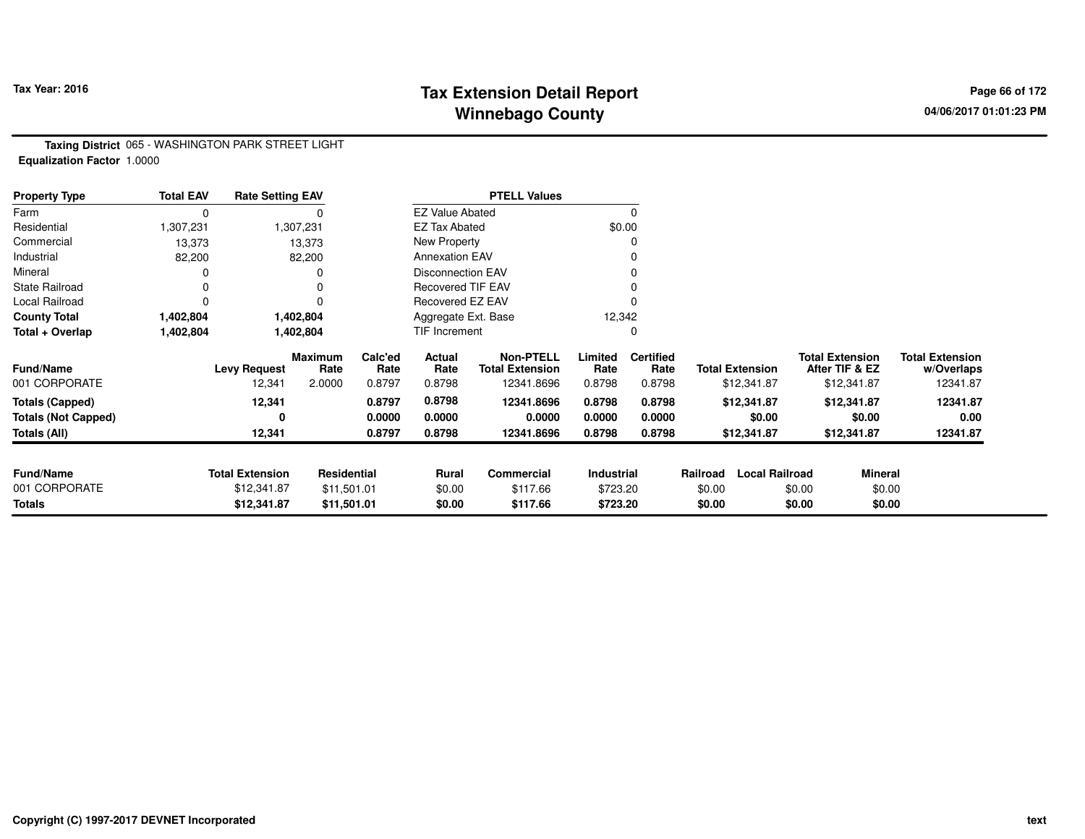# **Tax Extension Detail Report Tax Year: 2016 Page 66 of 172 Winnebago County**

**Taxing District** 065 - WASHINGTON PARK STREET LIGHT**Equalization Factor** 1.0000

| <b>Property Type</b>       | <b>Total EAV</b> | <b>Rate Setting EAV</b> |                        |                 |                          | <b>PTELL Values</b>                        |                 |                          |          |                        |        |                                          |                                      |
|----------------------------|------------------|-------------------------|------------------------|-----------------|--------------------------|--------------------------------------------|-----------------|--------------------------|----------|------------------------|--------|------------------------------------------|--------------------------------------|
| Farm                       | 0                |                         |                        |                 | <b>EZ Value Abated</b>   |                                            |                 |                          |          |                        |        |                                          |                                      |
| Residential                | 1,307,231        |                         | 1,307,231              |                 | <b>EZ Tax Abated</b>     |                                            |                 | \$0.00                   |          |                        |        |                                          |                                      |
| Commercial                 | 13,373           |                         | 13,373                 |                 | New Property             |                                            |                 |                          |          |                        |        |                                          |                                      |
| Industrial                 | 82,200           |                         | 82,200                 |                 | <b>Annexation EAV</b>    |                                            |                 |                          |          |                        |        |                                          |                                      |
| Mineral                    | ი                |                         |                        |                 | <b>Disconnection EAV</b> |                                            |                 |                          |          |                        |        |                                          |                                      |
| <b>State Railroad</b>      | 0                |                         |                        |                 | <b>Recovered TIF EAV</b> |                                            |                 |                          |          |                        |        |                                          |                                      |
| Local Railroad             | 0                |                         |                        |                 | Recovered EZ EAV         |                                            |                 |                          |          |                        |        |                                          |                                      |
| <b>County Total</b>        | 1,402,804        |                         | 1,402,804              |                 | Aggregate Ext. Base      |                                            | 12,342          |                          |          |                        |        |                                          |                                      |
| Total + Overlap            | 1,402,804        |                         | 1,402,804              |                 | TIF Increment            |                                            |                 |                          |          |                        |        |                                          |                                      |
| <b>Fund/Name</b>           |                  | <b>Levy Request</b>     | <b>Maximum</b><br>Rate | Calc'ed<br>Rate | Actual<br>Rate           | <b>Non-PTELL</b><br><b>Total Extension</b> | Limited<br>Rate | <b>Certified</b><br>Rate |          | <b>Total Extension</b> |        | <b>Total Extension</b><br>After TIF & EZ | <b>Total Extension</b><br>w/Overlaps |
| 001 CORPORATE              |                  | 12,341                  | 2.0000                 | 0.8797          | 0.8798                   | 12341.8696                                 | 0.8798          | 0.8798                   |          | \$12,341.87            |        | \$12,341.87                              | 12341.87                             |
| <b>Totals (Capped)</b>     |                  | 12,341                  |                        | 0.8797          | 0.8798                   | 12341.8696                                 | 0.8798          | 0.8798                   |          | \$12,341.87            |        | \$12,341.87                              | 12341.87                             |
| <b>Totals (Not Capped)</b> |                  | 0                       |                        | 0.0000          | 0.0000                   | 0.0000                                     | 0.0000          | 0.0000                   |          | \$0.00                 |        | \$0.00                                   | 0.00                                 |
| Totals (All)               |                  | 12,341                  |                        | 0.8797          | 0.8798                   | 12341.8696                                 | 0.8798          | 0.8798                   |          | \$12,341.87            |        | \$12,341.87                              | 12341.87                             |
|                            |                  |                         |                        |                 |                          |                                            |                 |                          |          |                        |        |                                          |                                      |
| <b>Fund/Name</b>           |                  | <b>Total Extension</b>  | <b>Residential</b>     |                 | <b>Rural</b>             | Commercial                                 | Industrial      |                          | Railroad | <b>Local Railroad</b>  |        | <b>Mineral</b>                           |                                      |
| 001 CORPORATE              |                  | \$12,341.87             | \$11,501.01            |                 | \$0.00                   | \$117.66                                   | \$723.20        |                          | \$0.00   |                        | \$0.00 | \$0.00                                   |                                      |
| Totals                     |                  | \$12,341.87             | \$11,501.01            |                 | \$0.00                   | \$117.66                                   | \$723.20        |                          | \$0.00   |                        | \$0.00 | \$0.00                                   |                                      |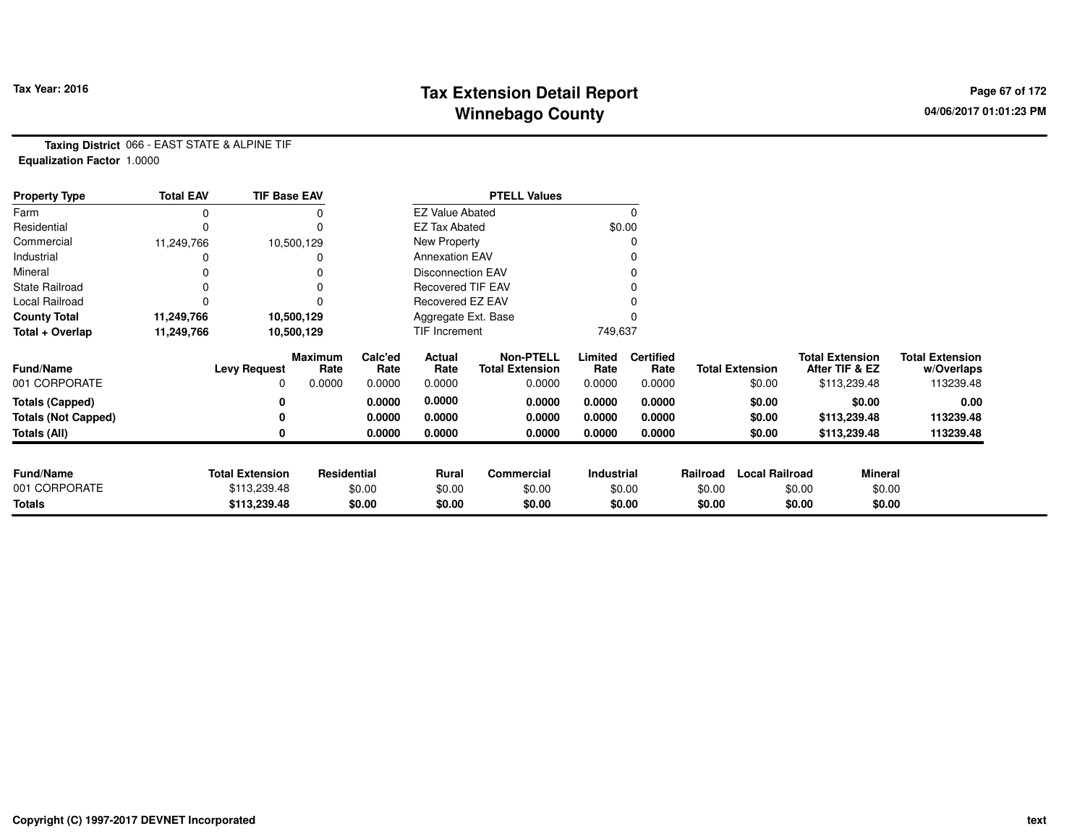# **Tax Extension Detail Report Tax Year: 2016 Page 67 of 172 Winnebago County**

**Taxing District** 066 - EAST STATE & ALPINE TIF**Equalization Factor** 1.0000

| <b>Property Type</b>       | <b>Total EAV</b> | <b>TIF Base EAV</b>    |                 |                 |                          | <b>PTELL Values</b>                        |                 |                          |          |                        |                                          |                                      |
|----------------------------|------------------|------------------------|-----------------|-----------------|--------------------------|--------------------------------------------|-----------------|--------------------------|----------|------------------------|------------------------------------------|--------------------------------------|
| Farm                       | 0                |                        |                 |                 | <b>EZ Value Abated</b>   |                                            |                 | 0                        |          |                        |                                          |                                      |
| Residential                | 0                |                        |                 |                 | <b>EZ Tax Abated</b>     |                                            |                 | \$0.00                   |          |                        |                                          |                                      |
| Commercial                 | 11,249,766       |                        | 10,500,129      |                 | New Property             |                                            |                 |                          |          |                        |                                          |                                      |
| Industrial                 |                  |                        |                 |                 | <b>Annexation EAV</b>    |                                            |                 |                          |          |                        |                                          |                                      |
| Mineral                    |                  |                        |                 |                 | <b>Disconnection EAV</b> |                                            |                 |                          |          |                        |                                          |                                      |
| <b>State Railroad</b>      | 0                |                        |                 |                 | <b>Recovered TIF EAV</b> |                                            |                 |                          |          |                        |                                          |                                      |
| Local Railroad             |                  |                        |                 |                 | Recovered EZ EAV         |                                            |                 |                          |          |                        |                                          |                                      |
| <b>County Total</b>        | 11,249,766       |                        | 10,500,129      |                 | Aggregate Ext. Base      |                                            |                 |                          |          |                        |                                          |                                      |
| Total + Overlap            | 11,249,766       |                        | 10,500,129      |                 | TIF Increment            |                                            | 749,637         |                          |          |                        |                                          |                                      |
| <b>Fund/Name</b>           |                  | <b>Levy Request</b>    | Maximum<br>Rate | Calc'ed<br>Rate | Actual<br>Rate           | <b>Non-PTELL</b><br><b>Total Extension</b> | Limited<br>Rate | <b>Certified</b><br>Rate |          | <b>Total Extension</b> | <b>Total Extension</b><br>After TIF & EZ | <b>Total Extension</b><br>w/Overlaps |
| 001 CORPORATE              |                  | $\Omega$               | 0.0000          | 0.0000          | 0.0000                   | 0.0000                                     | 0.0000          | 0.0000                   |          | \$0.00                 | \$113,239.48                             | 113239.48                            |
| <b>Totals (Capped)</b>     |                  | 0                      |                 | 0.0000          | 0.0000                   | 0.0000                                     | 0.0000          | 0.0000                   |          | \$0.00                 | \$0.00                                   | 0.00                                 |
| <b>Totals (Not Capped)</b> |                  | 0                      |                 | 0.0000          | 0.0000                   | 0.0000                                     | 0.0000          | 0.0000                   |          | \$0.00                 | \$113,239.48                             | 113239.48                            |
| <b>Totals (All)</b>        |                  | 0                      |                 | 0.0000          | 0.0000                   | 0.0000                                     | 0.0000          | 0.0000                   |          | \$0.00                 | \$113,239.48                             | 113239.48                            |
|                            |                  |                        |                 |                 |                          |                                            |                 |                          |          |                        |                                          |                                      |
| <b>Fund/Name</b>           |                  | <b>Total Extension</b> | Residential     |                 | Commercial<br>Rural      |                                            | Industrial      |                          | Railroad | <b>Local Railroad</b>  |                                          | <b>Mineral</b>                       |
| 001 CORPORATE              |                  | \$113,239.48           |                 | \$0.00          | \$0.00                   | \$0.00                                     | \$0.00          |                          | \$0.00   |                        | \$0.00                                   | \$0.00                               |
| Totals                     |                  | \$113,239.48           |                 | \$0.00          | \$0.00                   | \$0.00                                     |                 | \$0.00                   | \$0.00   |                        | \$0.00                                   | \$0.00                               |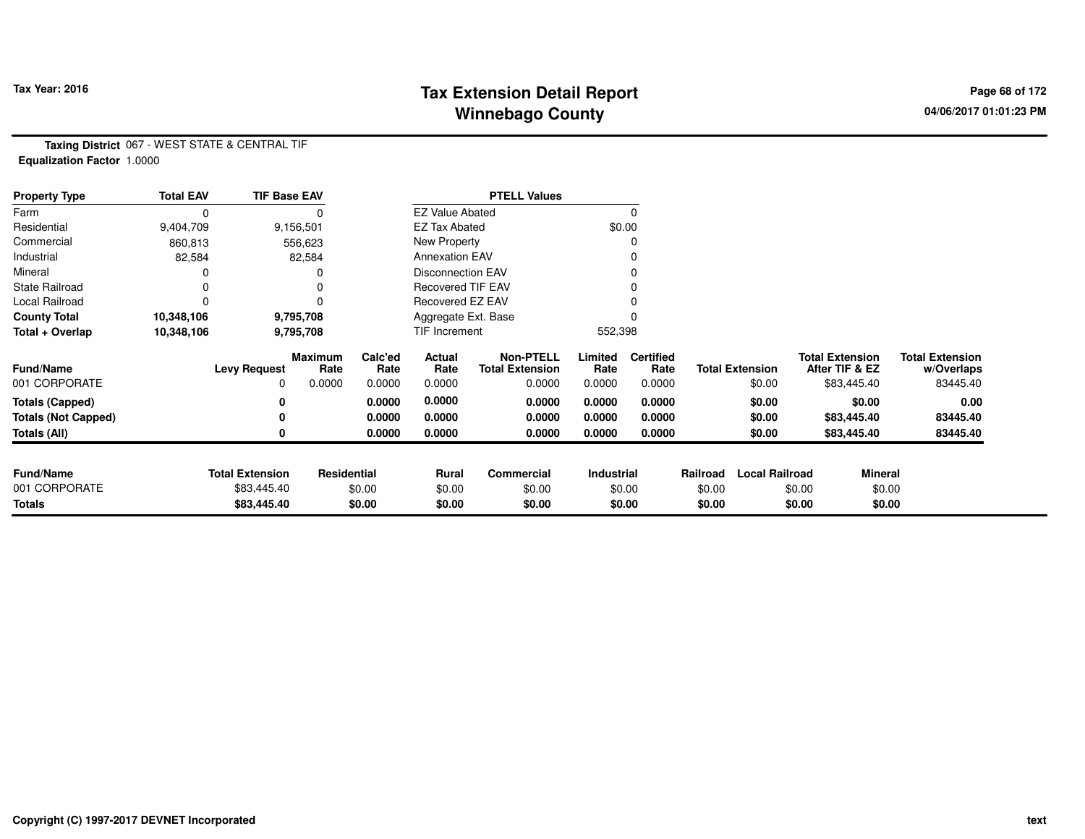# **Tax Extension Detail Report Tax Year: 2016 Page 68 of 172 Winnebago County**

**Taxing District** 067 - WEST STATE & CENTRAL TIF**Equalization Factor** 1.0000

| <b>Property Type</b>       | <b>Total EAV</b> | <b>TIF Base EAV</b>    |                        |                 |                          | <b>PTELL Values</b>                        |                 |                          |          |                        |                                          |                                      |
|----------------------------|------------------|------------------------|------------------------|-----------------|--------------------------|--------------------------------------------|-----------------|--------------------------|----------|------------------------|------------------------------------------|--------------------------------------|
| Farm                       | 0                |                        |                        |                 | <b>EZ Value Abated</b>   |                                            |                 |                          |          |                        |                                          |                                      |
| Residential                | 9,404,709        |                        | 9,156,501              |                 | <b>EZ Tax Abated</b>     |                                            |                 | \$0.00                   |          |                        |                                          |                                      |
| Commercial                 | 860,813          |                        | 556,623                |                 | New Property             |                                            |                 |                          |          |                        |                                          |                                      |
| Industrial                 | 82,584           |                        | 82,584                 |                 | <b>Annexation EAV</b>    |                                            |                 |                          |          |                        |                                          |                                      |
| Mineral                    |                  |                        |                        |                 | <b>Disconnection EAV</b> |                                            |                 |                          |          |                        |                                          |                                      |
| State Railroad             | 0                |                        |                        |                 | <b>Recovered TIF EAV</b> |                                            |                 |                          |          |                        |                                          |                                      |
| Local Railroad             | 0                |                        |                        |                 | Recovered EZ EAV         |                                            |                 |                          |          |                        |                                          |                                      |
| <b>County Total</b>        | 10,348,106       |                        | 9,795,708              |                 | Aggregate Ext. Base      |                                            |                 |                          |          |                        |                                          |                                      |
| Total + Overlap            | 10,348,106       |                        | 9,795,708              |                 | TIF Increment            |                                            | 552,398         |                          |          |                        |                                          |                                      |
| <b>Fund/Name</b>           |                  | <b>Levy Request</b>    | <b>Maximum</b><br>Rate | Calc'ed<br>Rate | Actual<br>Rate           | <b>Non-PTELL</b><br><b>Total Extension</b> | Limited<br>Rate | <b>Certified</b><br>Rate |          | <b>Total Extension</b> | <b>Total Extension</b><br>After TIF & EZ | <b>Total Extension</b><br>w/Overlaps |
| 001 CORPORATE              |                  | 0                      | 0.0000                 | 0.0000          | 0.0000                   | 0.0000                                     | 0.0000          | 0.0000                   |          | \$0.00                 | \$83,445.40                              | 83445.40                             |
| <b>Totals (Capped)</b>     |                  | 0                      |                        | 0.0000          | 0.0000                   | 0.0000                                     | 0.0000          | 0.0000                   |          | \$0.00                 | \$0.00                                   | 0.00                                 |
| <b>Totals (Not Capped)</b> |                  | 0                      |                        | 0.0000          | 0.0000                   | 0.0000                                     | 0.0000          | 0.0000                   |          | \$0.00                 | \$83,445.40                              | 83445.40                             |
| Totals (All)               |                  | 0                      |                        | 0.0000          | 0.0000                   | 0.0000                                     | 0.0000          | 0.0000                   |          | \$0.00                 | \$83,445.40                              | 83445.40                             |
|                            |                  |                        |                        |                 |                          |                                            |                 |                          |          |                        |                                          |                                      |
| <b>Fund/Name</b>           |                  | <b>Total Extension</b> | Residential            |                 | Rural                    | Commercial                                 | Industrial      |                          | Railroad | <b>Local Railroad</b>  |                                          | <b>Mineral</b>                       |
| 001 CORPORATE              |                  | \$83,445.40            |                        | \$0.00          | \$0.00<br>\$0.00         |                                            | \$0.00          |                          | \$0.00   |                        | \$0.00                                   | \$0.00                               |
| <b>Totals</b>              |                  | \$83,445.40            |                        | \$0.00          | \$0.00                   | \$0.00                                     |                 | \$0.00                   | \$0.00   |                        | \$0.00                                   | \$0.00                               |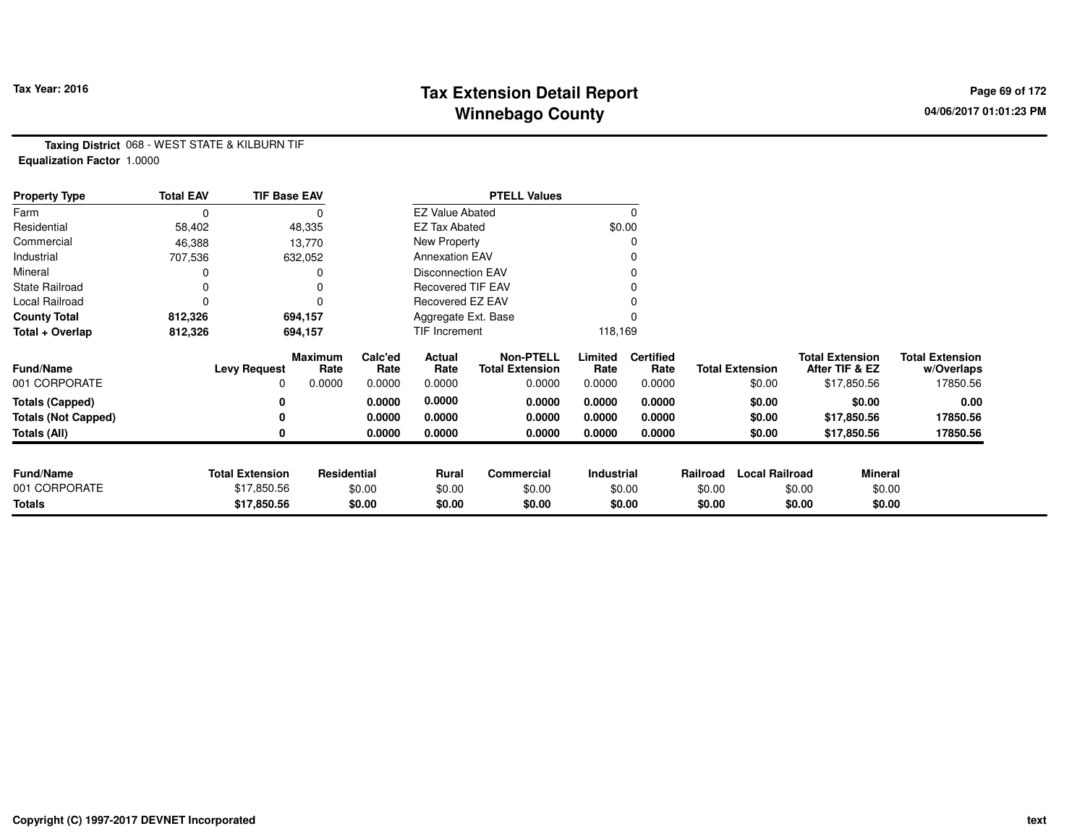# **Tax Extension Detail Report Tax Year: 2016 Page 69 of 172 Winnebago County**

**Taxing District** 068 - WEST STATE & KILBURN TIF**Equalization Factor** 1.0000

| <b>Property Type</b>       | <b>Total EAV</b> | <b>TIF Base EAV</b>    |                 |                 |                          | <b>PTELL Values</b>                        |                   |                          |          |                        |        |                                          |                                      |
|----------------------------|------------------|------------------------|-----------------|-----------------|--------------------------|--------------------------------------------|-------------------|--------------------------|----------|------------------------|--------|------------------------------------------|--------------------------------------|
| Farm                       | $\Omega$         |                        |                 |                 | <b>EZ Value Abated</b>   |                                            |                   | 0                        |          |                        |        |                                          |                                      |
| Residential                | 58,402           |                        | 48,335          |                 | <b>EZ Tax Abated</b>     |                                            |                   | \$0.00                   |          |                        |        |                                          |                                      |
| Commercial                 | 46,388           |                        | 13,770          |                 | New Property             |                                            |                   | 0                        |          |                        |        |                                          |                                      |
| Industrial                 | 707,536          |                        | 632,052         |                 | <b>Annexation EAV</b>    |                                            |                   | 0                        |          |                        |        |                                          |                                      |
| Mineral                    |                  |                        | 0               |                 | <b>Disconnection EAV</b> |                                            |                   | 0                        |          |                        |        |                                          |                                      |
| <b>State Railroad</b>      |                  |                        | 0               |                 | <b>Recovered TIF EAV</b> |                                            |                   |                          |          |                        |        |                                          |                                      |
| Local Railroad             |                  |                        | $\Omega$        |                 | Recovered EZ EAV         |                                            |                   |                          |          |                        |        |                                          |                                      |
| <b>County Total</b>        | 812,326          |                        | 694,157         |                 | Aggregate Ext. Base      |                                            |                   |                          |          |                        |        |                                          |                                      |
| Total + Overlap            | 812,326          |                        | 694,157         |                 | <b>TIF Increment</b>     |                                            | 118,169           |                          |          |                        |        |                                          |                                      |
| <b>Fund/Name</b>           |                  | <b>Levy Request</b>    | Maximum<br>Rate | Calc'ed<br>Rate | Actual<br>Rate           | <b>Non-PTELL</b><br><b>Total Extension</b> | Limited<br>Rate   | <b>Certified</b><br>Rate |          | <b>Total Extension</b> |        | <b>Total Extension</b><br>After TIF & EZ | <b>Total Extension</b><br>w/Overlaps |
| 001 CORPORATE              |                  | 0                      | 0.0000          | 0.0000          | 0.0000                   | 0.0000                                     | 0.0000            | 0.0000                   |          | \$0.00                 |        | \$17,850.56                              | 17850.56                             |
| <b>Totals (Capped)</b>     |                  | 0                      |                 | 0.0000          | 0.0000                   | 0.0000                                     | 0.0000            | 0.0000                   |          | \$0.00                 |        | \$0.00                                   | 0.00                                 |
| <b>Totals (Not Capped)</b> |                  | 0                      |                 | 0.0000          | 0.0000                   | 0.0000                                     | 0.0000            | 0.0000                   |          | \$0.00                 |        | \$17,850.56                              | 17850.56                             |
| Totals (All)               |                  | 0                      |                 | 0.0000          | 0.0000                   | 0.0000                                     | 0.0000            | 0.0000                   |          | \$0.00                 |        | \$17,850.56                              | 17850.56                             |
| <b>Fund/Name</b>           |                  | <b>Total Extension</b> |                 |                 |                          | Commercial                                 | <b>Industrial</b> |                          | Railroad | <b>Local Railroad</b>  |        |                                          |                                      |
| 001 CORPORATE              |                  | \$17,850.56            | Residential     | \$0.00          | Rural<br>\$0.00          | \$0.00                                     |                   | \$0.00                   | \$0.00   |                        | \$0.00 | Mineral<br>\$0.00                        |                                      |
| <b>Totals</b>              |                  | \$17,850.56            |                 | \$0.00          | \$0.00                   | \$0.00                                     |                   | \$0.00                   | \$0.00   |                        | \$0.00 | \$0.00                                   |                                      |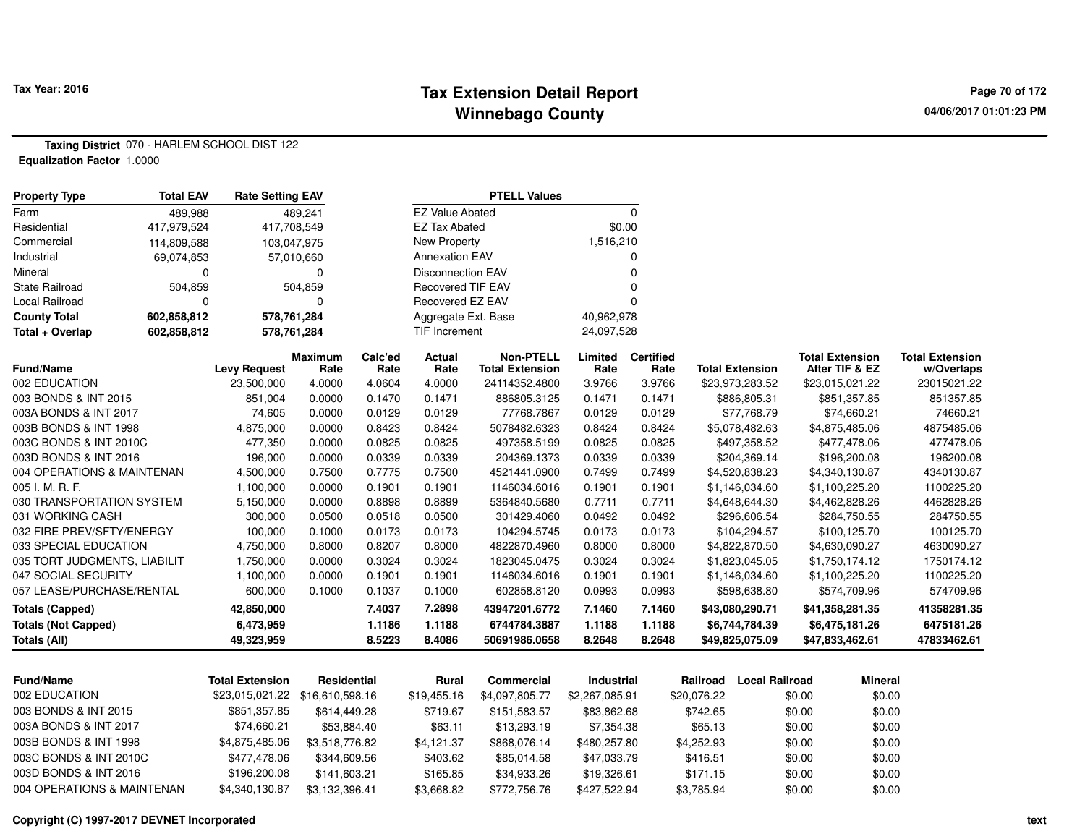### **Tax Extension Detail Report Tax Year: 2016 Page 70 of 172 Winnebago County**

**Taxing District** 070 - HARLEM SCHOOL DIST 122**Equalization Factor** 1.0000

| <b>Property Type</b>         | <b>Total EAV</b>           | <b>Rate Setting EAV</b> |                          |                          |                        | <b>PTELL Values</b>                        |                 |                          |                        |                                          |                                      |
|------------------------------|----------------------------|-------------------------|--------------------------|--------------------------|------------------------|--------------------------------------------|-----------------|--------------------------|------------------------|------------------------------------------|--------------------------------------|
| Farm                         | 489,988                    |                         | 489,241                  |                          | <b>EZ Value Abated</b> |                                            |                 | $\Omega$                 |                        |                                          |                                      |
| Residential                  | 417,979,524                | 417,708,549             |                          |                          | <b>EZ Tax Abated</b>   |                                            | \$0.00          |                          |                        |                                          |                                      |
| Commercial                   | 114,809,588                | 103,047,975             |                          |                          | <b>New Property</b>    |                                            | 1,516,210       |                          |                        |                                          |                                      |
| Industrial                   | 69,074,853                 | 57,010,660              |                          | <b>Annexation EAV</b>    |                        |                                            |                 | 0                        |                        |                                          |                                      |
| Mineral                      | $\Omega$<br>0              |                         |                          | <b>Disconnection EAV</b> |                        |                                            | 0               |                          |                        |                                          |                                      |
| State Railroad               | 504,859<br>504,859         |                         | <b>Recovered TIF EAV</b> |                          |                        |                                            |                 |                          |                        |                                          |                                      |
| Local Railroad               | 0<br>0                     |                         |                          | Recovered EZ EAV         |                        |                                            |                 |                          |                        |                                          |                                      |
| <b>County Total</b>          | 578,761,284<br>602,858,812 |                         |                          | Aggregate Ext. Base      |                        | 40,962,978                                 |                 |                          |                        |                                          |                                      |
| Total + Overlap              | 602,858,812                | 578,761,284             |                          |                          | <b>TIF Increment</b>   |                                            | 24,097,528      |                          |                        |                                          |                                      |
| <b>Fund/Name</b>             |                            | <b>Levy Request</b>     | <b>Maximum</b><br>Rate   | Calc'ed<br>Rate          | <b>Actual</b><br>Rate  | <b>Non-PTELL</b><br><b>Total Extension</b> | Limited<br>Rate | <b>Certified</b><br>Rate | <b>Total Extension</b> | <b>Total Extension</b><br>After TIF & EZ | <b>Total Extension</b><br>w/Overlaps |
| 002 EDUCATION                |                            | 23,500,000              | 4.0000                   | 4.0604                   | 4.0000                 | 24114352.4800                              | 3.9766          | 3.9766                   | \$23,973,283.52        | \$23,015,021.22                          | 23015021.22                          |
| 003 BONDS & INT 2015         |                            | 851,004                 | 0.0000                   | 0.1470                   | 0.1471                 | 886805.3125                                | 0.1471          | 0.1471                   | \$886,805.31           | \$851,357.85                             | 851357.85                            |
| 003A BONDS & INT 2017        |                            | 74,605                  | 0.0000                   | 0.0129                   | 0.0129                 | 77768.7867                                 | 0.0129          | 0.0129                   | \$77,768.79            | \$74,660.21                              | 74660.21                             |
| 003B BONDS & INT 1998        |                            | 4,875,000               | 0.0000                   | 0.8423                   | 0.8424                 | 5078482.6323                               | 0.8424          | 0.8424                   | \$5,078,482.63         | \$4,875,485.06                           | 4875485.06                           |
| 003C BONDS & INT 2010C       |                            | 477,350                 | 0.0000                   | 0.0825                   | 0.0825                 | 497358.5199                                | 0.0825          | 0.0825                   | \$497,358.52           | \$477,478.06                             | 477478.06                            |
| 003D BONDS & INT 2016        |                            | 196,000                 | 0.0000                   | 0.0339                   | 0.0339                 | 204369.1373                                | 0.0339          | 0.0339                   | \$204,369.14           | \$196,200.08                             | 196200.08                            |
| 004 OPERATIONS & MAINTENAN   |                            | 4,500,000               | 0.7500                   | 0.7775                   | 0.7500                 | 4521441.0900                               | 0.7499          | 0.7499                   | \$4,520,838.23         | \$4,340,130.87                           | 4340130.87                           |
| 005 I. M. R. F.              |                            | 1,100,000               | 0.0000                   | 0.1901                   | 0.1901                 | 1146034.6016                               | 0.1901          | 0.1901                   | \$1,146,034.60         | \$1,100,225.20                           | 1100225.20                           |
| 030 TRANSPORTATION SYSTEM    |                            | 5,150,000               | 0.0000                   | 0.8898                   | 0.8899                 | 5364840.5680                               | 0.7711          | 0.7711                   | \$4,648,644.30         | \$4,462,828.26                           | 4462828.26                           |
| 031 WORKING CASH             |                            | 300,000                 | 0.0500                   | 0.0518                   | 0.0500                 | 301429.4060                                | 0.0492          | 0.0492                   | \$296,606.54           | \$284,750.55                             | 284750.55                            |
| 032 FIRE PREV/SFTY/ENERGY    |                            | 100,000                 | 0.1000                   | 0.0173                   | 0.0173                 | 104294.5745                                | 0.0173          | 0.0173                   | \$104,294.57           | \$100,125.70                             | 100125.70                            |
| 033 SPECIAL EDUCATION        |                            | 4,750,000               | 0.8000                   | 0.8207                   | 0.8000                 | 4822870.4960                               | 0.8000          | 0.8000                   | \$4,822,870.50         | \$4,630,090.27                           | 4630090.27                           |
| 035 TORT JUDGMENTS, LIABILIT |                            | 1,750,000               | 0.0000                   | 0.3024                   | 0.3024                 | 1823045.0475                               | 0.3024          | 0.3024                   | \$1,823,045.05         | \$1,750,174.12                           | 1750174.12                           |
| 047 SOCIAL SECURITY          |                            | 1,100,000               | 0.0000                   | 0.1901                   | 0.1901                 | 1146034.6016                               | 0.1901          | 0.1901                   | \$1,146,034.60         | \$1,100,225.20                           | 1100225.20                           |
| 057 LEASE/PURCHASE/RENTAL    |                            | 600,000                 | 0.1000                   | 0.1037                   | 0.1000                 | 602858.8120                                | 0.0993          | 0.0993                   | \$598,638.80           | \$574,709.96                             | 574709.96                            |
| <b>Totals (Capped)</b>       |                            | 42,850,000              |                          | 7.4037                   | 7.2898                 | 43947201.6772                              | 7.1460          | 7.1460                   | \$43,080,290.71        | \$41,358,281.35                          | 41358281.35                          |
| <b>Totals (Not Capped)</b>   |                            | 6,473,959               |                          | 1.1186                   | 1.1188                 | 6744784.3887                               | 1.1188          | 1.1188                   | \$6,744,784.39         | \$6,475,181.26                           | 6475181.26                           |
| Totals (All)                 |                            | 49,323,959              |                          | 8.5223                   | 8.4086                 | 50691986.0658                              | 8.2648          | 8.2648                   | \$49,825,075.09        | \$47,833,462.61                          | 47833462.61                          |

| <b>Fund/Name</b>           | Total Extension | Residential    | Rural       | Commercial     | Industrial     | Railroad    | Local Railroad | Mineral |
|----------------------------|-----------------|----------------|-------------|----------------|----------------|-------------|----------------|---------|
| 002 EDUCATION              |                 |                | \$19.455.16 | \$4.097.805.77 | \$2,267,085.91 | \$20,076.22 | \$0.00         | \$0.00  |
| 003 BONDS & INT 2015       | \$851.357.85    | \$614.449.28   | \$719.67    | \$151.583.57   | \$83.862.68    | \$742.65    | \$0.00         | \$0.00  |
| 003A BONDS & INT 2017      | \$74.660.21     | \$53.884.40    | \$63.11     | \$13,293.19    | \$7.354.38     | \$65.13     | \$0.00         | \$0.00  |
| 003B BONDS & INT 1998      | \$4.875.485.06  | \$3.518.776.82 | \$4.121.37  | \$868,076.14   | \$480,257,80   | \$4.252.93  | \$0.00         | \$0.00  |
| 003C BONDS & INT 2010C     | \$477.478.06    | \$344.609.56   | \$403.62    | \$85.014.58    | \$47.033.79    | \$416.51    | \$0.00         | \$0.00  |
| 003D BONDS & INT 2016      | \$196,200.08    | \$141.603.21   | \$165.85    | \$34.933.26    | \$19.326.61    | \$171.15    | \$0.00         | \$0.00  |
| 004 OPERATIONS & MAINTENAN | \$4.340.130.87  | \$3.132.396.41 | \$3.668.82  | \$772,756.76   | \$427.522.94   | \$3.785.94  | \$0.00         | \$0.00  |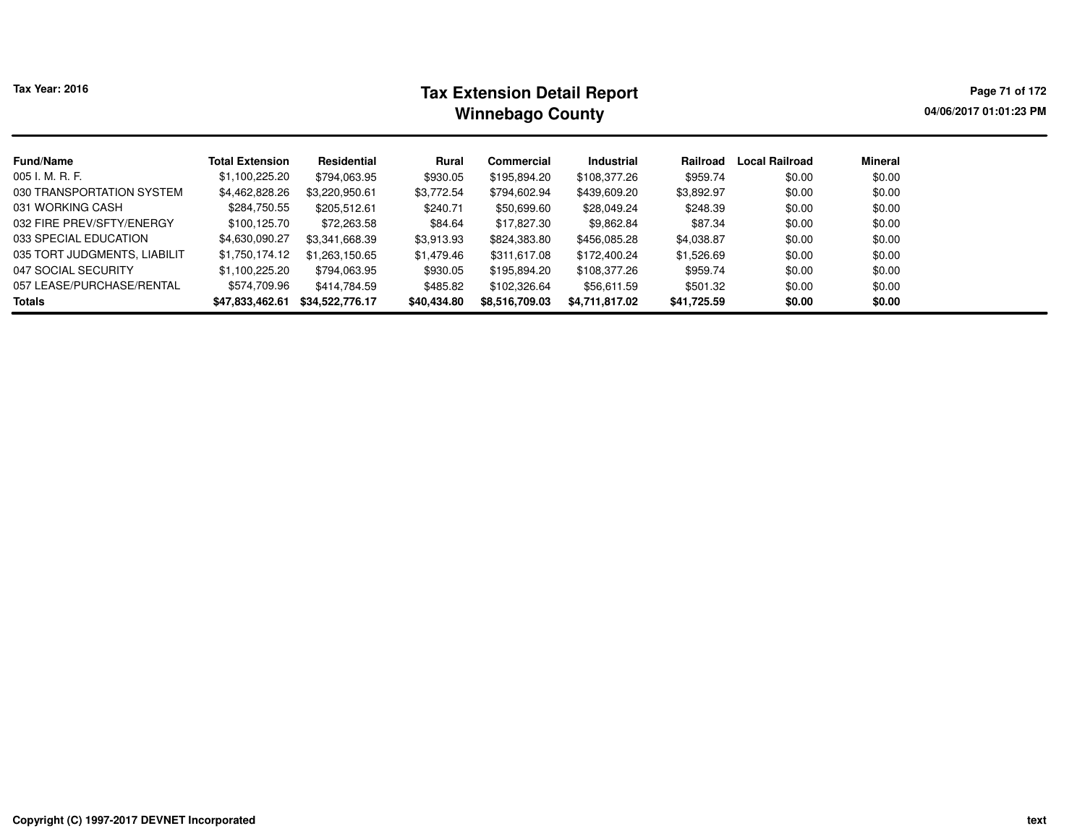| ax Year: 2016 |  |
|---------------|--|
|---------------|--|

# **Tax Extension Detail Report Tax Year: 2016 Page 71 of 172 Winnebago County**

**04/06/2017 01:01:23 PM**

| <b>Fund/Name</b>             | <b>Total Extension</b> | Residential     | Rural       | <b>Commercial</b> | <b>Industrial</b> | Railroad    | Local Railroad | <b>Mineral</b> |
|------------------------------|------------------------|-----------------|-------------|-------------------|-------------------|-------------|----------------|----------------|
| 005 I. M. R. F.              | \$1,100,225.20         | \$794,063.95    | \$930.05    | \$195,894.20      | \$108,377.26      | \$959.74    | \$0.00         | \$0.00         |
| 030 TRANSPORTATION SYSTEM    | \$4,462,828.26         | \$3,220,950.61  | \$3,772.54  | \$794,602.94      | \$439,609.20      | \$3,892.97  | \$0.00         | \$0.00         |
| 031 WORKING CASH             | \$284,750.55           | \$205.512.61    | \$240.71    | \$50,699.60       | \$28,049.24       | \$248.39    | \$0.00         | \$0.00         |
| 032 FIRE PREV/SFTY/ENERGY    | \$100.125.70           | \$72,263.58     | \$84.64     | \$17,827.30       | \$9,862.84        | \$87.34     | \$0.00         | \$0.00         |
| 033 SPECIAL EDUCATION        | \$4,630,090.27         | \$3,341,668.39  | \$3,913.93  | \$824,383.80      | \$456,085.28      | \$4,038.87  | \$0.00         | \$0.00         |
| 035 TORT JUDGMENTS, LIABILIT | \$1,750,174.12         | \$1.263.150.65  | \$1,479.46  | \$311,617.08      | \$172,400.24      | \$1,526.69  | \$0.00         | \$0.00         |
| 047 SOCIAL SECURITY          | \$1,100,225.20         | \$794.063.95    | \$930.05    | \$195,894.20      | \$108,377.26      | \$959.74    | \$0.00         | \$0.00         |
| 057 LEASE/PURCHASE/RENTAL    | \$574,709.96           | \$414,784.59    | \$485.82    | \$102,326.64      | \$56,611.59       | \$501.32    | \$0.00         | \$0.00         |
| <b>Totals</b>                | \$47,833,462.61        | \$34,522,776.17 | \$40,434.80 | \$8,516,709.03    | \$4,711,817.02    | \$41,725.59 | \$0.00         | \$0.00         |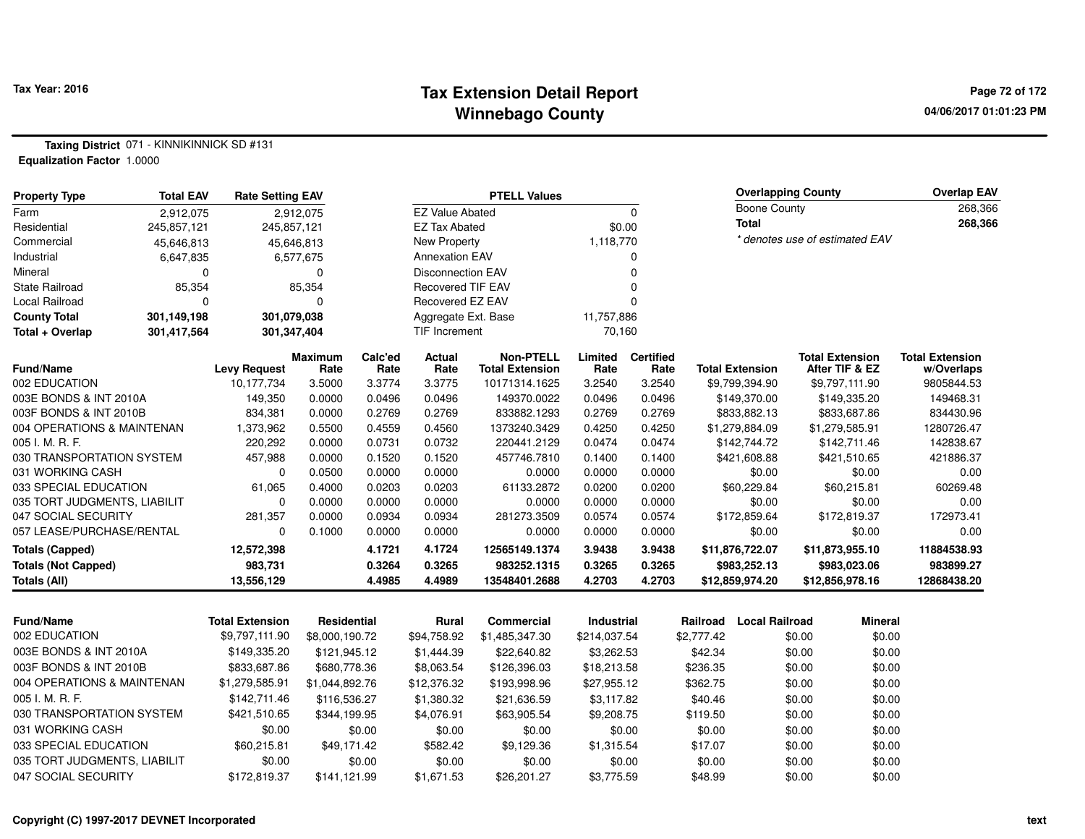#### **Tax Extension Detail Report Tax Year: 2016 Page 72 of 172 Winnebago County**

**Taxing District** 071 - KINNIKINNICK SD #131**Equalization Factor** 1.0000

| <b>Property Type</b>            | <b>Total EAV</b> | <b>Rate Setting EAV</b> | <b>PTELL Values</b>    |                        |                          |                                            |                   |                          | <b>Overlapping County</b>      |                        |         | <b>Overlap EAV</b>                       |                                      |
|---------------------------------|------------------|-------------------------|------------------------|------------------------|--------------------------|--------------------------------------------|-------------------|--------------------------|--------------------------------|------------------------|---------|------------------------------------------|--------------------------------------|
| Farm                            | 2,912,075        |                         | 2.912.075              | <b>EZ Value Abated</b> |                          | $\Omega$                                   |                   | <b>Boone County</b>      |                                |                        | 268,366 |                                          |                                      |
| Residential                     | 245,857,121      | 245,857,121             |                        |                        | <b>EZ Tax Abated</b>     |                                            |                   | \$0.00                   |                                | <b>Total</b>           |         |                                          | 268,366                              |
| Commercial                      | 45,646,813       |                         | 45,646,813             | New Property           |                          |                                            | 1,118,770         |                          | * denotes use of estimated EAV |                        |         |                                          |                                      |
| Industrial<br>6,647,835         |                  | 6,577,675               |                        | <b>Annexation EAV</b>  |                          |                                            | 0                 |                          |                                |                        |         |                                          |                                      |
| Mineral<br>$\Omega$             |                  |                         | $\mathbf 0$            |                        | <b>Disconnection EAV</b> |                                            | 0                 |                          |                                |                        |         |                                          |                                      |
| <b>State Railroad</b><br>85,354 |                  |                         | 85,354                 |                        | <b>Recovered TIF EAV</b> |                                            | $\Omega$          |                          |                                |                        |         |                                          |                                      |
| <b>Local Railroad</b>           | $\Omega$         |                         | $\Omega$               |                        | Recovered EZ EAV         |                                            | $\Omega$          |                          |                                |                        |         |                                          |                                      |
| <b>County Total</b>             | 301,149,198      |                         | 301,079,038            |                        | Aggregate Ext. Base      |                                            | 11,757,886        |                          |                                |                        |         |                                          |                                      |
| Total + Overlap                 | 301,417,564      | 301,347,404             |                        | TIF Increment          |                          | 70,160                                     |                   |                          |                                |                        |         |                                          |                                      |
| Fund/Name                       |                  | <b>Levy Request</b>     | <b>Maximum</b><br>Rate | Calc'ed<br>Rate        | <b>Actual</b><br>Rate    | <b>Non-PTELL</b><br><b>Total Extension</b> | Limited<br>Rate   | <b>Certified</b><br>Rate |                                | <b>Total Extension</b> |         | <b>Total Extension</b><br>After TIF & EZ | <b>Total Extension</b><br>w/Overlaps |
| 002 EDUCATION                   |                  | 10,177,734              | 3.5000                 | 3.3774                 | 3.3775                   | 10171314.1625                              | 3.2540            | 3.2540                   |                                | \$9,799,394.90         |         | \$9,797,111.90                           | 9805844.53                           |
| 003E BONDS & INT 2010A          |                  | 149,350                 | 0.0000                 | 0.0496                 | 0.0496                   | 149370.0022                                | 0.0496            | 0.0496                   |                                | \$149,370.00           |         | \$149,335.20                             | 149468.31                            |
| 003F BONDS & INT 2010B          |                  | 834,381                 | 0.0000                 | 0.2769                 | 0.2769                   | 833882.1293                                | 0.2769            | 0.2769                   |                                | \$833,882.13           |         | \$833,687.86                             | 834430.96                            |
| 004 OPERATIONS & MAINTENAN      |                  | 1,373,962               | 0.5500                 | 0.4559                 | 0.4560                   | 1373240.3429                               | 0.4250            | 0.4250                   |                                | \$1,279,884.09         |         | \$1,279,585.91                           | 1280726.47                           |
| 005 I. M. R. F.                 |                  | 220,292                 | 0.0000                 | 0.0731                 | 0.0732                   | 220441.2129                                | 0.0474            | 0.0474                   |                                | \$142,744.72           |         | \$142,711.46                             | 142838.67                            |
| 030 TRANSPORTATION SYSTEM       |                  | 457,988                 | 0.0000                 | 0.1520                 | 0.1520                   | 457746.7810                                | 0.1400            | 0.1400                   |                                | \$421,608.88           |         | \$421,510.65                             | 421886.37                            |
| 031 WORKING CASH                |                  | 0                       | 0.0500                 | 0.0000                 | 0.0000                   | 0.0000                                     | 0.0000            | 0.0000                   |                                | \$0.00                 |         | \$0.00                                   | 0.00                                 |
| 033 SPECIAL EDUCATION           |                  | 61,065                  | 0.4000                 | 0.0203                 | 0.0203                   | 61133.2872                                 | 0.0200            | 0.0200                   |                                | \$60,229.84            |         | \$60,215.81                              | 60269.48                             |
| 035 TORT JUDGMENTS, LIABILIT    |                  | 0                       | 0.0000                 | 0.0000                 | 0.0000                   | 0.0000                                     | 0.0000            | 0.0000                   | \$0.00                         |                        |         | \$0.00                                   | 0.00                                 |
| 047 SOCIAL SECURITY             |                  | 281,357                 | 0.0000                 | 0.0934                 | 0.0934                   | 281273.3509                                | 0.0574            | 0.0574                   |                                | \$172,859.64           |         | \$172,819.37                             | 172973.41                            |
| 057 LEASE/PURCHASE/RENTAL       |                  | 0                       | 0.1000                 | 0.0000                 | 0.0000                   | 0.0000                                     | 0.0000            | 0.0000                   |                                | \$0.00                 |         | \$0.00                                   | 0.00                                 |
| <b>Totals (Capped)</b>          |                  | 12,572,398              |                        | 4.1721                 | 4.1724                   | 12565149.1374                              | 3.9438            | 3.9438                   |                                | \$11,876,722.07        |         | \$11,873,955.10                          | 11884538.93                          |
| <b>Totals (Not Capped)</b>      |                  | 983,731                 |                        | 0.3264                 | 0.3265                   | 983252.1315                                | 0.3265            | 0.3265                   |                                | \$983,252.13           |         | \$983,023.06                             | 983899.27                            |
| <b>Totals (All)</b>             |                  | 13,556,129              |                        | 4.4985                 | 4.4989                   | 13548401.2688                              | 4.2703            | 4.2703                   |                                | \$12,859,974.20        |         | \$12,856,978.16                          | 12868438.20                          |
|                                 |                  |                         |                        |                        |                          |                                            |                   |                          |                                |                        |         |                                          |                                      |
| <b>Fund/Name</b>                |                  | <b>Total Extension</b>  | <b>Residential</b>     |                        | Rural                    | <b>Commercial</b>                          | <b>Industrial</b> |                          | Railroad                       | <b>Local Railroad</b>  |         | <b>Mineral</b>                           |                                      |
| 002 EDUCATION                   |                  | \$9,797,111.90          | \$8,000,190.72         |                        | \$94,758.92              | \$1,485,347.30                             | \$214,037.54      |                          | \$2,777.42                     |                        | \$0.00  | \$0.00                                   |                                      |
| 003E BONDS & INT 2010A          |                  | \$149,335.20            | \$121,945.12           |                        | \$1,444.39               | \$22,640.82                                | \$3,262.53        |                          | \$42.34                        |                        | \$0.00  | \$0.00                                   |                                      |
| 003F BONDS & INT 2010B          |                  | \$833,687.86            | \$680,778.36           |                        | \$8,063.54               | \$126,396.03                               | \$18,213.58       |                          | \$236.35                       |                        | \$0.00  | \$0.00                                   |                                      |
| 004 OPERATIONS & MAINTENAN      |                  | \$1,279,585.91          | \$1,044,892.76         |                        | \$12,376.32              | \$193,998.96                               | \$27,955.12       |                          | \$362.75                       |                        | \$0.00  | \$0.00                                   |                                      |
| 005 I. M. R. F.                 |                  | \$142,711.46            | \$116,536.27           |                        | \$1,380.32               | \$21,636.59                                | \$3,117.82        |                          | \$40.46                        |                        | \$0.00  | \$0.00                                   |                                      |
| 030 TRANSPORTATION SYSTEM       |                  | \$421,510.65            | \$344,199.95           |                        | \$4,076.91               | \$63,905.54                                | \$9,208.75        |                          | \$119.50                       |                        | \$0.00  | \$0.00                                   |                                      |
| 031 WORKING CASH                |                  | \$0.00                  |                        | \$0.00                 | \$0.00                   | \$0.00                                     | \$0.00            |                          | \$0.00                         |                        | \$0.00  | \$0.00                                   |                                      |
| 033 SPECIAL EDUCATION           |                  | \$60,215.81             | \$49,171.42            |                        | \$582.42                 | \$9,129.36                                 | \$1,315.54        |                          | \$17.07                        |                        | \$0.00  | \$0.00                                   |                                      |
| 035 TORT JUDGMENTS, LIABILIT    |                  | \$0.00                  |                        | \$0.00                 | \$0.00                   | \$0.00                                     | \$0.00            |                          | \$0.00                         |                        | \$0.00  | \$0.00                                   |                                      |

\$141,121.99 \$1,671.53 \$26,201.27 \$3,775.59 \$48.99 \$0.00 \$0.00

047 SOCIAL SECURITY \$172,819.37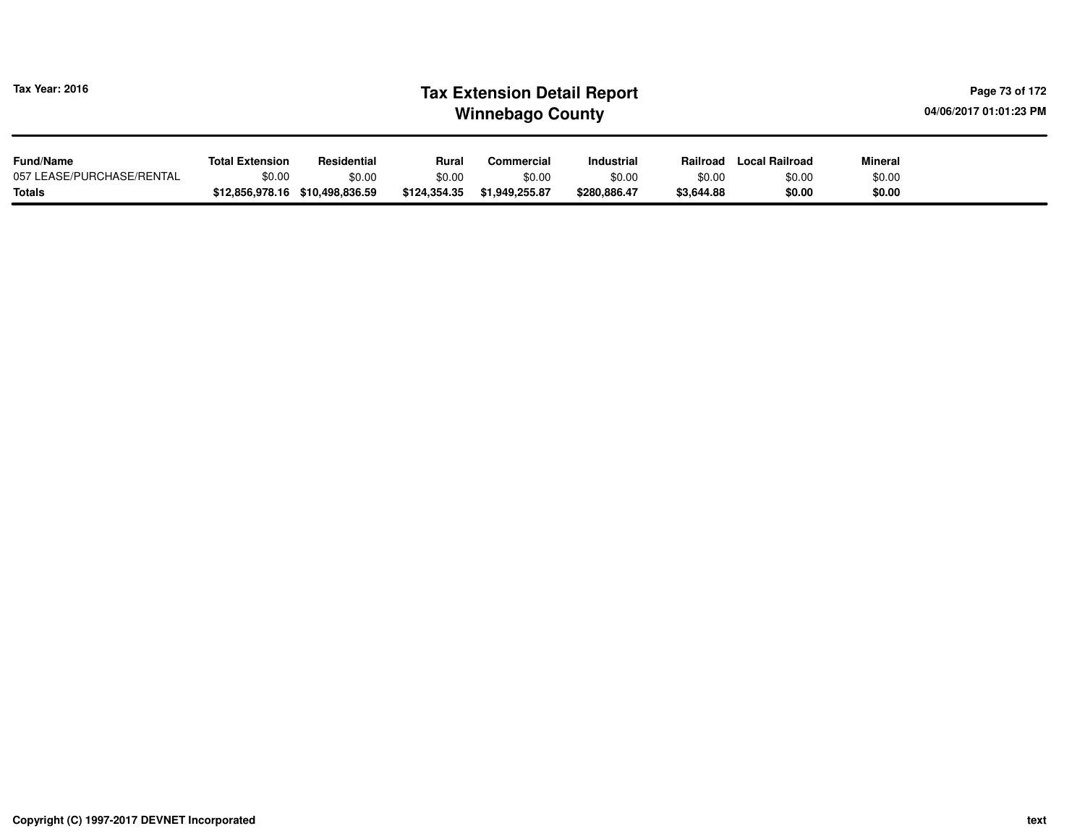| Tax Year: 2016            | <b>Tax Extension Detail Report</b><br>04/06/2017 01:01:23 PM<br><b>Winnebago County</b> |                                 |              |                   |                   |            |                |                |  |  |  |
|---------------------------|-----------------------------------------------------------------------------------------|---------------------------------|--------------|-------------------|-------------------|------------|----------------|----------------|--|--|--|
| <b>Fund/Name</b>          | <b>Total Extension</b>                                                                  | Residential                     | Rural        | <b>Commercial</b> | <b>Industrial</b> | Railroad   | Local Railroad | <b>Mineral</b> |  |  |  |
| 057 LEASE/PURCHASE/RENTAL | \$0.00                                                                                  | \$0.00                          | \$0.00       | \$0.00            | \$0.00            | \$0.00     | \$0.00         | \$0.00         |  |  |  |
| <b>Totals</b>             |                                                                                         | \$12,856,978.16 \$10,498,836.59 | \$124,354.35 | \$1,949,255.87    | \$280,886.47      | \$3,644.88 | \$0.00         | \$0.00         |  |  |  |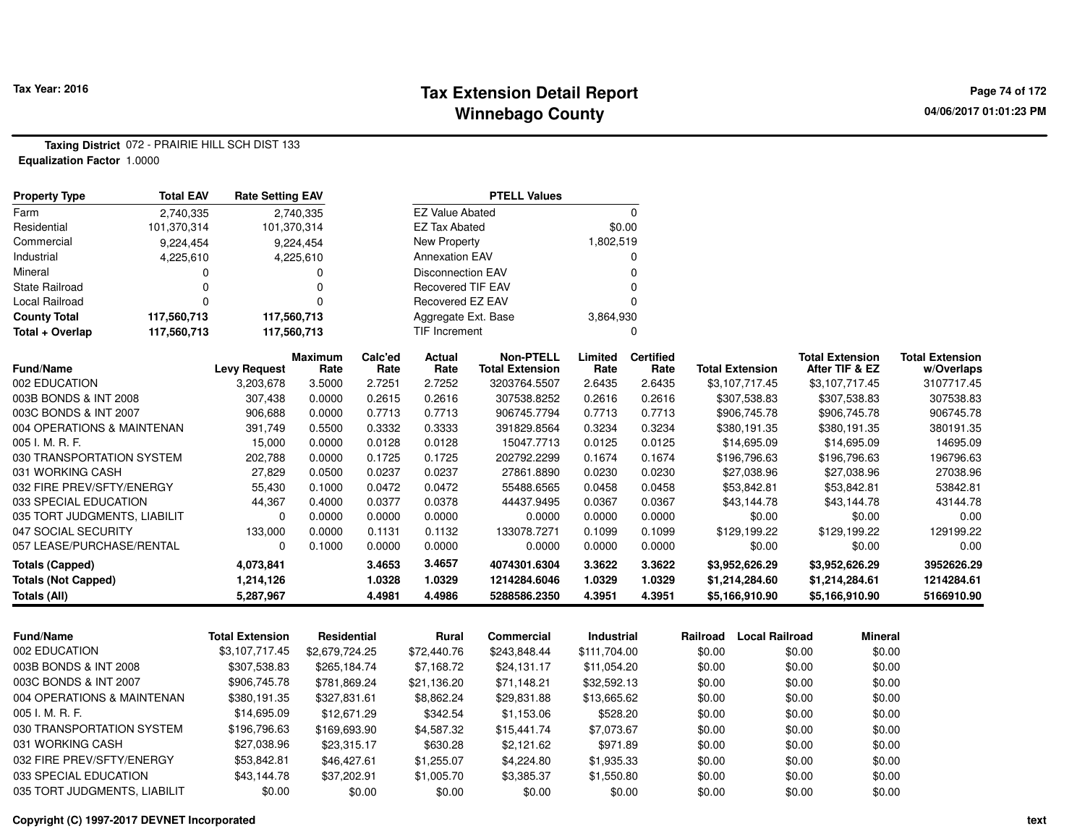#### **Tax Extension Detail Report Tax Year: 2016 Page 74 of 172 Winnebago County**

**Taxing District** 072 - PRAIRIE HILL SCH DIST 133**Equalization Factor** 1.0000

| <b>Property Type</b>         | <b>Total EAV</b> | <b>Rate Setting EAV</b> |                        |                 |                          | <b>PTELL Values</b>                        |                   |                          |          |                        |                                          |                                      |
|------------------------------|------------------|-------------------------|------------------------|-----------------|--------------------------|--------------------------------------------|-------------------|--------------------------|----------|------------------------|------------------------------------------|--------------------------------------|
| Farm                         | 2,740,335        |                         | 2,740,335              |                 | <b>EZ Value Abated</b>   |                                            |                   | 0                        |          |                        |                                          |                                      |
| Residential                  | 101,370,314      | 101,370,314             |                        |                 | <b>EZ Tax Abated</b>     |                                            | \$0.00            |                          |          |                        |                                          |                                      |
| Commercial                   | 9,224,454        |                         | 9,224,454              |                 | <b>New Property</b>      |                                            | 1,802,519         |                          |          |                        |                                          |                                      |
| Industrial                   | 4,225,610        |                         | 4,225,610              |                 | <b>Annexation EAV</b>    |                                            |                   | 0                        |          |                        |                                          |                                      |
| Mineral                      | 0                |                         | 0                      |                 | <b>Disconnection EAV</b> |                                            |                   | $\mathbf 0$              |          |                        |                                          |                                      |
| <b>State Railroad</b>        | 0                |                         | 0                      |                 | <b>Recovered TIF EAV</b> |                                            |                   | $\Omega$                 |          |                        |                                          |                                      |
| Local Railroad               | $\Omega$         |                         | $\Omega$               |                 | Recovered EZ EAV         |                                            |                   | $\Omega$                 |          |                        |                                          |                                      |
| <b>County Total</b>          | 117,560,713      | 117,560,713             |                        |                 | Aggregate Ext. Base      |                                            | 3,864,930         |                          |          |                        |                                          |                                      |
| Total + Overlap              | 117,560,713      | 117,560,713             |                        |                 | TIF Increment            |                                            |                   | $\Omega$                 |          |                        |                                          |                                      |
| <b>Fund/Name</b>             |                  | <b>Levy Request</b>     | <b>Maximum</b><br>Rate | Calc'ed<br>Rate | <b>Actual</b><br>Rate    | <b>Non-PTELL</b><br><b>Total Extension</b> | Limited<br>Rate   | <b>Certified</b><br>Rate |          | <b>Total Extension</b> | <b>Total Extension</b><br>After TIF & EZ | <b>Total Extension</b><br>w/Overlaps |
| 002 EDUCATION                |                  | 3,203,678               | 3.5000                 | 2.7251          | 2.7252                   | 3203764.5507                               | 2.6435            | 2.6435                   |          | \$3,107,717.45         | \$3,107,717.45                           | 3107717.45                           |
| 003B BONDS & INT 2008        |                  | 307,438                 | 0.0000                 | 0.2615          | 0.2616                   | 307538.8252                                | 0.2616            | 0.2616                   |          | \$307,538.83           | \$307,538.83                             | 307538.83                            |
| 003C BONDS & INT 2007        |                  | 906,688                 | 0.0000                 | 0.7713          | 0.7713                   | 906745.7794                                | 0.7713            | 0.7713                   |          | \$906,745.78           | \$906,745.78                             | 906745.78                            |
| 004 OPERATIONS & MAINTENAN   |                  | 391,749                 | 0.5500                 | 0.3332          | 0.3333                   | 391829.8564                                | 0.3234            | 0.3234                   |          | \$380,191.35           | \$380,191.35                             | 380191.35                            |
| 005 I. M. R. F.              |                  | 15,000                  | 0.0000                 | 0.0128          | 0.0128                   | 15047.7713                                 | 0.0125            | 0.0125                   |          | \$14,695.09            | \$14,695.09                              | 14695.09                             |
| 030 TRANSPORTATION SYSTEM    |                  | 202,788                 | 0.0000                 | 0.1725          | 0.1725                   | 202792.2299                                | 0.1674            | 0.1674                   |          | \$196,796.63           | \$196,796.63                             | 196796.63                            |
| 031 WORKING CASH             |                  | 27,829                  | 0.0500                 | 0.0237          | 0.0237                   | 27861.8890                                 | 0.0230            | 0.0230                   |          | \$27,038.96            | \$27,038.96                              | 27038.96                             |
| 032 FIRE PREV/SFTY/ENERGY    |                  | 55,430                  | 0.1000                 | 0.0472          | 0.0472                   | 55488.6565                                 | 0.0458            | 0.0458                   |          | \$53,842.81            | \$53,842.81                              | 53842.81                             |
| 033 SPECIAL EDUCATION        |                  | 44,367                  | 0.4000                 | 0.0377          | 0.0378                   | 44437.9495                                 | 0.0367            | 0.0367                   |          | \$43,144.78            | \$43,144.78                              | 43144.78                             |
| 035 TORT JUDGMENTS, LIABILIT |                  | $\mathbf 0$             | 0.0000                 | 0.0000          | 0.0000                   | 0.0000                                     | 0.0000            | 0.0000                   |          | \$0.00                 | \$0.00                                   | 0.00                                 |
| 047 SOCIAL SECURITY          |                  | 133,000                 | 0.0000                 | 0.1131          | 0.1132                   | 133078.7271                                | 0.1099            | 0.1099                   |          | \$129,199.22           | \$129,199.22                             | 129199.22                            |
| 057 LEASE/PURCHASE/RENTAL    |                  | $\Omega$                | 0.1000                 | 0.0000          | 0.0000                   | 0.0000                                     | 0.0000            | 0.0000                   |          | \$0.00                 | \$0.00                                   | 0.00                                 |
| <b>Totals (Capped)</b>       |                  | 4,073,841               |                        | 3.4653          | 3.4657                   | 4074301.6304                               | 3.3622            | 3.3622                   |          | \$3,952,626.29         | \$3,952,626.29                           | 3952626.29                           |
| <b>Totals (Not Capped)</b>   |                  | 1,214,126               |                        | 1.0328          | 1.0329                   | 1214284.6046                               | 1.0329            | 1.0329                   |          | \$1,214,284.60         | \$1,214,284.61                           | 1214284.61                           |
| <b>Totals (All)</b>          |                  | 5,287,967               |                        | 4.4981          | 4.4986                   | 5288586.2350                               | 4.3951            | 4.3951                   |          | \$5,166,910.90         | \$5,166,910.90                           | 5166910.90                           |
|                              |                  |                         |                        |                 |                          |                                            |                   |                          |          |                        |                                          |                                      |
| <b>Fund/Name</b>             |                  | <b>Total Extension</b>  | Residential            |                 | <b>Rural</b>             | <b>Commercial</b>                          | <b>Industrial</b> |                          | Railroad | <b>Local Railroad</b>  | <b>Mineral</b>                           |                                      |
| 002 EDUCATION                |                  | \$3,107,717.45          | \$2,679,724.25         |                 | \$72,440.76              | \$243,848.44                               | \$111,704.00      |                          | \$0.00   |                        | \$0.00                                   | \$0.00                               |
| 003B BONDS & INT 2008        |                  | \$307,538.83            | \$265,184.74           |                 | \$7,168.72               | \$24,131.17                                | \$11,054.20       |                          | \$0.00   |                        | \$0.00                                   | \$0.00                               |
| 003C BONDS & INT 2007        |                  | \$906,745.78            | \$781,869.24           |                 | \$21,136.20              | \$71,148.21                                | \$32,592.13       |                          | \$0.00   |                        | \$0.00                                   | \$0.00                               |
| 004 OPERATIONS & MAINTENAN   |                  | \$380,191.35            | \$327,831.61           |                 | \$8,862.24               | \$29,831.88                                | \$13,665.62       |                          | \$0.00   |                        | \$0.00                                   | \$0.00                               |
| 005 I. M. R. F.              |                  | \$14,695.09             | \$12,671.29            |                 | \$342.54                 | \$1,153.06                                 | \$528.20          |                          | \$0.00   |                        | \$0.00                                   | \$0.00                               |
| 030 TRANSPORTATION SYSTEM    |                  | \$196,796.63            | \$169,693.90           |                 | \$4,587.32               | \$15,441.74                                | \$7,073.67        |                          | \$0.00   |                        | \$0.00                                   | \$0.00                               |
| 031 WORKING CASH             |                  | \$27,038.96             | \$23,315.17            |                 | \$630.28                 | \$2,121.62                                 | \$971.89          |                          | \$0.00   |                        | \$0.00                                   | \$0.00                               |
| 032 FIRE PREV/SFTY/ENERGY    |                  | \$53,842.81             | \$46,427.61            |                 | \$1,255.07               | \$4,224.80                                 | \$1,935.33        |                          | \$0.00   |                        | \$0.00                                   | \$0.00                               |
| 033 SPECIAL EDUCATION        |                  | \$43,144.78             | \$37,202.91            |                 | \$1,005.70               | \$3,385.37                                 | \$1,550.80        |                          | \$0.00   |                        | \$0.00                                   | \$0.00                               |
| 035 TORT JUDGMENTS, LIABILIT |                  | \$0.00                  |                        | \$0.00          | \$0.00                   | \$0.00                                     |                   | \$0.00                   | \$0.00   |                        | \$0.00                                   | \$0.00                               |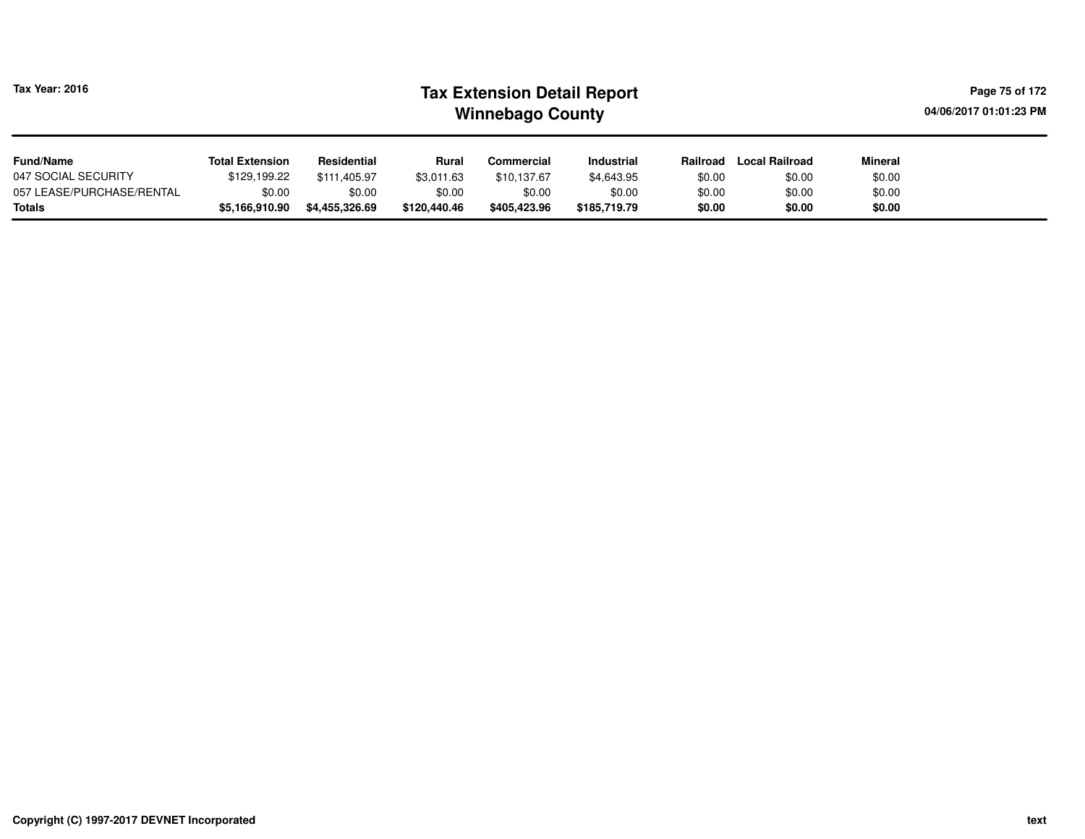| Tax Year: 2016                      | <b>Tax Extension Detail Report</b><br><b>Winnebago County</b> |                          |                        |                        |                        |                  |                       |                  |  |  |  |
|-------------------------------------|---------------------------------------------------------------|--------------------------|------------------------|------------------------|------------------------|------------------|-----------------------|------------------|--|--|--|
| <b>Fund/Name</b>                    | <b>Total Extension</b>                                        | Residential              | Rural                  | Commercial             | <b>Industrial</b>      | Railroad         | <b>Local Railroad</b> | Mineral          |  |  |  |
| 047 SOCIAL SECURITY                 | \$129.199.22                                                  | \$111,405.97             | \$3,011.63             | \$10,137.67            | \$4,643.95             | \$0.00           | \$0.00                | \$0.00           |  |  |  |
| 057 LEASE/PURCHASE/RENTAL<br>Totals | \$0.00<br>\$5,166,910.90                                      | \$0.00<br>\$4,455,326.69 | \$0.00<br>\$120,440.46 | \$0.00<br>\$405.423.96 | \$0.00<br>\$185,719.79 | \$0.00<br>\$0.00 | \$0.00<br>\$0.00      | \$0.00<br>\$0.00 |  |  |  |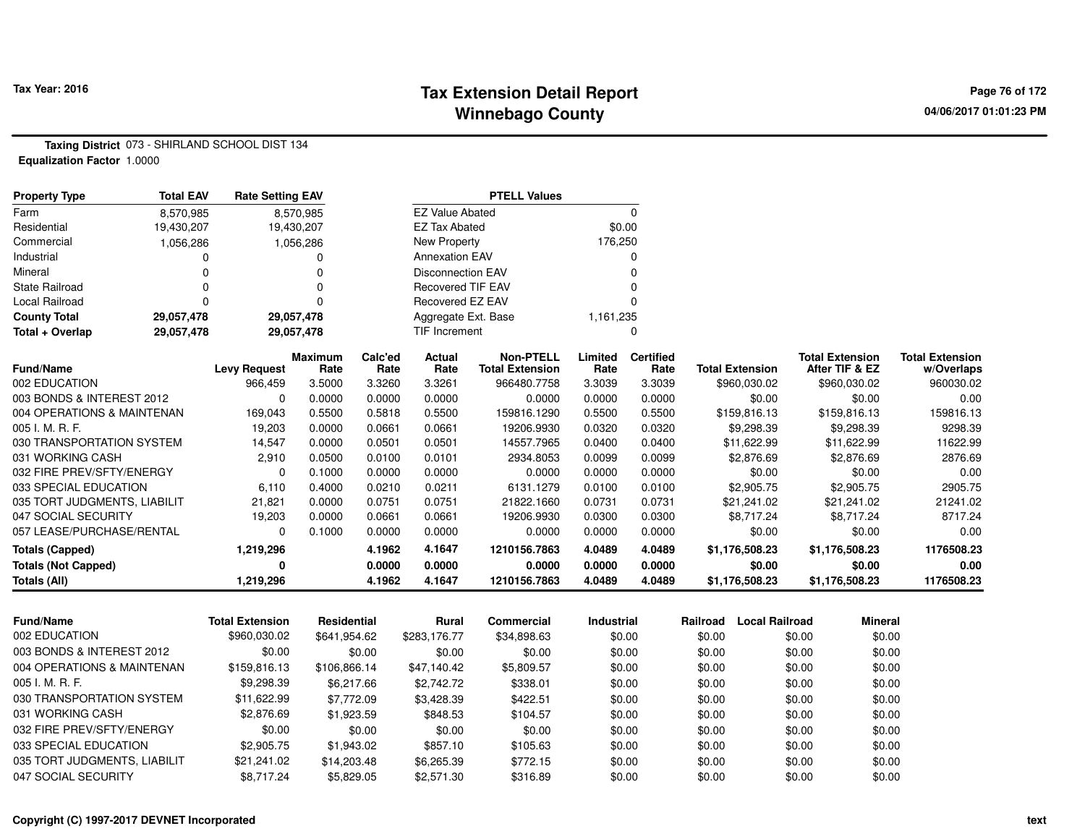#### **Tax Extension Detail Report Tax Year: 2016 Page 76 of 172 Winnebago County**

**Taxing District** 073 - SHIRLAND SCHOOL DIST 134**Equalization Factor** 1.0000

| <b>Property Type</b>         | <b>Total EAV</b> | <b>Rate Setting EAV</b> |                 |                 |                          | <b>PTELL Values</b>                        |                 |                          |                        |                                          |                                      |
|------------------------------|------------------|-------------------------|-----------------|-----------------|--------------------------|--------------------------------------------|-----------------|--------------------------|------------------------|------------------------------------------|--------------------------------------|
| Farm                         | 8.570.985        |                         | 8,570,985       |                 | <b>EZ Value Abated</b>   |                                            |                 | 0                        |                        |                                          |                                      |
| Residential                  | 19,430,207       |                         | 19,430,207      |                 | EZ Tax Abated            |                                            |                 | \$0.00                   |                        |                                          |                                      |
| Commercial                   | 1,056,286        |                         | 1,056,286       |                 | New Property             |                                            | 176,250         |                          |                        |                                          |                                      |
| Industrial                   |                  |                         | 0               |                 | <b>Annexation EAV</b>    |                                            |                 | 0                        |                        |                                          |                                      |
| Mineral                      |                  |                         |                 |                 | <b>Disconnection EAV</b> |                                            |                 |                          |                        |                                          |                                      |
| <b>State Railroad</b>        | ŋ                |                         | O               |                 | <b>Recovered TIF EAV</b> |                                            |                 |                          |                        |                                          |                                      |
| Local Railroad               | 0                |                         | 0               |                 | Recovered EZ EAV         |                                            |                 |                          |                        |                                          |                                      |
| <b>County Total</b>          | 29,057,478       |                         | 29,057,478      |                 | Aggregate Ext. Base      |                                            | 1,161,235       |                          |                        |                                          |                                      |
| Total + Overlap              | 29,057,478       |                         | 29,057,478      |                 | TIF Increment            |                                            |                 | n                        |                        |                                          |                                      |
| Fund/Name                    |                  | <b>Levy Request</b>     | Maximum<br>Rate | Calc'ed<br>Rate | Actual<br>Rate           | <b>Non-PTELL</b><br><b>Total Extension</b> | Limited<br>Rate | <b>Certified</b><br>Rate | <b>Total Extension</b> | <b>Total Extension</b><br>After TIF & EZ | <b>Total Extension</b><br>w/Overlaps |
| 002 EDUCATION                |                  | 966,459                 | 3.5000          | 3.3260          | 3.3261                   | 966480.7758                                | 3.3039          | 3.3039                   | \$960,030.02           | \$960,030.02                             | 960030.02                            |
| 003 BONDS & INTEREST 2012    |                  | $\Omega$                | 0.0000          | 0.0000          | 0.0000                   | 0.0000                                     | 0.0000          | 0.0000                   | \$0.00                 | \$0.00                                   | 0.00                                 |
| 004 OPERATIONS & MAINTENAN   |                  | 169,043                 | 0.5500          | 0.5818          | 0.5500                   | 159816.1290                                | 0.5500          | 0.5500                   | \$159,816.13           | \$159,816.13                             | 159816.13                            |
| 005 I. M. R. F.              |                  | 19,203                  | 0.0000          | 0.0661          | 0.0661                   | 19206.9930                                 | 0.0320          | 0.0320                   | \$9,298.39             | \$9,298.39                               | 9298.39                              |
| 030 TRANSPORTATION SYSTEM    |                  | 14,547                  | 0.0000          | 0.0501          | 0.0501                   | 14557.7965                                 | 0.0400          | 0.0400                   | \$11,622.99            | \$11,622.99                              | 11622.99                             |
| 031 WORKING CASH             |                  | 2,910                   | 0.0500          | 0.0100          | 0.0101                   | 2934.8053                                  | 0.0099          | 0.0099                   | \$2,876.69             | \$2,876.69                               | 2876.69                              |
| 032 FIRE PREV/SFTY/ENERGY    |                  | 0                       | 0.1000          | 0.0000          | 0.0000                   | 0.0000                                     | 0.0000          | 0.0000                   | \$0.00                 | \$0.00                                   | 0.00                                 |
| 033 SPECIAL EDUCATION        |                  | 6,110                   | 0.4000          | 0.0210          | 0.0211                   | 6131.1279                                  | 0.0100          | 0.0100                   | \$2,905.75             | \$2,905.75                               | 2905.75                              |
| 035 TORT JUDGMENTS, LIABILIT |                  | 21,821                  | 0.0000          | 0.0751          | 0.0751                   | 21822.1660                                 | 0.0731          | 0.0731                   | \$21,241.02            | \$21,241.02                              | 21241.02                             |
| 047 SOCIAL SECURITY          |                  | 19,203                  | 0.0000          | 0.0661          | 0.0661                   | 19206.9930                                 | 0.0300          | 0.0300                   | \$8,717.24             | \$8,717.24                               | 8717.24                              |
| 057 LEASE/PURCHASE/RENTAL    |                  | $\Omega$                | 0.1000          | 0.0000          | 0.0000                   | 0.0000                                     | 0.0000          | 0.0000                   | \$0.00                 | \$0.00                                   | 0.00                                 |
| <b>Totals (Capped)</b>       |                  | 1,219,296               |                 | 4.1962          | 4.1647                   | 1210156.7863                               | 4.0489          | 4.0489                   | \$1,176,508.23         | \$1,176,508.23                           | 1176508.23                           |
| <b>Totals (Not Capped)</b>   |                  | 0                       |                 | 0.0000          | 0.0000                   | 0.0000                                     | 0.0000          | 0.0000                   | \$0.00                 | \$0.00                                   | 0.00                                 |
| Totals (All)                 |                  | 1,219,296               |                 | 4.1962          | 4.1647                   | 1210156.7863                               | 4.0489          | 4.0489                   | \$1,176,508.23         | \$1,176,508.23                           | 1176508.23                           |

| <b>Fund/Name</b>             | <b>Total Extension</b> | <b>Residential</b> | Rural        | Commercial  | <b>Industrial</b> | Railroad | <b>Local Railroad</b> | <b>Mineral</b> |
|------------------------------|------------------------|--------------------|--------------|-------------|-------------------|----------|-----------------------|----------------|
| 002 EDUCATION                | \$960,030.02           | \$641.954.62       | \$283,176,77 | \$34,898.63 | \$0.00            | \$0.00   | \$0.00                | \$0.00         |
| 003 BONDS & INTEREST 2012    | \$0.00                 | \$0.00             | \$0.00       | \$0.00      | \$0.00            | \$0.00   | \$0.00                | \$0.00         |
| 004 OPERATIONS & MAINTENAN   | \$159,816.13           | \$106,866.14       | \$47.140.42  | \$5,809.57  | \$0.00            | \$0.00   | \$0.00                | \$0.00         |
| 005 I. M. R. F.              | \$9,298.39             | \$6.217.66         | \$2,742.72   | \$338.01    | \$0.00            | \$0.00   | \$0.00                | \$0.00         |
| 030 TRANSPORTATION SYSTEM    | \$11.622.99            | \$7,772.09         | \$3,428.39   | \$422.51    | \$0.00            | \$0.00   | \$0.00                | \$0.00         |
| 031 WORKING CASH             | \$2,876.69             | \$1,923.59         | \$848.53     | \$104.57    | \$0.00            | \$0.00   | \$0.00                | \$0.00         |
| 032 FIRE PREV/SFTY/ENERGY    | \$0.00                 | \$0.00             | \$0.00       | \$0.00      | \$0.00            | \$0.00   | \$0.00                | \$0.00         |
| 033 SPECIAL EDUCATION        | \$2,905.75             | \$1,943.02         | \$857.10     | \$105.63    | \$0.00            | \$0.00   | \$0.00                | \$0.00         |
| 035 TORT JUDGMENTS, LIABILIT | \$21.241.02            | \$14,203.48        | \$6,265,39   | \$772.15    | \$0.00            | \$0.00   | \$0.00                | \$0.00         |
| 047 SOCIAL SECURITY          | \$8,717.24             | \$5,829.05         | \$2,571.30   | \$316.89    | \$0.00            | \$0.00   | \$0.00                | \$0.00         |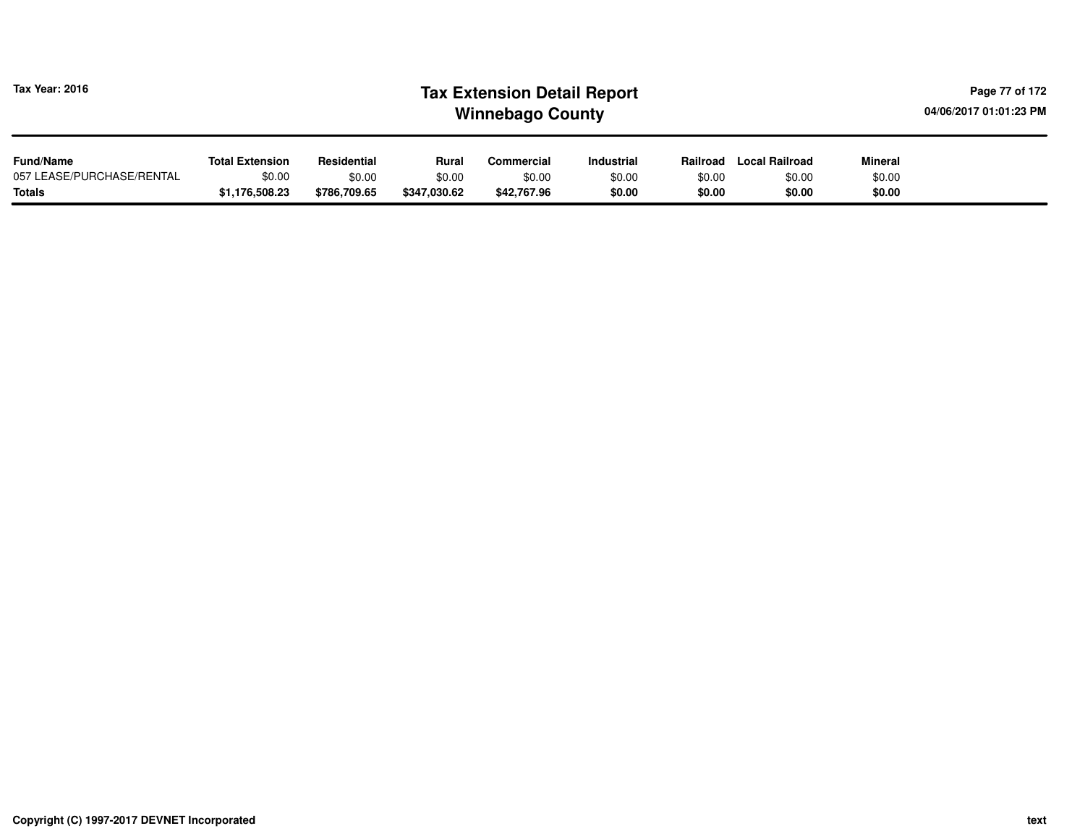| <b>Tax Year: 2016</b>     |                        |              |              | <b>Tax Extension Detail Report</b><br><b>Winnebago County</b> |                   | Page 77 of 172<br>04/06/2017 01:01:23 PM |                |                |  |
|---------------------------|------------------------|--------------|--------------|---------------------------------------------------------------|-------------------|------------------------------------------|----------------|----------------|--|
| <b>Fund/Name</b>          | <b>Total Extension</b> | Residential  | Rural        | Commercial                                                    | <b>Industrial</b> | Railroad                                 | Local Railroad | <b>Mineral</b> |  |
| 057 LEASE/PURCHASE/RENTAL | \$0.00                 | \$0.00       | \$0.00       | \$0.00                                                        | \$0.00            | \$0.00                                   | \$0.00         | \$0.00         |  |
| <b>Totals</b>             | \$1,176,508.23         | \$786,709.65 | \$347,030.62 | \$42,767.96                                                   | \$0.00            | \$0.00                                   | \$0.00         | \$0.00         |  |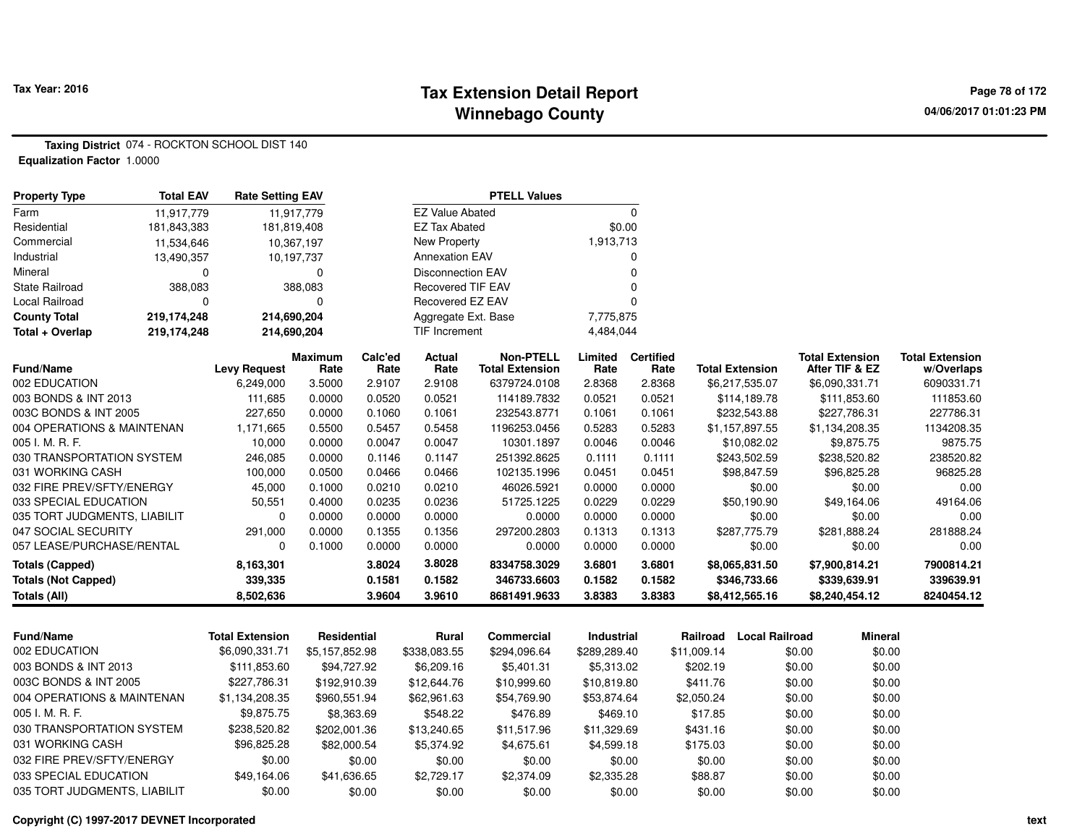#### **Tax Extension Detail Report Tax Year: 2016 Page 78 of 172 Winnebago County**

**Taxing District** 074 - ROCKTON SCHOOL DIST 140**Equalization Factor** 1.0000

| <b>Property Type</b>                                | <b>Total EAV</b> | <b>Rate Setting EAV</b> |                  |                  |                          | <b>PTELL Values</b>         |                  |                  |             |                                |                                |                        |
|-----------------------------------------------------|------------------|-------------------------|------------------|------------------|--------------------------|-----------------------------|------------------|------------------|-------------|--------------------------------|--------------------------------|------------------------|
| Farm                                                | 11,917,779       |                         | 11,917,779       |                  | <b>EZ Value Abated</b>   |                             |                  | $\mathbf 0$      |             |                                |                                |                        |
| Residential                                         | 181,843,383      | 181,819,408             |                  |                  | <b>EZ Tax Abated</b>     |                             | \$0.00           |                  |             |                                |                                |                        |
| Commercial                                          | 11,534,646       | 10,367,197              |                  |                  | New Property             |                             | 1,913,713        |                  |             |                                |                                |                        |
| Industrial                                          | 13,490,357       |                         | 10,197,737       |                  | <b>Annexation EAV</b>    |                             |                  | $\Omega$         |             |                                |                                |                        |
| Mineral                                             | 0                |                         | 0                |                  | <b>Disconnection EAV</b> |                             |                  | $\Omega$         |             |                                |                                |                        |
| <b>State Railroad</b>                               | 388,083          |                         | 388,083          |                  | <b>Recovered TIF EAV</b> |                             |                  | $\Omega$         |             |                                |                                |                        |
| Local Railroad                                      | 0                |                         | $\mathbf 0$      |                  | Recovered EZ EAV         |                             |                  | $\Omega$         |             |                                |                                |                        |
| <b>County Total</b>                                 | 219,174,248      | 214,690,204             |                  |                  | Aggregate Ext. Base      |                             | 7,775,875        |                  |             |                                |                                |                        |
| Total + Overlap                                     | 219,174,248      | 214,690,204             |                  |                  | <b>TIF Increment</b>     |                             | 4,484,044        |                  |             |                                |                                |                        |
|                                                     |                  |                         | <b>Maximum</b>   | Calc'ed          | <b>Actual</b>            | <b>Non-PTELL</b>            | Limited          | <b>Certified</b> |             |                                | <b>Total Extension</b>         | <b>Total Extension</b> |
| Fund/Name                                           |                  | <b>Levy Request</b>     | Rate             | Rate             | Rate                     | <b>Total Extension</b>      | Rate             | Rate             |             | <b>Total Extension</b>         | After TIF & EZ                 | w/Overlaps             |
| 002 EDUCATION                                       |                  | 6,249,000               | 3.5000           | 2.9107           | 2.9108                   | 6379724.0108                | 2.8368           | 2.8368           |             | \$6,217,535.07                 | \$6,090,331.71                 | 6090331.71             |
| 003 BONDS & INT 2013                                |                  | 111,685<br>227,650      | 0.0000<br>0.0000 | 0.0520           | 0.0521<br>0.1061         | 114189.7832                 | 0.0521<br>0.1061 | 0.0521<br>0.1061 |             | \$114,189.78                   | \$111,853.60                   | 111853.60<br>227786.31 |
| 003C BONDS & INT 2005<br>004 OPERATIONS & MAINTENAN |                  | 1,171,665               | 0.5500           | 0.1060<br>0.5457 | 0.5458                   | 232543.8771<br>1196253.0456 | 0.5283           | 0.5283           |             | \$232,543.88<br>\$1,157,897.55 | \$227,786.31<br>\$1,134,208.35 | 1134208.35             |
| 005 I. M. R. F.                                     |                  | 10,000                  | 0.0000           | 0.0047           | 0.0047                   | 10301.1897                  | 0.0046           | 0.0046           |             | \$10,082.02                    | \$9,875.75                     | 9875.75                |
| 030 TRANSPORTATION SYSTEM                           |                  | 246,085                 | 0.0000           | 0.1146           | 0.1147                   | 251392.8625                 | 0.1111           | 0.1111           |             | \$243,502.59                   | \$238,520.82                   | 238520.82              |
| 031 WORKING CASH                                    |                  | 100,000                 | 0.0500           | 0.0466           | 0.0466                   | 102135.1996                 | 0.0451           | 0.0451           |             | \$98,847.59                    | \$96,825.28                    | 96825.28               |
| 032 FIRE PREV/SFTY/ENERGY                           |                  | 45,000                  | 0.1000           | 0.0210           | 0.0210                   | 46026.5921                  | 0.0000           | 0.0000           |             | \$0.00                         | \$0.00                         | 0.00                   |
| 033 SPECIAL EDUCATION                               |                  | 50,551                  | 0.4000           | 0.0235           | 0.0236                   | 51725.1225                  | 0.0229           | 0.0229           |             | \$50,190.90                    | \$49,164.06                    | 49164.06               |
| 035 TORT JUDGMENTS, LIABILIT                        |                  | 0                       | 0.0000           | 0.0000           | 0.0000                   | 0.0000                      | 0.0000           | 0.0000           |             | \$0.00                         | \$0.00                         | 0.00                   |
| 047 SOCIAL SECURITY                                 |                  | 291,000                 | 0.0000           | 0.1355           | 0.1356                   | 297200.2803                 | 0.1313           | 0.1313           |             | \$287,775.79                   | \$281,888.24                   | 281888.24              |
| 057 LEASE/PURCHASE/RENTAL                           |                  | $\Omega$                | 0.1000           | 0.0000           | 0.0000                   | 0.0000                      | 0.0000           | 0.0000           |             | \$0.00                         | \$0.00                         | 0.00                   |
| <b>Totals (Capped)</b>                              |                  | 8,163,301               |                  | 3.8024           | 3.8028                   | 8334758.3029                | 3.6801           | 3.6801           |             | \$8,065,831.50                 | \$7,900,814.21                 | 7900814.21             |
| <b>Totals (Not Capped)</b>                          |                  | 339,335                 |                  | 0.1581           | 0.1582                   | 346733.6603                 | 0.1582           | 0.1582           |             | \$346,733.66                   | \$339,639.91                   | 339639.91              |
| Totals (All)                                        |                  | 8,502,636               |                  | 3.9604           | 3.9610                   | 8681491.9633                | 3.8383           | 3.8383           |             | \$8,412,565.16                 | \$8,240,454.12                 | 8240454.12             |
|                                                     |                  |                         |                  |                  |                          |                             |                  |                  |             |                                |                                |                        |
| <b>Fund/Name</b>                                    |                  | <b>Total Extension</b>  | Residential      |                  | <b>Rural</b>             | <b>Commercial</b>           | Industrial       |                  | Railroad    | <b>Local Railroad</b>          | <b>Mineral</b>                 |                        |
| 002 EDUCATION                                       |                  | \$6,090,331.71          | \$5,157,852.98   |                  | \$338,083.55             | \$294,096.64                | \$289,289.40     |                  | \$11,009.14 |                                | \$0.00<br>\$0.00               |                        |
| 003 BONDS & INT 2013                                |                  | \$111,853.60            | \$94,727.92      |                  | \$6,209.16               | \$5,401.31                  | \$5,313.02       |                  | \$202.19    | \$0.00                         | \$0.00                         |                        |
| 003C BONDS & INT 2005                               |                  | \$227,786.31            | \$192,910.39     |                  | \$12,644.76              | \$10,999.60                 | \$10,819.80      |                  | \$411.76    |                                | \$0.00<br>\$0.00               |                        |
| 004 OPERATIONS & MAINTENAN                          |                  | \$1,134,208.35          | \$960,551.94     |                  | \$62,961.63              | \$54,769.90                 | \$53,874.64      |                  | \$2,050.24  |                                | \$0.00<br>\$0.00               |                        |
| 005 I. M. R. F.                                     |                  | \$9,875.75              |                  | \$8,363.69       | \$548.22                 | \$476.89                    | \$469.10         |                  | \$17.85     |                                | \$0.00<br>\$0.00               |                        |
| 030 TRANSPORTATION SYSTEM                           |                  | \$238,520.82            | \$202,001.36     |                  | \$13,240.65              | \$11,517.96                 | \$11,329.69      |                  | \$431.16    |                                | \$0.00<br>\$0.00               |                        |
| 031 WORKING CASH                                    |                  | \$96,825.28             | \$82,000.54      |                  | \$5,374.92               | \$4,675.61                  | \$4,599.18       |                  | \$175.03    |                                | \$0.00<br>\$0.00               |                        |
| 032 FIRE PREV/SFTY/ENERGY                           |                  | \$0.00                  |                  | \$0.00           | \$0.00                   | \$0.00                      |                  | \$0.00           | \$0.00      |                                | \$0.00<br>\$0.00               |                        |
| 033 SPECIAL EDUCATION                               |                  | \$49,164.06             | \$41,636.65      |                  | \$2,729.17               | \$2,374.09                  | \$2,335.28       |                  | \$88.87     |                                | \$0.00<br>\$0.00               |                        |
| 035 TORT JUDGMENTS, LIABILIT                        |                  | \$0.00                  |                  | \$0.00           | \$0.00                   | \$0.00                      |                  | \$0.00           | \$0.00      |                                | \$0.00<br>\$0.00               |                        |

\$0.00 \$0.00 \$0.00 \$0.00 \$0.00 \$0.00 \$0.00 \$0.00 \$0.00

**Copyright (C) 1997-2017 DEVNET Incorporated**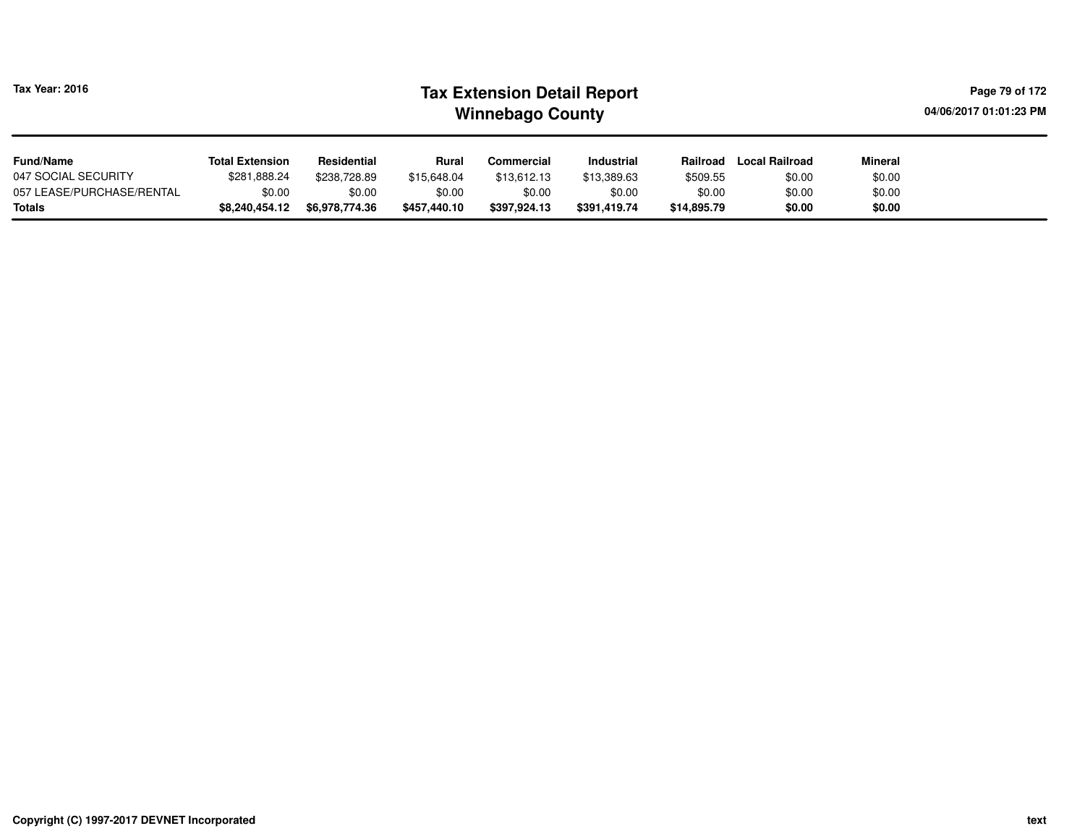| Tax Year: 2016            | <b>Tax Extension Detail Report</b><br>04/06/2017 01:01:23 PM<br><b>Winnebago County</b> |                |              |              |                   |             |                       |         |  |  |  |
|---------------------------|-----------------------------------------------------------------------------------------|----------------|--------------|--------------|-------------------|-------------|-----------------------|---------|--|--|--|
| <b>Fund/Name</b>          | <b>Total Extension</b>                                                                  | Residential    | Rural        | Commercial   | <b>Industrial</b> | Railroad    | <b>Local Railroad</b> | Mineral |  |  |  |
| 047 SOCIAL SECURITY       | \$281,888.24                                                                            | \$238.728.89   | \$15,648,04  | \$13.612.13  | \$13,389.63       | \$509.55    | \$0.00                | \$0.00  |  |  |  |
| 057 LEASE/PURCHASE/RENTAL | \$0.00                                                                                  | \$0.00         | \$0.00       | \$0.00       | \$0.00            | \$0.00      | \$0.00                | \$0.00  |  |  |  |
| Totals                    | \$8,240,454.12                                                                          | \$6,978,774.36 | \$457.440.10 | \$397.924.13 | \$391.419.74      | \$14,895.79 | \$0.00                | \$0.00  |  |  |  |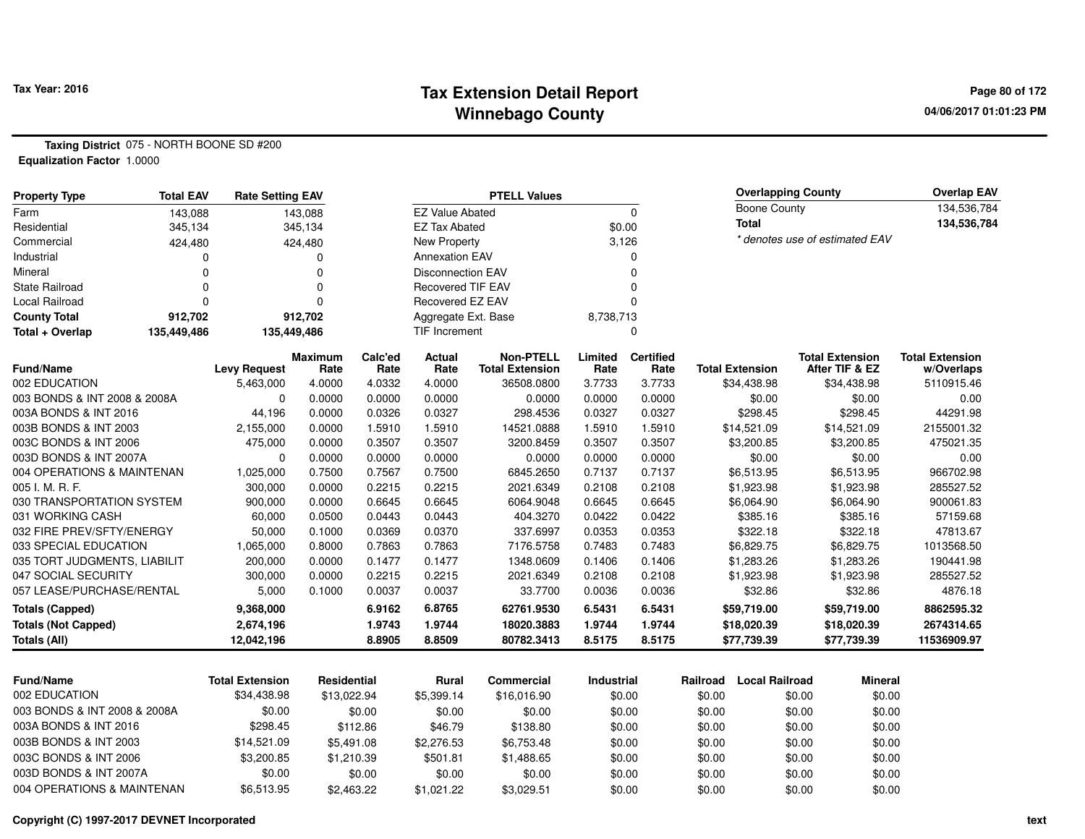#### **Tax Extension Detail Report Tax Year: 2016 Page 80 of 172 Winnebago County**

**04/06/2017 01:01:23 PM**

**Taxing District** 075 - NORTH BOONE SD #200**Equalization Factor** 1.0000

| <b>Property Type</b>         | <b>Total EAV</b> | <b>Rate Setting EAV</b> |                | <b>PTELL Values</b> |                          |                        |            |                  |                        | <b>Overlapping County</b> |                                |                        |  |
|------------------------------|------------------|-------------------------|----------------|---------------------|--------------------------|------------------------|------------|------------------|------------------------|---------------------------|--------------------------------|------------------------|--|
| Farm                         | 143,088          |                         | 143,088        |                     | <b>EZ Value Abated</b>   |                        |            | $\Omega$         |                        | <b>Boone County</b>       |                                | 134,536,784            |  |
| Residential                  | 345,134          |                         | 345,134        |                     | <b>EZ Tax Abated</b>     |                        |            | \$0.00           | <b>Total</b>           |                           |                                | 134,536,784            |  |
| Commercial                   | 424,480          |                         | 424,480        |                     | <b>New Property</b>      |                        |            | 3,126            |                        |                           | * denotes use of estimated EAV |                        |  |
| Industrial                   |                  |                         | 0              |                     | <b>Annexation EAV</b>    |                        |            | 0                |                        |                           |                                |                        |  |
| Mineral                      |                  | 0                       | 0              |                     | <b>Disconnection EAV</b> |                        |            | $\Omega$         |                        |                           |                                |                        |  |
| <b>State Railroad</b>        |                  | $\Omega$                | $\Omega$       |                     | <b>Recovered TIF EAV</b> |                        |            | $\Omega$         |                        |                           |                                |                        |  |
| Local Railroad               |                  | $\Omega$                | $\Omega$       |                     | Recovered EZ EAV         |                        |            | $\Omega$         |                        |                           |                                |                        |  |
| <b>County Total</b>          | 912,702          |                         | 912,702        |                     | Aggregate Ext. Base      |                        | 8,738,713  |                  |                        |                           |                                |                        |  |
| Total + Overlap              | 135,449,486      |                         | 135,449,486    |                     | <b>TIF Increment</b>     |                        |            | 0                |                        |                           |                                |                        |  |
|                              |                  |                         | <b>Maximum</b> | Calc'ed             | <b>Actual</b>            | <b>Non-PTELL</b>       | Limited    | <b>Certified</b> |                        |                           | <b>Total Extension</b>         | <b>Total Extension</b> |  |
| Fund/Name                    |                  | <b>Levy Request</b>     | Rate           | Rate                | Rate                     | <b>Total Extension</b> | Rate       | Rate             | <b>Total Extension</b> |                           | After TIF & EZ                 | w/Overlaps             |  |
| 002 EDUCATION                |                  | 5,463,000               | 4.0000         | 4.0332              | 4.0000                   | 36508.0800             | 3.7733     | 3.7733           | \$34,438.98            |                           | \$34,438.98                    | 5110915.46             |  |
| 003 BONDS & INT 2008 & 2008A |                  | $\mathbf 0$             | 0.0000         | 0.0000              | 0.0000                   | 0.0000                 | 0.0000     | 0.0000           |                        | \$0.00                    | \$0.00                         | 0.00                   |  |
| 003A BONDS & INT 2016        |                  | 44,196                  | 0.0000         | 0.0326              | 0.0327                   | 298.4536               | 0.0327     | 0.0327           |                        | \$298.45                  | \$298.45                       | 44291.98               |  |
| 003B BONDS & INT 2003        |                  | 2,155,000               | 0.0000         | 1.5910              | 1.5910                   | 14521.0888             | 1.5910     | 1.5910           | \$14,521.09            |                           | \$14,521.09                    | 2155001.32             |  |
| 003C BONDS & INT 2006        |                  | 475,000                 | 0.0000         | 0.3507              | 0.3507                   | 3200.8459              | 0.3507     | 0.3507           | \$3,200.85             |                           | \$3,200.85                     | 475021.35              |  |
| 003D BONDS & INT 2007A       |                  | 0                       | 0.0000         | 0.0000              | 0.0000                   | 0.0000                 | 0.0000     | 0.0000           |                        | \$0.00                    | \$0.00                         | 0.00                   |  |
| 004 OPERATIONS & MAINTENAN   |                  | 1,025,000               | 0.7500         | 0.7567              | 0.7500                   | 6845.2650              | 0.7137     | 0.7137           | \$6,513.95             |                           | \$6,513.95                     | 966702.98              |  |
| 005 I. M. R. F.              |                  | 300,000                 | 0.0000         | 0.2215              | 0.2215                   | 2021.6349              | 0.2108     | 0.2108           | \$1,923.98             |                           | \$1,923.98                     | 285527.52              |  |
| 030 TRANSPORTATION SYSTEM    |                  | 900,000                 | 0.0000         | 0.6645              | 0.6645                   | 6064.9048              | 0.6645     | 0.6645           | \$6,064.90             |                           | \$6,064.90                     | 900061.83              |  |
| 031 WORKING CASH             |                  | 60,000                  | 0.0500         | 0.0443              | 0.0443                   | 404.3270               | 0.0422     | 0.0422           |                        | \$385.16                  | \$385.16                       | 57159.68               |  |
| 032 FIRE PREV/SFTY/ENERGY    |                  | 50,000                  | 0.1000         | 0.0369              | 0.0370                   | 337.6997               | 0.0353     | 0.0353           |                        | \$322.18                  | \$322.18                       | 47813.67               |  |
| 033 SPECIAL EDUCATION        |                  | 1,065,000               | 0.8000         | 0.7863              | 0.7863                   | 7176.5758              | 0.7483     | 0.7483           | \$6,829.75             |                           | \$6,829.75                     | 1013568.50             |  |
| 035 TORT JUDGMENTS, LIABILIT |                  | 200,000                 | 0.0000         | 0.1477              | 0.1477                   | 1348.0609              | 0.1406     | 0.1406           | \$1,283.26             |                           | \$1,283.26                     | 190441.98              |  |
| 047 SOCIAL SECURITY          |                  | 300,000                 | 0.0000         | 0.2215              | 0.2215                   | 2021.6349              | 0.2108     | 0.2108           | \$1,923.98             |                           | \$1,923.98                     | 285527.52              |  |
| 057 LEASE/PURCHASE/RENTAL    |                  | 5,000                   | 0.1000         | 0.0037              | 0.0037                   | 33.7700                | 0.0036     | 0.0036           |                        | \$32.86                   | \$32.86                        | 4876.18                |  |
| <b>Totals (Capped)</b>       |                  | 9,368,000               |                | 6.9162              | 6.8765                   | 62761.9530             | 6.5431     | 6.5431           | \$59,719.00            |                           | \$59,719.00                    | 8862595.32             |  |
| <b>Totals (Not Capped)</b>   |                  | 2,674,196               |                | 1.9743              | 1.9744                   | 18020.3883             | 1.9744     | 1.9744           | \$18,020.39            |                           | \$18,020.39                    | 2674314.65             |  |
| <b>Totals (All)</b>          |                  | 12,042,196              |                | 8.8905              | 8.8509                   | 80782.3413             | 8.5175     | 8.5175           | \$77,739.39            |                           | \$77,739.39                    | 11536909.97            |  |
|                              |                  |                         |                |                     |                          |                        |            |                  |                        |                           |                                |                        |  |
| Fund/Name                    |                  | <b>Total Extension</b>  | Residential    |                     | Rural                    | Commercial             | Industrial |                  | Railroad               | <b>Local Railroad</b>     | <b>Mineral</b>                 |                        |  |
| 002 EDUCATION                |                  | \$34,438.98             | \$13,022.94    |                     | \$5,399.14               | \$16,016.90            |            | \$0.00           | \$0.00                 | \$0.00                    | \$0.00                         |                        |  |
| 003 BONDS & INT 2008 & 2008A |                  | \$0.00                  |                | \$0.00              | \$0.00                   | \$0.00                 |            | \$0.00           | \$0.00                 | \$0.00                    | \$0.00                         |                        |  |
| 003A BONDS & INT 2016        |                  | \$298.45                |                | \$112.86            | \$46.79                  | \$138.80               |            | \$0.00           | \$0.00                 | \$0.00                    | \$0.00                         |                        |  |
| 003B BONDS & INT 2003        |                  | \$14,521.09             |                | \$5,491.08          | \$2,276.53               | \$6,753.48             |            | \$0.00           | \$0.00                 | \$0.00                    | \$0.00                         |                        |  |
| 003C BONDS & INT 2006        |                  | \$3,200.85              |                | \$1,210.39          | \$501.81                 | \$1,488.65             |            | \$0.00           | \$0.00                 | \$0.00                    | \$0.00                         |                        |  |
| 003D BONDS & INT 2007A       |                  | \$0.00                  |                | \$0.00              | \$0.00                   | \$0.00                 |            | \$0.00           | \$0.00                 | \$0.00                    | \$0.00                         |                        |  |
| 004 OPERATIONS & MAINTENAN   |                  | \$6,513.95              |                | \$2,463.22          | \$1,021.22               | \$3,029.51             |            | \$0.00           | \$0.00                 | \$0.00                    | \$0.00                         |                        |  |

 $$6,513.95$   $$2,463.22$   $$1,021.22$   $$3,029.51$   $$0.00$   $$0.00$   $$0.00$   $$0.00$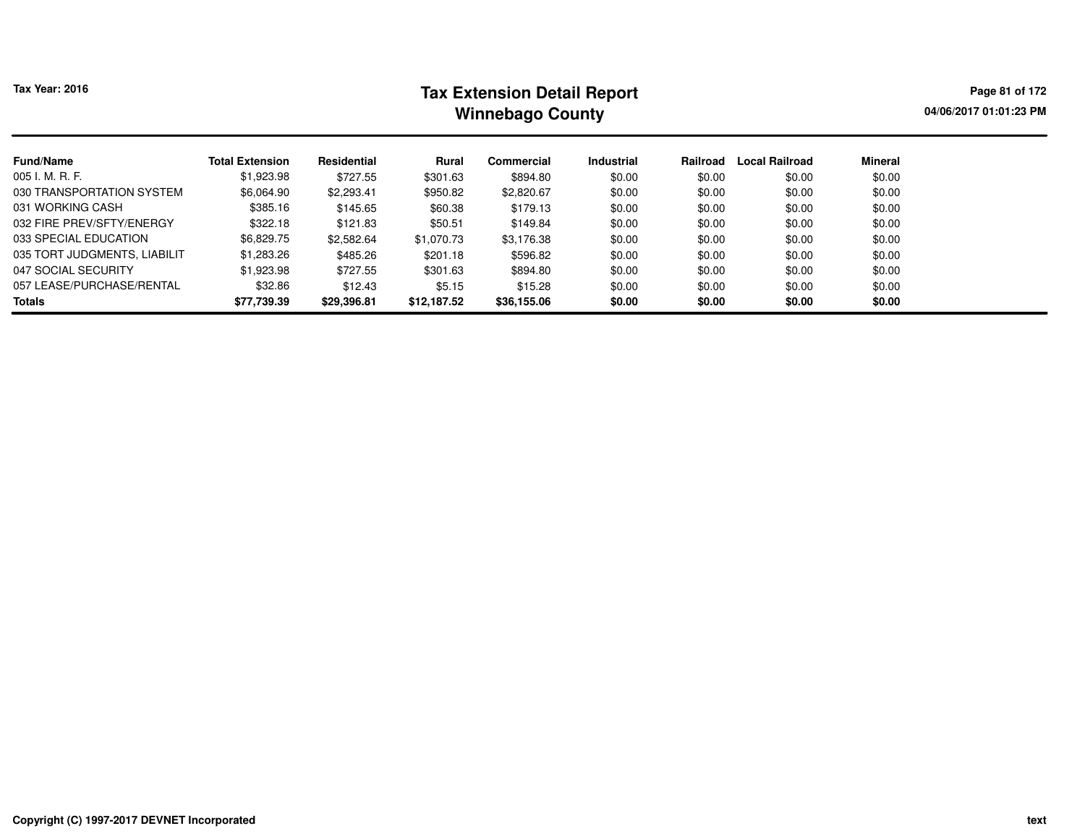# **Tax Extension Detail Report Tax Year: 2016 Page 81 of 172 Winnebago County**

**04/06/2017 01:01:23 PM**

| <b>Fund/Name</b>             | <b>Total Extension</b> | Residential | Rural       | Commercial  | <b>Industrial</b> | Railroad | <b>Local Railroad</b> | <b>Mineral</b> |
|------------------------------|------------------------|-------------|-------------|-------------|-------------------|----------|-----------------------|----------------|
| 005 I. M. R. F.              | \$1,923.98             | \$727.55    | \$301.63    | \$894.80    | \$0.00            | \$0.00   | \$0.00                | \$0.00         |
| 030 TRANSPORTATION SYSTEM    | \$6,064.90             | \$2,293.41  | \$950.82    | \$2,820.67  | \$0.00            | \$0.00   | \$0.00                | \$0.00         |
| 031 WORKING CASH             | \$385.16               | \$145.65    | \$60.38     | \$179.13    | \$0.00            | \$0.00   | \$0.00                | \$0.00         |
| 032 FIRE PREV/SFTY/ENERGY    | \$322.18               | \$121.83    | \$50.51     | \$149.84    | \$0.00            | \$0.00   | \$0.00                | \$0.00         |
| 033 SPECIAL EDUCATION        | \$6.829.75             | \$2,582.64  | \$1,070.73  | \$3,176.38  | \$0.00            | \$0.00   | \$0.00                | \$0.00         |
| 035 TORT JUDGMENTS, LIABILIT | \$1,283.26             | \$485.26    | \$201.18    | \$596.82    | \$0.00            | \$0.00   | \$0.00                | \$0.00         |
| 047 SOCIAL SECURITY          | \$1,923.98             | \$727.55    | \$301.63    | \$894.80    | \$0.00            | \$0.00   | \$0.00                | \$0.00         |
| 057 LEASE/PURCHASE/RENTAL    | \$32.86                | \$12.43     | \$5.15      | \$15.28     | \$0.00            | \$0.00   | \$0.00                | \$0.00         |
| <b>Totals</b>                | \$77,739.39            | \$29,396.81 | \$12,187.52 | \$36,155.06 | \$0.00            | \$0.00   | \$0.00                | \$0.00         |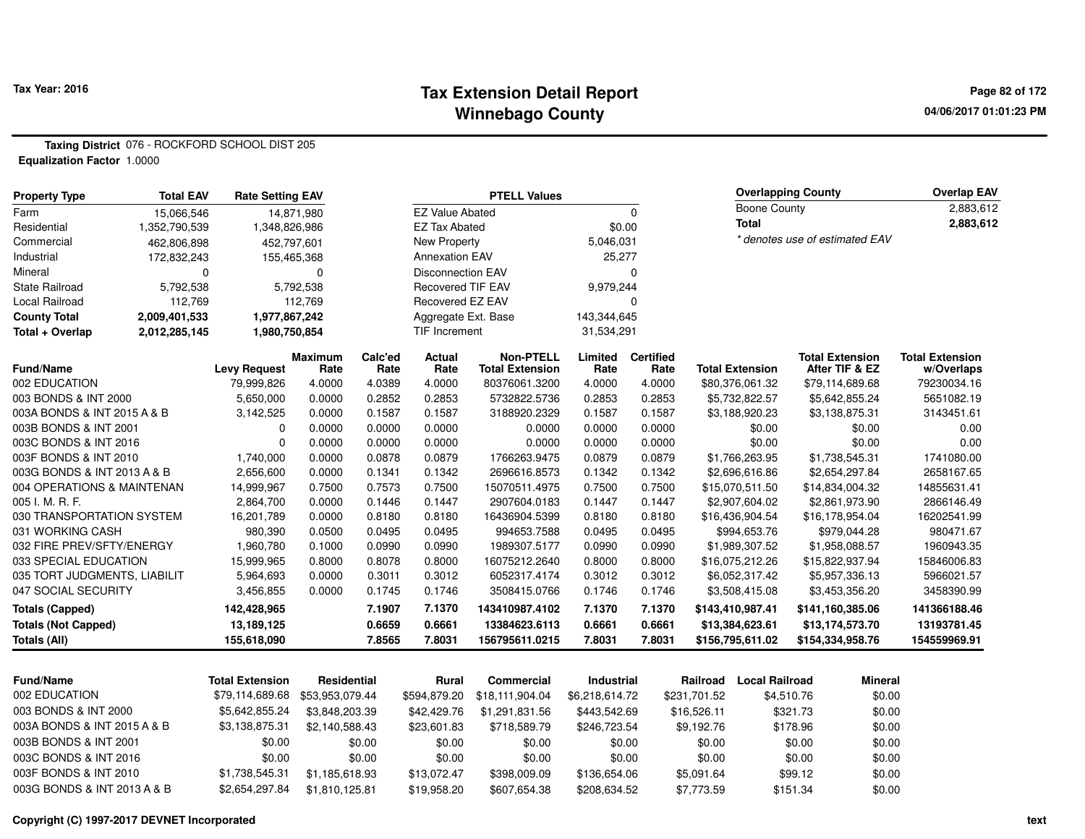#### **Tax Extension Detail Report Tax Year: 2016 Page 82 of 172 Winnebago County**

**04/06/2017 01:01:23 PM**

**Taxing District** 076 - ROCKFORD SCHOOL DIST 205**Equalization Factor** 1.0000

| <b>Property Type</b>         | <b>Total EAV</b> | <b>Rate Setting EAV</b> |                    |         |                          | <b>PTELL Values</b>    |                   |                  | <b>Overlapping County</b> |                       | <b>Overlap EAV</b>             |                        |
|------------------------------|------------------|-------------------------|--------------------|---------|--------------------------|------------------------|-------------------|------------------|---------------------------|-----------------------|--------------------------------|------------------------|
| Farm                         | 15,066,546       |                         | 14,871,980         |         | <b>EZ Value Abated</b>   |                        |                   | $\mathbf 0$      |                           | <b>Boone County</b>   |                                | 2,883,612              |
| Residential                  | 1,352,790,539    | 1,348,826,986           |                    |         | <b>EZ Tax Abated</b>     |                        | \$0.00            |                  | <b>Total</b>              |                       |                                | 2,883,612              |
| Commercial                   | 462,806,898      |                         | 452,797,601        |         | New Property             |                        | 5,046,031         |                  |                           |                       | * denotes use of estimated EAV |                        |
| Industrial                   | 172,832,243      |                         | 155,465,368        |         | <b>Annexation EAV</b>    |                        | 25,277            |                  |                           |                       |                                |                        |
| Mineral                      | $\Omega$         |                         | $\Omega$           |         | <b>Disconnection EAV</b> |                        |                   | $\Omega$         |                           |                       |                                |                        |
| <b>State Railroad</b>        | 5,792,538        |                         | 5,792,538          |         | <b>Recovered TIF EAV</b> |                        | 9,979,244         |                  |                           |                       |                                |                        |
| <b>Local Railroad</b>        | 112,769          |                         | 112.769            |         | Recovered EZ EAV         |                        |                   | $\Omega$         |                           |                       |                                |                        |
| <b>County Total</b>          | 2,009,401,533    | 1,977,867,242           |                    |         | Aggregate Ext. Base      |                        | 143,344,645       |                  |                           |                       |                                |                        |
| Total + Overlap              | 2,012,285,145    | 1,980,750,854           |                    |         | TIF Increment            |                        | 31,534,291        |                  |                           |                       |                                |                        |
|                              |                  |                         | <b>Maximum</b>     | Calc'ed | Actual                   | <b>Non-PTELL</b>       | Limited           | <b>Certified</b> |                           |                       | <b>Total Extension</b>         | <b>Total Extension</b> |
| Fund/Name                    |                  | <b>Levy Request</b>     | Rate               | Rate    | Rate                     | <b>Total Extension</b> | Rate              | Rate             | <b>Total Extension</b>    |                       | After TIF & EZ                 | w/Overlaps             |
| 002 EDUCATION                |                  | 79,999,826              | 4.0000             | 4.0389  | 4.0000                   | 80376061.3200          | 4.0000            | 4.0000           | \$80,376,061.32           |                       | \$79,114,689.68                | 79230034.16            |
| 003 BONDS & INT 2000         |                  | 5,650,000               | 0.0000             | 0.2852  | 0.2853                   | 5732822.5736           | 0.2853            | 0.2853           | \$5,732,822.57            |                       | \$5,642,855.24                 | 5651082.19             |
| 003A BONDS & INT 2015 A & B  |                  | 3,142,525               | 0.0000             | 0.1587  | 0.1587                   | 3188920.2329           | 0.1587            | 0.1587           | \$3,188,920.23            |                       | \$3,138,875.31                 | 3143451.61             |
| 003B BONDS & INT 2001        |                  | 0                       | 0.0000             | 0.0000  | 0.0000                   | 0.0000                 | 0.0000            | 0.0000           |                           | \$0.00                | \$0.00                         | 0.00                   |
| 003C BONDS & INT 2016        |                  | $\pmb{0}$               | 0.0000             | 0.0000  | 0.0000                   | 0.0000                 | 0.0000            | 0.0000           |                           | \$0.00                | \$0.00                         | 0.00                   |
| 003F BONDS & INT 2010        |                  | 1,740,000               | 0.0000             | 0.0878  | 0.0879                   | 1766263.9475           | 0.0879            | 0.0879           | \$1,766,263.95            |                       | \$1,738,545.31                 | 1741080.00             |
| 003G BONDS & INT 2013 A & B  |                  | 2,656,600               | 0.0000             | 0.1341  | 0.1342                   | 2696616.8573           | 0.1342            | 0.1342           | \$2,696,616.86            |                       | \$2,654,297.84                 | 2658167.65             |
| 004 OPERATIONS & MAINTENAN   |                  | 14,999,967              | 0.7500             | 0.7573  | 0.7500                   | 15070511.4975          | 0.7500            | 0.7500           | \$15,070,511.50           |                       | \$14,834,004.32                | 14855631.41            |
| 005 I. M. R. F.              |                  | 2,864,700               | 0.0000             | 0.1446  | 0.1447                   | 2907604.0183           | 0.1447            | 0.1447           | \$2,907,604.02            |                       | \$2,861,973.90                 | 2866146.49             |
| 030 TRANSPORTATION SYSTEM    |                  | 16,201,789              | 0.0000             | 0.8180  | 0.8180                   | 16436904.5399          | 0.8180            | 0.8180           | \$16,436,904.54           |                       | \$16,178,954.04                | 16202541.99            |
| 031 WORKING CASH             |                  | 980,390                 | 0.0500             | 0.0495  | 0.0495                   | 994653.7588            | 0.0495            | 0.0495           | \$994,653.76              |                       | \$979,044.28                   | 980471.67              |
| 032 FIRE PREV/SFTY/ENERGY    |                  | 1,960,780               | 0.1000             | 0.0990  | 0.0990                   | 1989307.5177           | 0.0990            | 0.0990           | \$1,989,307.52            |                       | \$1,958,088.57                 | 1960943.35             |
| 033 SPECIAL EDUCATION        |                  | 15,999,965              | 0.8000             | 0.8078  | 0.8000                   | 16075212.2640          | 0.8000            | 0.8000           | \$16,075,212.26           |                       | \$15,822,937.94                | 15846006.83            |
| 035 TORT JUDGMENTS, LIABILIT |                  | 5,964,693               | 0.0000             | 0.3011  | 0.3012                   | 6052317.4174           | 0.3012            | 0.3012           | \$6,052,317.42            |                       | \$5,957,336.13                 | 5966021.57             |
| 047 SOCIAL SECURITY          |                  | 3,456,855               | 0.0000             | 0.1745  | 0.1746                   | 3508415.0766           | 0.1746            | 0.1746           | \$3,508,415.08            |                       | \$3,453,356.20                 | 3458390.99             |
| <b>Totals (Capped)</b>       |                  | 142,428,965             |                    | 7.1907  | 7.1370                   | 143410987.4102         | 7.1370            | 7.1370           | \$143,410,987.41          |                       | \$141,160,385.06               | 141366188.46           |
| <b>Totals (Not Capped)</b>   |                  | 13,189,125              |                    | 0.6659  | 0.6661                   | 13384623.6113          | 0.6661            | 0.6661           | \$13,384,623.61           |                       | \$13,174,573.70                | 13193781.45            |
| <b>Totals (All)</b>          |                  | 155,618,090             |                    | 7.8565  | 7.8031                   | 156795611.0215         | 7.8031            | 7.8031           | \$156,795,611.02          |                       | \$154,334,958.76               | 154559969.91           |
| <b>Fund/Name</b>             |                  | <b>Total Extension</b>  | <b>Residential</b> |         | <b>Rural</b>             | <b>Commercial</b>      | <b>Industrial</b> |                  | Railroad                  | <b>Local Railroad</b> | <b>Mineral</b>                 |                        |
| 002 EDUCATION                |                  | \$79,114,689.68         |                    |         |                          |                        |                   |                  |                           |                       |                                |                        |
|                              |                  |                         | \$53,953,079.44    |         | \$594,879.20             | \$18,111,904.04        | \$6,218,614.72    |                  | \$231,701.52              | \$4,510.76            | \$0.00                         |                        |
| 003 BONDS & INT 2000         |                  | \$5,642,855.24          | \$3,848,203.39     |         | \$42,429.76              | \$1,291,831.56         | \$443,542.69      |                  | \$16,526.11               | \$321.73              | \$0.00                         |                        |
| 003A BONDS & INT 2015 A & B  |                  | \$3,138,875.31          | \$2,140,588.43     |         | \$23,601.83              | \$718,589.79           | \$246,723.54      |                  | \$9,192.76                | \$178.96              | \$0.00                         |                        |
| 003B BONDS & INT 2001        |                  | \$0.00                  |                    | \$0.00  | \$0.00                   | \$0.00                 | \$0.00            |                  | \$0.00                    | \$0.00                | \$0.00                         |                        |
| 003C BONDS & INT 2016        |                  | \$0.00                  |                    | \$0.00  | \$0.00                   | \$0.00                 | \$0.00            |                  | \$0.00                    | \$0.00                | \$0.00                         |                        |
| 003F BONDS & INT 2010        |                  | \$1,738,545.31          | \$1,185,618.93     |         | \$13,072.47              | \$398,009.09           | \$136,654.06      |                  | \$5,091.64                | \$99.12               | \$0.00                         |                        |

\$2,654,297.84 \$1,810,125.81 \$19,958.20 \$607,654.38 \$208,634.52 \$7,773.59 \$151.34

**Copyright (C) 1997-2017 DEVNET Incorporated**

003G BONDS & INT 2013 A & B

\$0.00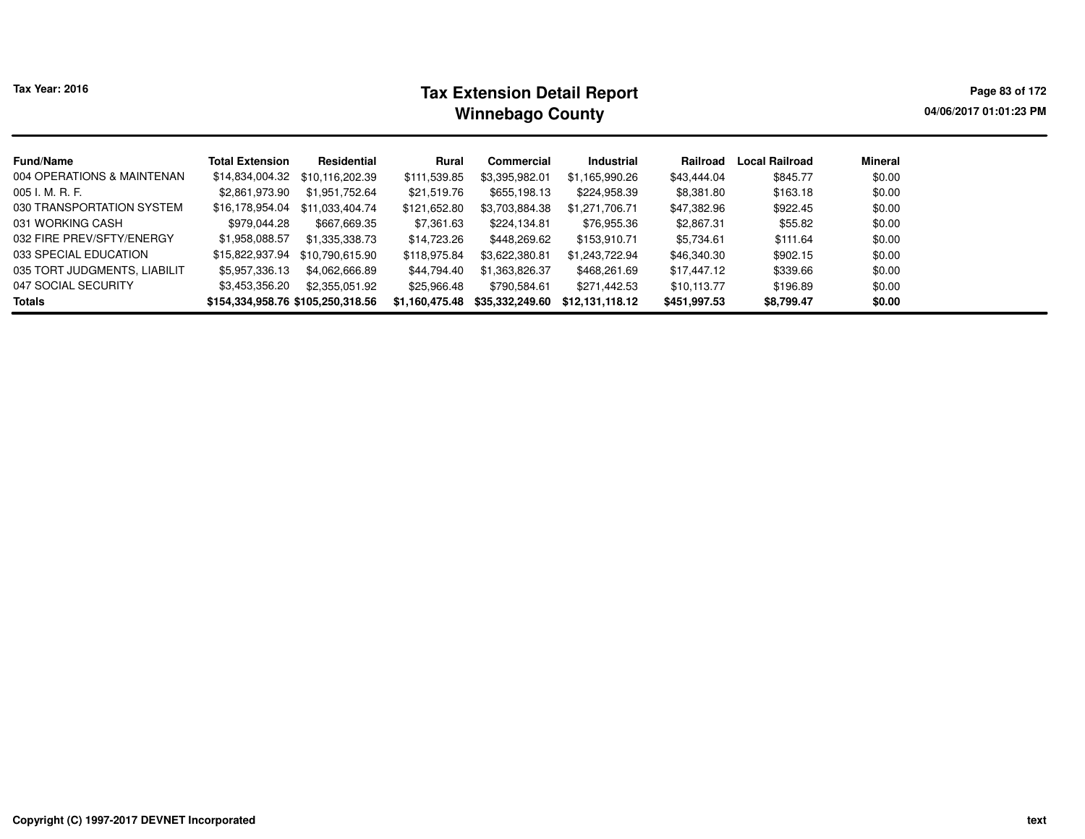| <b>Tax Year: 2016</b>        |                                   |                 | Page 83 of 172<br>04/06/2017 01:01:23 PM |                 |                 |              |                       |         |  |
|------------------------------|-----------------------------------|-----------------|------------------------------------------|-----------------|-----------------|--------------|-----------------------|---------|--|
| <b>Fund/Name</b>             | <b>Total Extension</b>            | Residential     | Rural                                    | Commercial      | Industrial      | Railroad     | <b>Local Railroad</b> | Mineral |  |
| 004 OPERATIONS & MAINTENAN   | \$14,834,004.32                   | \$10.116.202.39 | \$111,539.85                             | \$3,395,982.01  | \$1,165,990.26  | \$43,444.04  | \$845.77              | \$0.00  |  |
| 005 I. M. R. F.              | \$2,861,973.90                    | \$1.951.752.64  | \$21,519.76                              | \$655.198.13    | \$224,958.39    | \$8,381.80   | \$163.18              | \$0.00  |  |
| 030 TRANSPORTATION SYSTEM    | \$16,178,954.04                   | \$11.033.404.74 | \$121,652.80                             | \$3,703,884.38  | \$1,271,706.71  | \$47,382.96  | \$922.45              | \$0.00  |  |
| 031 WORKING CASH             | \$979.044.28                      | \$667,669.35    | \$7,361.63                               | \$224.134.81    | \$76,955.36     | \$2,867.31   | \$55.82               | \$0.00  |  |
| 032 FIRE PREV/SFTY/ENERGY    | \$1,958,088.57                    | \$1.335.338.73  | \$14,723.26                              | \$448.269.62    | \$153.910.71    | \$5,734.61   | \$111.64              | \$0.00  |  |
| 033 SPECIAL EDUCATION        | \$15,822,937.94                   | \$10.790.615.90 | \$118,975.84                             | \$3,622,380.81  | \$1,243,722.94  | \$46,340.30  | \$902.15              | \$0.00  |  |
| 035 TORT JUDGMENTS, LIABILIT | \$5,957,336.13                    | \$4.062.666.89  | \$44.794.40                              | \$1,363,826.37  | \$468,261.69    | \$17,447.12  | \$339.66              | \$0.00  |  |
| 047 SOCIAL SECURITY          | \$3,453,356.20                    | \$2.355.051.92  | \$25,966.48                              | \$790.584.61    | \$271.442.53    | \$10,113.77  | \$196.89              | \$0.00  |  |
| Totals                       | \$154,334,958.76 \$105,250,318.56 |                 | \$1,160,475.48                           | \$35,332,249.60 | \$12.131.118.12 | \$451,997.53 | \$8,799.47            | \$0.00  |  |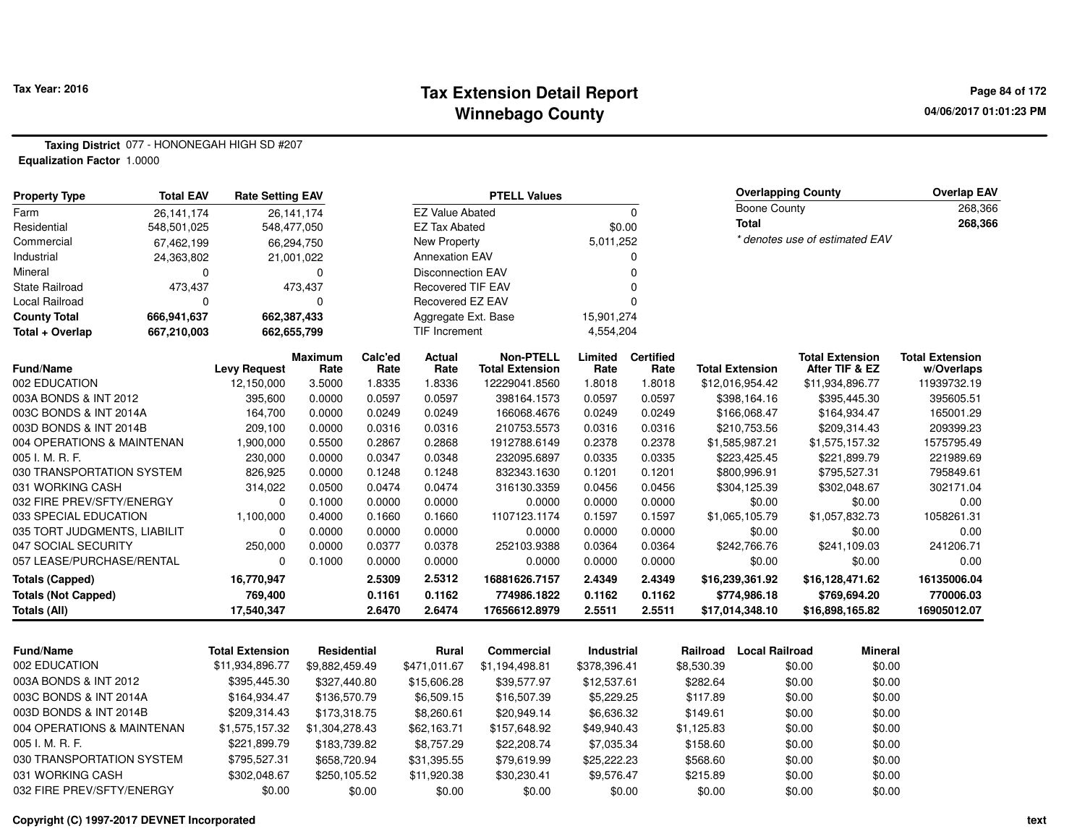#### **Tax Extension Detail Report Tax Year: 2016 Page 84 of 172 Winnebago County**

**04/06/2017 01:01:23 PM**

**Taxing District** 077 - HONONEGAH HIGH SD #207**Equalization Factor** 1.0000

| <b>Property Type</b>         | <b>Total EAV</b> | <b>Rate Setting EAV</b> |                        |                 |                          | <b>PTELL Values</b>                        |                 |                          |                                   | <b>Overlapping County</b>                | <b>Overlap EAV</b>                   |
|------------------------------|------------------|-------------------------|------------------------|-----------------|--------------------------|--------------------------------------------|-----------------|--------------------------|-----------------------------------|------------------------------------------|--------------------------------------|
| Farm                         | 26,141,174       |                         | 26,141,174             |                 | <b>EZ Value Abated</b>   |                                            |                 | $\mathbf 0$              | Boone County                      |                                          | 268,366                              |
| Residential                  | 548,501,025      | 548,477,050             |                        |                 | <b>EZ Tax Abated</b>     |                                            |                 | \$0.00                   | <b>Total</b>                      |                                          | 268,366                              |
| Commercial                   | 67,462,199       |                         | 66,294,750             |                 | New Property             |                                            | 5,011,252       |                          |                                   | * denotes use of estimated EAV           |                                      |
| Industrial                   | 24,363,802       |                         | 21,001,022             |                 | <b>Annexation EAV</b>    |                                            |                 | O                        |                                   |                                          |                                      |
| Mineral                      | O                |                         | $\Omega$               |                 | <b>Disconnection EAV</b> |                                            |                 | n                        |                                   |                                          |                                      |
| <b>State Railroad</b>        | 473,437          |                         | 473,437                |                 | <b>Recovered TIF EAV</b> |                                            |                 |                          |                                   |                                          |                                      |
| Local Railroad               | $\Omega$         |                         | 0                      |                 | Recovered EZ EAV         |                                            |                 |                          |                                   |                                          |                                      |
| <b>County Total</b>          | 666,941,637      | 662,387,433             |                        |                 | Aggregate Ext. Base      |                                            | 15,901,274      |                          |                                   |                                          |                                      |
| Total + Overlap              | 667,210,003      | 662,655,799             |                        |                 | <b>TIF Increment</b>     |                                            | 4,554,204       |                          |                                   |                                          |                                      |
| <b>Fund/Name</b>             |                  | <b>Levy Request</b>     | <b>Maximum</b><br>Rate | Calc'ed<br>Rate | Actual<br>Rate           | <b>Non-PTELL</b><br><b>Total Extension</b> | Limited<br>Rate | <b>Certified</b><br>Rate | <b>Total Extension</b>            | <b>Total Extension</b><br>After TIF & EZ | <b>Total Extension</b><br>w/Overlaps |
| 002 EDUCATION                |                  | 12,150,000              | 3.5000                 | 1.8335          | 1.8336                   | 12229041.8560                              | 1.8018          | 1.8018                   | \$12,016,954.42                   | \$11,934,896.77                          | 11939732.19                          |
| 003A BONDS & INT 2012        |                  | 395,600                 | 0.0000                 | 0.0597          | 0.0597                   | 398164.1573                                | 0.0597          | 0.0597                   | \$398,164.16                      | \$395,445.30                             | 395605.51                            |
| 003C BONDS & INT 2014A       |                  | 164.700                 | 0.0000                 | 0.0249          | 0.0249                   | 166068.4676                                | 0.0249          | 0.0249                   | \$166,068.47                      | \$164,934.47                             | 165001.29                            |
| 003D BONDS & INT 2014B       |                  | 209,100                 | 0.0000                 | 0.0316          | 0.0316                   | 210753.5573                                | 0.0316          | 0.0316                   | \$210,753.56                      | \$209,314.43                             | 209399.23                            |
| 004 OPERATIONS & MAINTENAN   |                  | 1,900,000               | 0.5500                 | 0.2867          | 0.2868                   | 1912788.6149                               | 0.2378          | 0.2378                   | \$1,585,987.21                    | \$1,575,157.32                           | 1575795.49                           |
| 005 I. M. R. F.              |                  | 230,000                 | 0.0000                 | 0.0347          | 0.0348                   | 232095.6897                                | 0.0335          | 0.0335                   | \$223,425.45                      | \$221,899.79                             | 221989.69                            |
| 030 TRANSPORTATION SYSTEM    |                  | 826,925                 | 0.0000                 | 0.1248          | 0.1248                   | 832343.1630                                | 0.1201          | 0.1201                   | \$800,996.91                      | \$795,527.31                             | 795849.61                            |
| 031 WORKING CASH             |                  | 314,022                 | 0.0500                 | 0.0474          | 0.0474                   | 316130.3359                                | 0.0456          | 0.0456                   | \$304,125.39                      | \$302,048.67                             | 302171.04                            |
| 032 FIRE PREV/SFTY/ENERGY    |                  | 0                       | 0.1000                 | 0.0000          | 0.0000                   | 0.0000                                     | 0.0000          | 0.0000                   | \$0.00                            | \$0.00                                   | 0.00                                 |
| 033 SPECIAL EDUCATION        |                  | 1,100,000               | 0.4000                 | 0.1660          | 0.1660                   | 1107123.1174                               | 0.1597          | 0.1597                   | \$1,065,105.79                    | \$1,057,832.73                           | 1058261.31                           |
| 035 TORT JUDGMENTS, LIABILIT |                  | $\Omega$                | 0.0000                 | 0.0000          | 0.0000                   | 0.0000                                     | 0.0000          | 0.0000                   | \$0.00                            | \$0.00                                   | 0.00                                 |
| 047 SOCIAL SECURITY          |                  | 250,000                 | 0.0000                 | 0.0377          | 0.0378                   | 252103.9388                                | 0.0364          | 0.0364                   | \$242,766.76                      | \$241,109.03                             | 241206.71                            |
| 057 LEASE/PURCHASE/RENTAL    |                  | 0                       | 0.1000                 | 0.0000          | 0.0000                   | 0.0000                                     | 0.0000          | 0.0000                   | \$0.00                            | \$0.00                                   | 0.00                                 |
| <b>Totals (Capped)</b>       |                  | 16,770,947              |                        | 2.5309          | 2.5312                   | 16881626.7157                              | 2.4349          | 2.4349                   | \$16,239,361.92                   | \$16,128,471.62                          | 16135006.04                          |
| <b>Totals (Not Capped)</b>   |                  | 769,400                 |                        | 0.1161          | 0.1162                   | 774986.1822                                | 0.1162          | 0.1162                   | \$774,986.18                      | \$769,694.20                             | 770006.03                            |
| Totals (All)                 |                  | 17,540,347              |                        | 2.6470          | 2.6474                   | 17656612.8979                              | 2.5511          | 2.5511                   | \$17,014,348.10                   | \$16,898,165.82                          | 16905012.07                          |
|                              |                  |                         |                        |                 |                          |                                            |                 |                          |                                   |                                          |                                      |
| <b>Fund/Name</b>             |                  | <b>Total Extension</b>  | Residential            |                 | Rural                    | Commercial                                 | Industrial      |                          | <b>Local Railroad</b><br>Railroad | <b>Mineral</b>                           |                                      |

| . uww.wa                   | 19181 CA19131911 | ,,,,,,,,,,,,,, | .            | vviilis vidi   |              | .          | сосаг нашова | www.a  |
|----------------------------|------------------|----------------|--------------|----------------|--------------|------------|--------------|--------|
| 002 EDUCATION              | \$11,934,896.77  | \$9.882.459.49 | \$471.011.67 | \$1.194.498.81 | \$378.396.41 | \$8,530.39 | \$0.00       | \$0.00 |
| 003A BONDS & INT 2012      | \$395,445.30     | \$327,440.80   | \$15,606.28  | \$39.577.97    | \$12,537.61  | \$282.64   | \$0.00       | \$0.00 |
| 003C BONDS & INT 2014A     | \$164,934,47     | \$136,570.79   | \$6.509.15   | \$16,507.39    | \$5.229.25   | \$117.89   | \$0.00       | \$0.00 |
| 003D BONDS & INT 2014B     | \$209.314.43     | \$173,318,75   | \$8,260.61   | \$20,949.14    | \$6,636.32   | \$149.61   | \$0.00       | \$0.00 |
| 004 OPERATIONS & MAINTENAN | \$1,575,157.32   | \$1,304,278.43 | \$62.163.71  | \$157,648.92   | \$49,940.43  | \$1.125.83 | \$0.00       | \$0.00 |
| 005 I. M. R. F.            | \$221.899.79     | \$183,739.82   | \$8.757.29   | \$22,208,74    | \$7.035.34   | \$158.60   | \$0.00       | \$0.00 |
| 030 TRANSPORTATION SYSTEM  | \$795.527.31     | \$658,720.94   | \$31.395.55  | \$79.619.99    | \$25,222,23  | \$568.60   | \$0.00       | \$0.00 |
| 031 WORKING CASH           | \$302.048.67     | \$250,105.52   | \$11,920.38  | \$30,230.41    | \$9.576.47   | \$215.89   | \$0.00       | \$0.00 |
| 032 FIRE PREV/SFTY/ENERGY  | \$0.00           | \$0.00         | \$0.00       | \$0.00         | \$0.00       | \$0.00     | \$0.00       | \$0.00 |
|                            |                  |                |              |                |              |            |              |        |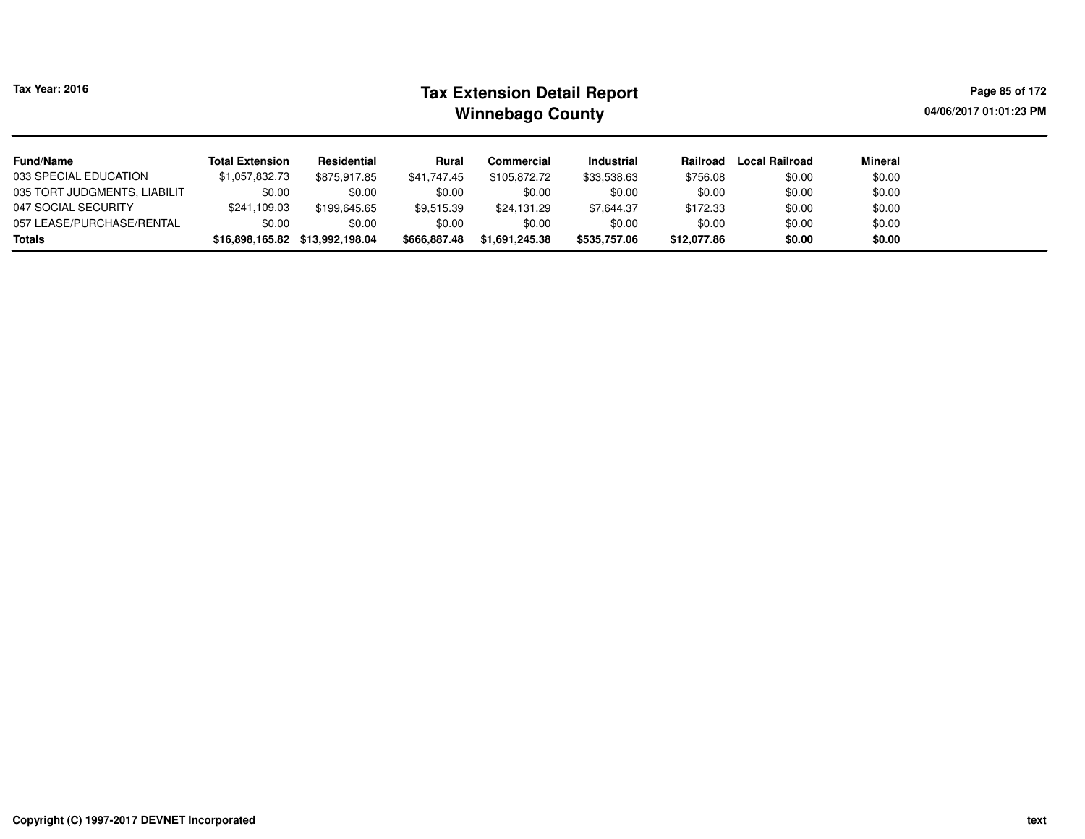| <b>Tax Year: 2016</b>        |                        |                                 |              | <b>Tax Extension Detail Report</b><br><b>Winnebago County</b> |                   |             |                |                | Page 85 of 172<br>04/06/2017 01:01:23 PM |
|------------------------------|------------------------|---------------------------------|--------------|---------------------------------------------------------------|-------------------|-------------|----------------|----------------|------------------------------------------|
| <b>Fund/Name</b>             | <b>Total Extension</b> | Residential                     | Rural        | Commercial                                                    | <b>Industrial</b> | Railroad    | Local Railroad | <b>Mineral</b> |                                          |
| 033 SPECIAL EDUCATION        | \$1,057,832.73         | \$875,917.85                    | \$41.747.45  | \$105,872,72                                                  | \$33,538.63       | \$756.08    | \$0.00         | \$0.00         |                                          |
| 035 TORT JUDGMENTS, LIABILIT | \$0.00                 | \$0.00                          | \$0.00       | \$0.00                                                        | \$0.00            | \$0.00      | \$0.00         | \$0.00         |                                          |
| 047 SOCIAL SECURITY          | \$241,109.03           | \$199,645.65                    | \$9,515.39   | \$24,131.29                                                   | \$7,644.37        | \$172.33    | \$0.00         | \$0.00         |                                          |
| 057 LEASE/PURCHASE/RENTAL    | \$0.00                 | \$0.00                          | \$0.00       | \$0.00                                                        | \$0.00            | \$0.00      | \$0.00         | \$0.00         |                                          |
| Totals                       |                        | \$16,898,165.82 \$13,992,198.04 | \$666,887.48 | \$1,691,245.38                                                | \$535,757.06      | \$12,077.86 | \$0.00         | \$0.00         |                                          |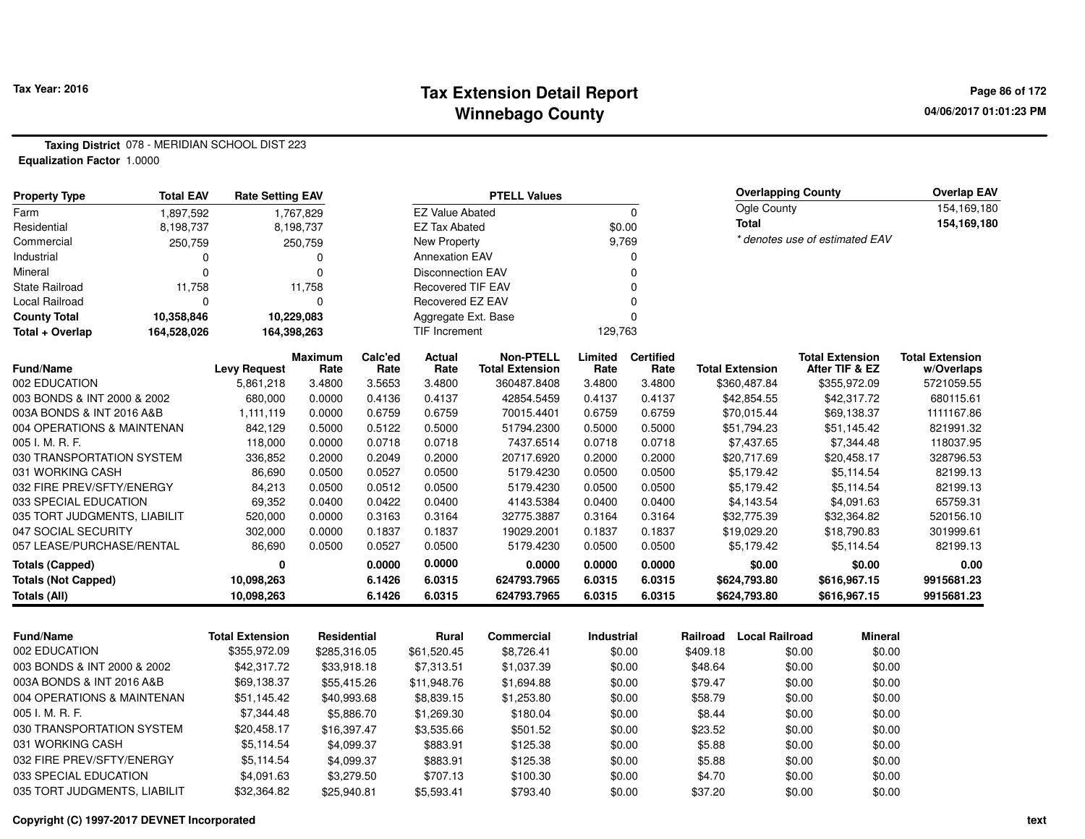#### **Tax Extension Detail Report Tax Year: 2016 Page 86 of 172 Winnebago County**

**04/06/2017 01:01:23 PM**

**Taxing District** 078 - MERIDIAN SCHOOL DIST 223**Equalization Factor** 1.0000

| <b>Property Type</b>              | <b>Total EAV</b> | <b>Rate Setting EAV</b> |                  |                  |                          | <b>PTELL Values</b>       |                  |                  |                        | <b>Overlapping County</b>   |                                | <b>Overlap EAV</b>      |
|-----------------------------------|------------------|-------------------------|------------------|------------------|--------------------------|---------------------------|------------------|------------------|------------------------|-----------------------------|--------------------------------|-------------------------|
| Farm                              | 1,897,592        |                         | 1,767,829        |                  | <b>EZ Value Abated</b>   |                           |                  | $\mathbf 0$      |                        | Ogle County                 |                                | 154,169,180             |
| Residential                       | 8,198,737        |                         | 8,198,737        |                  | <b>EZ Tax Abated</b>     |                           |                  | \$0.00           |                        | <b>Total</b>                |                                | 154,169,180             |
| Commercial                        | 250,759          |                         | 250,759          |                  | New Property             |                           |                  | 9,769            |                        |                             | * denotes use of estimated EAV |                         |
| Industrial                        | 0                |                         | 0                |                  | <b>Annexation EAV</b>    |                           |                  | 0                |                        |                             |                                |                         |
| Mineral                           | $\Omega$         |                         | $\overline{0}$   |                  | <b>Disconnection EAV</b> |                           |                  | $\Omega$         |                        |                             |                                |                         |
| State Railroad                    | 11,758           |                         | 11,758           |                  | Recovered TIF EAV        |                           |                  | $\mathbf 0$      |                        |                             |                                |                         |
| Local Railroad                    | $\Omega$         |                         | 0                |                  | Recovered EZ EAV         |                           |                  | $\mathbf 0$      |                        |                             |                                |                         |
| <b>County Total</b>               | 10,358,846       |                         | 10,229,083       |                  | Aggregate Ext. Base      |                           |                  | $\mathbf 0$      |                        |                             |                                |                         |
| Total + Overlap                   | 164,528,026      | 164,398,263             |                  |                  | <b>TIF Increment</b>     |                           | 129,763          |                  |                        |                             |                                |                         |
|                                   |                  |                         | <b>Maximum</b>   | Calc'ed          | Actual                   | <b>Non-PTELL</b>          | Limited          | <b>Certified</b> |                        |                             | <b>Total Extension</b>         | <b>Total Extension</b>  |
| <b>Fund/Name</b><br>002 EDUCATION |                  | <b>Levy Request</b>     | Rate             | Rate             | Rate                     | <b>Total Extension</b>    | Rate             | Rate             | <b>Total Extension</b> |                             | After TIF & EZ                 | w/Overlaps              |
| 003 BONDS & INT 2000 & 2002       |                  | 5,861,218<br>680,000    | 3.4800<br>0.0000 | 3.5653<br>0.4136 | 3.4800<br>0.4137         | 360487.8408<br>42854.5459 | 3.4800<br>0.4137 | 3.4800<br>0.4137 |                        | \$360,487.84<br>\$42,854.55 | \$355,972.09<br>\$42,317.72    | 5721059.55<br>680115.61 |
| 003A BONDS & INT 2016 A&B         |                  | 1,111,119               | 0.0000           | 0.6759           | 0.6759                   | 70015.4401                | 0.6759           | 0.6759           |                        | \$70,015.44                 | \$69,138.37                    | 1111167.86              |
| 004 OPERATIONS & MAINTENAN        |                  | 842,129                 | 0.5000           | 0.5122           | 0.5000                   | 51794.2300                | 0.5000           | 0.5000           |                        | \$51,794.23                 | \$51,145.42                    | 821991.32               |
| 005 I. M. R. F.                   |                  | 118,000                 | 0.0000           | 0.0718           | 0.0718                   | 7437.6514                 | 0.0718           | 0.0718           |                        | \$7,437.65                  | \$7,344.48                     | 118037.95               |
| 030 TRANSPORTATION SYSTEM         |                  | 336,852                 | 0.2000           | 0.2049           | 0.2000                   | 20717.6920                | 0.2000           | 0.2000           |                        | \$20,717.69                 | \$20,458.17                    | 328796.53               |
| 031 WORKING CASH                  |                  | 86,690                  | 0.0500           | 0.0527           | 0.0500                   | 5179.4230                 | 0.0500           | 0.0500           |                        | \$5,179.42                  | \$5,114.54                     | 82199.13                |
| 032 FIRE PREV/SFTY/ENERGY         |                  | 84,213                  | 0.0500           | 0.0512           | 0.0500                   | 5179.4230                 | 0.0500           | 0.0500           |                        | \$5,179.42                  | \$5,114.54                     | 82199.13                |
| 033 SPECIAL EDUCATION             |                  | 69,352                  | 0.0400           | 0.0422           | 0.0400                   | 4143.5384                 | 0.0400           | 0.0400           |                        | \$4,143.54                  | \$4,091.63                     | 65759.31                |
| 035 TORT JUDGMENTS, LIABILIT      |                  | 520,000                 | 0.0000           | 0.3163           | 0.3164                   | 32775.3887                | 0.3164           | 0.3164           |                        | \$32,775.39                 | \$32,364.82                    | 520156.10               |
| 047 SOCIAL SECURITY               |                  | 302,000                 | 0.0000           | 0.1837           | 0.1837                   | 19029.2001                | 0.1837           | 0.1837           |                        | \$19,029.20                 | \$18,790.83                    | 301999.61               |
| 057 LEASE/PURCHASE/RENTAL         |                  | 86,690                  | 0.0500           | 0.0527           | 0.0500                   | 5179.4230                 | 0.0500           | 0.0500           |                        | \$5,179.42                  | \$5,114.54                     | 82199.13                |
| <b>Totals (Capped)</b>            |                  | $\mathbf 0$             |                  | 0.0000           | 0.0000                   | 0.0000                    | 0.0000           | 0.0000           |                        | \$0.00                      | \$0.00                         | 0.00                    |
| <b>Totals (Not Capped)</b>        |                  | 10,098,263              |                  | 6.1426           | 6.0315                   | 624793.7965               | 6.0315           | 6.0315           |                        | \$624,793.80                | \$616,967.15                   | 9915681.23              |
| <b>Totals (All)</b>               |                  | 10,098,263              |                  | 6.1426           | 6.0315                   | 624793.7965               | 6.0315           | 6.0315           |                        | \$624,793.80                | \$616,967.15                   | 9915681.23              |
|                                   |                  |                         |                  |                  |                          |                           |                  |                  |                        |                             |                                |                         |
| <b>Fund/Name</b>                  |                  | <b>Total Extension</b>  | Residential      |                  | Rural                    | Commercial                | Industrial       |                  | Railroad               | <b>Local Railroad</b>       | <b>Mineral</b>                 |                         |
| 002 EDUCATION                     |                  | \$355,972.09            | \$285,316.05     |                  | \$61,520.45              | \$8,726.41                |                  | \$0.00           | \$409.18               | \$0.00                      | \$0.00                         |                         |
| 003 BONDS & INT 2000 & 2002       |                  | \$42,317.72             | \$33,918.18      |                  | \$7,313.51               | \$1,037.39                |                  | \$0.00           | \$48.64                | \$0.00                      | \$0.00                         |                         |
| 003A BONDS & INT 2016 A&B         |                  | \$69,138.37             | \$55,415.26      |                  | \$11,948.76              | \$1,694.88                |                  | \$0.00           | \$79.47                | \$0.00                      | \$0.00                         |                         |
| 004 OPERATIONS & MAINTENAN        |                  | \$51,145.42             | \$40,993.68      |                  | \$8,839.15               | \$1,253.80                |                  | \$0.00           | \$58.79                | \$0.00                      | \$0.00                         |                         |
| 005 I. M. R. F.                   |                  | \$7,344.48              |                  | \$5,886.70       | \$1,269.30               | \$180.04                  |                  | \$0.00           | \$8.44                 | \$0.00                      | \$0.00                         |                         |
| 030 TRANSPORTATION SYSTEM         |                  | \$20,458.17             | \$16,397.47      |                  | \$3,535.66               | \$501.52                  |                  | \$0.00           | \$23.52                | \$0.00                      | \$0.00                         |                         |
| 031 WORKING CASH                  |                  | \$5,114.54              |                  | \$4,099.37       | \$883.91                 | \$125.38                  |                  | \$0.00           | \$5.88                 | \$0.00                      | \$0.00                         |                         |
| 032 FIRE PREV/SFTY/ENERGY         |                  | \$5,114.54              |                  | \$4,099.37       | \$883.91                 | \$125.38                  |                  | \$0.00           | \$5.88                 | \$0.00                      | \$0.00                         |                         |
| 033 SPECIAL EDUCATION             |                  | \$4,091.63              |                  | \$3,279.50       | \$707.13                 | \$100.30                  |                  | \$0.00           | \$4.70                 | \$0.00                      | \$0.00                         |                         |
| 035 TORT JUDGMENTS, LIABILIT      |                  | \$32,364.82             | \$25,940.81      |                  | \$5,593.41               | \$793.40                  |                  | \$0.00           | \$37.20                | \$0.00                      | \$0.00                         |                         |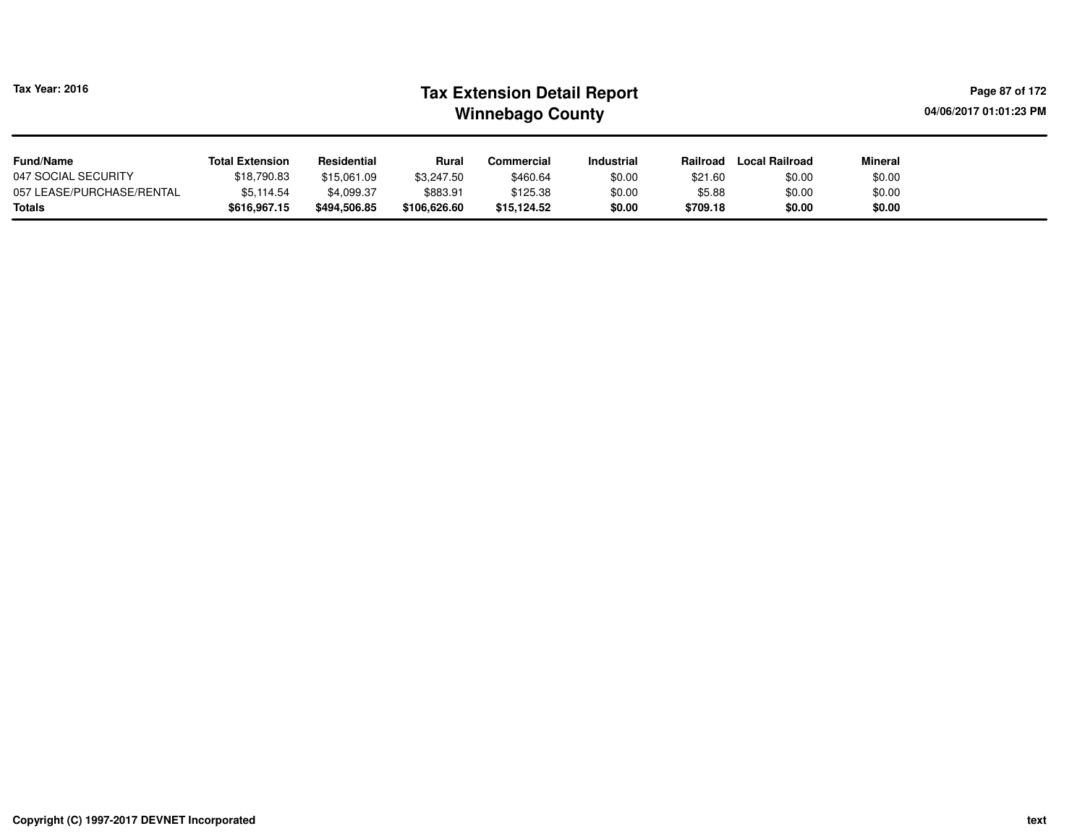| <b>Tax Year: 2016</b>                      | <b>Tax Extension Detail Report</b><br><b>Winnebago County</b> |                            |                          |                         |                   |                    |                       |                  |  |  |
|--------------------------------------------|---------------------------------------------------------------|----------------------------|--------------------------|-------------------------|-------------------|--------------------|-----------------------|------------------|--|--|
| <b>Fund/Name</b>                           | <b>Total Extension</b>                                        | Residential                | Rural                    | Commercial              | <b>Industrial</b> | Railroad           | <b>Local Railroad</b> | Mineral          |  |  |
| 047 SOCIAL SECURITY                        | \$18,790.83                                                   | \$15,061.09                | \$3.247.50               | \$460.64                | \$0.00            | \$21.60            | \$0.00                | \$0.00           |  |  |
| 057 LEASE/PURCHASE/RENTAL<br><b>Totals</b> | \$5,114.54<br>\$616,967.15                                    | \$4,099.37<br>\$494,506.85 | \$883.91<br>\$106,626.60 | \$125.38<br>\$15,124.52 | \$0.00<br>\$0.00  | \$5.88<br>\$709.18 | \$0.00<br>\$0.00      | \$0.00<br>\$0.00 |  |  |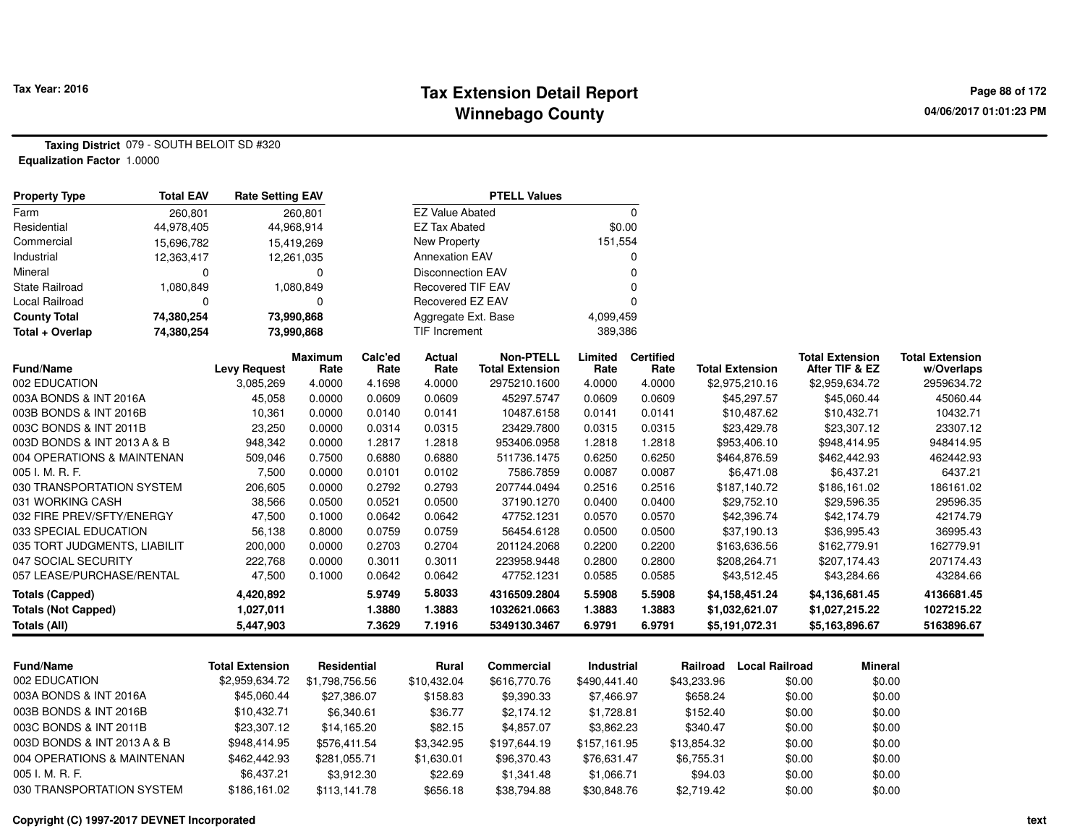#### **Tax Extension Detail Report Tax Year: 2016 Page 88 of 172 Winnebago County**

**Taxing District** 079 - SOUTH BELOIT SD #320**Equalization Factor** 1.0000

| <b>Property Type</b>         | <b>Total EAV</b> | <b>Rate Setting EAV</b> |                        |                 |                          | <b>PTELL Values</b>                        |                 |                          |                        |                                          |                                      |
|------------------------------|------------------|-------------------------|------------------------|-----------------|--------------------------|--------------------------------------------|-----------------|--------------------------|------------------------|------------------------------------------|--------------------------------------|
| Farm                         | 260,801          |                         | 260,801                |                 | <b>EZ Value Abated</b>   |                                            |                 | 0                        |                        |                                          |                                      |
| Residential                  | 44,978,405       |                         | 44,968,914             |                 | <b>EZ Tax Abated</b>     |                                            | \$0.00          |                          |                        |                                          |                                      |
| Commercial                   | 15,696,782       |                         | 15,419,269             |                 | <b>New Property</b>      |                                            | 151,554         |                          |                        |                                          |                                      |
| Industrial                   | 12,363,417       |                         | 12,261,035             |                 | <b>Annexation EAV</b>    |                                            |                 | $\Omega$                 |                        |                                          |                                      |
| Mineral                      | 0                |                         | $\mathbf 0$            |                 | <b>Disconnection EAV</b> |                                            |                 | $\Omega$                 |                        |                                          |                                      |
| <b>State Railroad</b>        | 1,080,849        |                         | 1,080,849              |                 | <b>Recovered TIF EAV</b> |                                            |                 | 0                        |                        |                                          |                                      |
| <b>Local Railroad</b>        | 0                |                         | 0                      |                 | Recovered EZ EAV         |                                            |                 | $\Omega$                 |                        |                                          |                                      |
| <b>County Total</b>          | 74,380,254       |                         | 73,990,868             |                 | Aggregate Ext. Base      |                                            | 4,099,459       |                          |                        |                                          |                                      |
| Total + Overlap              | 74,380,254       |                         | 73,990,868             |                 | <b>TIF Increment</b>     |                                            | 389,386         |                          |                        |                                          |                                      |
| <b>Fund/Name</b>             |                  | <b>Levy Request</b>     | <b>Maximum</b><br>Rate | Calc'ed<br>Rate | <b>Actual</b><br>Rate    | <b>Non-PTELL</b><br><b>Total Extension</b> | Limited<br>Rate | <b>Certified</b><br>Rate | <b>Total Extension</b> | <b>Total Extension</b><br>After TIF & EZ | <b>Total Extension</b><br>w/Overlaps |
| 002 EDUCATION                |                  | 3,085,269               | 4.0000                 | 4.1698          | 4.0000                   | 2975210.1600                               | 4.0000          | 4.0000                   | \$2,975,210.16         | \$2,959,634.72                           | 2959634.72                           |
| 003A BONDS & INT 2016A       |                  | 45,058                  | 0.0000                 | 0.0609          | 0.0609                   | 45297.5747                                 | 0.0609          | 0.0609                   | \$45,297.57            | \$45,060.44                              | 45060.44                             |
| 003B BONDS & INT 2016B       |                  | 10,361                  | 0.0000                 | 0.0140          | 0.0141                   | 10487.6158                                 | 0.0141          | 0.0141                   | \$10,487.62            | \$10,432.71                              | 10432.71                             |
| 003C BONDS & INT 2011B       |                  | 23,250                  | 0.0000                 | 0.0314          | 0.0315                   | 23429.7800                                 | 0.0315          | 0.0315                   | \$23,429.78            | \$23,307.12                              | 23307.12                             |
| 003D BONDS & INT 2013 A & B  |                  | 948,342                 | 0.0000                 | 1.2817          | 1.2818                   | 953406.0958                                | 1.2818          | 1.2818                   | \$953,406.10           | \$948,414.95                             | 948414.95                            |
| 004 OPERATIONS & MAINTENAN   |                  | 509,046                 | 0.7500                 | 0.6880          | 0.6880                   | 511736.1475                                | 0.6250          | 0.6250                   | \$464,876.59           | \$462,442.93                             | 462442.93                            |
| 005 I. M. R. F.              |                  | 7,500                   | 0.0000                 | 0.0101          | 0.0102                   | 7586.7859                                  | 0.0087          | 0.0087                   | \$6,471.08             | \$6,437.21                               | 6437.21                              |
| 030 TRANSPORTATION SYSTEM    |                  | 206,605                 | 0.0000                 | 0.2792          | 0.2793                   | 207744.0494                                | 0.2516          | 0.2516                   | \$187,140.72           | \$186,161.02                             | 186161.02                            |
| 031 WORKING CASH             |                  | 38,566                  | 0.0500                 | 0.0521          | 0.0500                   | 37190.1270                                 | 0.0400          | 0.0400                   | \$29,752.10            | \$29,596.35                              | 29596.35                             |
| 032 FIRE PREV/SFTY/ENERGY    |                  | 47,500                  | 0.1000                 | 0.0642          | 0.0642                   | 47752.1231                                 | 0.0570          | 0.0570                   | \$42,396.74            | \$42,174.79                              | 42174.79                             |
| 033 SPECIAL EDUCATION        |                  | 56,138                  | 0.8000                 | 0.0759          | 0.0759                   | 56454.6128                                 | 0.0500          | 0.0500                   | \$37,190.13            | \$36,995.43                              | 36995.43                             |
| 035 TORT JUDGMENTS, LIABILIT |                  | 200,000                 | 0.0000                 | 0.2703          | 0.2704                   | 201124.2068                                | 0.2200          | 0.2200                   | \$163,636.56           | \$162,779.91                             | 162779.91                            |
| 047 SOCIAL SECURITY          |                  | 222,768                 | 0.0000                 | 0.3011          | 0.3011                   | 223958.9448                                | 0.2800          | 0.2800                   | \$208,264.71           | \$207,174.43                             | 207174.43                            |
| 057 LEASE/PURCHASE/RENTAL    |                  | 47,500                  | 0.1000                 | 0.0642          | 0.0642                   | 47752.1231                                 | 0.0585          | 0.0585                   | \$43,512.45            | \$43,284.66                              | 43284.66                             |
| <b>Totals (Capped)</b>       |                  | 4,420,892               |                        | 5.9749          | 5.8033                   | 4316509.2804                               | 5.5908          | 5.5908                   | \$4,158,451.24         | \$4,136,681.45                           | 4136681.45                           |
| <b>Totals (Not Capped)</b>   |                  | 1,027,011               |                        | 1.3880          | 1.3883                   | 1032621.0663                               | 1.3883          | 1.3883                   | \$1,032,621.07         | \$1,027,215.22                           | 1027215.22                           |
| <b>Totals (All)</b>          |                  | 5,447,903               |                        | 7.3629          | 7.1916                   | 5349130.3467                               | 6.9791          | 6.9791                   | \$5,191,072.31         | \$5,163,896.67                           | 5163896.67                           |
|                              |                  |                         |                        |                 |                          |                                            |                 |                          |                        |                                          |                                      |
| <b>Fund/Name</b>             |                  | <b>Total Extension</b>  | Residential            |                 | Rural                    | <b>Commercial</b>                          | Industrial      |                          | Railroad               | <b>Local Railroad</b>                    | <b>Mineral</b>                       |
| 002 EDUCATION                |                  | \$2,959,634.72          | \$1,798,756.56         |                 | \$10,432.04              | \$616,770.76                               | \$490,441.40    |                          | \$43,233.96            | \$0.00                                   | \$0.00                               |
| 003A BONDS & INT 2016A       |                  | \$45,060.44             | \$27,386.07            |                 | \$158.83                 | \$9,390.33                                 | \$7,466.97      |                          | \$658.24               | \$0.00                                   | \$0.00                               |
| 003B BONDS & INT 2016B       |                  | \$10,432.71             |                        | \$6,340.61      | \$36.77                  | \$2,174.12                                 | \$1,728.81      |                          | \$152.40               | \$0.00                                   | \$0.00                               |
| 003C BONDS & INT 2011B       |                  | \$23,307.12             | \$14,165.20            |                 | \$82.15                  | \$4,857.07                                 | \$3,862.23      |                          | \$340.47               | \$0.00                                   | \$0.00                               |
| 003D BONDS & INT 2013 A & B  |                  | \$948,414.95            | \$576,411.54           |                 | \$3,342.95               | \$197,644.19                               | \$157,161.95    |                          | \$13,854.32            | \$0.00                                   | \$0.00                               |
| 004 OPERATIONS & MAINTENAN   |                  | \$462,442.93            | \$281,055.71           |                 | \$1,630.01               | \$96,370.43                                | \$76,631.47     |                          | \$6,755.31             | \$0.00                                   | \$0.00                               |
| 005 I. M. R. F.              |                  | \$6,437.21              |                        | \$3,912.30      | \$22.69                  | \$1,341.48                                 | \$1,066.71      |                          | \$94.03                | \$0.00                                   | \$0.00                               |
| 030 TRANSPORTATION SYSTEM    |                  | \$186,161.02            | \$113,141.78           |                 | \$656.18                 | \$38,794.88                                | \$30,848.76     |                          | \$2,719.42             | \$0.00                                   | \$0.00                               |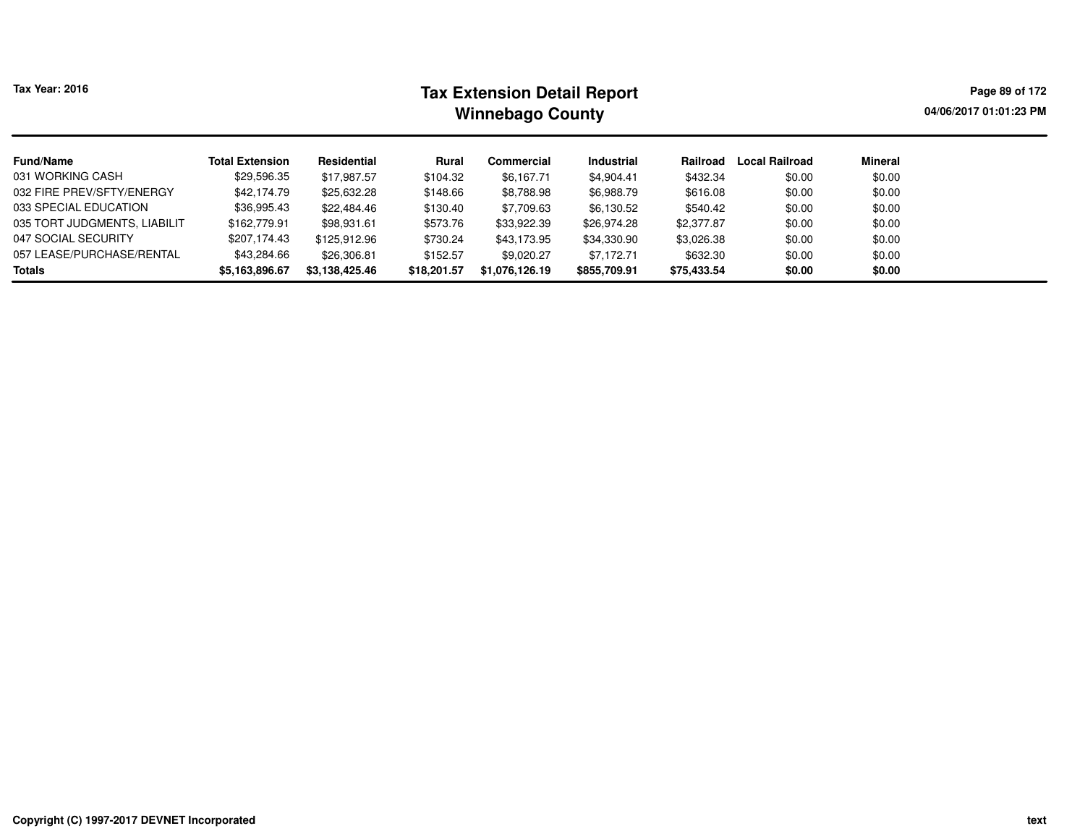# **Tax Extension Detail Report Tax Year: 2016 Page 89 of 172 Winnebago County**

**04/06/2017 01:01:23 PM**

| <b>Fund/Name</b>             | <b>Total Extension</b> | Residential    | Rural       | Commercial     | Industrial   | Railroad    | Local Railroad | Mineral |
|------------------------------|------------------------|----------------|-------------|----------------|--------------|-------------|----------------|---------|
| 031 WORKING CASH             | \$29,596.35            | \$17,987.57    | \$104.32    | \$6,167.71     | \$4,904.41   | \$432.34    | \$0.00         | \$0.00  |
| 032 FIRE PREV/SFTY/ENERGY    | \$42,174.79            | \$25,632.28    | \$148.66    | \$8,788.98     | \$6,988.79   | \$616.08    | \$0.00         | \$0.00  |
| 033 SPECIAL EDUCATION        | \$36,995.43            | \$22,484.46    | \$130.40    | \$7,709.63     | \$6,130.52   | \$540.42    | \$0.00         | \$0.00  |
| 035 TORT JUDGMENTS, LIABILIT | \$162,779.91           | \$98,931.61    | \$573.76    | \$33,922.39    | \$26,974.28  | \$2,377.87  | \$0.00         | \$0.00  |
| 047 SOCIAL SECURITY          | \$207,174.43           | \$125.912.96   | \$730.24    | \$43,173.95    | \$34,330.90  | \$3,026.38  | \$0.00         | \$0.00  |
| 057 LEASE/PURCHASE/RENTAL    | \$43,284.66            | \$26,306.81    | \$152.57    | \$9,020.27     | \$7,172.71   | \$632.30    | \$0.00         | \$0.00  |
| <b>Totals</b>                | \$5,163,896.67         | \$3,138,425.46 | \$18,201.57 | \$1.076.126.19 | \$855,709.91 | \$75,433.54 | \$0.00         | \$0.00  |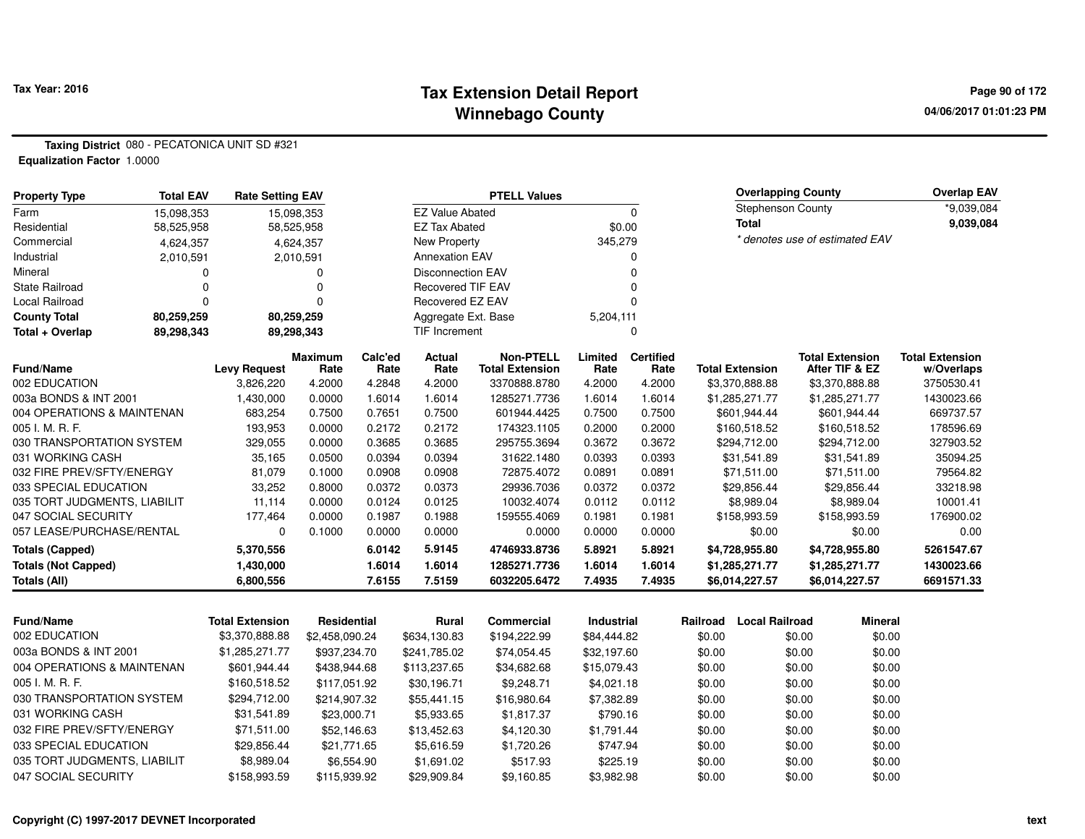#### **Tax Extension Detail Report Tax Year: 2016 Page 90 of 172 Winnebago County**

**04/06/2017 01:01:23 PM**

**Taxing District** 080 - PECATONICA UNIT SD #321**Equalization Factor** 1.0000

| <b>Property Type</b>         | <b>Total EAV</b> | <b>Rate Setting EAV</b> |                    |                 |                          | <b>PTELL Values</b>                        |                   |                   |                        | <b>Overlapping County</b> |                                          | <b>Overlap EAV</b>                   |
|------------------------------|------------------|-------------------------|--------------------|-----------------|--------------------------|--------------------------------------------|-------------------|-------------------|------------------------|---------------------------|------------------------------------------|--------------------------------------|
| Farm                         | 15.098.353       |                         | 15.098.353         |                 | <b>EZ Value Abated</b>   |                                            |                   | 0                 |                        | <b>Stephenson County</b>  |                                          | *9,039,084                           |
| Residential                  | 58,525,958       |                         | 58,525,958         |                 | <b>EZ Tax Abated</b>     |                                            |                   | \$0.00            | <b>Total</b>           |                           |                                          | 9,039,084                            |
| Commercial                   | 4,624,357        |                         | 4,624,357          |                 | <b>New Property</b>      |                                            | 345,279           |                   |                        |                           | * denotes use of estimated EAV           |                                      |
| Industrial                   | 2,010,591        |                         | 2,010,591          |                 | <b>Annexation EAV</b>    |                                            |                   | 0                 |                        |                           |                                          |                                      |
| Mineral                      | 0                |                         | $\Omega$           |                 | <b>Disconnection EAV</b> |                                            |                   | 0                 |                        |                           |                                          |                                      |
| <b>State Railroad</b>        | 0                |                         | $\Omega$           |                 | <b>Recovered TIF EAV</b> |                                            |                   | 0                 |                        |                           |                                          |                                      |
| <b>Local Railroad</b>        | $\Omega$         |                         | $\Omega$           |                 | Recovered EZ EAV         |                                            |                   | 0                 |                        |                           |                                          |                                      |
| <b>County Total</b>          | 80,259,259       |                         | 80,259,259         |                 | Aggregate Ext. Base      |                                            | 5,204,111         |                   |                        |                           |                                          |                                      |
| Total + Overlap              | 89,298,343       |                         | 89,298,343         |                 | TIF Increment            |                                            |                   | 0                 |                        |                           |                                          |                                      |
| Fund/Name                    |                  | <b>Levy Request</b>     | Maximum<br>Rate    | Calc'ed<br>Rate | Actual<br>Rate           | <b>Non-PTELL</b><br><b>Total Extension</b> | Limited<br>Rate   | Certified<br>Rate | <b>Total Extension</b> |                           | <b>Total Extension</b><br>After TIF & EZ | <b>Total Extension</b><br>w/Overlaps |
| 002 EDUCATION                |                  | 3,826,220               | 4.2000             | 4.2848          | 4.2000                   | 3370888.8780                               | 4.2000            | 4.2000            | \$3,370,888.88         |                           | \$3,370,888.88                           | 3750530.41                           |
| 003a BONDS & INT 2001        |                  | 1,430,000               | 0.0000             | 1.6014          | 1.6014                   | 1285271.7736                               | 1.6014            | 1.6014            | \$1,285,271.77         |                           | \$1,285,271.77                           | 1430023.66                           |
| 004 OPERATIONS & MAINTENAN   |                  | 683,254                 | 0.7500             | 0.7651          | 0.7500                   | 601944.4425                                | 0.7500            | 0.7500            | \$601,944.44           |                           | \$601,944.44                             | 669737.57                            |
| 005 I. M. R. F.              |                  | 193,953                 | 0.0000             | 0.2172          | 0.2172                   | 174323.1105                                | 0.2000            | 0.2000            | \$160,518.52           |                           | \$160,518.52                             | 178596.69                            |
| 030 TRANSPORTATION SYSTEM    |                  | 329,055                 | 0.0000             | 0.3685          | 0.3685                   | 295755.3694                                | 0.3672            | 0.3672            | \$294,712.00           |                           | \$294,712.00                             | 327903.52                            |
| 031 WORKING CASH             |                  | 35,165                  | 0.0500             | 0.0394          | 0.0394                   | 31622.1480                                 | 0.0393            | 0.0393            | \$31,541.89            |                           | \$31,541.89                              | 35094.25                             |
| 032 FIRE PREV/SFTY/ENERGY    |                  | 81,079                  | 0.1000             | 0.0908          | 0.0908                   | 72875.4072                                 | 0.0891            | 0.0891            | \$71,511.00            |                           | \$71,511.00                              | 79564.82                             |
| 033 SPECIAL EDUCATION        |                  | 33,252                  | 0.8000             | 0.0372          | 0.0373                   | 29936.7036                                 | 0.0372            | 0.0372            | \$29,856.44            |                           | \$29,856.44                              | 33218.98                             |
| 035 TORT JUDGMENTS, LIABILIT |                  | 11,114                  | 0.0000             | 0.0124          | 0.0125                   | 10032.4074                                 | 0.0112            | 0.0112            | \$8,989.04             |                           | \$8,989.04                               | 10001.41                             |
| 047 SOCIAL SECURITY          |                  | 177,464                 | 0.0000             | 0.1987          | 0.1988                   | 159555.4069                                | 0.1981            | 0.1981            | \$158,993.59           |                           | \$158,993.59                             | 176900.02                            |
| 057 LEASE/PURCHASE/RENTAL    |                  | 0                       | 0.1000             | 0.0000          | 0.0000                   | 0.0000                                     | 0.0000            | 0.0000            | \$0.00                 |                           | \$0.00                                   | 0.00                                 |
| <b>Totals (Capped)</b>       |                  | 5,370,556               |                    | 6.0142          | 5.9145                   | 4746933.8736                               | 5.8921            | 5.8921            | \$4,728,955.80         |                           | \$4,728,955.80                           | 5261547.67                           |
| <b>Totals (Not Capped)</b>   |                  | 1,430,000               |                    | 1.6014          | 1.6014                   | 1285271.7736                               | 1.6014            | 1.6014            | \$1,285,271.77         |                           | \$1,285,271.77                           | 1430023.66                           |
| <b>Totals (All)</b>          |                  | 6,800,556               |                    | 7.6155          | 7.5159                   | 6032205.6472                               | 7.4935            | 7.4935            | \$6,014,227.57         |                           | \$6,014,227.57                           | 6691571.33                           |
|                              |                  |                         |                    |                 |                          |                                            |                   |                   |                        |                           |                                          |                                      |
| <b>Fund/Name</b>             |                  | <b>Total Extension</b>  | <b>Residential</b> |                 | Rural                    | <b>Commercial</b>                          | <b>Industrial</b> |                   | Railroad               | <b>Local Railroad</b>     | <b>Mineral</b>                           |                                      |
| 002 EDUCATION                |                  | \$3,370,888.88          | \$2,458,090.24     |                 | \$634,130.83             | \$194,222.99                               | \$84,444.82       |                   | \$0.00                 | \$0.00                    | \$0.00                                   |                                      |
| 003a BONDS & INT 2001        |                  | \$1,285,271.77          | \$937,234.70       |                 | \$241,785.02             | \$74,054.45                                | \$32,197.60       |                   | \$0.00                 | \$0.00                    | \$0.00                                   |                                      |
| 004 OPERATIONS & MAINTENAN   |                  | \$601,944.44            | \$438,944.68       |                 | \$113,237.65             | \$34,682.68                                | \$15,079.43       |                   | \$0.00                 | \$0.00                    | \$0.00                                   |                                      |
| 005 I. M. R. F.              |                  | \$160,518.52            | \$117,051.92       |                 | \$30,196.71              | \$9,248.71                                 | \$4,021.18        |                   | \$0.00                 | \$0.00                    | \$0.00                                   |                                      |
| 030 TRANSPORTATION SYSTEM    |                  | \$294,712.00            | \$214,907.32       |                 | \$55,441.15              | \$16,980.64                                | \$7,382.89        |                   | \$0.00                 | \$0.00                    | \$0.00                                   |                                      |
| 031 WORKING CASH             |                  | \$31,541.89             | \$23,000.71        |                 | \$5,933.65               | \$1,817.37                                 | \$790.16          |                   | \$0.00                 | \$0.00                    | \$0.00                                   |                                      |
| 032 FIRE PREV/SFTY/ENERGY    |                  | \$71,511.00             | \$52,146.63        |                 | \$13,452.63              | \$4,120.30                                 | \$1,791.44        |                   | \$0.00                 | \$0.00                    | \$0.00                                   |                                      |
| 033 SPECIAL EDUCATION        |                  | \$29,856.44             | \$21,771.65        |                 | \$5,616.59               | \$1,720.26                                 | \$747.94          |                   | \$0.00                 | \$0.00                    | \$0.00                                   |                                      |
| 035 TORT JUDGMENTS, LIABILIT |                  | \$8,989.04              |                    | \$6,554.90      | \$1,691.02               | \$517.93                                   | \$225.19          |                   | \$0.00                 | \$0.00                    | \$0.00                                   |                                      |

\$115,939.92 \$29,909.84 \$9,160.85 \$3,982.98 \$0.00 \$0.00 \$0.00

047 SOCIAL SECURITY \$158,993.59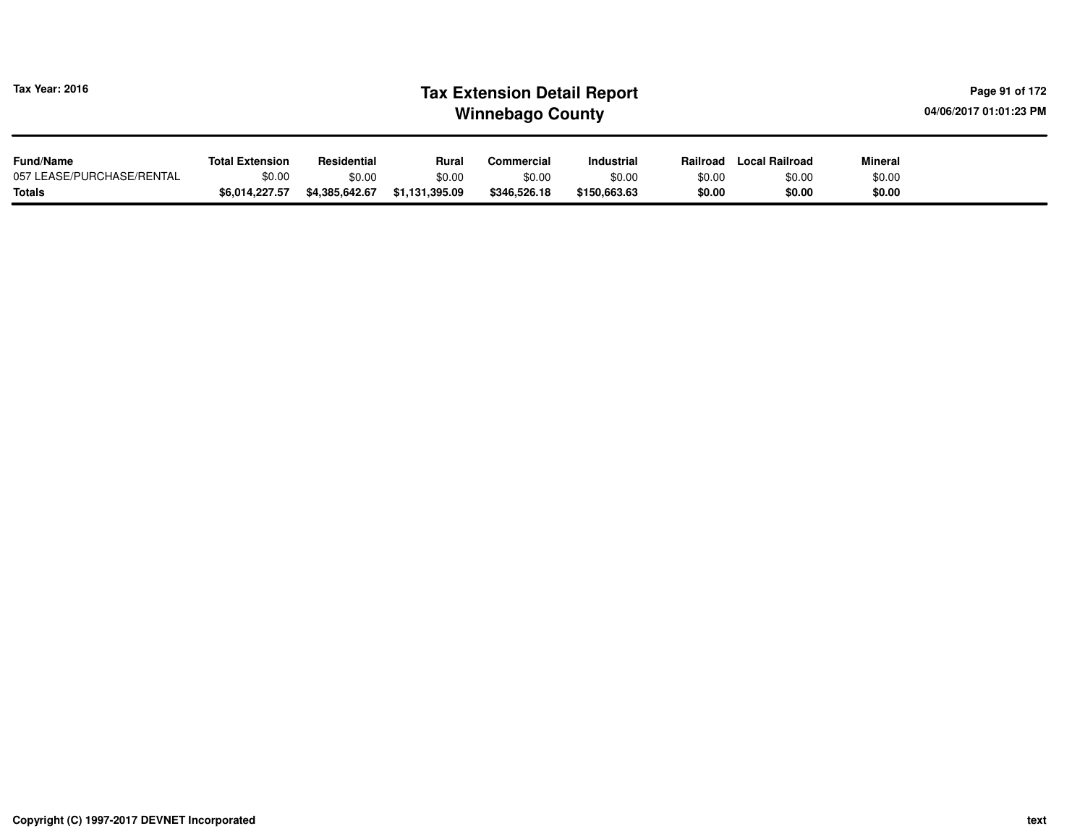| Tax Year: 2016            |                        |                |                | <b>Tax Extension Detail Report</b><br><b>Winnebago County</b> |              |          |                |         | Page 91 of 172<br>04/06/2017 01:01:23 PM |
|---------------------------|------------------------|----------------|----------------|---------------------------------------------------------------|--------------|----------|----------------|---------|------------------------------------------|
| <b>Fund/Name</b>          | <b>Total Extension</b> | Residential    | Rural          | Commercial                                                    | Industrial   | Railroad | Local Railroad | Mineral |                                          |
| 057 LEASE/PURCHASE/RENTAL | \$0.00                 | \$0.00         | \$0.00         | \$0.00                                                        | \$0.00       | \$0.00   | \$0.00         | \$0.00  |                                          |
| <b>Totals</b>             | \$6.014.227.57         | \$4,385,642.67 | \$1,131,395.09 | \$346,526.18                                                  | \$150,663.63 | \$0.00   | \$0.00         | \$0.00  |                                          |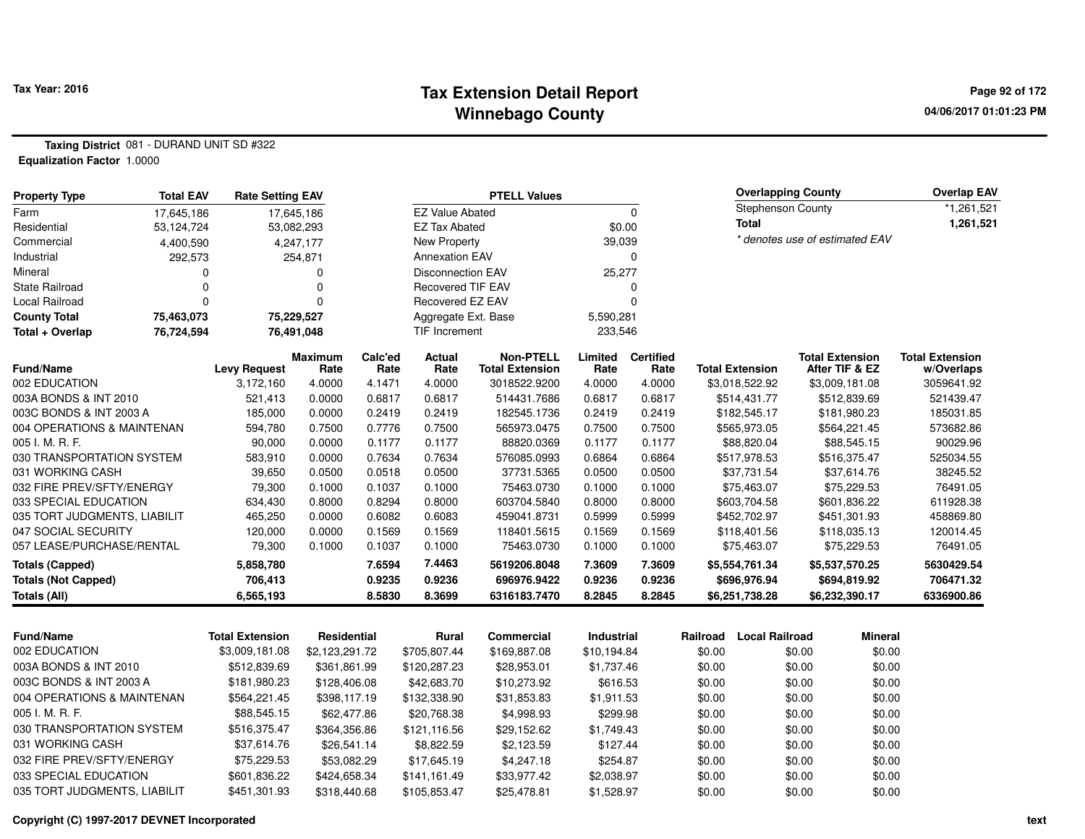#### **Tax Extension Detail Report Tax Year: 2016 Page 92 of 172 Winnebago County**

**04/06/2017 01:01:23 PM**

**Taxing District** 081 - DURAND UNIT SD #322**Equalization Factor** 1.0000

| <b>Total EAV</b><br><b>Property Type</b> | <b>Rate Setting EAV</b> |                |                |                          | <b>PTELL Values</b>                    |                  |                  |          | <b>Overlapping County</b>      |        |                                | <b>Overlap EAV</b>       |
|------------------------------------------|-------------------------|----------------|----------------|--------------------------|----------------------------------------|------------------|------------------|----------|--------------------------------|--------|--------------------------------|--------------------------|
| 17,645,186<br>Farm                       |                         | 17,645,186     |                | <b>EZ Value Abated</b>   |                                        |                  | 0                |          | <b>Stephenson County</b>       |        |                                | *1,261,521               |
| Residential<br>53,124,724                |                         | 53,082,293     |                | <b>EZ Tax Abated</b>     |                                        |                  | \$0.00           |          | Total                          |        |                                | 1,261,521                |
| Commercial<br>4,400,590                  |                         | 4,247,177      |                | New Property             |                                        | 39,039           |                  |          |                                |        | * denotes use of estimated EAV |                          |
| Industrial                               | 292,573                 | 254,871        |                | <b>Annexation EAV</b>    |                                        |                  | 0                |          |                                |        |                                |                          |
| Mineral                                  |                         | 0              |                | <b>Disconnection EAV</b> |                                        | 25,277           |                  |          |                                |        |                                |                          |
| <b>State Railroad</b>                    | n                       | 0              |                | <b>Recovered TIF EAV</b> |                                        |                  | 0                |          |                                |        |                                |                          |
| Local Railroad                           | $\Omega$                | 0              |                | Recovered EZ EAV         |                                        |                  | $\mathbf 0$      |          |                                |        |                                |                          |
| 75,463,073<br><b>County Total</b>        |                         | 75,229,527     |                | Aggregate Ext. Base      |                                        | 5,590,281        |                  |          |                                |        |                                |                          |
| Total + Overlap<br>76,724,594            |                         | 76,491,048     |                | TIF Increment            |                                        | 233,546          |                  |          |                                |        |                                |                          |
|                                          |                         | <b>Maximum</b> | Calc'ed        | Actual                   | <b>Non-PTELL</b>                       | Limited          | <b>Certified</b> |          |                                |        | <b>Total Extension</b>         | <b>Total Extension</b>   |
| Fund/Name<br>002 EDUCATION               | <b>Levy Request</b>     | Rate<br>4.0000 | Rate<br>4.1471 | Rate                     | <b>Total Extension</b><br>3018522.9200 | Rate             | Rate<br>4.0000   |          | <b>Total Extension</b>         |        | After TIF & EZ                 | w/Overlaps<br>3059641.92 |
| 003A BONDS & INT 2010                    | 3,172,160<br>521,413    | 0.0000         | 0.6817         | 4.0000<br>0.6817         | 514431.7686                            | 4.0000<br>0.6817 | 0.6817           |          | \$3,018,522.92<br>\$514,431.77 |        | \$3,009,181.08<br>\$512,839.69 | 521439.47                |
| 003C BONDS & INT 2003 A                  | 185,000                 | 0.0000         | 0.2419         | 0.2419                   | 182545.1736                            | 0.2419           | 0.2419           |          | \$182,545.17                   |        | \$181,980.23                   | 185031.85                |
| 004 OPERATIONS & MAINTENAN               | 594,780                 | 0.7500         | 0.7776         | 0.7500                   | 565973.0475                            | 0.7500           | 0.7500           |          | \$565,973.05                   |        | \$564,221.45                   | 573682.86                |
| 005 I. M. R. F.                          | 90,000                  | 0.0000         | 0.1177         | 0.1177                   | 88820.0369                             | 0.1177           | 0.1177           |          | \$88,820.04                    |        | \$88,545.15                    | 90029.96                 |
| 030 TRANSPORTATION SYSTEM                | 583,910                 | 0.0000         | 0.7634         | 0.7634                   | 576085.0993                            | 0.6864           | 0.6864           |          | \$517,978.53                   |        | \$516,375.47                   | 525034.55                |
| 031 WORKING CASH                         | 39,650                  | 0.0500         | 0.0518         | 0.0500                   | 37731.5365                             | 0.0500           | 0.0500           |          | \$37,731.54                    |        | \$37,614.76                    | 38245.52                 |
| 032 FIRE PREV/SFTY/ENERGY                | 79,300                  | 0.1000         | 0.1037         | 0.1000                   | 75463.0730                             | 0.1000           | 0.1000           |          | \$75,463.07                    |        | \$75,229.53                    | 76491.05                 |
| 033 SPECIAL EDUCATION                    | 634,430                 | 0.8000         | 0.8294         | 0.8000                   | 603704.5840                            | 0.8000           | 0.8000           |          | \$603,704.58                   |        | \$601,836.22                   | 611928.38                |
| 035 TORT JUDGMENTS, LIABILIT             | 465,250                 | 0.0000         | 0.6082         | 0.6083                   | 459041.8731                            | 0.5999           | 0.5999           |          | \$452,702.97                   |        | \$451,301.93                   | 458869.80                |
| 047 SOCIAL SECURITY                      | 120,000                 | 0.0000         | 0.1569         | 0.1569                   | 118401.5615                            | 0.1569           | 0.1569           |          | \$118,401.56                   |        | \$118,035.13                   | 120014.45                |
| 057 LEASE/PURCHASE/RENTAL                | 79,300                  | 0.1000         | 0.1037         | 0.1000                   | 75463.0730                             | 0.1000           | 0.1000           |          | \$75,463.07                    |        | \$75,229.53                    | 76491.05                 |
| <b>Totals (Capped)</b>                   | 5,858,780               |                | 7.6594         | 7.4463                   | 5619206.8048                           | 7.3609           | 7.3609           |          | \$5,554,761.34                 |        | \$5,537,570.25                 | 5630429.54               |
| <b>Totals (Not Capped)</b>               | 706,413                 |                | 0.9235         | 0.9236                   | 696976.9422                            | 0.9236           | 0.9236           |          | \$696,976.94                   |        | \$694,819.92                   | 706471.32                |
| <b>Totals (All)</b>                      | 6,565,193               |                | 8.5830         | 8.3699                   | 6316183.7470                           | 8.2845           | 8.2845           |          | \$6,251,738.28                 |        | \$6,232,390.17                 | 6336900.86               |
|                                          |                         |                |                |                          |                                        |                  |                  |          |                                |        |                                |                          |
| <b>Fund/Name</b>                         | <b>Total Extension</b>  | Residential    |                | Rural                    | Commercial                             | Industrial       |                  | Railroad | <b>Local Railroad</b>          |        | <b>Mineral</b>                 |                          |
| 002 EDUCATION                            | \$3,009,181.08          | \$2,123,291.72 |                | \$705,807.44             | \$169,887.08                           | \$10,194.84      |                  | \$0.00   |                                | \$0.00 | \$0.00                         |                          |
| 003A BONDS & INT 2010                    | \$512,839.69            | \$361,861.99   |                | \$120,287.23             | \$28,953.01                            | \$1,737.46       |                  | \$0.00   |                                | \$0.00 | \$0.00                         |                          |
| 003C BONDS & INT 2003 A                  | \$181,980.23            | \$128,406.08   |                | \$42,683.70              | \$10,273.92                            | \$616.53         |                  | \$0.00   |                                | \$0.00 | \$0.00                         |                          |
| 004 OPERATIONS & MAINTENAN               | \$564,221.45            | \$398,117.19   |                | \$132,338.90             | \$31,853.83                            | \$1,911.53       |                  | \$0.00   |                                | \$0.00 | \$0.00                         |                          |
| 005 I. M. R. F.                          | \$88,545.15             | \$62,477.86    |                | \$20,768.38              | \$4,998.93                             | \$299.98         |                  | \$0.00   |                                | \$0.00 | \$0.00                         |                          |
| 030 TRANSPORTATION SYSTEM                | \$516,375.47            | \$364,356.86   |                | \$121,116.56             | \$29,152.62                            | \$1,749.43       |                  | \$0.00   |                                | \$0.00 | \$0.00                         |                          |
| 031 WORKING CASH                         | \$37,614.76             | \$26,541.14    |                | \$8,822.59               | \$2,123.59                             | \$127.44         |                  | \$0.00   |                                | \$0.00 | \$0.00                         |                          |
| 032 FIRE PREV/SFTY/ENERGY                | \$75,229.53             | \$53,082.29    |                | \$17,645.19              | \$4,247.18                             | \$254.87         |                  | \$0.00   |                                | \$0.00 | \$0.00                         |                          |
| 033 SPECIAL EDUCATION                    | \$601,836.22            | \$424,658.34   |                | \$141,161.49             | \$33,977.42                            | \$2,038.97       |                  | \$0.00   |                                | \$0.00 | \$0.00                         |                          |
| 035 TORT JUDGMENTS, LIABILIT             | \$451,301.93            | \$318,440.68   |                | \$105,853.47             | \$25,478.81                            | \$1,528.97       |                  | \$0.00   |                                | \$0.00 | \$0.00                         |                          |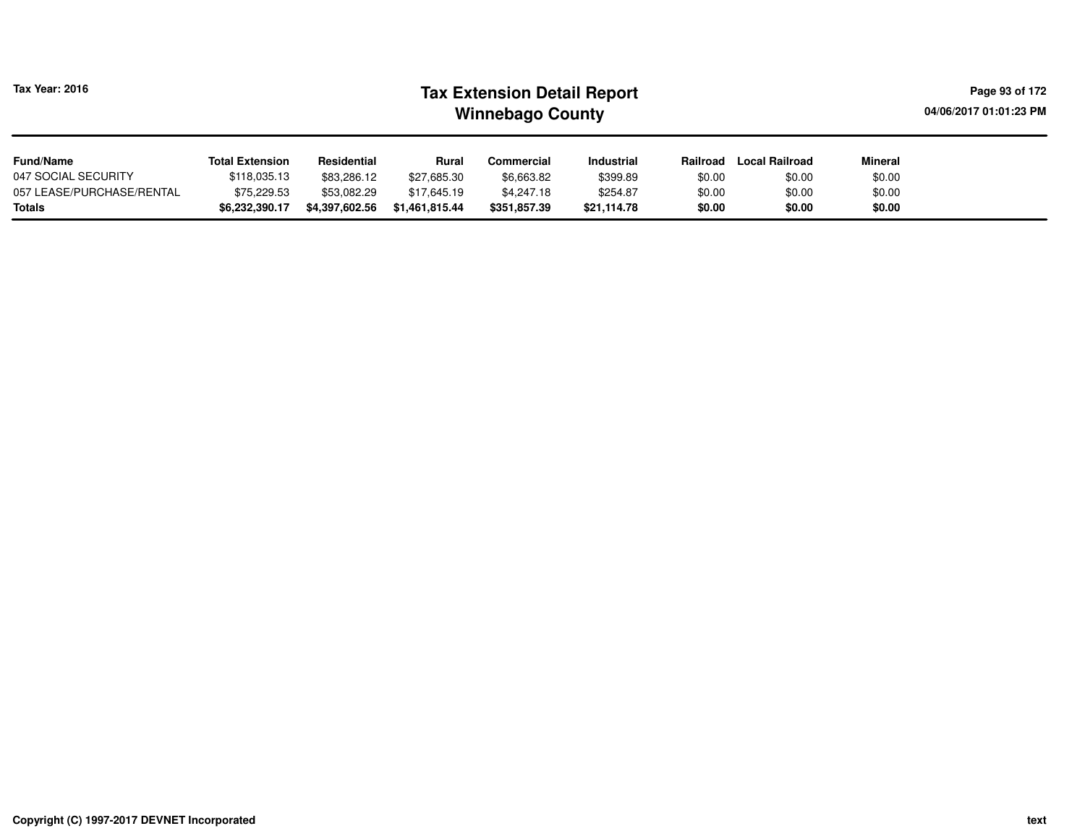| Tax Year: 2016 |  |
|----------------|--|
|                |  |

# **Tax Extension Detail Report Tax Year: 2016 Page 93 of 172 Winnebago County**

**04/06/2017 01:01:23 PM**

| <b>Fund/Name</b>          | <b>Total Extension</b> | Residential    | Rural          | Commercial   | <b>Industrial</b> | Railroad | <b>Local Railroad</b> | <b>Mineral</b> |
|---------------------------|------------------------|----------------|----------------|--------------|-------------------|----------|-----------------------|----------------|
| 047 SOCIAL SECURITY       | \$118,035.13           | \$83,286.12    | \$27,685.30    | \$6,663.82   | \$399.89          | \$0.00   | \$0.00                | \$0.00         |
| 057 LEASE/PURCHASE/RENTAL | \$75.229.53            | \$53,082.29    | \$17.645.19    | \$4,247.18   | \$254.87          | \$0.00   | \$0.00                | \$0.00         |
| <b>Totals</b>             | \$6,232,390.17         | \$4,397,602.56 | \$1.461.815.44 | \$351.857.39 | \$21.114.78       | \$0.00   | \$0.00                | \$0.00         |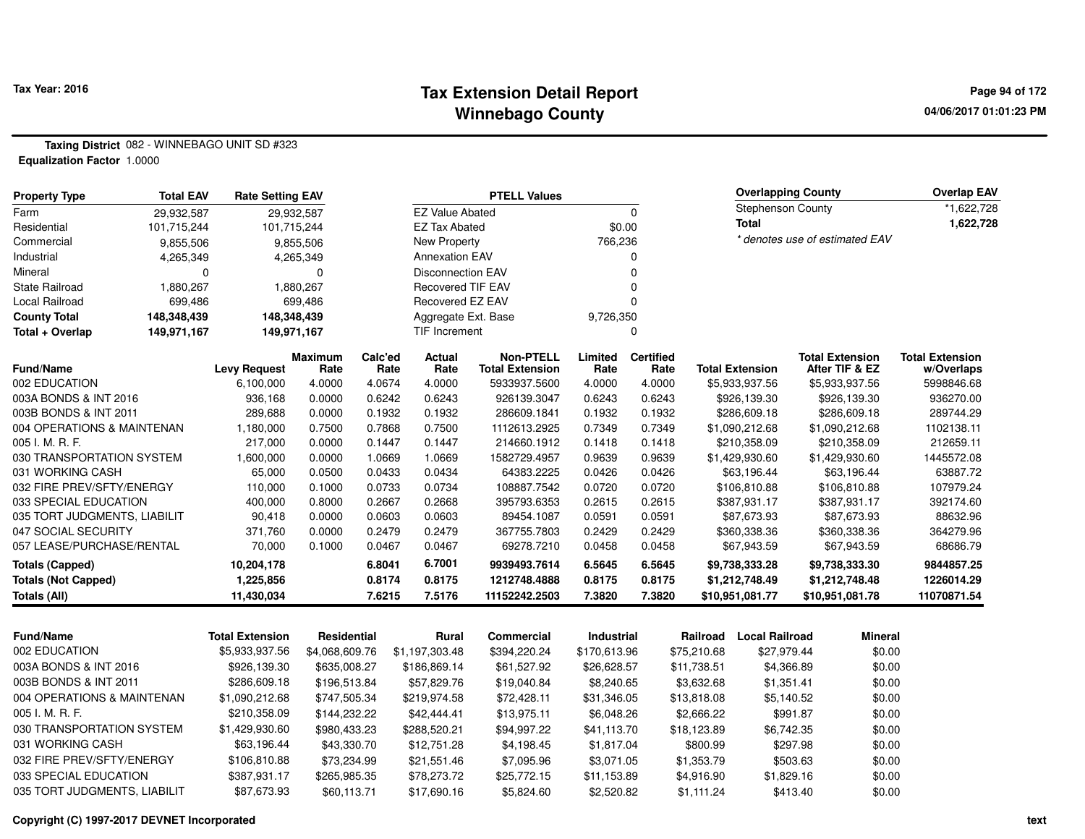#### **Tax Extension Detail Report Tax Year: 2016 Page 94 of 172 Winnebago County**

**Taxing District** 082 - WINNEBAGO UNIT SD #323**Equalization Factor** 1.0000

| <b>Property Type</b>         | <b>Total EAV</b> | <b>Rate Setting EAV</b>          |                |                 |                          | <b>PTELL Values</b>                        |                 |                  |             | <b>Overlapping County</b> |          |                                          | <b>Overlap EAV</b>       |
|------------------------------|------------------|----------------------------------|----------------|-----------------|--------------------------|--------------------------------------------|-----------------|------------------|-------------|---------------------------|----------|------------------------------------------|--------------------------|
| Farm                         | 29,932,587       |                                  | 29,932,587     |                 | <b>EZ Value Abated</b>   |                                            |                 | $\Omega$         |             | <b>Stephenson County</b>  |          |                                          | *1,622,728               |
| Residential                  | 101,715,244      | 101,715,244                      |                |                 | <b>EZ Tax Abated</b>     |                                            | \$0.00          |                  |             | <b>Total</b>              |          |                                          | 1,622,728                |
| Commercial                   | 9,855,506        |                                  | 9,855,506      |                 | New Property             |                                            | 766,236         |                  |             |                           |          | * denotes use of estimated EAV           |                          |
| Industrial                   | 4,265,349        |                                  | 4,265,349      |                 | <b>Annexation EAV</b>    |                                            |                 | 0                |             |                           |          |                                          |                          |
| Mineral                      | $\Omega$         |                                  | $\mathbf 0$    |                 | <b>Disconnection EAV</b> |                                            |                 | $\Omega$         |             |                           |          |                                          |                          |
| <b>State Railroad</b>        | 1,880,267        |                                  | 1,880,267      |                 | <b>Recovered TIF EAV</b> |                                            |                 | $\Omega$         |             |                           |          |                                          |                          |
| <b>Local Railroad</b>        | 699,486          |                                  | 699,486        |                 | Recovered EZ EAV         |                                            |                 | $\Omega$         |             |                           |          |                                          |                          |
| <b>County Total</b>          | 148,348,439      | 148,348,439                      |                |                 | Aggregate Ext. Base      |                                            | 9,726,350       |                  |             |                           |          |                                          |                          |
| Total + Overlap              | 149,971,167      | 149,971,167                      |                |                 | <b>TIF Increment</b>     |                                            |                 | $\mathbf 0$      |             |                           |          |                                          |                          |
| Fund/Name                    |                  |                                  | <b>Maximum</b> | Calc'ed<br>Rate | <b>Actual</b><br>Rate    | <b>Non-PTELL</b><br><b>Total Extension</b> | Limited<br>Rate | <b>Certified</b> |             | <b>Total Extension</b>    |          | <b>Total Extension</b><br>After TIF & EZ | <b>Total Extension</b>   |
| 002 EDUCATION                |                  | <b>Levy Request</b><br>6,100,000 | Rate<br>4.0000 | 4.0674          | 4.0000                   | 5933937.5600                               | 4.0000          | Rate<br>4.0000   |             | \$5,933,937.56            |          | \$5,933,937.56                           | w/Overlaps<br>5998846.68 |
| 003A BONDS & INT 2016        |                  | 936,168                          | 0.0000         | 0.6242          | 0.6243                   | 926139.3047                                | 0.6243          | 0.6243           |             | \$926,139.30              |          | \$926,139.30                             | 936270.00                |
| 003B BONDS & INT 2011        |                  | 289,688                          | 0.0000         | 0.1932          | 0.1932                   | 286609.1841                                | 0.1932          | 0.1932           |             | \$286,609.18              |          | \$286,609.18                             | 289744.29                |
| 004 OPERATIONS & MAINTENAN   |                  | 1,180,000                        | 0.7500         | 0.7868          | 0.7500                   | 1112613.2925                               | 0.7349          | 0.7349           |             | \$1,090,212.68            |          | \$1,090,212.68                           | 1102138.11               |
| 005 I. M. R. F.              |                  | 217,000                          | 0.0000         | 0.1447          | 0.1447                   | 214660.1912                                | 0.1418          | 0.1418           |             | \$210,358.09              |          | \$210,358.09                             | 212659.11                |
| 030 TRANSPORTATION SYSTEM    |                  | 1,600,000                        | 0.0000         | 1.0669          | 1.0669                   | 1582729.4957                               | 0.9639          | 0.9639           |             | \$1,429,930.60            |          | \$1,429,930.60                           | 1445572.08               |
| 031 WORKING CASH             |                  | 65,000                           | 0.0500         | 0.0433          | 0.0434                   | 64383.2225                                 | 0.0426          | 0.0426           |             | \$63,196.44               |          | \$63,196.44                              | 63887.72                 |
| 032 FIRE PREV/SFTY/ENERGY    |                  | 110,000                          | 0.1000         | 0.0733          | 0.0734                   | 108887.7542                                | 0.0720          | 0.0720           |             | \$106,810.88              |          | \$106,810.88                             | 107979.24                |
| 033 SPECIAL EDUCATION        |                  | 400,000                          | 0.8000         | 0.2667          | 0.2668                   | 395793.6353                                | 0.2615          | 0.2615           |             | \$387,931.17              |          | \$387,931.17                             | 392174.60                |
| 035 TORT JUDGMENTS, LIABILIT |                  | 90,418                           | 0.0000         | 0.0603          | 0.0603                   | 89454.1087                                 | 0.0591          | 0.0591           |             | \$87,673.93               |          | \$87,673.93                              | 88632.96                 |
| 047 SOCIAL SECURITY          |                  | 371,760                          | 0.0000         | 0.2479          | 0.2479                   | 367755.7803                                | 0.2429          | 0.2429           |             | \$360,338.36              |          | \$360,338.36                             | 364279.96                |
| 057 LEASE/PURCHASE/RENTAL    |                  | 70,000                           | 0.1000         | 0.0467          | 0.0467                   | 69278.7210                                 | 0.0458          | 0.0458           |             | \$67,943.59               |          | \$67,943.59                              | 68686.79                 |
| <b>Totals (Capped)</b>       |                  | 10,204,178                       |                | 6.8041          | 6.7001                   | 9939493.7614                               | 6.5645          | 6.5645           |             | \$9,738,333.28            |          | \$9,738,333.30                           | 9844857.25               |
| <b>Totals (Not Capped)</b>   |                  | 1,225,856                        |                | 0.8174          | 0.8175                   | 1212748.4888                               | 0.8175          | 0.8175           |             | \$1,212,748.49            |          | \$1,212,748.48                           | 1226014.29               |
| <b>Totals (All)</b>          |                  | 11,430,034                       |                | 7.6215          | 7.5176                   | 11152242.2503                              | 7.3820          | 7.3820           |             | \$10,951,081.77           |          | \$10,951,081.78                          | 11070871.54              |
|                              |                  |                                  |                |                 |                          |                                            |                 |                  |             |                           |          |                                          |                          |
| <b>Fund/Name</b>             |                  | <b>Total Extension</b>           | Residential    |                 | Rural                    | Commercial                                 | Industrial      |                  | Railroad    | <b>Local Railroad</b>     |          | <b>Mineral</b>                           |                          |
| 002 EDUCATION                |                  | \$5,933,937.56                   | \$4,068,609.76 |                 | \$1,197,303.48           | \$394,220.24                               | \$170,613.96    |                  | \$75,210.68 | \$27,979.44               |          | \$0.00                                   |                          |
| 003A BONDS & INT 2016        |                  | \$926,139.30                     | \$635,008.27   |                 | \$186,869.14             | \$61,527.92                                | \$26,628.57     |                  | \$11,738.51 | \$4,366.89                |          | \$0.00                                   |                          |
| 003B BONDS & INT 2011        |                  | \$286,609.18                     | \$196,513.84   |                 | \$57,829.76              | \$19,040.84                                | \$8,240.65      |                  | \$3,632.68  | \$1,351.41                |          | \$0.00                                   |                          |
| 004 OPERATIONS & MAINTENAN   |                  | \$1,090,212.68                   | \$747,505.34   |                 | \$219,974.58             | \$72,428.11                                | \$31,346.05     |                  | \$13,818.08 | \$5,140.52                |          | \$0.00                                   |                          |
| 005 I. M. R. F.              |                  | \$210,358.09                     | \$144,232.22   |                 | \$42,444.41              | \$13,975.11                                | \$6,048.26      |                  | \$2,666.22  |                           | \$991.87 | \$0.00                                   |                          |
| 030 TRANSPORTATION SYSTEM    |                  | \$1,429,930.60                   | \$980,433.23   |                 | \$288,520.21             | \$94,997.22                                | \$41,113.70     |                  | \$18,123.89 | \$6,742.35                |          | \$0.00                                   |                          |
| 031 WORKING CASH             |                  | \$63,196.44                      | \$43,330.70    |                 | \$12,751.28              | \$4,198.45                                 | \$1,817.04      |                  | \$800.99    |                           | \$297.98 | \$0.00                                   |                          |
| 032 FIRE PREV/SFTY/ENERGY    |                  | \$106,810.88                     | \$73,234.99    |                 | \$21,551.46              | \$7,095.96                                 | \$3,071.05      |                  | \$1,353.79  |                           | \$503.63 | \$0.00                                   |                          |
| 033 SPECIAL EDUCATION        |                  | \$387,931.17                     | \$265,985.35   |                 | \$78,273.72              | \$25,772.15                                | \$11,153.89     |                  | \$4,916.90  | \$1,829.16                |          | \$0.00                                   |                          |

\$87,673.93 \$60,113.71 \$17,690.16 \$5,824.60 \$2,520.82 \$1,111.24 \$413.40 \$0.00

**Copyright (C) 1997-2017 DEVNET Incorporated**

035 TORT JUDGMENTS, LIABILIT \$87,673.93

 $$0.00$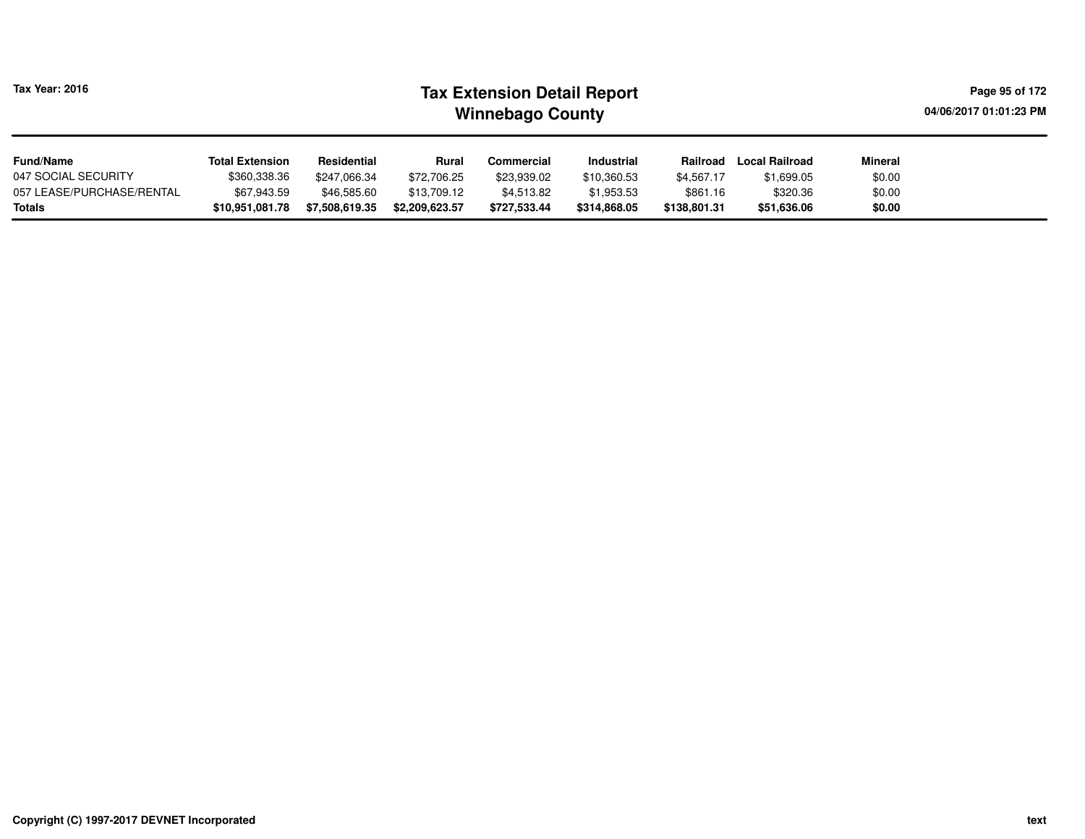| Tax Year: 2016 | <b>Tax Extension Detail Report</b> | Page 95 of 172         |
|----------------|------------------------------------|------------------------|
|                | <b>Winnebago County</b>            | 04/06/2017 01:01:23 PM |
|                |                                    |                        |

# **Minebago County**

| <b>Fund/Name</b>          | <b>Total Extension</b> | Residential    | <b>Rural</b>   | Commercial   | Industrial   | Railroad     | Local Railroad | <b>Mineral</b> |
|---------------------------|------------------------|----------------|----------------|--------------|--------------|--------------|----------------|----------------|
| 047 SOCIAL SECURITY       | \$360,338.36           | \$247,066.34   | \$72,706.25    | \$23,939.02  | \$10,360.53  | \$4,567.17   | \$1,699.05     | \$0.00         |
| 057 LEASE/PURCHASE/RENTAL | \$67,943.59            | \$46,585.60    | \$13,709.12    | \$4,513.82   | \$1,953.53   | \$861.16     | \$320.36       | \$0.00         |
| Totals                    | \$10.951.081.78        | \$7,508,619.35 | \$2,209,623,57 | \$727.533.44 | \$314.868.05 | \$138,801.31 | \$51,636,06    | \$0.00         |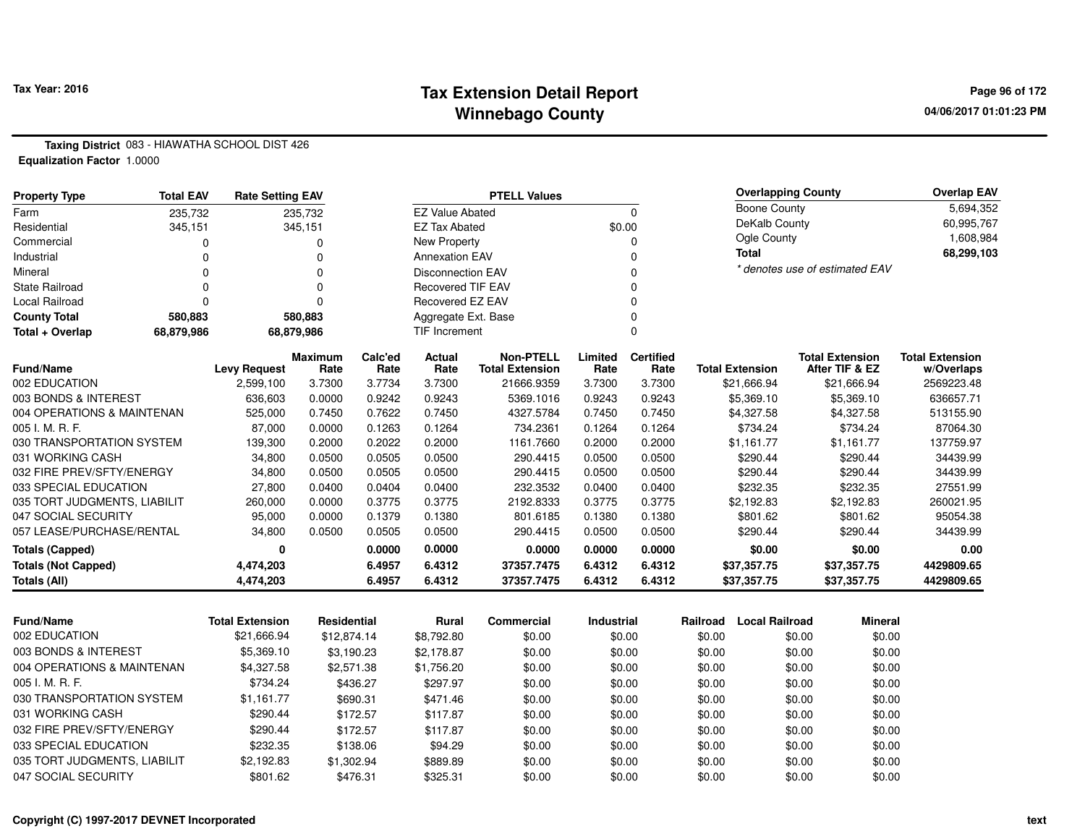#### **Tax Extension Detail Report Tax Year: 2016 Page 96 of 172 Winnebago County**

**Taxing District** 083 - HIAWATHA SCHOOL DIST 426**Equalization Factor** 1.0000

| <b>Property Type</b>         | <b>Total EAV</b><br><b>Rate Setting EAV</b> |                     |                        |                 |                          | <b>PTELL Values</b>                        |                 |                          |                        | <b>Overlapping County</b>                | <b>Overlap EAV</b>                   |
|------------------------------|---------------------------------------------|---------------------|------------------------|-----------------|--------------------------|--------------------------------------------|-----------------|--------------------------|------------------------|------------------------------------------|--------------------------------------|
| Farm                         | 235,732                                     |                     | 235,732                |                 | <b>EZ Value Abated</b>   |                                            |                 | 0                        | <b>Boone County</b>    |                                          | 5,694,352                            |
| Residential                  | 345,151                                     |                     | 345,151                |                 | <b>EZ Tax Abated</b>     |                                            |                 | \$0.00                   | DeKalb County          |                                          | 60,995,767                           |
| Commercial                   |                                             |                     |                        |                 | New Property             |                                            |                 |                          | Ogle County            |                                          | 1,608,984                            |
| Industrial                   |                                             |                     |                        |                 | <b>Annexation EAV</b>    |                                            |                 |                          | <b>Total</b>           |                                          | 68,299,103                           |
| Mineral                      | <sup>0</sup>                                |                     | O                      |                 | <b>Disconnection EAV</b> |                                            |                 |                          |                        | * denotes use of estimated EAV           |                                      |
| <b>State Railroad</b>        |                                             |                     |                        |                 | <b>Recovered TIF EAV</b> |                                            |                 |                          |                        |                                          |                                      |
| Local Railroad               | O                                           |                     |                        |                 | Recovered EZ EAV         |                                            |                 |                          |                        |                                          |                                      |
| <b>County Total</b>          | 580,883                                     |                     | 580,883                |                 | Aggregate Ext. Base      |                                            |                 |                          |                        |                                          |                                      |
| Total + Overlap              | 68,879,986<br>68,879,986                    |                     |                        |                 | TIF Increment            |                                            |                 |                          |                        |                                          |                                      |
| <b>Fund/Name</b>             |                                             | <b>Levy Request</b> | <b>Maximum</b><br>Rate | Calc'ed<br>Rate | Actual<br>Rate           | <b>Non-PTELL</b><br><b>Total Extension</b> | Limited<br>Rate | <b>Certified</b><br>Rate | <b>Total Extension</b> | <b>Total Extension</b><br>After TIF & EZ | <b>Total Extension</b><br>w/Overlaps |
| 002 EDUCATION                |                                             | 2,599,100           | 3.7300                 | 3.7734          | 3.7300                   | 21666.9359                                 | 3.7300          | 3.7300                   | \$21,666.94            | \$21,666.94                              | 2569223.48                           |
| 003 BONDS & INTEREST         |                                             | 636,603             | 0.0000                 | 0.9242          | 0.9243                   | 5369.1016                                  | 0.9243          | 0.9243                   | \$5,369.10             | \$5,369.10                               | 636657.71                            |
| 004 OPERATIONS & MAINTENAN   |                                             | 525,000             | 0.7450                 | 0.7622          | 0.7450                   | 4327.5784                                  | 0.7450          | 0.7450                   | \$4,327.58             | \$4,327.58                               | 513155.90                            |
| 005 I. M. R. F.              |                                             | 87,000              | 0.0000                 | 0.1263          | 0.1264                   | 734.2361                                   | 0.1264          | 0.1264                   | \$734.24               | \$734.24                                 | 87064.30                             |
| 030 TRANSPORTATION SYSTEM    |                                             | 139,300             | 0.2000                 | 0.2022          | 0.2000                   | 1161.7660                                  | 0.2000          | 0.2000                   | \$1,161.77             | \$1.161.77                               | 137759.97                            |
| 031 WORKING CASH             |                                             | 34,800              | 0.0500                 | 0.0505          | 0.0500                   | 290.4415                                   | 0.0500          | 0.0500                   | \$290.44               | \$290.44                                 | 34439.99                             |
| 032 FIRE PREV/SFTY/ENERGY    |                                             | 34,800              | 0.0500                 | 0.0505          | 0.0500                   | 290.4415                                   | 0.0500          | 0.0500                   | \$290.44               | \$290.44                                 | 34439.99                             |
| 033 SPECIAL EDUCATION        |                                             | 27,800              | 0.0400                 | 0.0404          | 0.0400                   | 232.3532                                   | 0.0400          | 0.0400                   | \$232.35               | \$232.35                                 | 27551.99                             |
| 035 TORT JUDGMENTS, LIABILIT |                                             | 260,000             | 0.0000                 | 0.3775          | 0.3775                   | 2192.8333                                  | 0.3775          | 0.3775                   | \$2,192.83             | \$2,192.83                               | 260021.95                            |
| 047 SOCIAL SECURITY          |                                             | 95,000              | 0.0000                 | 0.1379          | 0.1380                   | 801.6185                                   | 0.1380          | 0.1380                   | \$801.62               | \$801.62                                 | 95054.38                             |
| 057 LEASE/PURCHASE/RENTAL    |                                             | 34,800              | 0.0500                 | 0.0505          | 0.0500                   | 290.4415                                   | 0.0500          | 0.0500                   | \$290.44               | \$290.44                                 | 34439.99                             |
| <b>Totals (Capped)</b>       |                                             | 0                   |                        | 0.0000          | 0.0000                   | 0.0000                                     | 0.0000          | 0.0000                   | \$0.00                 | \$0.00                                   | 0.00                                 |
| <b>Totals (Not Capped)</b>   |                                             | 4,474,203           |                        | 6.4957          | 6.4312                   | 37357.7475                                 | 6.4312          | 6.4312                   | \$37,357.75            | \$37,357.75                              | 4429809.65                           |
| Totals (All)                 |                                             | 4,474,203           |                        | 6.4957          | 6.4312                   | 37357.7475                                 | 6.4312          | 6.4312                   | \$37,357.75            | \$37,357.75                              | 4429809.65                           |

| <b>Fund/Name</b>             | <b>Total Extension</b> | Residential | Rural      | Commercial | <b>Industrial</b> | Railroad | Local Railroad | Mineral |
|------------------------------|------------------------|-------------|------------|------------|-------------------|----------|----------------|---------|
| 002 EDUCATION                | \$21,666.94            | \$12,874.14 | \$8.792.80 | \$0.00     | \$0.00            | \$0.00   | \$0.00         | \$0.00  |
| 003 BONDS & INTEREST         | \$5,369.10             | \$3.190.23  | \$2.178.87 | \$0.00     | \$0.00            | \$0.00   | \$0.00         | \$0.00  |
| 004 OPERATIONS & MAINTENAN   | \$4,327.58             | \$2,571.38  | \$1.756.20 | \$0.00     | \$0.00            | \$0.00   | \$0.00         | \$0.00  |
| 005 I. M. R. F.              | \$734.24               | \$436.27    | \$297.97   | \$0.00     | \$0.00            | \$0.00   | \$0.00         | \$0.00  |
| 030 TRANSPORTATION SYSTEM    | \$1.161.77             | \$690.31    | \$471.46   | \$0.00     | \$0.00            | \$0.00   | \$0.00         | \$0.00  |
| 031 WORKING CASH             | \$290.44               | \$172.57    | \$117.87   | \$0.00     | \$0.00            | \$0.00   | \$0.00         | \$0.00  |
| 032 FIRE PREV/SFTY/ENERGY    | \$290.44               | \$172.57    | \$117.87   | \$0.00     | \$0.00            | \$0.00   | \$0.00         | \$0.00  |
| 033 SPECIAL EDUCATION        | \$232.35               | \$138.06    | \$94.29    | \$0.00     | \$0.00            | \$0.00   | \$0.00         | \$0.00  |
| 035 TORT JUDGMENTS, LIABILIT | \$2,192.83             | \$1,302.94  | \$889.89   | \$0.00     | \$0.00            | \$0.00   | \$0.00         | \$0.00  |
| 047 SOCIAL SECURITY          | \$801.62               | \$476.31    | \$325.31   | \$0.00     | \$0.00            | \$0.00   | \$0.00         | \$0.00  |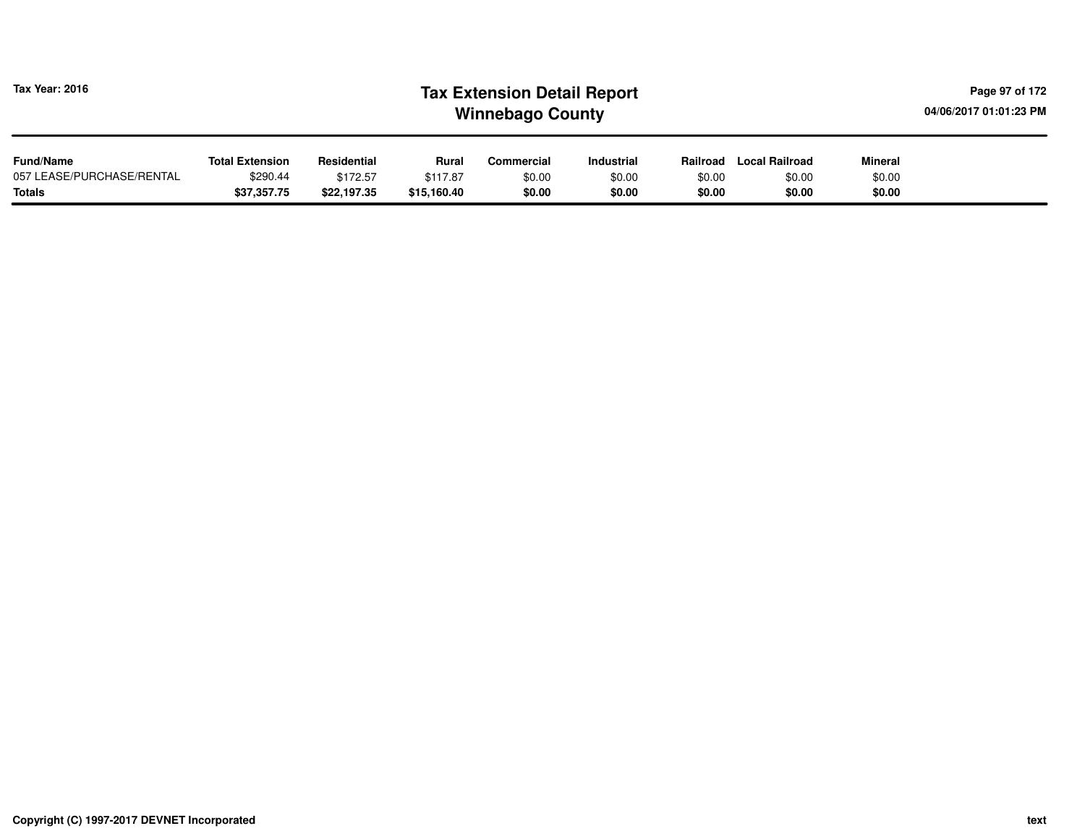| <b>Tax Year: 2016</b>                      | <b>Tax Extension Detail Report</b><br>04/06/2017 01:01:23 PM<br><b>Winnebago County</b> |                         |                         |                  |                   |                  |                       |                  |  |  |  |
|--------------------------------------------|-----------------------------------------------------------------------------------------|-------------------------|-------------------------|------------------|-------------------|------------------|-----------------------|------------------|--|--|--|
| <b>Fund/Name</b>                           | <b>Total Extension</b>                                                                  | Residential             | Rural                   | Commercial       | <b>Industrial</b> | Railroad         | <b>Local Railroad</b> | Mineral          |  |  |  |
| 057 LEASE/PURCHASE/RENTAL<br><b>Totals</b> | \$290.44<br>\$37,357.75                                                                 | \$172.57<br>\$22,197.35 | \$117.87<br>\$15,160.40 | \$0.00<br>\$0.00 | \$0.00<br>\$0.00  | \$0.00<br>\$0.00 | \$0.00<br>\$0.00      | \$0.00<br>\$0.00 |  |  |  |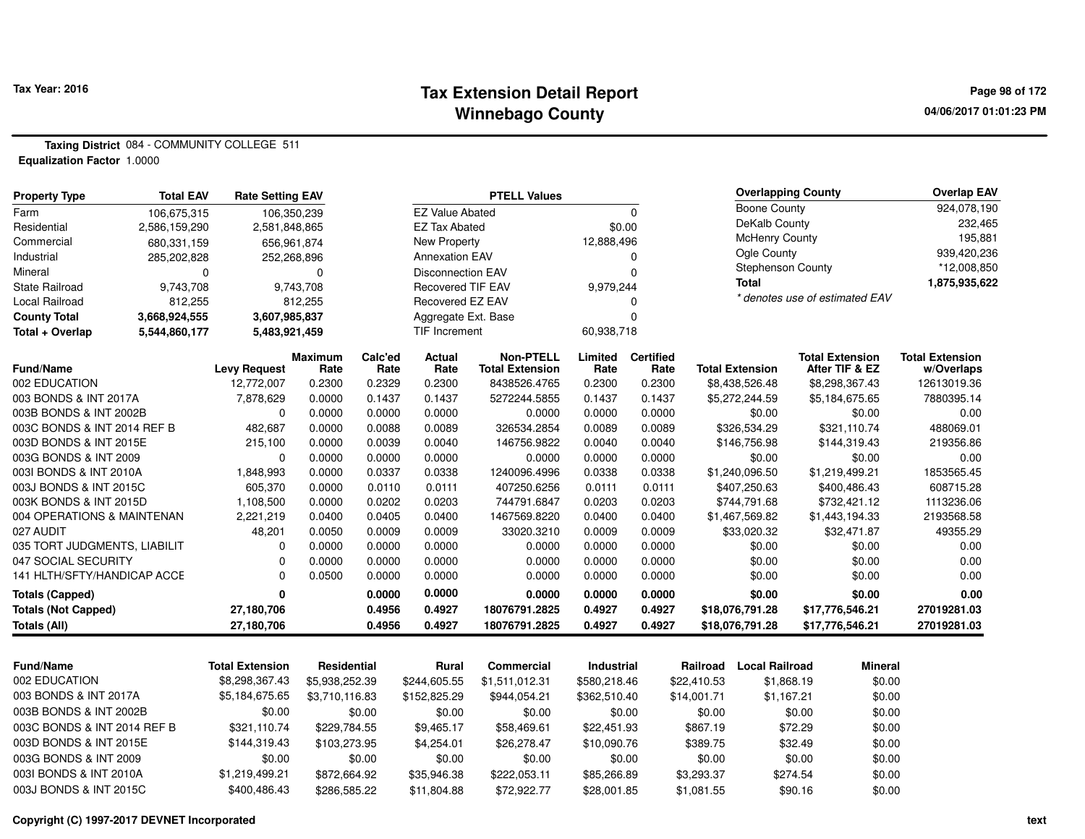#### **Tax Extension Detail Report Tax Year: 2016 Page 98 of 172 Winnebago County**

**04/06/2017 01:01:23 PM**

**Taxing District** 084 - COMMUNITY COLLEGE 511**Equalization Factor** 1.0000

| <b>Property Type</b>         | <b>Total EAV</b> | <b>Rate Setting EAV</b> |                    |         |                          | <b>PTELL Values</b>    |                   |                  |                        | <b>Overlapping County</b> |                                | <b>Overlap EAV</b>     |
|------------------------------|------------------|-------------------------|--------------------|---------|--------------------------|------------------------|-------------------|------------------|------------------------|---------------------------|--------------------------------|------------------------|
| Farm                         | 106,675,315      | 106,350,239             |                    |         | <b>EZ Value Abated</b>   |                        |                   | $\Omega$         |                        | <b>Boone County</b>       |                                | 924,078,190            |
| Residential                  | 2,586,159,290    | 2,581,848,865           |                    |         | <b>EZ Tax Abated</b>     |                        | \$0.00            |                  |                        | DeKalb County             |                                | 232,465                |
| Commercial                   | 680,331,159      | 656,961,874             |                    |         | New Property             |                        | 12,888,496        |                  |                        | <b>McHenry County</b>     |                                | 195,881                |
| Industrial                   | 285,202,828      | 252,268,896             |                    |         | <b>Annexation EAV</b>    |                        |                   | 0                |                        | Ogle County               |                                | 939,420,236            |
| Mineral                      | $\Omega$         |                         | 0                  |         | <b>Disconnection EAV</b> |                        |                   | $\Omega$         |                        | Stephenson County         |                                | *12,008,850            |
| <b>State Railroad</b>        | 9,743,708        |                         | 9,743,708          |         | <b>Recovered TIF EAV</b> |                        | 9,979,244         |                  |                        | <b>Total</b>              |                                | 1,875,935,622          |
| <b>Local Railroad</b>        | 812,255          |                         | 812,255            |         | <b>Recovered EZ EAV</b>  |                        |                   | 0                |                        |                           | * denotes use of estimated EAV |                        |
| <b>County Total</b>          | 3,668,924,555    | 3,607,985,837           |                    |         | Aggregate Ext. Base      |                        |                   | $\Omega$         |                        |                           |                                |                        |
| Total + Overlap              | 5,544,860,177    | 5,483,921,459           |                    |         | <b>TIF Increment</b>     |                        | 60,938,718        |                  |                        |                           |                                |                        |
|                              |                  |                         | <b>Maximum</b>     | Calc'ed | Actual                   | <b>Non-PTELL</b>       | Limited           | <b>Certified</b> |                        |                           | <b>Total Extension</b>         | <b>Total Extension</b> |
| <b>Fund/Name</b>             |                  | <b>Levy Request</b>     | Rate               | Rate    | Rate                     | <b>Total Extension</b> | Rate              | Rate             | <b>Total Extension</b> |                           | After TIF & EZ                 | w/Overlaps             |
| 002 EDUCATION                |                  | 12,772,007              | 0.2300             | 0.2329  | 0.2300                   | 8438526.4765           | 0.2300            | 0.2300           | \$8,438,526.48         |                           | \$8,298,367.43                 | 12613019.36            |
| 003 BONDS & INT 2017A        |                  | 7,878,629               | 0.0000             | 0.1437  | 0.1437                   | 5272244.5855           | 0.1437            | 0.1437           | \$5,272,244.59         |                           | \$5,184,675.65                 | 7880395.14             |
| 003B BONDS & INT 2002B       |                  | $\mathbf 0$             | 0.0000             | 0.0000  | 0.0000                   | 0.0000                 | 0.0000            | 0.0000           |                        | \$0.00                    | \$0.00                         | 0.00                   |
| 003C BONDS & INT 2014 REF B  |                  | 482,687                 | 0.0000             | 0.0088  | 0.0089                   | 326534.2854            | 0.0089            | 0.0089           | \$326,534.29           |                           | \$321,110.74                   | 488069.01              |
| 003D BONDS & INT 2015E       |                  | 215,100                 | 0.0000             | 0.0039  | 0.0040                   | 146756.9822            | 0.0040            | 0.0040           | \$146,756.98           |                           | \$144,319.43                   | 219356.86              |
| 003G BONDS & INT 2009        |                  | 0                       | 0.0000             | 0.0000  | 0.0000                   | 0.0000                 | 0.0000            | 0.0000           |                        | \$0.00                    | \$0.00                         | 0.00                   |
| 003I BONDS & INT 2010A       |                  | 1,848,993               | 0.0000             | 0.0337  | 0.0338                   | 1240096.4996           | 0.0338            | 0.0338           | \$1,240,096.50         |                           | \$1,219,499.21                 | 1853565.45             |
| 003J BONDS & INT 2015C       |                  | 605,370                 | 0.0000             | 0.0110  | 0.0111                   | 407250.6256            | 0.0111            | 0.0111           | \$407,250.63           |                           | \$400,486.43                   | 608715.28              |
| 003K BONDS & INT 2015D       |                  | 1,108,500               | 0.0000             | 0.0202  | 0.0203                   | 744791.6847            | 0.0203            | 0.0203           | \$744,791.68           |                           | \$732,421.12                   | 1113236.06             |
| 004 OPERATIONS & MAINTENAN   |                  | 2,221,219               | 0.0400             | 0.0405  | 0.0400                   | 1467569.8220           | 0.0400            | 0.0400           | \$1,467,569.82         |                           | \$1,443,194.33                 | 2193568.58             |
| 027 AUDIT                    |                  | 48,201                  | 0.0050             | 0.0009  | 0.0009                   | 33020.3210             | 0.0009            | 0.0009           |                        | \$33,020.32               | \$32,471.87                    | 49355.29               |
| 035 TORT JUDGMENTS, LIABILIT |                  | $\mathbf 0$             | 0.0000             | 0.0000  | 0.0000                   | 0.0000                 | 0.0000            | 0.0000           |                        | \$0.00                    | \$0.00                         | 0.00                   |
| 047 SOCIAL SECURITY          |                  | $\Omega$                | 0.0000             | 0.0000  | 0.0000                   | 0.0000                 | 0.0000            | 0.0000           |                        | \$0.00                    | \$0.00                         | 0.00                   |
| 141 HLTH/SFTY/HANDICAP ACCE  |                  | $\Omega$<br>$\Omega$    | 0.0500             | 0.0000  | 0.0000<br>0.0000         | 0.0000                 | 0.0000            | 0.0000           |                        | \$0.00                    | \$0.00                         | 0.00                   |
| <b>Totals (Capped)</b>       |                  |                         |                    | 0.0000  |                          | 0.0000                 | 0.0000            | 0.0000           |                        | \$0.00                    | \$0.00                         | 0.00                   |
| <b>Totals (Not Capped)</b>   |                  | 27,180,706              |                    | 0.4956  | 0.4927                   | 18076791.2825          | 0.4927            | 0.4927           | \$18,076,791.28        |                           | \$17,776,546.21                | 27019281.03            |
| <b>Totals (All)</b>          |                  | 27,180,706              |                    | 0.4956  | 0.4927                   | 18076791.2825          | 0.4927            | 0.4927           | \$18,076,791.28        |                           | \$17,776,546.21                | 27019281.03            |
| <b>Fund/Name</b>             |                  | <b>Total Extension</b>  | <b>Residential</b> |         | Rural                    | <b>Commercial</b>      | <b>Industrial</b> |                  | Railroad               | <b>Local Railroad</b>     | <b>Mineral</b>                 |                        |
| 002 EDUCATION                |                  | \$8,298,367.43          | \$5,938,252.39     |         | \$244,605.55             | \$1,511,012.31         | \$580,218.46      |                  | \$22,410.53            | \$1,868.19                | \$0.00                         |                        |
| 003 BONDS & INT 2017A        |                  | \$5,184,675.65          | \$3,710,116.83     |         | \$152,825.29             | \$944,054.21           | \$362,510.40      |                  | \$14,001.71            | \$1,167.21                | \$0.00                         |                        |
| 003B BONDS & INT 2002B       |                  | \$0.00                  |                    | \$0.00  | \$0.00                   | \$0.00                 | \$0.00            |                  | \$0.00                 | \$0.00                    | \$0.00                         |                        |
| 003C BONDS & INT 2014 REF B  |                  | \$321,110.74            | \$229,784.55       |         | \$9,465.17               | \$58,469.61            | \$22,451.93       |                  | \$867.19               | \$72.29                   | \$0.00                         |                        |
| 003D BONDS & INT 2015E       |                  | \$144,319.43            |                    |         |                          |                        |                   |                  |                        |                           |                                |                        |
| 003G BONDS & INT 2009        |                  | \$0.00                  | \$103,273.95       |         | \$4,254.01               | \$26,278.47            | \$10,090.76       |                  | \$389.75               | \$32.49                   | \$0.00                         |                        |
|                              |                  |                         |                    | \$0.00  | \$0.00                   | \$0.00                 | \$0.00            |                  | \$0.00                 | \$0.00                    | \$0.00                         |                        |
| 003I BONDS & INT 2010A       |                  | \$1,219,499.21          | \$872,664.92       |         | \$35,946.38              | \$222,053.11           | \$85,266.89       |                  | \$3,293.37             | \$274.54                  | \$0.00                         |                        |
| 003J BONDS & INT 2015C       |                  | \$400,486.43            | \$286,585.22       |         | \$11,804.88              | \$72,922.77            | \$28,001.85       |                  | \$1,081.55             | \$90.16                   | \$0.00                         |                        |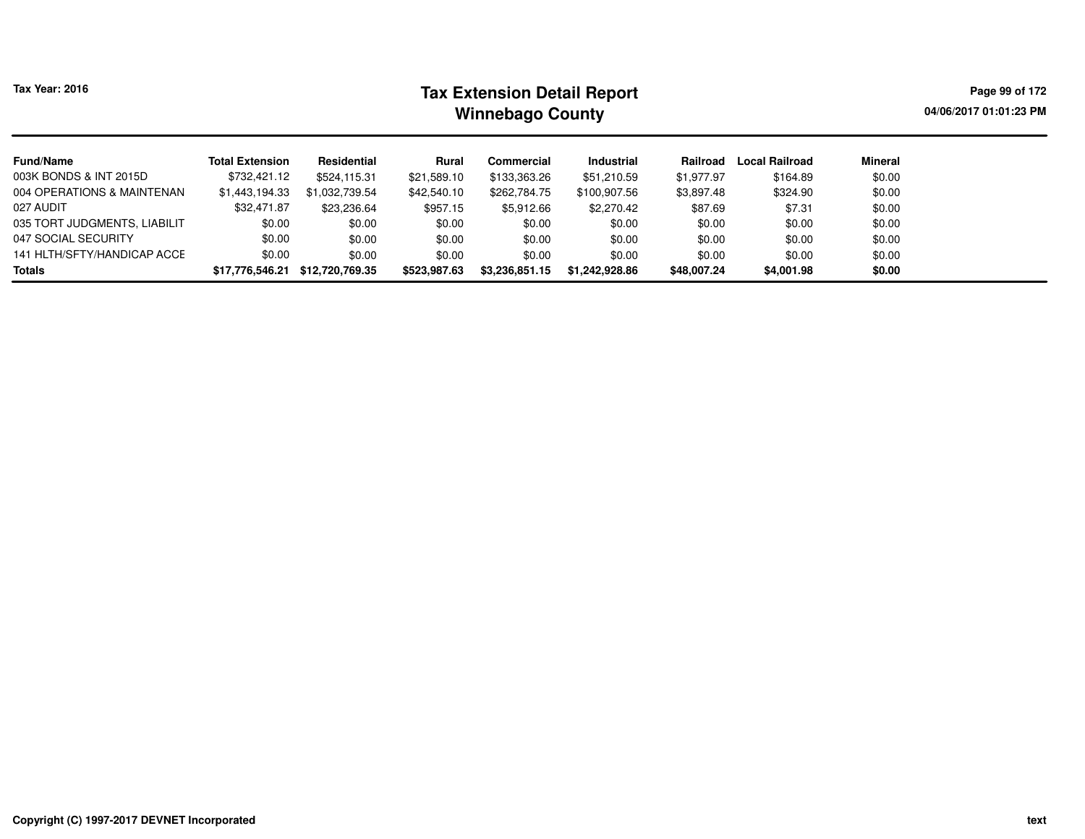# **Tax Extension Detail Report Tax Year: 2016 Page 99 of 172 Winnebago County**

**04/06/2017 01:01:23 PM**

| <b>Fund/Name</b>             | <b>Total Extension</b> | Residential     | Rural        | Commercial     | <b>Industrial</b> | Railroad    | <b>Local Railroad</b> | Mineral |
|------------------------------|------------------------|-----------------|--------------|----------------|-------------------|-------------|-----------------------|---------|
| 003K BONDS & INT 2015D       | \$732,421.12           | \$524,115.31    | \$21,589.10  | \$133,363.26   | \$51,210.59       | \$1,977.97  | \$164.89              | \$0.00  |
| 004 OPERATIONS & MAINTENAN   | \$1,443,194.33         | \$1,032,739.54  | \$42,540.10  | \$262,784.75   | \$100,907.56      | \$3,897.48  | \$324.90              | \$0.00  |
| 027 AUDIT                    | \$32,471.87            | \$23,236.64     | \$957.15     | \$5,912.66     | \$2,270.42        | \$87.69     | \$7.31                | \$0.00  |
| 035 TORT JUDGMENTS, LIABILIT | \$0.00                 | \$0.00          | \$0.00       | \$0.00         | \$0.00            | \$0.00      | \$0.00                | \$0.00  |
| 047 SOCIAL SECURITY          | \$0.00                 | \$0.00          | \$0.00       | \$0.00         | \$0.00            | \$0.00      | \$0.00                | \$0.00  |
| 141 HLTH/SFTY/HANDICAP ACCE  | \$0.00                 | \$0.00          | \$0.00       | \$0.00         | \$0.00            | \$0.00      | \$0.00                | \$0.00  |
| <b>Totals</b>                | \$17,776,546.21        | \$12,720,769.35 | \$523,987.63 | \$3,236,851.15 | \$1.242.928.86    | \$48,007.24 | \$4,001.98            | \$0.00  |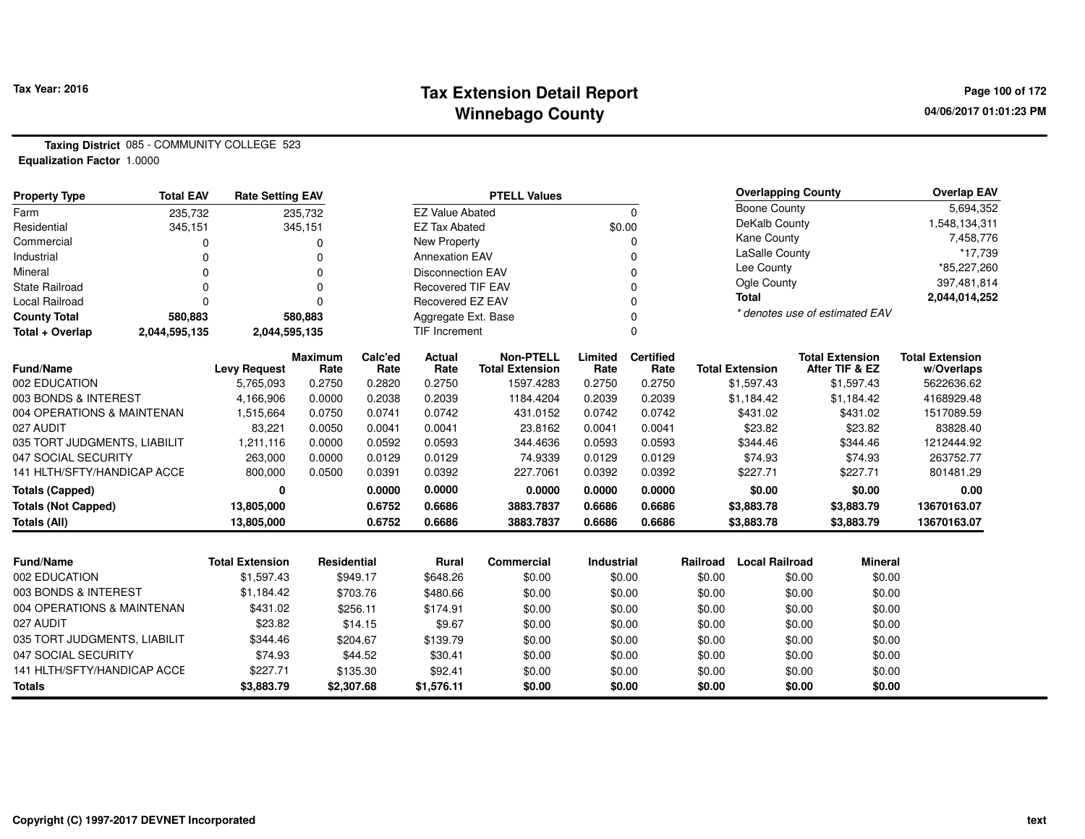#### **Tax Extension Detail Report Tax Year: 2016 Page 100 of 172 Winnebago County**

**Taxing District** 085 - COMMUNITY COLLEGE 523**Equalization Factor** 1.0000

| <b>Property Type</b>                  | <b>Total EAV</b> | <b>Rate Setting EAV</b> |                  |                  |                          | <b>PTELL Values</b>    |                  |                  |          | <b>Overlapping County</b> |                                | <b>Overlap EAV</b>       |
|---------------------------------------|------------------|-------------------------|------------------|------------------|--------------------------|------------------------|------------------|------------------|----------|---------------------------|--------------------------------|--------------------------|
| Farm                                  | 235,732          |                         | 235,732          |                  | <b>EZ Value Abated</b>   |                        |                  | $\Omega$         |          | Boone County              |                                | 5,694,352                |
| Residential                           | 345,151          |                         | 345,151          |                  | <b>EZ Tax Abated</b>     |                        | \$0.00           |                  |          | DeKalb County             |                                | 1,548,134,311            |
| Commercial                            |                  |                         | 0                |                  | <b>New Property</b>      |                        |                  | 0                |          | Kane County               |                                | 7,458,776                |
| Industrial                            |                  |                         | 0                |                  | <b>Annexation EAV</b>    |                        |                  | 0                |          | LaSalle County            |                                | *17,739                  |
| Mineral                               |                  |                         | O                |                  | <b>Disconnection EAV</b> |                        |                  | 0                |          | Lee County                |                                | *85,227,260              |
| <b>State Railroad</b>                 |                  |                         | $\Omega$         |                  | <b>Recovered TIF EAV</b> |                        |                  | $\Omega$         |          | Ogle County               |                                | 397,481,814              |
| <b>Local Railroad</b>                 |                  |                         | O                |                  | Recovered EZ EAV         |                        |                  | 0                |          | <b>Total</b>              |                                | 2,044,014,252            |
| <b>County Total</b>                   | 580,883          |                         | 580,883          |                  | Aggregate Ext. Base      |                        |                  | 0                |          |                           | * denotes use of estimated EAV |                          |
| Total + Overlap                       | 2,044,595,135    | 2,044,595,135           |                  |                  | <b>TIF Increment</b>     |                        |                  | 0                |          |                           |                                |                          |
|                                       |                  |                         | <b>Maximum</b>   | Calc'ed          | <b>Actual</b>            | <b>Non-PTELL</b>       | Limited          | <b>Certified</b> |          |                           | <b>Total Extension</b>         | <b>Total Extension</b>   |
| Fund/Name                             |                  | <b>Levy Request</b>     | Rate             | Rate             | Rate                     | <b>Total Extension</b> | Rate             | Rate             |          | <b>Total Extension</b>    | After TIF & EZ                 | w/Overlaps               |
| 002 EDUCATION<br>003 BONDS & INTEREST |                  | 5,765,093<br>4,166,906  | 0.2750<br>0.0000 | 0.2820<br>0.2038 | 0.2750<br>0.2039         | 1597.4283<br>1184.4204 | 0.2750<br>0.2039 | 0.2750<br>0.2039 |          | \$1,597.43<br>\$1,184.42  | \$1,597.43<br>\$1,184.42       | 5622636.62<br>4168929.48 |
| 004 OPERATIONS & MAINTENAN            |                  | 1,515,664               | 0.0750           | 0.0741           | 0.0742                   | 431.0152               | 0.0742           | 0.0742           |          | \$431.02                  | \$431.02                       | 1517089.59               |
| 027 AUDIT                             |                  | 83,221                  | 0.0050           | 0.0041           | 0.0041                   | 23.8162                | 0.0041           | 0.0041           |          | \$23.82                   | \$23.82                        | 83828.40                 |
| 035 TORT JUDGMENTS, LIABILIT          |                  | 1,211,116               | 0.0000           | 0.0592           | 0.0593                   | 344.4636               | 0.0593           | 0.0593           |          | \$344.46                  | \$344.46                       | 1212444.92               |
| 047 SOCIAL SECURITY                   |                  | 263,000                 | 0.0000           | 0.0129           | 0.0129                   | 74.9339                | 0.0129           | 0.0129           |          | \$74.93                   | \$74.93                        | 263752.77                |
| 141 HLTH/SFTY/HANDICAP ACCE           |                  | 800,000                 | 0.0500           | 0.0391           | 0.0392                   | 227.7061               | 0.0392           | 0.0392           |          | \$227.71                  | \$227.71                       | 801481.29                |
| <b>Totals (Capped)</b>                |                  | 0                       |                  | 0.0000           | 0.0000                   | 0.0000                 | 0.0000           | 0.0000           |          | \$0.00                    | \$0.00                         | 0.00                     |
| <b>Totals (Not Capped)</b>            |                  | 13,805,000              |                  | 0.6752           | 0.6686                   | 3883.7837              | 0.6686           | 0.6686           |          | \$3,883.78                | \$3,883.79                     | 13670163.07              |
| <b>Totals (All)</b>                   |                  | 13,805,000              |                  | 0.6752           | 0.6686                   | 3883.7837              | 0.6686           | 0.6686           |          | \$3,883.78                | \$3,883.79                     | 13670163.07              |
|                                       |                  |                         |                  |                  |                          |                        |                  |                  |          |                           |                                |                          |
| <b>Fund/Name</b>                      |                  | <b>Total Extension</b>  | Residential      |                  | Rural                    | Commercial             | Industrial       |                  | Railroad | <b>Local Railroad</b>     | <b>Mineral</b>                 |                          |
| 002 EDUCATION                         |                  | \$1,597.43              |                  | \$949.17         | \$648.26                 | \$0.00                 |                  | \$0.00           | \$0.00   |                           | \$0.00<br>\$0.00               |                          |
| 003 BONDS & INTEREST                  |                  | \$1,184.42              |                  | \$703.76         | \$480.66                 | \$0.00                 |                  | \$0.00           | \$0.00   |                           | \$0.00<br>\$0.00               |                          |
| 004 OPERATIONS & MAINTENAN            |                  | \$431.02                |                  | \$256.11         | \$174.91                 | \$0.00                 |                  | \$0.00           | \$0.00   |                           | \$0.00<br>\$0.00               |                          |
| 027 AUDIT                             |                  | \$23.82                 |                  | \$14.15          | \$9.67                   | \$0.00                 |                  | \$0.00           | \$0.00   |                           | \$0.00<br>\$0.00               |                          |
| 035 TORT JUDGMENTS, LIABILIT          |                  | \$344.46                |                  | \$204.67         | \$139.79                 | \$0.00                 |                  | \$0.00           | \$0.00   |                           | \$0.00<br>\$0.00               |                          |
| 047 SOCIAL SECURITY                   |                  | \$74.93                 |                  | \$44.52          | \$30.41                  | \$0.00                 |                  | \$0.00           | \$0.00   |                           | \$0.00<br>\$0.00               |                          |
| 141 HLTH/SFTY/HANDICAP ACCE           |                  | \$227.71                |                  | \$135.30         | \$92.41                  | \$0.00                 |                  | \$0.00           | \$0.00   |                           | \$0.00<br>\$0.00               |                          |
| <b>Totals</b>                         |                  | \$3,883.79              |                  | \$2,307.68       | \$1,576.11               | \$0.00                 |                  | \$0.00           | \$0.00   |                           | \$0.00<br>\$0.00               |                          |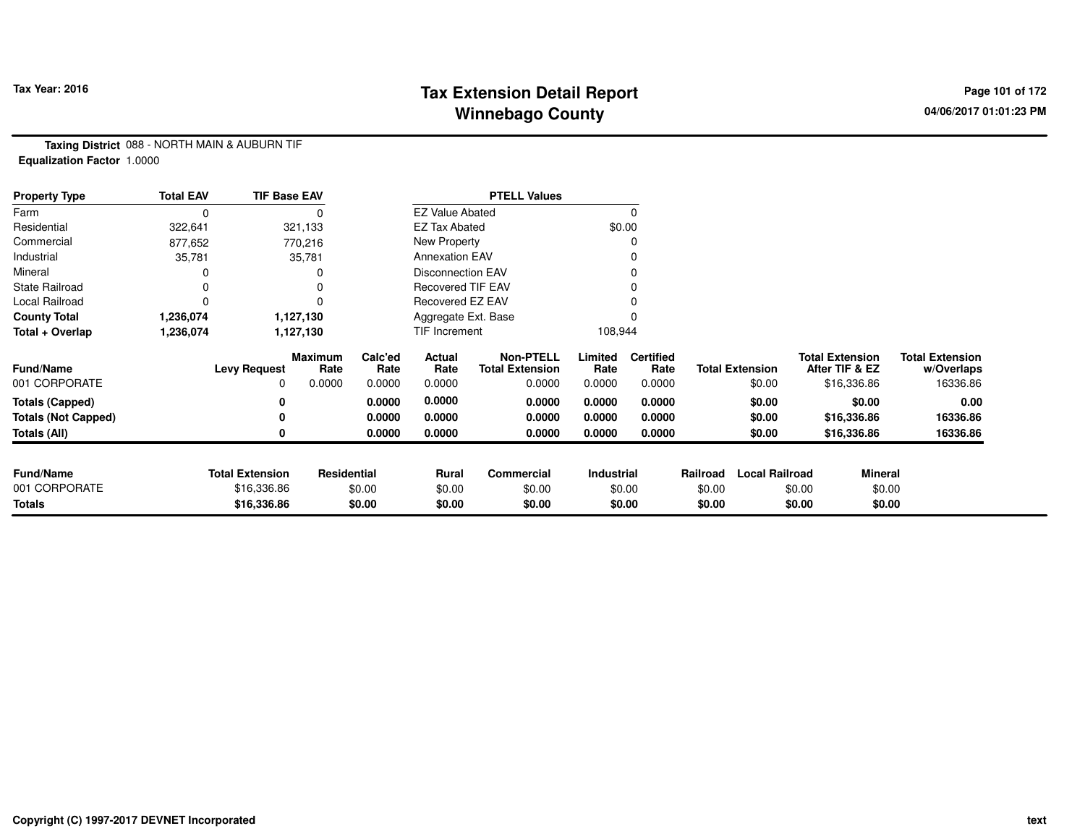## **Tax Extension Detail Report Tax Year: 2016 Page 101 of 172 Winnebago County**

**Taxing District** 088 - NORTH MAIN & AUBURN TIF**Equalization Factor** 1.0000

| <b>Property Type</b>       | <b>Total EAV</b> | <b>TIF Base EAV</b>    |                 |                 |                          | <b>PTELL Values</b>                        |                 |                          |          |                        |                                          |                                      |
|----------------------------|------------------|------------------------|-----------------|-----------------|--------------------------|--------------------------------------------|-----------------|--------------------------|----------|------------------------|------------------------------------------|--------------------------------------|
| Farm                       | 0                |                        |                 |                 | <b>EZ Value Abated</b>   |                                            |                 |                          |          |                        |                                          |                                      |
| Residential                | 322,641          |                        | 321,133         |                 | <b>EZ Tax Abated</b>     |                                            |                 | \$0.00                   |          |                        |                                          |                                      |
| Commercial                 | 877,652          |                        | 770,216         |                 | New Property             |                                            |                 |                          |          |                        |                                          |                                      |
| Industrial                 | 35,781           |                        | 35,781          |                 | <b>Annexation EAV</b>    |                                            |                 |                          |          |                        |                                          |                                      |
| Mineral                    |                  |                        |                 |                 | <b>Disconnection EAV</b> |                                            |                 |                          |          |                        |                                          |                                      |
| <b>State Railroad</b>      | 0                |                        |                 |                 | <b>Recovered TIF EAV</b> |                                            |                 |                          |          |                        |                                          |                                      |
| Local Railroad             | 0                |                        |                 |                 | Recovered EZ EAV         |                                            |                 |                          |          |                        |                                          |                                      |
| <b>County Total</b>        | 1,236,074        |                        | 1,127,130       |                 | Aggregate Ext. Base      |                                            |                 |                          |          |                        |                                          |                                      |
| Total + Overlap            | 1,236,074        |                        | 1,127,130       |                 | TIF Increment            |                                            | 108,944         |                          |          |                        |                                          |                                      |
| <b>Fund/Name</b>           |                  | <b>Levy Request</b>    | Maximum<br>Rate | Calc'ed<br>Rate | Actual<br>Rate           | <b>Non-PTELL</b><br><b>Total Extension</b> | Limited<br>Rate | <b>Certified</b><br>Rate |          | <b>Total Extension</b> | <b>Total Extension</b><br>After TIF & EZ | <b>Total Extension</b><br>w/Overlaps |
| 001 CORPORATE              |                  | 0                      | 0.0000          | 0.0000          | 0.0000                   | 0.0000                                     | 0.0000          | 0.0000                   |          | \$0.00                 | \$16,336.86                              | 16336.86                             |
| <b>Totals (Capped)</b>     |                  | 0                      |                 | 0.0000          | 0.0000                   | 0.0000                                     | 0.0000          | 0.0000                   |          | \$0.00                 | \$0.00                                   | 0.00                                 |
| <b>Totals (Not Capped)</b> |                  | 0                      |                 | 0.0000          | 0.0000                   | 0.0000                                     | 0.0000          | 0.0000                   |          | \$0.00                 | \$16,336.86                              | 16336.86                             |
| Totals (All)               |                  | 0                      |                 | 0.0000          | 0.0000                   | 0.0000                                     | 0.0000          | 0.0000                   |          | \$0.00                 | \$16,336.86                              | 16336.86                             |
|                            |                  |                        |                 |                 |                          |                                            |                 |                          |          |                        |                                          |                                      |
| <b>Fund/Name</b>           |                  | <b>Total Extension</b> | Residential     |                 | Rural                    | <b>Commercial</b>                          | Industrial      |                          | Railroad | <b>Local Railroad</b>  |                                          | <b>Mineral</b>                       |
| 001 CORPORATE              |                  | \$16,336.86            |                 | \$0.00          | \$0.00                   | \$0.00                                     |                 | \$0.00                   | \$0.00   |                        | \$0.00                                   | \$0.00                               |
| <b>Totals</b>              |                  | \$16,336.86            |                 | \$0.00          | \$0.00                   | \$0.00                                     | \$0.00          |                          | \$0.00   |                        | \$0.00                                   | \$0.00                               |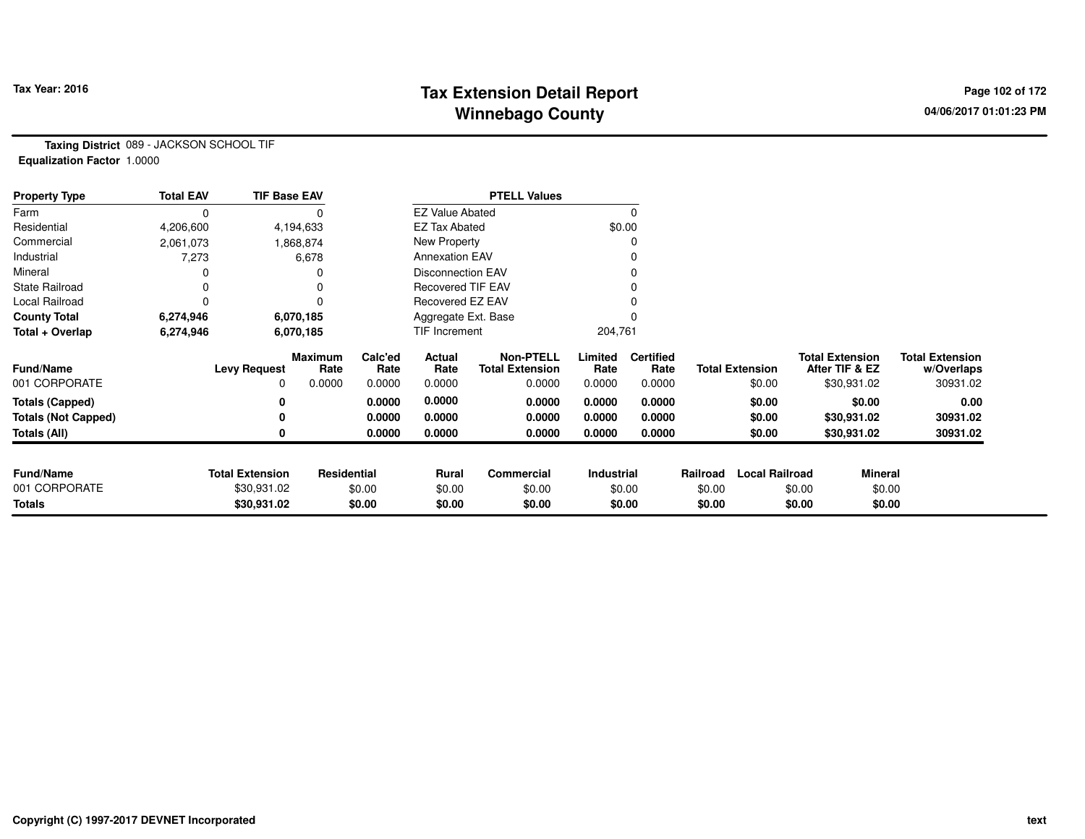#### **Tax Extension Detail Report Tax Year: 2016 Page 102 of 172 Winnebago County**

**Taxing District** 089 - JACKSON SCHOOL TIF**Equalization Factor** 1.0000

| <b>Property Type</b>       | <b>Total EAV</b> | <b>TIF Base EAV</b>    |                        |                 |                          |                                            |                 |                          |          |                        |                                          |                |                                      |
|----------------------------|------------------|------------------------|------------------------|-----------------|--------------------------|--------------------------------------------|-----------------|--------------------------|----------|------------------------|------------------------------------------|----------------|--------------------------------------|
| Farm                       | 0                |                        |                        |                 | <b>EZ Value Abated</b>   |                                            |                 | 0                        |          |                        |                                          |                |                                      |
| Residential                | 4,206,600        |                        | 4,194,633              |                 | <b>EZ Tax Abated</b>     |                                            |                 | \$0.00                   |          |                        |                                          |                |                                      |
| Commercial                 | 2,061,073        |                        | 1,868,874              |                 | New Property             |                                            |                 |                          |          |                        |                                          |                |                                      |
| Industrial                 | 7,273            |                        | 6,678                  |                 | <b>Annexation EAV</b>    |                                            |                 |                          |          |                        |                                          |                |                                      |
| Mineral                    |                  |                        | 0                      |                 | <b>Disconnection EAV</b> |                                            |                 |                          |          |                        |                                          |                |                                      |
| <b>State Railroad</b>      |                  |                        | 0                      |                 | <b>Recovered TIF EAV</b> |                                            |                 |                          |          |                        |                                          |                |                                      |
| Local Railroad             |                  |                        | 0                      |                 | Recovered EZ EAV         |                                            |                 |                          |          |                        |                                          |                |                                      |
| <b>County Total</b>        | 6,274,946        |                        | 6,070,185              |                 | Aggregate Ext. Base      |                                            |                 |                          |          |                        |                                          |                |                                      |
| Total + Overlap            | 6,274,946        |                        | 6,070,185              |                 | TIF Increment            |                                            | 204,761         |                          |          |                        |                                          |                |                                      |
| <b>Fund/Name</b>           |                  | <b>Levy Request</b>    | <b>Maximum</b><br>Rate | Calc'ed<br>Rate | Actual<br>Rate           | <b>Non-PTELL</b><br><b>Total Extension</b> | Limited<br>Rate | <b>Certified</b><br>Rate |          | <b>Total Extension</b> | <b>Total Extension</b><br>After TIF & EZ |                | <b>Total Extension</b><br>w/Overlaps |
| 001 CORPORATE              |                  | 0                      | 0.0000                 | 0.0000          | 0.0000                   | 0.0000                                     | 0.0000          | 0.0000                   |          | \$0.00                 | \$30,931.02                              |                | 30931.02                             |
| <b>Totals (Capped)</b>     |                  |                        |                        | 0.0000          | 0.0000                   | 0.0000                                     | 0.0000          | 0.0000                   |          | \$0.00                 |                                          | \$0.00         | 0.00                                 |
| <b>Totals (Not Capped)</b> |                  |                        |                        | 0.0000          | 0.0000                   | 0.0000                                     | 0.0000          | 0.0000                   |          | \$0.00                 | \$30,931.02                              |                | 30931.02                             |
| Totals (All)               |                  |                        |                        | 0.0000          | 0.0000                   | 0.0000                                     | 0.0000          | 0.0000                   |          | \$0.00                 | \$30,931.02                              |                | 30931.02                             |
|                            |                  |                        |                        |                 |                          |                                            |                 |                          |          |                        |                                          |                |                                      |
| <b>Fund/Name</b>           |                  | <b>Total Extension</b> | Residential            |                 | Rural                    | Commercial                                 | Industrial      |                          | Railroad | <b>Local Railroad</b>  |                                          | <b>Mineral</b> |                                      |
| 001 CORPORATE              |                  | \$30,931.02            |                        | \$0.00          | \$0.00                   | \$0.00                                     |                 | \$0.00                   | \$0.00   |                        | \$0.00                                   | \$0.00         |                                      |
| <b>Totals</b>              |                  | \$30,931.02            |                        | \$0.00          | \$0.00                   | \$0.00                                     |                 | \$0.00                   | \$0.00   |                        | \$0.00                                   | \$0.00         |                                      |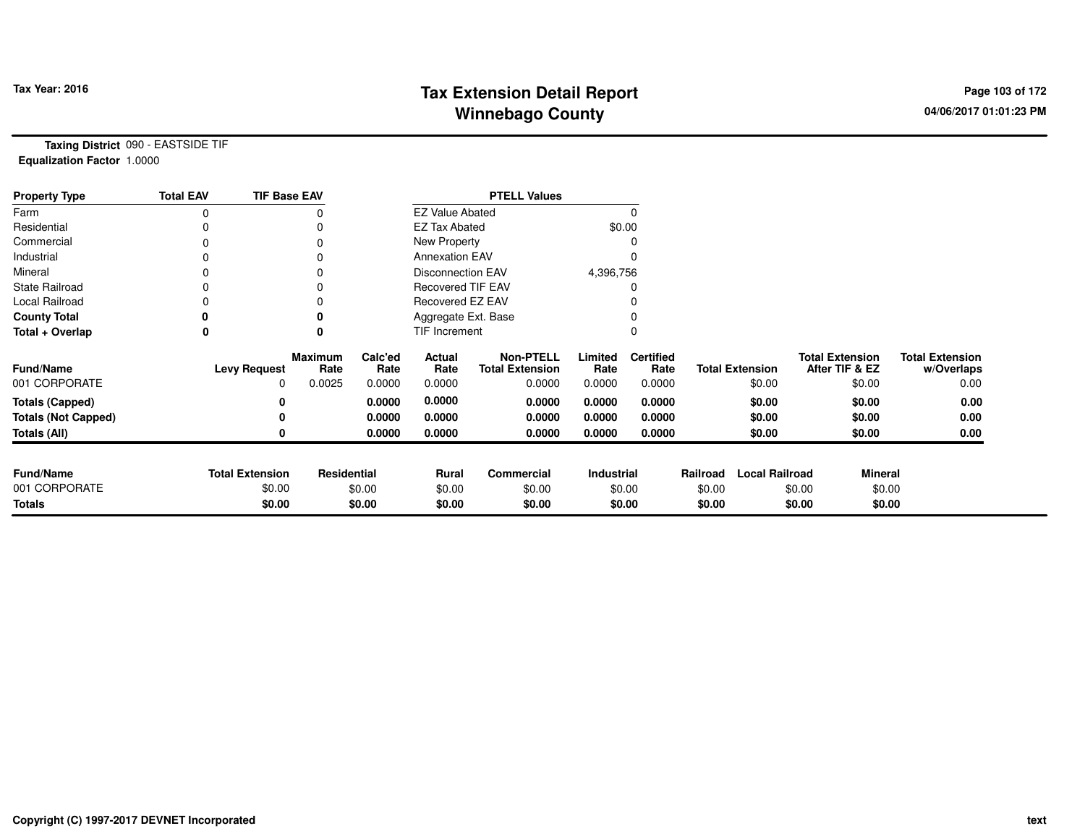## **Tax Extension Detail Report Tax Year: 2016 Page 103 of 172 Winnebago County**

**Taxing District** 090 - EASTSIDE TIF**Equalization Factor** 1.0000

| <b>Property Type</b>       | <b>Total EAV</b> | <b>TIF Base EAV</b>    |                        | <b>PTELL Values</b> |                          |                                            |                 |                          |          |                        |                                          |                                      |
|----------------------------|------------------|------------------------|------------------------|---------------------|--------------------------|--------------------------------------------|-----------------|--------------------------|----------|------------------------|------------------------------------------|--------------------------------------|
| Farm                       | 0                |                        |                        |                     | <b>EZ Value Abated</b>   |                                            |                 | $\Omega$                 |          |                        |                                          |                                      |
| Residential                |                  |                        |                        |                     | <b>EZ Tax Abated</b>     |                                            |                 | \$0.00                   |          |                        |                                          |                                      |
| Commercial                 | 0                |                        |                        |                     | New Property             |                                            |                 | 0                        |          |                        |                                          |                                      |
| Industrial                 |                  |                        |                        |                     | <b>Annexation EAV</b>    |                                            |                 |                          |          |                        |                                          |                                      |
| Mineral                    |                  |                        |                        |                     | <b>Disconnection EAV</b> |                                            | 4,396,756       |                          |          |                        |                                          |                                      |
| <b>State Railroad</b>      | 0                |                        |                        |                     | <b>Recovered TIF EAV</b> |                                            |                 |                          |          |                        |                                          |                                      |
| Local Railroad             |                  |                        |                        |                     | Recovered EZ EAV         |                                            |                 |                          |          |                        |                                          |                                      |
| <b>County Total</b>        |                  |                        |                        |                     | Aggregate Ext. Base      |                                            |                 |                          |          |                        |                                          |                                      |
| Total + Overlap            | 0                |                        |                        |                     | TIF Increment            |                                            |                 |                          |          |                        |                                          |                                      |
| <b>Fund/Name</b>           |                  | <b>Levy Request</b>    | <b>Maximum</b><br>Rate | Calc'ed<br>Rate     | Actual<br>Rate           | <b>Non-PTELL</b><br><b>Total Extension</b> | Limited<br>Rate | <b>Certified</b><br>Rate |          | <b>Total Extension</b> | <b>Total Extension</b><br>After TIF & EZ | <b>Total Extension</b><br>w/Overlaps |
| 001 CORPORATE              |                  | $\Omega$               | 0.0025                 | 0.0000              | 0.0000                   | 0.0000                                     | 0.0000          | 0.0000                   |          | \$0.00                 | \$0.00                                   | 0.00                                 |
| <b>Totals (Capped)</b>     |                  |                        |                        | 0.0000              | 0.0000                   | 0.0000                                     | 0.0000          | 0.0000                   |          | \$0.00                 | \$0.00                                   | 0.00                                 |
| <b>Totals (Not Capped)</b> |                  |                        |                        | 0.0000              | 0.0000                   | 0.0000                                     | 0.0000          | 0.0000                   |          | \$0.00                 | \$0.00                                   | 0.00                                 |
| <b>Totals (All)</b>        |                  |                        |                        | 0.0000              | 0.0000                   | 0.0000                                     | 0.0000          | 0.0000                   |          | \$0.00                 | \$0.00                                   | 0.00                                 |
| <b>Fund/Name</b>           |                  | <b>Total Extension</b> | Residential            |                     | Rural                    | Commercial                                 | Industrial      |                          | Railroad | <b>Local Railroad</b>  | <b>Mineral</b>                           |                                      |
| 001 CORPORATE              |                  | \$0.00                 |                        | \$0.00              | \$0.00                   | \$0.00                                     |                 | \$0.00                   | \$0.00   |                        | \$0.00<br>\$0.00                         |                                      |
| <b>Totals</b>              |                  | \$0.00                 |                        | \$0.00              | \$0.00                   | \$0.00                                     |                 | \$0.00                   | \$0.00   |                        | \$0.00<br>\$0.00                         |                                      |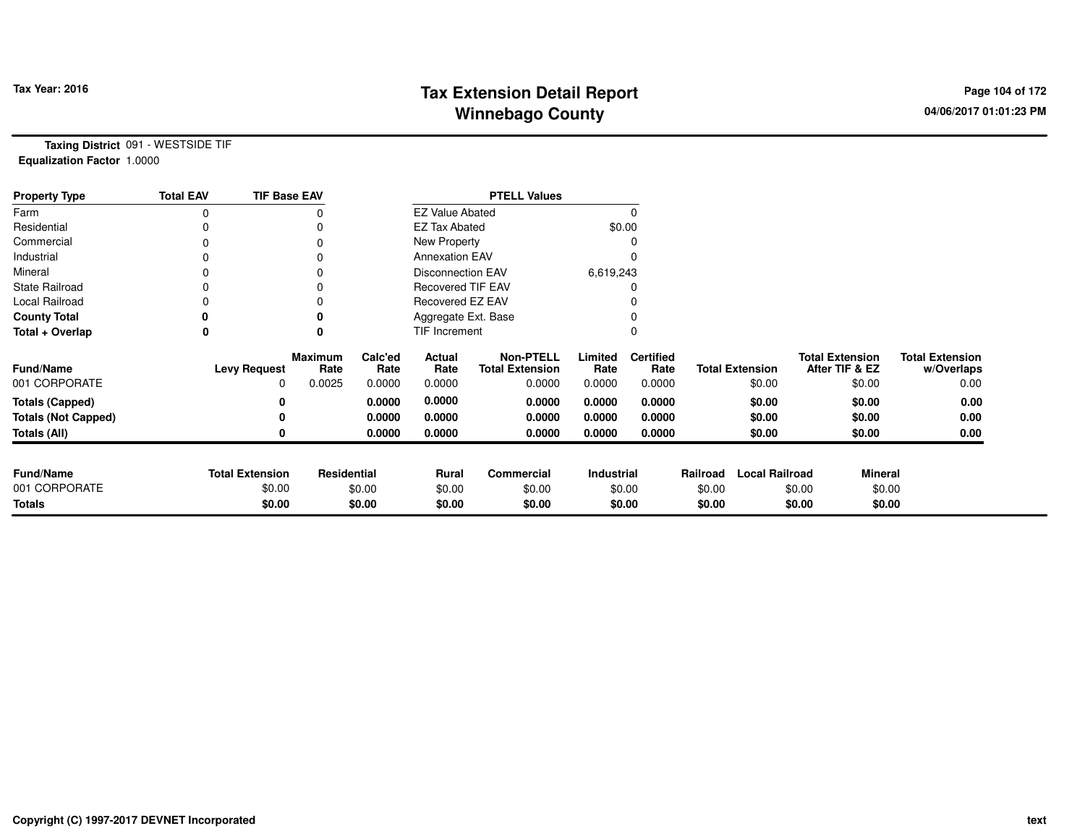## **Tax Extension Detail Report Tax Year: 2016 Page 104 of 172 Winnebago County**

**Taxing District** 091 - WESTSIDE TIF**Equalization Factor** 1.0000

| <b>Property Type</b>       | <b>Total EAV</b> | <b>TIF Base EAV</b>    |                        |                        |                          | <b>PTELL Values</b>                        |                 |                          |          |                        |                                          |                                      |
|----------------------------|------------------|------------------------|------------------------|------------------------|--------------------------|--------------------------------------------|-----------------|--------------------------|----------|------------------------|------------------------------------------|--------------------------------------|
| Farm                       | 0                |                        | 0                      | <b>EZ Value Abated</b> |                          |                                            |                 |                          |          |                        |                                          |                                      |
| Residential                |                  |                        |                        |                        | <b>EZ Tax Abated</b>     |                                            | \$0.00          |                          |          |                        |                                          |                                      |
| Commercial                 |                  |                        | 0                      |                        | New Property             |                                            |                 |                          |          |                        |                                          |                                      |
| Industrial                 |                  |                        | 0                      |                        | <b>Annexation EAV</b>    |                                            |                 |                          |          |                        |                                          |                                      |
| Mineral                    |                  |                        | 0                      |                        | <b>Disconnection EAV</b> |                                            | 6,619,243       |                          |          |                        |                                          |                                      |
| <b>State Railroad</b>      |                  |                        |                        |                        | <b>Recovered TIF EAV</b> |                                            |                 |                          |          |                        |                                          |                                      |
| Local Railroad             |                  |                        | 0                      |                        | Recovered EZ EAV         |                                            |                 |                          |          |                        |                                          |                                      |
| <b>County Total</b>        |                  |                        |                        |                        | Aggregate Ext. Base      |                                            |                 |                          |          |                        |                                          |                                      |
| Total + Overlap            | 0                |                        | 0                      | TIF Increment          |                          |                                            |                 |                          |          |                        |                                          |                                      |
| Fund/Name                  |                  | <b>Levy Request</b>    | <b>Maximum</b><br>Rate | Calc'ed<br>Rate        | Actual<br>Rate           | <b>Non-PTELL</b><br><b>Total Extension</b> | Limited<br>Rate | <b>Certified</b><br>Rate |          | <b>Total Extension</b> | <b>Total Extension</b><br>After TIF & EZ | <b>Total Extension</b><br>w/Overlaps |
| 001 CORPORATE              |                  | 0                      | 0.0025                 | 0.0000                 | 0.0000                   | 0.0000                                     | 0.0000          | 0.0000                   |          | \$0.00                 | \$0.00                                   | 0.00                                 |
| <b>Totals (Capped)</b>     |                  | 0                      |                        | 0.0000                 | 0.0000                   | 0.0000                                     | 0.0000          | 0.0000                   |          | \$0.00                 | \$0.00                                   | 0.00                                 |
| <b>Totals (Not Capped)</b> |                  | 0                      |                        | 0.0000                 | 0.0000                   | 0.0000                                     | 0.0000          | 0.0000                   |          | \$0.00                 | \$0.00                                   | 0.00                                 |
| Totals (All)               |                  | 0                      |                        | 0.0000                 | 0.0000                   | 0.0000                                     | 0.0000          | 0.0000                   |          | \$0.00                 | \$0.00                                   | 0.00                                 |
|                            |                  |                        |                        |                        |                          |                                            |                 |                          |          |                        |                                          |                                      |
| <b>Fund/Name</b>           |                  | <b>Total Extension</b> | <b>Residential</b>     |                        | <b>Rural</b>             | Commercial                                 | Industrial      |                          | Railroad | <b>Local Railroad</b>  | <b>Mineral</b>                           |                                      |
| 001 CORPORATE              |                  | \$0.00                 |                        | \$0.00                 | \$0.00                   | \$0.00                                     |                 | \$0.00                   | \$0.00   |                        | \$0.00<br>\$0.00                         |                                      |
| <b>Totals</b>              |                  | \$0.00                 |                        | \$0.00                 | \$0.00                   | \$0.00                                     |                 | \$0.00                   | \$0.00   |                        | \$0.00<br>\$0.00                         |                                      |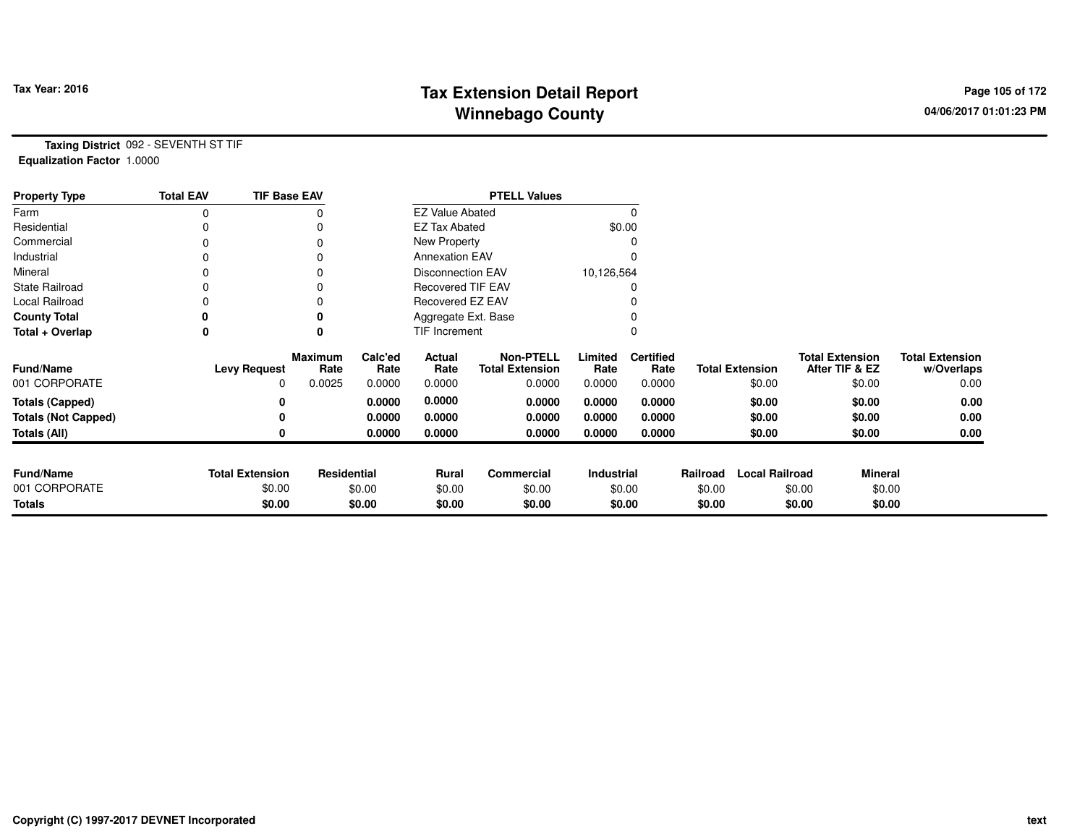## **Tax Extension Detail Report Tax Year: 2016 Page 105 of 172 Winnebago County**

**Taxing District** 092 - SEVENTH ST TIF**Equalization Factor** 1.0000

| <b>Property Type</b>       | <b>Total EAV</b> | <b>TIF Base EAV</b>    |                        |                 |                          | <b>PTELL Values</b>                        |                 |                          |          |                        |                                          |                                      |
|----------------------------|------------------|------------------------|------------------------|-----------------|--------------------------|--------------------------------------------|-----------------|--------------------------|----------|------------------------|------------------------------------------|--------------------------------------|
| Farm                       | 0                |                        |                        |                 | <b>EZ Value Abated</b>   |                                            |                 |                          |          |                        |                                          |                                      |
| Residential                |                  |                        |                        |                 | <b>EZ Tax Abated</b>     |                                            | \$0.00          |                          |          |                        |                                          |                                      |
| Commercial                 | 0                |                        |                        |                 | New Property             |                                            |                 |                          |          |                        |                                          |                                      |
| Industrial                 |                  |                        |                        |                 | <b>Annexation EAV</b>    |                                            |                 |                          |          |                        |                                          |                                      |
| Mineral                    |                  |                        |                        |                 | Disconnection EAV        |                                            | 10,126,564      |                          |          |                        |                                          |                                      |
| <b>State Railroad</b>      | 0                |                        |                        |                 | <b>Recovered TIF EAV</b> |                                            |                 |                          |          |                        |                                          |                                      |
| Local Railroad             |                  |                        |                        |                 | Recovered EZ EAV         |                                            |                 |                          |          |                        |                                          |                                      |
| <b>County Total</b>        |                  |                        |                        |                 | Aggregate Ext. Base      |                                            |                 |                          |          |                        |                                          |                                      |
| Total + Overlap            | 0                |                        | $\bf{0}$               |                 | TIF Increment            |                                            |                 |                          |          |                        |                                          |                                      |
| <b>Fund/Name</b>           |                  | <b>Levy Request</b>    | <b>Maximum</b><br>Rate | Calc'ed<br>Rate | Actual<br>Rate           | <b>Non-PTELL</b><br><b>Total Extension</b> | Limited<br>Rate | <b>Certified</b><br>Rate |          | <b>Total Extension</b> | <b>Total Extension</b><br>After TIF & EZ | <b>Total Extension</b><br>w/Overlaps |
| 001 CORPORATE              |                  | 0                      | 0.0025                 | 0.0000          | 0.0000                   | 0.0000                                     | 0.0000          | 0.0000                   |          | \$0.00                 | \$0.00                                   | 0.00                                 |
| <b>Totals (Capped)</b>     |                  | 0                      |                        | 0.0000          | 0.0000                   | 0.0000                                     | 0.0000          | 0.0000                   |          | \$0.00                 | \$0.00                                   | 0.00                                 |
| <b>Totals (Not Capped)</b> |                  | 0                      |                        | 0.0000          | 0.0000                   | 0.0000                                     | 0.0000          | 0.0000                   |          | \$0.00                 | \$0.00                                   | 0.00                                 |
| Totals (All)               |                  | 0                      |                        | 0.0000          | 0.0000                   | 0.0000                                     | 0.0000          | 0.0000                   |          | \$0.00                 | \$0.00                                   | 0.00                                 |
|                            |                  |                        |                        |                 |                          |                                            |                 |                          |          |                        |                                          |                                      |
| <b>Fund/Name</b>           |                  | <b>Total Extension</b> | Residential            |                 | <b>Rural</b>             | <b>Commercial</b>                          | Industrial      |                          | Railroad | <b>Local Railroad</b>  | <b>Mineral</b>                           |                                      |
| 001 CORPORATE              |                  | \$0.00                 |                        | \$0.00          | \$0.00                   | \$0.00                                     | \$0.00          |                          | \$0.00   |                        | \$0.00<br>\$0.00                         |                                      |
| <b>Totals</b>              |                  | \$0.00                 |                        | \$0.00          | \$0.00                   | \$0.00                                     |                 | \$0.00                   | \$0.00   |                        | \$0.00<br>\$0.00                         |                                      |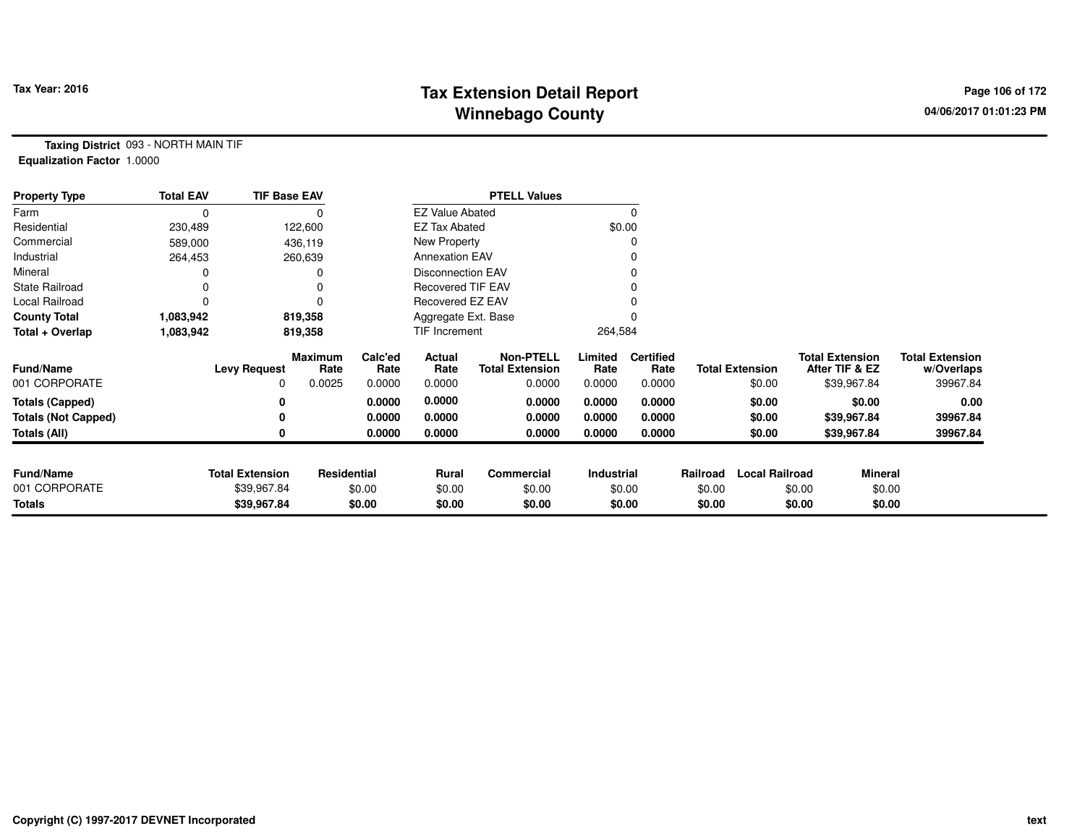## **Tax Extension Detail Report Constant Constructed Page 106 of 172 Page 106 of 172 Winnebago County**

**Taxing District** 093 - NORTH MAIN TIF**Equalization Factor** 1.0000

| <b>Property Type</b>       | <b>Total EAV</b> | <b>TIF Base EAV</b>    |                 |                 |                          | <b>PTELL Values</b>                        |                 |                          |          |                        |                                          |                |                                      |
|----------------------------|------------------|------------------------|-----------------|-----------------|--------------------------|--------------------------------------------|-----------------|--------------------------|----------|------------------------|------------------------------------------|----------------|--------------------------------------|
| Farm                       | 0                |                        |                 |                 | <b>EZ Value Abated</b>   |                                            |                 | 0                        |          |                        |                                          |                |                                      |
| Residential                | 230,489          |                        | 122,600         |                 | <b>EZ Tax Abated</b>     |                                            |                 | \$0.00                   |          |                        |                                          |                |                                      |
| Commercial                 | 589,000          |                        | 436,119         |                 | New Property             |                                            |                 |                          |          |                        |                                          |                |                                      |
| Industrial                 | 264,453          |                        | 260,639         |                 | <b>Annexation EAV</b>    |                                            |                 |                          |          |                        |                                          |                |                                      |
| Mineral                    |                  |                        | 0               |                 | <b>Disconnection EAV</b> |                                            |                 |                          |          |                        |                                          |                |                                      |
| <b>State Railroad</b>      |                  |                        | 0               |                 | <b>Recovered TIF EAV</b> |                                            |                 |                          |          |                        |                                          |                |                                      |
| Local Railroad             |                  |                        | $\Omega$        |                 | Recovered EZ EAV         |                                            |                 |                          |          |                        |                                          |                |                                      |
| <b>County Total</b>        | 1,083,942        |                        | 819,358         |                 | Aggregate Ext. Base      |                                            |                 |                          |          |                        |                                          |                |                                      |
| Total + Overlap            | 1,083,942        |                        | 819,358         |                 | TIF Increment            |                                            | 264,584         |                          |          |                        |                                          |                |                                      |
| <b>Fund/Name</b>           |                  | <b>Levy Request</b>    | Maximum<br>Rate | Calc'ed<br>Rate | Actual<br>Rate           | <b>Non-PTELL</b><br><b>Total Extension</b> | Limited<br>Rate | <b>Certified</b><br>Rate |          | <b>Total Extension</b> | <b>Total Extension</b><br>After TIF & EZ |                | <b>Total Extension</b><br>w/Overlaps |
| 001 CORPORATE              |                  | 0                      | 0.0025          | 0.0000          | 0.0000                   | 0.0000                                     | 0.0000          | 0.0000                   |          | \$0.00                 | \$39,967.84                              |                | 39967.84                             |
| <b>Totals (Capped)</b>     |                  |                        |                 | 0.0000          | 0.0000                   | 0.0000                                     | 0.0000          | 0.0000                   |          | \$0.00                 |                                          | \$0.00         | 0.00                                 |
| <b>Totals (Not Capped)</b> |                  |                        |                 | 0.0000          | 0.0000                   | 0.0000                                     | 0.0000          | 0.0000                   |          | \$0.00                 | \$39,967.84                              |                | 39967.84                             |
| Totals (All)               |                  |                        |                 | 0.0000          | 0.0000                   | 0.0000                                     | 0.0000          | 0.0000                   |          | \$0.00                 | \$39,967.84                              |                | 39967.84                             |
|                            |                  |                        |                 |                 |                          |                                            |                 |                          |          |                        |                                          |                |                                      |
| <b>Fund/Name</b>           |                  | <b>Total Extension</b> | Residential     |                 | Rural                    | Commercial                                 | Industrial      |                          | Railroad | <b>Local Railroad</b>  |                                          | <b>Mineral</b> |                                      |
| 001 CORPORATE              |                  | \$39,967.84            |                 | \$0.00          | \$0.00                   | \$0.00                                     |                 | \$0.00                   | \$0.00   |                        | \$0.00                                   | \$0.00         |                                      |
| <b>Totals</b>              |                  | \$39,967.84            |                 | \$0.00          | \$0.00                   | \$0.00                                     |                 | \$0.00                   | \$0.00   |                        | \$0.00                                   | \$0.00         |                                      |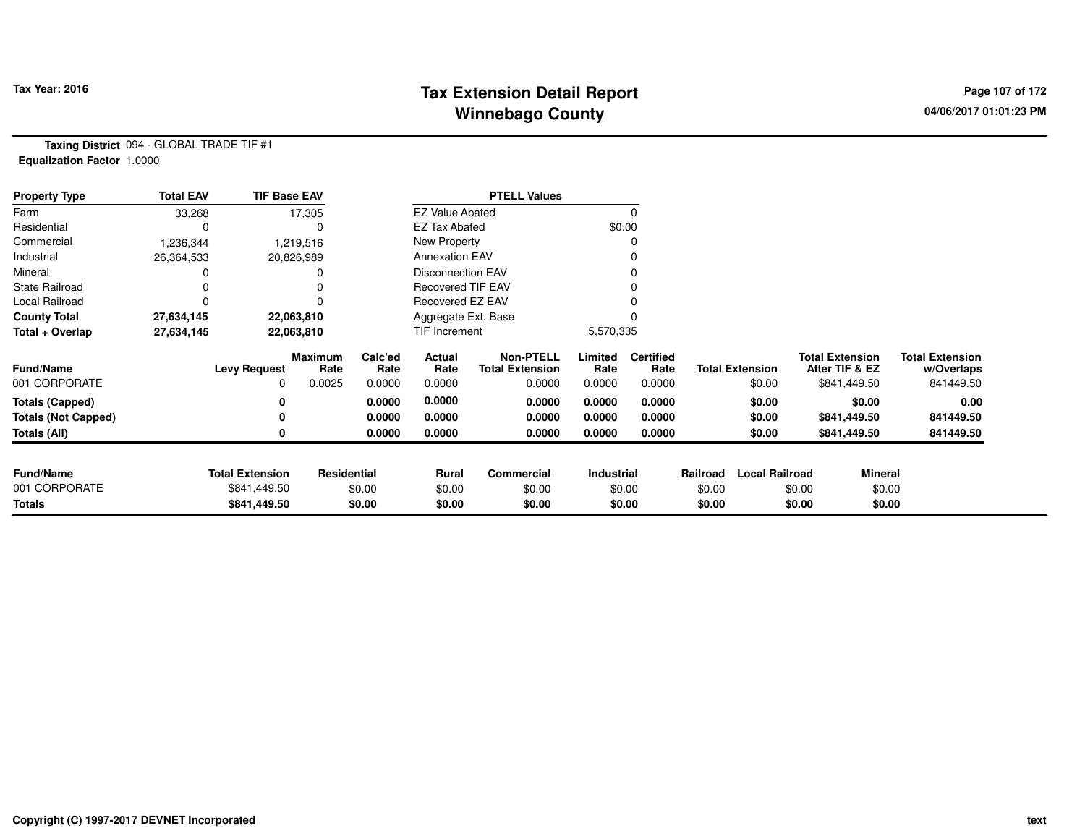#### **Tax Extension Detail Report Constant Constant Constant Page 107 of 172 Winnebago County**

**Taxing District** 094 - GLOBAL TRADE TIF #1**Equalization Factor** 1.0000

| <b>Property Type</b>       | <b>Total EAV</b> | <b>TIF Base EAV</b>    |                 |                 |                          | <b>PTELL Values</b>                        |                 |                          |          |                        |                                          |                                      |
|----------------------------|------------------|------------------------|-----------------|-----------------|--------------------------|--------------------------------------------|-----------------|--------------------------|----------|------------------------|------------------------------------------|--------------------------------------|
| Farm                       | 33,268           |                        | 17,305          |                 | <b>EZ Value Abated</b>   |                                            |                 | $\Omega$                 |          |                        |                                          |                                      |
| Residential                |                  |                        |                 |                 |                          | <b>EZ Tax Abated</b>                       |                 |                          |          |                        |                                          |                                      |
| Commercial                 | 1,236,344        |                        | 1,219,516       |                 | New Property             |                                            |                 | 0                        |          |                        |                                          |                                      |
| Industrial                 | 26,364,533       |                        | 20,826,989      |                 | <b>Annexation EAV</b>    |                                            |                 | 0                        |          |                        |                                          |                                      |
| Mineral                    |                  |                        |                 |                 | Disconnection EAV        |                                            |                 | 0                        |          |                        |                                          |                                      |
| <b>State Railroad</b>      |                  |                        |                 |                 | <b>Recovered TIF EAV</b> |                                            |                 |                          |          |                        |                                          |                                      |
| Local Railroad             |                  |                        |                 |                 | Recovered EZ EAV         |                                            |                 |                          |          |                        |                                          |                                      |
| <b>County Total</b>        | 27,634,145       |                        | 22,063,810      |                 | Aggregate Ext. Base      |                                            |                 | $\Omega$                 |          |                        |                                          |                                      |
| Total + Overlap            | 27,634,145       | 22,063,810             |                 |                 |                          | TIF Increment                              |                 | 5,570,335                |          |                        |                                          |                                      |
| <b>Fund/Name</b>           |                  | <b>Levy Request</b>    | Maximum<br>Rate | Calc'ed<br>Rate | Actual<br>Rate           | <b>Non-PTELL</b><br><b>Total Extension</b> | Limited<br>Rate | <b>Certified</b><br>Rate |          | <b>Total Extension</b> | <b>Total Extension</b><br>After TIF & EZ | <b>Total Extension</b><br>w/Overlaps |
| 001 CORPORATE              |                  | 0                      | 0.0025          | 0.0000          | 0.0000                   | 0.0000                                     | 0.0000          | 0.0000                   |          | \$0.00                 | \$841,449.50                             | 841449.50                            |
| <b>Totals (Capped)</b>     |                  | 0                      |                 | 0.0000          | 0.0000                   | 0.0000                                     | 0.0000          | 0.0000                   |          | \$0.00                 | \$0.00                                   | 0.00                                 |
| <b>Totals (Not Capped)</b> |                  | 0                      |                 | 0.0000          | 0.0000                   | 0.0000                                     | 0.0000          | 0.0000                   |          | \$0.00                 | \$841,449.50                             | 841449.50                            |
| <b>Totals (All)</b>        |                  | 0                      |                 | 0.0000          | 0.0000                   | 0.0000                                     | 0.0000          | 0.0000                   |          | \$0.00                 | \$841,449.50                             | 841449.50                            |
|                            |                  |                        |                 |                 |                          |                                            |                 |                          |          |                        |                                          |                                      |
| <b>Fund/Name</b>           |                  | <b>Total Extension</b> | Residential     |                 | Rural                    | <b>Commercial</b>                          | Industrial      |                          | Railroad | <b>Local Railroad</b>  | <b>Mineral</b>                           |                                      |
| 001 CORPORATE              |                  | \$841,449.50           |                 | \$0.00          | \$0.00                   | \$0.00                                     |                 | \$0.00                   | \$0.00   |                        | \$0.00                                   | \$0.00                               |
| Totals                     |                  | \$841,449.50           |                 | \$0.00          | \$0.00                   | \$0.00                                     |                 | \$0.00                   | \$0.00   |                        | \$0.00                                   | \$0.00                               |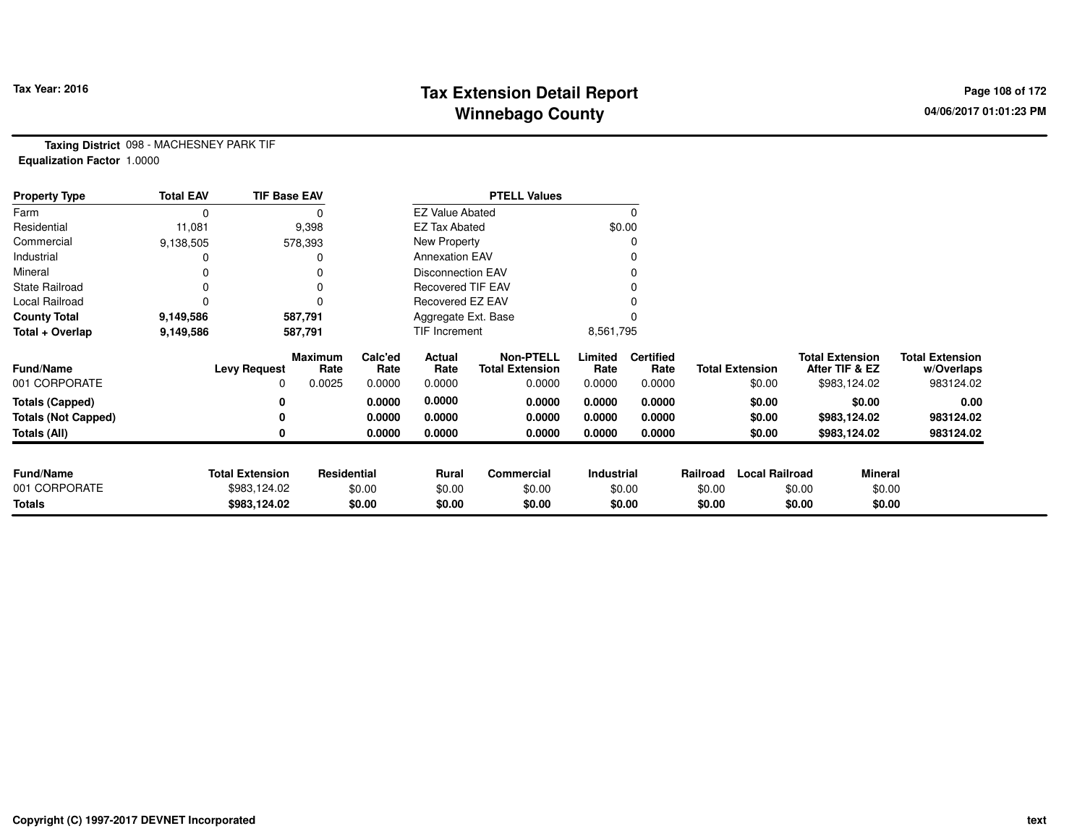## **Tax Extension Detail Report Tax Year: 2016 Page 108 of 172 Winnebago County**

**Taxing District** 098 - MACHESNEY PARK TIF**Equalization Factor** 1.0000

| <b>Property Type</b>       | <b>Total EAV</b> | <b>TIF Base EAV</b>    |                 |                 |                          | <b>PTELL Values</b>                        |                 |                          |          |                        |                                          |                |                                      |
|----------------------------|------------------|------------------------|-----------------|-----------------|--------------------------|--------------------------------------------|-----------------|--------------------------|----------|------------------------|------------------------------------------|----------------|--------------------------------------|
| Farm                       | 0                |                        |                 |                 | <b>EZ Value Abated</b>   |                                            |                 |                          |          |                        |                                          |                |                                      |
| Residential                | 11,081           |                        | 9,398           |                 | <b>EZ Tax Abated</b>     |                                            |                 | \$0.00                   |          |                        |                                          |                |                                      |
| Commercial                 | 9,138,505        |                        | 578,393         |                 | New Property             |                                            |                 |                          |          |                        |                                          |                |                                      |
| Industrial                 |                  |                        |                 |                 | <b>Annexation EAV</b>    |                                            |                 |                          |          |                        |                                          |                |                                      |
| Mineral                    |                  |                        |                 |                 | <b>Disconnection EAV</b> |                                            |                 |                          |          |                        |                                          |                |                                      |
| <b>State Railroad</b>      | 0                |                        |                 |                 | <b>Recovered TIF EAV</b> |                                            |                 |                          |          |                        |                                          |                |                                      |
| Local Railroad             |                  |                        |                 |                 | Recovered EZ EAV         |                                            |                 |                          |          |                        |                                          |                |                                      |
| <b>County Total</b>        | 9,149,586        |                        | 587,791         |                 | Aggregate Ext. Base      |                                            |                 |                          |          |                        |                                          |                |                                      |
| Total + Overlap            | 9,149,586        | 587,791                |                 |                 | TIF Increment            |                                            | 8,561,795       |                          |          |                        |                                          |                |                                      |
| Fund/Name                  |                  | <b>Levy Request</b>    | Maximum<br>Rate | Calc'ed<br>Rate | Actual<br>Rate           | <b>Non-PTELL</b><br><b>Total Extension</b> | Limited<br>Rate | <b>Certified</b><br>Rate |          | <b>Total Extension</b> | <b>Total Extension</b><br>After TIF & EZ |                | <b>Total Extension</b><br>w/Overlaps |
| 001 CORPORATE              |                  | 0                      | 0.0025          | 0.0000          | 0.0000                   | 0.0000                                     | 0.0000          | 0.0000                   |          | \$0.00                 | \$983,124.02                             |                | 983124.02                            |
| <b>Totals (Capped)</b>     |                  | 0                      |                 | 0.0000          | 0.0000                   | 0.0000                                     | 0.0000          | 0.0000                   |          | \$0.00                 |                                          | \$0.00         | 0.00                                 |
| <b>Totals (Not Capped)</b> |                  | 0                      |                 | 0.0000          | 0.0000                   | 0.0000                                     | 0.0000          | 0.0000                   |          | \$0.00                 | \$983,124.02                             |                | 983124.02                            |
| Totals (All)               |                  | 0                      |                 | 0.0000          | 0.0000                   | 0.0000                                     | 0.0000          | 0.0000                   |          | \$0.00                 | \$983,124.02                             |                | 983124.02                            |
|                            |                  |                        |                 |                 |                          |                                            |                 |                          |          |                        |                                          |                |                                      |
| <b>Fund/Name</b>           |                  | <b>Total Extension</b> | Residential     |                 | Rural                    | <b>Commercial</b>                          | Industrial      |                          | Railroad | <b>Local Railroad</b>  |                                          | <b>Mineral</b> |                                      |
| 001 CORPORATE              |                  | \$983,124.02           |                 | \$0.00          | \$0.00                   | \$0.00                                     |                 | \$0.00                   | \$0.00   |                        | \$0.00                                   | \$0.00         |                                      |
| <b>Totals</b>              |                  | \$983,124.02           |                 | \$0.00          | \$0.00                   | \$0.00                                     |                 | \$0.00                   | \$0.00   |                        | \$0.00                                   | \$0.00         |                                      |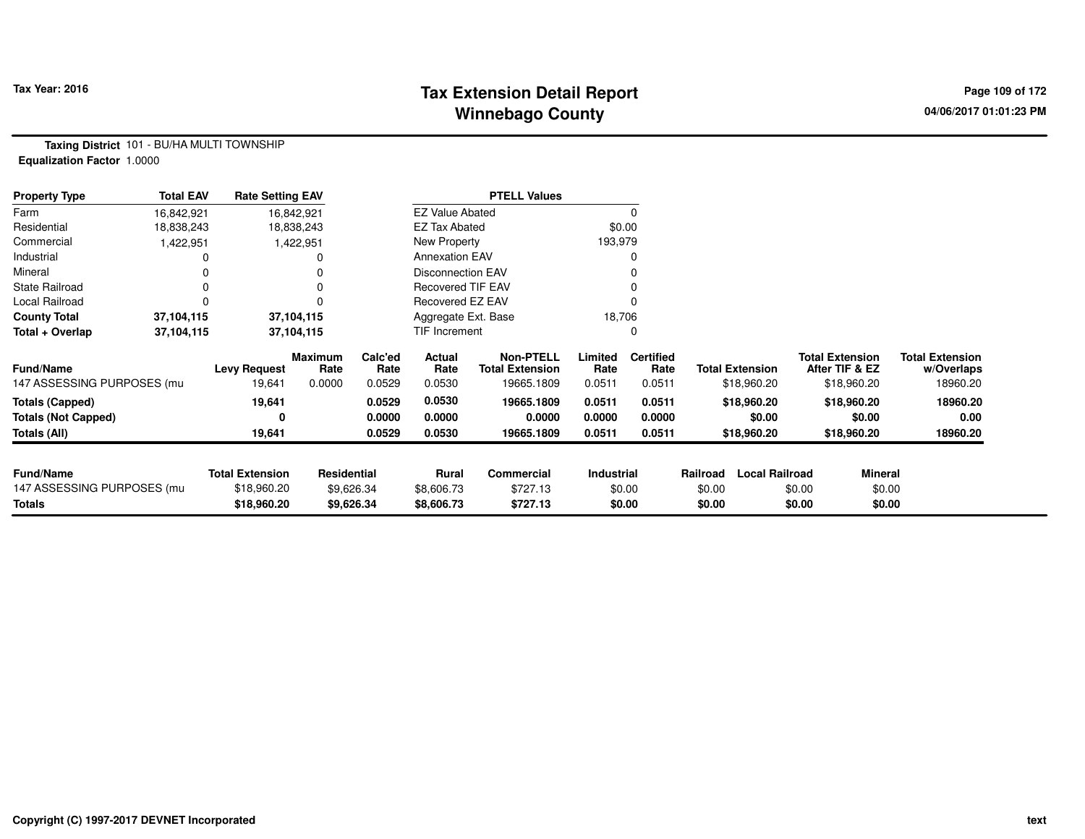# **Tax Extension Detail Report Tax Year: 2016 Page 109 of 172 Winnebago County**

**Taxing District** 101 - BU/HA MULTI TOWNSHIP**Equalization Factor** 1.0000

| <b>Property Type</b>       | <b>Total EAV</b> | <b>Rate Setting EAV</b> |                    |                 |                          | <b>PTELL Values</b>                        |                 |                          |          |                        |                                          |                                      |
|----------------------------|------------------|-------------------------|--------------------|-----------------|--------------------------|--------------------------------------------|-----------------|--------------------------|----------|------------------------|------------------------------------------|--------------------------------------|
| Farm                       | 16,842,921       |                         | 16,842,921         |                 | <b>EZ Value Abated</b>   |                                            |                 | $\Omega$                 |          |                        |                                          |                                      |
| Residential                | 18,838,243       |                         | 18,838,243         |                 | <b>EZ Tax Abated</b>     |                                            | \$0.00          |                          |          |                        |                                          |                                      |
| Commercial                 | 1,422,951        |                         | 1,422,951          |                 | New Property             |                                            | 193,979         |                          |          |                        |                                          |                                      |
| Industrial                 |                  |                         |                    |                 | <b>Annexation EAV</b>    |                                            |                 |                          |          |                        |                                          |                                      |
| Mineral                    |                  |                         |                    |                 | Disconnection EAV        |                                            |                 |                          |          |                        |                                          |                                      |
| <b>State Railroad</b>      | $\Omega$         |                         |                    |                 | <b>Recovered TIF EAV</b> |                                            |                 |                          |          |                        |                                          |                                      |
| Local Railroad             |                  |                         |                    |                 | <b>Recovered EZ EAV</b>  |                                            |                 |                          |          |                        |                                          |                                      |
| <b>County Total</b>        | 37,104,115       |                         | 37,104,115         |                 | Aggregate Ext. Base      |                                            | 18,706          |                          |          |                        |                                          |                                      |
| Total + Overlap            | 37,104,115       |                         | 37,104,115         |                 | TIF Increment            |                                            |                 | $\Omega$                 |          |                        |                                          |                                      |
| <b>Fund/Name</b>           |                  | <b>Levy Request</b>     | Maximum<br>Rate    | Calc'ed<br>Rate | Actual<br>Rate           | <b>Non-PTELL</b><br><b>Total Extension</b> | Limited<br>Rate | <b>Certified</b><br>Rate |          | <b>Total Extension</b> | <b>Total Extension</b><br>After TIF & EZ | <b>Total Extension</b><br>w/Overlaps |
| 147 ASSESSING PURPOSES (mu |                  | 19,641                  | 0.0000             | 0.0529          | 0.0530                   | 19665.1809                                 | 0.0511          | 0.0511                   |          | \$18,960.20            | \$18,960.20                              | 18960.20                             |
| <b>Totals (Capped)</b>     |                  | 19,641                  |                    | 0.0529          | 0.0530                   | 19665.1809                                 | 0.0511          | 0.0511                   |          | \$18,960.20            | \$18,960.20                              | 18960.20                             |
| <b>Totals (Not Capped)</b> |                  | 0                       |                    | 0.0000          | 0.0000                   | 0.0000                                     | 0.0000          | 0.0000                   |          | \$0.00                 | \$0.00                                   | 0.00                                 |
| Totals (All)               |                  | 19,641                  |                    | 0.0529          | 0.0530                   | 19665.1809                                 | 0.0511          | 0.0511                   |          | \$18,960.20            | \$18,960.20                              | 18960.20                             |
|                            |                  |                         |                    |                 |                          |                                            |                 |                          |          |                        |                                          |                                      |
| <b>Fund/Name</b>           |                  | <b>Total Extension</b>  | <b>Residential</b> |                 | <b>Rural</b>             | Commercial                                 | Industrial      |                          | Railroad | <b>Local Railroad</b>  |                                          | Mineral                              |
| 147 ASSESSING PURPOSES (mu |                  | \$18,960.20             |                    | \$9,626.34      | \$8,606.73               | \$727.13                                   |                 | \$0.00                   | \$0.00   |                        | \$0.00                                   | \$0.00                               |
| <b>Totals</b>              |                  | \$18,960.20             |                    | \$9,626.34      | \$8,606.73               | \$727.13                                   |                 | \$0.00                   | \$0.00   |                        | \$0.00                                   | \$0.00                               |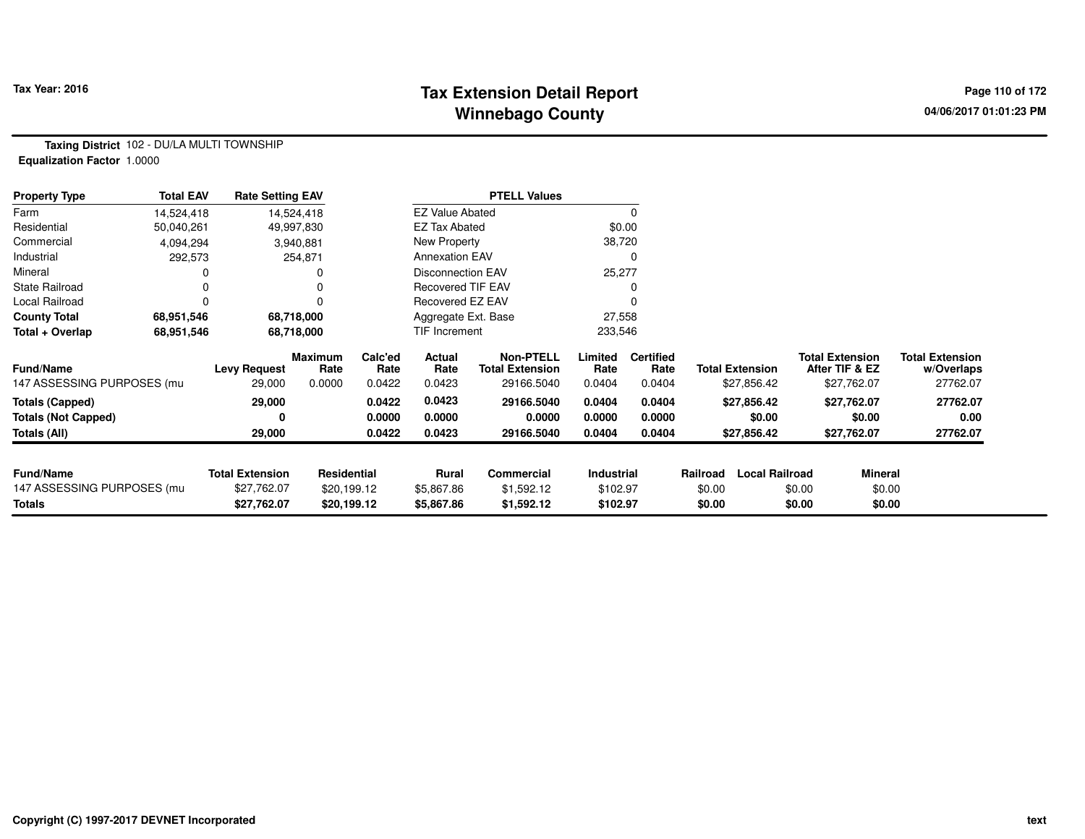# **Tax Extension Detail Report Tax Year: 2016 Page 110 of 172 Winnebago County**

**Taxing District** 102 - DU/LA MULTI TOWNSHIP**Equalization Factor** 1.0000

| <b>Property Type</b>       | <b>Total EAV</b> | <b>Rate Setting EAV</b> |                 |                 |                          | <b>PTELL Values</b>                        |                   |                          |          |                        |                                          |                |                                      |
|----------------------------|------------------|-------------------------|-----------------|-----------------|--------------------------|--------------------------------------------|-------------------|--------------------------|----------|------------------------|------------------------------------------|----------------|--------------------------------------|
| Farm                       | 14,524,418       |                         | 14,524,418      |                 | <b>EZ Value Abated</b>   |                                            |                   | $\Omega$                 |          |                        |                                          |                |                                      |
| Residential                | 50,040,261       |                         | 49,997,830      |                 | <b>EZ Tax Abated</b>     |                                            | \$0.00            |                          |          |                        |                                          |                |                                      |
| Commercial                 | 4,094,294        |                         | 3,940,881       |                 | New Property             |                                            | 38,720            |                          |          |                        |                                          |                |                                      |
| Industrial                 | 292,573          |                         | 254,871         |                 | <b>Annexation EAV</b>    |                                            |                   |                          |          |                        |                                          |                |                                      |
| Mineral                    |                  |                         |                 |                 | Disconnection EAV        |                                            | 25,277            |                          |          |                        |                                          |                |                                      |
| <b>State Railroad</b>      |                  |                         |                 |                 | <b>Recovered TIF EAV</b> |                                            |                   |                          |          |                        |                                          |                |                                      |
| Local Railroad             |                  |                         |                 |                 | Recovered EZ EAV         |                                            |                   |                          |          |                        |                                          |                |                                      |
| <b>County Total</b>        | 68,951,546       |                         | 68,718,000      |                 | Aggregate Ext. Base      |                                            | 27,558            |                          |          |                        |                                          |                |                                      |
| Total + Overlap            | 68.951,546       |                         | 68,718,000      |                 | TIF Increment            |                                            | 233,546           |                          |          |                        |                                          |                |                                      |
| <b>Fund/Name</b>           |                  | <b>Levy Request</b>     | Maximum<br>Rate | Calc'ed<br>Rate | Actual<br>Rate           | <b>Non-PTELL</b><br><b>Total Extension</b> | Limited<br>Rate   | <b>Certified</b><br>Rate |          | <b>Total Extension</b> | <b>Total Extension</b><br>After TIF & EZ |                | <b>Total Extension</b><br>w/Overlaps |
| 147 ASSESSING PURPOSES (mu |                  | 29,000                  | 0.0000          | 0.0422          | 0.0423                   | 29166.5040                                 | 0.0404            | 0.0404                   |          | \$27,856.42            |                                          | \$27,762.07    | 27762.07                             |
| <b>Totals (Capped)</b>     |                  | 29,000                  |                 | 0.0422          | 0.0423                   | 29166.5040                                 | 0.0404            | 0.0404                   |          | \$27,856.42            |                                          | \$27,762.07    | 27762.07                             |
| <b>Totals (Not Capped)</b> |                  | 0                       |                 | 0.0000          | 0.0000                   | 0.0000                                     | 0.0000            | 0.0000                   |          | \$0.00                 |                                          | \$0.00         | 0.00                                 |
| Totals (All)               |                  | 29,000                  |                 | 0.0422          | 0.0423                   | 29166.5040                                 | 0.0404            | 0.0404                   |          | \$27,856.42            |                                          | \$27,762.07    | 27762.07                             |
|                            |                  |                         |                 |                 |                          |                                            |                   |                          |          |                        |                                          |                |                                      |
| <b>Fund/Name</b>           |                  | <b>Total Extension</b>  | Residential     |                 | Rural                    | <b>Commercial</b>                          | <b>Industrial</b> |                          | Railroad | <b>Local Railroad</b>  |                                          | <b>Mineral</b> |                                      |
| 147 ASSESSING PURPOSES (mu |                  | \$27,762.07             | \$20,199.12     |                 | \$5,867.86               | \$1,592.12                                 | \$102.97          |                          | \$0.00   |                        | \$0.00                                   | \$0.00         |                                      |
| Totals                     |                  | \$27,762.07             | \$20,199.12     |                 | \$5,867.86               | \$1,592.12                                 | \$102.97          |                          | \$0.00   |                        | \$0.00                                   | \$0.00         |                                      |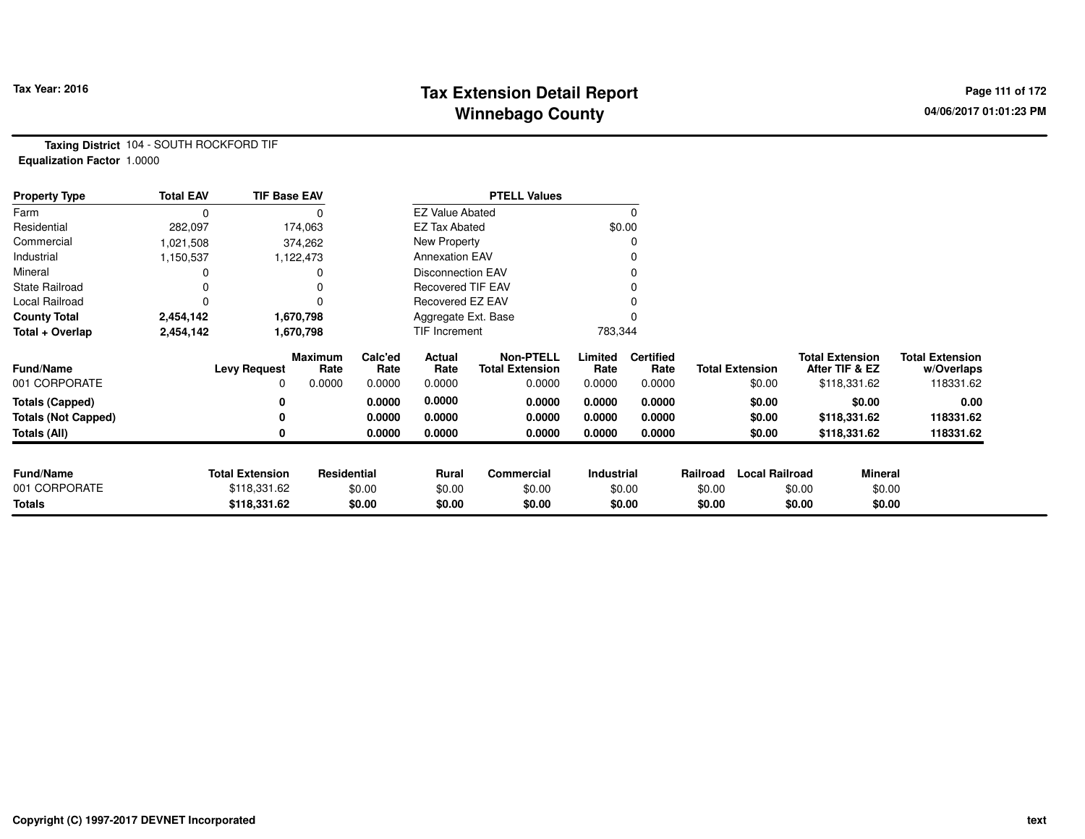# **Tax Extension Detail Report Tax Year: 2016 Page 111 of 172 Winnebago County**

**Taxing District** 104 - SOUTH ROCKFORD TIF**Equalization Factor** 1.0000

| <b>Property Type</b>       | <b>Total EAV</b> | <b>TIF Base EAV</b>    |                 |                 |                          | <b>PTELL Values</b>                        |                 |                          |          |                        |                                          |                                      |
|----------------------------|------------------|------------------------|-----------------|-----------------|--------------------------|--------------------------------------------|-----------------|--------------------------|----------|------------------------|------------------------------------------|--------------------------------------|
| Farm                       | 0                |                        |                 |                 | <b>EZ Value Abated</b>   |                                            |                 |                          |          |                        |                                          |                                      |
| Residential                | 282,097          |                        | 174,063         |                 | EZ Tax Abated            |                                            |                 | \$0.00                   |          |                        |                                          |                                      |
| Commercial                 | 1,021,508        |                        | 374,262         |                 | New Property             |                                            |                 |                          |          |                        |                                          |                                      |
| Industrial                 | 1,150,537        |                        | 1,122,473       |                 | <b>Annexation EAV</b>    |                                            |                 |                          |          |                        |                                          |                                      |
| Mineral                    |                  |                        |                 |                 | <b>Disconnection EAV</b> |                                            |                 |                          |          |                        |                                          |                                      |
| <b>State Railroad</b>      |                  |                        |                 |                 | <b>Recovered TIF EAV</b> |                                            |                 |                          |          |                        |                                          |                                      |
| Local Railroad             | 0                |                        |                 |                 | Recovered EZ EAV         |                                            |                 |                          |          |                        |                                          |                                      |
| <b>County Total</b>        | 2,454,142        |                        | 1,670,798       |                 | Aggregate Ext. Base      |                                            |                 |                          |          |                        |                                          |                                      |
| Total + Overlap            | 2,454,142        |                        | 1,670,798       |                 | TIF Increment            |                                            | 783,344         |                          |          |                        |                                          |                                      |
| <b>Fund/Name</b>           |                  | <b>Levy Request</b>    | Maximum<br>Rate | Calc'ed<br>Rate | Actual<br>Rate           | <b>Non-PTELL</b><br><b>Total Extension</b> | Limited<br>Rate | <b>Certified</b><br>Rate |          | <b>Total Extension</b> | <b>Total Extension</b><br>After TIF & EZ | <b>Total Extension</b><br>w/Overlaps |
| 001 CORPORATE              |                  | 0                      | 0.0000          | 0.0000          | 0.0000                   | 0.0000                                     | 0.0000          | 0.0000                   |          | \$0.00                 | \$118,331.62                             | 118331.62                            |
| <b>Totals (Capped)</b>     |                  | 0                      |                 | 0.0000          | 0.0000                   | 0.0000                                     | 0.0000          | 0.0000                   |          | \$0.00                 | \$0.00                                   | 0.00                                 |
| <b>Totals (Not Capped)</b> |                  |                        |                 | 0.0000          | 0.0000                   | 0.0000                                     | 0.0000          | 0.0000                   |          | \$0.00                 | \$118,331.62                             | 118331.62                            |
| Totals (All)               |                  |                        |                 | 0.0000          | 0.0000                   | 0.0000                                     | 0.0000          | 0.0000                   |          | \$0.00                 | \$118,331.62                             | 118331.62                            |
|                            |                  |                        |                 |                 |                          |                                            |                 |                          |          |                        |                                          |                                      |
| <b>Fund/Name</b>           |                  | <b>Total Extension</b> | Residential     |                 | <b>Rural</b>             | Commercial                                 | Industrial      |                          | Railroad | <b>Local Railroad</b>  | <b>Mineral</b>                           |                                      |
| 001 CORPORATE              |                  | \$118,331.62           |                 | \$0.00          | \$0.00                   | \$0.00                                     |                 | \$0.00                   | \$0.00   |                        | \$0.00                                   | \$0.00                               |
| <b>Totals</b>              |                  | \$118,331.62           |                 | \$0.00          | \$0.00                   | \$0.00                                     |                 | \$0.00                   | \$0.00   |                        | \$0.00                                   | \$0.00                               |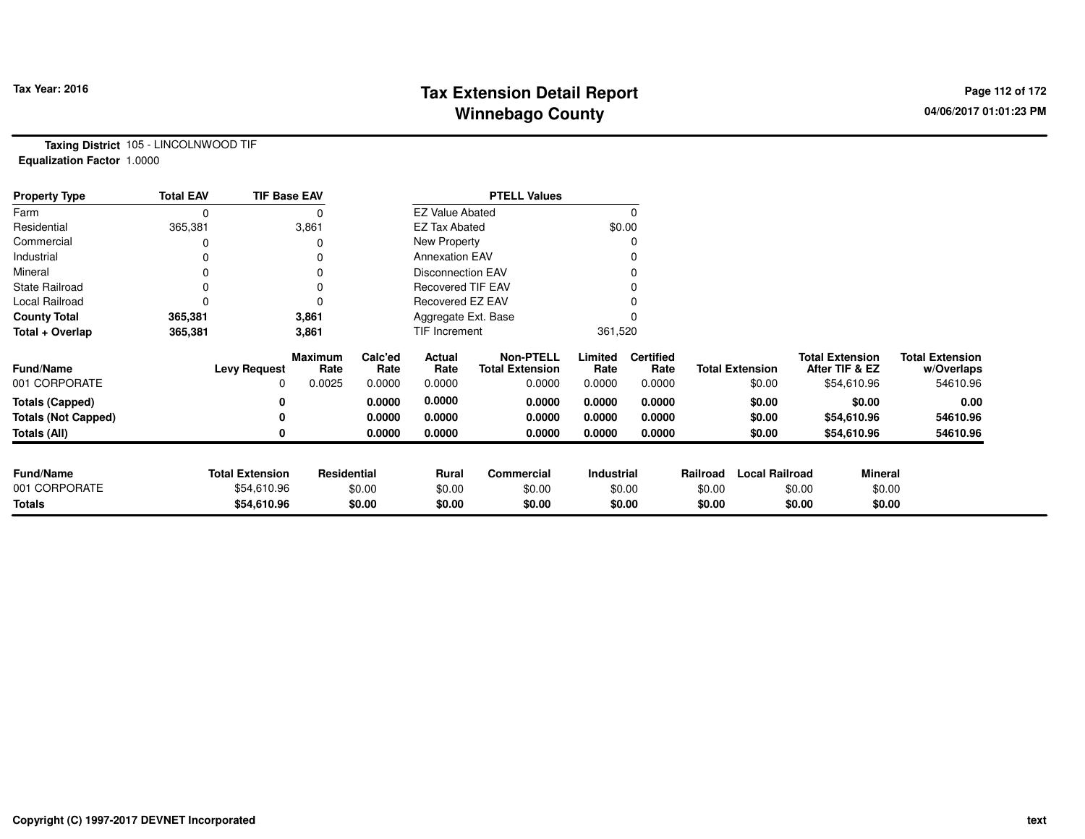# **Tax Extension Detail Report Constant Constant Constant Page 112 of 172 Winnebago County**

**Taxing District** 105 - LINCOLNWOOD TIF**Equalization Factor** 1.0000

| <b>Property Type</b>       | <b>Total EAV</b> | <b>TIF Base EAV</b>    |                        |                 |                          | <b>PTELL Values</b>                        |                 |                          |          |                        |        |                                          |                                      |
|----------------------------|------------------|------------------------|------------------------|-----------------|--------------------------|--------------------------------------------|-----------------|--------------------------|----------|------------------------|--------|------------------------------------------|--------------------------------------|
| Farm                       | $\mathbf 0$      |                        | $\Omega$               |                 | <b>EZ Value Abated</b>   |                                            |                 | 0                        |          |                        |        |                                          |                                      |
| Residential                | 365,381          |                        | 3,861                  |                 | <b>EZ Tax Abated</b>     |                                            |                 | \$0.00                   |          |                        |        |                                          |                                      |
| Commercial                 | O                |                        | $\Omega$               |                 | New Property             |                                            |                 | 0                        |          |                        |        |                                          |                                      |
| Industrial                 | 0                |                        | 0                      |                 | <b>Annexation EAV</b>    |                                            |                 |                          |          |                        |        |                                          |                                      |
| Mineral                    |                  |                        | 0                      |                 | Disconnection EAV        |                                            |                 | 0                        |          |                        |        |                                          |                                      |
| <b>State Railroad</b>      | $\Omega$         |                        | 0                      |                 | <b>Recovered TIF EAV</b> |                                            |                 |                          |          |                        |        |                                          |                                      |
| Local Railroad             | 0                |                        | $\Omega$               |                 | Recovered EZ EAV         |                                            |                 |                          |          |                        |        |                                          |                                      |
| <b>County Total</b>        | 365,381          |                        | 3,861                  |                 | Aggregate Ext. Base      |                                            |                 |                          |          |                        |        |                                          |                                      |
| Total + Overlap            | 365,381          |                        | 3,861                  |                 | TIF Increment            |                                            | 361,520         |                          |          |                        |        |                                          |                                      |
| <b>Fund/Name</b>           |                  | <b>Levy Request</b>    | <b>Maximum</b><br>Rate | Calc'ed<br>Rate | Actual<br>Rate           | <b>Non-PTELL</b><br><b>Total Extension</b> | Limited<br>Rate | <b>Certified</b><br>Rate |          | <b>Total Extension</b> |        | <b>Total Extension</b><br>After TIF & EZ | <b>Total Extension</b><br>w/Overlaps |
| 001 CORPORATE              |                  | 0                      | 0.0025                 | 0.0000          | 0.0000                   | 0.0000                                     | 0.0000          | 0.0000                   |          | \$0.00                 |        | \$54,610.96                              | 54610.96                             |
| <b>Totals (Capped)</b>     |                  | 0                      |                        | 0.0000          | 0.0000                   | 0.0000                                     | 0.0000          | 0.0000                   |          | \$0.00                 |        | \$0.00                                   | 0.00                                 |
| <b>Totals (Not Capped)</b> |                  | 0                      |                        | 0.0000          | 0.0000                   | 0.0000                                     | 0.0000          | 0.0000                   |          | \$0.00                 |        | \$54,610.96                              | 54610.96                             |
| Totals (All)               |                  | 0                      |                        | 0.0000          | 0.0000                   | 0.0000                                     | 0.0000          | 0.0000                   |          | \$0.00                 |        | \$54,610.96                              | 54610.96                             |
|                            |                  |                        |                        |                 |                          |                                            |                 |                          |          |                        |        |                                          |                                      |
| <b>Fund/Name</b>           |                  | <b>Total Extension</b> | Residential            |                 | Rural                    | Commercial                                 | Industrial      |                          | Railroad | <b>Local Railroad</b>  |        | Mineral                                  |                                      |
| 001 CORPORATE              |                  | \$54,610.96            |                        | \$0.00          | \$0.00                   | \$0.00                                     |                 | \$0.00                   | \$0.00   |                        | \$0.00 | \$0.00                                   |                                      |
| <b>Totals</b>              |                  | \$54,610.96            |                        | \$0.00          | \$0.00                   | \$0.00                                     |                 | \$0.00                   | \$0.00   |                        | \$0.00 | \$0.00                                   |                                      |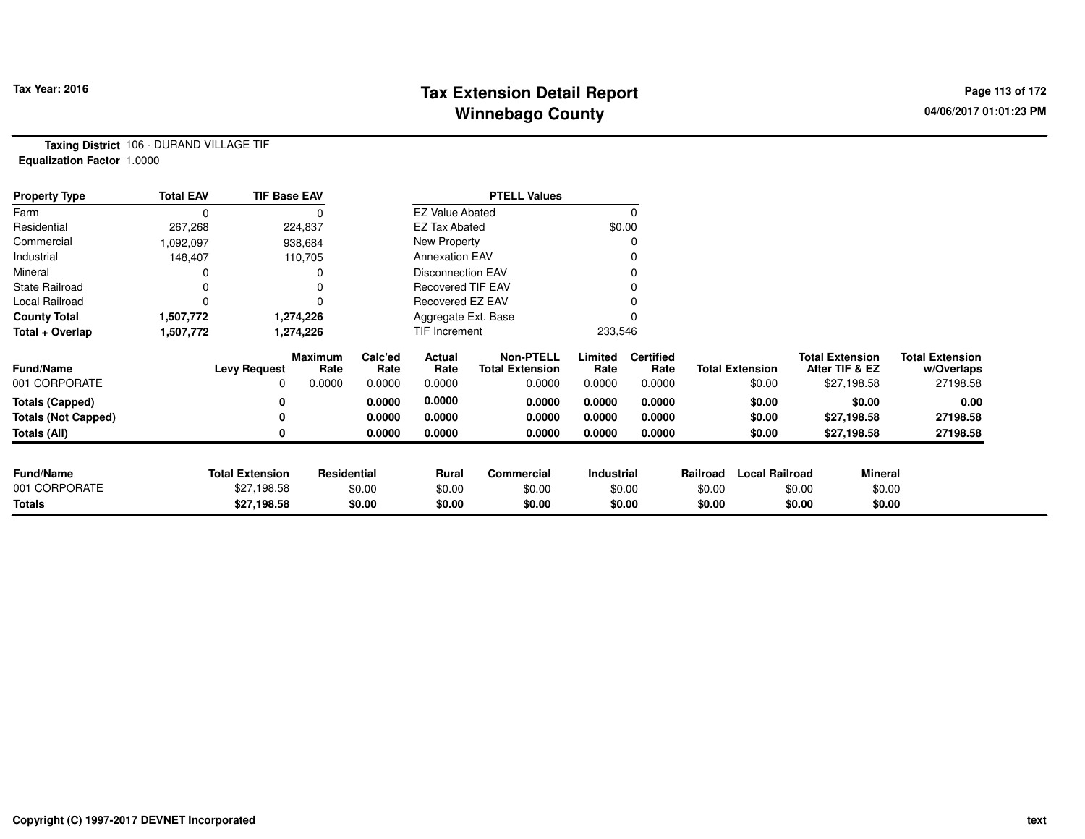# **Tax Extension Detail Report Tax Year: 2016 Page 113 of 172 Winnebago County**

**Taxing District** 106 - DURAND VILLAGE TIF**Equalization Factor** 1.0000

| <b>Property Type</b>       | <b>Total EAV</b> | <b>TIF Base EAV</b>    |                        |                 |                          | <b>PTELL Values</b>                        |                   |                          |          |                        |                                          |                                      |
|----------------------------|------------------|------------------------|------------------------|-----------------|--------------------------|--------------------------------------------|-------------------|--------------------------|----------|------------------------|------------------------------------------|--------------------------------------|
| Farm                       | 0                |                        |                        |                 | <b>EZ Value Abated</b>   |                                            |                   | 0                        |          |                        |                                          |                                      |
| Residential                | 267,268          |                        | 224,837                |                 | <b>EZ Tax Abated</b>     |                                            |                   | \$0.00                   |          |                        |                                          |                                      |
| Commercial                 | 1,092,097        |                        | 938,684                |                 | New Property             |                                            |                   |                          |          |                        |                                          |                                      |
| Industrial                 | 148,407          |                        | 110,705                |                 | <b>Annexation EAV</b>    |                                            |                   |                          |          |                        |                                          |                                      |
| Mineral                    |                  |                        |                        |                 | Disconnection EAV        |                                            |                   |                          |          |                        |                                          |                                      |
| <b>State Railroad</b>      |                  |                        | 0                      |                 | <b>Recovered TIF EAV</b> |                                            |                   |                          |          |                        |                                          |                                      |
| Local Railroad             | 0                |                        | 0                      |                 | Recovered EZ EAV         |                                            |                   |                          |          |                        |                                          |                                      |
| <b>County Total</b>        | 1,507,772        |                        | 1,274,226              |                 | Aggregate Ext. Base      |                                            |                   |                          |          |                        |                                          |                                      |
| Total + Overlap            | 1,507,772        |                        | 1,274,226              |                 | TIF Increment            |                                            | 233,546           |                          |          |                        |                                          |                                      |
| <b>Fund/Name</b>           |                  | <b>Levy Request</b>    | <b>Maximum</b><br>Rate | Calc'ed<br>Rate | Actual<br>Rate           | <b>Non-PTELL</b><br><b>Total Extension</b> | Limited<br>Rate   | <b>Certified</b><br>Rate |          | <b>Total Extension</b> | <b>Total Extension</b><br>After TIF & EZ | <b>Total Extension</b><br>w/Overlaps |
| 001 CORPORATE              |                  | 0                      | 0.0000                 | 0.0000          | 0.0000                   | 0.0000                                     | 0.0000            | 0.0000                   |          | \$0.00                 | \$27,198.58                              | 27198.58                             |
| <b>Totals (Capped)</b>     |                  | 0                      |                        | 0.0000          | 0.0000                   | 0.0000                                     | 0.0000            | 0.0000                   |          | \$0.00                 | \$0.00                                   | 0.00                                 |
| <b>Totals (Not Capped)</b> |                  | 0                      |                        | 0.0000          | 0.0000                   | 0.0000                                     | 0.0000            | 0.0000                   |          | \$0.00                 | \$27,198.58                              | 27198.58                             |
| Totals (All)               |                  | 0                      |                        | 0.0000          | 0.0000                   | 0.0000                                     | 0.0000            | 0.0000                   |          | \$0.00                 | \$27,198.58                              | 27198.58                             |
|                            |                  |                        |                        |                 |                          |                                            |                   |                          |          |                        |                                          |                                      |
| <b>Fund/Name</b>           |                  | <b>Total Extension</b> | <b>Residential</b>     |                 | Rural                    | Commercial                                 | <b>Industrial</b> |                          | Railroad | <b>Local Railroad</b>  |                                          | <b>Mineral</b>                       |
| 001 CORPORATE              |                  | \$27,198.58            |                        | \$0.00          | \$0.00                   | \$0.00                                     |                   | \$0.00                   | \$0.00   |                        | \$0.00                                   | \$0.00                               |
| <b>Totals</b>              |                  | \$27,198.58            |                        | \$0.00          | \$0.00                   | \$0.00                                     |                   | \$0.00                   | \$0.00   |                        | \$0.00                                   | \$0.00                               |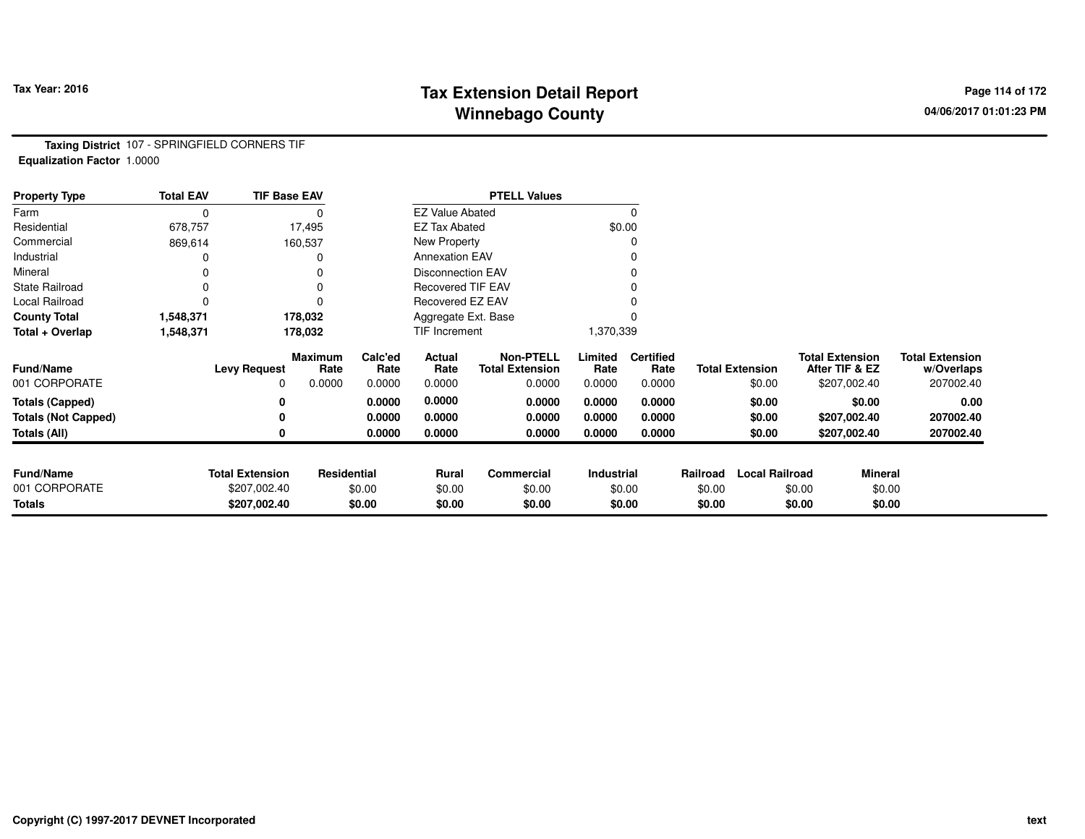# **Tax Extension Detail Report Tax Year: 2016 Page 114 of 172 Winnebago County**

**Taxing District** 107 - SPRINGFIELD CORNERS TIF**Equalization Factor** 1.0000

| <b>Property Type</b>       | <b>Total EAV</b> | <b>TIF Base EAV</b>    |                        |                 |                          | <b>PTELL Values</b>                        |                 |                          |          |                        |                                          |                |                                      |
|----------------------------|------------------|------------------------|------------------------|-----------------|--------------------------|--------------------------------------------|-----------------|--------------------------|----------|------------------------|------------------------------------------|----------------|--------------------------------------|
| Farm                       | 0                |                        |                        |                 | <b>EZ Value Abated</b>   |                                            |                 |                          |          |                        |                                          |                |                                      |
| Residential                | 678,757          |                        | 17,495                 |                 | <b>EZ Tax Abated</b>     |                                            | \$0.00          |                          |          |                        |                                          |                |                                      |
| Commercial                 | 869,614          |                        | 160,537                |                 | New Property             |                                            |                 |                          |          |                        |                                          |                |                                      |
| Industrial                 |                  |                        |                        |                 | <b>Annexation EAV</b>    |                                            |                 |                          |          |                        |                                          |                |                                      |
| Mineral                    |                  |                        |                        |                 | <b>Disconnection EAV</b> |                                            |                 |                          |          |                        |                                          |                |                                      |
| <b>State Railroad</b>      | $\Omega$         |                        |                        |                 | <b>Recovered TIF EAV</b> |                                            |                 |                          |          |                        |                                          |                |                                      |
| Local Railroad             | O                |                        |                        |                 | Recovered EZ EAV         |                                            |                 |                          |          |                        |                                          |                |                                      |
| <b>County Total</b>        | 1,548,371        |                        | 178,032                |                 | Aggregate Ext. Base      |                                            |                 |                          |          |                        |                                          |                |                                      |
| Total + Overlap            | 1,548,371        |                        | 178,032                |                 | TIF Increment            |                                            | 1,370,339       |                          |          |                        |                                          |                |                                      |
| <b>Fund/Name</b>           |                  | <b>Levy Request</b>    | <b>Maximum</b><br>Rate | Calc'ed<br>Rate | Actual<br>Rate           | <b>Non-PTELL</b><br><b>Total Extension</b> | Limited<br>Rate | <b>Certified</b><br>Rate |          | <b>Total Extension</b> | <b>Total Extension</b><br>After TIF & EZ |                | <b>Total Extension</b><br>w/Overlaps |
| 001 CORPORATE              |                  | 0                      | 0.0000                 | 0.0000          | 0.0000                   | 0.0000                                     | 0.0000          | 0.0000                   |          | \$0.00                 | \$207,002.40                             |                | 207002.40                            |
| <b>Totals (Capped)</b>     |                  | 0                      |                        | 0.0000          | 0.0000                   | 0.0000                                     | 0.0000          | 0.0000                   |          | \$0.00                 |                                          | \$0.00         | 0.00                                 |
| <b>Totals (Not Capped)</b> |                  | 0                      |                        | 0.0000          | 0.0000                   | 0.0000                                     | 0.0000          | 0.0000                   |          | \$0.00                 | \$207,002.40                             |                | 207002.40                            |
| Totals (All)               |                  | 0                      |                        | 0.0000          | 0.0000                   | 0.0000                                     | 0.0000          | 0.0000                   |          | \$0.00                 | \$207,002.40                             |                | 207002.40                            |
|                            |                  |                        |                        |                 |                          |                                            |                 |                          |          |                        |                                          |                |                                      |
| <b>Fund/Name</b>           |                  | <b>Total Extension</b> | Residential            |                 | <b>Rural</b>             | Commercial                                 | Industrial      |                          | Railroad | <b>Local Railroad</b>  |                                          | <b>Mineral</b> |                                      |
| 001 CORPORATE              |                  | \$207,002.40           |                        | \$0.00          | \$0.00                   | \$0.00                                     |                 | \$0.00                   | \$0.00   |                        | \$0.00                                   | \$0.00         |                                      |
| <b>Totals</b>              |                  | \$207,002.40           |                        | \$0.00          | \$0.00                   | \$0.00                                     |                 | \$0.00                   | \$0.00   |                        | \$0.00                                   | \$0.00         |                                      |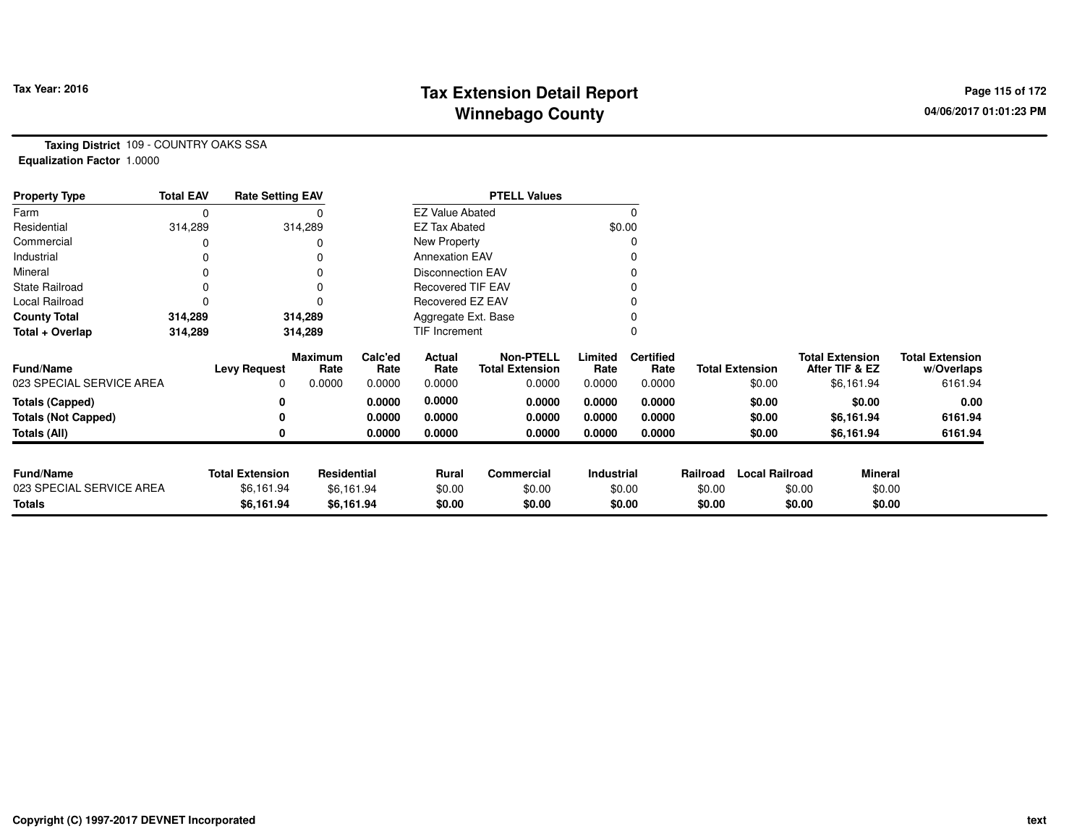# **Tax Extension Detail Report Tax Year: 2016 Page 115 of 172 Winnebago County**

**Taxing District** 109 - COUNTRY OAKS SSA**Equalization Factor** 1.0000

| <b>Property Type</b>       | <b>Total EAV</b> | <b>Rate Setting EAV</b> |                 |                 |                          | <b>PTELL Values</b>                        |                 |                          |          |                        |                                          |                                      |
|----------------------------|------------------|-------------------------|-----------------|-----------------|--------------------------|--------------------------------------------|-----------------|--------------------------|----------|------------------------|------------------------------------------|--------------------------------------|
| Farm                       |                  |                         |                 |                 | <b>EZ Value Abated</b>   |                                            |                 |                          |          |                        |                                          |                                      |
| Residential                | 314,289          |                         | 314,289         |                 | <b>EZ Tax Abated</b>     |                                            |                 | \$0.00                   |          |                        |                                          |                                      |
| Commercial                 |                  |                         |                 |                 | New Property             |                                            |                 |                          |          |                        |                                          |                                      |
| Industrial                 |                  |                         |                 |                 | <b>Annexation EAV</b>    |                                            |                 |                          |          |                        |                                          |                                      |
| Mineral                    |                  |                         |                 |                 | <b>Disconnection EAV</b> |                                            |                 |                          |          |                        |                                          |                                      |
| <b>State Railroad</b>      |                  |                         |                 |                 | <b>Recovered TIF EAV</b> |                                            |                 |                          |          |                        |                                          |                                      |
| Local Railroad             |                  |                         |                 |                 | Recovered EZ EAV         |                                            |                 |                          |          |                        |                                          |                                      |
| <b>County Total</b>        | 314,289          |                         | 314,289         |                 | Aggregate Ext. Base      |                                            |                 |                          |          |                        |                                          |                                      |
| Total + Overlap            | 314,289          |                         | 314,289         |                 | TIF Increment            |                                            |                 |                          |          |                        |                                          |                                      |
| <b>Fund/Name</b>           |                  | <b>Levy Request</b>     | Maximum<br>Rate | Calc'ed<br>Rate | Actual<br>Rate           | <b>Non-PTELL</b><br><b>Total Extension</b> | Limited<br>Rate | <b>Certified</b><br>Rate |          | <b>Total Extension</b> | <b>Total Extension</b><br>After TIF & EZ | <b>Total Extension</b><br>w/Overlaps |
| 023 SPECIAL SERVICE AREA   |                  | 0                       | 0.0000          | 0.0000          | 0.0000                   | 0.0000                                     | 0.0000          | 0.0000                   |          | \$0.00                 | \$6,161.94                               | 6161.94                              |
| <b>Totals (Capped)</b>     |                  |                         |                 | 0.0000          | 0.0000                   | 0.0000                                     | 0.0000          | 0.0000                   |          | \$0.00                 | \$0.00                                   | 0.00                                 |
| <b>Totals (Not Capped)</b> |                  |                         |                 | 0.0000          | 0.0000                   | 0.0000                                     | 0.0000          | 0.0000                   |          | \$0.00                 | \$6,161.94                               | 6161.94                              |
| Totals (All)               |                  |                         |                 | 0.0000          | 0.0000                   | 0.0000                                     | 0.0000          | 0.0000                   |          | \$0.00                 | \$6,161.94                               | 6161.94                              |
|                            |                  |                         |                 |                 |                          |                                            |                 |                          |          |                        |                                          |                                      |
| <b>Fund/Name</b>           |                  | <b>Total Extension</b>  | Residential     |                 | Rural                    | Commercial                                 | Industrial      |                          | Railroad | <b>Local Railroad</b>  | <b>Mineral</b>                           |                                      |
| 023 SPECIAL SERVICE AREA   |                  | \$6,161.94              |                 | \$6,161.94      | \$0.00                   | \$0.00                                     |                 | \$0.00                   | \$0.00   |                        | \$0.00                                   | \$0.00                               |
| <b>Totals</b>              |                  | \$6,161.94              |                 | \$6,161.94      | \$0.00                   | \$0.00                                     |                 | \$0.00                   | \$0.00   |                        | \$0.00                                   | \$0.00                               |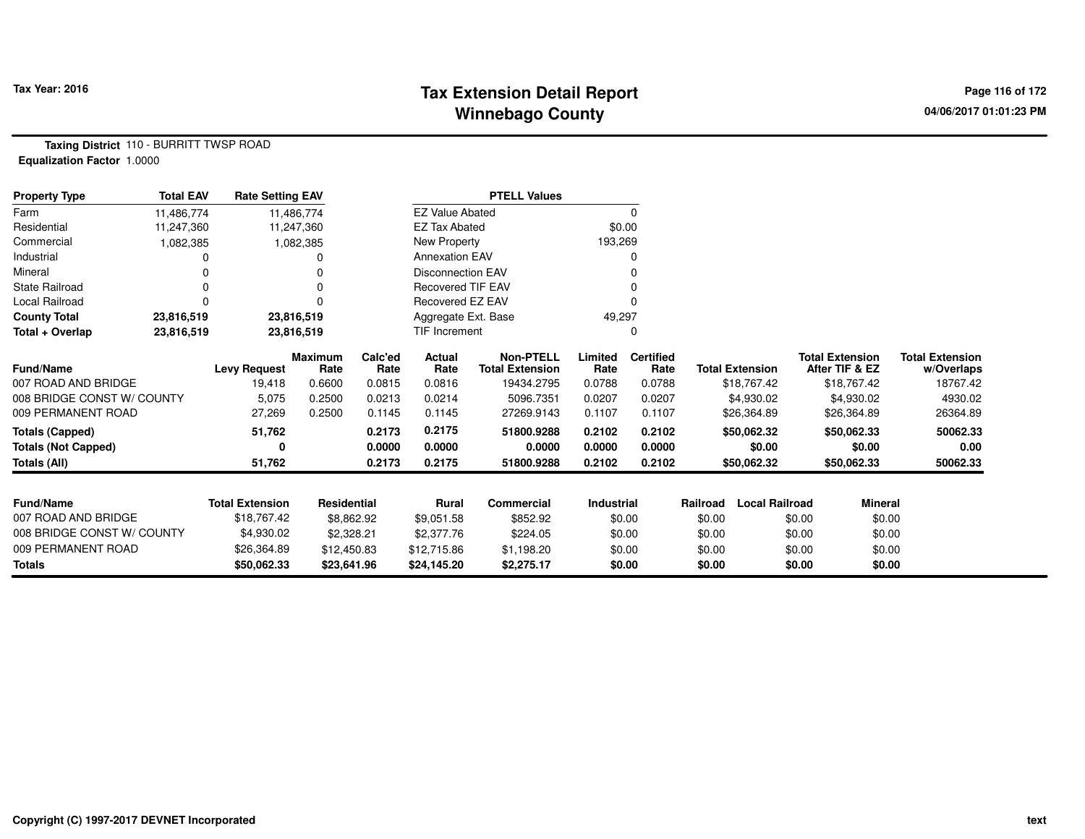## **Tax Fax Extension Detail Report Constant Constant Constant Page 116 of 172 Winnebago County**

**Taxing District** 110 - BURRITT TWSP ROAD**Equalization Factor** 1.0000

| <b>Property Type</b>       | <b>Total EAV</b> | <b>Rate Setting EAV</b> |                    |                 |                          | <b>PTELL Values</b>                        |                 |                          |                                   |                                          |                                      |
|----------------------------|------------------|-------------------------|--------------------|-----------------|--------------------------|--------------------------------------------|-----------------|--------------------------|-----------------------------------|------------------------------------------|--------------------------------------|
| Farm                       | 11,486,774       |                         | 11,486,774         |                 | <b>EZ Value Abated</b>   |                                            |                 | 0                        |                                   |                                          |                                      |
| Residential                | 11,247,360       |                         | 11,247,360         |                 | <b>EZ Tax Abated</b>     |                                            | \$0.00          |                          |                                   |                                          |                                      |
| Commercial                 | 1,082,385        |                         | 1,082,385          |                 | New Property             |                                            | 193,269         |                          |                                   |                                          |                                      |
| Industrial                 |                  |                         |                    |                 | <b>Annexation EAV</b>    |                                            |                 | o                        |                                   |                                          |                                      |
| Mineral                    |                  |                         |                    |                 | Disconnection EAV        |                                            |                 |                          |                                   |                                          |                                      |
| <b>State Railroad</b>      |                  |                         |                    |                 | <b>Recovered TIF EAV</b> |                                            |                 |                          |                                   |                                          |                                      |
| Local Railroad             |                  |                         | $\Omega$           |                 | Recovered EZ EAV         |                                            |                 |                          |                                   |                                          |                                      |
| <b>County Total</b>        | 23,816,519       |                         | 23,816,519         |                 | Aggregate Ext. Base      |                                            | 49,297          |                          |                                   |                                          |                                      |
| Total + Overlap            | 23,816,519       |                         | 23,816,519         |                 | <b>TIF Increment</b>     |                                            |                 | 0                        |                                   |                                          |                                      |
| <b>Fund/Name</b>           |                  | <b>Levy Request</b>     | Maximum<br>Rate    | Calc'ed<br>Rate | Actual<br>Rate           | <b>Non-PTELL</b><br><b>Total Extension</b> | Limited<br>Rate | <b>Certified</b><br>Rate | <b>Total Extension</b>            | <b>Total Extension</b><br>After TIF & EZ | <b>Total Extension</b><br>w/Overlaps |
| 007 ROAD AND BRIDGE        |                  | 19,418                  | 0.6600             | 0.0815          | 0.0816                   | 19434.2795                                 | 0.0788          | 0.0788                   | \$18,767.42                       | \$18,767.42                              | 18767.42                             |
| 008 BRIDGE CONST W/ COUNTY |                  | 5,075                   | 0.2500             | 0.0213          | 0.0214                   | 5096.7351                                  | 0.0207          | 0.0207                   | \$4,930.02                        | \$4,930.02                               | 4930.02                              |
| 009 PERMANENT ROAD         |                  | 27,269                  | 0.2500             | 0.1145          | 0.1145                   | 27269.9143                                 | 0.1107          | 0.1107                   | \$26,364.89                       | \$26,364.89                              | 26364.89                             |
| Totals (Capped)            |                  | 51,762                  |                    | 0.2173          | 0.2175                   | 51800.9288                                 | 0.2102          | 0.2102                   | \$50,062.32                       | \$50,062.33                              | 50062.33                             |
| <b>Totals (Not Capped)</b> |                  | 0                       |                    | 0.0000          | 0.0000                   | 0.0000                                     | 0.0000          | 0.0000                   | \$0.00                            | \$0.00                                   | 0.00                                 |
| Totals (All)               |                  | 51,762                  |                    | 0.2173          | 0.2175                   | 51800.9288                                 | 0.2102          | 0.2102                   | \$50,062.32                       | \$50,062.33                              | 50062.33                             |
| <b>Fund/Name</b>           |                  | <b>Total Extension</b>  | <b>Residential</b> |                 | Rural                    | Commercial                                 | Industrial      |                          | <b>Local Railroad</b><br>Railroad | <b>Mineral</b>                           |                                      |
| 007 ROAD AND BRIDGE        |                  | \$18,767.42             |                    |                 |                          |                                            |                 |                          |                                   |                                          |                                      |
| 008 BRIDGE CONST W/ COUNTY |                  |                         | \$8,862.92         |                 | \$9,051.58               | \$852.92                                   |                 | \$0.00                   | \$0.00                            | \$0.00                                   | \$0.00                               |
|                            |                  | \$4,930.02              | \$2,328.21         |                 | \$2,377.76               | \$224.05                                   |                 | \$0.00                   | \$0.00                            | \$0.00                                   | \$0.00                               |
| 009 PERMANENT ROAD         |                  | \$26,364.89             | \$12,450.83        |                 | \$12,715.86              | \$1,198.20                                 |                 | \$0.00                   | \$0.00                            | \$0.00                                   | \$0.00                               |
| <b>Totals</b>              |                  | \$50,062.33             | \$23,641.96        |                 | \$24,145.20              | \$2,275.17                                 |                 | \$0.00                   | \$0.00                            | \$0.00                                   | \$0.00                               |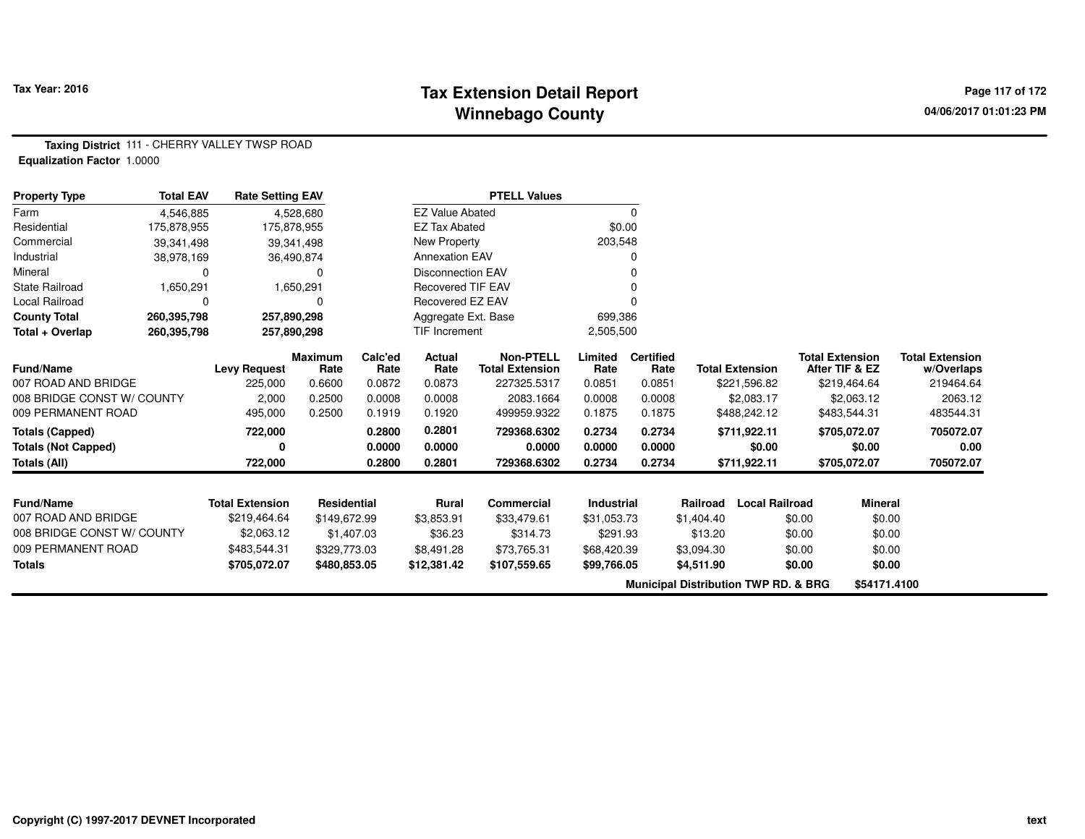### **Tax Extension Detail Report Constant Constant Constant Page 117 of 172 Winnebago County**

**Taxing District** 111 - CHERRY VALLEY TWSP ROAD**Equalization Factor** 1.0000

| <b>Property Type</b>       | <b>Total EAV</b> | <b>Rate Setting EAV</b> |                        |                 |                          | <b>PTELL Values</b>                        |                 |                                                 |            |                        |        |                                          |                                      |
|----------------------------|------------------|-------------------------|------------------------|-----------------|--------------------------|--------------------------------------------|-----------------|-------------------------------------------------|------------|------------------------|--------|------------------------------------------|--------------------------------------|
| Farm                       | 4,546,885        |                         | 4,528,680              |                 | <b>EZ Value Abated</b>   |                                            |                 | $\Omega$                                        |            |                        |        |                                          |                                      |
| Residential                | 175,878,955      | 175,878,955             |                        |                 | <b>EZ Tax Abated</b>     |                                            | \$0.00          |                                                 |            |                        |        |                                          |                                      |
| Commercial                 | 39,341,498       |                         | 39,341,498             |                 | New Property             |                                            | 203,548         |                                                 |            |                        |        |                                          |                                      |
| Industrial                 | 38,978,169       |                         | 36,490,874             |                 | <b>Annexation EAV</b>    |                                            |                 |                                                 |            |                        |        |                                          |                                      |
| Mineral                    | 0                |                         | $\Omega$               |                 | Disconnection EAV        |                                            |                 |                                                 |            |                        |        |                                          |                                      |
| <b>State Railroad</b>      | 1,650,291        |                         | 1,650,291              |                 | <b>Recovered TIF EAV</b> |                                            |                 |                                                 |            |                        |        |                                          |                                      |
| Local Railroad             | 0                |                         | O                      |                 | Recovered EZ EAV         |                                            |                 |                                                 |            |                        |        |                                          |                                      |
| <b>County Total</b>        | 260,395,798      | 257,890,298             |                        |                 | Aggregate Ext. Base      |                                            | 699,386         |                                                 |            |                        |        |                                          |                                      |
| Total + Overlap            | 260,395,798      | 257,890,298             |                        |                 | TIF Increment            |                                            | 2,505,500       |                                                 |            |                        |        |                                          |                                      |
| <b>Fund/Name</b>           |                  | <b>Levy Request</b>     | <b>Maximum</b><br>Rate | Calc'ed<br>Rate | Actual<br>Rate           | <b>Non-PTELL</b><br><b>Total Extension</b> | Limited<br>Rate | <b>Certified</b><br>Rate                        |            | <b>Total Extension</b> |        | <b>Total Extension</b><br>After TIF & EZ | <b>Total Extension</b><br>w/Overlaps |
| 007 ROAD AND BRIDGE        |                  | 225,000                 | 0.6600                 | 0.0872          | 0.0873                   | 227325.5317                                | 0.0851          | 0.0851                                          |            | \$221,596.82           |        | \$219,464.64                             | 219464.64                            |
| 008 BRIDGE CONST W/ COUNTY |                  | 2,000                   | 0.2500                 | 0.0008          | 0.0008                   | 2083.1664                                  | 0.0008          | 0.0008                                          |            | \$2,083.17             |        | \$2,063.12                               | 2063.12                              |
| 009 PERMANENT ROAD         |                  | 495,000                 | 0.2500                 | 0.1919          | 0.1920                   | 499959.9322                                | 0.1875          | 0.1875                                          |            | \$488,242.12           |        | \$483,544.31                             | 483544.31                            |
| <b>Totals (Capped)</b>     |                  | 722,000                 |                        | 0.2800          | 0.2801                   | 729368.6302                                | 0.2734          | 0.2734                                          |            | \$711,922.11           |        | \$705,072.07                             | 705072.07                            |
| <b>Totals (Not Capped)</b> |                  |                         |                        | 0.0000          | 0.0000                   | 0.0000                                     | 0.0000          | 0.0000                                          |            | \$0.00                 |        | \$0.00                                   | 0.00                                 |
| <b>Totals (All)</b>        |                  | 722,000                 |                        | 0.2800          | 0.2801                   | 729368.6302                                | 0.2734          | 0.2734                                          |            | \$711,922.11           |        | \$705,072.07                             | 705072.07                            |
|                            |                  |                         |                        |                 |                          |                                            |                 |                                                 |            |                        |        |                                          |                                      |
| <b>Fund/Name</b>           |                  | <b>Total Extension</b>  | Residential            |                 | Rural                    | Commercial                                 | Industrial      |                                                 | Railroad   | <b>Local Railroad</b>  |        | <b>Mineral</b>                           |                                      |
| 007 ROAD AND BRIDGE        |                  | \$219,464.64            | \$149,672.99           |                 | \$3,853.91               | \$33,479.61                                | \$31,053.73     |                                                 | \$1,404.40 |                        | \$0.00 | \$0.00                                   |                                      |
| 008 BRIDGE CONST W/ COUNTY |                  | \$2,063.12              | \$1,407.03             |                 | \$36.23                  | \$314.73                                   | \$291.93        |                                                 | \$13.20    |                        | \$0.00 | \$0.00                                   |                                      |
| 009 PERMANENT ROAD         |                  | \$483,544.31            | \$329,773.03           |                 | \$8,491.28               | \$73,765.31                                | \$68,420.39     |                                                 | \$3,094.30 |                        | \$0.00 | \$0.00                                   |                                      |
| <b>Totals</b>              |                  | \$705,072.07            | \$480,853.05           |                 | \$12,381.42              | \$107,559.65                               | \$99,766.05     |                                                 | \$4,511.90 |                        | \$0.00 | \$0.00                                   |                                      |
|                            |                  |                         |                        |                 |                          |                                            |                 | <b>Municipal Distribution TWP RD. &amp; BRG</b> |            |                        |        | \$54171.4100                             |                                      |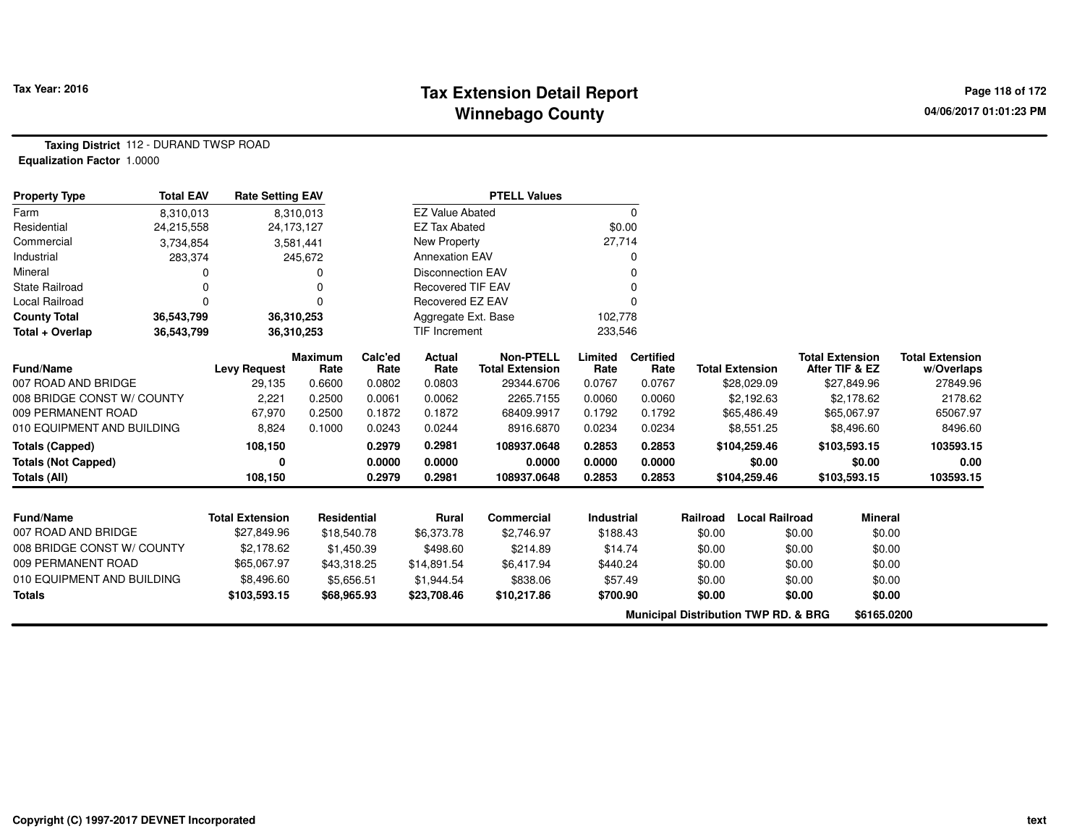## **Tax Extension Detail Report Tax Year: 2016 Page 118 of 172 Winnebago County**

**Taxing District** 112 - DURAND TWSP ROAD**Equalization Factor** 1.0000

| <b>Property Type</b>       | <b>Total EAV</b> | <b>Rate Setting EAV</b> |                        |                 |                          | <b>PTELL Values</b>                        |                 |                          |          |                                                 |                                          |                                      |
|----------------------------|------------------|-------------------------|------------------------|-----------------|--------------------------|--------------------------------------------|-----------------|--------------------------|----------|-------------------------------------------------|------------------------------------------|--------------------------------------|
| Farm                       | 8,310,013        |                         | 8,310,013              |                 | <b>EZ Value Abated</b>   |                                            |                 | 0                        |          |                                                 |                                          |                                      |
| Residential                | 24,215,558       |                         | 24,173,127             |                 | <b>EZ Tax Abated</b>     |                                            | \$0.00          |                          |          |                                                 |                                          |                                      |
| Commercial                 | 3,734,854        |                         | 3,581,441              |                 | New Property             |                                            | 27,714          |                          |          |                                                 |                                          |                                      |
| Industrial                 | 283,374          |                         | 245,672                |                 | <b>Annexation EAV</b>    |                                            |                 |                          |          |                                                 |                                          |                                      |
| Mineral                    |                  |                         |                        |                 | <b>Disconnection EAV</b> |                                            |                 | 0                        |          |                                                 |                                          |                                      |
| <b>State Railroad</b>      |                  |                         |                        |                 | <b>Recovered TIF EAV</b> |                                            |                 |                          |          |                                                 |                                          |                                      |
| Local Railroad             | $\Omega$         |                         | $\Omega$               |                 | Recovered EZ EAV         |                                            |                 | $\Omega$                 |          |                                                 |                                          |                                      |
| <b>County Total</b>        | 36,543,799       |                         | 36,310,253             |                 | Aggregate Ext. Base      |                                            | 102,778         |                          |          |                                                 |                                          |                                      |
| Total + Overlap            | 36,543,799       |                         | 36,310,253             |                 | TIF Increment            |                                            | 233,546         |                          |          |                                                 |                                          |                                      |
| <b>Fund/Name</b>           |                  | <b>Levy Request</b>     | <b>Maximum</b><br>Rate | Calc'ed<br>Rate | Actual<br>Rate           | <b>Non-PTELL</b><br><b>Total Extension</b> | Limited<br>Rate | <b>Certified</b><br>Rate |          | <b>Total Extension</b>                          | <b>Total Extension</b><br>After TIF & EZ | <b>Total Extension</b><br>w/Overlaps |
| 007 ROAD AND BRIDGE        |                  | 29,135                  | 0.6600                 | 0.0802          | 0.0803                   | 29344.6706                                 | 0.0767          | 0.0767                   |          | \$28,029.09                                     | \$27,849.96                              | 27849.96                             |
| 008 BRIDGE CONST W/ COUNTY |                  | 2,221                   | 0.2500                 | 0.0061          | 0.0062                   | 2265.7155                                  | 0.0060          | 0.0060                   |          | \$2,192.63                                      | \$2,178.62                               | 2178.62                              |
| 009 PERMANENT ROAD         |                  | 67,970                  | 0.2500                 | 0.1872          | 0.1872                   | 68409.9917                                 | 0.1792          | 0.1792                   |          | \$65,486.49                                     | \$65,067.97                              | 65067.97                             |
| 010 EQUIPMENT AND BUILDING |                  | 8,824                   | 0.1000                 | 0.0243          | 0.0244                   | 8916.6870                                  | 0.0234          | 0.0234                   |          | \$8,551.25                                      | \$8,496.60                               | 8496.60                              |
| <b>Totals (Capped)</b>     |                  | 108,150                 |                        | 0.2979          | 0.2981                   | 108937.0648                                | 0.2853          | 0.2853                   |          | \$104,259.46                                    | \$103,593.15                             | 103593.15                            |
| <b>Totals (Not Capped)</b> |                  |                         |                        | 0.0000          | 0.0000                   | 0.0000                                     | 0.0000          | 0.0000                   |          | \$0.00                                          | \$0.00                                   | 0.00                                 |
| Totals (All)               |                  | 108,150                 |                        | 0.2979          | 0.2981                   | 108937.0648                                | 0.2853          | 0.2853                   |          | \$104,259.46                                    | \$103,593.15                             | 103593.15                            |
|                            |                  |                         |                        |                 |                          |                                            |                 |                          |          |                                                 |                                          |                                      |
| <b>Fund/Name</b>           |                  | <b>Total Extension</b>  | Residential            |                 | <b>Rural</b>             | Commercial                                 | Industrial      |                          | Railroad | <b>Local Railroad</b>                           | <b>Mineral</b>                           |                                      |
| 007 ROAD AND BRIDGE        |                  | \$27,849.96             | \$18,540.78            |                 | \$6,373.78               | \$2,746.97                                 | \$188.43        |                          | \$0.00   | \$0.00                                          | \$0.00                                   |                                      |
| 008 BRIDGE CONST W/ COUNTY |                  | \$2,178.62              | \$1,450.39             |                 | \$498.60                 | \$214.89                                   | \$14.74         |                          | \$0.00   | \$0.00                                          | \$0.00                                   |                                      |
| 009 PERMANENT ROAD         |                  | \$65,067.97             | \$43,318.25            |                 | \$14,891.54              | \$6,417.94                                 | \$440.24        |                          | \$0.00   | \$0.00                                          | \$0.00                                   |                                      |
| 010 EQUIPMENT AND BUILDING |                  | \$8,496.60              | \$5,656.51             |                 | \$1,944.54               | \$838.06                                   | \$57.49         |                          | \$0.00   | \$0.00                                          | \$0.00                                   |                                      |
| <b>Totals</b>              |                  | \$103,593.15            | \$68,965.93            |                 | \$23,708.46              | \$10,217.86                                | \$700.90        |                          | \$0.00   | \$0.00                                          | \$0.00                                   |                                      |
|                            |                  |                         |                        |                 |                          |                                            |                 |                          |          | <b>Municipal Distribution TWP RD. &amp; BRG</b> | \$6165.0200                              |                                      |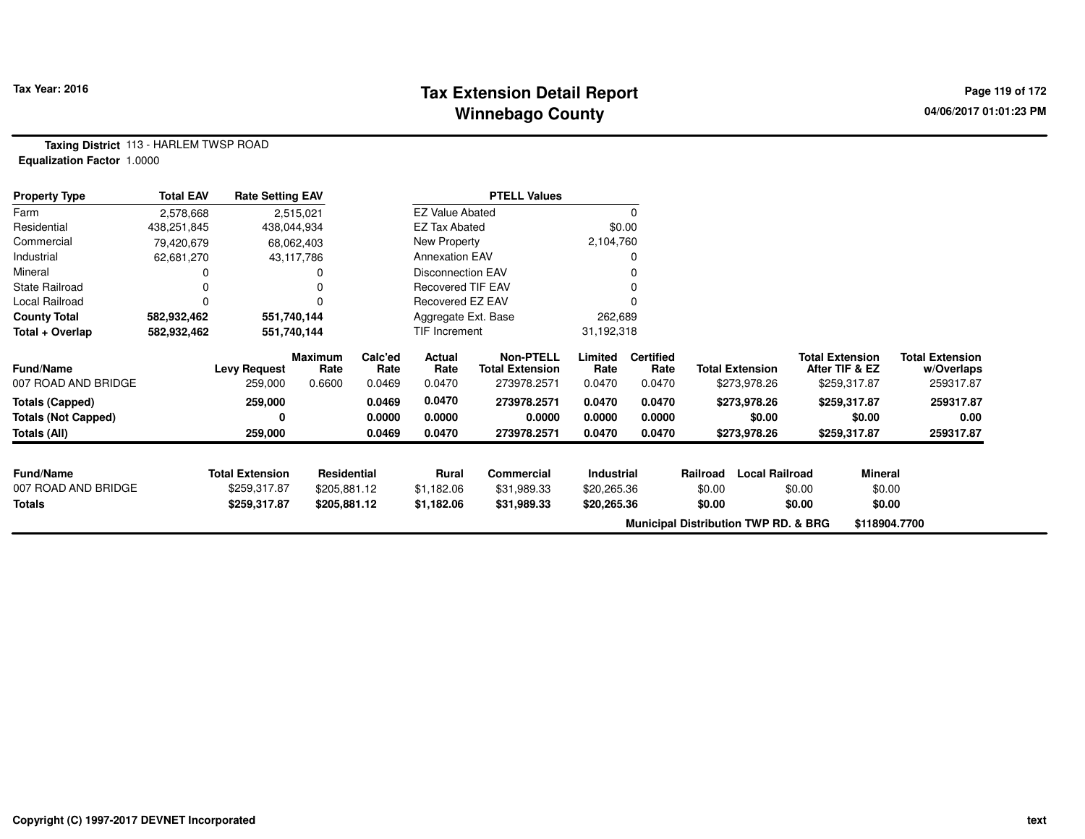# **Tax Extension Detail Report Tax Year: 2016 Page 119 of 172 Winnebago County**

**Taxing District** 113 - HARLEM TWSP ROAD**Equalization Factor** 1.0000

| <b>Property Type</b>       | <b>Total EAV</b> | <b>Rate Setting EAV</b> |                        |                 |                          | <b>PTELL Values</b>                        |                 |                          |                                                 |                                          |                                      |
|----------------------------|------------------|-------------------------|------------------------|-----------------|--------------------------|--------------------------------------------|-----------------|--------------------------|-------------------------------------------------|------------------------------------------|--------------------------------------|
| Farm                       | 2,578,668        |                         | 2,515,021              |                 | <b>EZ Value Abated</b>   |                                            |                 | $\Omega$                 |                                                 |                                          |                                      |
| Residential                | 438,251,845      |                         | 438,044,934            |                 | <b>EZ Tax Abated</b>     |                                            |                 | \$0.00                   |                                                 |                                          |                                      |
| Commercial                 | 79,420,679       |                         | 68,062,403             |                 | New Property             |                                            | 2,104,760       |                          |                                                 |                                          |                                      |
| Industrial                 | 62,681,270       |                         | 43,117,786             |                 | <b>Annexation EAV</b>    |                                            |                 |                          |                                                 |                                          |                                      |
| Mineral                    |                  |                         |                        |                 | <b>Disconnection EAV</b> |                                            |                 |                          |                                                 |                                          |                                      |
| <b>State Railroad</b>      |                  |                         |                        |                 | Recovered TIF EAV        |                                            |                 |                          |                                                 |                                          |                                      |
| Local Railroad             | $\Omega$         |                         |                        |                 | Recovered EZ EAV         |                                            |                 |                          |                                                 |                                          |                                      |
| <b>County Total</b>        | 582,932,462      |                         | 551,740,144            |                 | Aggregate Ext. Base      |                                            | 262,689         |                          |                                                 |                                          |                                      |
| Total + Overlap            | 582,932,462      |                         | 551,740,144            |                 | TIF Increment            |                                            | 31,192,318      |                          |                                                 |                                          |                                      |
| <b>Fund/Name</b>           |                  | <b>Levy Request</b>     | <b>Maximum</b><br>Rate | Calc'ed<br>Rate | Actual<br>Rate           | <b>Non-PTELL</b><br><b>Total Extension</b> | Limited<br>Rate | <b>Certified</b><br>Rate | <b>Total Extension</b>                          | <b>Total Extension</b><br>After TIF & EZ | <b>Total Extension</b><br>w/Overlaps |
| 007 ROAD AND BRIDGE        |                  | 259,000                 | 0.6600                 | 0.0469          | 0.0470                   | 273978.2571                                | 0.0470          | 0.0470                   | \$273,978.26                                    | \$259,317.87                             | 259317.87                            |
| <b>Totals (Capped)</b>     |                  | 259,000                 |                        | 0.0469          | 0.0470                   | 273978.2571                                | 0.0470          | 0.0470                   | \$273,978.26                                    | \$259,317.87                             | 259317.87                            |
| <b>Totals (Not Capped)</b> |                  | 0                       |                        | 0.0000          | 0.0000                   | 0.0000                                     | 0.0000          | 0.0000                   | \$0.00                                          | \$0.00                                   | 0.00                                 |
| Totals (All)               |                  | 259,000                 |                        | 0.0469          | 0.0470                   | 273978.2571                                | 0.0470          | 0.0470                   | \$273,978.26                                    | \$259,317.87                             | 259317.87                            |
| <b>Fund/Name</b>           |                  | <b>Total Extension</b>  | Residential            |                 | <b>Rural</b>             | Commercial                                 | Industrial      |                          | Railroad                                        | <b>Local Railroad</b><br>Mineral         |                                      |
| 007 ROAD AND BRIDGE        |                  | \$259,317.87            | \$205,881.12           |                 | \$1,182.06               | \$31,989.33                                | \$20,265.36     |                          | \$0.00                                          | \$0.00                                   | \$0.00                               |
| Totals                     |                  | \$259,317.87            | \$205,881.12           |                 | \$1,182.06               | \$31,989.33                                | \$20,265.36     |                          | \$0.00                                          | \$0.00                                   | \$0.00                               |
|                            |                  |                         |                        |                 |                          |                                            |                 |                          |                                                 |                                          |                                      |
|                            |                  |                         |                        |                 |                          |                                            |                 |                          | <b>Municipal Distribution TWP RD. &amp; BRG</b> |                                          | \$118904.7700                        |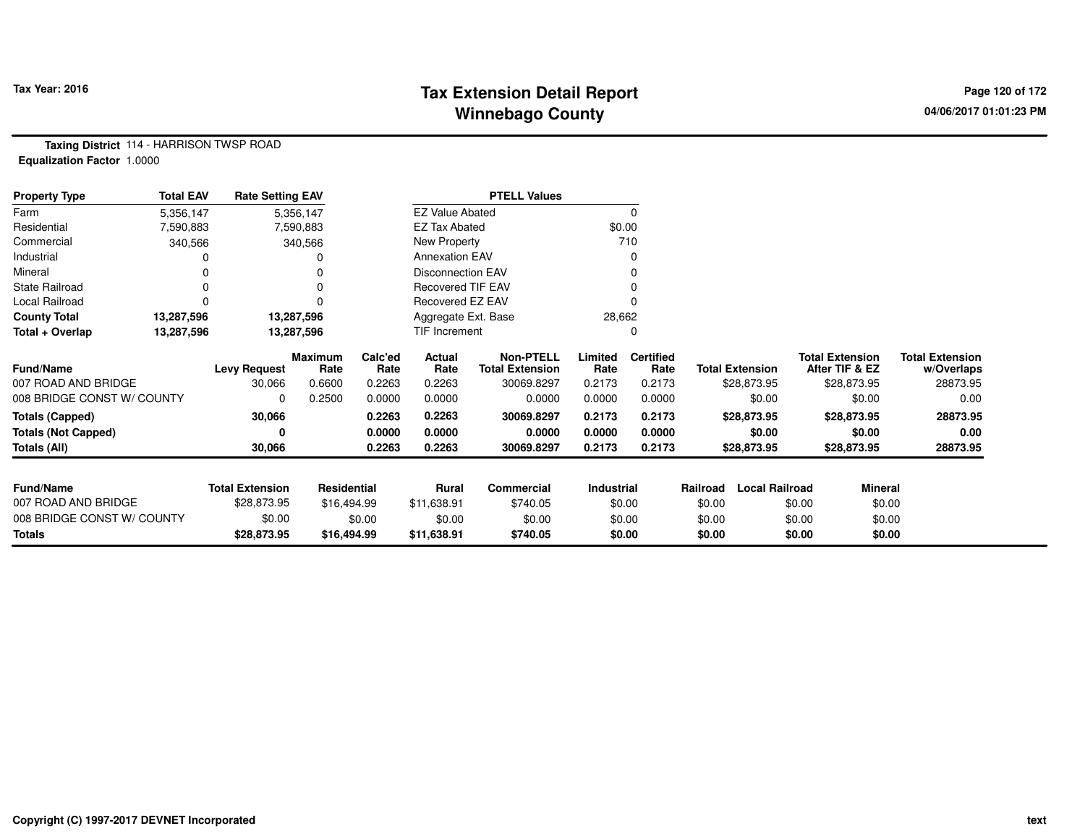# **Tax Extension Detail Report Tax Year: 2016 Page 120 of 172 Winnebago County**

**Taxing District** 114 - HARRISON TWSP ROAD**Equalization Factor** 1.0000

| <b>Property Type</b>       | <b>Total EAV</b> | <b>Rate Setting EAV</b> |                        |                 |                          | <b>PTELL Values</b>                        |                 |                          |                        |                       |                                          |                                      |
|----------------------------|------------------|-------------------------|------------------------|-----------------|--------------------------|--------------------------------------------|-----------------|--------------------------|------------------------|-----------------------|------------------------------------------|--------------------------------------|
| Farm                       | 5,356,147        |                         | 5,356,147              |                 | <b>EZ Value Abated</b>   |                                            |                 | 0                        |                        |                       |                                          |                                      |
| Residential                | 7,590,883        |                         | 7,590,883              |                 | <b>EZ Tax Abated</b>     |                                            | \$0.00          |                          |                        |                       |                                          |                                      |
| Commercial                 | 340,566          |                         | 340,566                |                 | New Property             |                                            |                 | 710                      |                        |                       |                                          |                                      |
| Industrial                 |                  |                         |                        |                 | <b>Annexation EAV</b>    |                                            |                 | O                        |                        |                       |                                          |                                      |
| Mineral                    |                  |                         |                        |                 | <b>Disconnection EAV</b> |                                            |                 |                          |                        |                       |                                          |                                      |
| <b>State Railroad</b>      | $\Omega$         |                         | $\Omega$               |                 | <b>Recovered TIF EAV</b> |                                            |                 |                          |                        |                       |                                          |                                      |
| Local Railroad             |                  |                         | O                      |                 | Recovered EZ EAV         |                                            |                 |                          |                        |                       |                                          |                                      |
| <b>County Total</b>        | 13,287,596       |                         | 13,287,596             |                 | Aggregate Ext. Base      |                                            | 28,662          |                          |                        |                       |                                          |                                      |
| Total + Overlap            | 13,287,596       |                         | 13,287,596             |                 | TIF Increment            |                                            |                 | 0                        |                        |                       |                                          |                                      |
| Fund/Name                  |                  | <b>Levy Request</b>     | <b>Maximum</b><br>Rate | Calc'ed<br>Rate | Actual<br>Rate           | <b>Non-PTELL</b><br><b>Total Extension</b> | Limited<br>Rate | <b>Certified</b><br>Rate | <b>Total Extension</b> |                       | <b>Total Extension</b><br>After TIF & EZ | <b>Total Extension</b><br>w/Overlaps |
| 007 ROAD AND BRIDGE        |                  | 30,066                  | 0.6600                 | 0.2263          | 0.2263                   | 30069.8297                                 | 0.2173          | 0.2173                   |                        | \$28,873.95           | \$28,873.95                              | 28873.95                             |
| 008 BRIDGE CONST W/ COUNTY |                  | 0                       | 0.2500                 | 0.0000          | 0.0000                   | 0.0000                                     | 0.0000          | 0.0000                   |                        | \$0.00                | \$0.00                                   | 0.00                                 |
| <b>Totals (Capped)</b>     |                  | 30,066                  |                        | 0.2263          | 0.2263                   | 30069.8297                                 | 0.2173          | 0.2173                   |                        | \$28,873.95           | \$28,873.95                              | 28873.95                             |
| <b>Totals (Not Capped)</b> |                  |                         |                        | 0.0000          | 0.0000                   | 0.0000                                     | 0.0000          | 0.0000                   |                        | \$0.00                | \$0.00                                   | 0.00                                 |
| Totals (All)               |                  | 30,066                  |                        | 0.2263          | 0.2263                   | 30069.8297                                 | 0.2173          | 0.2173                   |                        | \$28,873.95           | \$28,873.95                              | 28873.95                             |
| <b>Fund/Name</b>           |                  | <b>Total Extension</b>  | Residential            |                 | Rural                    | Commercial                                 | Industrial      |                          | Railroad               | <b>Local Railroad</b> | Mineral                                  |                                      |
| 007 ROAD AND BRIDGE        |                  | \$28,873.95             | \$16,494.99            |                 | \$11,638.91              | \$740.05                                   |                 | \$0.00                   | \$0.00                 |                       | \$0.00<br>\$0.00                         |                                      |
| 008 BRIDGE CONST W/ COUNTY |                  | \$0.00                  |                        | \$0.00          | \$0.00                   | \$0.00                                     |                 | \$0.00                   | \$0.00                 |                       | \$0.00<br>\$0.00                         |                                      |
| Totals                     |                  | \$28,873.95             | \$16,494.99            |                 | \$11,638.91              | \$740.05                                   |                 | \$0.00                   | \$0.00                 |                       | \$0.00<br>\$0.00                         |                                      |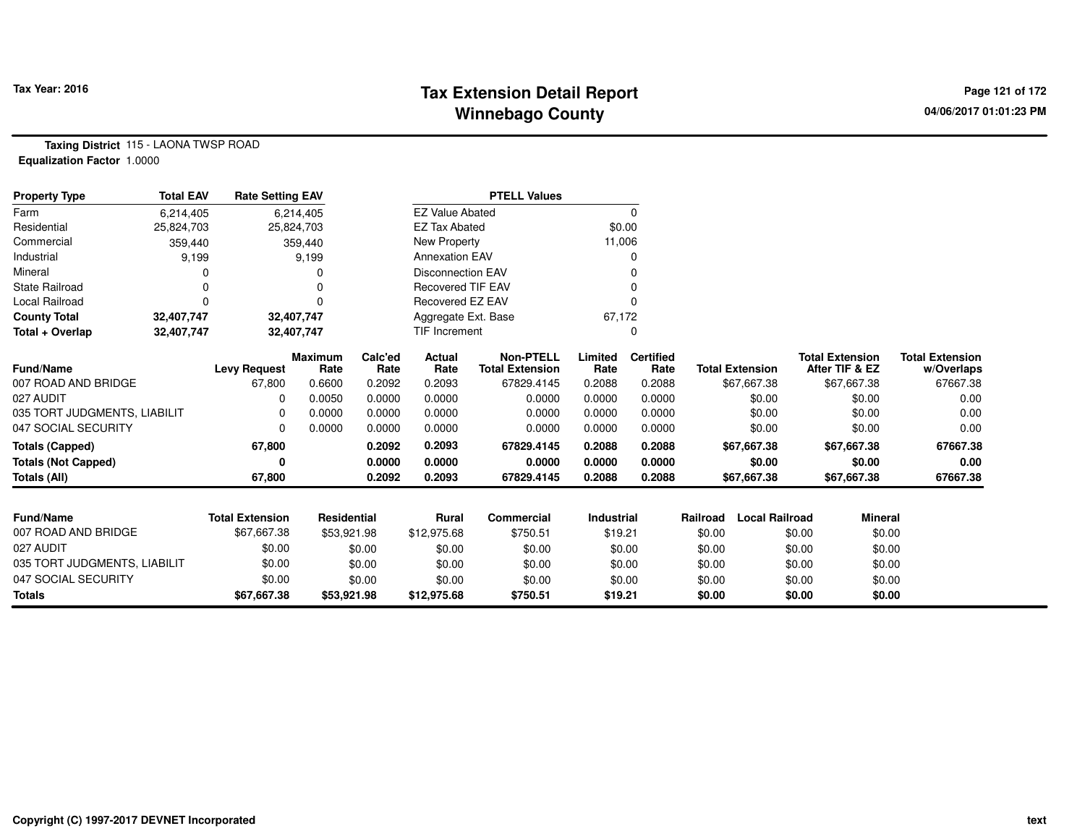## **Tax Extension Detail Report Tax Year: 2016 Page 121 of 172 Winnebago County**

**Taxing District** 115 - LAONA TWSP ROAD**Equalization Factor** 1.0000

| <b>Property Type</b>         | <b>Total EAV</b> | <b>Rate Setting EAV</b> |                        |                 |                          | <b>PTELL Values</b>                        |                   |                          |          |                        |                                          |                                      |
|------------------------------|------------------|-------------------------|------------------------|-----------------|--------------------------|--------------------------------------------|-------------------|--------------------------|----------|------------------------|------------------------------------------|--------------------------------------|
| Farm                         | 6,214,405        |                         | 6,214,405              |                 | <b>EZ Value Abated</b>   |                                            |                   | 0                        |          |                        |                                          |                                      |
| Residential                  | 25,824,703       |                         | 25,824,703             |                 | <b>EZ Tax Abated</b>     |                                            | \$0.00            |                          |          |                        |                                          |                                      |
| Commercial                   | 359,440          |                         | 359,440                |                 | <b>New Property</b>      |                                            | 11,006            |                          |          |                        |                                          |                                      |
| Industrial                   | 9,199            |                         | 9,199                  |                 | <b>Annexation EAV</b>    |                                            |                   | 0                        |          |                        |                                          |                                      |
| Mineral                      |                  |                         |                        |                 | <b>Disconnection EAV</b> |                                            |                   |                          |          |                        |                                          |                                      |
| <b>State Railroad</b>        |                  |                         |                        |                 | <b>Recovered TIF EAV</b> |                                            |                   |                          |          |                        |                                          |                                      |
| Local Railroad               | n                |                         | U                      |                 | Recovered EZ EAV         |                                            |                   |                          |          |                        |                                          |                                      |
| <b>County Total</b>          | 32,407,747       |                         | 32,407,747             |                 | Aggregate Ext. Base      |                                            | 67,172            |                          |          |                        |                                          |                                      |
| Total + Overlap              | 32,407,747       |                         | 32,407,747             |                 | <b>TIF Increment</b>     |                                            |                   |                          |          |                        |                                          |                                      |
| Fund/Name                    |                  | <b>Levy Request</b>     | <b>Maximum</b><br>Rate | Calc'ed<br>Rate | Actual<br>Rate           | <b>Non-PTELL</b><br><b>Total Extension</b> | Limited<br>Rate   | <b>Certified</b><br>Rate |          | <b>Total Extension</b> | <b>Total Extension</b><br>After TIF & EZ | <b>Total Extension</b><br>w/Overlaps |
| 007 ROAD AND BRIDGE          |                  | 67,800                  | 0.6600                 | 0.2092          | 0.2093                   | 67829.4145                                 | 0.2088            | 0.2088                   |          | \$67,667.38            | \$67,667.38                              | 67667.38                             |
| 027 AUDIT                    |                  | <sup>0</sup>            | 0.0050                 | 0.0000          | 0.0000                   | 0.0000                                     | 0.0000            | 0.0000                   |          | \$0.00                 | \$0.00                                   | 0.00                                 |
| 035 TORT JUDGMENTS, LIABILIT |                  | 0                       | 0.0000                 | 0.0000          | 0.0000                   | 0.0000                                     | 0.0000            | 0.0000                   |          | \$0.00                 | \$0.00                                   | 0.00                                 |
| 047 SOCIAL SECURITY          |                  | n                       | 0.0000                 | 0.0000          | 0.0000                   | 0.0000                                     | 0.0000            | 0.0000                   |          | \$0.00                 | \$0.00                                   | 0.00                                 |
| <b>Totals (Capped)</b>       |                  | 67,800                  |                        | 0.2092          | 0.2093                   | 67829.4145                                 | 0.2088            | 0.2088                   |          | \$67,667.38            | \$67,667.38                              | 67667.38                             |
| <b>Totals (Not Capped)</b>   |                  | 0                       |                        | 0.0000          | 0.0000                   | 0.0000                                     | 0.0000            | 0.0000                   |          | \$0.00                 | \$0.00                                   | 0.00                                 |
| <b>Totals (All)</b>          |                  | 67,800                  |                        | 0.2092          | 0.2093                   | 67829.4145                                 | 0.2088            | 0.2088                   |          | \$67,667.38            | \$67,667.38                              | 67667.38                             |
|                              |                  |                         |                        |                 |                          |                                            |                   |                          |          |                        |                                          |                                      |
| <b>Fund/Name</b>             |                  | <b>Total Extension</b>  | <b>Residential</b>     |                 | <b>Rural</b>             | Commercial                                 | <b>Industrial</b> |                          | Railroad | <b>Local Railroad</b>  | Mineral                                  |                                      |
| 007 ROAD AND BRIDGE          |                  | \$67,667.38             | \$53,921.98            |                 | \$12,975.68              | \$750.51                                   | \$19.21           |                          | \$0.00   |                        | \$0.00<br>\$0.00                         |                                      |
| 027 AUDIT                    |                  | \$0.00                  |                        | \$0.00          | \$0.00                   | \$0.00                                     | \$0.00            |                          | \$0.00   |                        | \$0.00<br>\$0.00                         |                                      |
| 035 TORT JUDGMENTS, LIABILIT |                  | \$0.00                  |                        | \$0.00          | \$0.00                   | \$0.00                                     | \$0.00            |                          | \$0.00   |                        | \$0.00<br>\$0.00                         |                                      |
| 047 SOCIAL SECURITY          |                  | \$0.00                  |                        | \$0.00          | \$0.00                   | \$0.00                                     | \$0.00            |                          | \$0.00   |                        | \$0.00<br>\$0.00                         |                                      |
| <b>Totals</b>                |                  | \$67,667.38             | \$53,921.98            |                 | \$12,975.68              | \$750.51                                   | \$19.21           |                          | \$0.00   |                        | \$0.00<br>\$0.00                         |                                      |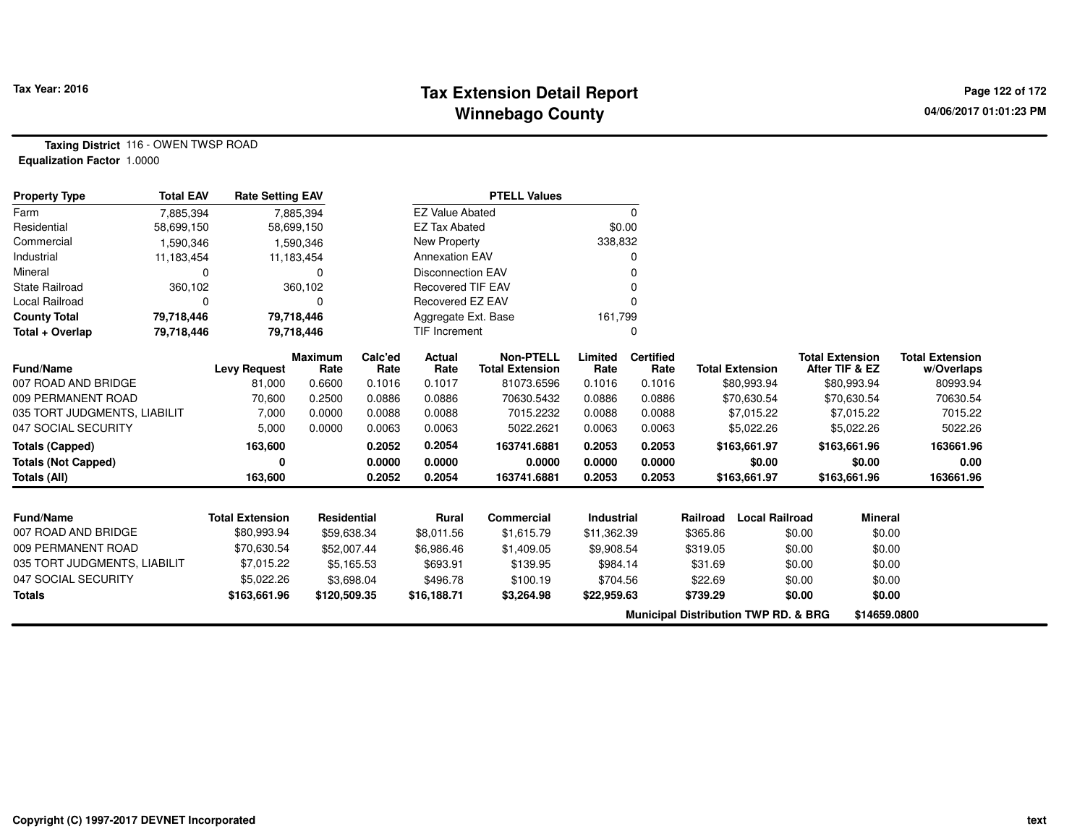### **Tax Extension Detail Report Tax Fact Constant Constant Page 122 of 172 Winnebago County**

**Taxing District** 116 - OWEN TWSP ROAD**Equalization Factor** 1.0000

| <b>Property Type</b>         | <b>Total EAV</b> | <b>Rate Setting EAV</b> |                        |                 |                          | <b>PTELL Values</b>                        |                 |                          |          |                                                 |                                          |                |                                      |
|------------------------------|------------------|-------------------------|------------------------|-----------------|--------------------------|--------------------------------------------|-----------------|--------------------------|----------|-------------------------------------------------|------------------------------------------|----------------|--------------------------------------|
| Farm                         | 7,885,394        |                         | 7,885,394              |                 | <b>EZ Value Abated</b>   |                                            |                 | 0                        |          |                                                 |                                          |                |                                      |
| Residential                  | 58,699,150       |                         | 58,699,150             |                 | <b>EZ Tax Abated</b>     |                                            | \$0.00          |                          |          |                                                 |                                          |                |                                      |
| Commercial                   | 1,590,346        |                         | 1,590,346              |                 | <b>New Property</b>      |                                            | 338,832         |                          |          |                                                 |                                          |                |                                      |
| Industrial                   | 11,183,454       |                         | 11,183,454             |                 | <b>Annexation EAV</b>    |                                            |                 | 0                        |          |                                                 |                                          |                |                                      |
| Mineral                      | 0                |                         | O                      |                 | <b>Disconnection EAV</b> |                                            |                 | 0                        |          |                                                 |                                          |                |                                      |
| State Railroad               | 360,102          |                         | 360,102                |                 | <b>Recovered TIF EAV</b> |                                            |                 | 0                        |          |                                                 |                                          |                |                                      |
| Local Railroad               | 0                |                         |                        |                 | Recovered EZ EAV         |                                            |                 | 0                        |          |                                                 |                                          |                |                                      |
| <b>County Total</b>          | 79,718,446       |                         | 79,718,446             |                 | Aggregate Ext. Base      |                                            | 161,799         |                          |          |                                                 |                                          |                |                                      |
| Total + Overlap              | 79,718,446       |                         | 79,718,446             |                 | TIF Increment            |                                            |                 | 0                        |          |                                                 |                                          |                |                                      |
| Fund/Name                    |                  | <b>Levy Request</b>     | <b>Maximum</b><br>Rate | Calc'ed<br>Rate | Actual<br>Rate           | <b>Non-PTELL</b><br><b>Total Extension</b> | Limited<br>Rate | <b>Certified</b><br>Rate |          | <b>Total Extension</b>                          | <b>Total Extension</b><br>After TIF & EZ |                | <b>Total Extension</b><br>w/Overlaps |
| 007 ROAD AND BRIDGE          |                  | 81,000                  | 0.6600                 | 0.1016          | 0.1017                   | 81073.6596                                 | 0.1016          | 0.1016                   |          | \$80,993.94                                     |                                          | \$80,993.94    | 80993.94                             |
| 009 PERMANENT ROAD           |                  | 70,600                  | 0.2500                 | 0.0886          | 0.0886                   | 70630.5432                                 | 0.0886          | 0.0886                   |          | \$70,630.54                                     |                                          | \$70,630.54    | 70630.54                             |
| 035 TORT JUDGMENTS, LIABILIT |                  | 7,000                   | 0.0000                 | 0.0088          | 0.0088                   | 7015.2232                                  | 0.0088          | 0.0088                   |          | \$7,015.22                                      |                                          | \$7,015.22     | 7015.22                              |
| 047 SOCIAL SECURITY          |                  | 5,000                   | 0.0000                 | 0.0063          | 0.0063                   | 5022.2621                                  | 0.0063          | 0.0063                   |          | \$5,022.26                                      |                                          | \$5,022.26     | 5022.26                              |
| <b>Totals (Capped)</b>       |                  | 163,600                 |                        | 0.2052          | 0.2054                   | 163741.6881                                | 0.2053          | 0.2053                   |          | \$163,661.97                                    | \$163,661.96                             |                | 163661.96                            |
| <b>Totals (Not Capped)</b>   |                  | 0                       |                        | 0.0000          | 0.0000                   | 0.0000                                     | 0.0000          | 0.0000                   |          | \$0.00                                          |                                          | \$0.00         | 0.00                                 |
| Totals (All)                 |                  | 163,600                 |                        | 0.2052          | 0.2054                   | 163741.6881                                | 0.2053          | 0.2053                   |          | \$163,661.97                                    | \$163,661.96                             |                | 163661.96                            |
| <b>Fund/Name</b>             |                  | <b>Total Extension</b>  | Residential            |                 | Rural                    | Commercial                                 | Industrial      |                          | Railroad | <b>Local Railroad</b>                           |                                          | <b>Mineral</b> |                                      |
| 007 ROAD AND BRIDGE          |                  | \$80,993.94             | \$59,638.34            |                 | \$8,011.56               | \$1,615.79                                 | \$11,362.39     |                          | \$365.86 |                                                 | \$0.00                                   | \$0.00         |                                      |
| 009 PERMANENT ROAD           |                  | \$70,630.54             | \$52,007.44            |                 | \$6,986.46               | \$1,409.05                                 | \$9,908.54      |                          | \$319.05 |                                                 | \$0.00                                   | \$0.00         |                                      |
| 035 TORT JUDGMENTS, LIABILIT |                  | \$7,015.22              |                        | \$5,165.53      | \$693.91                 | \$139.95                                   | \$984.14        |                          | \$31.69  |                                                 | \$0.00                                   | \$0.00         |                                      |
| 047 SOCIAL SECURITY          |                  | \$5,022.26              |                        | \$3,698.04      | \$496.78                 | \$100.19                                   | \$704.56        |                          | \$22.69  |                                                 | \$0.00                                   | \$0.00         |                                      |
| <b>Totals</b>                |                  | \$163,661.96            | \$120,509.35           |                 | \$16,188.71              | \$3,264.98                                 | \$22,959.63     |                          | \$739.29 |                                                 | \$0.00                                   | \$0.00         |                                      |
|                              |                  |                         |                        |                 |                          |                                            |                 |                          |          | <b>Municipal Distribution TWP RD. &amp; BRG</b> |                                          | \$14659.0800   |                                      |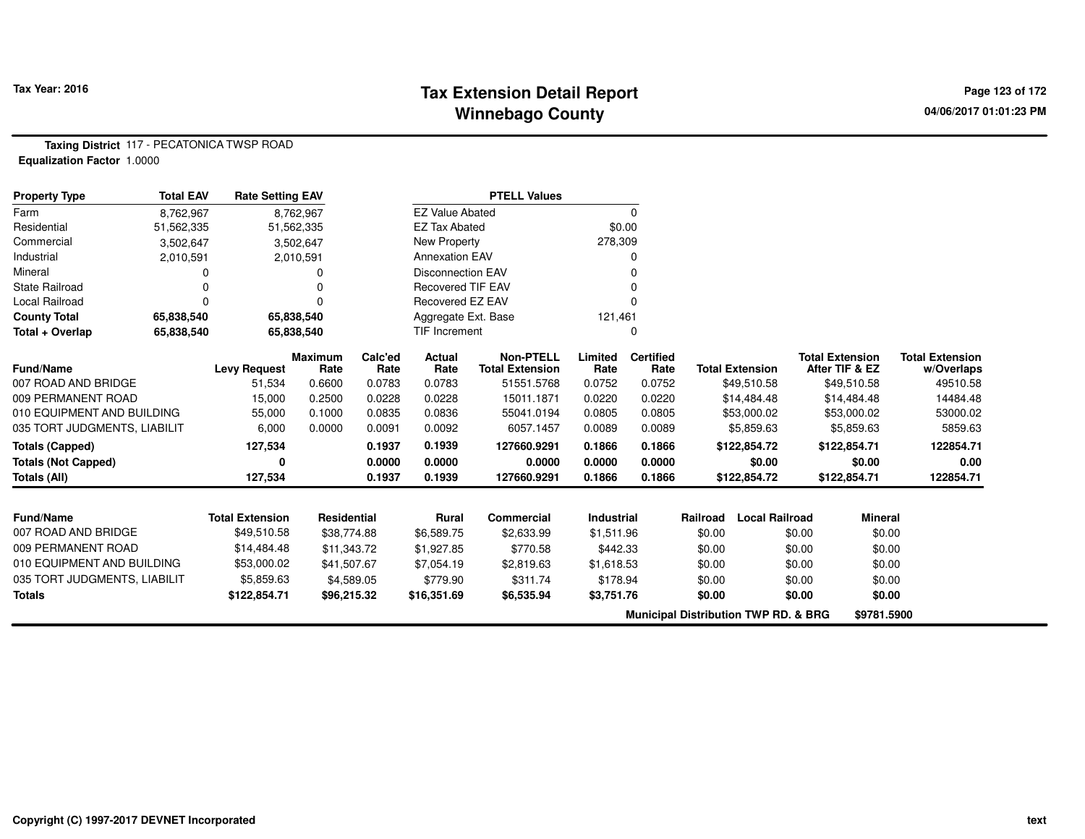## **Tax Extension Detail Report Constant Constant Constant Page 123 of 172 Winnebago County**

**Taxing District** 117 - PECATONICA TWSP ROAD**Equalization Factor** 1.0000

| <b>Property Type</b>         | <b>Total EAV</b> | <b>Rate Setting EAV</b> |                        |                 |                          | <b>PTELL Values</b>                        |                 |                          |          |                                                 |        |                                          |                                      |
|------------------------------|------------------|-------------------------|------------------------|-----------------|--------------------------|--------------------------------------------|-----------------|--------------------------|----------|-------------------------------------------------|--------|------------------------------------------|--------------------------------------|
| Farm                         | 8,762,967        |                         | 8,762,967              |                 | <b>EZ Value Abated</b>   |                                            |                 | $\Omega$                 |          |                                                 |        |                                          |                                      |
| Residential                  | 51,562,335       |                         | 51,562,335             |                 | <b>EZ Tax Abated</b>     |                                            |                 | \$0.00                   |          |                                                 |        |                                          |                                      |
| Commercial                   | 3,502,647        |                         | 3,502,647              |                 | New Property             |                                            | 278,309         |                          |          |                                                 |        |                                          |                                      |
| Industrial                   | 2,010,591        |                         | 2,010,591              |                 | <b>Annexation EAV</b>    |                                            |                 |                          |          |                                                 |        |                                          |                                      |
| Mineral                      |                  |                         | 0                      |                 | <b>Disconnection EAV</b> |                                            |                 |                          |          |                                                 |        |                                          |                                      |
| <b>State Railroad</b>        |                  |                         |                        |                 | <b>Recovered TIF EAV</b> |                                            |                 |                          |          |                                                 |        |                                          |                                      |
| Local Railroad               | $\Omega$         |                         | O                      |                 | Recovered EZ EAV         |                                            |                 |                          |          |                                                 |        |                                          |                                      |
| <b>County Total</b>          | 65,838,540       |                         | 65,838,540             |                 | Aggregate Ext. Base      |                                            | 121,461         |                          |          |                                                 |        |                                          |                                      |
| Total + Overlap              | 65,838,540       |                         | 65,838,540             |                 | TIF Increment            |                                            |                 | O                        |          |                                                 |        |                                          |                                      |
| <b>Fund/Name</b>             |                  | <b>Levy Request</b>     | <b>Maximum</b><br>Rate | Calc'ed<br>Rate | Actual<br>Rate           | <b>Non-PTELL</b><br><b>Total Extension</b> | Limited<br>Rate | <b>Certified</b><br>Rate |          | <b>Total Extension</b>                          |        | <b>Total Extension</b><br>After TIF & EZ | <b>Total Extension</b><br>w/Overlaps |
| 007 ROAD AND BRIDGE          |                  | 51,534                  | 0.6600                 | 0.0783          | 0.0783                   | 51551.5768                                 | 0.0752          | 0.0752                   |          | \$49,510.58                                     |        | \$49,510.58                              | 49510.58                             |
| 009 PERMANENT ROAD           |                  | 15,000                  | 0.2500                 | 0.0228          | 0.0228                   | 15011.1871                                 | 0.0220          | 0.0220                   |          | \$14,484.48                                     |        | \$14,484.48                              | 14484.48                             |
| 010 EQUIPMENT AND BUILDING   |                  | 55,000                  | 0.1000                 | 0.0835          | 0.0836                   | 55041.0194                                 | 0.0805          | 0.0805                   |          | \$53,000.02                                     |        | \$53,000.02                              | 53000.02                             |
| 035 TORT JUDGMENTS, LIABILIT |                  | 6,000                   | 0.0000                 | 0.0091          | 0.0092                   | 6057.1457                                  | 0.0089          | 0.0089                   |          | \$5,859.63                                      |        | \$5,859.63                               | 5859.63                              |
| <b>Totals (Capped)</b>       |                  | 127,534                 |                        | 0.1937          | 0.1939                   | 127660.9291                                | 0.1866          | 0.1866                   |          | \$122,854.72                                    |        | \$122,854.71                             | 122854.71                            |
| <b>Totals (Not Capped)</b>   |                  | 0                       |                        | 0.0000          | 0.0000                   | 0.0000                                     | 0.0000          | 0.0000                   |          | \$0.00                                          |        | \$0.00                                   | 0.00                                 |
| Totals (All)                 |                  | 127,534                 |                        | 0.1937          | 0.1939                   | 127660.9291                                | 0.1866          | 0.1866                   |          | \$122,854.72                                    |        | \$122,854.71                             | 122854.71                            |
|                              |                  |                         |                        |                 |                          |                                            |                 |                          |          |                                                 |        |                                          |                                      |
| <b>Fund/Name</b>             |                  | <b>Total Extension</b>  | Residential            |                 | Rural                    | Commercial                                 | Industrial      |                          | Railroad | <b>Local Railroad</b>                           |        | <b>Mineral</b>                           |                                      |
| 007 ROAD AND BRIDGE          |                  | \$49,510.58             | \$38,774.88            |                 | \$6,589.75               | \$2,633.99                                 | \$1,511.96      |                          | \$0.00   |                                                 | \$0.00 | \$0.00                                   |                                      |
| 009 PERMANENT ROAD           |                  | \$14,484.48             | \$11,343.72            |                 | \$1,927.85               | \$770.58                                   | \$442.33        |                          | \$0.00   |                                                 | \$0.00 | \$0.00                                   |                                      |
| 010 EQUIPMENT AND BUILDING   |                  | \$53,000.02             | \$41,507.67            |                 | \$7,054.19               | \$2,819.63                                 | \$1,618.53      |                          | \$0.00   |                                                 | \$0.00 | \$0.00                                   |                                      |
| 035 TORT JUDGMENTS, LIABILIT |                  | \$5,859.63              |                        | \$4,589.05      | \$779.90                 | \$311.74                                   | \$178.94        |                          | \$0.00   |                                                 | \$0.00 | \$0.00                                   |                                      |
| <b>Totals</b>                |                  | \$122,854.71            | \$96,215.32            |                 | \$16,351.69              | \$6,535.94                                 | \$3,751.76      |                          | \$0.00   |                                                 | \$0.00 | \$0.00                                   |                                      |
|                              |                  |                         |                        |                 |                          |                                            |                 |                          |          | <b>Municipal Distribution TWP RD. &amp; BRG</b> |        | \$9781.5900                              |                                      |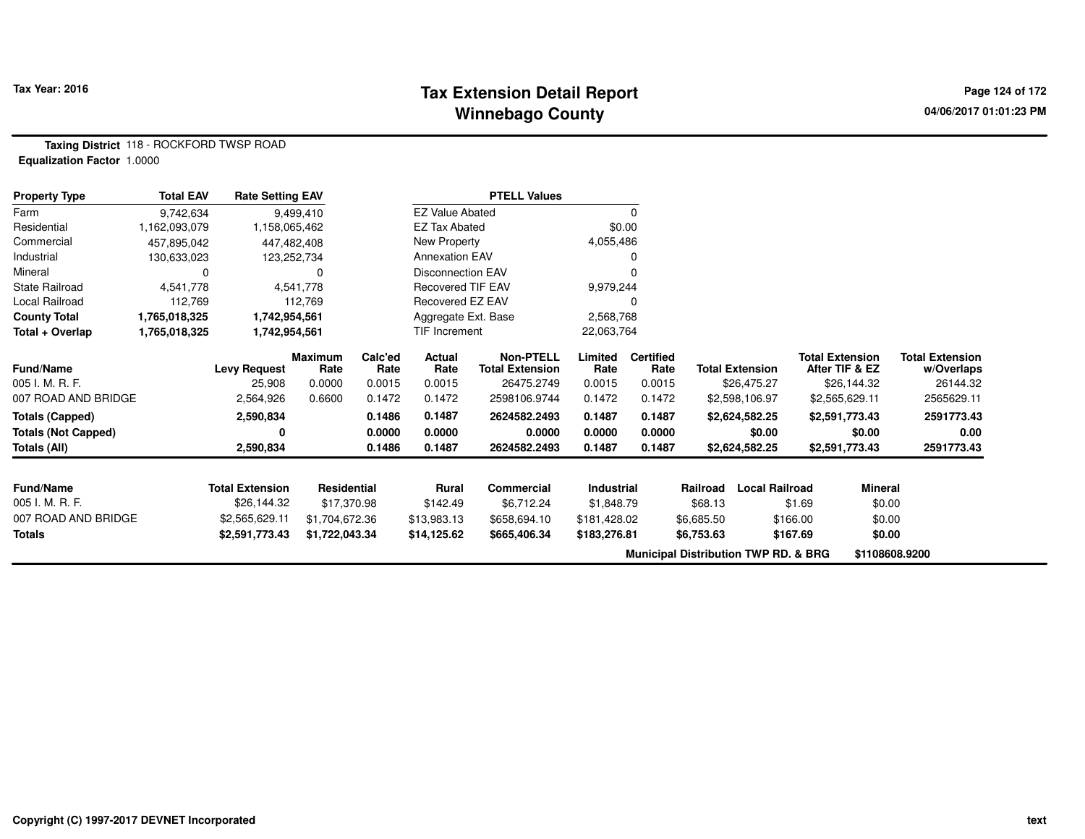#### **Tax Extension Detail Report Constant Constant Constant Page 124 of 172 Winnebago County**

**Taxing District** 118 - ROCKFORD TWSP ROAD**Equalization Factor** 1.0000

| <b>Property Type</b>       | <b>Total EAV</b> | <b>Rate Setting EAV</b> |                        |                 |                          | <b>PTELL Values</b>                        |                   |                          |                        |                                                 |                                          |                                      |
|----------------------------|------------------|-------------------------|------------------------|-----------------|--------------------------|--------------------------------------------|-------------------|--------------------------|------------------------|-------------------------------------------------|------------------------------------------|--------------------------------------|
| Farm                       | 9,742,634        |                         | 9,499,410              |                 | <b>EZ Value Abated</b>   |                                            |                   | 0                        |                        |                                                 |                                          |                                      |
| Residential                | 1,162,093,079    | 1,158,065,462           |                        |                 | <b>EZ Tax Abated</b>     |                                            | \$0.00            |                          |                        |                                                 |                                          |                                      |
| Commercial                 | 457,895,042      | 447,482,408             |                        |                 | New Property             |                                            | 4,055,486         |                          |                        |                                                 |                                          |                                      |
| Industrial                 | 130,633,023      | 123,252,734             |                        |                 | <b>Annexation EAV</b>    |                                            |                   |                          |                        |                                                 |                                          |                                      |
| Mineral                    | 0                |                         | 0                      |                 | <b>Disconnection EAV</b> |                                            |                   |                          |                        |                                                 |                                          |                                      |
| <b>State Railroad</b>      | 4,541,778        |                         | 4,541,778              |                 | Recovered TIF EAV        |                                            | 9,979,244         |                          |                        |                                                 |                                          |                                      |
| Local Railroad             | 112,769          |                         | 112,769                |                 | Recovered EZ EAV         |                                            |                   |                          |                        |                                                 |                                          |                                      |
| <b>County Total</b>        | 1,765,018,325    | 1,742,954,561           |                        |                 | Aggregate Ext. Base      |                                            | 2,568,768         |                          |                        |                                                 |                                          |                                      |
| Total + Overlap            | 1,765,018,325    | 1,742,954,561           |                        |                 | TIF Increment            |                                            | 22,063,764        |                          |                        |                                                 |                                          |                                      |
| <b>Fund/Name</b>           |                  | <b>Levy Request</b>     | <b>Maximum</b><br>Rate | Calc'ed<br>Rate | <b>Actual</b><br>Rate    | <b>Non-PTELL</b><br><b>Total Extension</b> | Limited<br>Rate   | <b>Certified</b><br>Rate | <b>Total Extension</b> |                                                 | <b>Total Extension</b><br>After TIF & EZ | <b>Total Extension</b><br>w/Overlaps |
| 005 I. M. R. F.            |                  | 25,908                  | 0.0000                 | 0.0015          | 0.0015                   | 26475.2749                                 | 0.0015            | 0.0015                   |                        | \$26,475.27                                     | \$26,144.32                              | 26144.32                             |
| 007 ROAD AND BRIDGE        |                  | 2,564,926               | 0.6600                 | 0.1472          | 0.1472                   | 2598106.9744                               | 0.1472            | 0.1472                   |                        | \$2,598,106.97                                  | \$2,565,629.11                           | 2565629.11                           |
| <b>Totals (Capped)</b>     |                  | 2,590,834               |                        | 0.1486          | 0.1487                   | 2624582.2493                               | 0.1487            | 0.1487                   |                        | \$2,624,582.25                                  | \$2,591,773.43                           | 2591773.43                           |
| <b>Totals (Not Capped)</b> |                  | 0                       |                        | 0.0000          | 0.0000                   | 0.0000                                     | 0.0000            | 0.0000                   |                        | \$0.00                                          | \$0.00                                   | 0.00                                 |
| Totals (All)               |                  | 2,590,834               |                        | 0.1486          | 0.1487                   | 2624582.2493                               | 0.1487            | 0.1487                   |                        | \$2,624,582.25                                  | \$2,591,773.43                           | 2591773.43                           |
| <b>Fund/Name</b>           |                  | <b>Total Extension</b>  | Residential            |                 | <b>Rural</b>             | <b>Commercial</b>                          | <b>Industrial</b> |                          | Railroad               | <b>Local Railroad</b>                           | <b>Mineral</b>                           |                                      |
| 005 I. M. R. F.            |                  | \$26,144.32             | \$17,370.98            |                 | \$142.49                 | \$6,712.24                                 | \$1,848.79        |                          | \$68.13                | \$1.69                                          | \$0.00                                   |                                      |
| 007 ROAD AND BRIDGE        |                  | \$2,565,629.11          | \$1,704,672.36         |                 | \$13,983.13              | \$658,694.10                               | \$181,428.02      |                          | \$6,685.50             | \$166.00                                        | \$0.00                                   |                                      |
| <b>Totals</b>              |                  | \$2,591,773.43          | \$1,722,043.34         |                 | \$14,125.62              | \$665,406.34                               | \$183,276.81      |                          | \$6,753.63             | \$167.69                                        | \$0.00                                   |                                      |
|                            |                  |                         |                        |                 |                          |                                            |                   |                          |                        | <b>Municipal Distribution TWP RD. &amp; BRG</b> |                                          | \$1108608.9200                       |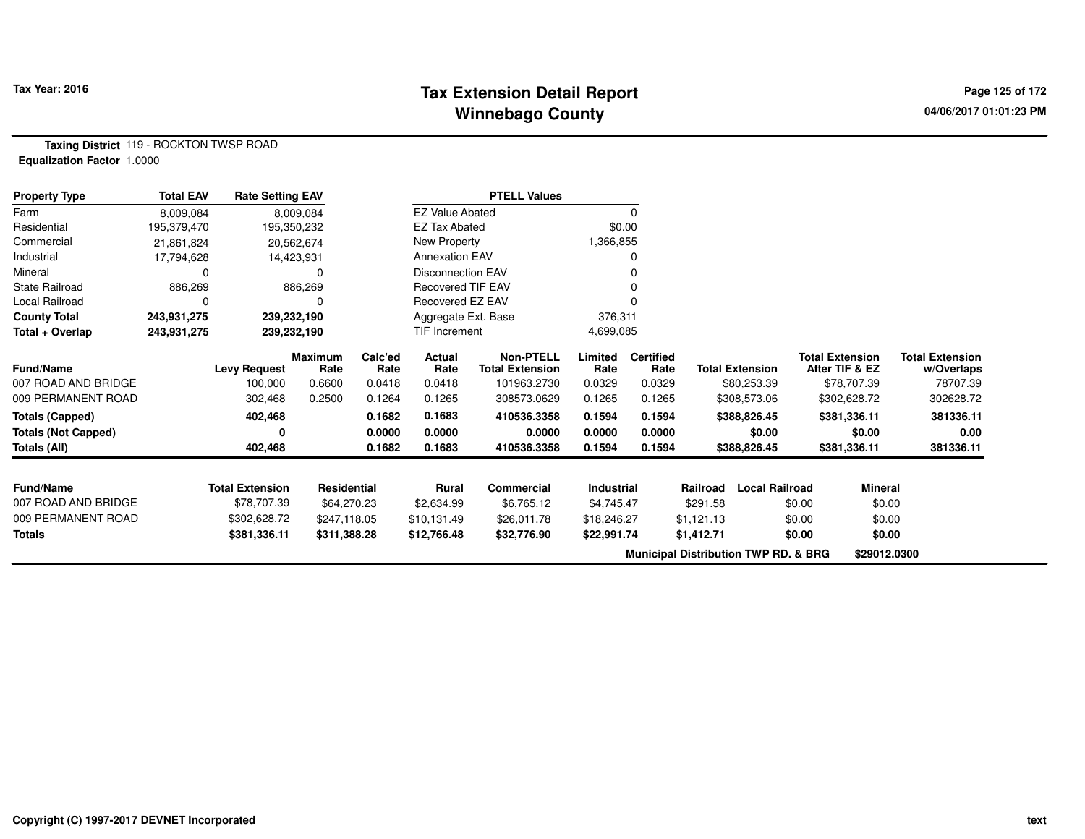#### **Tax Extension Detail Report Constant Constructed Page 125 of 172 Page 125 of 172 Winnebago County**

**Taxing District** 119 - ROCKTON TWSP ROAD**Equalization Factor** 1.0000

| <b>Property Type</b>                                                 | <b>Total EAV</b> | <b>Rate Setting EAV</b> |                        |                            |                            | <b>PTELL Values</b>                        |                            |                            |            |                                                 |                                          |                                      |
|----------------------------------------------------------------------|------------------|-------------------------|------------------------|----------------------------|----------------------------|--------------------------------------------|----------------------------|----------------------------|------------|-------------------------------------------------|------------------------------------------|--------------------------------------|
| Farm                                                                 | 8,009,084        |                         | 8,009,084              |                            | <b>EZ Value Abated</b>     |                                            |                            | 0                          |            |                                                 |                                          |                                      |
| Residential                                                          | 195,379,470      |                         | 195,350,232            |                            | <b>EZ Tax Abated</b>       |                                            | \$0.00                     |                            |            |                                                 |                                          |                                      |
| Commercial                                                           | 21,861,824       |                         | 20,562,674             |                            | New Property               |                                            | 1,366,855                  |                            |            |                                                 |                                          |                                      |
| Industrial                                                           | 17,794,628       |                         | 14,423,931             |                            | <b>Annexation EAV</b>      |                                            |                            | 0                          |            |                                                 |                                          |                                      |
| Mineral                                                              | 0                |                         | 0                      |                            | <b>Disconnection EAV</b>   |                                            |                            | 0                          |            |                                                 |                                          |                                      |
| <b>State Railroad</b>                                                | 886,269          |                         | 886,269                |                            | <b>Recovered TIF EAV</b>   |                                            |                            | 0                          |            |                                                 |                                          |                                      |
| Local Railroad                                                       | 0                |                         |                        |                            | Recovered EZ EAV           |                                            |                            | $\Omega$                   |            |                                                 |                                          |                                      |
| <b>County Total</b>                                                  | 243,931,275      | 239,232,190             |                        |                            | Aggregate Ext. Base        |                                            | 376,311                    |                            |            |                                                 |                                          |                                      |
| Total + Overlap                                                      | 243,931,275      |                         | 239,232,190            |                            | <b>TIF Increment</b>       |                                            | 4,699,085                  |                            |            |                                                 |                                          |                                      |
| <b>Fund/Name</b>                                                     |                  | <b>Levy Request</b>     | <b>Maximum</b><br>Rate | Calc'ed<br>Rate            | Actual<br>Rate             | <b>Non-PTELL</b><br><b>Total Extension</b> | Limited<br>Rate            | <b>Certified</b><br>Rate   |            | <b>Total Extension</b>                          | <b>Total Extension</b><br>After TIF & EZ | <b>Total Extension</b><br>w/Overlaps |
| 007 ROAD AND BRIDGE<br>009 PERMANENT ROAD                            |                  | 100,000<br>302,468      | 0.6600<br>0.2500       | 0.0418<br>0.1264           | 0.0418<br>0.1265           | 101963.2730<br>308573.0629                 | 0.0329<br>0.1265           | 0.0329<br>0.1265           |            | \$80,253.39<br>\$308,573.06                     | \$78,707.39<br>\$302,628.72              | 78707.39<br>302628.72                |
| <b>Totals (Capped)</b><br><b>Totals (Not Capped)</b><br>Totals (All) |                  | 402,468<br>0<br>402,468 |                        | 0.1682<br>0.0000<br>0.1682 | 0.1683<br>0.0000<br>0.1683 | 410536.3358<br>0.0000<br>410536.3358       | 0.1594<br>0.0000<br>0.1594 | 0.1594<br>0.0000<br>0.1594 |            | \$388,826.45<br>\$0.00<br>\$388,826.45          | \$381,336.11<br>\$0.00<br>\$381,336.11   | 381336.11<br>0.00<br>381336.11       |
| <b>Fund/Name</b>                                                     |                  | <b>Total Extension</b>  | <b>Residential</b>     |                            | <b>Rural</b>               | <b>Commercial</b>                          | <b>Industrial</b>          |                            | Railroad   | <b>Local Railroad</b>                           | <b>Mineral</b>                           |                                      |
| 007 ROAD AND BRIDGE                                                  |                  | \$78,707.39             | \$64,270.23            |                            | \$2,634.99                 | \$6,765.12                                 | \$4,745.47                 |                            | \$291.58   |                                                 | \$0.00<br>\$0.00                         |                                      |
| 009 PERMANENT ROAD                                                   |                  | \$302,628.72            | \$247,118.05           |                            | \$10,131.49                | \$26,011.78                                | \$18,246.27                |                            | \$1,121.13 |                                                 | \$0.00<br>\$0.00                         |                                      |
| <b>Totals</b>                                                        |                  | \$381,336.11            | \$311,388.28           |                            | \$12,766.48                | \$32,776.90                                | \$22,991.74                |                            | \$1,412.71 |                                                 | \$0.00<br>\$0.00                         |                                      |
|                                                                      |                  |                         |                        |                            |                            |                                            |                            |                            |            | <b>Municipal Distribution TWP RD. &amp; BRG</b> | \$29012.0300                             |                                      |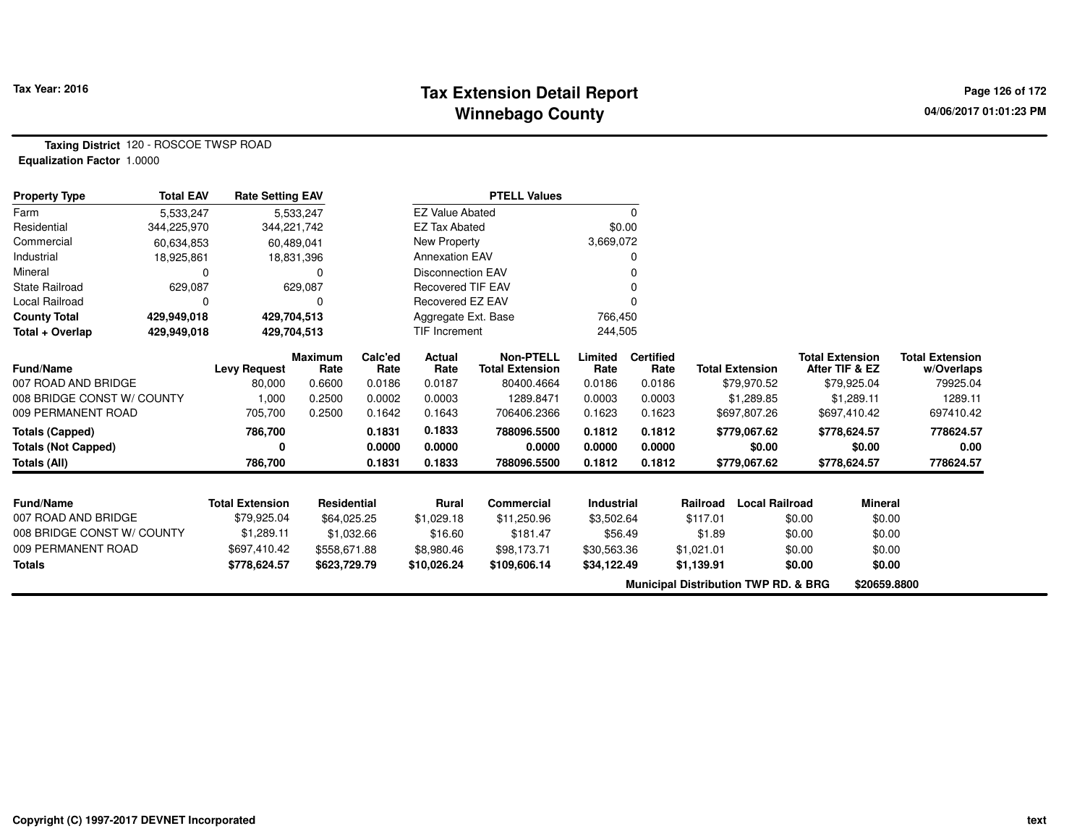### **Tax Extension Detail Report Constant Constant Constant Page 126 of 172 Winnebago County**

**Taxing District** 120 - ROSCOE TWSP ROAD**Equalization Factor** 1.0000

| <b>Property Type</b>       | <b>Total EAV</b> | <b>Rate Setting EAV</b> |                        |                 |                          | <b>PTELL Values</b>                        |                   |                          |                                                 |                        |                        |                |                                      |
|----------------------------|------------------|-------------------------|------------------------|-----------------|--------------------------|--------------------------------------------|-------------------|--------------------------|-------------------------------------------------|------------------------|------------------------|----------------|--------------------------------------|
| Farm                       | 5,533,247        |                         | 5,533,247              |                 | <b>EZ Value Abated</b>   |                                            |                   | 0                        |                                                 |                        |                        |                |                                      |
| Residential                | 344,225,970      | 344,221,742             |                        |                 | <b>EZ Tax Abated</b>     |                                            |                   | \$0.00                   |                                                 |                        |                        |                |                                      |
| Commercial                 | 60,634,853       | 60,489,041              |                        |                 | New Property             |                                            | 3,669,072         |                          |                                                 |                        |                        |                |                                      |
| Industrial                 | 18,925,861       |                         | 18,831,396             |                 | <b>Annexation EAV</b>    |                                            |                   | 0                        |                                                 |                        |                        |                |                                      |
| Mineral                    | 0                |                         | $\Omega$               |                 | <b>Disconnection EAV</b> |                                            |                   |                          |                                                 |                        |                        |                |                                      |
| <b>State Railroad</b>      | 629,087          |                         | 629,087                |                 | <b>Recovered TIF EAV</b> |                                            |                   |                          |                                                 |                        |                        |                |                                      |
| Local Railroad             | 0                |                         |                        |                 | Recovered EZ EAV         |                                            |                   |                          |                                                 |                        |                        |                |                                      |
| <b>County Total</b>        | 429,949,018      | 429,704,513             |                        |                 | Aggregate Ext. Base      |                                            | 766,450           |                          |                                                 |                        |                        |                |                                      |
| Total + Overlap            | 429,949,018      | 429,704,513             |                        |                 | TIF Increment            |                                            | 244,505           |                          |                                                 |                        |                        |                |                                      |
| <b>Fund/Name</b>           |                  | <b>Levy Request</b>     | <b>Maximum</b><br>Rate | Calc'ed<br>Rate | Actual<br>Rate           | <b>Non-PTELL</b><br><b>Total Extension</b> | Limited<br>Rate   | <b>Certified</b><br>Rate |                                                 | <b>Total Extension</b> | <b>Total Extension</b> | After TIF & EZ | <b>Total Extension</b><br>w/Overlaps |
| 007 ROAD AND BRIDGE        |                  | 80,000                  | 0.6600                 | 0.0186          | 0.0187                   | 80400.4664                                 | 0.0186            | 0.0186                   |                                                 | \$79,970.52            |                        | \$79,925.04    | 79925.04                             |
| 008 BRIDGE CONST W/ COUNTY |                  | 1,000                   | 0.2500                 | 0.0002          | 0.0003                   | 1289.8471                                  | 0.0003            | 0.0003                   |                                                 | \$1,289.85             |                        | \$1,289.11     | 1289.11                              |
| 009 PERMANENT ROAD         |                  | 705,700                 | 0.2500                 | 0.1642          | 0.1643                   | 706406.2366                                | 0.1623            | 0.1623                   |                                                 | \$697,807.26           |                        | \$697,410.42   | 697410.42                            |
| <b>Totals (Capped)</b>     |                  | 786,700                 |                        | 0.1831          | 0.1833                   | 788096.5500                                | 0.1812            | 0.1812                   |                                                 | \$779,067.62           |                        | \$778,624.57   | 778624.57                            |
| <b>Totals (Not Capped)</b> |                  |                         |                        | 0.0000          | 0.0000                   | 0.0000                                     | 0.0000            | 0.0000                   |                                                 | \$0.00                 |                        | \$0.00         | 0.00                                 |
| Totals (All)               |                  | 786,700                 |                        | 0.1831          | 0.1833                   | 788096.5500                                | 0.1812            | 0.1812                   |                                                 | \$779,067.62           |                        | \$778,624.57   | 778624.57                            |
|                            |                  |                         |                        |                 |                          |                                            |                   |                          |                                                 |                        |                        |                |                                      |
| <b>Fund/Name</b>           |                  | <b>Total Extension</b>  | <b>Residential</b>     |                 | <b>Rural</b>             | <b>Commercial</b>                          | <b>Industrial</b> |                          | Railroad                                        | <b>Local Railroad</b>  |                        | <b>Mineral</b> |                                      |
| 007 ROAD AND BRIDGE        |                  | \$79,925.04             | \$64,025.25            |                 | \$1,029.18               | \$11,250.96                                | \$3,502.64        |                          | \$117.01                                        |                        | \$0.00                 | \$0.00         |                                      |
| 008 BRIDGE CONST W/ COUNTY |                  | \$1,289.11              | \$1,032.66             |                 | \$16.60                  | \$181.47                                   | \$56.49           |                          | \$1.89                                          |                        | \$0.00                 | \$0.00         |                                      |
| 009 PERMANENT ROAD         |                  | \$697,410.42            | \$558,671.88           |                 | \$8,980.46               | \$98,173.71                                | \$30,563.36       |                          | \$1,021.01                                      |                        | \$0.00                 | \$0.00         |                                      |
| <b>Totals</b>              |                  | \$778,624.57            | \$623,729.79           |                 | \$10,026.24              | \$109,606.14                               | \$34,122.49       |                          | \$1,139.91                                      |                        | \$0.00                 | \$0.00         |                                      |
|                            |                  |                         |                        |                 |                          |                                            |                   |                          | <b>Municipal Distribution TWP RD. &amp; BRG</b> |                        |                        | \$20659.8800   |                                      |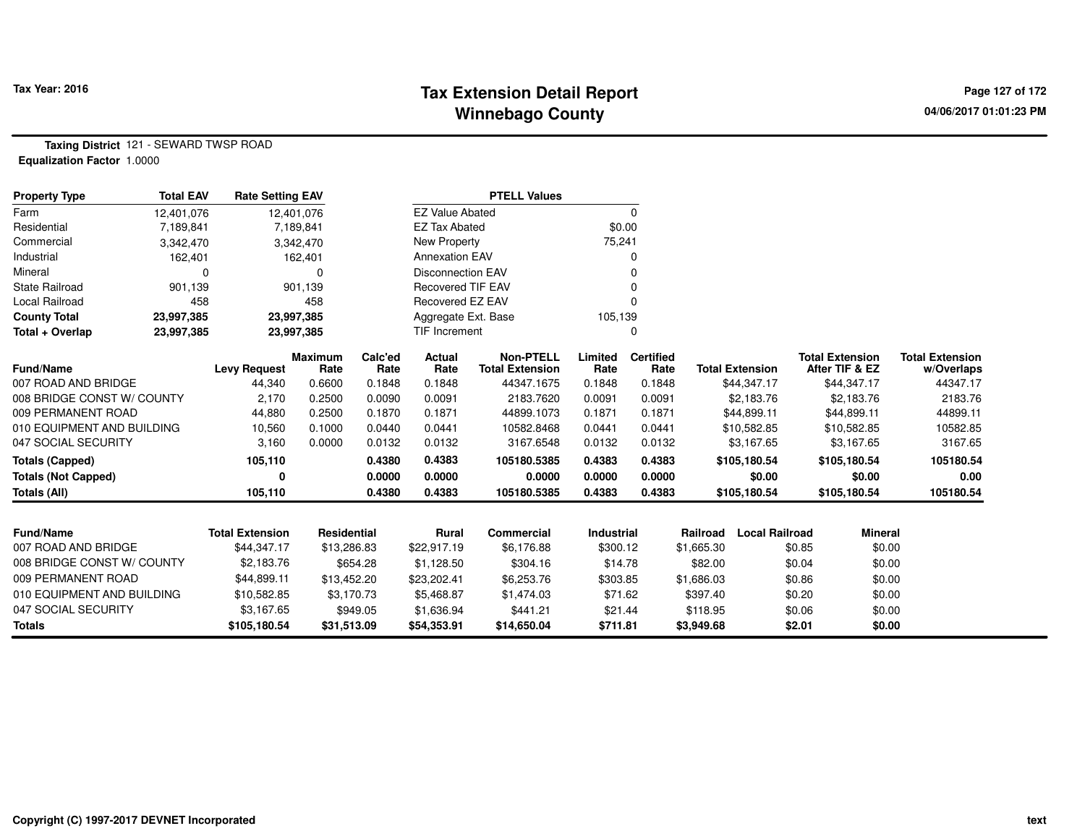## **Tax Extension Detail Report Constant Constant Constant Page 127 of 172 Winnebago County**

**Taxing District** 121 - SEWARD TWSP ROAD**Equalization Factor** 1.0000

| <b>Property Type</b>       | <b>Total EAV</b> | <b>Rate Setting EAV</b> |                        |                 |                          | <b>PTELL Values</b>                        |                   |                          |            |                        |        |                                          |                                      |
|----------------------------|------------------|-------------------------|------------------------|-----------------|--------------------------|--------------------------------------------|-------------------|--------------------------|------------|------------------------|--------|------------------------------------------|--------------------------------------|
| Farm                       | 12,401,076       |                         | 12,401,076             |                 | <b>EZ Value Abated</b>   |                                            |                   | 0                        |            |                        |        |                                          |                                      |
| Residential                | 7,189,841        |                         | 7,189,841              |                 | <b>EZ Tax Abated</b>     |                                            | \$0.00            |                          |            |                        |        |                                          |                                      |
| Commercial                 | 3,342,470        |                         | 3,342,470              |                 | New Property             |                                            | 75,241            |                          |            |                        |        |                                          |                                      |
| Industrial                 | 162,401          |                         | 162,401                |                 | <b>Annexation EAV</b>    |                                            |                   | 0                        |            |                        |        |                                          |                                      |
| Mineral                    |                  |                         | $\Omega$               |                 | <b>Disconnection EAV</b> |                                            |                   | 0                        |            |                        |        |                                          |                                      |
| <b>State Railroad</b>      | 901,139          |                         | 901,139                |                 | <b>Recovered TIF EAV</b> |                                            |                   | $\Omega$                 |            |                        |        |                                          |                                      |
| Local Railroad             | 458              |                         | 458                    |                 | Recovered EZ EAV         |                                            |                   | 0                        |            |                        |        |                                          |                                      |
| <b>County Total</b>        | 23,997,385       |                         | 23,997,385             |                 | Aggregate Ext. Base      |                                            | 105,139           |                          |            |                        |        |                                          |                                      |
| Total + Overlap            | 23,997,385       |                         | 23,997,385             |                 | TIF Increment            |                                            |                   | 0                        |            |                        |        |                                          |                                      |
| <b>Fund/Name</b>           |                  | <b>Levy Request</b>     | <b>Maximum</b><br>Rate | Calc'ed<br>Rate | Actual<br>Rate           | <b>Non-PTELL</b><br><b>Total Extension</b> | Limited<br>Rate   | <b>Certified</b><br>Rate |            | <b>Total Extension</b> |        | <b>Total Extension</b><br>After TIF & EZ | <b>Total Extension</b><br>w/Overlaps |
| 007 ROAD AND BRIDGE        |                  | 44,340                  | 0.6600                 | 0.1848          | 0.1848                   | 44347.1675                                 | 0.1848            | 0.1848                   |            | \$44,347.17            |        | \$44,347.17                              | 44347.17                             |
| 008 BRIDGE CONST W/ COUNTY |                  | 2,170                   | 0.2500                 | 0.0090          | 0.0091                   | 2183.7620                                  | 0.0091            | 0.0091                   |            | \$2,183.76             |        | \$2,183.76                               | 2183.76                              |
| 009 PERMANENT ROAD         |                  | 44,880                  | 0.2500                 | 0.1870          | 0.1871                   | 44899.1073                                 | 0.1871            | 0.1871                   |            | \$44,899.11            |        | \$44,899.11                              | 44899.11                             |
| 010 EQUIPMENT AND BUILDING |                  | 10,560                  | 0.1000                 | 0.0440          | 0.0441                   | 10582.8468                                 | 0.0441            | 0.0441                   |            | \$10,582.85            |        | \$10,582.85                              | 10582.85                             |
| 047 SOCIAL SECURITY        |                  | 3,160                   | 0.0000                 | 0.0132          | 0.0132                   | 3167.6548                                  | 0.0132            | 0.0132                   |            | \$3,167.65             |        | \$3,167.65                               | 3167.65                              |
| <b>Totals (Capped)</b>     |                  | 105,110                 |                        | 0.4380          | 0.4383                   | 105180.5385                                | 0.4383            | 0.4383                   |            | \$105,180.54           |        | \$105,180.54                             | 105180.54                            |
| <b>Totals (Not Capped)</b> |                  | 0                       |                        | 0.0000          | 0.0000                   | 0.0000                                     | 0.0000            | 0.0000                   |            | \$0.00                 |        | \$0.00                                   | 0.00                                 |
| <b>Totals (All)</b>        |                  | 105,110                 |                        | 0.4380          | 0.4383                   | 105180.5385                                | 0.4383            | 0.4383                   |            | \$105,180.54           |        | \$105,180.54                             | 105180.54                            |
|                            |                  |                         |                        |                 |                          |                                            |                   |                          |            |                        |        |                                          |                                      |
| <b>Fund/Name</b>           |                  | <b>Total Extension</b>  | <b>Residential</b>     |                 | <b>Rural</b>             | <b>Commercial</b>                          | <b>Industrial</b> |                          | Railroad   | <b>Local Railroad</b>  |        | <b>Mineral</b>                           |                                      |
| 007 ROAD AND BRIDGE        |                  | \$44,347.17             | \$13,286.83            |                 | \$22,917.19              | \$6,176.88                                 | \$300.12          |                          | \$1,665.30 |                        | \$0.85 | \$0.00                                   |                                      |
| 008 BRIDGE CONST W/ COUNTY |                  | \$2,183.76              |                        | \$654.28        | \$1,128.50               | \$304.16                                   | \$14.78           |                          | \$82.00    |                        | \$0.04 | \$0.00                                   |                                      |
| 009 PERMANENT ROAD         |                  | \$44,899.11             | \$13,452.20            |                 | \$23,202.41              | \$6,253.76                                 | \$303.85          |                          | \$1,686.03 |                        | \$0.86 | \$0.00                                   |                                      |
| 010 EQUIPMENT AND BUILDING |                  | \$10,582.85             |                        | \$3,170.73      | \$5,468.87               | \$1,474.03                                 | \$71.62           |                          | \$397.40   |                        | \$0.20 | \$0.00                                   |                                      |
| 047 SOCIAL SECURITY        |                  | \$3,167.65              |                        | \$949.05        | \$1,636.94               | \$441.21                                   | \$21.44           |                          | \$118.95   |                        | \$0.06 | \$0.00                                   |                                      |
| <b>Totals</b>              |                  | \$105,180.54            | \$31,513.09            |                 | \$54,353.91              | \$14,650.04                                | \$711.81          |                          | \$3,949.68 |                        | \$2.01 | \$0.00                                   |                                      |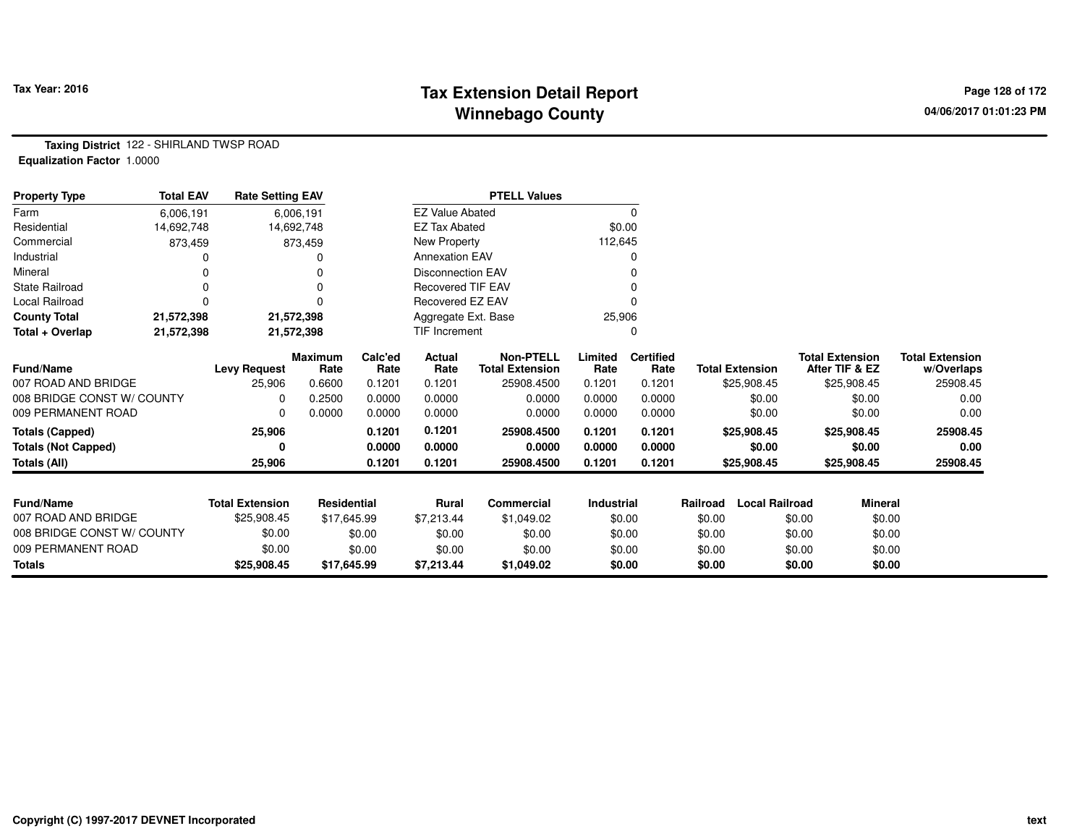## **Tax Extension Detail Report Tax Fact Constant Constant Page 128 of 172 Winnebago County**

**Taxing District** 122 - SHIRLAND TWSP ROAD**Equalization Factor** 1.0000

| <b>Property Type</b>       | <b>Total EAV</b> | <b>Rate Setting EAV</b> |                        |                 |                          | <b>PTELL Values</b>                        |                 |                          |                                   |                                          |                                      |
|----------------------------|------------------|-------------------------|------------------------|-----------------|--------------------------|--------------------------------------------|-----------------|--------------------------|-----------------------------------|------------------------------------------|--------------------------------------|
| Farm                       | 6,006,191        |                         | 6,006,191              |                 | <b>EZ Value Abated</b>   |                                            |                 | 0                        |                                   |                                          |                                      |
| Residential                | 14,692,748       |                         | 14,692,748             |                 | <b>EZ Tax Abated</b>     |                                            | \$0.00          |                          |                                   |                                          |                                      |
| Commercial                 | 873,459          |                         | 873,459                |                 | New Property             |                                            | 112,645         |                          |                                   |                                          |                                      |
| Industrial                 |                  |                         |                        |                 | <b>Annexation EAV</b>    |                                            |                 | ი                        |                                   |                                          |                                      |
| Mineral                    |                  |                         | 0                      |                 | <b>Disconnection EAV</b> |                                            |                 |                          |                                   |                                          |                                      |
| State Railroad             | $\Omega$         |                         | 0                      |                 | <b>Recovered TIF EAV</b> |                                            |                 |                          |                                   |                                          |                                      |
| Local Railroad             | $\Omega$         |                         | 0                      |                 | Recovered EZ EAV         |                                            |                 |                          |                                   |                                          |                                      |
| <b>County Total</b>        | 21,572,398       |                         | 21,572,398             |                 | Aggregate Ext. Base      |                                            | 25,906          |                          |                                   |                                          |                                      |
| Total + Overlap            | 21,572,398       |                         | 21,572,398             |                 | <b>TIF Increment</b>     |                                            |                 | 0                        |                                   |                                          |                                      |
| <b>Fund/Name</b>           |                  | <b>Levy Request</b>     | <b>Maximum</b><br>Rate | Calc'ed<br>Rate | Actual<br>Rate           | <b>Non-PTELL</b><br><b>Total Extension</b> | Limited<br>Rate | <b>Certified</b><br>Rate | <b>Total Extension</b>            | <b>Total Extension</b><br>After TIF & EZ | <b>Total Extension</b><br>w/Overlaps |
| 007 ROAD AND BRIDGE        |                  | 25,906                  | 0.6600                 | 0.1201          | 0.1201                   | 25908.4500                                 | 0.1201          | 0.1201                   | \$25,908.45                       | \$25,908.45                              | 25908.45                             |
| 008 BRIDGE CONST W/ COUNTY |                  | 0                       | 0.2500                 | 0.0000          | 0.0000                   | 0.0000                                     | 0.0000          | 0.0000                   | \$0.00                            | \$0.00                                   | 0.00                                 |
| 009 PERMANENT ROAD         |                  |                         | 0.0000                 | 0.0000          | 0.0000                   | 0.0000                                     | 0.0000          | 0.0000                   | \$0.00                            | \$0.00                                   | 0.00                                 |
| <b>Totals (Capped)</b>     |                  | 25,906                  |                        | 0.1201          | 0.1201                   | 25908.4500                                 | 0.1201          | 0.1201                   | \$25,908.45                       | \$25,908.45                              | 25908.45                             |
| <b>Totals (Not Capped)</b> |                  | 0                       |                        | 0.0000          | 0.0000                   | 0.0000                                     | 0.0000          | 0.0000                   | \$0.00                            | \$0.00                                   | 0.00                                 |
| Totals (All)               |                  | 25,906                  |                        | 0.1201          | 0.1201                   | 25908.4500                                 | 0.1201          | 0.1201                   | \$25,908.45                       | \$25,908.45                              | 25908.45                             |
|                            |                  |                         |                        |                 |                          |                                            |                 |                          |                                   |                                          |                                      |
| <b>Fund/Name</b>           |                  | <b>Total Extension</b>  | <b>Residential</b>     |                 | Rural                    | <b>Commercial</b>                          | Industrial      |                          | <b>Local Railroad</b><br>Railroad | <b>Mineral</b>                           |                                      |
| 007 ROAD AND BRIDGE        |                  | \$25,908.45             | \$17,645.99            |                 | \$7,213.44               | \$1,049.02                                 |                 | \$0.00                   | \$0.00                            | \$0.00<br>\$0.00                         |                                      |
| 008 BRIDGE CONST W/ COUNTY |                  | \$0.00                  |                        | \$0.00          | \$0.00                   | \$0.00                                     |                 | \$0.00                   | \$0.00                            | \$0.00<br>\$0.00                         |                                      |
| 009 PERMANENT ROAD         |                  | \$0.00                  |                        | \$0.00          | \$0.00                   | \$0.00                                     |                 | \$0.00                   | \$0.00                            | \$0.00<br>\$0.00                         |                                      |
| <b>Totals</b>              |                  | \$25,908.45             | \$17,645.99            |                 | \$7,213.44               | \$1,049.02                                 |                 | \$0.00                   | \$0.00                            | \$0.00<br>\$0.00                         |                                      |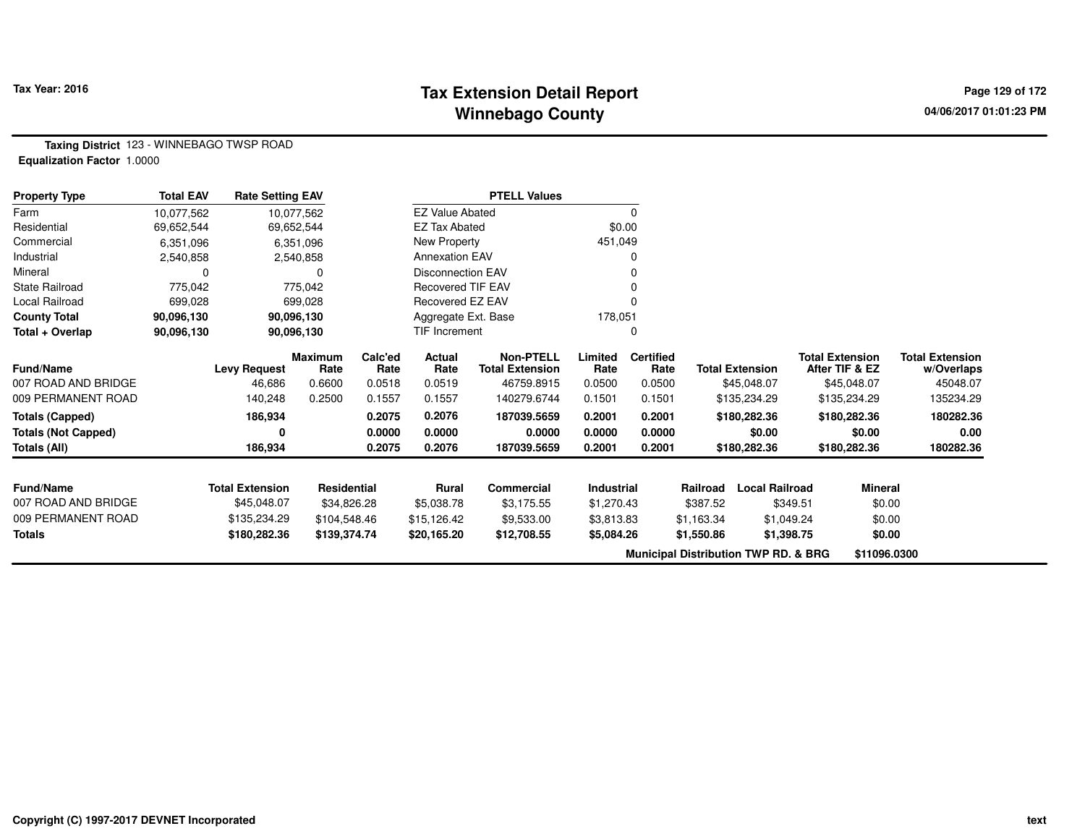### **Tax Extension Detail Report Tax Year: 2016 Page 129 of 172 Winnebago County**

**Taxing District** 123 - WINNEBAGO TWSP ROAD**Equalization Factor** 1.0000

| <b>Property Type</b>                      | <b>Total EAV</b> | <b>Rate Setting EAV</b> |                  |                  |                          | <b>PTELL Values</b>       |                  |                  |            |                                                 |                        |                        |
|-------------------------------------------|------------------|-------------------------|------------------|------------------|--------------------------|---------------------------|------------------|------------------|------------|-------------------------------------------------|------------------------|------------------------|
| Farm                                      | 10,077,562       |                         | 10,077,562       |                  | <b>EZ Value Abated</b>   |                           |                  | 0                |            |                                                 |                        |                        |
| Residential                               | 69,652,544       |                         | 69,652,544       |                  | <b>EZ Tax Abated</b>     |                           | \$0.00           |                  |            |                                                 |                        |                        |
| Commercial                                | 6,351,096        |                         | 6,351,096        |                  | New Property             |                           | 451,049          |                  |            |                                                 |                        |                        |
| Industrial                                | 2,540,858        |                         | 2,540,858        |                  | <b>Annexation EAV</b>    |                           |                  | 0                |            |                                                 |                        |                        |
| Mineral                                   |                  |                         |                  |                  | <b>Disconnection EAV</b> |                           |                  |                  |            |                                                 |                        |                        |
| <b>State Railroad</b>                     | 775,042          |                         | 775,042          |                  | <b>Recovered TIF EAV</b> |                           |                  | O                |            |                                                 |                        |                        |
| Local Railroad                            | 699,028          |                         | 699,028          |                  | Recovered EZ EAV         |                           |                  | O                |            |                                                 |                        |                        |
| <b>County Total</b>                       | 90,096,130       |                         | 90,096,130       |                  | Aggregate Ext. Base      |                           | 178,051          |                  |            |                                                 |                        |                        |
| Total + Overlap                           | 90,096,130       |                         | 90,096,130       |                  | TIF Increment            |                           |                  | 0                |            |                                                 |                        |                        |
|                                           |                  |                         | <b>Maximum</b>   | Calc'ed          | Actual                   | <b>Non-PTELL</b>          | Limited          | <b>Certified</b> |            |                                                 | <b>Total Extension</b> | <b>Total Extension</b> |
| Fund/Name                                 |                  | <b>Levy Request</b>     | Rate             | Rate             | Rate                     | <b>Total Extension</b>    | Rate             | Rate             |            | <b>Total Extension</b>                          | After TIF & EZ         | w/Overlaps             |
| 007 ROAD AND BRIDGE<br>009 PERMANENT ROAD |                  | 46,686<br>140,248       | 0.6600<br>0.2500 | 0.0518<br>0.1557 | 0.0519<br>0.1557         | 46759.8915<br>140279.6744 | 0.0500<br>0.1501 | 0.0500<br>0.1501 |            | \$45,048.07                                     | \$45,048.07            | 45048.07<br>135234.29  |
|                                           |                  |                         |                  |                  |                          |                           |                  |                  |            | \$135,234.29                                    | \$135,234.29           |                        |
| <b>Totals (Capped)</b>                    |                  | 186,934                 |                  | 0.2075           | 0.2076                   | 187039.5659               | 0.2001           | 0.2001           |            | \$180,282.36                                    | \$180,282.36           | 180282.36              |
| <b>Totals (Not Capped)</b>                |                  | 0                       |                  | 0.0000           | 0.0000                   | 0.0000                    | 0.0000           | 0.0000           |            | \$0.00                                          | \$0.00                 | 0.00                   |
| Totals (All)                              |                  | 186,934                 |                  | 0.2075           | 0.2076                   | 187039.5659               | 0.2001           | 0.2001           |            | \$180,282.36                                    | \$180,282.36           | 180282.36              |
|                                           |                  |                         |                  |                  |                          |                           |                  |                  |            |                                                 |                        |                        |
| <b>Fund/Name</b>                          |                  | <b>Total Extension</b>  | Residential      |                  | <b>Rural</b>             | <b>Commercial</b>         | Industrial       |                  | Railroad   | <b>Local Railroad</b>                           | <b>Mineral</b>         |                        |
| 007 ROAD AND BRIDGE                       |                  | \$45,048.07             | \$34,826.28      |                  | \$5,038.78               | \$3,175.55                | \$1,270.43       |                  | \$387.52   | \$349.51                                        | \$0.00                 |                        |
| 009 PERMANENT ROAD                        |                  | \$135,234.29            | \$104,548.46     |                  | \$15,126.42              | \$9,533.00                | \$3,813.83       |                  | \$1,163.34 | \$1,049.24                                      | \$0.00                 |                        |
| <b>Totals</b>                             |                  | \$180,282.36            | \$139,374.74     |                  | \$20,165.20              | \$12,708.55               | \$5,084.26       |                  | \$1,550.86 | \$1,398.75                                      | \$0.00                 |                        |
|                                           |                  |                         |                  |                  |                          |                           |                  |                  |            | <b>Municipal Distribution TWP RD. &amp; BRG</b> | \$11096.0300           |                        |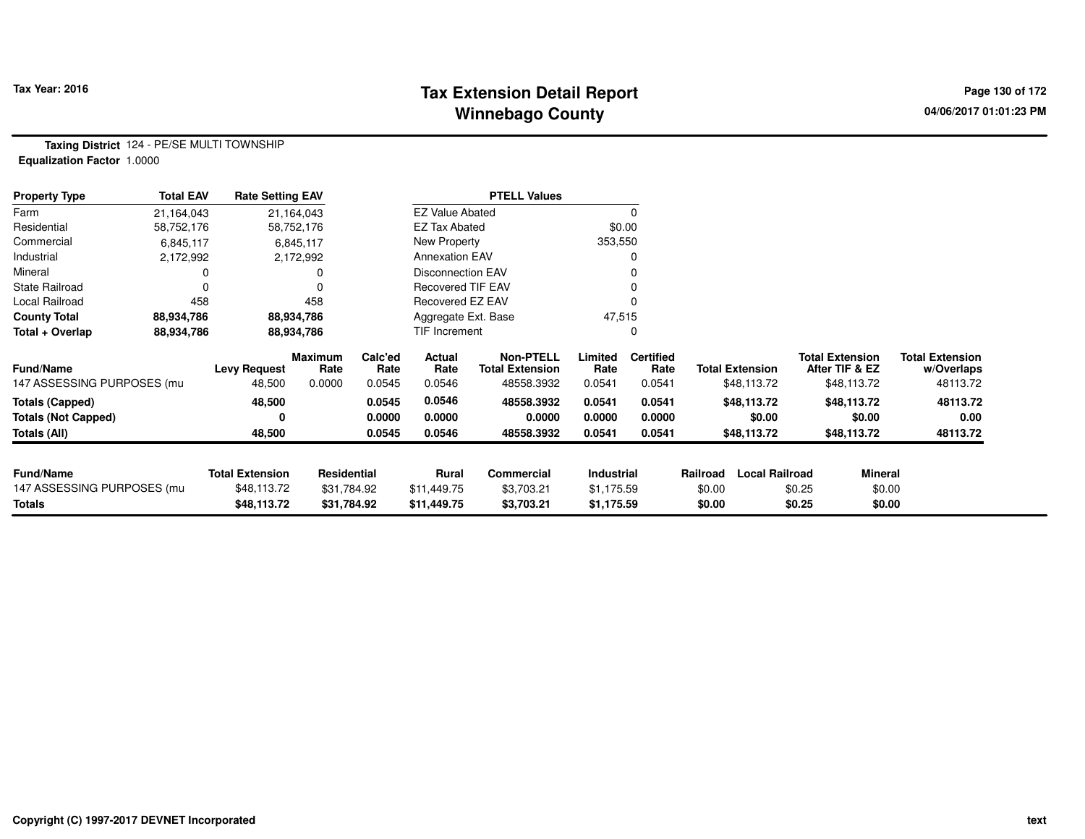#### **Tax Extension Detail Report Tax Year: 2016 Page 130 of 172 Winnebago County**

**Taxing District** 124 - PE/SE MULTI TOWNSHIP**Equalization Factor** 1.0000

| <b>Property Type</b>       | <b>Total EAV</b> | <b>Rate Setting EAV</b> |                 |                 |                          | <b>PTELL Values</b>                        |                 |                          |                        |                       |                                          |                                      |
|----------------------------|------------------|-------------------------|-----------------|-----------------|--------------------------|--------------------------------------------|-----------------|--------------------------|------------------------|-----------------------|------------------------------------------|--------------------------------------|
| Farm                       | 21,164,043       |                         | 21,164,043      |                 | <b>EZ Value Abated</b>   |                                            |                 |                          |                        |                       |                                          |                                      |
| Residential                | 58,752,176       |                         | 58,752,176      |                 | <b>EZ Tax Abated</b>     |                                            |                 | \$0.00                   |                        |                       |                                          |                                      |
| Commercial                 | 6,845,117        |                         | 6,845,117       |                 | New Property             |                                            | 353,550         |                          |                        |                       |                                          |                                      |
| Industrial                 | 2,172,992        |                         | 2,172,992       |                 | <b>Annexation EAV</b>    |                                            |                 |                          |                        |                       |                                          |                                      |
| Mineral                    |                  |                         |                 |                 | <b>Disconnection EAV</b> |                                            |                 |                          |                        |                       |                                          |                                      |
| State Railroad             |                  |                         | $\Omega$        |                 | <b>Recovered TIF EAV</b> |                                            |                 |                          |                        |                       |                                          |                                      |
| Local Railroad             | 458              |                         | 458             |                 | Recovered EZ EAV         |                                            |                 |                          |                        |                       |                                          |                                      |
| <b>County Total</b>        | 88,934,786       |                         | 88,934,786      |                 | Aggregate Ext. Base      |                                            | 47,515          |                          |                        |                       |                                          |                                      |
| Total + Overlap            | 88,934,786       |                         | 88,934,786      |                 | <b>TIF Increment</b>     |                                            |                 |                          |                        |                       |                                          |                                      |
| <b>Fund/Name</b>           |                  | <b>Levy Request</b>     | Maximum<br>Rate | Calc'ed<br>Rate | Actual<br>Rate           | <b>Non-PTELL</b><br><b>Total Extension</b> | Limited<br>Rate | <b>Certified</b><br>Rate | <b>Total Extension</b> |                       | <b>Total Extension</b><br>After TIF & EZ | <b>Total Extension</b><br>w/Overlaps |
| 147 ASSESSING PURPOSES (mu |                  | 48,500                  | 0.0000          | 0.0545          | 0.0546                   | 48558.3932                                 | 0.0541          | 0.0541                   |                        | \$48,113.72           | \$48,113.72                              | 48113.72                             |
| <b>Totals (Capped)</b>     |                  | 48,500                  |                 | 0.0545          | 0.0546                   | 48558.3932                                 | 0.0541          | 0.0541                   |                        | \$48,113.72           | \$48,113.72                              | 48113.72                             |
| <b>Totals (Not Capped)</b> |                  | 0                       |                 | 0.0000          | 0.0000                   | 0.0000                                     | 0.0000          | 0.0000                   |                        | \$0.00                | \$0.00                                   | 0.00                                 |
| Totals (All)               |                  | 48,500                  |                 | 0.0545          | 0.0546                   | 48558.3932                                 | 0.0541          | 0.0541                   |                        | \$48,113.72           | \$48,113.72                              | 48113.72                             |
|                            |                  |                         |                 |                 |                          |                                            |                 |                          |                        |                       |                                          |                                      |
| <b>Fund/Name</b>           |                  | <b>Total Extension</b>  | Residential     |                 | <b>Rural</b>             | Commercial                                 | Industrial      |                          | Railroad               | <b>Local Railroad</b> | <b>Mineral</b>                           |                                      |
| 147 ASSESSING PURPOSES (mu |                  | \$48,113.72             | \$31,784.92     |                 | \$11,449.75              | \$3,703.21                                 | \$1,175.59      |                          | \$0.00                 | \$0.25                | \$0.00                                   |                                      |
| Totals                     |                  | \$48,113.72             | \$31,784.92     |                 | \$11,449.75              | \$3,703.21                                 | \$1,175.59      |                          | \$0.00                 | \$0.25                | \$0.00                                   |                                      |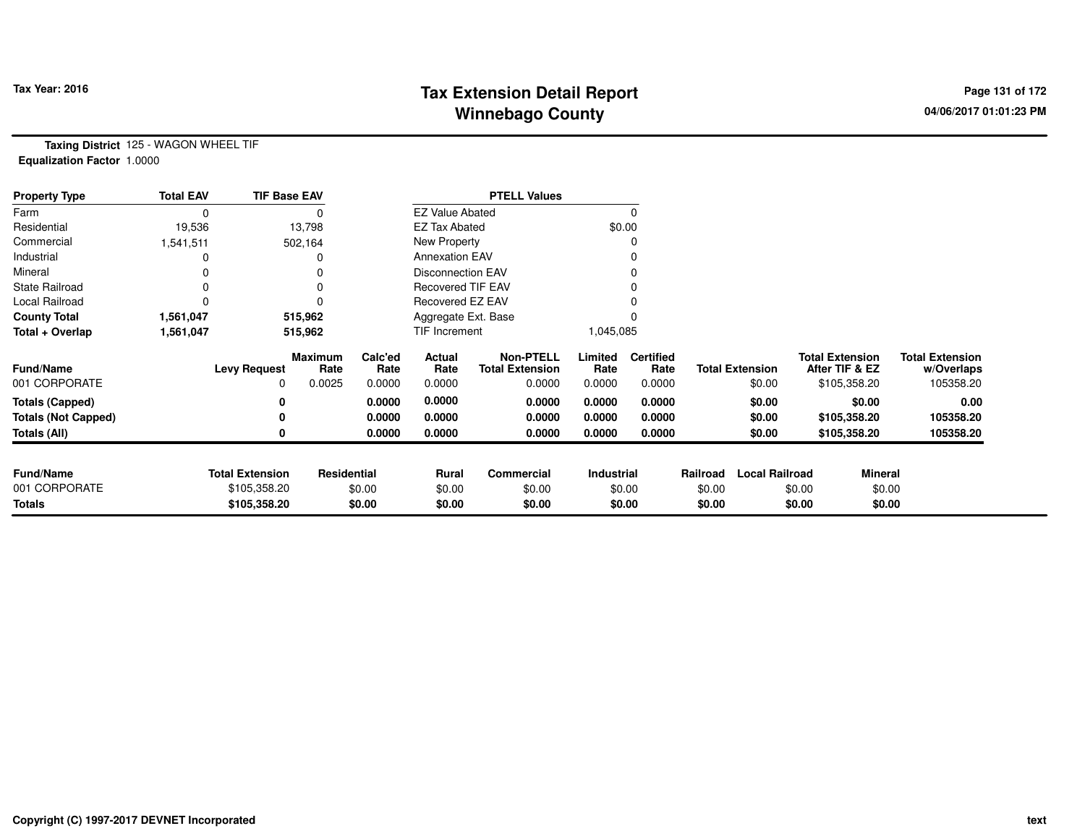# **Tax Extension Detail Report Tax Year: 2016 Page 131 of 172 Winnebago County**

**Taxing District** 125 - WAGON WHEEL TIF**Equalization Factor** 1.0000

| <b>Property Type</b>       | <b>Total EAV</b> | <b>TIF Base EAV</b>    |                        |                 |                          | <b>PTELL Values</b>                        |                 |                          |          |                        |                                          |         |                                      |
|----------------------------|------------------|------------------------|------------------------|-----------------|--------------------------|--------------------------------------------|-----------------|--------------------------|----------|------------------------|------------------------------------------|---------|--------------------------------------|
| Farm                       | 0                |                        |                        |                 | <b>EZ Value Abated</b>   |                                            |                 |                          |          |                        |                                          |         |                                      |
| Residential                | 19,536           |                        | 13,798                 |                 | <b>EZ Tax Abated</b>     |                                            |                 | \$0.00                   |          |                        |                                          |         |                                      |
| Commercial                 | 1,541,511        |                        | 502,164                |                 | New Property             |                                            |                 |                          |          |                        |                                          |         |                                      |
| Industrial                 |                  |                        |                        |                 | <b>Annexation EAV</b>    |                                            |                 |                          |          |                        |                                          |         |                                      |
| Mineral                    | ი                |                        |                        |                 | <b>Disconnection EAV</b> |                                            |                 |                          |          |                        |                                          |         |                                      |
| <b>State Railroad</b>      | 0                |                        |                        |                 | <b>Recovered TIF EAV</b> |                                            |                 |                          |          |                        |                                          |         |                                      |
| Local Railroad             |                  |                        |                        |                 | Recovered EZ EAV         |                                            |                 |                          |          |                        |                                          |         |                                      |
| <b>County Total</b>        | 1,561,047        |                        | 515,962                |                 | Aggregate Ext. Base      |                                            |                 |                          |          |                        |                                          |         |                                      |
| Total + Overlap            | 1,561,047        |                        | 515,962                |                 | TIF Increment            |                                            | 1,045,085       |                          |          |                        |                                          |         |                                      |
| <b>Fund/Name</b>           |                  | <b>Levy Request</b>    | <b>Maximum</b><br>Rate | Calc'ed<br>Rate | Actual<br>Rate           | <b>Non-PTELL</b><br><b>Total Extension</b> | Limited<br>Rate | <b>Certified</b><br>Rate |          | <b>Total Extension</b> | <b>Total Extension</b><br>After TIF & EZ |         | <b>Total Extension</b><br>w/Overlaps |
| 001 CORPORATE              |                  | $\Omega$               | 0.0025                 | 0.0000          | 0.0000                   | 0.0000                                     | 0.0000          | 0.0000                   |          | \$0.00                 | \$105,358.20                             |         | 105358.20                            |
| <b>Totals (Capped)</b>     |                  | 0                      |                        | 0.0000          | 0.0000                   | 0.0000                                     | 0.0000          | 0.0000                   |          | \$0.00                 |                                          | \$0.00  | 0.00                                 |
| <b>Totals (Not Capped)</b> |                  | 0                      |                        | 0.0000          | 0.0000                   | 0.0000                                     | 0.0000          | 0.0000                   |          | \$0.00                 | \$105,358.20                             |         | 105358.20                            |
| Totals (All)               |                  | 0                      |                        | 0.0000          | 0.0000                   | 0.0000                                     | 0.0000          | 0.0000                   |          | \$0.00                 | \$105,358.20                             |         | 105358.20                            |
| <b>Fund/Name</b>           |                  | <b>Total Extension</b> | Residential            |                 | Rural                    | Commercial                                 | Industrial      |                          | Railroad | <b>Local Railroad</b>  |                                          | Mineral |                                      |
| 001 CORPORATE              |                  | \$105,358.20           |                        | \$0.00          | \$0.00                   | \$0.00                                     |                 | \$0.00                   | \$0.00   |                        | \$0.00                                   | \$0.00  |                                      |
| <b>Totals</b>              |                  | \$105,358.20           |                        | \$0.00          | \$0.00                   | \$0.00                                     |                 | \$0.00                   | \$0.00   |                        | \$0.00                                   | \$0.00  |                                      |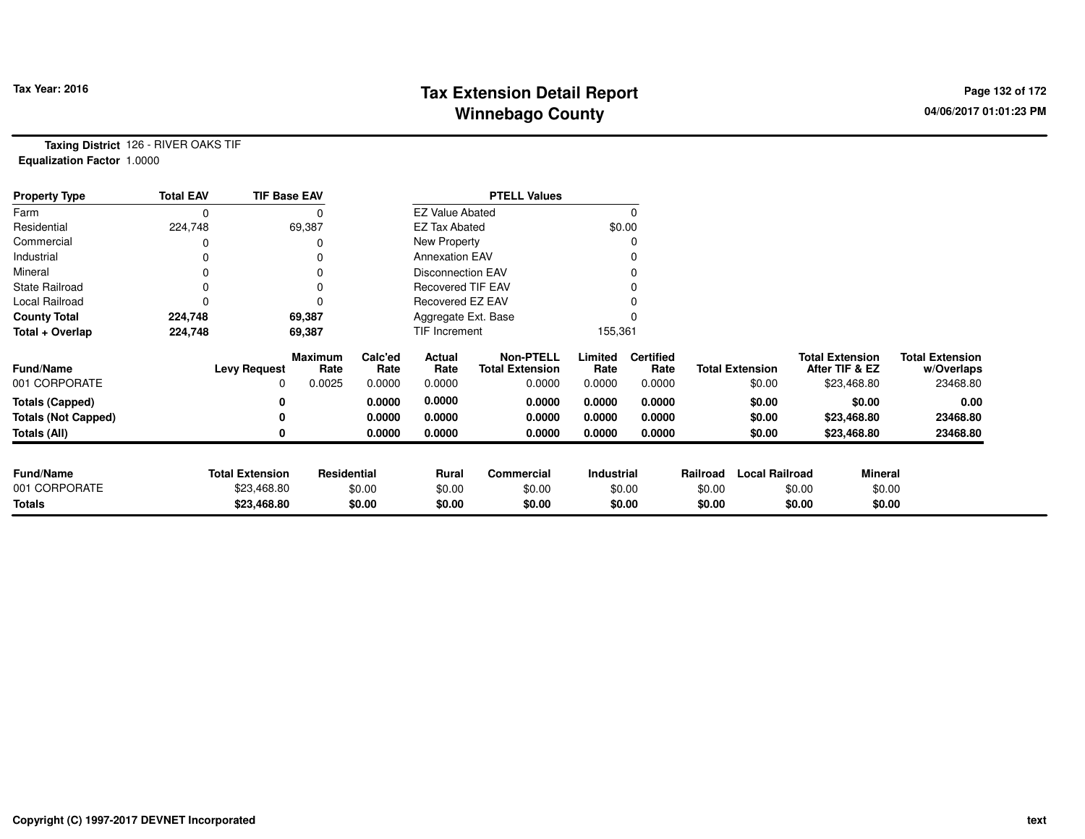# **Tax Extension Detail Report Tax Fact Constant Constant Case of 172 Page 132 of 172 Winnebago County**

**Taxing District** 126 - RIVER OAKS TIF**Equalization Factor** 1.0000

| <b>Property Type</b>              | <b>Total EAV</b> | <b>TIF Base EAV</b>    |                        |                 |                          | <b>PTELL Values</b>                        |                   |                          |          |                        |        |                                          |                                      |
|-----------------------------------|------------------|------------------------|------------------------|-----------------|--------------------------|--------------------------------------------|-------------------|--------------------------|----------|------------------------|--------|------------------------------------------|--------------------------------------|
| Farm                              | 0                |                        |                        |                 | <b>EZ Value Abated</b>   |                                            |                   |                          |          |                        |        |                                          |                                      |
| Residential                       | 224,748          |                        | 69,387                 |                 | <b>EZ Tax Abated</b>     |                                            | \$0.00            |                          |          |                        |        |                                          |                                      |
| Commercial                        |                  |                        |                        |                 | New Property             |                                            |                   |                          |          |                        |        |                                          |                                      |
| Industrial                        |                  |                        |                        |                 | <b>Annexation EAV</b>    |                                            |                   |                          |          |                        |        |                                          |                                      |
| Mineral                           | 0                |                        |                        |                 | <b>Disconnection EAV</b> |                                            |                   |                          |          |                        |        |                                          |                                      |
| <b>State Railroad</b>             | 0                |                        |                        |                 | Recovered TIF EAV        |                                            |                   |                          |          |                        |        |                                          |                                      |
| Local Railroad                    |                  |                        |                        |                 | Recovered EZ EAV         |                                            |                   |                          |          |                        |        |                                          |                                      |
| <b>County Total</b>               | 224,748          |                        | 69,387                 |                 | Aggregate Ext. Base      |                                            |                   |                          |          |                        |        |                                          |                                      |
| Total + Overlap                   | 224,748          |                        | 69,387                 |                 | TIF Increment            |                                            | 155,361           |                          |          |                        |        |                                          |                                      |
| <b>Fund/Name</b>                  |                  | <b>Levy Request</b>    | <b>Maximum</b><br>Rate | Calc'ed<br>Rate | Actual<br>Rate           | <b>Non-PTELL</b><br><b>Total Extension</b> | Limited<br>Rate   | <b>Certified</b><br>Rate |          | <b>Total Extension</b> |        | <b>Total Extension</b><br>After TIF & EZ | <b>Total Extension</b><br>w/Overlaps |
| 001 CORPORATE                     |                  | 0                      | 0.0025                 | 0.0000          | 0.0000                   | 0.0000                                     | 0.0000            | 0.0000                   |          | \$0.00                 |        | \$23,468.80                              | 23468.80                             |
| <b>Totals (Capped)</b>            |                  | 0                      |                        | 0.0000          | 0.0000                   | 0.0000                                     | 0.0000            | 0.0000                   |          | \$0.00                 |        | \$0.00                                   | 0.00                                 |
| <b>Totals (Not Capped)</b>        |                  | 0                      |                        | 0.0000          | 0.0000                   | 0.0000                                     | 0.0000            | 0.0000                   |          | \$0.00                 |        | \$23,468.80                              | 23468.80                             |
| Totals (All)                      |                  | 0                      |                        | 0.0000          | 0.0000                   | 0.0000                                     | 0.0000            | 0.0000                   |          | \$0.00                 |        | \$23,468.80                              | 23468.80                             |
|                                   |                  |                        |                        |                 |                          |                                            |                   |                          |          |                        |        |                                          |                                      |
| <b>Fund/Name</b><br>001 CORPORATE |                  | <b>Total Extension</b> | <b>Residential</b>     |                 | <b>Rural</b>             | Commercial                                 | <b>Industrial</b> |                          | Railroad | <b>Local Railroad</b>  |        | <b>Mineral</b>                           |                                      |
|                                   |                  | \$23,468.80            |                        | \$0.00          | \$0.00                   | \$0.00                                     |                   | \$0.00                   | \$0.00   |                        | \$0.00 | \$0.00                                   |                                      |
| <b>Totals</b>                     |                  | \$23,468.80            |                        | \$0.00          | \$0.00                   | \$0.00                                     |                   | \$0.00                   | \$0.00   |                        | \$0.00 | \$0.00                                   |                                      |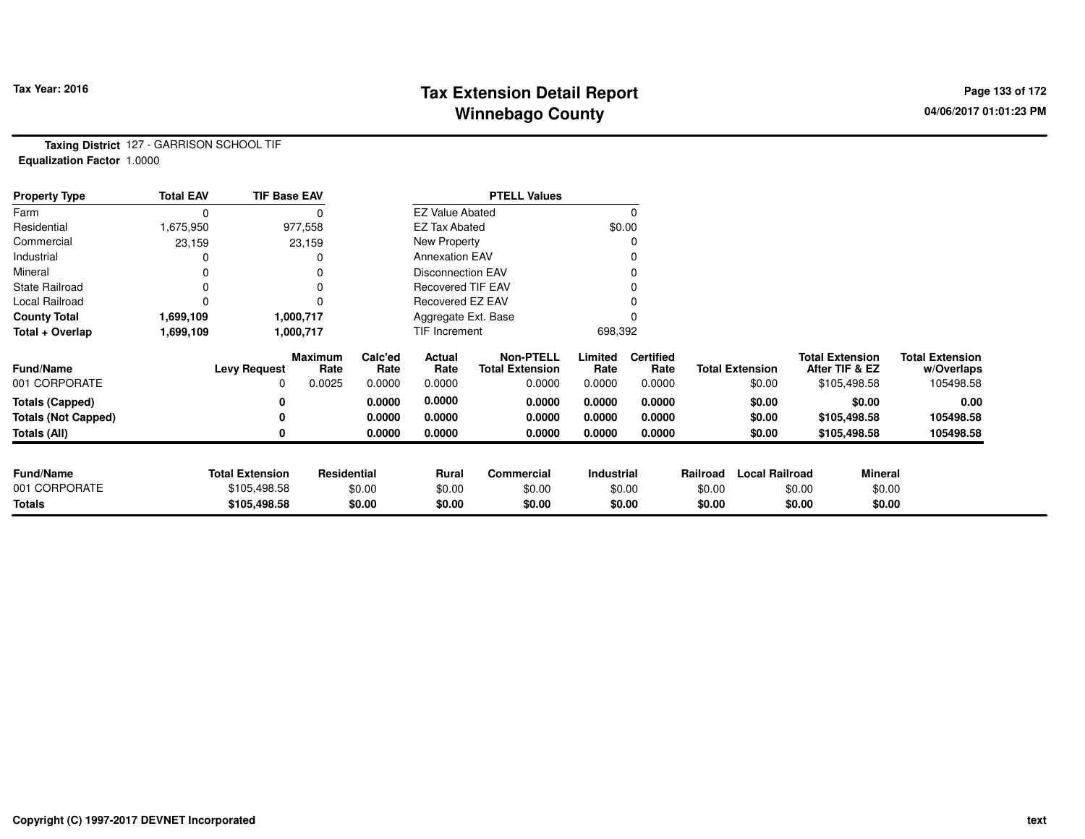# **Tax Extension Detail Report Tax Year: 2016 Page 133 of 172 Winnebago County**

**Taxing District** 127 - GARRISON SCHOOL TIF**Equalization Factor** 1.0000

| <b>Property Type</b>       | <b>Total EAV</b> | <b>TIF Base EAV</b>    |                        |                 |                          | <b>PTELL Values</b>                        |                 |                          |          |                        |                                          |                                      |
|----------------------------|------------------|------------------------|------------------------|-----------------|--------------------------|--------------------------------------------|-----------------|--------------------------|----------|------------------------|------------------------------------------|--------------------------------------|
| Farm                       | 0                |                        |                        |                 | <b>EZ Value Abated</b>   |                                            |                 |                          |          |                        |                                          |                                      |
| Residential                | 1,675,950        |                        | 977,558                |                 | <b>EZ Tax Abated</b>     |                                            | \$0.00          |                          |          |                        |                                          |                                      |
| Commercial                 | 23,159           |                        | 23,159                 |                 | New Property             |                                            |                 |                          |          |                        |                                          |                                      |
| Industrial                 |                  |                        |                        |                 | <b>Annexation EAV</b>    |                                            |                 |                          |          |                        |                                          |                                      |
| Mineral                    | 0                |                        |                        |                 | <b>Disconnection EAV</b> |                                            |                 |                          |          |                        |                                          |                                      |
| <b>State Railroad</b>      | 0                |                        |                        |                 | <b>Recovered TIF EAV</b> |                                            |                 |                          |          |                        |                                          |                                      |
| Local Railroad             | 0                |                        |                        |                 | Recovered EZ EAV         |                                            |                 |                          |          |                        |                                          |                                      |
| <b>County Total</b>        | 1,699,109        |                        | 1,000,717              |                 | Aggregate Ext. Base      |                                            |                 |                          |          |                        |                                          |                                      |
| Total + Overlap            | 1,699,109        |                        | 1,000,717              |                 | TIF Increment            |                                            | 698,392         |                          |          |                        |                                          |                                      |
| <b>Fund/Name</b>           |                  | <b>Levy Request</b>    | <b>Maximum</b><br>Rate | Calc'ed<br>Rate | Actual<br>Rate           | <b>Non-PTELL</b><br><b>Total Extension</b> | Limited<br>Rate | <b>Certified</b><br>Rate |          | <b>Total Extension</b> | <b>Total Extension</b><br>After TIF & EZ | <b>Total Extension</b><br>w/Overlaps |
| 001 CORPORATE              |                  | 0                      | 0.0025                 | 0.0000          | 0.0000                   | 0.0000                                     | 0.0000          | 0.0000                   |          | \$0.00                 | \$105,498.58                             | 105498.58                            |
| <b>Totals (Capped)</b>     |                  | 0                      |                        | 0.0000          | 0.0000                   | 0.0000                                     | 0.0000          | 0.0000                   |          | \$0.00                 | \$0.00                                   | 0.00                                 |
| <b>Totals (Not Capped)</b> |                  | 0                      |                        | 0.0000          | 0.0000                   | 0.0000                                     | 0.0000          | 0.0000                   |          | \$0.00                 | \$105,498.58                             | 105498.58                            |
| Totals (All)               |                  | 0                      |                        | 0.0000          | 0.0000                   | 0.0000                                     | 0.0000          | 0.0000                   |          | \$0.00                 | \$105,498.58                             | 105498.58                            |
|                            |                  |                        |                        |                 |                          |                                            |                 |                          |          |                        |                                          |                                      |
| <b>Fund/Name</b>           |                  | <b>Total Extension</b> | Residential            |                 | <b>Rural</b>             | Commercial                                 | Industrial      |                          | Railroad | <b>Local Railroad</b>  | <b>Mineral</b>                           |                                      |
| 001 CORPORATE              |                  | \$105,498.58           |                        | \$0.00          | \$0.00                   | \$0.00                                     |                 | \$0.00                   | \$0.00   |                        | \$0.00                                   | \$0.00                               |
| <b>Totals</b>              |                  | \$105,498.58           |                        | \$0.00          | \$0.00                   | \$0.00                                     |                 | \$0.00                   | \$0.00   |                        | \$0.00                                   | \$0.00                               |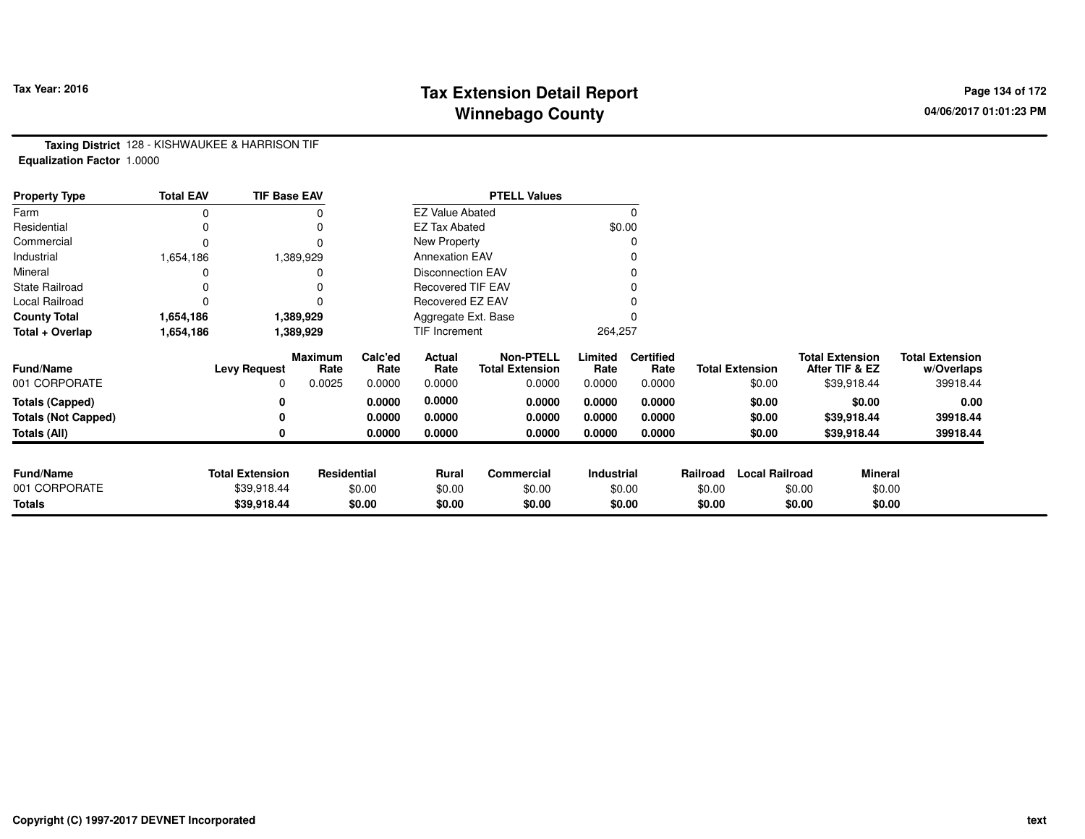# **Tax Extension Detail Report Tax Year: 2016 Page 134 of 172 Winnebago County**

**Taxing District** 128 - KISHWAUKEE & HARRISON TIF**Equalization Factor** 1.0000

| <b>Property Type</b>       | <b>Total EAV</b> | <b>TIF Base EAV</b>    |                 |                 |                          | <b>PTELL Values</b>                        |                 |                          |          |                        |                                          |                |                                      |
|----------------------------|------------------|------------------------|-----------------|-----------------|--------------------------|--------------------------------------------|-----------------|--------------------------|----------|------------------------|------------------------------------------|----------------|--------------------------------------|
| Farm                       |                  |                        |                 |                 | <b>EZ Value Abated</b>   |                                            |                 | 0                        |          |                        |                                          |                |                                      |
| Residential                |                  |                        |                 |                 | <b>EZ Tax Abated</b>     |                                            |                 | \$0.00                   |          |                        |                                          |                |                                      |
| Commercial                 |                  |                        |                 |                 | New Property             |                                            |                 | 0                        |          |                        |                                          |                |                                      |
| Industrial                 | 1,654,186        |                        | 1,389,929       |                 | <b>Annexation EAV</b>    |                                            |                 | 0                        |          |                        |                                          |                |                                      |
| Mineral                    |                  |                        |                 |                 | <b>Disconnection EAV</b> |                                            |                 | 0                        |          |                        |                                          |                |                                      |
| <b>State Railroad</b>      |                  |                        |                 |                 | <b>Recovered TIF EAV</b> |                                            |                 |                          |          |                        |                                          |                |                                      |
| Local Railroad             |                  |                        |                 |                 | Recovered EZ EAV         |                                            |                 |                          |          |                        |                                          |                |                                      |
| <b>County Total</b>        | 1,654,186        |                        | 1,389,929       |                 | Aggregate Ext. Base      |                                            |                 |                          |          |                        |                                          |                |                                      |
| Total + Overlap            | 1,654,186        |                        | 1,389,929       |                 | TIF Increment            |                                            | 264,257         |                          |          |                        |                                          |                |                                      |
| <b>Fund/Name</b>           |                  | <b>Levy Request</b>    | Maximum<br>Rate | Calc'ed<br>Rate | Actual<br>Rate           | <b>Non-PTELL</b><br><b>Total Extension</b> | Limited<br>Rate | <b>Certified</b><br>Rate |          | <b>Total Extension</b> | <b>Total Extension</b><br>After TIF & EZ |                | <b>Total Extension</b><br>w/Overlaps |
| 001 CORPORATE              |                  | 0                      | 0.0025          | 0.0000          | 0.0000                   | 0.0000                                     | 0.0000          | 0.0000                   |          | \$0.00                 |                                          | \$39,918.44    | 39918.44                             |
| <b>Totals (Capped)</b>     |                  |                        |                 | 0.0000          | 0.0000                   | 0.0000                                     | 0.0000          | 0.0000                   |          | \$0.00                 |                                          | \$0.00         | 0.00                                 |
| <b>Totals (Not Capped)</b> |                  |                        |                 | 0.0000          | 0.0000                   | 0.0000                                     | 0.0000          | 0.0000                   |          | \$0.00                 |                                          | \$39,918.44    | 39918.44                             |
| Totals (All)               |                  |                        |                 | 0.0000          | 0.0000                   | 0.0000                                     | 0.0000          | 0.0000                   |          | \$0.00                 |                                          | \$39,918.44    | 39918.44                             |
|                            |                  |                        |                 |                 |                          |                                            |                 |                          |          |                        |                                          |                |                                      |
| <b>Fund/Name</b>           |                  | <b>Total Extension</b> | Residential     |                 | Rural                    | Commercial                                 | Industrial      |                          | Railroad | <b>Local Railroad</b>  |                                          | <b>Mineral</b> |                                      |
| 001 CORPORATE              |                  | \$39,918.44            |                 | \$0.00          | \$0.00                   | \$0.00                                     |                 | \$0.00                   | \$0.00   |                        | \$0.00                                   | \$0.00         |                                      |
| <b>Totals</b>              |                  | \$39,918.44            |                 | \$0.00          | \$0.00                   | \$0.00                                     |                 | \$0.00                   | \$0.00   |                        | \$0.00                                   | \$0.00         |                                      |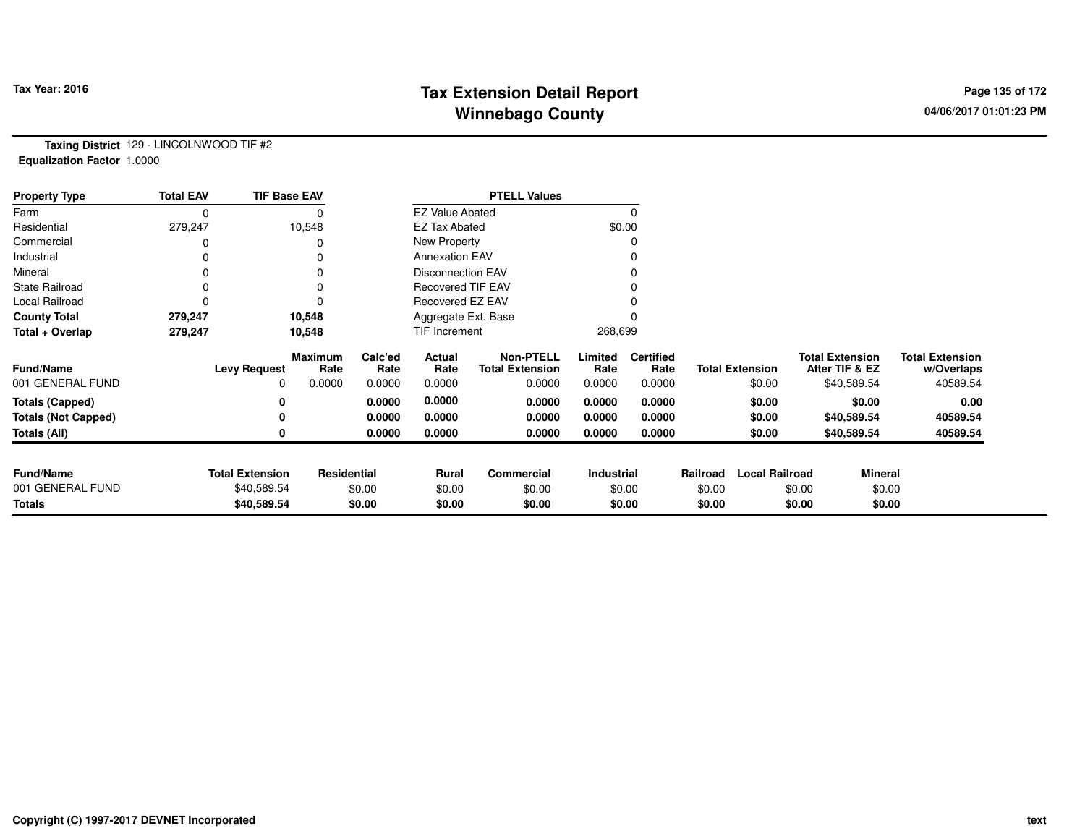# **Tax Extension Detail Report Tax Year: 2016 Page 135 of 172 Winnebago County**

**Taxing District** 129 - LINCOLNWOOD TIF #2**Equalization Factor** 1.0000

| <b>Property Type</b>       | <b>Total EAV</b> | <b>TIF Base EAV</b>    |                 |                 |                          | <b>PTELL Values</b>                        |                 |                          |          |                        |        |                                          |                                      |
|----------------------------|------------------|------------------------|-----------------|-----------------|--------------------------|--------------------------------------------|-----------------|--------------------------|----------|------------------------|--------|------------------------------------------|--------------------------------------|
| Farm                       |                  |                        |                 |                 | <b>EZ Value Abated</b>   |                                            |                 | $\Omega$                 |          |                        |        |                                          |                                      |
| Residential                | 279,247          |                        | 10,548          |                 | <b>EZ Tax Abated</b>     |                                            |                 | \$0.00                   |          |                        |        |                                          |                                      |
| Commercial                 |                  |                        |                 |                 | New Property             |                                            |                 | 0                        |          |                        |        |                                          |                                      |
| Industrial                 |                  |                        |                 |                 | <b>Annexation EAV</b>    |                                            |                 | 0                        |          |                        |        |                                          |                                      |
| Mineral                    |                  |                        |                 |                 | <b>Disconnection EAV</b> |                                            |                 | 0                        |          |                        |        |                                          |                                      |
| <b>State Railroad</b>      |                  |                        |                 |                 | <b>Recovered TIF EAV</b> |                                            |                 |                          |          |                        |        |                                          |                                      |
| Local Railroad             |                  |                        |                 |                 | Recovered EZ EAV         |                                            |                 |                          |          |                        |        |                                          |                                      |
| <b>County Total</b>        | 279,247          |                        | 10,548          |                 | Aggregate Ext. Base      |                                            |                 |                          |          |                        |        |                                          |                                      |
| Total + Overlap            | 279,247          |                        | 10,548          |                 | TIF Increment            |                                            | 268,699         |                          |          |                        |        |                                          |                                      |
| <b>Fund/Name</b>           |                  | <b>Levy Request</b>    | Maximum<br>Rate | Calc'ed<br>Rate | Actual<br>Rate           | <b>Non-PTELL</b><br><b>Total Extension</b> | Limited<br>Rate | <b>Certified</b><br>Rate |          | <b>Total Extension</b> |        | <b>Total Extension</b><br>After TIF & EZ | <b>Total Extension</b><br>w/Overlaps |
| 001 GENERAL FUND           |                  | 0                      | 0.0000          | 0.0000          | 0.0000                   | 0.0000                                     | 0.0000          | 0.0000                   |          | \$0.00                 |        | \$40,589.54                              | 40589.54                             |
| <b>Totals (Capped)</b>     |                  |                        |                 | 0.0000          | 0.0000                   | 0.0000                                     | 0.0000          | 0.0000                   |          | \$0.00                 |        | \$0.00                                   | 0.00                                 |
| <b>Totals (Not Capped)</b> |                  |                        |                 | 0.0000          | 0.0000                   | 0.0000                                     | 0.0000          | 0.0000                   |          | \$0.00                 |        | \$40,589.54                              | 40589.54                             |
| <b>Totals (All)</b>        |                  |                        |                 | 0.0000          | 0.0000                   | 0.0000                                     | 0.0000          | 0.0000                   |          | \$0.00                 |        | \$40,589.54                              | 40589.54                             |
|                            |                  |                        |                 |                 |                          |                                            |                 |                          |          |                        |        |                                          |                                      |
| <b>Fund/Name</b>           |                  | <b>Total Extension</b> | Residential     |                 | Rural                    | Commercial                                 | Industrial      |                          | Railroad | <b>Local Railroad</b>  |        | Mineral                                  |                                      |
| 001 GENERAL FUND           |                  | \$40,589.54            |                 | \$0.00          | \$0.00                   | \$0.00                                     |                 | \$0.00                   | \$0.00   |                        | \$0.00 | \$0.00                                   |                                      |
| <b>Totals</b>              |                  | \$40,589.54            |                 | \$0.00          | \$0.00                   | \$0.00                                     |                 | \$0.00                   | \$0.00   |                        | \$0.00 | \$0.00                                   |                                      |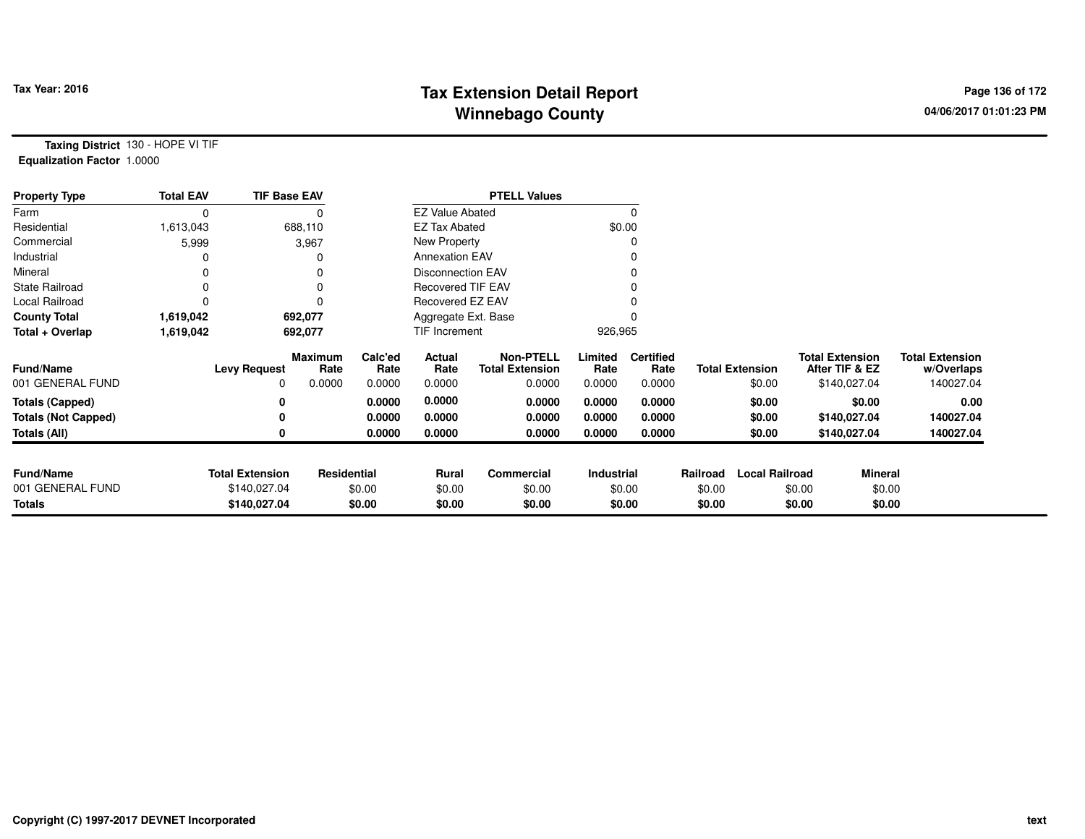# **Tax Extension Detail Report Tax Year: 2016 Page 136 of 172 Winnebago County**

**Taxing District** 130 - HOPE VI TIF**Equalization Factor** 1.0000

| <b>Property Type</b>       | <b>Total EAV</b> | <b>TIF Base EAV</b>    |                        |                 |                          | <b>PTELL Values</b>                        |                 |                          |          |                        |                                          |              |                                      |
|----------------------------|------------------|------------------------|------------------------|-----------------|--------------------------|--------------------------------------------|-----------------|--------------------------|----------|------------------------|------------------------------------------|--------------|--------------------------------------|
| Farm                       | 0                |                        |                        |                 | <b>EZ Value Abated</b>   |                                            |                 |                          |          |                        |                                          |              |                                      |
| Residential                | 1,613,043        |                        | 688,110                |                 | <b>EZ Tax Abated</b>     |                                            |                 | \$0.00                   |          |                        |                                          |              |                                      |
| Commercial                 | 5,999            |                        | 3,967                  |                 | New Property             |                                            |                 |                          |          |                        |                                          |              |                                      |
| Industrial                 |                  |                        |                        |                 | <b>Annexation EAV</b>    |                                            |                 |                          |          |                        |                                          |              |                                      |
| Mineral                    | 0                |                        |                        |                 | <b>Disconnection EAV</b> |                                            |                 |                          |          |                        |                                          |              |                                      |
| <b>State Railroad</b>      | 0                |                        |                        |                 | <b>Recovered TIF EAV</b> |                                            |                 |                          |          |                        |                                          |              |                                      |
| Local Railroad             |                  |                        |                        |                 | Recovered EZ EAV         |                                            |                 |                          |          |                        |                                          |              |                                      |
| <b>County Total</b>        | 1,619,042        |                        | 692,077                |                 | Aggregate Ext. Base      |                                            |                 |                          |          |                        |                                          |              |                                      |
| Total + Overlap            | 1,619,042        |                        | 692,077                |                 | TIF Increment            |                                            | 926,965         |                          |          |                        |                                          |              |                                      |
| <b>Fund/Name</b>           |                  | <b>Levy Request</b>    | <b>Maximum</b><br>Rate | Calc'ed<br>Rate | Actual<br>Rate           | <b>Non-PTELL</b><br><b>Total Extension</b> | Limited<br>Rate | <b>Certified</b><br>Rate |          | <b>Total Extension</b> | <b>Total Extension</b><br>After TIF & EZ |              | <b>Total Extension</b><br>w/Overlaps |
| 001 GENERAL FUND           |                  | <sup>0</sup>           | 0.0000                 | 0.0000          | 0.0000                   | 0.0000                                     | 0.0000          | 0.0000                   |          | \$0.00                 |                                          | \$140,027.04 | 140027.04                            |
| <b>Totals (Capped)</b>     |                  | 0                      |                        | 0.0000          | 0.0000                   | 0.0000                                     | 0.0000          | 0.0000                   |          | \$0.00                 |                                          | \$0.00       | 0.00                                 |
| <b>Totals (Not Capped)</b> |                  | 0                      |                        | 0.0000          | 0.0000                   | 0.0000                                     | 0.0000          | 0.0000                   |          | \$0.00                 |                                          | \$140,027.04 | 140027.04                            |
| Totals (All)               |                  | 0                      |                        | 0.0000          | 0.0000                   | 0.0000                                     | 0.0000          | 0.0000                   |          | \$0.00                 |                                          | \$140,027.04 | 140027.04                            |
| <b>Fund/Name</b>           |                  | <b>Total Extension</b> | Residential            |                 | Rural                    | Commercial                                 | Industrial      |                          | Railroad | <b>Local Railroad</b>  |                                          | Mineral      |                                      |
| 001 GENERAL FUND           |                  | \$140,027.04           |                        | \$0.00          | \$0.00                   | \$0.00                                     |                 | \$0.00                   | \$0.00   |                        | \$0.00                                   | \$0.00       |                                      |
| <b>Totals</b>              |                  | \$140,027.04           |                        | \$0.00          | \$0.00                   | \$0.00                                     |                 | \$0.00                   | \$0.00   |                        | \$0.00                                   | \$0.00       |                                      |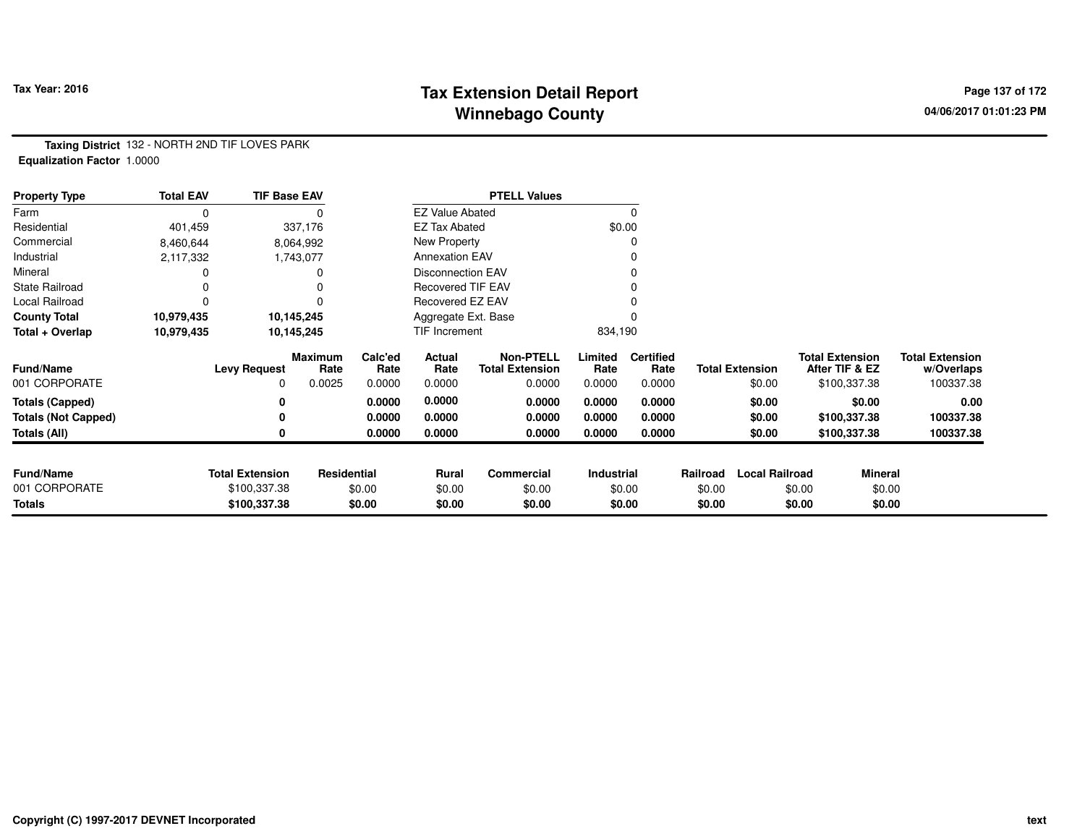## **Tax Extension Detail Report Tax Figure 2016 Page 137 of 172 Winnebago County**

**Taxing District** 132 - NORTH 2ND TIF LOVES PARK**Equalization Factor** 1.0000

| <b>Property Type</b>       | <b>Total EAV</b> | <b>TIF Base EAV</b>    |                        |                 |                          | <b>PTELL Values</b>                        |                 |                          |          |                        |                                          |                |                                      |
|----------------------------|------------------|------------------------|------------------------|-----------------|--------------------------|--------------------------------------------|-----------------|--------------------------|----------|------------------------|------------------------------------------|----------------|--------------------------------------|
| Farm                       | 0                |                        |                        |                 | <b>EZ Value Abated</b>   |                                            |                 |                          |          |                        |                                          |                |                                      |
| Residential                | 401,459          |                        | 337,176                |                 | <b>EZ Tax Abated</b>     |                                            |                 | \$0.00                   |          |                        |                                          |                |                                      |
| Commercial                 | 8,460,644        |                        | 8,064,992              |                 | New Property             |                                            |                 |                          |          |                        |                                          |                |                                      |
| Industrial                 | 2,117,332        |                        | 1,743,077              |                 | <b>Annexation EAV</b>    |                                            |                 |                          |          |                        |                                          |                |                                      |
| Mineral                    |                  |                        |                        |                 | <b>Disconnection EAV</b> |                                            |                 |                          |          |                        |                                          |                |                                      |
| <b>State Railroad</b>      |                  |                        |                        |                 | <b>Recovered TIF EAV</b> |                                            |                 |                          |          |                        |                                          |                |                                      |
| Local Railroad             | 0                |                        |                        |                 | Recovered EZ EAV         |                                            |                 |                          |          |                        |                                          |                |                                      |
| <b>County Total</b>        | 10,979,435       |                        | 10,145,245             |                 | Aggregate Ext. Base      |                                            |                 |                          |          |                        |                                          |                |                                      |
| Total + Overlap            | 10,979,435       |                        | 10,145,245             |                 | TIF Increment            |                                            | 834,190         |                          |          |                        |                                          |                |                                      |
| <b>Fund/Name</b>           |                  | <b>Levy Request</b>    | <b>Maximum</b><br>Rate | Calc'ed<br>Rate | Actual<br>Rate           | <b>Non-PTELL</b><br><b>Total Extension</b> | Limited<br>Rate | <b>Certified</b><br>Rate |          | <b>Total Extension</b> | <b>Total Extension</b><br>After TIF & EZ |                | <b>Total Extension</b><br>w/Overlaps |
| 001 CORPORATE              |                  | 0                      | 0.0025                 | 0.0000          | 0.0000                   | 0.0000                                     | 0.0000          | 0.0000                   |          | \$0.00                 | \$100,337.38                             |                | 100337.38                            |
| <b>Totals (Capped)</b>     |                  | 0                      |                        | 0.0000          | 0.0000                   | 0.0000                                     | 0.0000          | 0.0000                   |          | \$0.00                 |                                          | \$0.00         | 0.00                                 |
| <b>Totals (Not Capped)</b> |                  | 0                      |                        | 0.0000          | 0.0000                   | 0.0000                                     | 0.0000          | 0.0000                   |          | \$0.00                 | \$100,337.38                             |                | 100337.38                            |
| Totals (All)               |                  | 0                      |                        | 0.0000          | 0.0000                   | 0.0000                                     | 0.0000          | 0.0000                   |          | \$0.00                 | \$100,337.38                             |                | 100337.38                            |
|                            |                  |                        |                        |                 |                          |                                            |                 |                          |          |                        |                                          |                |                                      |
| <b>Fund/Name</b>           |                  | <b>Total Extension</b> | Residential            |                 | <b>Rural</b>             | Commercial                                 | Industrial      |                          | Railroad | <b>Local Railroad</b>  |                                          | <b>Mineral</b> |                                      |
| 001 CORPORATE              |                  | \$100,337.38           |                        | \$0.00          | \$0.00                   | \$0.00                                     |                 | \$0.00                   | \$0.00   |                        | \$0.00                                   | \$0.00         |                                      |
| Totals                     |                  | \$100,337.38           |                        | \$0.00          | \$0.00                   | \$0.00                                     |                 | \$0.00                   | \$0.00   |                        | \$0.00                                   | \$0.00         |                                      |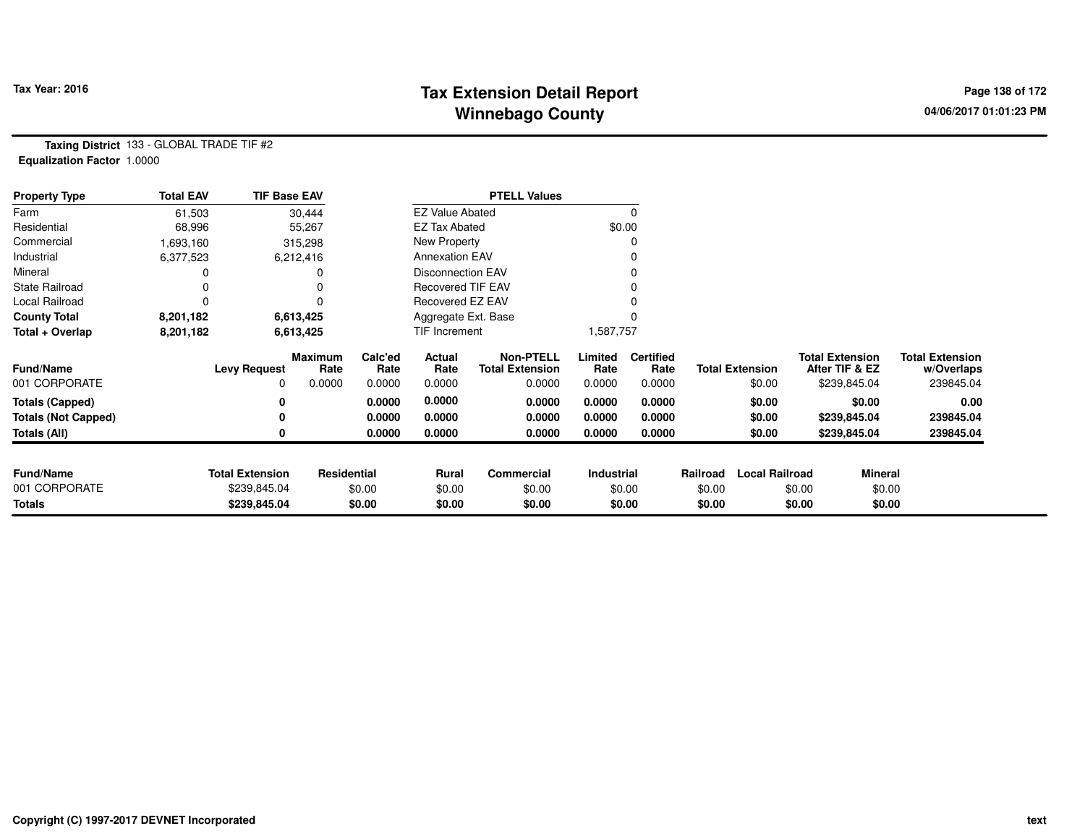# **Tax Extension Detail Report Tax Year: 2016 Page 138 of 172 Winnebago County**

**Taxing District** 133 - GLOBAL TRADE TIF #2**Equalization Factor** 1.0000

| <b>Property Type</b>       | <b>Total EAV</b> | <b>TIF Base EAV</b>    |                 |                 |                          | <b>PTELL Values</b>                        |                 |                          |          |                        |                                          |              |                                      |
|----------------------------|------------------|------------------------|-----------------|-----------------|--------------------------|--------------------------------------------|-----------------|--------------------------|----------|------------------------|------------------------------------------|--------------|--------------------------------------|
| Farm                       | 61,503           |                        | 30,444          |                 | <b>EZ Value Abated</b>   |                                            |                 | 0                        |          |                        |                                          |              |                                      |
| Residential                | 68,996           |                        | 55,267          |                 | <b>EZ Tax Abated</b>     |                                            |                 | \$0.00                   |          |                        |                                          |              |                                      |
| Commercial                 | 1,693,160        |                        | 315,298         |                 | New Property             |                                            |                 |                          |          |                        |                                          |              |                                      |
| Industrial                 | 6,377,523        |                        | 6,212,416       |                 | <b>Annexation EAV</b>    |                                            |                 |                          |          |                        |                                          |              |                                      |
| Mineral                    |                  |                        |                 |                 | <b>Disconnection EAV</b> |                                            |                 |                          |          |                        |                                          |              |                                      |
| <b>State Railroad</b>      |                  |                        |                 |                 | <b>Recovered TIF EAV</b> |                                            |                 |                          |          |                        |                                          |              |                                      |
| Local Railroad             |                  |                        |                 |                 | Recovered EZ EAV         |                                            |                 |                          |          |                        |                                          |              |                                      |
| <b>County Total</b>        | 8,201,182        |                        | 6,613,425       |                 | Aggregate Ext. Base      |                                            |                 |                          |          |                        |                                          |              |                                      |
| Total + Overlap            | 8,201,182        |                        | 6,613,425       |                 | TIF Increment            |                                            | 1,587,757       |                          |          |                        |                                          |              |                                      |
| <b>Fund/Name</b>           |                  | <b>Levy Request</b>    | Maximum<br>Rate | Calc'ed<br>Rate | Actual<br>Rate           | <b>Non-PTELL</b><br><b>Total Extension</b> | Limited<br>Rate | <b>Certified</b><br>Rate |          | <b>Total Extension</b> | <b>Total Extension</b><br>After TIF & EZ |              | <b>Total Extension</b><br>w/Overlaps |
| 001 CORPORATE              |                  | $\Omega$               | 0.0000          | 0.0000          | 0.0000                   | 0.0000                                     | 0.0000          | 0.0000                   |          | \$0.00                 |                                          | \$239,845.04 | 239845.04                            |
| <b>Totals (Capped)</b>     |                  | 0                      |                 | 0.0000          | 0.0000                   | 0.0000                                     | 0.0000          | 0.0000                   |          | \$0.00                 |                                          | \$0.00       | 0.00                                 |
| <b>Totals (Not Capped)</b> |                  | 0                      |                 | 0.0000          | 0.0000                   | 0.0000                                     | 0.0000          | 0.0000                   |          | \$0.00                 |                                          | \$239,845.04 | 239845.04                            |
| Totals (All)               |                  | 0                      |                 | 0.0000          | 0.0000                   | 0.0000                                     | 0.0000          | 0.0000                   |          | \$0.00                 |                                          | \$239,845.04 | 239845.04                            |
|                            |                  |                        |                 |                 |                          |                                            |                 |                          |          |                        |                                          |              |                                      |
| <b>Fund/Name</b>           |                  | <b>Total Extension</b> | Residential     |                 | <b>Rural</b>             | Commercial                                 | Industrial      |                          | Railroad | <b>Local Railroad</b>  |                                          | Mineral      |                                      |
| 001 CORPORATE              |                  | \$239,845.04           |                 | \$0.00          | \$0.00                   | \$0.00                                     |                 | \$0.00                   | \$0.00   |                        | \$0.00                                   | \$0.00       |                                      |
| <b>Totals</b>              |                  | \$239,845.04           |                 | \$0.00          | \$0.00                   | \$0.00                                     |                 | \$0.00                   | \$0.00   |                        | \$0.00                                   | \$0.00       |                                      |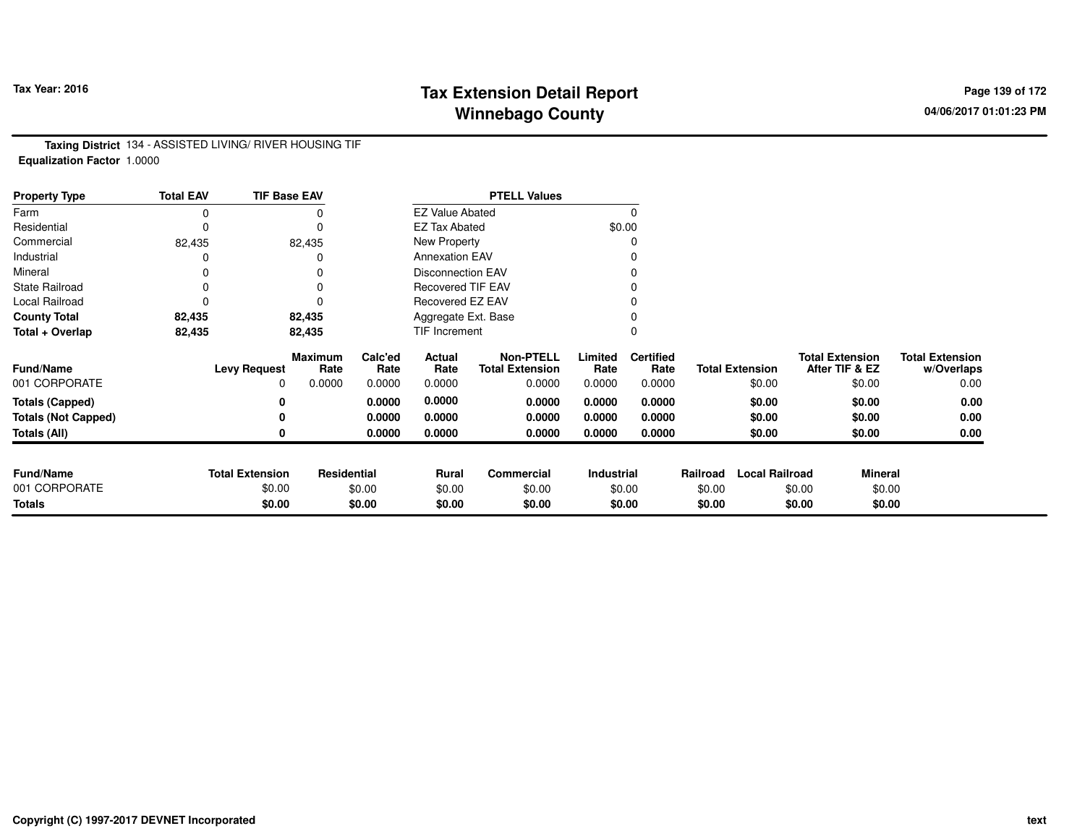# **Tax Extension Detail Report Tax Year: 2016 Page 139 of 172 Winnebago County**

**Taxing District** 134 - ASSISTED LIVING/ RIVER HOUSING TIF**Equalization Factor** 1.0000

| <b>Property Type</b>       | <b>Total EAV</b> | <b>TIF Base EAV</b>    |                        |                 |                          | <b>PTELL Values</b>                        |                 |                          |          |                        |                                          |                                      |
|----------------------------|------------------|------------------------|------------------------|-----------------|--------------------------|--------------------------------------------|-----------------|--------------------------|----------|------------------------|------------------------------------------|--------------------------------------|
| Farm                       | 0                |                        |                        |                 | <b>EZ Value Abated</b>   |                                            |                 | 0                        |          |                        |                                          |                                      |
| Residential                | 0                |                        | $\Omega$               |                 | <b>EZ Tax Abated</b>     |                                            |                 | \$0.00                   |          |                        |                                          |                                      |
| Commercial                 | 82,435           |                        | 82,435                 |                 | New Property             |                                            |                 |                          |          |                        |                                          |                                      |
| Industrial                 |                  |                        | 0                      |                 | <b>Annexation EAV</b>    |                                            |                 |                          |          |                        |                                          |                                      |
| Mineral                    |                  |                        | 0                      |                 | <b>Disconnection EAV</b> |                                            |                 |                          |          |                        |                                          |                                      |
| <b>State Railroad</b>      | 0                |                        | 0                      |                 | <b>Recovered TIF EAV</b> |                                            |                 |                          |          |                        |                                          |                                      |
| Local Railroad             | $\Omega$         |                        | $\Omega$               |                 | Recovered EZ EAV         |                                            |                 |                          |          |                        |                                          |                                      |
| <b>County Total</b>        | 82,435           |                        | 82,435                 |                 | Aggregate Ext. Base      |                                            |                 |                          |          |                        |                                          |                                      |
| Total + Overlap            | 82,435           |                        | 82,435                 |                 | TIF Increment            |                                            |                 | 0                        |          |                        |                                          |                                      |
| Fund/Name                  |                  | <b>Levy Request</b>    | <b>Maximum</b><br>Rate | Calc'ed<br>Rate | Actual<br>Rate           | <b>Non-PTELL</b><br><b>Total Extension</b> | Limited<br>Rate | <b>Certified</b><br>Rate |          | <b>Total Extension</b> | <b>Total Extension</b><br>After TIF & EZ | <b>Total Extension</b><br>w/Overlaps |
| 001 CORPORATE              |                  | 0                      | 0.0000                 | 0.0000          | 0.0000                   | 0.0000                                     | 0.0000          | 0.0000                   |          | \$0.00                 | \$0.00                                   | 0.00                                 |
| <b>Totals (Capped)</b>     |                  | 0                      |                        | 0.0000          | 0.0000                   | 0.0000                                     | 0.0000          | 0.0000                   |          | \$0.00                 | \$0.00                                   | 0.00                                 |
| <b>Totals (Not Capped)</b> |                  | 0                      |                        | 0.0000          | 0.0000                   | 0.0000                                     | 0.0000          | 0.0000                   |          | \$0.00                 | \$0.00                                   | 0.00                                 |
| Totals (All)               |                  | 0                      |                        | 0.0000          | 0.0000                   | 0.0000                                     | 0.0000          | 0.0000                   |          | \$0.00                 | \$0.00                                   | 0.00                                 |
|                            |                  |                        |                        |                 |                          |                                            |                 |                          |          |                        |                                          |                                      |
| <b>Fund/Name</b>           |                  | <b>Total Extension</b> | Residential            |                 | <b>Rural</b>             | <b>Commercial</b>                          | Industrial      |                          | Railroad | <b>Local Railroad</b>  | <b>Mineral</b>                           |                                      |
| 001 CORPORATE              |                  | \$0.00                 |                        | \$0.00          | \$0.00                   | \$0.00                                     |                 | \$0.00                   | \$0.00   |                        | \$0.00                                   | \$0.00                               |
| <b>Totals</b>              |                  | \$0.00                 |                        | \$0.00          | \$0.00                   | \$0.00                                     |                 | \$0.00                   | \$0.00   |                        | \$0.00                                   | \$0.00                               |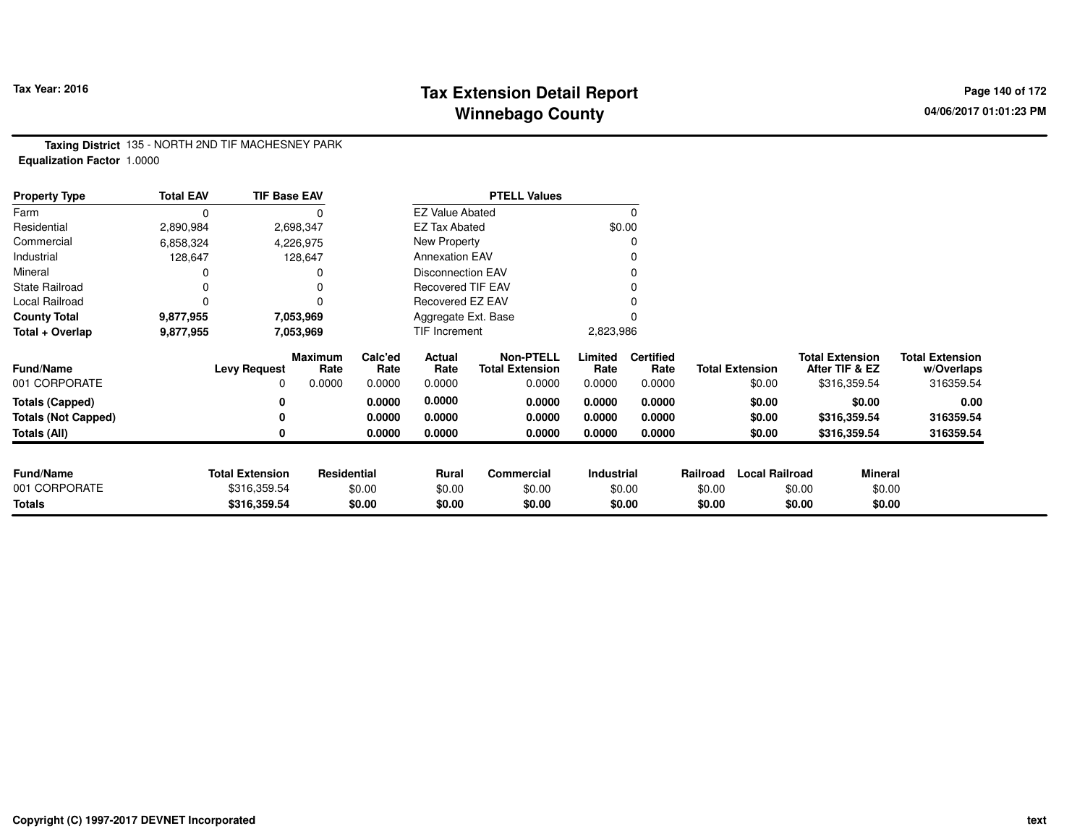# **Tax Extension Detail Report Tax Year: 2016 Page 140 of 172 Winnebago County**

**Taxing District** 135 - NORTH 2ND TIF MACHESNEY PARK**Equalization Factor** 1.0000

| <b>Property Type</b>       | <b>Total EAV</b> | <b>TIF Base EAV</b>    |                        |                 |                          | <b>PTELL Values</b>                        |                   |                          |          |                        |                                          |                |                                      |
|----------------------------|------------------|------------------------|------------------------|-----------------|--------------------------|--------------------------------------------|-------------------|--------------------------|----------|------------------------|------------------------------------------|----------------|--------------------------------------|
| Farm                       | 0                |                        |                        |                 | <b>EZ Value Abated</b>   |                                            |                   | $\Omega$                 |          |                        |                                          |                |                                      |
| Residential                | 2,890,984        |                        | 2,698,347              |                 | <b>EZ Tax Abated</b>     |                                            |                   | \$0.00                   |          |                        |                                          |                |                                      |
| Commercial                 | 6,858,324        |                        | 4,226,975              |                 | New Property             |                                            |                   |                          |          |                        |                                          |                |                                      |
| Industrial                 | 128,647          |                        | 128,647                |                 | <b>Annexation EAV</b>    |                                            |                   | 0                        |          |                        |                                          |                |                                      |
| Mineral                    |                  |                        |                        |                 | <b>Disconnection EAV</b> |                                            |                   | $\Omega$                 |          |                        |                                          |                |                                      |
| <b>State Railroad</b>      | 0                |                        |                        |                 | <b>Recovered TIF EAV</b> |                                            |                   |                          |          |                        |                                          |                |                                      |
| Local Railroad             | 0                |                        | $\Omega$               |                 | Recovered EZ EAV         |                                            |                   |                          |          |                        |                                          |                |                                      |
| <b>County Total</b>        | 9,877,955        |                        | 7,053,969              |                 | Aggregate Ext. Base      |                                            |                   |                          |          |                        |                                          |                |                                      |
| Total + Overlap            | 9,877,955        |                        | 7,053,969              |                 | TIF Increment            |                                            | 2,823,986         |                          |          |                        |                                          |                |                                      |
| <b>Fund/Name</b>           |                  | <b>Levy Request</b>    | <b>Maximum</b><br>Rate | Calc'ed<br>Rate | Actual<br>Rate           | <b>Non-PTELL</b><br><b>Total Extension</b> | Limited<br>Rate   | <b>Certified</b><br>Rate |          | <b>Total Extension</b> | <b>Total Extension</b><br>After TIF & EZ |                | <b>Total Extension</b><br>w/Overlaps |
| 001 CORPORATE              |                  | 0                      | 0.0000                 | 0.0000          | 0.0000                   | 0.0000                                     | 0.0000            | 0.0000                   |          | \$0.00                 | \$316,359.54                             |                | 316359.54                            |
| <b>Totals (Capped)</b>     |                  | 0                      |                        | 0.0000          | 0.0000                   | 0.0000                                     | 0.0000            | 0.0000                   |          | \$0.00                 |                                          | \$0.00         | 0.00                                 |
| <b>Totals (Not Capped)</b> |                  | 0                      |                        | 0.0000          | 0.0000                   | 0.0000                                     | 0.0000            | 0.0000                   |          | \$0.00                 | \$316,359.54                             |                | 316359.54                            |
| Totals (All)               |                  | 0                      |                        | 0.0000          | 0.0000                   | 0.0000                                     | 0.0000            | 0.0000                   |          | \$0.00                 | \$316,359.54                             |                | 316359.54                            |
| <b>Fund/Name</b>           |                  | <b>Total Extension</b> | Residential            |                 | Rural                    | <b>Commercial</b>                          | <b>Industrial</b> |                          | Railroad | <b>Local Railroad</b>  |                                          | <b>Mineral</b> |                                      |
| 001 CORPORATE              |                  | \$316,359.54           |                        | \$0.00          | \$0.00                   | \$0.00                                     |                   | \$0.00                   | \$0.00   |                        | \$0.00                                   | \$0.00         |                                      |
| <b>Totals</b>              |                  | \$316,359.54           |                        | \$0.00          | \$0.00                   | \$0.00                                     |                   | \$0.00                   | \$0.00   |                        | \$0.00                                   | \$0.00         |                                      |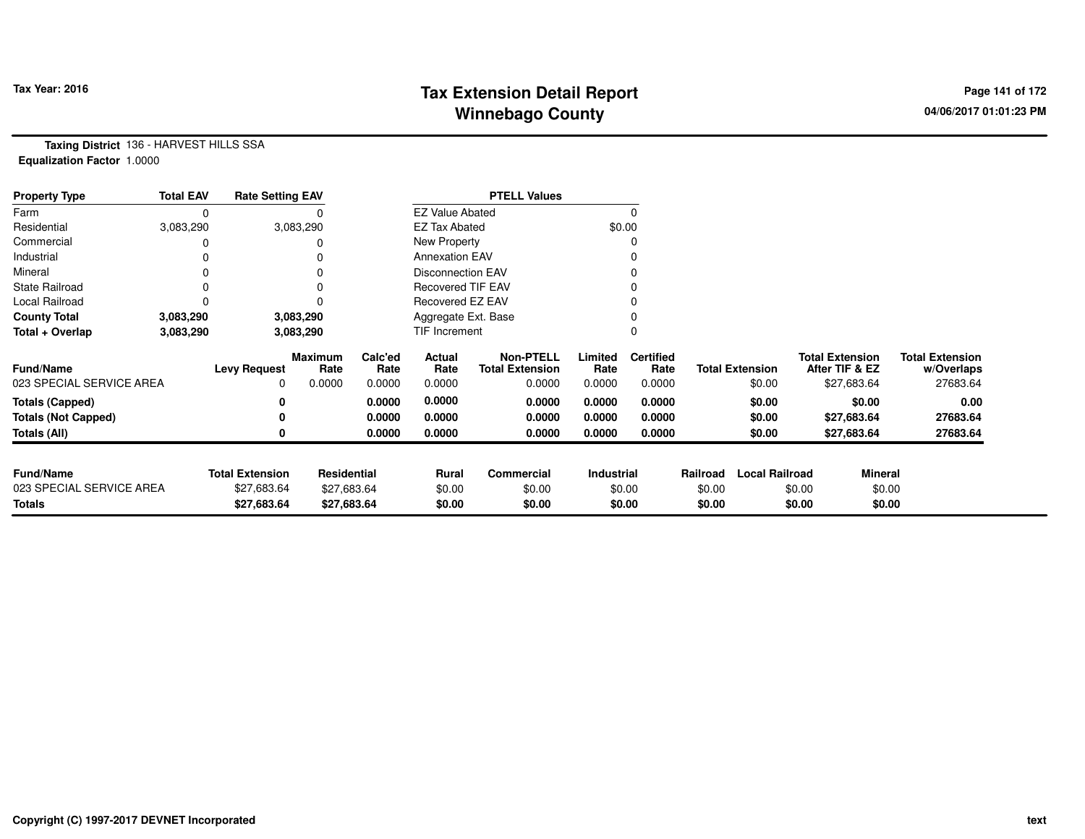# **Tax Extension Detail Report Tax Year: 2016 Page 141 of 172 Winnebago County**

**Taxing District** 136 - HARVEST HILLS SSA**Equalization Factor** 1.0000

| <b>Property Type</b>       | <b>Total EAV</b> | <b>Rate Setting EAV</b> |                        |                 |                          | <b>PTELL Values</b>                        |                 |                          |          |                        |        |                                          |                                      |
|----------------------------|------------------|-------------------------|------------------------|-----------------|--------------------------|--------------------------------------------|-----------------|--------------------------|----------|------------------------|--------|------------------------------------------|--------------------------------------|
| Farm                       | 0                |                         |                        |                 | <b>EZ Value Abated</b>   |                                            |                 |                          |          |                        |        |                                          |                                      |
| Residential                | 3,083,290        |                         | 3,083,290              |                 | <b>EZ Tax Abated</b>     |                                            |                 | \$0.00                   |          |                        |        |                                          |                                      |
| Commercial                 |                  |                         |                        |                 | New Property             |                                            |                 |                          |          |                        |        |                                          |                                      |
| Industrial                 | 0                |                         |                        |                 | <b>Annexation EAV</b>    |                                            |                 |                          |          |                        |        |                                          |                                      |
| Mineral                    |                  |                         |                        |                 | <b>Disconnection EAV</b> |                                            |                 |                          |          |                        |        |                                          |                                      |
| <b>State Railroad</b>      | 0                |                         |                        |                 | <b>Recovered TIF EAV</b> |                                            |                 |                          |          |                        |        |                                          |                                      |
| Local Railroad             | 0                |                         |                        |                 | Recovered EZ EAV         |                                            |                 |                          |          |                        |        |                                          |                                      |
| <b>County Total</b>        | 3,083,290        |                         | 3,083,290              |                 | Aggregate Ext. Base      |                                            |                 |                          |          |                        |        |                                          |                                      |
| Total + Overlap            | 3,083,290        |                         | 3,083,290              |                 | TIF Increment            |                                            |                 |                          |          |                        |        |                                          |                                      |
| <b>Fund/Name</b>           |                  | <b>Levy Request</b>     | <b>Maximum</b><br>Rate | Calc'ed<br>Rate | Actual<br>Rate           | <b>Non-PTELL</b><br><b>Total Extension</b> | Limited<br>Rate | <b>Certified</b><br>Rate |          | <b>Total Extension</b> |        | <b>Total Extension</b><br>After TIF & EZ | <b>Total Extension</b><br>w/Overlaps |
| 023 SPECIAL SERVICE AREA   |                  | 0                       | 0.0000                 | 0.0000          | 0.0000                   | 0.0000                                     | 0.0000          | 0.0000                   |          | \$0.00                 |        | \$27,683.64                              | 27683.64                             |
| <b>Totals (Capped)</b>     |                  | 0                       |                        | 0.0000          | 0.0000                   | 0.0000                                     | 0.0000          | 0.0000                   |          | \$0.00                 |        | \$0.00                                   | 0.00                                 |
| <b>Totals (Not Capped)</b> |                  |                         |                        | 0.0000          | 0.0000                   | 0.0000                                     | 0.0000          | 0.0000                   |          | \$0.00                 |        | \$27,683.64                              | 27683.64                             |
| Totals (All)               |                  |                         |                        | 0.0000          | 0.0000                   | 0.0000                                     | 0.0000          | 0.0000                   |          | \$0.00                 |        | \$27,683.64                              | 27683.64                             |
|                            |                  |                         |                        |                 |                          |                                            |                 |                          |          |                        |        |                                          |                                      |
| <b>Fund/Name</b>           |                  | <b>Total Extension</b>  | <b>Residential</b>     |                 | Rural                    | Commercial                                 | Industrial      |                          | Railroad | <b>Local Railroad</b>  |        | <b>Mineral</b>                           |                                      |
| 023 SPECIAL SERVICE AREA   |                  | \$27,683.64             | \$27,683.64            |                 | \$0.00                   | \$0.00                                     |                 | \$0.00                   | \$0.00   |                        | \$0.00 | \$0.00                                   |                                      |
| <b>Totals</b>              |                  | \$27,683.64             |                        | \$27,683.64     | \$0.00                   | \$0.00                                     |                 | \$0.00                   | \$0.00   |                        | \$0.00 | \$0.00                                   |                                      |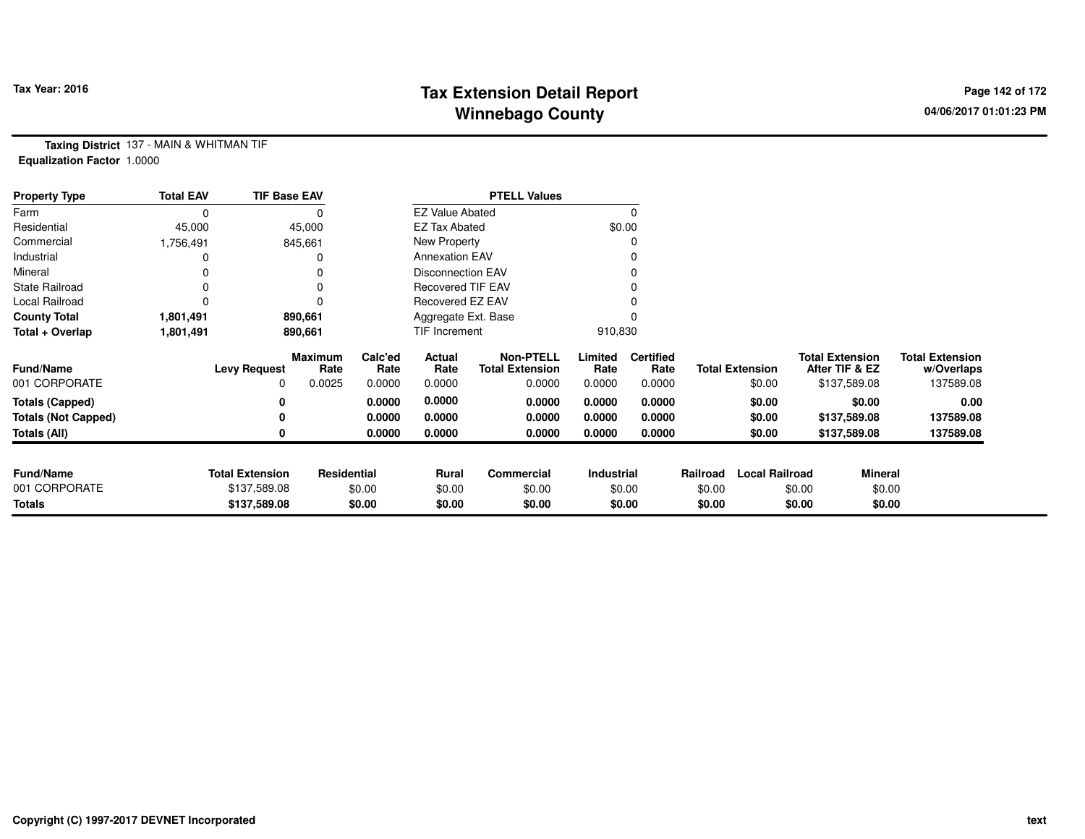# **Tax Extension Detail Report Tax Figure 2016 Page 142 of 172 Winnebago County**

**Taxing District** 137 - MAIN & WHITMAN TIF**Equalization Factor** 1.0000

| <b>Property Type</b>       | <b>Total EAV</b> | <b>TIF Base EAV</b>    |                        |                 |                          | <b>PTELL Values</b>                        |                 |                          |          |                        |                                          |                |                                      |
|----------------------------|------------------|------------------------|------------------------|-----------------|--------------------------|--------------------------------------------|-----------------|--------------------------|----------|------------------------|------------------------------------------|----------------|--------------------------------------|
| Farm                       | 0                |                        |                        |                 | <b>EZ Value Abated</b>   |                                            |                 |                          |          |                        |                                          |                |                                      |
| Residential                | 45,000           |                        | 45,000                 |                 | <b>EZ Tax Abated</b>     |                                            |                 | \$0.00                   |          |                        |                                          |                |                                      |
| Commercial                 | 1,756,491        |                        | 845,661                |                 | New Property             |                                            |                 |                          |          |                        |                                          |                |                                      |
| Industrial                 |                  |                        |                        |                 | <b>Annexation EAV</b>    |                                            |                 |                          |          |                        |                                          |                |                                      |
| Mineral                    |                  |                        |                        |                 | <b>Disconnection EAV</b> |                                            |                 |                          |          |                        |                                          |                |                                      |
| <b>State Railroad</b>      | 0                |                        |                        |                 | <b>Recovered TIF EAV</b> |                                            |                 |                          |          |                        |                                          |                |                                      |
| Local Railroad             |                  |                        |                        |                 | Recovered EZ EAV         |                                            |                 |                          |          |                        |                                          |                |                                      |
| <b>County Total</b>        | 1,801,491        |                        | 890,661                |                 | Aggregate Ext. Base      |                                            |                 |                          |          |                        |                                          |                |                                      |
| Total + Overlap            | 1,801,491        |                        | 890,661                |                 | TIF Increment            |                                            | 910,830         |                          |          |                        |                                          |                |                                      |
| <b>Fund/Name</b>           |                  | <b>Levy Request</b>    | <b>Maximum</b><br>Rate | Calc'ed<br>Rate | Actual<br>Rate           | <b>Non-PTELL</b><br><b>Total Extension</b> | Limited<br>Rate | <b>Certified</b><br>Rate |          | <b>Total Extension</b> | <b>Total Extension</b><br>After TIF & EZ |                | <b>Total Extension</b><br>w/Overlaps |
| 001 CORPORATE              |                  | 0                      | 0.0025                 | 0.0000          | 0.0000                   | 0.0000                                     | 0.0000          | 0.0000                   |          | \$0.00                 | \$137,589.08                             |                | 137589.08                            |
| <b>Totals (Capped)</b>     |                  | 0                      |                        | 0.0000          | 0.0000                   | 0.0000                                     | 0.0000          | 0.0000                   |          | \$0.00                 |                                          | \$0.00         | 0.00                                 |
| <b>Totals (Not Capped)</b> |                  | 0                      |                        | 0.0000          | 0.0000                   | 0.0000                                     | 0.0000          | 0.0000                   |          | \$0.00                 | \$137,589.08                             |                | 137589.08                            |
| <b>Totals (All)</b>        |                  | 0                      |                        | 0.0000          | 0.0000                   | 0.0000                                     | 0.0000          | 0.0000                   |          | \$0.00                 | \$137,589.08                             |                | 137589.08                            |
| <b>Fund/Name</b>           |                  | <b>Total Extension</b> | Residential            |                 | <b>Rural</b>             | <b>Commercial</b>                          | Industrial      |                          | Railroad | <b>Local Railroad</b>  |                                          | <b>Mineral</b> |                                      |
| 001 CORPORATE              |                  | \$137,589.08           |                        | \$0.00          | \$0.00                   | \$0.00                                     |                 | \$0.00                   | \$0.00   |                        | \$0.00                                   | \$0.00         |                                      |
| Totals                     |                  | \$137,589.08           |                        | \$0.00          | \$0.00                   | \$0.00                                     |                 | \$0.00                   | \$0.00   |                        | \$0.00                                   | \$0.00         |                                      |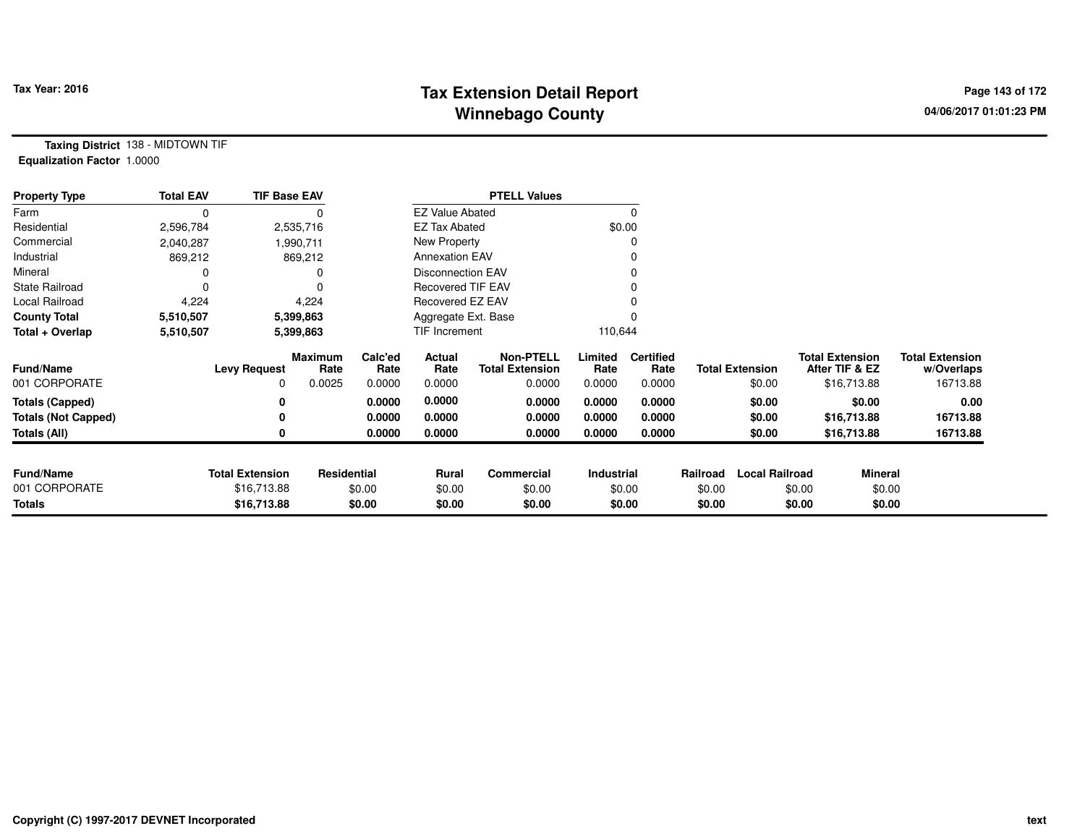# **Tax Extension Detail Report Constant Constructed Page 143 of 172 Page 143 of 172 Winnebago County**

**Taxing District** 138 - MIDTOWN TIF**Equalization Factor** 1.0000

| <b>Property Type</b>       | <b>Total EAV</b> | <b>TIF Base EAV</b>    |                 |                 |                          | <b>PTELL Values</b>                        |                 |                          |          |                        |        |                                          |                                      |
|----------------------------|------------------|------------------------|-----------------|-----------------|--------------------------|--------------------------------------------|-----------------|--------------------------|----------|------------------------|--------|------------------------------------------|--------------------------------------|
| Farm                       | 0                |                        | 0               |                 | <b>EZ Value Abated</b>   |                                            |                 |                          |          |                        |        |                                          |                                      |
| Residential                | 2,596,784        |                        | 2,535,716       |                 | <b>EZ Tax Abated</b>     |                                            |                 | \$0.00                   |          |                        |        |                                          |                                      |
| Commercial                 | 2,040,287        |                        | 1,990,711       |                 | New Property             |                                            |                 |                          |          |                        |        |                                          |                                      |
| Industrial                 | 869,212          |                        | 869,212         |                 | <b>Annexation EAV</b>    |                                            |                 |                          |          |                        |        |                                          |                                      |
| Mineral                    |                  |                        |                 |                 | <b>Disconnection EAV</b> |                                            |                 |                          |          |                        |        |                                          |                                      |
| <b>State Railroad</b>      |                  |                        | $\Omega$        |                 | <b>Recovered TIF EAV</b> |                                            |                 |                          |          |                        |        |                                          |                                      |
| Local Railroad             | 4,224            |                        | 4,224           |                 | Recovered EZ EAV         |                                            |                 |                          |          |                        |        |                                          |                                      |
| <b>County Total</b>        | 5,510,507        |                        | 5,399,863       |                 | Aggregate Ext. Base      |                                            |                 |                          |          |                        |        |                                          |                                      |
| Total + Overlap            | 5,510,507        |                        | 5,399,863       |                 | TIF Increment            |                                            | 110,644         |                          |          |                        |        |                                          |                                      |
| <b>Fund/Name</b>           |                  | <b>Levy Request</b>    | Maximum<br>Rate | Calc'ed<br>Rate | Actual<br>Rate           | <b>Non-PTELL</b><br><b>Total Extension</b> | Limited<br>Rate | <b>Certified</b><br>Rate |          | <b>Total Extension</b> |        | <b>Total Extension</b><br>After TIF & EZ | <b>Total Extension</b><br>w/Overlaps |
| 001 CORPORATE              |                  |                        | 0.0025          | 0.0000          | 0.0000                   | 0.0000                                     | 0.0000          | 0.0000                   |          | \$0.00                 |        | \$16,713.88                              | 16713.88                             |
| <b>Totals (Capped)</b>     |                  |                        |                 | 0.0000          | 0.0000                   | 0.0000                                     | 0.0000          | 0.0000                   |          | \$0.00                 |        | \$0.00                                   | 0.00                                 |
| <b>Totals (Not Capped)</b> |                  |                        |                 | 0.0000          | 0.0000                   | 0.0000                                     | 0.0000          | 0.0000                   |          | \$0.00                 |        | \$16,713.88                              | 16713.88                             |
| Totals (All)               |                  |                        |                 | 0.0000          | 0.0000                   | 0.0000                                     | 0.0000          | 0.0000                   |          | \$0.00                 |        | \$16,713.88                              | 16713.88                             |
|                            |                  |                        |                 |                 |                          |                                            |                 |                          |          |                        |        |                                          |                                      |
| <b>Fund/Name</b>           |                  | <b>Total Extension</b> | Residential     |                 | <b>Rural</b>             | Commercial                                 | Industrial      |                          | Railroad | <b>Local Railroad</b>  |        | Mineral                                  |                                      |
| 001 CORPORATE              |                  | \$16,713.88            |                 | \$0.00          | \$0.00                   | \$0.00                                     |                 | \$0.00                   | \$0.00   |                        | \$0.00 | \$0.00                                   |                                      |
| Totals                     |                  | \$16,713.88            |                 | \$0.00          | \$0.00                   | \$0.00                                     |                 | \$0.00                   | \$0.00   |                        | \$0.00 | \$0.00                                   |                                      |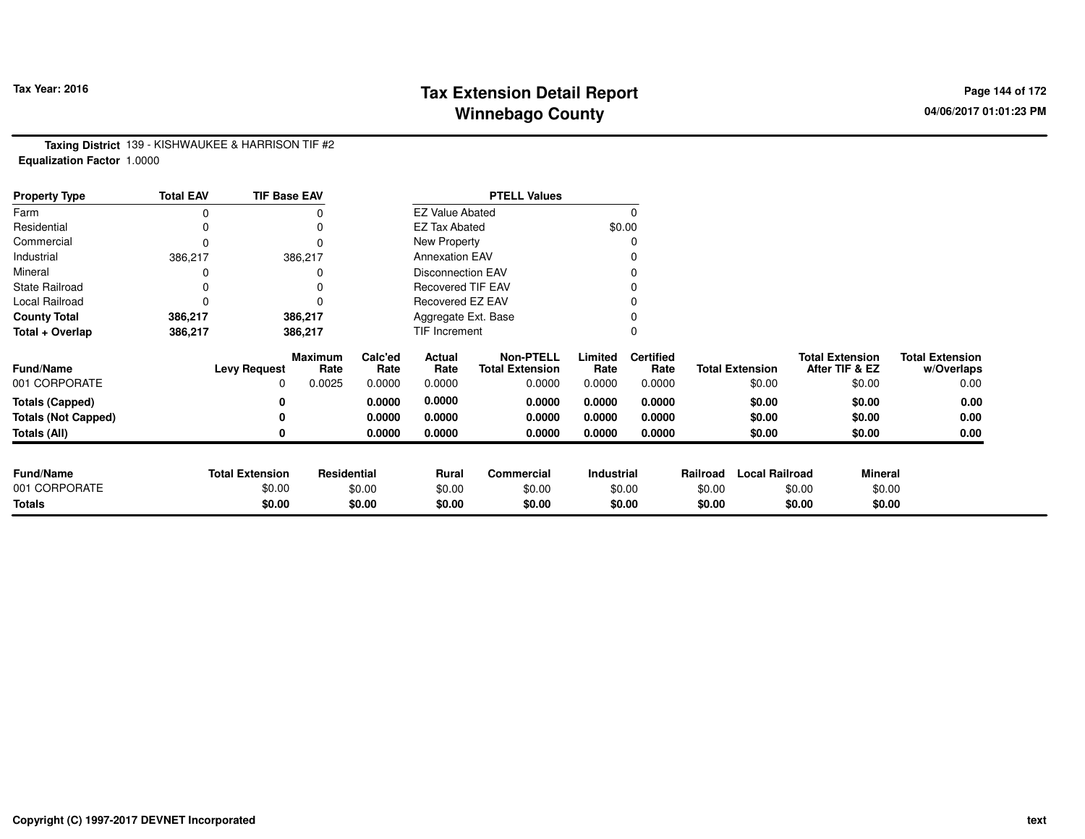# **Tax Extension Detail Report Tax Year: 2016 Page 144 of 172 Winnebago County**

**Taxing District** 139 - KISHWAUKEE & HARRISON TIF #2**Equalization Factor** 1.0000

| <b>Property Type</b>       | <b>Total EAV</b> | <b>TIF Base EAV</b>    |                        |                 |                          | <b>PTELL Values</b>                        |                   |                          |          |                        |                                          |                                      |
|----------------------------|------------------|------------------------|------------------------|-----------------|--------------------------|--------------------------------------------|-------------------|--------------------------|----------|------------------------|------------------------------------------|--------------------------------------|
| Farm                       | 0                |                        |                        |                 | <b>EZ Value Abated</b>   |                                            |                   |                          |          |                        |                                          |                                      |
| Residential                | 0                |                        |                        |                 | <b>EZ Tax Abated</b>     |                                            | \$0.00            |                          |          |                        |                                          |                                      |
| Commercial                 | 0                |                        | $\Omega$               |                 | New Property             |                                            |                   |                          |          |                        |                                          |                                      |
| Industrial                 | 386,217          |                        | 386,217                |                 | <b>Annexation EAV</b>    |                                            |                   |                          |          |                        |                                          |                                      |
| Mineral                    |                  |                        |                        |                 | <b>Disconnection EAV</b> |                                            |                   |                          |          |                        |                                          |                                      |
| <b>State Railroad</b>      | 0                |                        |                        |                 | <b>Recovered TIF EAV</b> |                                            |                   |                          |          |                        |                                          |                                      |
| Local Railroad             | 0                |                        |                        |                 | Recovered EZ EAV         |                                            |                   |                          |          |                        |                                          |                                      |
| <b>County Total</b>        | 386,217          |                        | 386,217                |                 | Aggregate Ext. Base      |                                            |                   |                          |          |                        |                                          |                                      |
| Total + Overlap            | 386,217          |                        | 386,217                |                 | TIF Increment            |                                            |                   |                          |          |                        |                                          |                                      |
| <b>Fund/Name</b>           |                  | <b>Levy Request</b>    | <b>Maximum</b><br>Rate | Calc'ed<br>Rate | Actual<br>Rate           | <b>Non-PTELL</b><br><b>Total Extension</b> | Limited<br>Rate   | <b>Certified</b><br>Rate |          | <b>Total Extension</b> | <b>Total Extension</b><br>After TIF & EZ | <b>Total Extension</b><br>w/Overlaps |
| 001 CORPORATE              |                  | 0                      | 0.0025                 | 0.0000          | 0.0000                   | 0.0000                                     | 0.0000            | 0.0000                   |          | \$0.00                 | \$0.00                                   | 0.00                                 |
| <b>Totals (Capped)</b>     |                  | 0                      |                        | 0.0000          | 0.0000                   | 0.0000                                     | 0.0000            | 0.0000                   |          | \$0.00                 | \$0.00                                   | 0.00                                 |
| <b>Totals (Not Capped)</b> |                  | 0                      |                        | 0.0000          | 0.0000                   | 0.0000                                     | 0.0000            | 0.0000                   |          | \$0.00                 | \$0.00                                   | 0.00                                 |
| Totals (All)               |                  | 0                      |                        | 0.0000          | 0.0000                   | 0.0000                                     | 0.0000            | 0.0000                   |          | \$0.00                 | \$0.00                                   | 0.00                                 |
|                            |                  |                        |                        |                 |                          |                                            |                   |                          |          |                        |                                          |                                      |
| <b>Fund/Name</b>           |                  | <b>Total Extension</b> | <b>Residential</b>     |                 | <b>Rural</b>             | <b>Commercial</b>                          | <b>Industrial</b> |                          | Railroad | <b>Local Railroad</b>  | <b>Mineral</b>                           |                                      |
| 001 CORPORATE              |                  | \$0.00                 |                        | \$0.00          | \$0.00                   | \$0.00                                     |                   | \$0.00                   | \$0.00   |                        | \$0.00                                   | \$0.00                               |
| <b>Totals</b>              |                  | \$0.00                 |                        | \$0.00          | \$0.00                   | \$0.00                                     |                   | \$0.00                   | \$0.00   |                        | \$0.00                                   | \$0.00                               |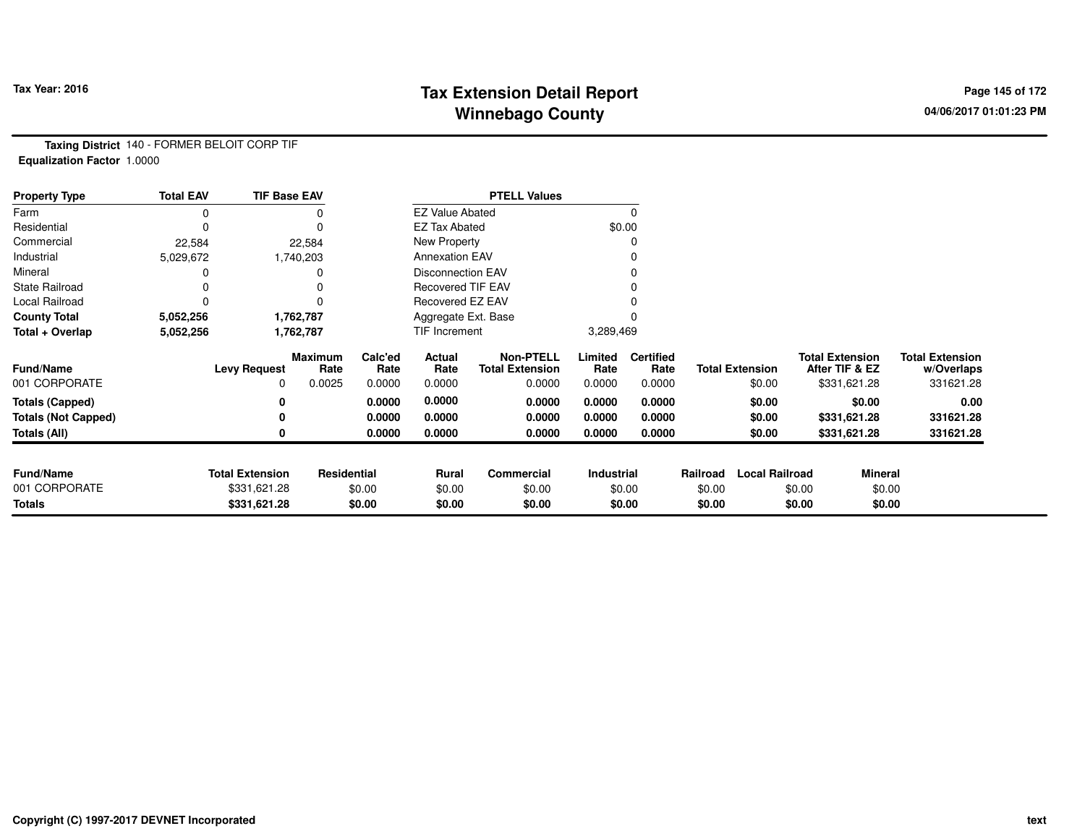# **Tax Extension Detail Report Constant Constant Constant Page 145 of 172 Winnebago County**

**Taxing District** 140 - FORMER BELOIT CORP TIF**Equalization Factor** 1.0000

| <b>Property Type</b>       | <b>Total EAV</b> | <b>TIF Base EAV</b>    |                        |                 |                          | <b>PTELL Values</b>                        |                 |                          |          |                        |                                          |                                      |
|----------------------------|------------------|------------------------|------------------------|-----------------|--------------------------|--------------------------------------------|-----------------|--------------------------|----------|------------------------|------------------------------------------|--------------------------------------|
| Farm                       | 0                |                        |                        |                 | <b>EZ Value Abated</b>   |                                            |                 |                          |          |                        |                                          |                                      |
| Residential                | O                |                        |                        |                 | <b>EZ Tax Abated</b>     |                                            | \$0.00          |                          |          |                        |                                          |                                      |
| Commercial                 | 22,584           |                        | 22,584                 |                 | New Property             |                                            |                 |                          |          |                        |                                          |                                      |
| Industrial                 | 5,029,672        |                        | 1,740,203              |                 | <b>Annexation EAV</b>    |                                            |                 |                          |          |                        |                                          |                                      |
| Mineral                    |                  |                        |                        |                 | <b>Disconnection EAV</b> |                                            |                 |                          |          |                        |                                          |                                      |
| <b>State Railroad</b>      |                  |                        |                        |                 | <b>Recovered TIF EAV</b> |                                            |                 |                          |          |                        |                                          |                                      |
| Local Railroad             | 0                |                        |                        |                 | Recovered EZ EAV         |                                            |                 |                          |          |                        |                                          |                                      |
| <b>County Total</b>        | 5,052,256        |                        | 1,762,787              |                 | Aggregate Ext. Base      |                                            |                 |                          |          |                        |                                          |                                      |
| Total + Overlap            | 5,052,256        |                        | 1,762,787              |                 | TIF Increment            |                                            | 3,289,469       |                          |          |                        |                                          |                                      |
| <b>Fund/Name</b>           |                  | <b>Levy Request</b>    | <b>Maximum</b><br>Rate | Calc'ed<br>Rate | Actual<br>Rate           | <b>Non-PTELL</b><br><b>Total Extension</b> | Limited<br>Rate | <b>Certified</b><br>Rate |          | <b>Total Extension</b> | <b>Total Extension</b><br>After TIF & EZ | <b>Total Extension</b><br>w/Overlaps |
| 001 CORPORATE              |                  | 0                      | 0.0025                 | 0.0000          | 0.0000                   | 0.0000                                     | 0.0000          | 0.0000                   |          | \$0.00                 | \$331,621.28                             | 331621.28                            |
| <b>Totals (Capped)</b>     |                  | 0                      |                        | 0.0000          | 0.0000                   | 0.0000                                     | 0.0000          | 0.0000                   |          | \$0.00                 | \$0.00                                   | 0.00                                 |
| <b>Totals (Not Capped)</b> |                  | 0                      |                        | 0.0000          | 0.0000                   | 0.0000                                     | 0.0000          | 0.0000                   |          | \$0.00                 | \$331,621.28                             | 331621.28                            |
| Totals (All)               |                  | 0                      |                        | 0.0000          | 0.0000                   | 0.0000                                     | 0.0000          | 0.0000                   |          | \$0.00                 | \$331,621.28                             | 331621.28                            |
|                            |                  |                        |                        |                 |                          |                                            |                 |                          |          |                        |                                          |                                      |
| <b>Fund/Name</b>           |                  | <b>Total Extension</b> | Residential            |                 | Rural                    | <b>Commercial</b>                          | Industrial      |                          | Railroad | <b>Local Railroad</b>  |                                          | <b>Mineral</b>                       |
| 001 CORPORATE              |                  | \$331,621.28           |                        | \$0.00          | \$0.00                   | \$0.00                                     |                 | \$0.00                   | \$0.00   |                        | \$0.00                                   | \$0.00                               |
| <b>Totals</b>              |                  | \$331,621.28           |                        | \$0.00          | \$0.00                   | \$0.00                                     |                 | \$0.00                   | \$0.00   |                        | \$0.00                                   | \$0.00                               |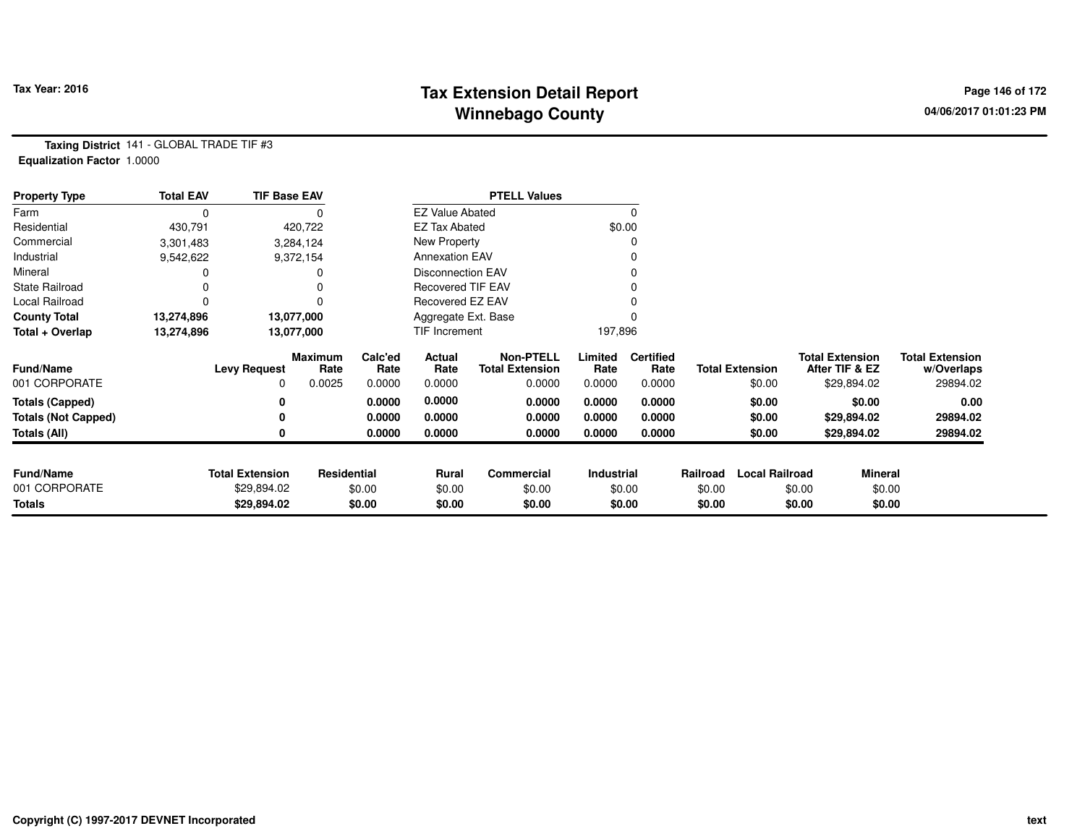# **Tax Extension Detail Report Constant Constructed Page 146 of 172 Page 146 of 172 Winnebago County**

**Taxing District** 141 - GLOBAL TRADE TIF #3**Equalization Factor** 1.0000

| <b>Property Type</b>       | <b>Total EAV</b> | <b>TIF Base EAV</b>    |                 |                 |                          | <b>PTELL Values</b>                        |                 |                          |          |                        |                                          |                |                                      |
|----------------------------|------------------|------------------------|-----------------|-----------------|--------------------------|--------------------------------------------|-----------------|--------------------------|----------|------------------------|------------------------------------------|----------------|--------------------------------------|
| Farm                       | 0                |                        |                 |                 | <b>EZ Value Abated</b>   |                                            |                 | 0                        |          |                        |                                          |                |                                      |
| Residential                | 430,791          |                        | 420,722         |                 | <b>EZ Tax Abated</b>     |                                            |                 | \$0.00                   |          |                        |                                          |                |                                      |
| Commercial                 | 3,301,483        |                        | 3,284,124       |                 | New Property             |                                            |                 |                          |          |                        |                                          |                |                                      |
| Industrial                 | 9,542,622        |                        | 9,372,154       |                 | <b>Annexation EAV</b>    |                                            |                 |                          |          |                        |                                          |                |                                      |
| Mineral                    |                  |                        |                 |                 | <b>Disconnection EAV</b> |                                            |                 |                          |          |                        |                                          |                |                                      |
| <b>State Railroad</b>      |                  |                        |                 |                 | <b>Recovered TIF EAV</b> |                                            |                 |                          |          |                        |                                          |                |                                      |
| Local Railroad             |                  |                        | 0               |                 | Recovered EZ EAV         |                                            |                 |                          |          |                        |                                          |                |                                      |
| <b>County Total</b>        | 13,274,896       |                        | 13,077,000      |                 | Aggregate Ext. Base      |                                            |                 |                          |          |                        |                                          |                |                                      |
| Total + Overlap            | 13,274,896       |                        | 13,077,000      |                 | TIF Increment            |                                            | 197,896         |                          |          |                        |                                          |                |                                      |
| <b>Fund/Name</b>           |                  | <b>Levy Request</b>    | Maximum<br>Rate | Calc'ed<br>Rate | Actual<br>Rate           | <b>Non-PTELL</b><br><b>Total Extension</b> | Limited<br>Rate | <b>Certified</b><br>Rate |          | <b>Total Extension</b> | <b>Total Extension</b><br>After TIF & EZ |                | <b>Total Extension</b><br>w/Overlaps |
| 001 CORPORATE              |                  | 0                      | 0.0025          | 0.0000          | 0.0000                   | 0.0000                                     | 0.0000          | 0.0000                   |          | \$0.00                 | \$29,894.02                              |                | 29894.02                             |
| <b>Totals (Capped)</b>     |                  |                        |                 | 0.0000          | 0.0000                   | 0.0000                                     | 0.0000          | 0.0000                   |          | \$0.00                 |                                          | \$0.00         | 0.00                                 |
| <b>Totals (Not Capped)</b> |                  |                        |                 | 0.0000          | 0.0000                   | 0.0000                                     | 0.0000          | 0.0000                   |          | \$0.00                 | \$29,894.02                              |                | 29894.02                             |
| Totals (All)               |                  |                        |                 | 0.0000          | 0.0000                   | 0.0000                                     | 0.0000          | 0.0000                   |          | \$0.00                 | \$29,894.02                              |                | 29894.02                             |
|                            |                  |                        |                 |                 |                          |                                            |                 |                          |          |                        |                                          |                |                                      |
| <b>Fund/Name</b>           |                  | <b>Total Extension</b> | Residential     |                 | Rural                    | Commercial                                 | Industrial      |                          | Railroad | <b>Local Railroad</b>  |                                          | <b>Mineral</b> |                                      |
| 001 CORPORATE              |                  | \$29,894.02            |                 | \$0.00          | \$0.00                   | \$0.00                                     |                 | \$0.00                   | \$0.00   |                        | \$0.00                                   | \$0.00         |                                      |
| <b>Totals</b>              |                  | \$29,894.02            |                 | \$0.00          | \$0.00                   | \$0.00                                     |                 | \$0.00                   | \$0.00   |                        | \$0.00                                   | \$0.00         |                                      |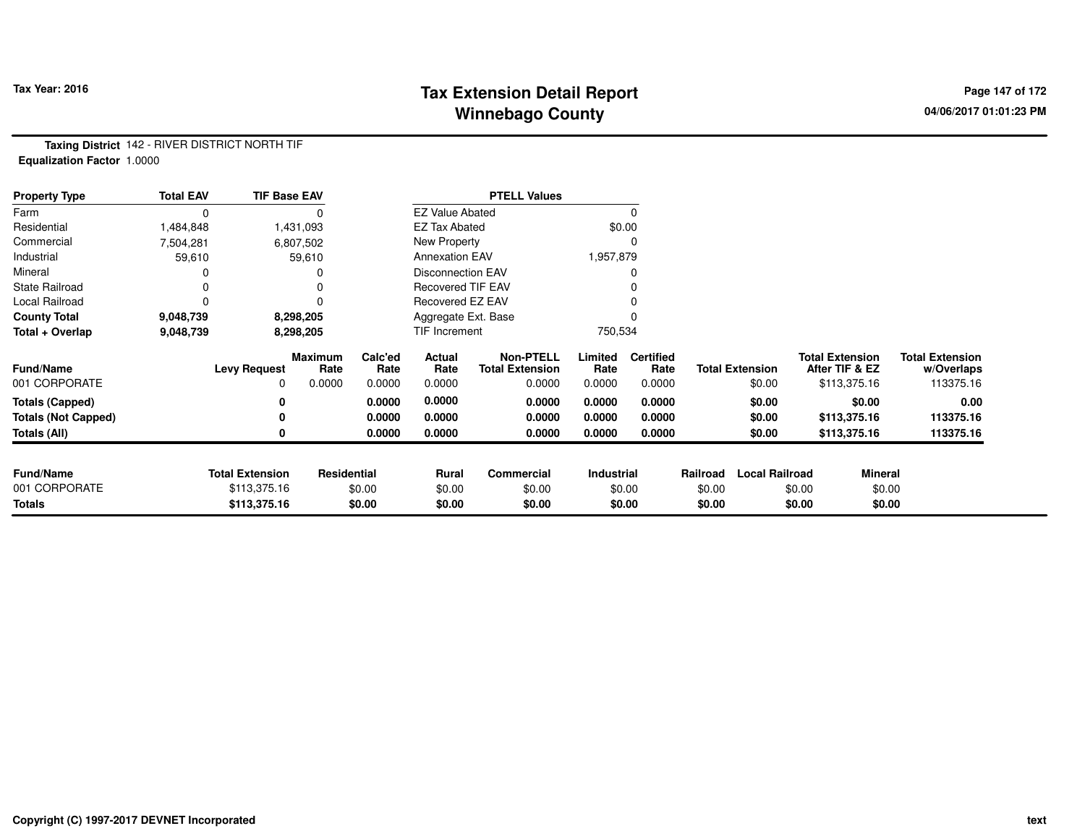### **Tax Extension Detail Report Constant Constant Constant Page 147 of 172 Winnebago County**

**Taxing District** 142 - RIVER DISTRICT NORTH TIF**Equalization Factor** 1.0000

| <b>Property Type</b>       | <b>Total EAV</b> | <b>TIF Base EAV</b>    |                        |                 |                          | <b>PTELL Values</b>                        |                   |                          |          |                        |                        |                |                                      |
|----------------------------|------------------|------------------------|------------------------|-----------------|--------------------------|--------------------------------------------|-------------------|--------------------------|----------|------------------------|------------------------|----------------|--------------------------------------|
| Farm                       | 0                |                        |                        |                 | <b>EZ Value Abated</b>   |                                            |                   |                          |          |                        |                        |                |                                      |
| Residential                | 1,484,848        |                        | 1,431,093              |                 | <b>EZ Tax Abated</b>     |                                            | \$0.00            |                          |          |                        |                        |                |                                      |
| Commercial                 | 7,504,281        |                        | 6,807,502              |                 | New Property             |                                            |                   |                          |          |                        |                        |                |                                      |
| Industrial                 | 59,610           |                        | 59,610                 |                 | <b>Annexation EAV</b>    |                                            | 1,957,879         |                          |          |                        |                        |                |                                      |
| Mineral                    |                  |                        |                        |                 | <b>Disconnection EAV</b> |                                            |                   |                          |          |                        |                        |                |                                      |
| <b>State Railroad</b>      |                  |                        |                        |                 | <b>Recovered TIF EAV</b> |                                            |                   |                          |          |                        |                        |                |                                      |
| Local Railroad             | 0                |                        |                        |                 | Recovered EZ EAV         |                                            |                   |                          |          |                        |                        |                |                                      |
| <b>County Total</b>        | 9,048,739        |                        | 8,298,205              |                 | Aggregate Ext. Base      |                                            |                   |                          |          |                        |                        |                |                                      |
| Total + Overlap            | 9,048,739        |                        | 8,298,205              |                 | TIF Increment            |                                            | 750,534           |                          |          |                        |                        |                |                                      |
| <b>Fund/Name</b>           |                  | <b>Levy Request</b>    | <b>Maximum</b><br>Rate | Calc'ed<br>Rate | Actual<br>Rate           | <b>Non-PTELL</b><br><b>Total Extension</b> | Limited<br>Rate   | <b>Certified</b><br>Rate |          | <b>Total Extension</b> | <b>Total Extension</b> | After TIF & EZ | <b>Total Extension</b><br>w/Overlaps |
| 001 CORPORATE              |                  | 0                      | 0.0000                 | 0.0000          | 0.0000                   | 0.0000                                     | 0.0000            | 0.0000                   |          | \$0.00                 |                        | \$113,375.16   | 113375.16                            |
| <b>Totals (Capped)</b>     |                  | 0                      |                        | 0.0000          | 0.0000                   | 0.0000                                     | 0.0000            | 0.0000                   |          | \$0.00                 |                        | \$0.00         | 0.00                                 |
| <b>Totals (Not Capped)</b> |                  | 0                      |                        | 0.0000          | 0.0000                   | 0.0000                                     | 0.0000            | 0.0000                   |          | \$0.00                 |                        | \$113,375.16   | 113375.16                            |
| <b>Totals (All)</b>        |                  | 0                      |                        | 0.0000          | 0.0000                   | 0.0000                                     | 0.0000            | 0.0000                   |          | \$0.00                 |                        | \$113,375.16   | 113375.16                            |
| <b>Fund/Name</b>           |                  | <b>Total Extension</b> | Residential            |                 | <b>Rural</b>             | <b>Commercial</b>                          | <b>Industrial</b> |                          | Railroad | <b>Local Railroad</b>  |                        | Mineral        |                                      |
| 001 CORPORATE              |                  | \$113,375.16           |                        | \$0.00          | \$0.00                   | \$0.00                                     | \$0.00            |                          | \$0.00   |                        | \$0.00                 | \$0.00         |                                      |
| <b>Totals</b>              |                  | \$113,375.16           |                        | \$0.00          | \$0.00                   | \$0.00                                     |                   | \$0.00                   | \$0.00   |                        | \$0.00                 | \$0.00         |                                      |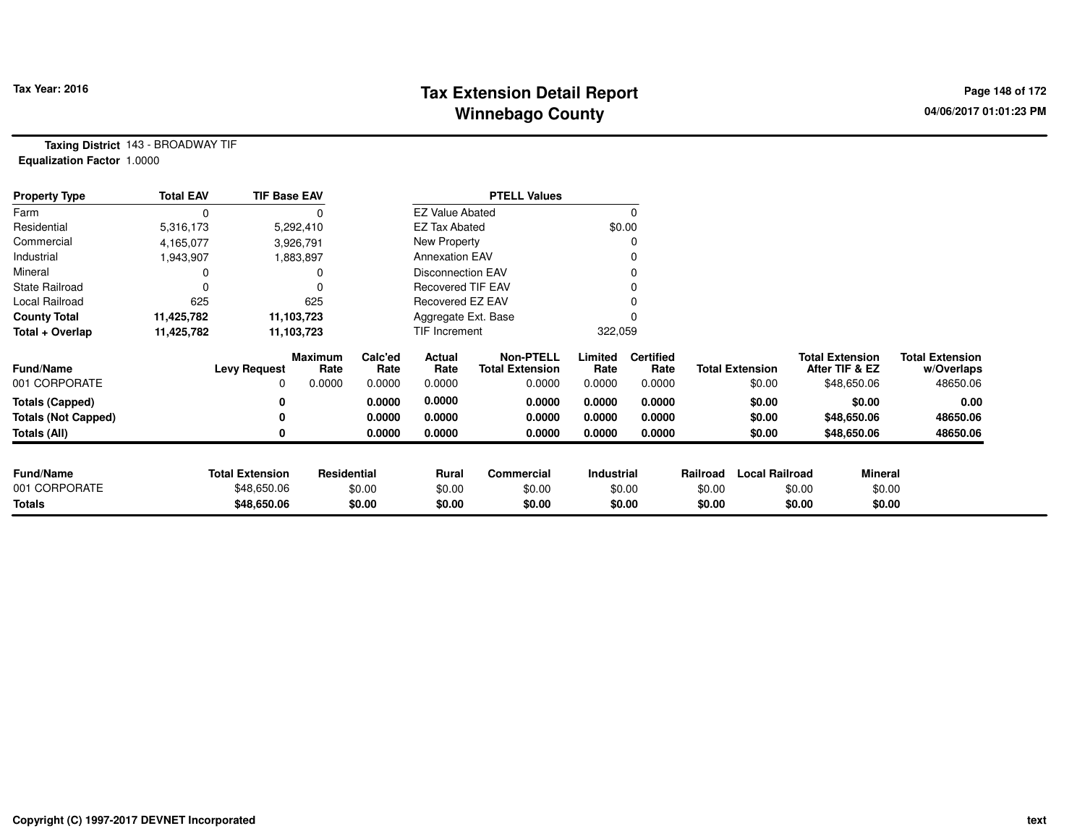# **Tax Extension Detail Report Tax Year: 2016 Page 148 of 172 Winnebago County**

**Taxing District** 143 - BROADWAY TIF**Equalization Factor** 1.0000

| <b>Property Type</b>       | <b>Total EAV</b> | <b>TIF Base EAV</b>    |                 |                 |                          | <b>PTELL Values</b>                        |                 |                          |          |                        |                                          |                |                                      |
|----------------------------|------------------|------------------------|-----------------|-----------------|--------------------------|--------------------------------------------|-----------------|--------------------------|----------|------------------------|------------------------------------------|----------------|--------------------------------------|
| Farm                       | 0                |                        |                 |                 | <b>EZ Value Abated</b>   |                                            |                 |                          |          |                        |                                          |                |                                      |
| Residential                | 5,316,173        |                        | 5,292,410       |                 | <b>EZ Tax Abated</b>     |                                            |                 | \$0.00                   |          |                        |                                          |                |                                      |
| Commercial                 | 4,165,077        |                        | 3,926,791       |                 | New Property             |                                            |                 |                          |          |                        |                                          |                |                                      |
| Industrial                 | 1,943,907        |                        | 1,883,897       |                 | <b>Annexation EAV</b>    |                                            |                 |                          |          |                        |                                          |                |                                      |
| Mineral                    |                  |                        | 0               |                 | <b>Disconnection EAV</b> |                                            |                 |                          |          |                        |                                          |                |                                      |
| <b>State Railroad</b>      |                  |                        | 0               |                 | <b>Recovered TIF EAV</b> |                                            |                 |                          |          |                        |                                          |                |                                      |
| Local Railroad             | 625              |                        | 625             |                 | Recovered EZ EAV         |                                            |                 |                          |          |                        |                                          |                |                                      |
| <b>County Total</b>        | 11,425,782       |                        | 11,103,723      |                 | Aggregate Ext. Base      |                                            |                 |                          |          |                        |                                          |                |                                      |
| Total + Overlap            | 11,425,782       |                        | 11,103,723      |                 | TIF Increment            |                                            | 322,059         |                          |          |                        |                                          |                |                                      |
| <b>Fund/Name</b>           |                  | <b>Levy Request</b>    | Maximum<br>Rate | Calc'ed<br>Rate | Actual<br>Rate           | <b>Non-PTELL</b><br><b>Total Extension</b> | Limited<br>Rate | <b>Certified</b><br>Rate |          | <b>Total Extension</b> | <b>Total Extension</b><br>After TIF & EZ |                | <b>Total Extension</b><br>w/Overlaps |
| 001 CORPORATE              |                  | 0                      | 0.0000          | 0.0000          | 0.0000                   | 0.0000                                     | 0.0000          | 0.0000                   |          | \$0.00                 | \$48,650.06                              |                | 48650.06                             |
| <b>Totals (Capped)</b>     |                  |                        |                 | 0.0000          | 0.0000                   | 0.0000                                     | 0.0000          | 0.0000                   |          | \$0.00                 |                                          | \$0.00         | 0.00                                 |
| <b>Totals (Not Capped)</b> |                  |                        |                 | 0.0000          | 0.0000                   | 0.0000                                     | 0.0000          | 0.0000                   |          | \$0.00                 | \$48,650.06                              |                | 48650.06                             |
| Totals (All)               |                  |                        |                 | 0.0000          | 0.0000                   | 0.0000                                     | 0.0000          | 0.0000                   |          | \$0.00                 | \$48,650.06                              |                | 48650.06                             |
|                            |                  |                        |                 |                 |                          |                                            |                 |                          |          |                        |                                          |                |                                      |
| <b>Fund/Name</b>           |                  | <b>Total Extension</b> | Residential     |                 | Rural                    | Commercial                                 | Industrial      |                          | Railroad | <b>Local Railroad</b>  |                                          | <b>Mineral</b> |                                      |
| 001 CORPORATE              |                  | \$48,650.06            |                 | \$0.00          | \$0.00                   | \$0.00                                     |                 | \$0.00                   | \$0.00   |                        | \$0.00                                   | \$0.00         |                                      |
| <b>Totals</b>              |                  | \$48,650.06            |                 | \$0.00          | \$0.00                   | \$0.00                                     |                 | \$0.00                   | \$0.00   |                        | \$0.00                                   | \$0.00         |                                      |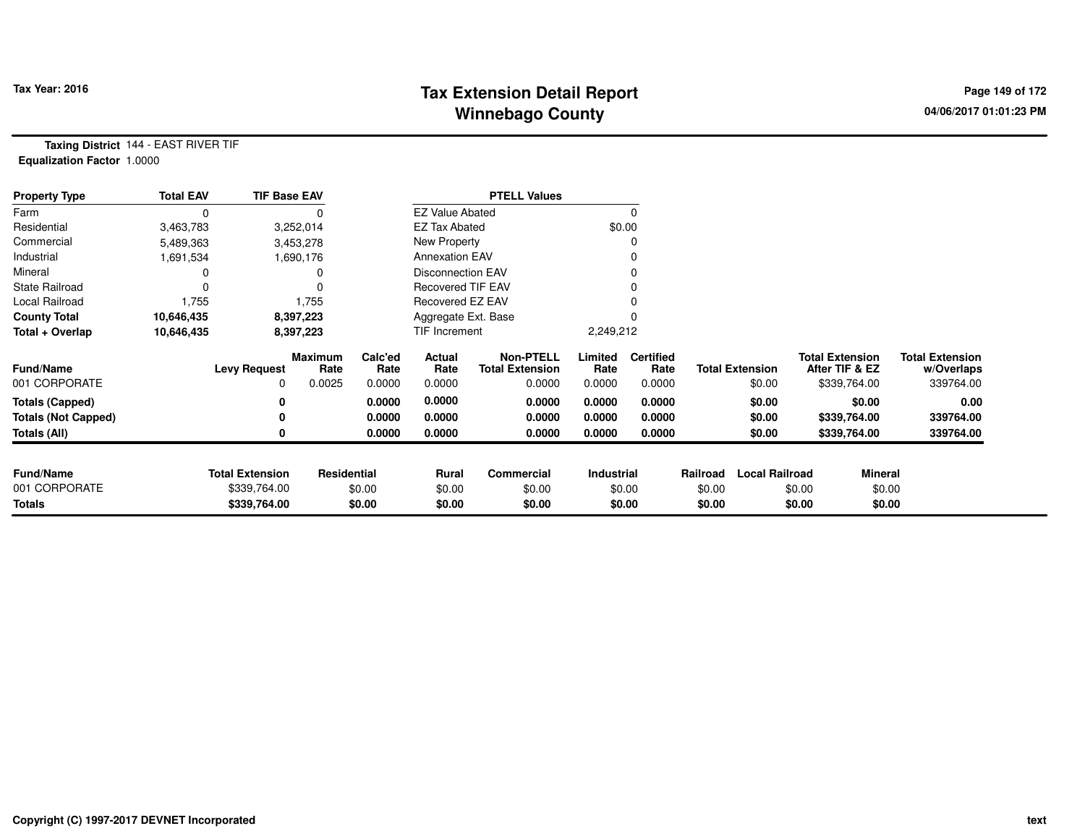## **Tax Extension Detail Report Tax Year: 2016 Page 149 of 172 Winnebago County**

**Taxing District** 144 - EAST RIVER TIF**Equalization Factor** 1.0000

| <b>Property Type</b>       | <b>Total EAV</b> | <b>TIF Base EAV</b>    |                 |                 |                          | <b>PTELL Values</b>                        |                 |                          |          |                        |                                          |                                      |
|----------------------------|------------------|------------------------|-----------------|-----------------|--------------------------|--------------------------------------------|-----------------|--------------------------|----------|------------------------|------------------------------------------|--------------------------------------|
| Farm                       | 0                |                        |                 |                 | <b>EZ Value Abated</b>   |                                            |                 |                          |          |                        |                                          |                                      |
| Residential                | 3,463,783        |                        | 3,252,014       |                 | <b>EZ Tax Abated</b>     |                                            |                 | \$0.00                   |          |                        |                                          |                                      |
| Commercial                 | 5,489,363        |                        | 3,453,278       |                 | New Property             |                                            |                 |                          |          |                        |                                          |                                      |
| Industrial                 | 1,691,534        |                        | 1,690,176       |                 | <b>Annexation EAV</b>    |                                            |                 |                          |          |                        |                                          |                                      |
| Mineral                    |                  |                        |                 |                 | <b>Disconnection EAV</b> |                                            |                 |                          |          |                        |                                          |                                      |
| <b>State Railroad</b>      | 0                |                        |                 |                 | <b>Recovered TIF EAV</b> |                                            |                 |                          |          |                        |                                          |                                      |
| Local Railroad             | 1,755            |                        | 1,755           |                 | Recovered EZ EAV         |                                            |                 |                          |          |                        |                                          |                                      |
| <b>County Total</b>        | 10,646,435       |                        | 8,397,223       |                 | Aggregate Ext. Base      |                                            |                 |                          |          |                        |                                          |                                      |
| Total + Overlap            | 10,646,435       |                        | 8,397,223       |                 | TIF Increment            |                                            | 2,249,212       |                          |          |                        |                                          |                                      |
| <b>Fund/Name</b>           |                  | <b>Levy Request</b>    | Maximum<br>Rate | Calc'ed<br>Rate | Actual<br>Rate           | <b>Non-PTELL</b><br><b>Total Extension</b> | Limited<br>Rate | <b>Certified</b><br>Rate |          | <b>Total Extension</b> | <b>Total Extension</b><br>After TIF & EZ | <b>Total Extension</b><br>w/Overlaps |
| 001 CORPORATE              |                  | 0                      | 0.0025          | 0.0000          | 0.0000                   | 0.0000                                     | 0.0000          | 0.0000                   |          | \$0.00                 | \$339,764.00                             | 339764.00                            |
| <b>Totals (Capped)</b>     |                  |                        |                 | 0.0000          | 0.0000                   | 0.0000                                     | 0.0000          | 0.0000                   |          | \$0.00                 | \$0.00                                   | 0.00                                 |
| <b>Totals (Not Capped)</b> |                  |                        |                 | 0.0000          | 0.0000                   | 0.0000                                     | 0.0000          | 0.0000                   |          | \$0.00                 | \$339,764.00                             | 339764.00                            |
| Totals (All)               |                  |                        |                 | 0.0000          | 0.0000                   | 0.0000                                     | 0.0000          | 0.0000                   |          | \$0.00                 | \$339,764.00                             | 339764.00                            |
|                            |                  |                        |                 |                 |                          |                                            |                 |                          |          |                        |                                          |                                      |
| <b>Fund/Name</b>           |                  | <b>Total Extension</b> | Residential     |                 | Rural                    | Commercial                                 | Industrial      |                          | Railroad | <b>Local Railroad</b>  |                                          | <b>Mineral</b>                       |
| 001 CORPORATE              |                  | \$339,764.00           |                 | \$0.00          | \$0.00                   | \$0.00                                     |                 | \$0.00                   | \$0.00   |                        | \$0.00                                   | \$0.00                               |
| <b>Totals</b>              |                  | \$339,764.00           |                 | \$0.00          | \$0.00                   | \$0.00                                     |                 | \$0.00                   | \$0.00   |                        | \$0.00                                   | \$0.00                               |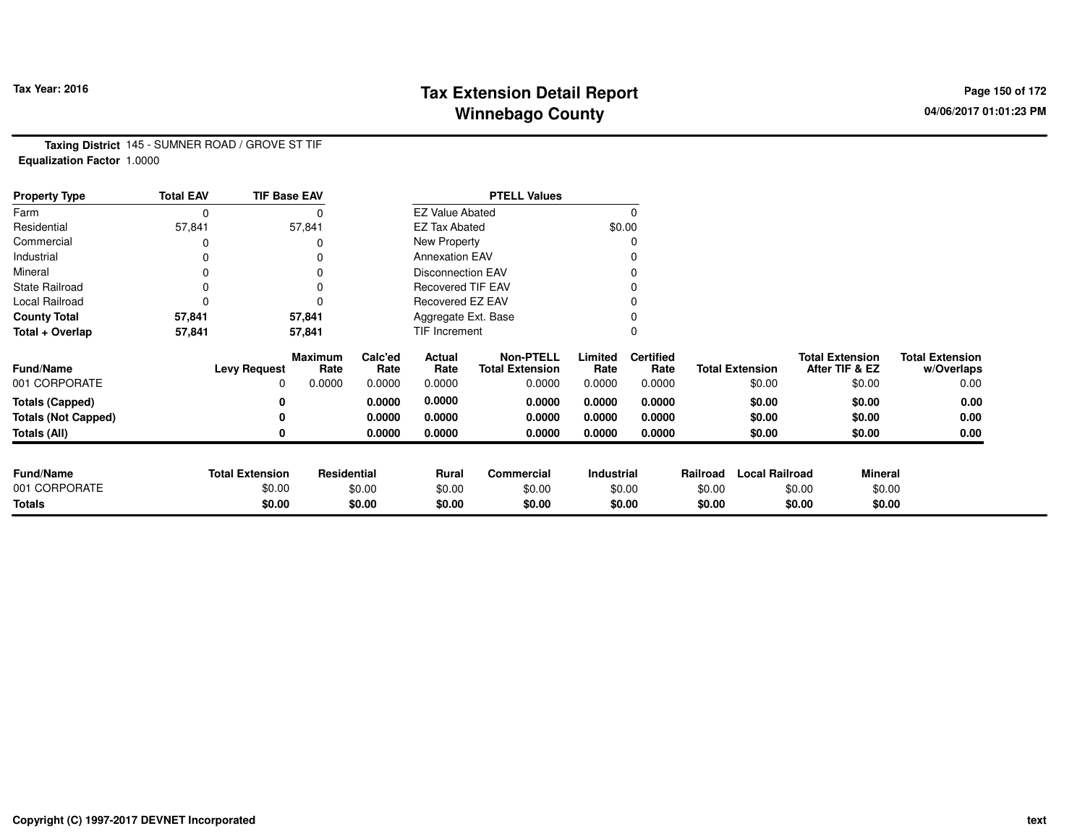## **Tax Extension Detail Report Tax Year: 2016 Page 150 of 172 Winnebago County**

**Taxing District** 145 - SUMNER ROAD / GROVE ST TIF**Equalization Factor** 1.0000

| <b>Property Type</b>       | <b>Total EAV</b> | <b>TIF Base EAV</b>    |                 |                 |                          | <b>PTELL Values</b>                        |                 |                          |          |                        |                                          |                                      |
|----------------------------|------------------|------------------------|-----------------|-----------------|--------------------------|--------------------------------------------|-----------------|--------------------------|----------|------------------------|------------------------------------------|--------------------------------------|
| Farm                       | 0                |                        |                 |                 | <b>EZ Value Abated</b>   |                                            |                 |                          |          |                        |                                          |                                      |
| Residential                | 57,841           |                        | 57,841          |                 | <b>EZ Tax Abated</b>     |                                            |                 | \$0.00                   |          |                        |                                          |                                      |
| Commercial                 |                  |                        |                 |                 | New Property             |                                            |                 |                          |          |                        |                                          |                                      |
| Industrial                 |                  |                        |                 |                 | <b>Annexation EAV</b>    |                                            |                 |                          |          |                        |                                          |                                      |
| Mineral                    | ი                |                        |                 |                 | <b>Disconnection EAV</b> |                                            |                 |                          |          |                        |                                          |                                      |
| <b>State Railroad</b>      | 0                |                        |                 |                 | <b>Recovered TIF EAV</b> |                                            |                 |                          |          |                        |                                          |                                      |
| Local Railroad             |                  |                        |                 |                 | Recovered EZ EAV         |                                            |                 |                          |          |                        |                                          |                                      |
| <b>County Total</b>        | 57,841           |                        | 57,841          |                 | Aggregate Ext. Base      |                                            |                 |                          |          |                        |                                          |                                      |
| Total + Overlap            | 57,841           |                        | 57,841          |                 | TIF Increment            |                                            |                 |                          |          |                        |                                          |                                      |
| <b>Fund/Name</b>           |                  | <b>Levy Request</b>    | Maximum<br>Rate | Calc'ed<br>Rate | Actual<br>Rate           | <b>Non-PTELL</b><br><b>Total Extension</b> | Limited<br>Rate | <b>Certified</b><br>Rate |          | <b>Total Extension</b> | <b>Total Extension</b><br>After TIF & EZ | <b>Total Extension</b><br>w/Overlaps |
| 001 CORPORATE              |                  | <sup>0</sup>           | 0.0000          | 0.0000          | 0.0000                   | 0.0000                                     | 0.0000          | 0.0000                   |          | \$0.00                 | \$0.00                                   | 0.00                                 |
| <b>Totals (Capped)</b>     |                  |                        |                 | 0.0000          | 0.0000                   | 0.0000                                     | 0.0000          | 0.0000                   |          | \$0.00                 | \$0.00                                   | 0.00                                 |
| <b>Totals (Not Capped)</b> |                  |                        |                 | 0.0000          | 0.0000                   | 0.0000                                     | 0.0000          | 0.0000                   |          | \$0.00                 | \$0.00                                   | 0.00                                 |
| <b>Totals (All)</b>        |                  |                        |                 | 0.0000          | 0.0000                   | 0.0000                                     | 0.0000          | 0.0000                   |          | \$0.00                 | \$0.00                                   | 0.00                                 |
|                            |                  |                        |                 |                 |                          |                                            |                 |                          |          |                        |                                          |                                      |
| <b>Fund/Name</b>           |                  | <b>Total Extension</b> | Residential     |                 | <b>Rural</b>             | Commercial                                 | Industrial      |                          | Railroad | <b>Local Railroad</b>  |                                          | <b>Mineral</b>                       |
| 001 CORPORATE              |                  | \$0.00                 |                 | \$0.00          | \$0.00                   | \$0.00                                     |                 | \$0.00                   | \$0.00   |                        | \$0.00                                   | \$0.00                               |
| <b>Totals</b>              |                  | \$0.00                 |                 | \$0.00          | \$0.00                   | \$0.00                                     |                 | \$0.00                   | \$0.00   |                        | \$0.00                                   | \$0.00                               |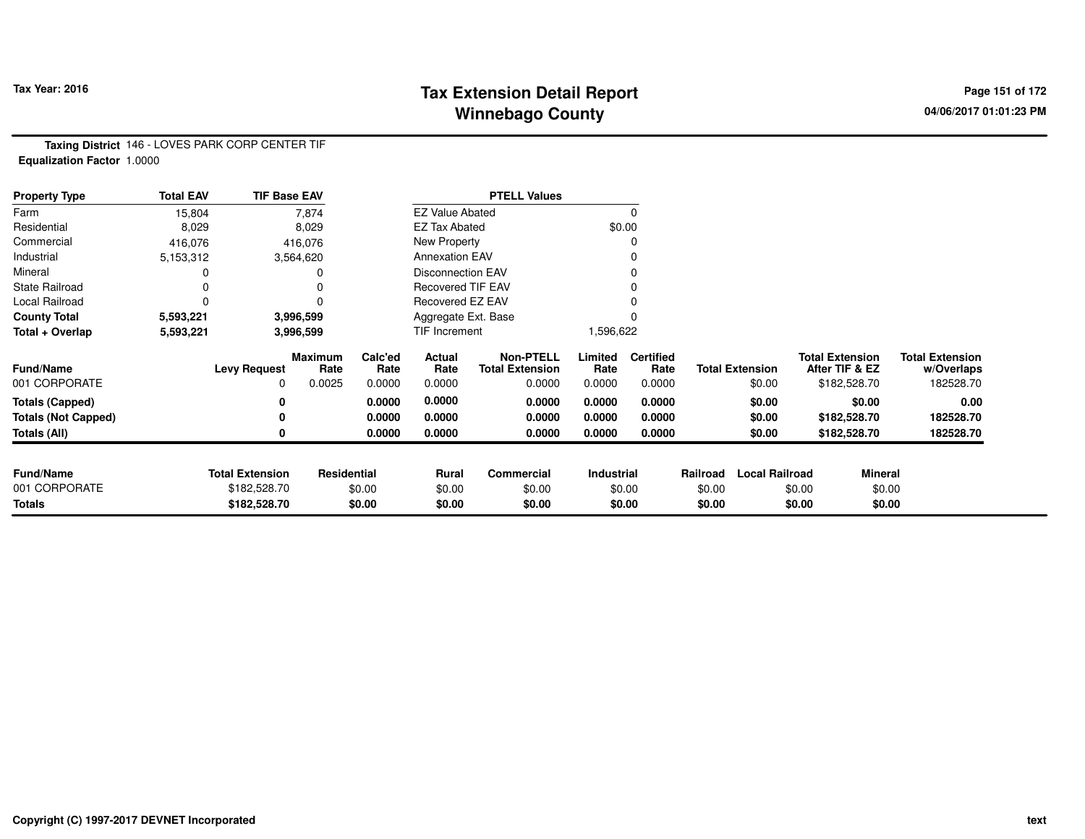### **Tax Extension Detail Report Tax Year: 2016 Page 151 of 172 Winnebago County**

**Taxing District** 146 - LOVES PARK CORP CENTER TIF**Equalization Factor** 1.0000

| <b>Property Type</b>       | <b>Total EAV</b> | <b>TIF Base EAV</b>    |                 |                 |                          | <b>PTELL Values</b>                        |                 |                          |          |                        |                                          |                                      |
|----------------------------|------------------|------------------------|-----------------|-----------------|--------------------------|--------------------------------------------|-----------------|--------------------------|----------|------------------------|------------------------------------------|--------------------------------------|
| Farm                       | 15,804           |                        | 7,874           |                 | <b>EZ Value Abated</b>   |                                            |                 | 0                        |          |                        |                                          |                                      |
| Residential                | 8,029            |                        | 8,029           |                 | <b>EZ Tax Abated</b>     |                                            |                 | \$0.00                   |          |                        |                                          |                                      |
| Commercial                 | 416,076          |                        | 416,076         |                 | New Property             |                                            |                 |                          |          |                        |                                          |                                      |
| Industrial                 | 5,153,312        |                        | 3,564,620       |                 | <b>Annexation EAV</b>    |                                            |                 |                          |          |                        |                                          |                                      |
| Mineral                    |                  |                        |                 |                 | <b>Disconnection EAV</b> |                                            |                 |                          |          |                        |                                          |                                      |
| <b>State Railroad</b>      | 0                |                        |                 |                 | <b>Recovered TIF EAV</b> |                                            |                 |                          |          |                        |                                          |                                      |
| Local Railroad             | 0                |                        |                 |                 | Recovered EZ EAV         |                                            |                 |                          |          |                        |                                          |                                      |
| <b>County Total</b>        | 5,593,221        |                        | 3,996,599       |                 | Aggregate Ext. Base      |                                            |                 |                          |          |                        |                                          |                                      |
| Total + Overlap            | 5,593,221        |                        | 3,996,599       |                 | TIF Increment            |                                            | 1,596,622       |                          |          |                        |                                          |                                      |
| <b>Fund/Name</b>           |                  | <b>Levy Request</b>    | Maximum<br>Rate | Calc'ed<br>Rate | Actual<br>Rate           | <b>Non-PTELL</b><br><b>Total Extension</b> | Limited<br>Rate | <b>Certified</b><br>Rate |          | <b>Total Extension</b> | <b>Total Extension</b><br>After TIF & EZ | <b>Total Extension</b><br>w/Overlaps |
| 001 CORPORATE              |                  | 0                      | 0.0025          | 0.0000          | 0.0000                   | 0.0000                                     | 0.0000          | 0.0000                   |          | \$0.00                 | \$182,528.70                             | 182528.70                            |
| <b>Totals (Capped)</b>     |                  | 0                      |                 | 0.0000          | 0.0000                   | 0.0000                                     | 0.0000          | 0.0000                   |          | \$0.00                 | \$0.00                                   | 0.00                                 |
| <b>Totals (Not Capped)</b> |                  | 0                      |                 | 0.0000          | 0.0000                   | 0.0000                                     | 0.0000          | 0.0000                   |          | \$0.00                 | \$182,528.70                             | 182528.70                            |
| Totals (All)               |                  | 0                      |                 | 0.0000          | 0.0000                   | 0.0000                                     | 0.0000          | 0.0000                   |          | \$0.00                 | \$182,528.70                             | 182528.70                            |
|                            |                  |                        |                 |                 |                          |                                            |                 |                          |          |                        |                                          |                                      |
| <b>Fund/Name</b>           |                  | <b>Total Extension</b> | Residential     |                 | Rural                    | Commercial                                 | Industrial      |                          | Railroad | <b>Local Railroad</b>  | <b>Mineral</b>                           |                                      |
| 001 CORPORATE              |                  | \$182,528.70           |                 | \$0.00          | \$0.00                   | \$0.00                                     |                 | \$0.00                   | \$0.00   |                        | \$0.00                                   | \$0.00                               |
| <b>Totals</b>              |                  | \$182,528.70           |                 | \$0.00          | \$0.00                   | \$0.00                                     |                 | \$0.00                   | \$0.00   |                        | \$0.00                                   | \$0.00                               |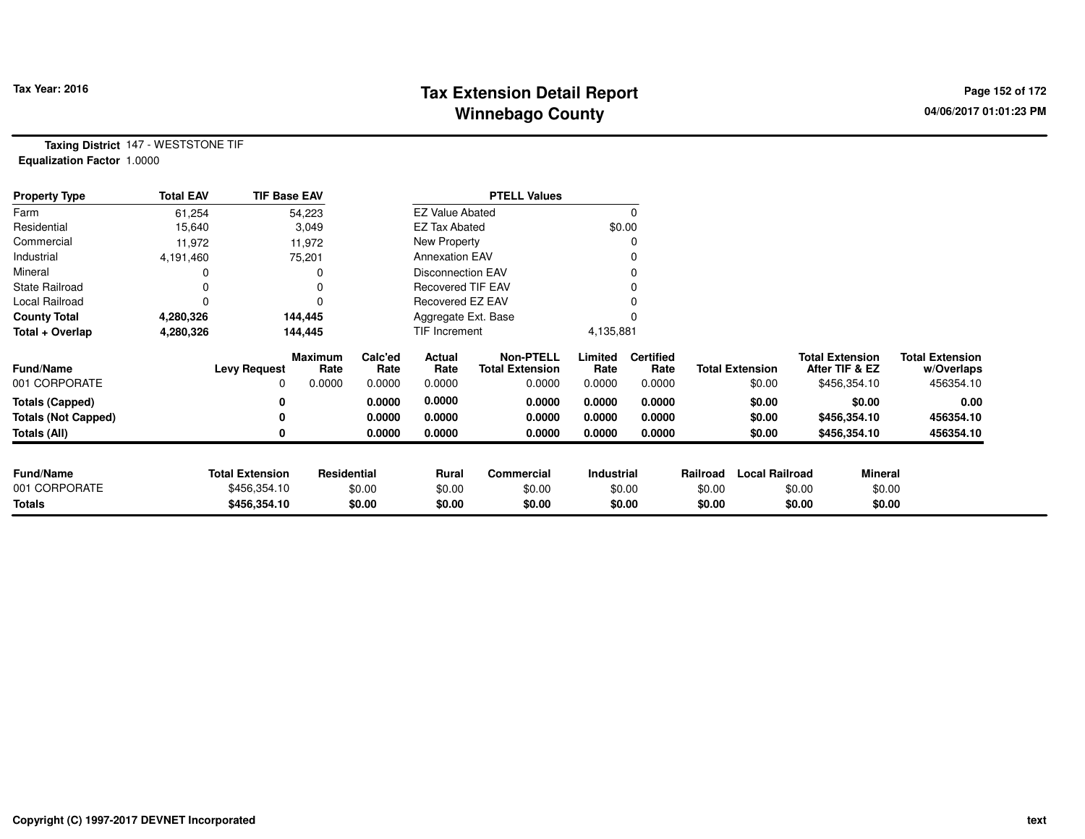# **Tax Extension Detail Report Tax Year: 2016 Page 152 of 172 Winnebago County**

**Taxing District** 147 - WESTSTONE TIF**Equalization Factor** 1.0000

| <b>Property Type</b>       | <b>Total EAV</b> | <b>TIF Base EAV</b>    |                 |                 |                          | <b>PTELL Values</b>                        |                 |                          |          |                        |                                          |                |                                      |
|----------------------------|------------------|------------------------|-----------------|-----------------|--------------------------|--------------------------------------------|-----------------|--------------------------|----------|------------------------|------------------------------------------|----------------|--------------------------------------|
| Farm                       | 61,254           |                        | 54,223          |                 | <b>EZ Value Abated</b>   |                                            |                 | 0                        |          |                        |                                          |                |                                      |
| Residential                | 15,640           |                        | 3,049           |                 | <b>EZ Tax Abated</b>     |                                            |                 | \$0.00                   |          |                        |                                          |                |                                      |
| Commercial                 | 11,972           |                        | 11,972          |                 | New Property             |                                            |                 |                          |          |                        |                                          |                |                                      |
| Industrial                 | 4,191,460        |                        | 75,201          |                 | <b>Annexation EAV</b>    |                                            |                 |                          |          |                        |                                          |                |                                      |
| Mineral                    | 0                |                        |                 |                 | <b>Disconnection EAV</b> |                                            |                 | 0                        |          |                        |                                          |                |                                      |
| <b>State Railroad</b>      | 0                |                        |                 |                 | <b>Recovered TIF EAV</b> |                                            |                 |                          |          |                        |                                          |                |                                      |
| Local Railroad             | 0                |                        |                 |                 | Recovered EZ EAV         |                                            |                 |                          |          |                        |                                          |                |                                      |
| <b>County Total</b>        | 4,280,326        |                        | 144,445         |                 | Aggregate Ext. Base      |                                            |                 |                          |          |                        |                                          |                |                                      |
| Total + Overlap            | 4,280,326        |                        | 144,445         |                 | TIF Increment            |                                            | 4,135,881       |                          |          |                        |                                          |                |                                      |
| <b>Fund/Name</b>           |                  | <b>Levy Request</b>    | Maximum<br>Rate | Calc'ed<br>Rate | Actual<br>Rate           | <b>Non-PTELL</b><br><b>Total Extension</b> | Limited<br>Rate | <b>Certified</b><br>Rate |          | <b>Total Extension</b> | <b>Total Extension</b><br>After TIF & EZ |                | <b>Total Extension</b><br>w/Overlaps |
| 001 CORPORATE              |                  | 0                      | 0.0000          | 0.0000          | 0.0000                   | 0.0000                                     | 0.0000          | 0.0000                   |          | \$0.00                 | \$456,354.10                             |                | 456354.10                            |
| <b>Totals (Capped)</b>     |                  | 0                      |                 | 0.0000          | 0.0000                   | 0.0000                                     | 0.0000          | 0.0000                   |          | \$0.00                 |                                          | \$0.00         | 0.00                                 |
| <b>Totals (Not Capped)</b> |                  | 0                      |                 | 0.0000          | 0.0000                   | 0.0000                                     | 0.0000          | 0.0000                   |          | \$0.00                 | \$456,354.10                             |                | 456354.10                            |
| Totals (All)               |                  | 0                      |                 | 0.0000          | 0.0000                   | 0.0000                                     | 0.0000          | 0.0000                   |          | \$0.00                 | \$456,354.10                             |                | 456354.10                            |
|                            |                  |                        |                 |                 |                          |                                            |                 |                          |          |                        |                                          |                |                                      |
| <b>Fund/Name</b>           |                  | <b>Total Extension</b> | Residential     |                 | Rural                    | Commercial                                 | Industrial      |                          | Railroad | <b>Local Railroad</b>  |                                          | <b>Mineral</b> |                                      |
| 001 CORPORATE              |                  | \$456,354.10           |                 | \$0.00          | \$0.00                   | \$0.00                                     |                 | \$0.00                   | \$0.00   |                        | \$0.00                                   | \$0.00         |                                      |
| <b>Totals</b>              |                  | \$456,354.10           |                 | \$0.00          | \$0.00                   | \$0.00                                     |                 | \$0.00                   | \$0.00   |                        | \$0.00                                   | \$0.00         |                                      |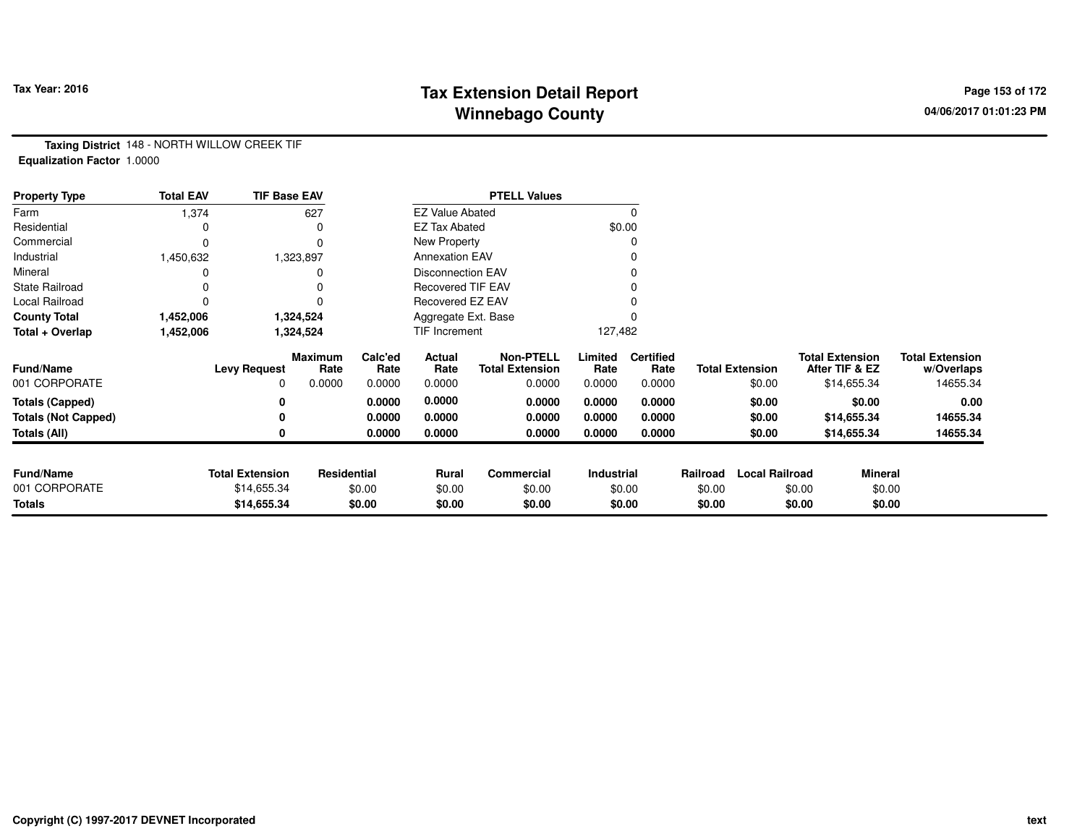# **Tax Extension Detail Report Tax Year: 2016 Page 153 of 172 Winnebago County**

**Taxing District** 148 - NORTH WILLOW CREEK TIF**Equalization Factor** 1.0000

| <b>Property Type</b>       | <b>Total EAV</b> | <b>TIF Base EAV</b>    |                 |                 |                          | <b>PTELL Values</b>                        |                 |                          |          |                        |                                          |             |                                      |
|----------------------------|------------------|------------------------|-----------------|-----------------|--------------------------|--------------------------------------------|-----------------|--------------------------|----------|------------------------|------------------------------------------|-------------|--------------------------------------|
| Farm                       | 1,374            |                        | 627             |                 | <b>EZ Value Abated</b>   |                                            |                 | $\Omega$                 |          |                        |                                          |             |                                      |
| Residential                |                  |                        | 0               |                 | <b>EZ Tax Abated</b>     |                                            |                 | \$0.00                   |          |                        |                                          |             |                                      |
| Commercial                 |                  |                        | 0               |                 | New Property             |                                            |                 | C                        |          |                        |                                          |             |                                      |
| Industrial                 | 1,450,632        |                        | 1,323,897       |                 | <b>Annexation EAV</b>    |                                            |                 |                          |          |                        |                                          |             |                                      |
| Mineral                    |                  |                        |                 |                 | <b>Disconnection EAV</b> |                                            |                 |                          |          |                        |                                          |             |                                      |
| <b>State Railroad</b>      |                  |                        |                 |                 | <b>Recovered TIF EAV</b> |                                            |                 |                          |          |                        |                                          |             |                                      |
| Local Railroad             |                  |                        |                 |                 | Recovered EZ EAV         |                                            |                 |                          |          |                        |                                          |             |                                      |
| <b>County Total</b>        | 1,452,006        |                        | 1,324,524       |                 | Aggregate Ext. Base      |                                            |                 |                          |          |                        |                                          |             |                                      |
| Total + Overlap            | 1,452,006        |                        | 1,324,524       |                 | <b>TIF Increment</b>     |                                            | 127,482         |                          |          |                        |                                          |             |                                      |
| <b>Fund/Name</b>           |                  | <b>Levy Request</b>    | Maximum<br>Rate | Calc'ed<br>Rate | Actual<br>Rate           | <b>Non-PTELL</b><br><b>Total Extension</b> | Limited<br>Rate | <b>Certified</b><br>Rate |          | <b>Total Extension</b> | <b>Total Extension</b><br>After TIF & EZ |             | <b>Total Extension</b><br>w/Overlaps |
| 001 CORPORATE              |                  | 0                      | 0.0000          | 0.0000          | 0.0000                   | 0.0000                                     | 0.0000          | 0.0000                   |          | \$0.00                 |                                          | \$14,655.34 | 14655.34                             |
| <b>Totals (Capped)</b>     |                  | 0                      |                 | 0.0000          | 0.0000                   | 0.0000                                     | 0.0000          | 0.0000                   |          | \$0.00                 |                                          | \$0.00      | 0.00                                 |
| <b>Totals (Not Capped)</b> |                  |                        |                 | 0.0000          | 0.0000                   | 0.0000                                     | 0.0000          | 0.0000                   |          | \$0.00                 |                                          | \$14,655.34 | 14655.34                             |
| <b>Totals (All)</b>        |                  | 0                      |                 | 0.0000          | 0.0000                   | 0.0000                                     | 0.0000          | 0.0000                   |          | \$0.00                 |                                          | \$14,655.34 | 14655.34                             |
|                            |                  |                        |                 |                 |                          |                                            |                 |                          |          |                        |                                          |             |                                      |
| <b>Fund/Name</b>           |                  | <b>Total Extension</b> | Residential     |                 | Rural                    | <b>Commercial</b>                          | Industrial      |                          | Railroad | <b>Local Railroad</b>  |                                          | Mineral     |                                      |
| 001 CORPORATE              |                  | \$14,655.34            |                 | \$0.00          | \$0.00                   | \$0.00                                     |                 | \$0.00                   | \$0.00   |                        | \$0.00                                   | \$0.00      |                                      |
| <b>Totals</b>              |                  | \$14,655.34            |                 | \$0.00          | \$0.00                   | \$0.00                                     |                 | \$0.00                   | \$0.00   |                        | \$0.00                                   | \$0.00      |                                      |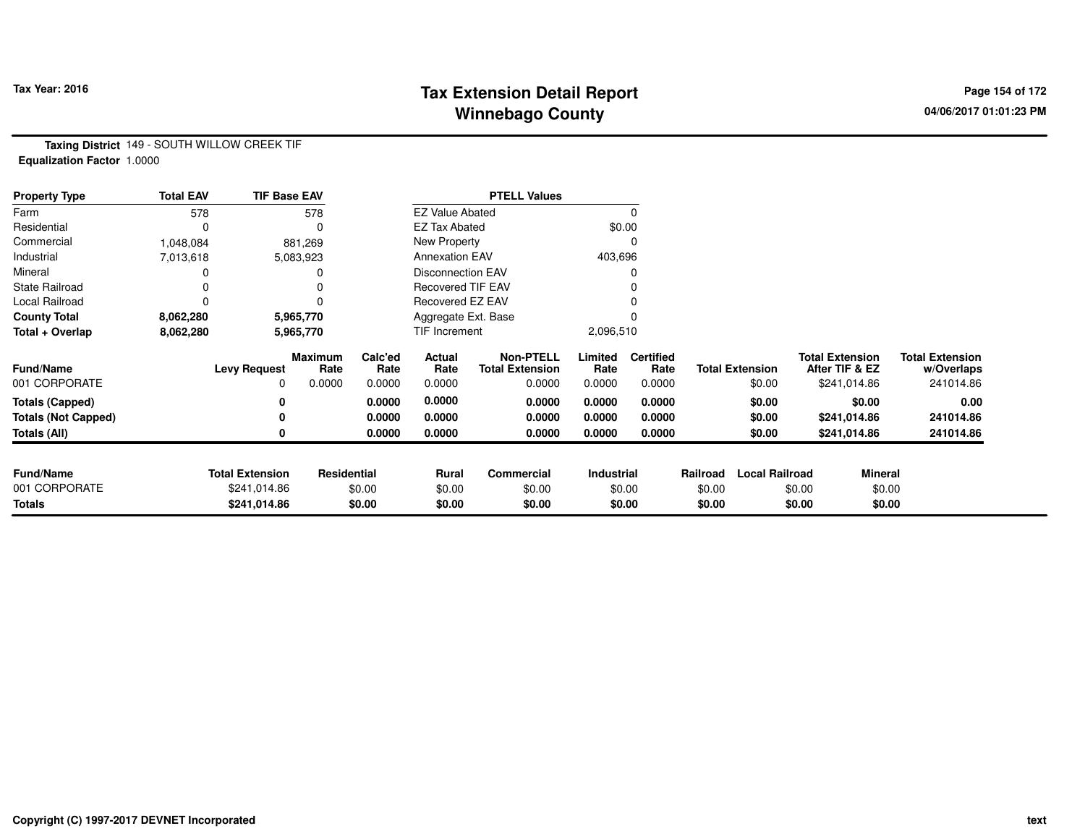### **Tax Extension Detail Report Tax Year: 2016 Page 154 of 172 Winnebago County**

**Taxing District** 149 - SOUTH WILLOW CREEK TIF**Equalization Factor** 1.0000

| <b>Property Type</b>       | <b>Total EAV</b> | <b>TIF Base EAV</b>    |                        |                 |                          | <b>PTELL Values</b>                        |                 |                          |          |                        |                                          |                                      |
|----------------------------|------------------|------------------------|------------------------|-----------------|--------------------------|--------------------------------------------|-----------------|--------------------------|----------|------------------------|------------------------------------------|--------------------------------------|
| Farm                       | 578              |                        | 578                    |                 | <b>EZ Value Abated</b>   |                                            |                 |                          |          |                        |                                          |                                      |
| Residential                | 0                |                        |                        |                 | <b>EZ Tax Abated</b>     |                                            |                 | \$0.00                   |          |                        |                                          |                                      |
| Commercial                 | 1,048,084        |                        | 881,269                |                 | New Property             |                                            |                 | U                        |          |                        |                                          |                                      |
| Industrial                 | 7,013,618        |                        | 5,083,923              |                 | <b>Annexation EAV</b>    |                                            | 403,696         |                          |          |                        |                                          |                                      |
| Mineral                    |                  |                        |                        |                 | <b>Disconnection EAV</b> |                                            |                 |                          |          |                        |                                          |                                      |
| <b>State Railroad</b>      |                  |                        |                        |                 | <b>Recovered TIF EAV</b> |                                            |                 |                          |          |                        |                                          |                                      |
| Local Railroad             | 0                |                        |                        |                 | Recovered EZ EAV         |                                            |                 |                          |          |                        |                                          |                                      |
| <b>County Total</b>        | 8,062,280        |                        | 5,965,770              |                 | Aggregate Ext. Base      |                                            |                 |                          |          |                        |                                          |                                      |
| Total + Overlap            | 8,062,280        |                        | 5,965,770              |                 | TIF Increment            |                                            | 2,096,510       |                          |          |                        |                                          |                                      |
| <b>Fund/Name</b>           |                  | <b>Levy Request</b>    | <b>Maximum</b><br>Rate | Calc'ed<br>Rate | Actual<br>Rate           | <b>Non-PTELL</b><br><b>Total Extension</b> | Limited<br>Rate | <b>Certified</b><br>Rate |          | <b>Total Extension</b> | <b>Total Extension</b><br>After TIF & EZ | <b>Total Extension</b><br>w/Overlaps |
| 001 CORPORATE              |                  | $\Omega$               | 0.0000                 | 0.0000          | 0.0000                   | 0.0000                                     | 0.0000          | 0.0000                   |          | \$0.00                 | \$241,014.86                             | 241014.86                            |
| <b>Totals (Capped)</b>     |                  | 0                      |                        | 0.0000          | 0.0000                   | 0.0000                                     | 0.0000          | 0.0000                   |          | \$0.00                 | \$0.00                                   | 0.00                                 |
| <b>Totals (Not Capped)</b> |                  |                        |                        | 0.0000          | 0.0000                   | 0.0000                                     | 0.0000          | 0.0000                   |          | \$0.00                 | \$241,014.86                             | 241014.86                            |
| Totals (All)               |                  |                        |                        | 0.0000          | 0.0000                   | 0.0000                                     | 0.0000          | 0.0000                   |          | \$0.00                 | \$241,014.86                             | 241014.86                            |
|                            |                  |                        |                        |                 |                          |                                            |                 |                          |          |                        |                                          |                                      |
| <b>Fund/Name</b>           |                  | <b>Total Extension</b> | Residential            |                 | <b>Rural</b>             | Commercial                                 | Industrial      |                          | Railroad | <b>Local Railroad</b>  | <b>Mineral</b>                           |                                      |
| 001 CORPORATE              |                  | \$241,014.86           |                        | \$0.00          | \$0.00                   | \$0.00                                     |                 | \$0.00                   | \$0.00   |                        | \$0.00                                   | \$0.00                               |
| Totals                     |                  | \$241,014.86           |                        | \$0.00          | \$0.00                   | \$0.00                                     |                 | \$0.00                   | \$0.00   |                        | \$0.00                                   | \$0.00                               |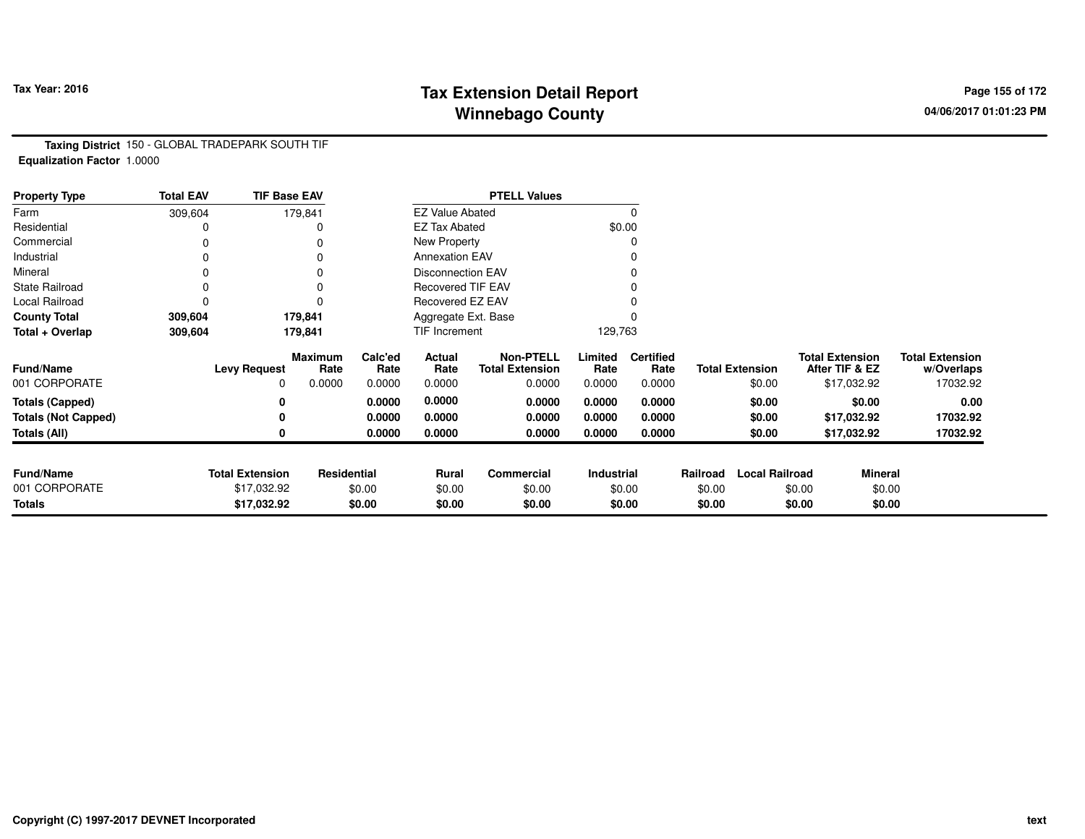# **Tax Extension Detail Report Tax Year: 2016 Page 155 of 172 Winnebago County**

**Taxing District** 150 - GLOBAL TRADEPARK SOUTH TIF**Equalization Factor** 1.0000

| <b>Property Type</b>       | <b>Total EAV</b> | <b>TIF Base EAV</b>    |                 |                 |                          | <b>PTELL Values</b>                        |                   |                          |          |                        |                                          |                                      |
|----------------------------|------------------|------------------------|-----------------|-----------------|--------------------------|--------------------------------------------|-------------------|--------------------------|----------|------------------------|------------------------------------------|--------------------------------------|
| Farm                       | 309,604          |                        | 179,841         |                 | <b>EZ Value Abated</b>   |                                            |                   | 0                        |          |                        |                                          |                                      |
| Residential                |                  |                        |                 |                 | <b>EZ Tax Abated</b>     |                                            |                   | \$0.00                   |          |                        |                                          |                                      |
| Commercial                 | 0                |                        |                 |                 | New Property             |                                            |                   |                          |          |                        |                                          |                                      |
| Industrial                 | 0                |                        |                 |                 | <b>Annexation EAV</b>    |                                            |                   | 0                        |          |                        |                                          |                                      |
| Mineral                    | 0                |                        |                 |                 | <b>Disconnection EAV</b> |                                            |                   | $\Omega$                 |          |                        |                                          |                                      |
| <b>State Railroad</b>      | 0                |                        | 0               |                 | <b>Recovered TIF EAV</b> |                                            |                   |                          |          |                        |                                          |                                      |
| Local Railroad             | 0                |                        | $\Omega$        |                 | Recovered EZ EAV         |                                            |                   |                          |          |                        |                                          |                                      |
| <b>County Total</b>        | 309,604          |                        | 179,841         |                 | Aggregate Ext. Base      |                                            |                   |                          |          |                        |                                          |                                      |
| Total + Overlap            | 309,604          |                        | 179,841         |                 | TIF Increment            |                                            | 129,763           |                          |          |                        |                                          |                                      |
| Fund/Name                  |                  | <b>Levy Request</b>    | Maximum<br>Rate | Calc'ed<br>Rate | Actual<br>Rate           | <b>Non-PTELL</b><br><b>Total Extension</b> | Limited<br>Rate   | <b>Certified</b><br>Rate |          | <b>Total Extension</b> | <b>Total Extension</b><br>After TIF & EZ | <b>Total Extension</b><br>w/Overlaps |
| 001 CORPORATE              |                  | 0                      | 0.0000          | 0.0000          | 0.0000                   | 0.0000                                     | 0.0000            | 0.0000                   |          | \$0.00                 | \$17,032.92                              | 17032.92                             |
| <b>Totals (Capped)</b>     |                  | 0                      |                 | 0.0000          | 0.0000                   | 0.0000                                     | 0.0000            | 0.0000                   |          | \$0.00                 | \$0.00                                   | 0.00                                 |
| <b>Totals (Not Capped)</b> |                  |                        |                 | 0.0000          | 0.0000                   | 0.0000                                     | 0.0000            | 0.0000                   |          | \$0.00                 | \$17,032.92                              | 17032.92                             |
| Totals (All)               |                  | 0                      |                 | 0.0000          | 0.0000                   | 0.0000                                     | 0.0000            | 0.0000                   |          | \$0.00                 | \$17,032.92                              | 17032.92                             |
|                            |                  |                        |                 |                 |                          |                                            |                   |                          |          |                        |                                          |                                      |
| <b>Fund/Name</b>           |                  | <b>Total Extension</b> | Residential     |                 | Rural                    | Commercial                                 | <b>Industrial</b> |                          | Railroad | <b>Local Railroad</b>  |                                          | <b>Mineral</b>                       |
| 001 CORPORATE              |                  | \$17,032.92            |                 | \$0.00          | \$0.00                   | \$0.00                                     |                   | \$0.00                   | \$0.00   |                        | \$0.00                                   | \$0.00                               |
| <b>Totals</b>              |                  | \$17,032.92            |                 | \$0.00          | \$0.00                   | \$0.00                                     |                   | \$0.00                   | \$0.00   |                        | \$0.00                                   | \$0.00                               |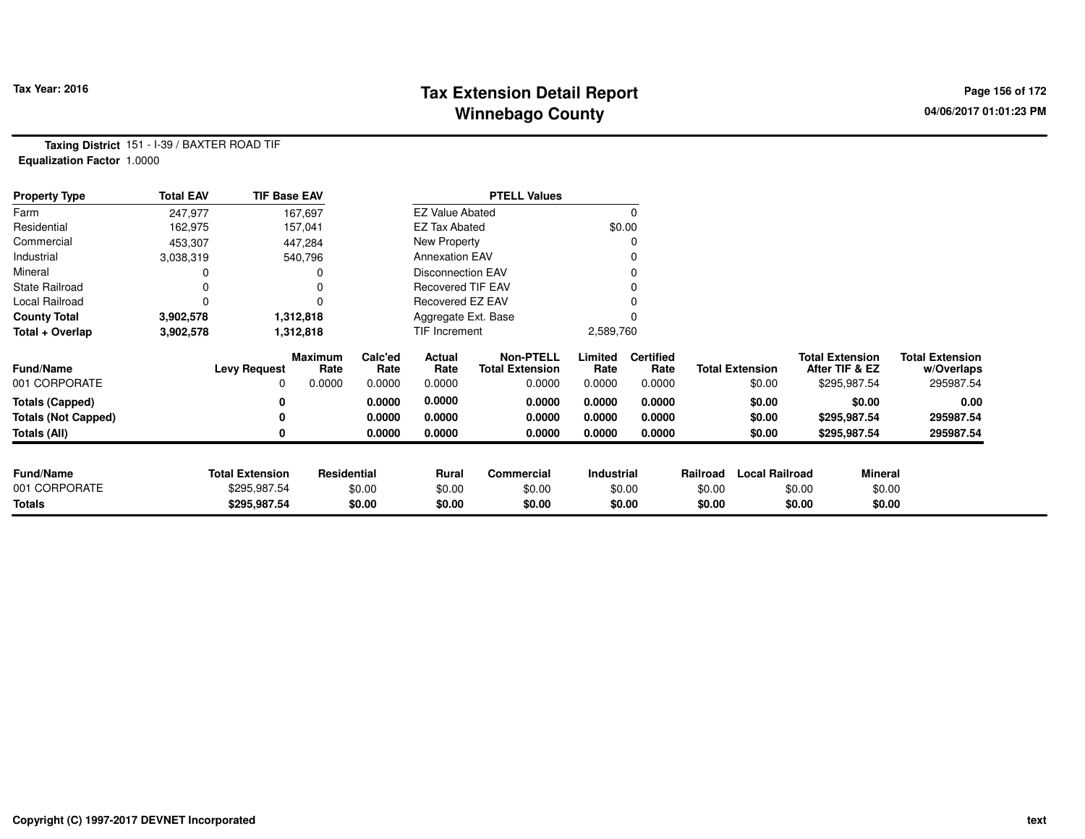# **Tax Extension Detail Report Tax Year: 2016 Page 156 of 172 Winnebago County**

**Taxing District** 151 - I-39 / BAXTER ROAD TIF**Equalization Factor** 1.0000

| <b>Property Type</b>       | <b>Total EAV</b> | <b>TIF Base EAV</b>    |                        |                 |                          | <b>PTELL Values</b>                        |                 |                          |          |                        |                                          |                |                                      |
|----------------------------|------------------|------------------------|------------------------|-----------------|--------------------------|--------------------------------------------|-----------------|--------------------------|----------|------------------------|------------------------------------------|----------------|--------------------------------------|
| Farm                       | 247,977          |                        | 167,697                |                 | <b>EZ Value Abated</b>   |                                            |                 |                          |          |                        |                                          |                |                                      |
| Residential                | 162,975          |                        | 157,041                |                 | <b>EZ Tax Abated</b>     |                                            |                 | \$0.00                   |          |                        |                                          |                |                                      |
| Commercial                 | 453,307          |                        | 447,284                |                 | New Property             |                                            |                 |                          |          |                        |                                          |                |                                      |
| Industrial                 | 3,038,319        |                        | 540,796                |                 | <b>Annexation EAV</b>    |                                            |                 |                          |          |                        |                                          |                |                                      |
| Mineral                    |                  |                        |                        |                 | <b>Disconnection EAV</b> |                                            |                 |                          |          |                        |                                          |                |                                      |
| <b>State Railroad</b>      |                  |                        | 0                      |                 | <b>Recovered TIF EAV</b> |                                            |                 |                          |          |                        |                                          |                |                                      |
| Local Railroad             |                  |                        | $\Omega$               |                 | Recovered EZ EAV         |                                            |                 |                          |          |                        |                                          |                |                                      |
| <b>County Total</b>        | 3,902,578        |                        | 1,312,818              |                 | Aggregate Ext. Base      |                                            |                 |                          |          |                        |                                          |                |                                      |
| Total + Overlap            | 3,902,578        |                        | 1,312,818              |                 | <b>TIF Increment</b>     |                                            | 2,589,760       |                          |          |                        |                                          |                |                                      |
| <b>Fund/Name</b>           |                  | <b>Levy Request</b>    | <b>Maximum</b><br>Rate | Calc'ed<br>Rate | Actual<br>Rate           | <b>Non-PTELL</b><br><b>Total Extension</b> | Limited<br>Rate | <b>Certified</b><br>Rate |          | <b>Total Extension</b> | <b>Total Extension</b><br>After TIF & EZ |                | <b>Total Extension</b><br>w/Overlaps |
| 001 CORPORATE              |                  | 0                      | 0.0000                 | 0.0000          | 0.0000                   | 0.0000                                     | 0.0000          | 0.0000                   |          | \$0.00                 |                                          | \$295,987.54   | 295987.54                            |
| <b>Totals (Capped)</b>     |                  | 0                      |                        | 0.0000          | 0.0000                   | 0.0000                                     | 0.0000          | 0.0000                   |          | \$0.00                 |                                          | \$0.00         | 0.00                                 |
| <b>Totals (Not Capped)</b> |                  | 0                      |                        | 0.0000          | 0.0000                   | 0.0000                                     | 0.0000          | 0.0000                   |          | \$0.00                 |                                          | \$295,987.54   | 295987.54                            |
| Totals (All)               |                  | 0                      |                        | 0.0000          | 0.0000                   | 0.0000                                     | 0.0000          | 0.0000                   |          | \$0.00                 |                                          | \$295,987.54   | 295987.54                            |
| <b>Fund/Name</b>           |                  | <b>Total Extension</b> | Residential            |                 | Rural                    | Commercial                                 | Industrial      |                          | Railroad | <b>Local Railroad</b>  |                                          | <b>Mineral</b> |                                      |
| 001 CORPORATE              |                  | \$295,987.54           |                        | \$0.00          | \$0.00                   | \$0.00                                     |                 | \$0.00                   | \$0.00   |                        | \$0.00                                   | \$0.00         |                                      |
| <b>Totals</b>              |                  | \$295,987.54           |                        | \$0.00          | \$0.00                   | \$0.00                                     |                 | \$0.00                   | \$0.00   |                        | \$0.00                                   | \$0.00         |                                      |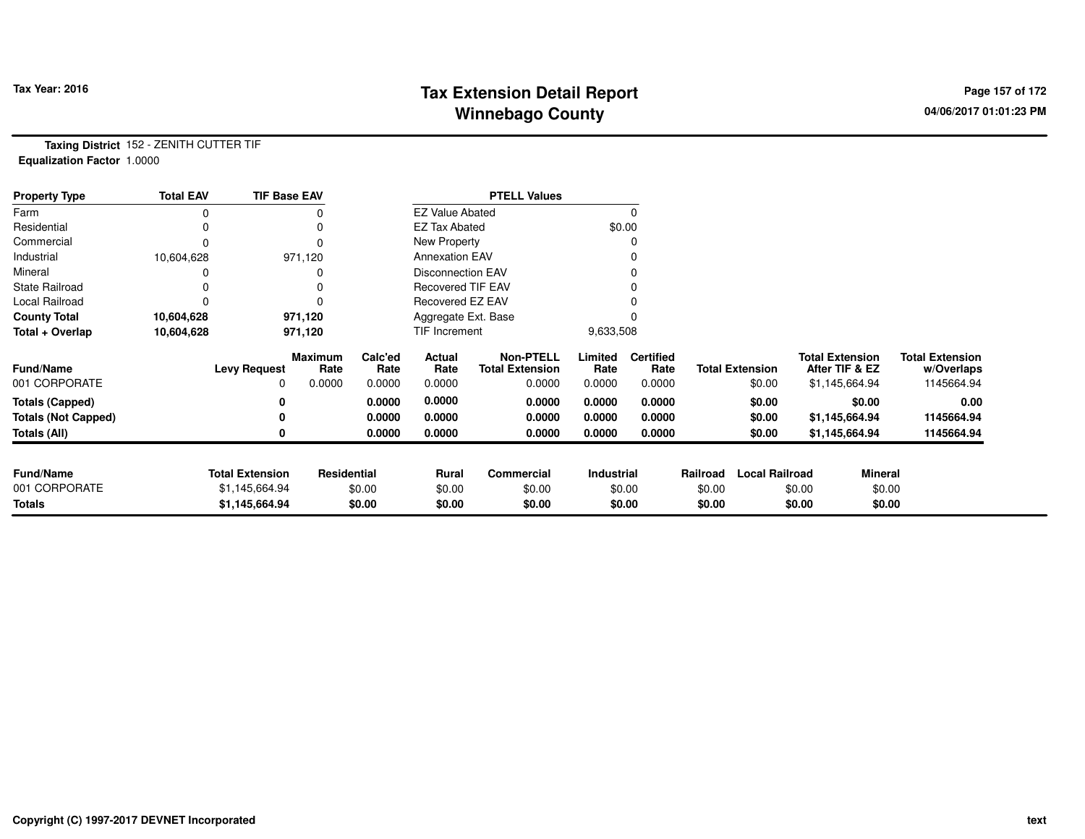## **Tax Extension Detail Report Tax Year: 2016 Page 157 of 172 Winnebago County**

**Taxing District** 152 - ZENITH CUTTER TIF**Equalization Factor** 1.0000

| <b>Property Type</b>       | <b>Total EAV</b> | <b>TIF Base EAV</b>    |                 |                 |                          | <b>PTELL Values</b>                        |                 |                          |          |                        |                                          |                                      |
|----------------------------|------------------|------------------------|-----------------|-----------------|--------------------------|--------------------------------------------|-----------------|--------------------------|----------|------------------------|------------------------------------------|--------------------------------------|
| Farm                       | ი                |                        |                 |                 | <b>EZ Value Abated</b>   |                                            |                 | $\Omega$                 |          |                        |                                          |                                      |
| Residential                |                  |                        |                 |                 | <b>EZ Tax Abated</b>     |                                            |                 | \$0.00                   |          |                        |                                          |                                      |
| Commercial                 |                  |                        |                 |                 | New Property             |                                            |                 |                          |          |                        |                                          |                                      |
| Industrial                 | 10,604,628       |                        | 971,120         |                 | <b>Annexation EAV</b>    |                                            |                 |                          |          |                        |                                          |                                      |
| Mineral                    |                  |                        |                 |                 | Disconnection EAV        |                                            |                 |                          |          |                        |                                          |                                      |
| <b>State Railroad</b>      |                  |                        |                 |                 | <b>Recovered TIF EAV</b> |                                            |                 |                          |          |                        |                                          |                                      |
| Local Railroad             |                  |                        |                 |                 | <b>Recovered EZ EAV</b>  |                                            |                 |                          |          |                        |                                          |                                      |
| <b>County Total</b>        | 10,604,628       |                        | 971,120         |                 | Aggregate Ext. Base      |                                            |                 |                          |          |                        |                                          |                                      |
| Total + Overlap            | 10,604,628       |                        | 971,120         |                 | <b>TIF Increment</b>     |                                            | 9,633,508       |                          |          |                        |                                          |                                      |
| <b>Fund/Name</b>           |                  | <b>Levy Request</b>    | Maximum<br>Rate | Calc'ed<br>Rate | Actual<br>Rate           | <b>Non-PTELL</b><br><b>Total Extension</b> | Limited<br>Rate | <b>Certified</b><br>Rate |          | <b>Total Extension</b> | <b>Total Extension</b><br>After TIF & EZ | <b>Total Extension</b><br>w/Overlaps |
| 001 CORPORATE              |                  | $\Omega$               | 0.0000          | 0.0000          | 0.0000                   | 0.0000                                     | 0.0000          | 0.0000                   |          | \$0.00                 | \$1,145,664.94                           | 1145664.94                           |
| <b>Totals (Capped)</b>     |                  |                        |                 | 0.0000          | 0.0000                   | 0.0000                                     | 0.0000          | 0.0000                   |          | \$0.00                 | \$0.00                                   | 0.00                                 |
| <b>Totals (Not Capped)</b> |                  |                        |                 | 0.0000          | 0.0000                   | 0.0000                                     | 0.0000          | 0.0000                   |          | \$0.00                 | \$1,145,664.94                           | 1145664.94                           |
| Totals (All)               |                  |                        |                 | 0.0000          | 0.0000                   | 0.0000                                     | 0.0000          | 0.0000                   |          | \$0.00                 | \$1,145,664.94                           | 1145664.94                           |
|                            |                  |                        |                 |                 |                          |                                            |                 |                          |          |                        |                                          |                                      |
| <b>Fund/Name</b>           |                  | <b>Total Extension</b> | Residential     |                 | <b>Rural</b>             | Commercial                                 | Industrial      |                          | Railroad | <b>Local Railroad</b>  | Mineral                                  |                                      |
| 001 CORPORATE              |                  | \$1,145,664.94         |                 | \$0.00          | \$0.00                   | \$0.00                                     |                 | \$0.00                   | \$0.00   |                        | \$0.00                                   | \$0.00                               |
| Totals                     |                  | \$1,145,664.94         |                 | \$0.00          | \$0.00                   | \$0.00                                     |                 | \$0.00                   | \$0.00   |                        | \$0.00                                   | \$0.00                               |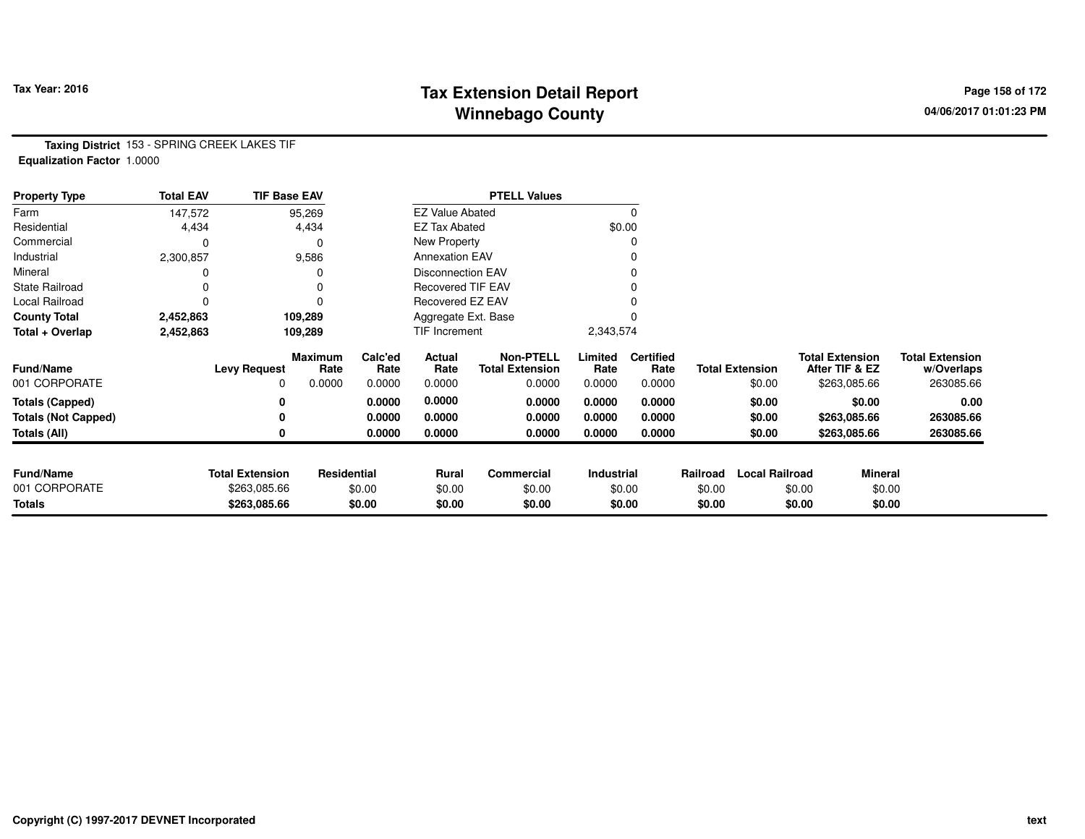# **Tax Extension Detail Report Tax Year: 2016 Page 158 of 172 Winnebago County**

**Taxing District** 153 - SPRING CREEK LAKES TIF**Equalization Factor** 1.0000

| <b>Property Type</b>       | <b>Total EAV</b> | <b>TIF Base EAV</b>    |                        |                 |                          | <b>PTELL Values</b>                        |                 |                          |          |                        |                                          |                |                                      |
|----------------------------|------------------|------------------------|------------------------|-----------------|--------------------------|--------------------------------------------|-----------------|--------------------------|----------|------------------------|------------------------------------------|----------------|--------------------------------------|
| Farm                       | 147,572          |                        | 95,269                 |                 | <b>EZ Value Abated</b>   |                                            |                 |                          |          |                        |                                          |                |                                      |
| Residential                | 4,434            |                        | 4,434                  |                 | <b>EZ Tax Abated</b>     |                                            |                 | \$0.00                   |          |                        |                                          |                |                                      |
| Commercial                 | 0                |                        | $\Omega$               |                 | New Property             |                                            |                 |                          |          |                        |                                          |                |                                      |
| Industrial                 | 2,300,857        |                        | 9,586                  |                 | <b>Annexation EAV</b>    |                                            |                 |                          |          |                        |                                          |                |                                      |
| Mineral                    |                  |                        |                        |                 | <b>Disconnection EAV</b> |                                            |                 |                          |          |                        |                                          |                |                                      |
| State Railroad             |                  |                        | 0                      |                 | <b>Recovered TIF EAV</b> |                                            |                 |                          |          |                        |                                          |                |                                      |
| Local Railroad             |                  |                        | 0                      |                 | Recovered EZ EAV         |                                            |                 |                          |          |                        |                                          |                |                                      |
| <b>County Total</b>        | 2,452,863        |                        | 109,289                |                 | Aggregate Ext. Base      |                                            |                 |                          |          |                        |                                          |                |                                      |
| Total + Overlap            | 2,452,863        |                        | 109,289                |                 | TIF Increment            |                                            | 2,343,574       |                          |          |                        |                                          |                |                                      |
| <b>Fund/Name</b>           |                  | <b>Levy Request</b>    | <b>Maximum</b><br>Rate | Calc'ed<br>Rate | Actual<br>Rate           | <b>Non-PTELL</b><br><b>Total Extension</b> | Limited<br>Rate | <b>Certified</b><br>Rate |          | <b>Total Extension</b> | <b>Total Extension</b><br>After TIF & EZ |                | <b>Total Extension</b><br>w/Overlaps |
| 001 CORPORATE              |                  | 0                      | 0.0000                 | 0.0000          | 0.0000                   | 0.0000                                     | 0.0000          | 0.0000                   |          | \$0.00                 |                                          | \$263,085.66   | 263085.66                            |
| <b>Totals (Capped)</b>     |                  | 0                      |                        | 0.0000          | 0.0000                   | 0.0000                                     | 0.0000          | 0.0000                   |          | \$0.00                 |                                          | \$0.00         | 0.00                                 |
| <b>Totals (Not Capped)</b> |                  | 0                      |                        | 0.0000          | 0.0000                   | 0.0000                                     | 0.0000          | 0.0000                   |          | \$0.00                 |                                          | \$263,085.66   | 263085.66                            |
| <b>Totals (All)</b>        |                  | 0                      |                        | 0.0000          | 0.0000                   | 0.0000                                     | 0.0000          | 0.0000                   |          | \$0.00                 |                                          | \$263,085.66   | 263085.66                            |
|                            |                  |                        |                        |                 |                          |                                            |                 |                          |          |                        |                                          |                |                                      |
| <b>Fund/Name</b>           |                  | <b>Total Extension</b> | Residential            |                 | <b>Rural</b>             | Commercial                                 | Industrial      |                          | Railroad | <b>Local Railroad</b>  |                                          | <b>Mineral</b> |                                      |
| 001 CORPORATE              |                  | \$263,085.66           |                        | \$0.00          | \$0.00                   | \$0.00                                     |                 | \$0.00                   | \$0.00   |                        | \$0.00                                   | \$0.00         |                                      |
| <b>Totals</b>              |                  | \$263,085.66           |                        | \$0.00          | \$0.00                   | \$0.00                                     |                 | \$0.00                   | \$0.00   |                        | \$0.00                                   | \$0.00         |                                      |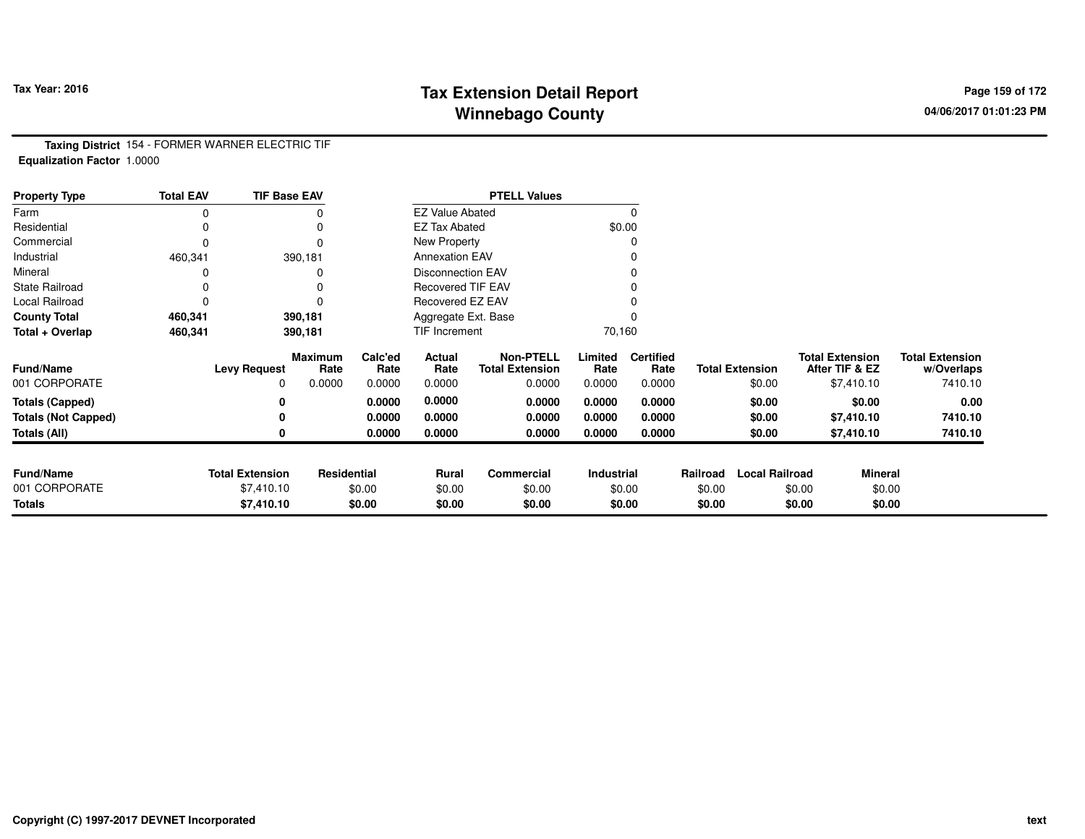# **Tax Extension Detail Report Tax Year: 2016 Page 159 of 172 Winnebago County**

**Taxing District** 154 - FORMER WARNER ELECTRIC TIF**Equalization Factor** 1.0000

| <b>Property Type</b>       | <b>Total EAV</b> | <b>TIF Base EAV</b>    |                 |                 |                          | <b>PTELL Values</b>                        |                   |                          |          |                        |                                          |                                      |
|----------------------------|------------------|------------------------|-----------------|-----------------|--------------------------|--------------------------------------------|-------------------|--------------------------|----------|------------------------|------------------------------------------|--------------------------------------|
| Farm                       |                  |                        |                 |                 | <b>EZ Value Abated</b>   |                                            |                   | $\Omega$                 |          |                        |                                          |                                      |
| Residential                |                  |                        |                 |                 | <b>EZ Tax Abated</b>     |                                            |                   | \$0.00                   |          |                        |                                          |                                      |
| Commercial                 | 0                |                        |                 |                 | New Property             |                                            |                   |                          |          |                        |                                          |                                      |
| Industrial                 | 460,341          |                        | 390,181         |                 | <b>Annexation EAV</b>    |                                            |                   |                          |          |                        |                                          |                                      |
| Mineral                    |                  |                        |                 |                 | <b>Disconnection EAV</b> |                                            |                   |                          |          |                        |                                          |                                      |
| <b>State Railroad</b>      |                  |                        |                 |                 | <b>Recovered TIF EAV</b> |                                            |                   |                          |          |                        |                                          |                                      |
| Local Railroad             |                  |                        |                 |                 | Recovered EZ EAV         |                                            |                   |                          |          |                        |                                          |                                      |
| <b>County Total</b>        | 460,341          |                        | 390,181         |                 | Aggregate Ext. Base      |                                            |                   |                          |          |                        |                                          |                                      |
| Total + Overlap            | 460,341          |                        | 390,181         |                 | TIF Increment            |                                            | 70,160            |                          |          |                        |                                          |                                      |
| <b>Fund/Name</b>           |                  | <b>Levy Request</b>    | Maximum<br>Rate | Calc'ed<br>Rate | Actual<br>Rate           | <b>Non-PTELL</b><br><b>Total Extension</b> | Limited<br>Rate   | <b>Certified</b><br>Rate |          | <b>Total Extension</b> | <b>Total Extension</b><br>After TIF & EZ | <b>Total Extension</b><br>w/Overlaps |
| 001 CORPORATE              |                  | 0                      | 0.0000          | 0.0000          | 0.0000                   | 0.0000                                     | 0.0000            | 0.0000                   |          | \$0.00                 | \$7,410.10                               | 7410.10                              |
| <b>Totals (Capped)</b>     |                  |                        |                 | 0.0000          | 0.0000                   | 0.0000                                     | 0.0000            | 0.0000                   |          | \$0.00                 | \$0.00                                   | 0.00                                 |
| <b>Totals (Not Capped)</b> |                  |                        |                 | 0.0000          | 0.0000                   | 0.0000                                     | 0.0000            | 0.0000                   |          | \$0.00                 | \$7,410.10                               | 7410.10                              |
| Totals (All)               |                  |                        |                 | 0.0000          | 0.0000                   | 0.0000                                     | 0.0000            | 0.0000                   |          | \$0.00                 | \$7,410.10                               | 7410.10                              |
| <b>Fund/Name</b>           |                  | <b>Total Extension</b> | Residential     |                 | Rural                    | <b>Commercial</b>                          | <b>Industrial</b> |                          | Railroad | <b>Local Railroad</b>  |                                          | <b>Mineral</b>                       |
| 001 CORPORATE              |                  | \$7,410.10             |                 | \$0.00          | \$0.00                   | \$0.00                                     |                   | \$0.00                   | \$0.00   |                        | \$0.00                                   | \$0.00                               |
| <b>Totals</b>              |                  | \$7,410.10             |                 | \$0.00          | \$0.00                   | \$0.00                                     |                   | \$0.00                   | \$0.00   |                        | \$0.00                                   | \$0.00                               |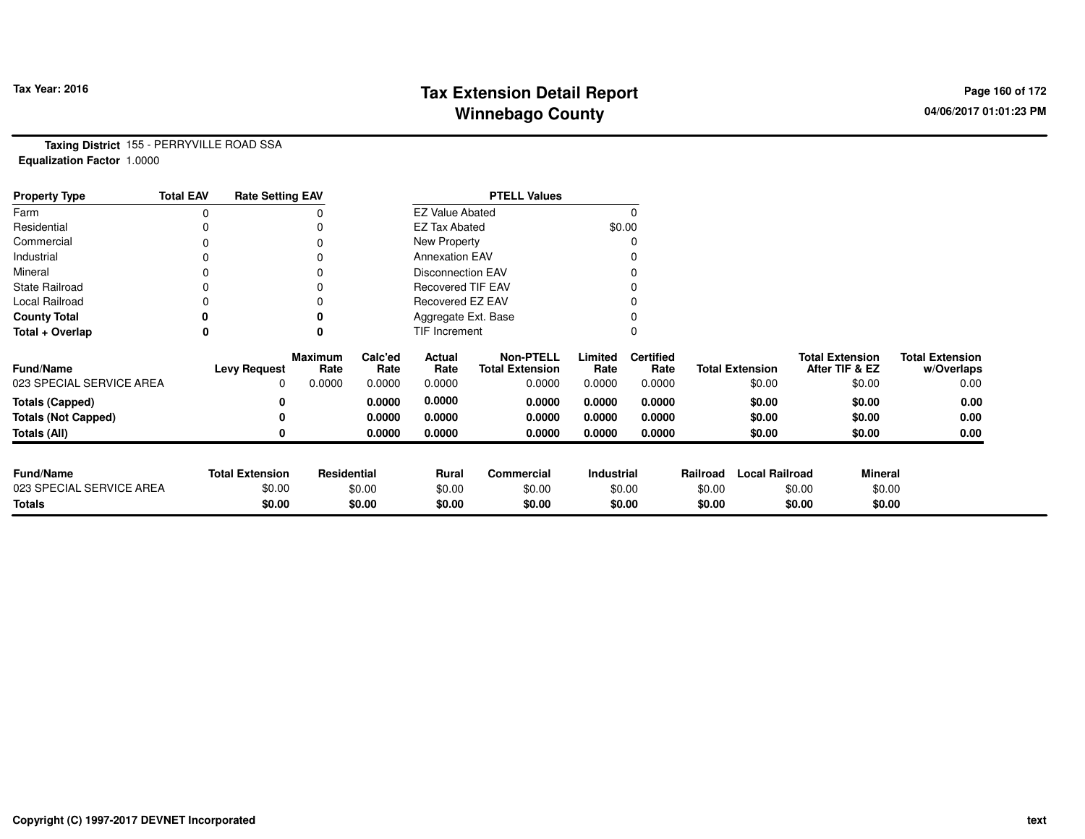# **Tax Extension Detail Report Tax Figure 2016 Page 160 of 172 Winnebago County**

**Taxing District** 155 - PERRYVILLE ROAD SSA**Equalization Factor** 1.0000

| <b>Property Type</b>       | <b>Total EAV</b> | <b>Rate Setting EAV</b> |                 |                 |                          | <b>PTELL Values</b>                        |                 |                          |          |                        |                                          |                                      |
|----------------------------|------------------|-------------------------|-----------------|-----------------|--------------------------|--------------------------------------------|-----------------|--------------------------|----------|------------------------|------------------------------------------|--------------------------------------|
| Farm                       |                  |                         |                 |                 | <b>EZ Value Abated</b>   |                                            |                 |                          |          |                        |                                          |                                      |
| Residential                |                  |                         |                 |                 | <b>EZ Tax Abated</b>     |                                            | \$0.00          |                          |          |                        |                                          |                                      |
| Commercial                 |                  |                         |                 |                 | New Property             |                                            |                 |                          |          |                        |                                          |                                      |
| Industrial                 |                  |                         |                 |                 | <b>Annexation EAV</b>    |                                            |                 |                          |          |                        |                                          |                                      |
| Mineral                    |                  |                         |                 |                 | <b>Disconnection EAV</b> |                                            |                 |                          |          |                        |                                          |                                      |
| <b>State Railroad</b>      |                  |                         |                 |                 | <b>Recovered TIF EAV</b> |                                            |                 |                          |          |                        |                                          |                                      |
| Local Railroad             |                  |                         |                 |                 | Recovered EZ EAV         |                                            |                 |                          |          |                        |                                          |                                      |
| <b>County Total</b>        | 0                |                         |                 |                 | Aggregate Ext. Base      |                                            |                 |                          |          |                        |                                          |                                      |
| Total + Overlap            | 0                |                         | 0               |                 | TIF Increment            |                                            |                 |                          |          |                        |                                          |                                      |
| <b>Fund/Name</b>           |                  | <b>Levy Request</b>     | Maximum<br>Rate | Calc'ed<br>Rate | Actual<br>Rate           | <b>Non-PTELL</b><br><b>Total Extension</b> | Limited<br>Rate | <b>Certified</b><br>Rate |          | <b>Total Extension</b> | <b>Total Extension</b><br>After TIF & EZ | <b>Total Extension</b><br>w/Overlaps |
| 023 SPECIAL SERVICE AREA   |                  | 0                       | 0.0000          | 0.0000          | 0.0000                   | 0.0000                                     | 0.0000          | 0.0000                   |          | \$0.00                 | \$0.00                                   | 0.00                                 |
| <b>Totals (Capped)</b>     |                  |                         |                 | 0.0000          | 0.0000                   | 0.0000                                     | 0.0000          | 0.0000                   |          | \$0.00                 | \$0.00                                   | 0.00                                 |
| <b>Totals (Not Capped)</b> |                  |                         |                 | 0.0000          | 0.0000                   | 0.0000                                     | 0.0000          | 0.0000                   |          | \$0.00                 | \$0.00                                   | 0.00                                 |
| <b>Totals (All)</b>        |                  |                         |                 | 0.0000          | 0.0000                   | 0.0000                                     | 0.0000          | 0.0000                   |          | \$0.00                 | \$0.00                                   | 0.00                                 |
|                            |                  |                         |                 |                 |                          |                                            |                 |                          |          |                        |                                          |                                      |
| <b>Fund/Name</b>           |                  | <b>Total Extension</b>  | Residential     |                 | Rural                    | Commercial                                 | Industrial      |                          | Railroad | <b>Local Railroad</b>  | <b>Mineral</b>                           |                                      |
| 023 SPECIAL SERVICE AREA   |                  | \$0.00                  |                 | \$0.00          | \$0.00                   | \$0.00                                     | \$0.00          |                          | \$0.00   |                        | \$0.00<br>\$0.00                         |                                      |
| <b>Totals</b>              |                  | \$0.00                  |                 | \$0.00          | \$0.00                   | \$0.00                                     |                 | \$0.00                   | \$0.00   |                        | \$0.00<br>\$0.00                         |                                      |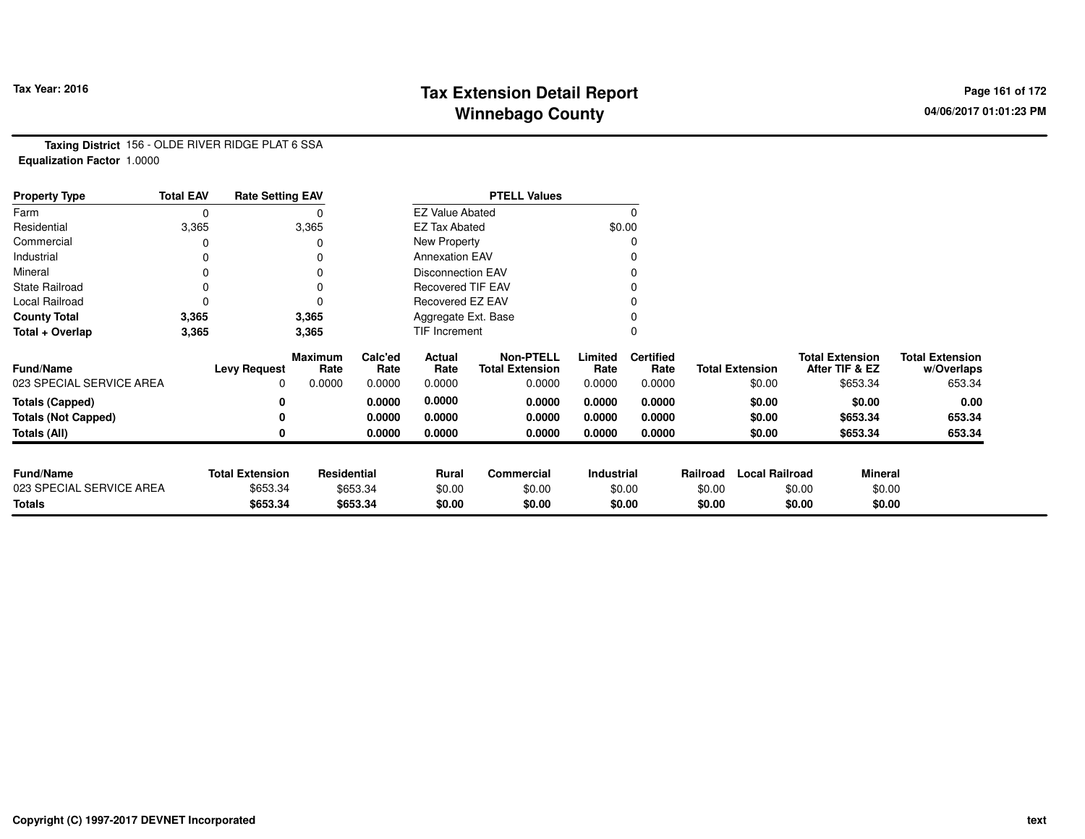# **Tax Extension Detail Report Tax Year: 2016 Page 161 of 172 Winnebago County**

**Taxing District** 156 - OLDE RIVER RIDGE PLAT 6 SSA**Equalization Factor** 1.0000

| <b>Property Type</b>       | <b>Total EAV</b> | <b>Rate Setting EAV</b> |                 |                 |                          | <b>PTELL Values</b>                        |                   |                          |          |                        |                                          |                |                                      |
|----------------------------|------------------|-------------------------|-----------------|-----------------|--------------------------|--------------------------------------------|-------------------|--------------------------|----------|------------------------|------------------------------------------|----------------|--------------------------------------|
| Farm                       | 0                |                         |                 |                 | <b>EZ Value Abated</b>   |                                            |                   | $\Omega$                 |          |                        |                                          |                |                                      |
| Residential                | 3,365            |                         | 3,365           |                 | <b>EZ Tax Abated</b>     |                                            |                   | \$0.00                   |          |                        |                                          |                |                                      |
| Commercial                 |                  |                         | $\Omega$        |                 | New Property             |                                            |                   | 0                        |          |                        |                                          |                |                                      |
| Industrial                 |                  |                         | 0               |                 | <b>Annexation EAV</b>    |                                            |                   | 0                        |          |                        |                                          |                |                                      |
| Mineral                    |                  |                         | 0               |                 | <b>Disconnection EAV</b> |                                            |                   | 0                        |          |                        |                                          |                |                                      |
| <b>State Railroad</b>      | 0                |                         | 0               |                 | <b>Recovered TIF EAV</b> |                                            |                   |                          |          |                        |                                          |                |                                      |
| Local Railroad             | 0                |                         | $\Omega$        |                 | Recovered EZ EAV         |                                            |                   |                          |          |                        |                                          |                |                                      |
| <b>County Total</b>        | 3,365            |                         | 3,365           |                 | Aggregate Ext. Base      |                                            |                   | 0                        |          |                        |                                          |                |                                      |
| Total + Overlap            | 3,365            |                         | 3,365           |                 | <b>TIF Increment</b>     |                                            |                   | $\Omega$                 |          |                        |                                          |                |                                      |
| <b>Fund/Name</b>           |                  | <b>Levy Request</b>     | Maximum<br>Rate | Calc'ed<br>Rate | Actual<br>Rate           | <b>Non-PTELL</b><br><b>Total Extension</b> | Limited<br>Rate   | <b>Certified</b><br>Rate |          | <b>Total Extension</b> | <b>Total Extension</b><br>After TIF & EZ |                | <b>Total Extension</b><br>w/Overlaps |
| 023 SPECIAL SERVICE AREA   |                  | 0                       | 0.0000          | 0.0000          | 0.0000                   | 0.0000                                     | 0.0000            | 0.0000                   |          | \$0.00                 |                                          | \$653.34       | 653.34                               |
| <b>Totals (Capped)</b>     |                  | 0                       |                 | 0.0000          | 0.0000                   | 0.0000                                     | 0.0000            | 0.0000                   |          | \$0.00                 |                                          | \$0.00         | 0.00                                 |
| <b>Totals (Not Capped)</b> |                  | 0                       |                 | 0.0000          | 0.0000                   | 0.0000                                     | 0.0000            | 0.0000                   |          | \$0.00                 |                                          | \$653.34       | 653.34                               |
| Totals (All)               |                  | 0                       |                 | 0.0000          | 0.0000                   | 0.0000                                     | 0.0000            | 0.0000                   |          | \$0.00                 |                                          | \$653.34       | 653.34                               |
| <b>Fund/Name</b>           |                  | <b>Total Extension</b>  | Residential     |                 | Rural                    | Commercial                                 | <b>Industrial</b> |                          | Railroad | <b>Local Railroad</b>  |                                          | <b>Mineral</b> |                                      |
| 023 SPECIAL SERVICE AREA   |                  | \$653.34                |                 | \$653.34        | \$0.00                   | \$0.00                                     |                   | \$0.00                   | \$0.00   |                        | \$0.00                                   | \$0.00         |                                      |
| <b>Totals</b>              |                  | \$653.34                |                 | \$653.34        | \$0.00                   | \$0.00                                     |                   | \$0.00                   | \$0.00   |                        | \$0.00                                   | \$0.00         |                                      |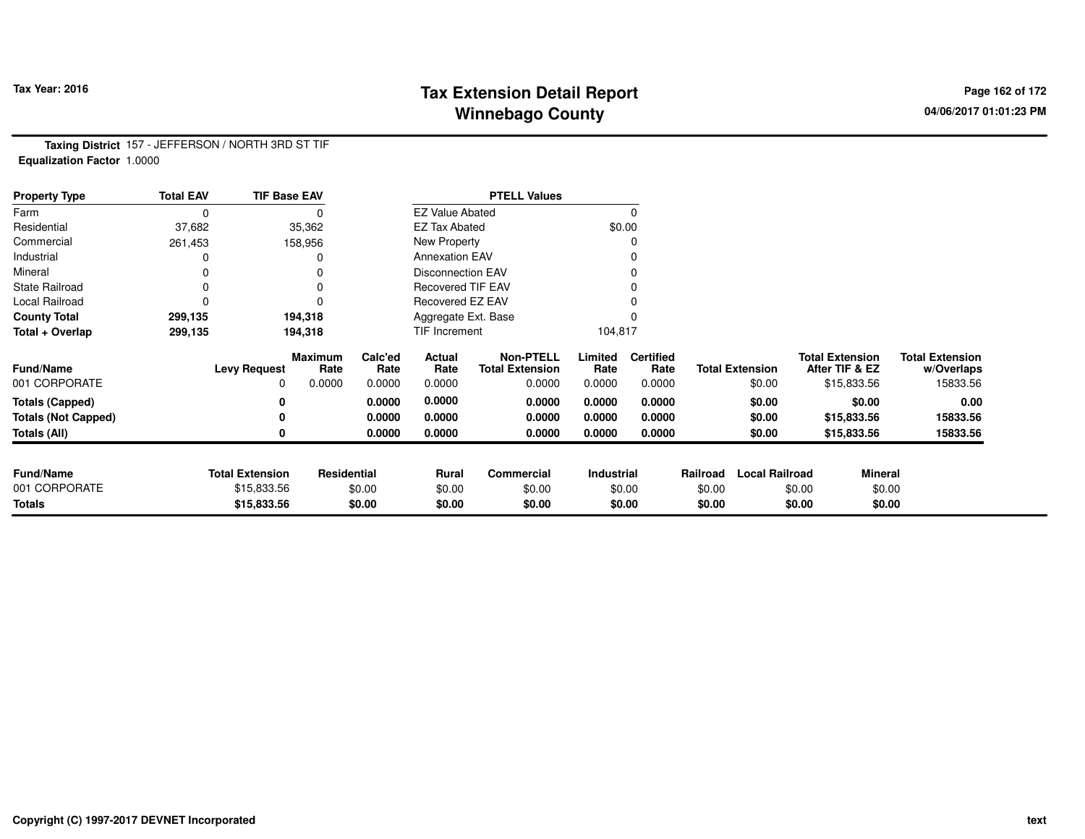## **Tax Extension Detail Report Tax Year: 2016 Page 162 of 172 Winnebago County**

**Taxing District** 157 - JEFFERSON / NORTH 3RD ST TIF**Equalization Factor** 1.0000

| <b>Property Type</b>       | <b>Total EAV</b> | <b>TIF Base EAV</b>    |                 |                 |                          | <b>PTELL Values</b>                        |                 |                          |          |                        |                                          |                |                                      |
|----------------------------|------------------|------------------------|-----------------|-----------------|--------------------------|--------------------------------------------|-----------------|--------------------------|----------|------------------------|------------------------------------------|----------------|--------------------------------------|
| Farm                       | 0                |                        |                 |                 | <b>EZ Value Abated</b>   |                                            |                 | 0                        |          |                        |                                          |                |                                      |
| Residential                | 37,682           |                        | 35,362          |                 | <b>EZ Tax Abated</b>     |                                            |                 | \$0.00                   |          |                        |                                          |                |                                      |
| Commercial                 | 261,453          |                        | 158,956         |                 | New Property             |                                            |                 | 0                        |          |                        |                                          |                |                                      |
| Industrial                 |                  |                        |                 |                 | <b>Annexation EAV</b>    |                                            |                 |                          |          |                        |                                          |                |                                      |
| Mineral                    | 0                |                        |                 |                 | <b>Disconnection EAV</b> |                                            |                 | 0                        |          |                        |                                          |                |                                      |
| <b>State Railroad</b>      | 0                |                        | $\Omega$        |                 | <b>Recovered TIF EAV</b> |                                            |                 |                          |          |                        |                                          |                |                                      |
| Local Railroad             | 0                |                        |                 |                 | Recovered EZ EAV         |                                            |                 |                          |          |                        |                                          |                |                                      |
| <b>County Total</b>        | 299,135          |                        | 194,318         |                 | Aggregate Ext. Base      |                                            |                 |                          |          |                        |                                          |                |                                      |
| Total + Overlap            | 299,135          |                        | 194,318         |                 | TIF Increment            |                                            | 104,817         |                          |          |                        |                                          |                |                                      |
| <b>Fund/Name</b>           |                  | <b>Levy Request</b>    | Maximum<br>Rate | Calc'ed<br>Rate | Actual<br>Rate           | <b>Non-PTELL</b><br><b>Total Extension</b> | Limited<br>Rate | <b>Certified</b><br>Rate |          | <b>Total Extension</b> | <b>Total Extension</b><br>After TIF & EZ |                | <b>Total Extension</b><br>w/Overlaps |
| 001 CORPORATE              |                  | 0                      | 0.0000          | 0.0000          | 0.0000                   | 0.0000                                     | 0.0000          | 0.0000                   |          | \$0.00                 |                                          | \$15,833.56    | 15833.56                             |
| <b>Totals (Capped)</b>     |                  | 0                      |                 | 0.0000          | 0.0000                   | 0.0000                                     | 0.0000          | 0.0000                   |          | \$0.00                 |                                          | \$0.00         | 0.00                                 |
| <b>Totals (Not Capped)</b> |                  | 0                      |                 | 0.0000          | 0.0000                   | 0.0000                                     | 0.0000          | 0.0000                   |          | \$0.00                 |                                          | \$15,833.56    | 15833.56                             |
| <b>Totals (All)</b>        |                  | 0                      |                 | 0.0000          | 0.0000                   | 0.0000                                     | 0.0000          | 0.0000                   |          | \$0.00                 |                                          | \$15,833.56    | 15833.56                             |
|                            |                  |                        |                 |                 |                          |                                            |                 |                          |          |                        |                                          |                |                                      |
| <b>Fund/Name</b>           |                  | <b>Total Extension</b> | Residential     |                 | Rural                    | <b>Commercial</b>                          | Industrial      |                          | Railroad | <b>Local Railroad</b>  |                                          | <b>Mineral</b> |                                      |
| 001 CORPORATE              |                  | \$15,833.56            |                 | \$0.00          | \$0.00                   | \$0.00                                     |                 | \$0.00                   | \$0.00   |                        | \$0.00                                   | \$0.00         |                                      |
| <b>Totals</b>              |                  | \$15,833.56            |                 | \$0.00          | \$0.00                   | \$0.00                                     |                 | \$0.00                   | \$0.00   |                        | \$0.00                                   | \$0.00         |                                      |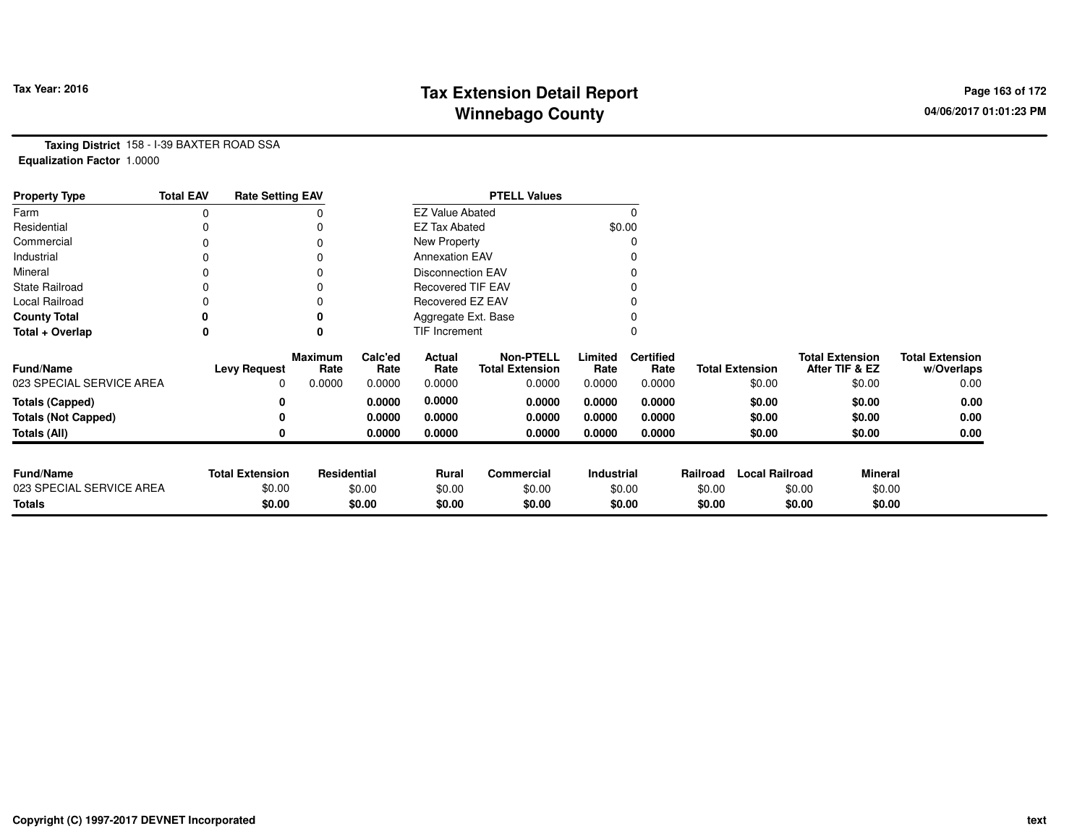# **Tax Extension Detail Report Tax Year: 2016 Page 163 of 172 Winnebago County**

**Taxing District** 158 - I-39 BAXTER ROAD SSA**Equalization Factor** 1.0000

| <b>Property Type</b>       | <b>Total EAV</b> | <b>Rate Setting EAV</b> |                 |                 |                          | <b>PTELL Values</b>                        |                 |                          |          |                        |                                          |                                      |
|----------------------------|------------------|-------------------------|-----------------|-----------------|--------------------------|--------------------------------------------|-----------------|--------------------------|----------|------------------------|------------------------------------------|--------------------------------------|
| Farm                       |                  |                         |                 |                 | <b>EZ Value Abated</b>   |                                            |                 | $\Omega$                 |          |                        |                                          |                                      |
| Residential                |                  |                         | 0               |                 | <b>EZ Tax Abated</b>     |                                            |                 | \$0.00                   |          |                        |                                          |                                      |
| Commercial                 |                  |                         | 0               |                 | New Property             |                                            |                 |                          |          |                        |                                          |                                      |
| Industrial                 |                  |                         |                 |                 | <b>Annexation EAV</b>    |                                            |                 |                          |          |                        |                                          |                                      |
| Mineral                    |                  |                         | 0               |                 | <b>Disconnection EAV</b> |                                            |                 | 0                        |          |                        |                                          |                                      |
| <b>State Railroad</b>      |                  |                         | 0               |                 | Recovered TIF EAV        |                                            |                 |                          |          |                        |                                          |                                      |
| Local Railroad             |                  |                         | 0               |                 | Recovered EZ EAV         |                                            |                 |                          |          |                        |                                          |                                      |
| <b>County Total</b>        |                  |                         | 0               |                 | Aggregate Ext. Base      |                                            |                 |                          |          |                        |                                          |                                      |
| Total + Overlap            | 0                |                         | 0               |                 | <b>TIF Increment</b>     |                                            |                 | 0                        |          |                        |                                          |                                      |
| <b>Fund/Name</b>           |                  | <b>Levy Request</b>     | Maximum<br>Rate | Calc'ed<br>Rate | Actual<br>Rate           | <b>Non-PTELL</b><br><b>Total Extension</b> | Limited<br>Rate | <b>Certified</b><br>Rate |          | <b>Total Extension</b> | <b>Total Extension</b><br>After TIF & EZ | <b>Total Extension</b><br>w/Overlaps |
| 023 SPECIAL SERVICE AREA   |                  | 0                       | 0.0000          | 0.0000          | 0.0000                   | 0.0000                                     | 0.0000          | 0.0000                   |          | \$0.00                 | \$0.00                                   | 0.00                                 |
| <b>Totals (Capped)</b>     |                  |                         |                 | 0.0000          | 0.0000                   | 0.0000                                     | 0.0000          | 0.0000                   |          | \$0.00                 | \$0.00                                   | 0.00                                 |
| <b>Totals (Not Capped)</b> |                  |                         |                 | 0.0000          | 0.0000                   | 0.0000                                     | 0.0000          | 0.0000                   |          | \$0.00                 | \$0.00                                   | 0.00                                 |
| <b>Totals (All)</b>        |                  |                         |                 | 0.0000          | 0.0000                   | 0.0000                                     | 0.0000          | 0.0000                   |          | \$0.00                 | \$0.00                                   | 0.00                                 |
|                            |                  |                         |                 |                 |                          |                                            |                 |                          |          |                        |                                          |                                      |
| <b>Fund/Name</b>           |                  | <b>Total Extension</b>  | Residential     |                 | Rural                    | <b>Commercial</b>                          | Industrial      |                          | Railroad | <b>Local Railroad</b>  | <b>Mineral</b>                           |                                      |
| 023 SPECIAL SERVICE AREA   |                  | \$0.00                  |                 | \$0.00          | \$0.00                   | \$0.00                                     |                 | \$0.00                   | \$0.00   |                        | \$0.00                                   | \$0.00                               |
| <b>Totals</b>              |                  | \$0.00                  |                 | \$0.00          | \$0.00                   | \$0.00                                     |                 | \$0.00                   | \$0.00   |                        | \$0.00                                   | \$0.00                               |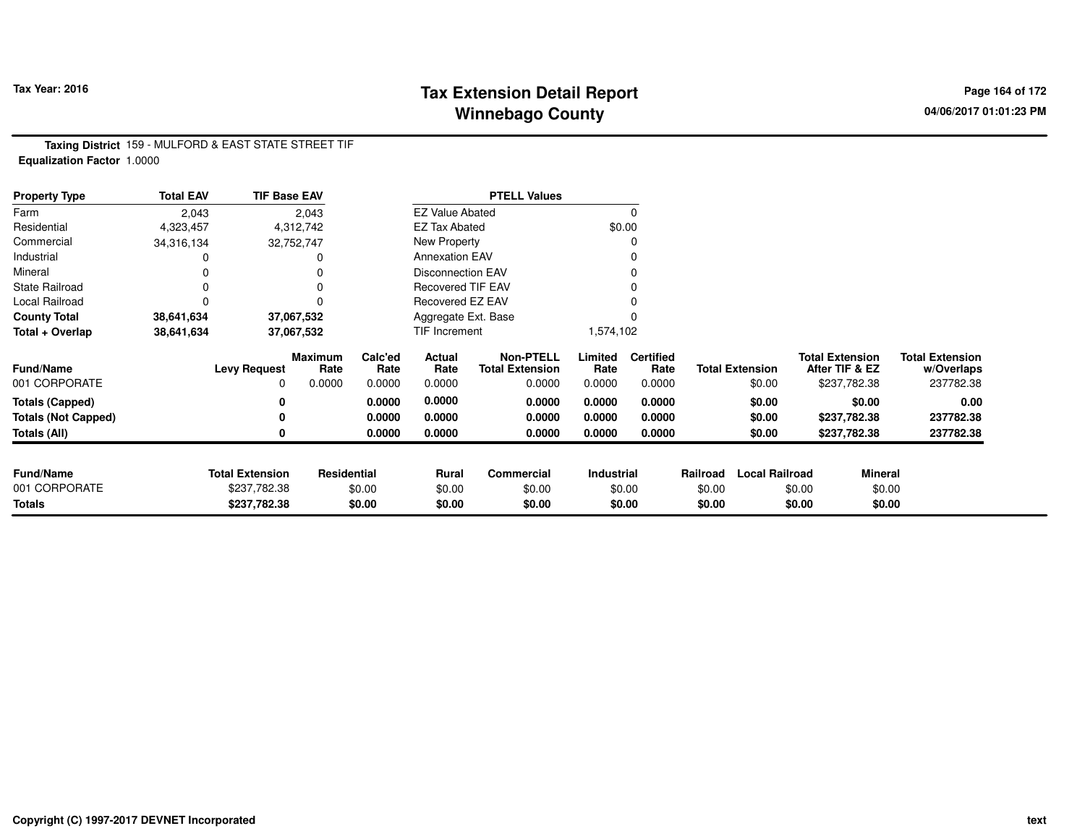### **Tax Extension Detail Report Tax Year: 2016 Page 164 of 172 Winnebago County**

**Taxing District** 159 - MULFORD & EAST STATE STREET TIF**Equalization Factor** 1.0000

| <b>Property Type</b>       | <b>Total EAV</b> | <b>TIF Base EAV</b>    |                        |                 |                          | <b>PTELL Values</b>                        |                 |                          |          |                        |                                          |         |                                      |
|----------------------------|------------------|------------------------|------------------------|-----------------|--------------------------|--------------------------------------------|-----------------|--------------------------|----------|------------------------|------------------------------------------|---------|--------------------------------------|
| Farm                       | 2,043            |                        | 2,043                  |                 | <b>EZ Value Abated</b>   |                                            |                 | $\Omega$                 |          |                        |                                          |         |                                      |
| Residential                | 4,323,457        |                        | 4,312,742              |                 | <b>EZ Tax Abated</b>     |                                            |                 | \$0.00                   |          |                        |                                          |         |                                      |
| Commercial                 | 34,316,134       |                        | 32,752,747             |                 | New Property             |                                            |                 |                          |          |                        |                                          |         |                                      |
| Industrial                 |                  |                        |                        |                 | <b>Annexation EAV</b>    |                                            |                 |                          |          |                        |                                          |         |                                      |
| Mineral                    |                  |                        |                        |                 | <b>Disconnection EAV</b> |                                            |                 |                          |          |                        |                                          |         |                                      |
| <b>State Railroad</b>      |                  |                        |                        |                 | Recovered TIF EAV        |                                            |                 |                          |          |                        |                                          |         |                                      |
| Local Railroad             |                  |                        |                        |                 | Recovered EZ EAV         |                                            |                 |                          |          |                        |                                          |         |                                      |
| <b>County Total</b>        | 38,641,634       |                        | 37,067,532             |                 | Aggregate Ext. Base      |                                            |                 |                          |          |                        |                                          |         |                                      |
| Total + Overlap            | 38,641,634       |                        | 37.067,532             |                 | TIF Increment            |                                            | 1,574,102       |                          |          |                        |                                          |         |                                      |
| <b>Fund/Name</b>           |                  | <b>Levy Request</b>    | <b>Maximum</b><br>Rate | Calc'ed<br>Rate | Actual<br>Rate           | <b>Non-PTELL</b><br><b>Total Extension</b> | Limited<br>Rate | <b>Certified</b><br>Rate |          | <b>Total Extension</b> | <b>Total Extension</b><br>After TIF & EZ |         | <b>Total Extension</b><br>w/Overlaps |
| 001 CORPORATE              |                  | <sup>0</sup>           | 0.0000                 | 0.0000          | 0.0000                   | 0.0000                                     | 0.0000          | 0.0000                   |          | \$0.00                 | \$237,782.38                             |         | 237782.38                            |
| <b>Totals (Capped)</b>     |                  |                        |                        | 0.0000          | 0.0000                   | 0.0000                                     | 0.0000          | 0.0000                   |          | \$0.00                 |                                          | \$0.00  | 0.00                                 |
| <b>Totals (Not Capped)</b> |                  |                        |                        | 0.0000          | 0.0000                   | 0.0000                                     | 0.0000          | 0.0000                   |          | \$0.00                 | \$237,782.38                             |         | 237782.38                            |
| Totals (All)               |                  |                        |                        | 0.0000          | 0.0000                   | 0.0000                                     | 0.0000          | 0.0000                   |          | \$0.00                 | \$237,782.38                             |         | 237782.38                            |
|                            |                  |                        |                        |                 |                          |                                            |                 |                          |          |                        |                                          |         |                                      |
| <b>Fund/Name</b>           |                  | <b>Total Extension</b> | Residential            |                 | <b>Rural</b>             | Commercial                                 | Industrial      |                          | Railroad | <b>Local Railroad</b>  |                                          | Mineral |                                      |
| 001 CORPORATE              |                  | \$237,782.38           |                        | \$0.00          | \$0.00                   | \$0.00                                     |                 | \$0.00                   | \$0.00   |                        | \$0.00                                   | \$0.00  |                                      |
| Totals                     |                  | \$237,782.38           |                        | \$0.00          | \$0.00                   | \$0.00                                     |                 | \$0.00                   | \$0.00   |                        | \$0.00                                   | \$0.00  |                                      |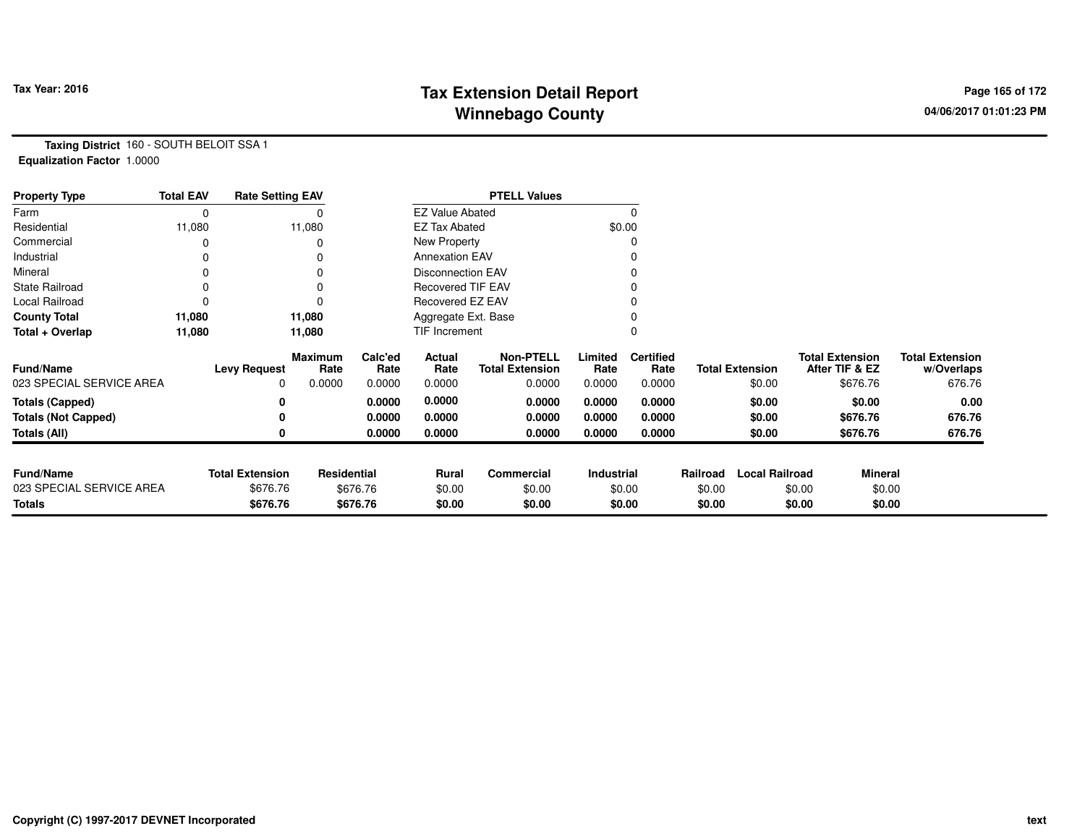# **Tax Extension Detail Report Tax Year: 2016 Page 165 of 172 Winnebago County**

**Taxing District** 160 - SOUTH BELOIT SSA 1**Equalization Factor** 1.0000

| <b>Property Type</b>       | <b>Total EAV</b> | <b>Rate Setting EAV</b> |                        |                 |                          | <b>PTELL Values</b>                        |                 |                          |          |                        |                                          |                                      |
|----------------------------|------------------|-------------------------|------------------------|-----------------|--------------------------|--------------------------------------------|-----------------|--------------------------|----------|------------------------|------------------------------------------|--------------------------------------|
| Farm                       | 0                |                         |                        |                 | <b>EZ Value Abated</b>   |                                            |                 | $\Omega$                 |          |                        |                                          |                                      |
| Residential                | 11,080           |                         | 11,080                 |                 | <b>EZ Tax Abated</b>     |                                            |                 | \$0.00                   |          |                        |                                          |                                      |
| Commercial                 | 0                |                         |                        |                 | New Property             |                                            |                 |                          |          |                        |                                          |                                      |
| Industrial                 | 0                |                         |                        |                 | <b>Annexation EAV</b>    |                                            |                 |                          |          |                        |                                          |                                      |
| Mineral                    | 0                |                         |                        |                 | <b>Disconnection EAV</b> |                                            |                 |                          |          |                        |                                          |                                      |
| <b>State Railroad</b>      | 0                |                         |                        |                 | <b>Recovered TIF EAV</b> |                                            |                 |                          |          |                        |                                          |                                      |
| Local Railroad             | 0                |                         |                        |                 | Recovered EZ EAV         |                                            |                 |                          |          |                        |                                          |                                      |
| <b>County Total</b>        | 11,080           |                         | 11,080                 |                 | Aggregate Ext. Base      |                                            |                 |                          |          |                        |                                          |                                      |
| Total + Overlap            | 11,080           |                         | 11,080                 |                 | <b>TIF Increment</b>     |                                            |                 |                          |          |                        |                                          |                                      |
| <b>Fund/Name</b>           |                  | <b>Levy Request</b>     | <b>Maximum</b><br>Rate | Calc'ed<br>Rate | Actual<br>Rate           | <b>Non-PTELL</b><br><b>Total Extension</b> | Limited<br>Rate | <b>Certified</b><br>Rate |          | <b>Total Extension</b> | <b>Total Extension</b><br>After TIF & EZ | <b>Total Extension</b><br>w/Overlaps |
| 023 SPECIAL SERVICE AREA   |                  | 0                       | 0.0000                 | 0.0000          | 0.0000                   | 0.0000                                     | 0.0000          | 0.0000                   |          | \$0.00                 | \$676.76                                 | 676.76                               |
| <b>Totals (Capped)</b>     |                  | 0                       |                        | 0.0000          | 0.0000                   | 0.0000                                     | 0.0000          | 0.0000                   |          | \$0.00                 | \$0.00                                   | 0.00                                 |
| <b>Totals (Not Capped)</b> |                  | 0                       |                        | 0.0000          | 0.0000                   | 0.0000                                     | 0.0000          | 0.0000                   |          | \$0.00                 | \$676.76                                 | 676.76                               |
| Totals (All)               |                  | 0                       |                        | 0.0000          | 0.0000                   | 0.0000                                     | 0.0000          | 0.0000                   |          | \$0.00                 | \$676.76                                 | 676.76                               |
|                            |                  |                         |                        |                 |                          |                                            |                 |                          |          |                        |                                          |                                      |
| <b>Fund/Name</b>           |                  | <b>Total Extension</b>  | Residential            |                 | Rural                    | Commercial                                 | Industrial      |                          | Railroad | <b>Local Railroad</b>  |                                          | <b>Mineral</b>                       |
| 023 SPECIAL SERVICE AREA   |                  | \$676.76                |                        | \$676.76        | \$0.00                   | \$0.00                                     |                 | \$0.00                   | \$0.00   |                        | \$0.00                                   | \$0.00                               |
| <b>Totals</b>              |                  | \$676.76                |                        | \$676.76        | \$0.00                   | \$0.00                                     |                 | \$0.00                   | \$0.00   |                        | \$0.00                                   | \$0.00                               |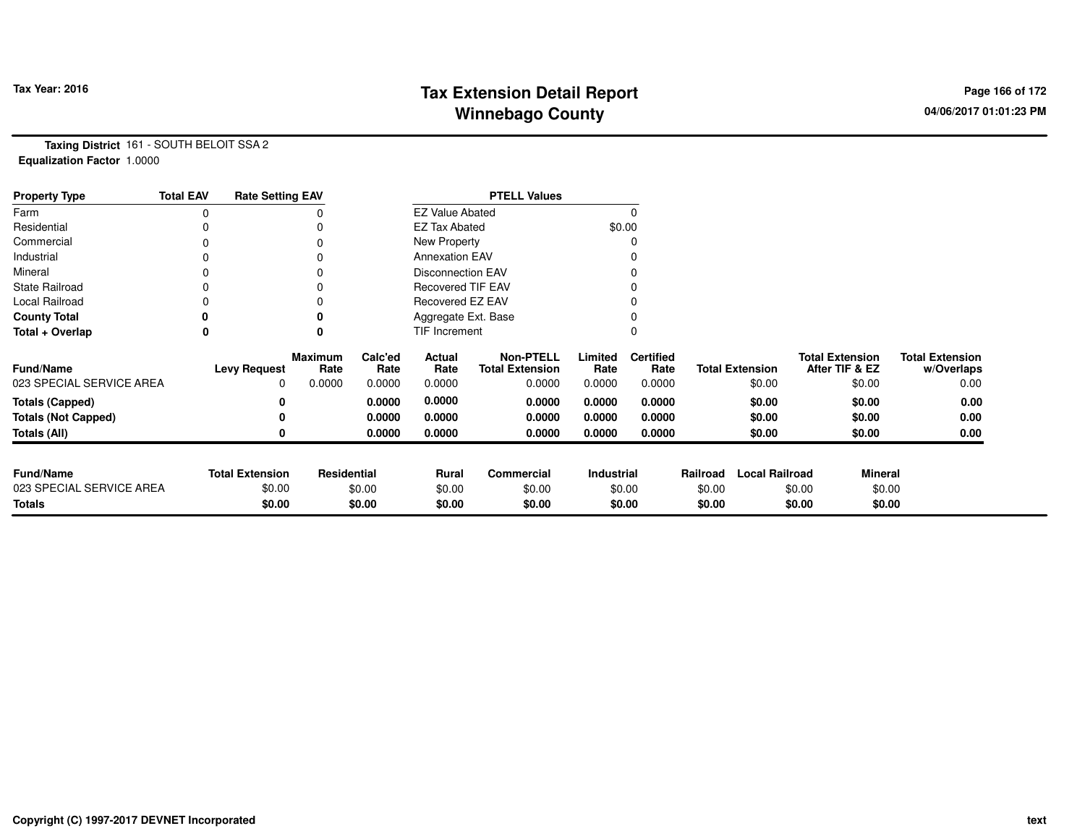# **Tax Extension Detail Report Tax Fact Constant Constant Constant Page 166 of 172 Winnebago County**

**Taxing District** 161 - SOUTH BELOIT SSA 2**Equalization Factor** 1.0000

| <b>Property Type</b>       | <b>Total EAV</b> | <b>Rate Setting EAV</b> |                 |                 |                          | <b>PTELL Values</b>                        |                 |                          |          |                        |                                          |                                      |
|----------------------------|------------------|-------------------------|-----------------|-----------------|--------------------------|--------------------------------------------|-----------------|--------------------------|----------|------------------------|------------------------------------------|--------------------------------------|
| Farm                       | 0                |                         |                 |                 | <b>EZ Value Abated</b>   |                                            |                 |                          |          |                        |                                          |                                      |
| Residential                |                  |                         |                 |                 | <b>EZ Tax Abated</b>     |                                            |                 | \$0.00                   |          |                        |                                          |                                      |
| Commercial                 |                  |                         |                 |                 | New Property             |                                            |                 |                          |          |                        |                                          |                                      |
| Industrial                 |                  |                         |                 |                 | <b>Annexation EAV</b>    |                                            |                 |                          |          |                        |                                          |                                      |
| Mineral                    | 0                |                         |                 |                 | <b>Disconnection EAV</b> |                                            |                 |                          |          |                        |                                          |                                      |
| <b>State Railroad</b>      | 0                |                         |                 |                 | <b>Recovered TIF EAV</b> |                                            |                 |                          |          |                        |                                          |                                      |
| Local Railroad             |                  |                         |                 |                 | Recovered EZ EAV         |                                            |                 |                          |          |                        |                                          |                                      |
| <b>County Total</b>        | 0                |                         |                 |                 | Aggregate Ext. Base      |                                            |                 |                          |          |                        |                                          |                                      |
| Total + Overlap            | 0                |                         |                 |                 | <b>TIF Increment</b>     |                                            |                 |                          |          |                        |                                          |                                      |
| Fund/Name                  |                  | <b>Levy Request</b>     | Maximum<br>Rate | Calc'ed<br>Rate | Actual<br>Rate           | <b>Non-PTELL</b><br><b>Total Extension</b> | Limited<br>Rate | <b>Certified</b><br>Rate |          | <b>Total Extension</b> | <b>Total Extension</b><br>After TIF & EZ | <b>Total Extension</b><br>w/Overlaps |
| 023 SPECIAL SERVICE AREA   |                  | $\Omega$                | 0.0000          | 0.0000          | 0.0000                   | 0.0000                                     | 0.0000          | 0.0000                   |          | \$0.00                 | \$0.00                                   | 0.00                                 |
| <b>Totals (Capped)</b>     |                  |                         |                 | 0.0000          | 0.0000                   | 0.0000                                     | 0.0000          | 0.0000                   |          | \$0.00                 | \$0.00                                   | 0.00                                 |
| <b>Totals (Not Capped)</b> |                  |                         |                 | 0.0000          | 0.0000                   | 0.0000                                     | 0.0000          | 0.0000                   |          | \$0.00                 | \$0.00                                   | 0.00                                 |
| <b>Totals (All)</b>        |                  |                         |                 | 0.0000          | 0.0000                   | 0.0000                                     | 0.0000          | 0.0000                   |          | \$0.00                 | \$0.00                                   | 0.00                                 |
|                            |                  |                         |                 |                 |                          |                                            |                 |                          |          |                        |                                          |                                      |
| <b>Fund/Name</b>           |                  | <b>Total Extension</b>  | Residential     |                 | <b>Rural</b>             | Commercial                                 | Industrial      |                          | Railroad | <b>Local Railroad</b>  | <b>Mineral</b>                           |                                      |
| 023 SPECIAL SERVICE AREA   |                  | \$0.00                  |                 | \$0.00          | \$0.00                   | \$0.00                                     |                 | \$0.00                   | \$0.00   |                        | \$0.00                                   | \$0.00                               |
| Totals                     |                  | \$0.00                  |                 | \$0.00          | \$0.00                   | \$0.00                                     |                 | \$0.00                   | \$0.00   |                        | \$0.00                                   | \$0.00                               |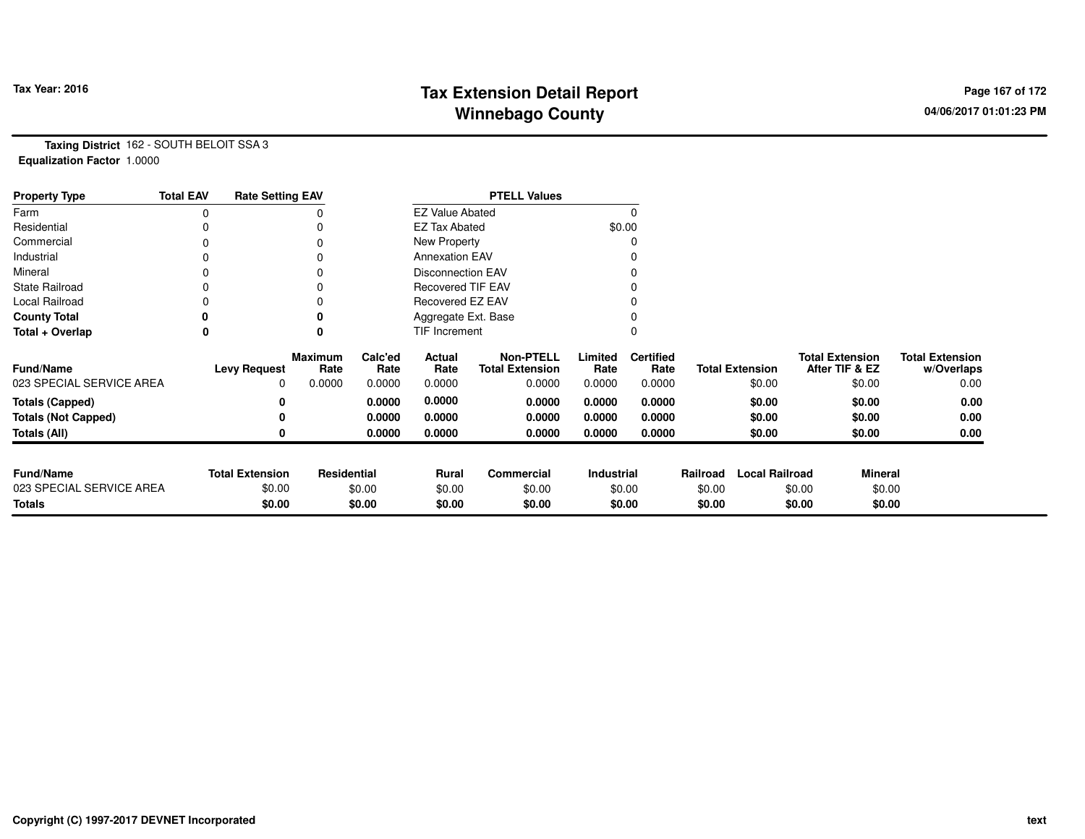# **Tax Extension Detail Report Constant Constructed Page 167 of 172 Page 167 of 172 Winnebago County**

**Taxing District** 162 - SOUTH BELOIT SSA 3**Equalization Factor** 1.0000

| <b>Property Type</b>       | <b>Total EAV</b> | <b>Rate Setting EAV</b> |                        |                 |                          | <b>PTELL Values</b>                        |                   |                          |          |                        |                                          |                                      |
|----------------------------|------------------|-------------------------|------------------------|-----------------|--------------------------|--------------------------------------------|-------------------|--------------------------|----------|------------------------|------------------------------------------|--------------------------------------|
| Farm                       | 0                |                         |                        |                 | <b>EZ Value Abated</b>   |                                            |                   |                          |          |                        |                                          |                                      |
| Residential                |                  |                         |                        |                 | <b>EZ Tax Abated</b>     |                                            |                   | \$0.00                   |          |                        |                                          |                                      |
| Commercial                 |                  |                         |                        |                 | New Property             |                                            |                   |                          |          |                        |                                          |                                      |
| Industrial                 |                  |                         |                        |                 | <b>Annexation EAV</b>    |                                            |                   |                          |          |                        |                                          |                                      |
| Mineral                    | 0                |                         |                        |                 | <b>Disconnection EAV</b> |                                            |                   |                          |          |                        |                                          |                                      |
| <b>State Railroad</b>      |                  |                         |                        |                 | <b>Recovered TIF EAV</b> |                                            |                   |                          |          |                        |                                          |                                      |
| Local Railroad             |                  |                         |                        |                 | Recovered EZ EAV         |                                            |                   |                          |          |                        |                                          |                                      |
| <b>County Total</b>        |                  |                         |                        |                 | Aggregate Ext. Base      |                                            |                   |                          |          |                        |                                          |                                      |
| Total + Overlap            | 0                |                         |                        |                 | TIF Increment            |                                            |                   |                          |          |                        |                                          |                                      |
| <b>Fund/Name</b>           |                  | <b>Levy Request</b>     | <b>Maximum</b><br>Rate | Calc'ed<br>Rate | Actual<br>Rate           | <b>Non-PTELL</b><br><b>Total Extension</b> | Limited<br>Rate   | <b>Certified</b><br>Rate |          | <b>Total Extension</b> | <b>Total Extension</b><br>After TIF & EZ | <b>Total Extension</b><br>w/Overlaps |
| 023 SPECIAL SERVICE AREA   |                  | $\Omega$                | 0.0000                 | 0.0000          | 0.0000                   | 0.0000                                     | 0.0000            | 0.0000                   |          | \$0.00                 | \$0.00                                   | 0.00                                 |
| <b>Totals (Capped)</b>     |                  |                         |                        | 0.0000          | 0.0000                   | 0.0000                                     | 0.0000            | 0.0000                   |          | \$0.00                 | \$0.00                                   | 0.00                                 |
| <b>Totals (Not Capped)</b> |                  |                         |                        | 0.0000          | 0.0000                   | 0.0000                                     | 0.0000            | 0.0000                   |          | \$0.00                 | \$0.00                                   | 0.00                                 |
| Totals (All)               |                  |                         |                        | 0.0000          | 0.0000                   | 0.0000                                     | 0.0000            | 0.0000                   |          | \$0.00                 | \$0.00                                   | 0.00                                 |
|                            |                  |                         |                        |                 |                          |                                            |                   |                          |          |                        |                                          |                                      |
| <b>Fund/Name</b>           |                  | <b>Total Extension</b>  | Residential            |                 | <b>Rural</b>             | Commercial                                 | <b>Industrial</b> |                          | Railroad | <b>Local Railroad</b>  | <b>Mineral</b>                           |                                      |
| 023 SPECIAL SERVICE AREA   |                  | \$0.00                  |                        | \$0.00          | \$0.00                   | \$0.00                                     |                   | \$0.00                   | \$0.00   |                        | \$0.00                                   | \$0.00                               |
| Totals                     |                  | \$0.00                  |                        | \$0.00          | \$0.00                   | \$0.00                                     |                   | \$0.00                   | \$0.00   |                        | \$0.00                                   | \$0.00                               |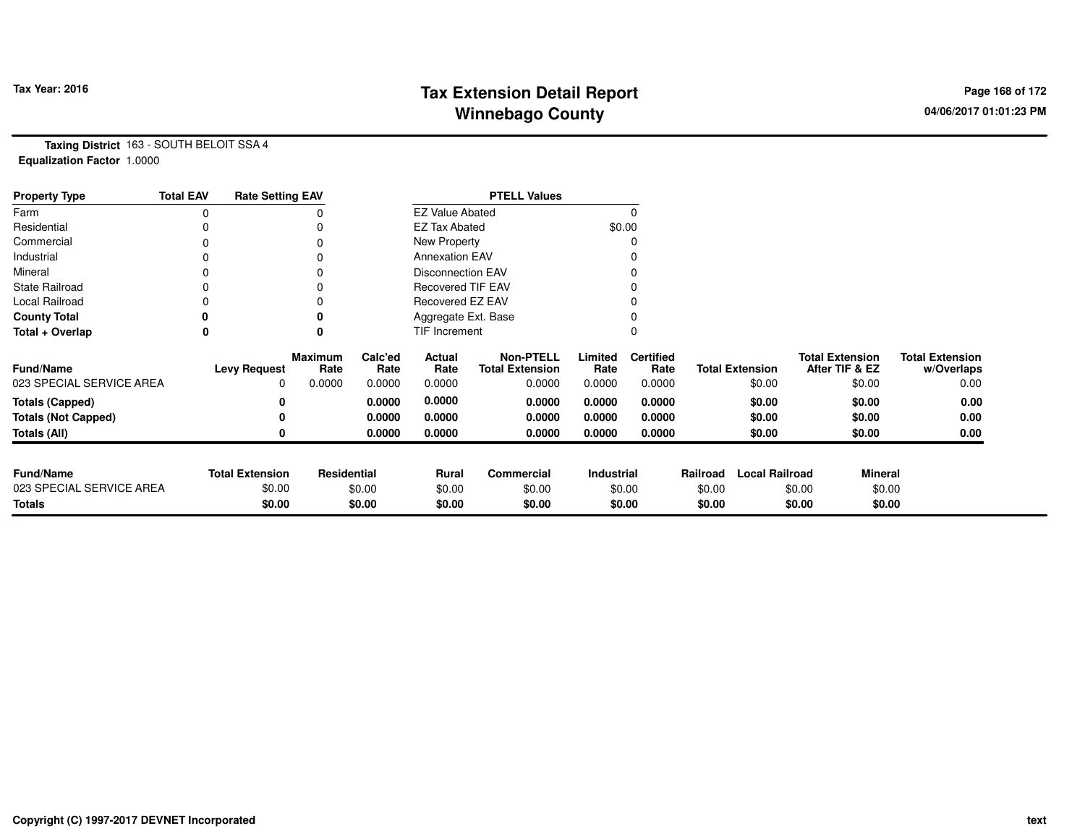# **Tax Extension Detail Report Tax Year: 2016 Page 168 of 172 Winnebago County**

**Taxing District** 163 - SOUTH BELOIT SSA 4**Equalization Factor** 1.0000

| <b>Property Type</b>       | <b>Total EAV</b> | <b>Rate Setting EAV</b> |                        |                 |                          | <b>PTELL Values</b>                        |                 |                          |          |                        |                                          |                                      |
|----------------------------|------------------|-------------------------|------------------------|-----------------|--------------------------|--------------------------------------------|-----------------|--------------------------|----------|------------------------|------------------------------------------|--------------------------------------|
| Farm                       | 0                |                         |                        |                 | <b>EZ Value Abated</b>   |                                            |                 |                          |          |                        |                                          |                                      |
| Residential                |                  |                         |                        |                 | <b>EZ Tax Abated</b>     |                                            |                 | \$0.00                   |          |                        |                                          |                                      |
| Commercial                 | 0                |                         |                        |                 | New Property             |                                            |                 |                          |          |                        |                                          |                                      |
| Industrial                 | 0                |                         |                        |                 | <b>Annexation EAV</b>    |                                            |                 |                          |          |                        |                                          |                                      |
| Mineral                    | ი                |                         |                        |                 | <b>Disconnection EAV</b> |                                            |                 |                          |          |                        |                                          |                                      |
| <b>State Railroad</b>      | 0                |                         |                        |                 | Recovered TIF EAV        |                                            |                 |                          |          |                        |                                          |                                      |
| Local Railroad             |                  |                         |                        |                 | Recovered EZ EAV         |                                            |                 |                          |          |                        |                                          |                                      |
| <b>County Total</b>        |                  |                         |                        |                 | Aggregate Ext. Base      |                                            |                 |                          |          |                        |                                          |                                      |
| Total + Overlap            | 0                |                         | $\bf{0}$               |                 | TIF Increment            |                                            |                 |                          |          |                        |                                          |                                      |
| <b>Fund/Name</b>           |                  | <b>Levy Request</b>     | <b>Maximum</b><br>Rate | Calc'ed<br>Rate | Actual<br>Rate           | <b>Non-PTELL</b><br><b>Total Extension</b> | Limited<br>Rate | <b>Certified</b><br>Rate |          | <b>Total Extension</b> | <b>Total Extension</b><br>After TIF & EZ | <b>Total Extension</b><br>w/Overlaps |
| 023 SPECIAL SERVICE AREA   |                  | 0                       | 0.0000                 | 0.0000          | 0.0000                   | 0.0000                                     | 0.0000          | 0.0000                   |          | \$0.00                 | \$0.00                                   | 0.00                                 |
| <b>Totals (Capped)</b>     |                  | 0                       |                        | 0.0000          | 0.0000                   | 0.0000                                     | 0.0000          | 0.0000                   |          | \$0.00                 | \$0.00                                   | 0.00                                 |
| <b>Totals (Not Capped)</b> |                  | 0                       |                        | 0.0000          | 0.0000                   | 0.0000                                     | 0.0000          | 0.0000                   |          | \$0.00                 | \$0.00                                   | 0.00                                 |
| Totals (All)               |                  |                         |                        | 0.0000          | 0.0000                   | 0.0000                                     | 0.0000          | 0.0000                   |          | \$0.00                 | \$0.00                                   | 0.00                                 |
|                            |                  |                         |                        |                 |                          |                                            |                 |                          |          |                        |                                          |                                      |
| <b>Fund/Name</b>           |                  | <b>Total Extension</b>  | Residential            |                 | <b>Rural</b>             | Commercial                                 | Industrial      |                          | Railroad | <b>Local Railroad</b>  |                                          | <b>Mineral</b>                       |
| 023 SPECIAL SERVICE AREA   |                  | \$0.00                  |                        | \$0.00          | \$0.00                   | \$0.00                                     |                 | \$0.00                   | \$0.00   |                        | \$0.00                                   | \$0.00                               |
| Totals                     |                  | \$0.00                  |                        | \$0.00          | \$0.00                   | \$0.00                                     |                 | \$0.00                   | \$0.00   |                        | \$0.00                                   | \$0.00                               |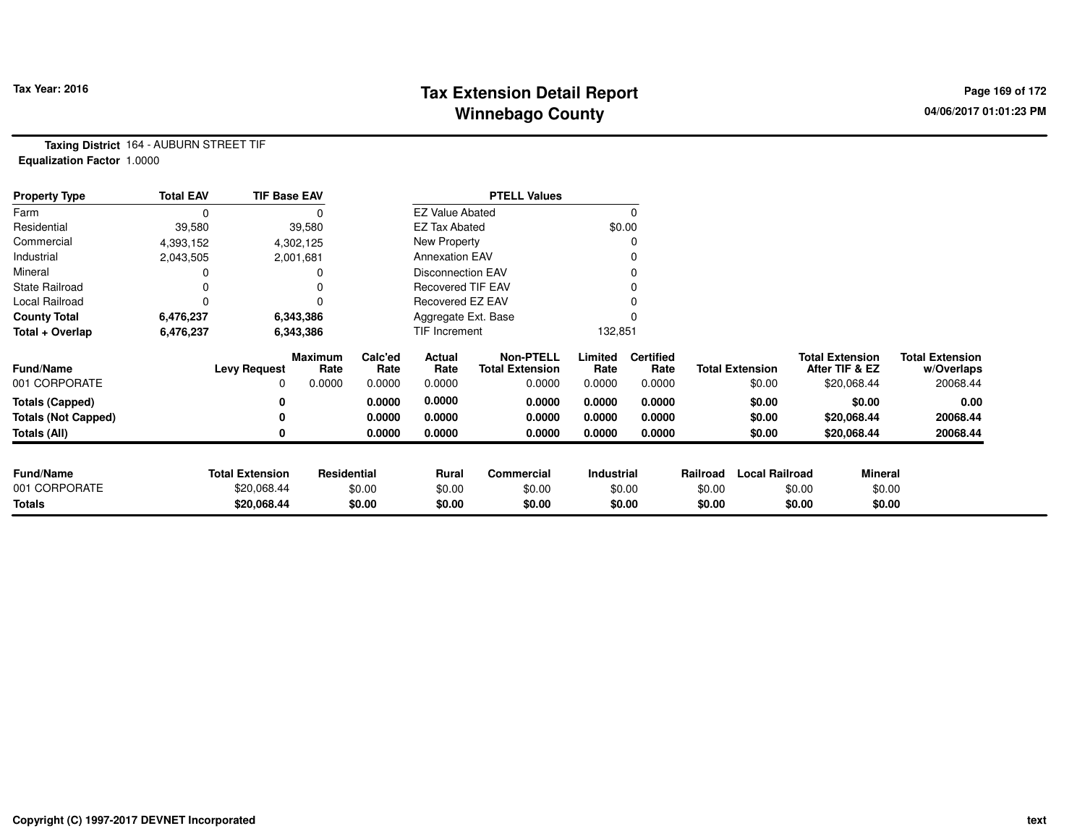#### **Tax Extension Detail Report Tax Year: 2016 Page 169 of 172 Winnebago County**

**Taxing District** 164 - AUBURN STREET TIF**Equalization Factor** 1.0000

| <b>Property Type</b>       | <b>Total EAV</b> | <b>TIF Base EAV</b>    |                        |                 |                          | <b>PTELL Values</b>                        |                 |                          |          |                        |        |                                          |                                      |
|----------------------------|------------------|------------------------|------------------------|-----------------|--------------------------|--------------------------------------------|-----------------|--------------------------|----------|------------------------|--------|------------------------------------------|--------------------------------------|
| Farm                       | 0                |                        |                        |                 | <b>EZ Value Abated</b>   |                                            |                 |                          |          |                        |        |                                          |                                      |
| Residential                | 39,580           |                        | 39,580                 |                 | <b>EZ Tax Abated</b>     |                                            |                 | \$0.00                   |          |                        |        |                                          |                                      |
| Commercial                 | 4,393,152        |                        | 4,302,125              |                 | New Property             |                                            |                 |                          |          |                        |        |                                          |                                      |
| Industrial                 | 2,043,505        |                        | 2,001,681              |                 | <b>Annexation EAV</b>    |                                            |                 |                          |          |                        |        |                                          |                                      |
| Mineral                    |                  |                        |                        |                 | <b>Disconnection EAV</b> |                                            |                 |                          |          |                        |        |                                          |                                      |
| <b>State Railroad</b>      |                  |                        |                        |                 | <b>Recovered TIF EAV</b> |                                            |                 |                          |          |                        |        |                                          |                                      |
| Local Railroad             | 0                |                        |                        |                 | Recovered EZ EAV         |                                            |                 |                          |          |                        |        |                                          |                                      |
| <b>County Total</b>        | 6,476,237        |                        | 6,343,386              |                 | Aggregate Ext. Base      |                                            |                 |                          |          |                        |        |                                          |                                      |
| Total + Overlap            | 6,476,237        |                        | 6,343,386              |                 | TIF Increment            |                                            | 132,851         |                          |          |                        |        |                                          |                                      |
| <b>Fund/Name</b>           |                  | <b>Levy Request</b>    | <b>Maximum</b><br>Rate | Calc'ed<br>Rate | Actual<br>Rate           | <b>Non-PTELL</b><br><b>Total Extension</b> | Limited<br>Rate | <b>Certified</b><br>Rate |          | <b>Total Extension</b> |        | <b>Total Extension</b><br>After TIF & EZ | <b>Total Extension</b><br>w/Overlaps |
| 001 CORPORATE              |                  | 0                      | 0.0000                 | 0.0000          | 0.0000                   | 0.0000                                     | 0.0000          | 0.0000                   |          | \$0.00                 |        | \$20,068.44                              | 20068.44                             |
| <b>Totals (Capped)</b>     |                  | 0                      |                        | 0.0000          | 0.0000                   | 0.0000                                     | 0.0000          | 0.0000                   |          | \$0.00                 |        | \$0.00                                   | 0.00                                 |
| <b>Totals (Not Capped)</b> |                  | 0                      |                        | 0.0000          | 0.0000                   | 0.0000                                     | 0.0000          | 0.0000                   |          | \$0.00                 |        | \$20,068.44                              | 20068.44                             |
| <b>Totals (All)</b>        |                  | 0                      |                        | 0.0000          | 0.0000                   | 0.0000                                     | 0.0000          | 0.0000                   |          | \$0.00                 |        | \$20,068.44                              | 20068.44                             |
|                            |                  |                        |                        |                 |                          |                                            |                 |                          |          |                        |        |                                          |                                      |
| <b>Fund/Name</b>           |                  | <b>Total Extension</b> | Residential            |                 | Rural                    | Commercial                                 | Industrial      |                          | Railroad | <b>Local Railroad</b>  |        | <b>Mineral</b>                           |                                      |
| 001 CORPORATE              |                  | \$20,068.44            |                        | \$0.00          | \$0.00                   | \$0.00                                     |                 | \$0.00                   | \$0.00   |                        | \$0.00 | \$0.00                                   |                                      |
| Totals                     |                  | \$20,068.44            |                        | \$0.00          | \$0.00                   | \$0.00                                     |                 | \$0.00                   | \$0.00   |                        | \$0.00 | \$0.00                                   |                                      |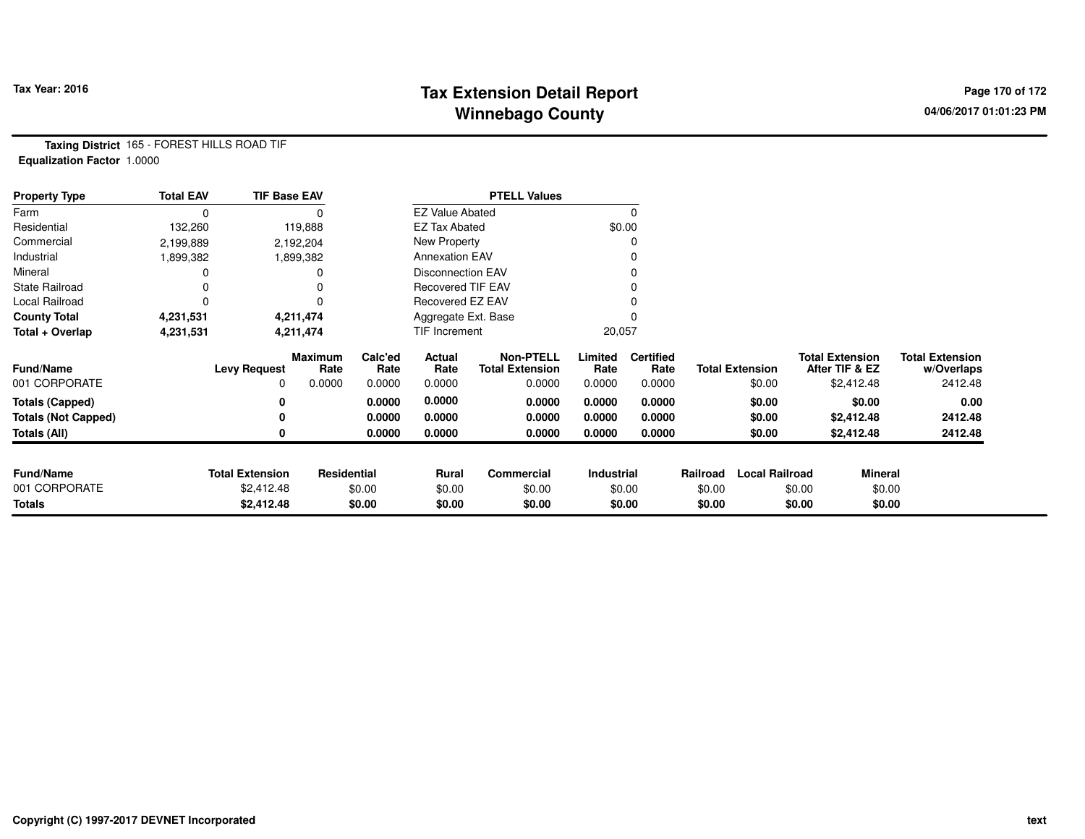## **Tax Extension Detail Report Constant Constant Constant Page 170 of 172 Winnebago County**

**Taxing District** 165 - FOREST HILLS ROAD TIF**Equalization Factor** 1.0000

| <b>Property Type</b>       | <b>Total EAV</b> | <b>TIF Base EAV</b>    |                 |                  |                          | <b>PTELL Values</b>                        |                   |                          |          |                        |        |                                          |                                      |
|----------------------------|------------------|------------------------|-----------------|------------------|--------------------------|--------------------------------------------|-------------------|--------------------------|----------|------------------------|--------|------------------------------------------|--------------------------------------|
| Farm                       |                  |                        |                 |                  | <b>EZ Value Abated</b>   |                                            |                   | $\Omega$                 |          |                        |        |                                          |                                      |
| Residential                | 132,260          |                        | 119,888         |                  |                          | <b>EZ Tax Abated</b>                       | \$0.00            |                          |          |                        |        |                                          |                                      |
| Commercial                 | 2,199,889        |                        | 2,192,204       | New Property     |                          |                                            | 0                 |                          |          |                        |        |                                          |                                      |
| Industrial                 | 1,899,382        |                        | 1,899,382       |                  | <b>Annexation EAV</b>    |                                            |                   | 0                        |          |                        |        |                                          |                                      |
| Mineral                    |                  |                        |                 |                  | <b>Disconnection EAV</b> |                                            |                   | 0                        |          |                        |        |                                          |                                      |
| <b>State Railroad</b>      |                  |                        |                 |                  | Recovered TIF EAV        |                                            |                   |                          |          |                        |        |                                          |                                      |
| Local Railroad             |                  |                        |                 | Recovered EZ EAV |                          |                                            |                   |                          |          |                        |        |                                          |                                      |
| <b>County Total</b>        | 4,231,531        |                        | 4,211,474       |                  | Aggregate Ext. Base      |                                            |                   |                          |          |                        |        |                                          |                                      |
| Total + Overlap            | 4,231,531        | 4,211,474              |                 |                  | TIF Increment            |                                            | 20,057            |                          |          |                        |        |                                          |                                      |
| <b>Fund/Name</b>           |                  | <b>Levy Request</b>    | Maximum<br>Rate | Calc'ed<br>Rate  | Actual<br>Rate           | <b>Non-PTELL</b><br><b>Total Extension</b> | Limited<br>Rate   | <b>Certified</b><br>Rate |          | <b>Total Extension</b> |        | <b>Total Extension</b><br>After TIF & EZ | <b>Total Extension</b><br>w/Overlaps |
| 001 CORPORATE              |                  | 0                      | 0.0000          | 0.0000           | 0.0000                   | 0.0000                                     | 0.0000            | 0.0000                   |          | \$0.00                 |        | \$2,412.48                               | 2412.48                              |
| <b>Totals (Capped)</b>     |                  |                        |                 | 0.0000           | 0.0000                   | 0.0000                                     | 0.0000            | 0.0000                   |          | \$0.00                 |        | \$0.00                                   | 0.00                                 |
| <b>Totals (Not Capped)</b> |                  |                        |                 | 0.0000           | 0.0000                   | 0.0000                                     | 0.0000            | 0.0000                   |          | \$0.00                 |        | \$2,412.48                               | 2412.48                              |
| Totals (All)               |                  |                        |                 | 0.0000           | 0.0000                   | 0.0000                                     | 0.0000            | 0.0000                   |          | \$0.00                 |        | \$2,412.48                               | 2412.48                              |
| <b>Fund/Name</b>           |                  | <b>Total Extension</b> | Residential     |                  | Rural                    | <b>Commercial</b>                          | <b>Industrial</b> |                          | Railroad | <b>Local Railroad</b>  |        | Mineral                                  |                                      |
| 001 CORPORATE              |                  | \$2,412.48             |                 | \$0.00           | \$0.00                   | \$0.00                                     |                   | \$0.00                   | \$0.00   |                        | \$0.00 | \$0.00                                   |                                      |
| <b>Totals</b>              |                  | \$2,412.48             |                 | \$0.00           | \$0.00                   | \$0.00                                     |                   | \$0.00                   | \$0.00   |                        | \$0.00 | \$0.00                                   |                                      |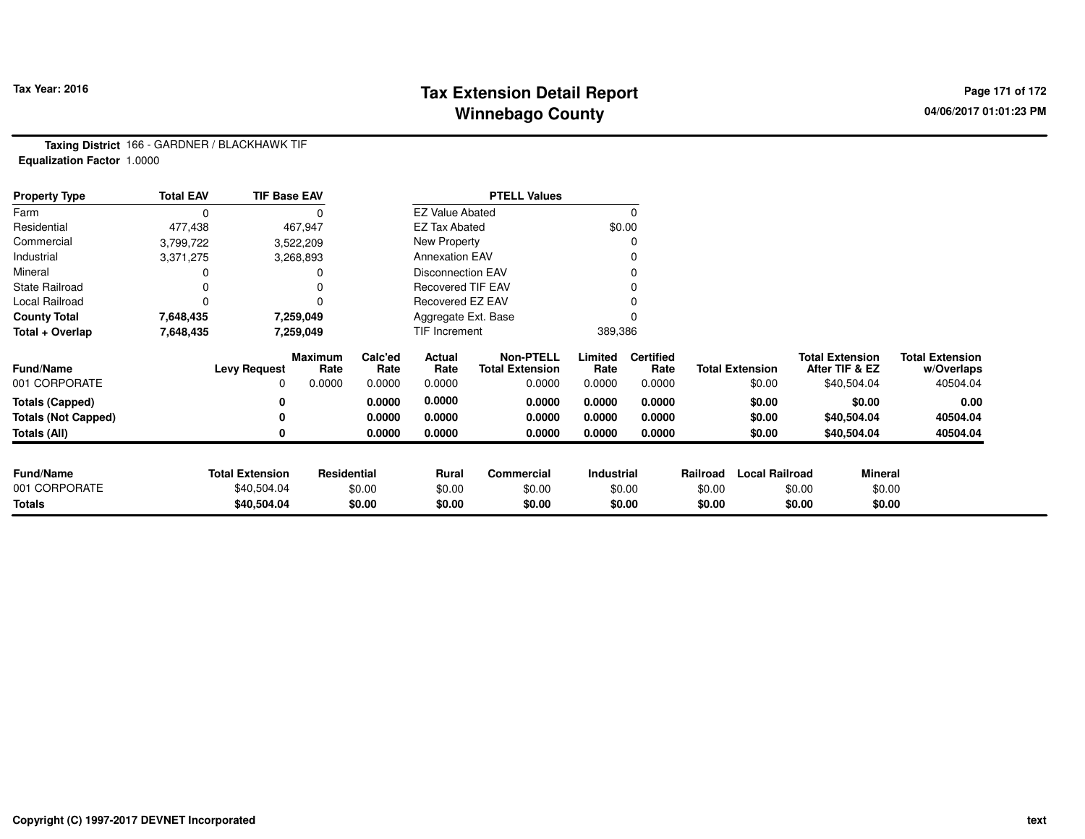## **Tax Extension Detail Report Constant Constant Constant Page 171 of 172 Winnebago County**

**Taxing District** 166 - GARDNER / BLACKHAWK TIF**Equalization Factor** 1.0000

| <b>Property Type</b>       | <b>Total EAV</b> | <b>TIF Base EAV</b>    |                        |                 |                          | <b>PTELL Values</b>                        |                 |                          |          |                        |                                          |             |                                      |
|----------------------------|------------------|------------------------|------------------------|-----------------|--------------------------|--------------------------------------------|-----------------|--------------------------|----------|------------------------|------------------------------------------|-------------|--------------------------------------|
| Farm                       | $\Omega$         |                        |                        |                 | <b>EZ Value Abated</b>   |                                            |                 |                          |          |                        |                                          |             |                                      |
| Residential                | 477,438          |                        | 467,947                |                 | <b>EZ Tax Abated</b>     |                                            |                 | \$0.00                   |          |                        |                                          |             |                                      |
| Commercial                 | 3,799,722        |                        | 3,522,209              |                 | New Property             |                                            |                 |                          |          |                        |                                          |             |                                      |
| Industrial                 | 3,371,275        |                        | 3,268,893              |                 | <b>Annexation EAV</b>    |                                            |                 |                          |          |                        |                                          |             |                                      |
| Mineral                    |                  |                        |                        |                 | Disconnection EAV        |                                            |                 |                          |          |                        |                                          |             |                                      |
| <b>State Railroad</b>      |                  |                        |                        |                 | <b>Recovered TIF EAV</b> |                                            |                 |                          |          |                        |                                          |             |                                      |
| Local Railroad             | 0                |                        | 0                      |                 | Recovered EZ EAV         |                                            |                 |                          |          |                        |                                          |             |                                      |
| <b>County Total</b>        | 7,648,435        |                        | 7,259,049              |                 | Aggregate Ext. Base      |                                            |                 |                          |          |                        |                                          |             |                                      |
| Total + Overlap            | 7,648,435        |                        | 7,259,049              |                 | TIF Increment            |                                            | 389,386         |                          |          |                        |                                          |             |                                      |
| <b>Fund/Name</b>           |                  | <b>Levy Request</b>    | <b>Maximum</b><br>Rate | Calc'ed<br>Rate | Actual<br>Rate           | <b>Non-PTELL</b><br><b>Total Extension</b> | Limited<br>Rate | <b>Certified</b><br>Rate |          | <b>Total Extension</b> | <b>Total Extension</b><br>After TIF & EZ |             | <b>Total Extension</b><br>w/Overlaps |
| 001 CORPORATE              |                  | 0                      | 0.0000                 | 0.0000          | 0.0000                   | 0.0000                                     | 0.0000          | 0.0000                   |          | \$0.00                 |                                          | \$40,504.04 | 40504.04                             |
| <b>Totals (Capped)</b>     |                  | 0                      |                        | 0.0000          | 0.0000                   | 0.0000                                     | 0.0000          | 0.0000                   |          | \$0.00                 |                                          | \$0.00      | 0.00                                 |
| <b>Totals (Not Capped)</b> |                  | 0                      |                        | 0.0000          | 0.0000                   | 0.0000                                     | 0.0000          | 0.0000                   |          | \$0.00                 |                                          | \$40,504.04 | 40504.04                             |
| Totals (All)               |                  | 0                      |                        | 0.0000          | 0.0000                   | 0.0000                                     | 0.0000          | 0.0000                   |          | \$0.00                 |                                          | \$40,504.04 | 40504.04                             |
|                            |                  |                        |                        |                 |                          |                                            |                 |                          |          |                        |                                          |             |                                      |
| <b>Fund/Name</b>           |                  | <b>Total Extension</b> | Residential            |                 | <b>Rural</b>             | <b>Commercial</b>                          | Industrial      |                          | Railroad | <b>Local Railroad</b>  |                                          | Mineral     |                                      |
| 001 CORPORATE              |                  | \$40,504.04            |                        | \$0.00          | \$0.00                   | \$0.00                                     |                 | \$0.00                   | \$0.00   |                        | \$0.00                                   | \$0.00      |                                      |
| <b>Totals</b>              |                  | \$40,504.04            |                        | \$0.00          | \$0.00                   | \$0.00                                     |                 | \$0.00                   | \$0.00   |                        | \$0.00                                   | \$0.00      |                                      |